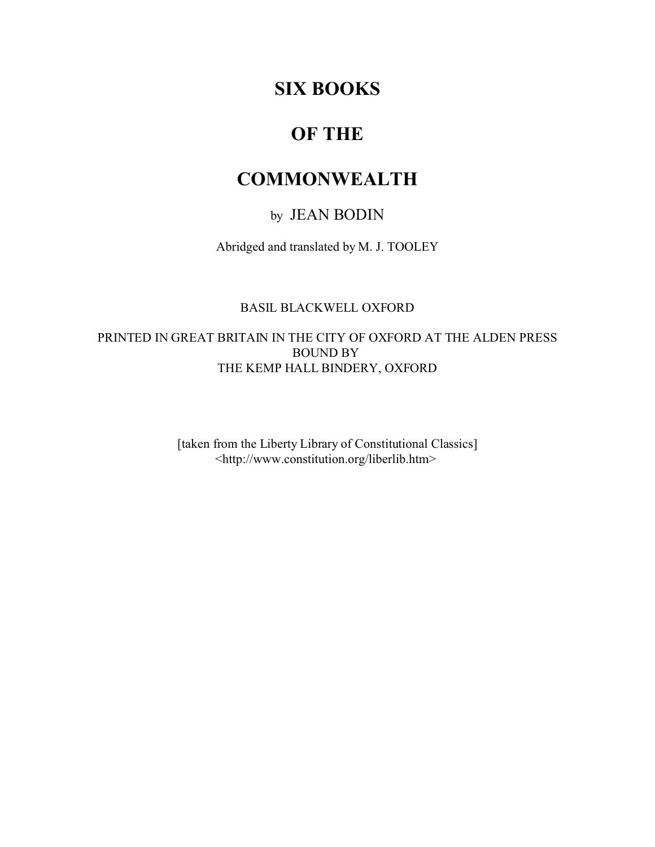## **SIX BOOKS**

# **OF THE**

# **COMMONWEALTH**

## by JEAN BODIN

Abridged and translated by M. J. TOOLEY

#### BASIL BLACKWELL OXFORD

## PRINTED IN GREAT BRITAIN IN THE CITY OF OXFORD AT THE ALDEN PRESS BOUND BY THE KEMP HALL BINDERY, OXFORD

[taken from the Liberty Library of Constitutional Classics] <http://www.constitution.org/liberlib.htm>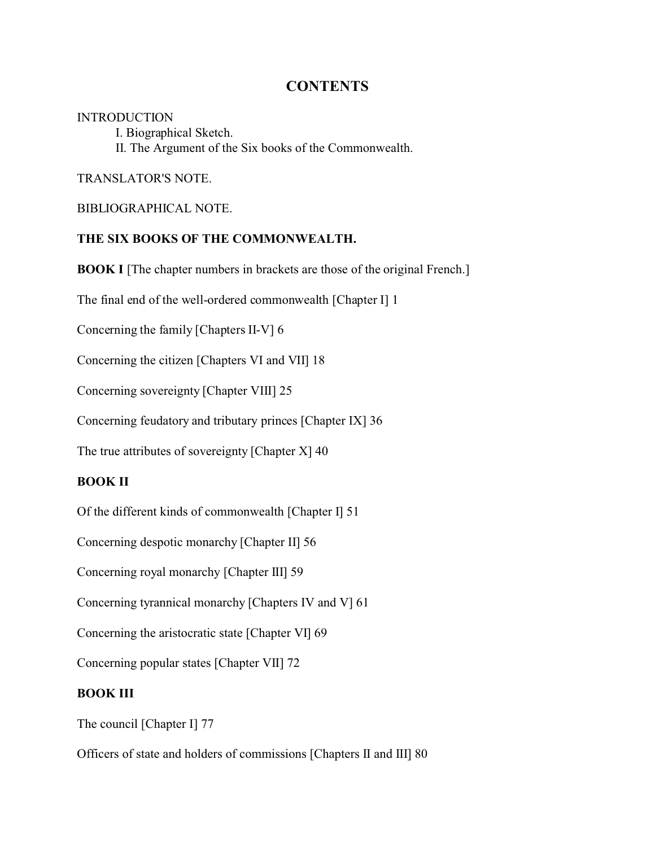## **CONTENTS**

#### **INTRODUCTION**

I. Biographical Sketch.

II. The Argument of the Six books of the Commonwealth.

### TRANSLATOR'S NOTE.

BIBLIOGRAPHICAL NOTE.

## **THE SIX BOOKS OF THE COMMONWEALTH.**

**BOOK I** [The chapter numbers in brackets are those of the original French.]

The final end of the well-ordered commonwealth [Chapter I] 1

Concerning the family [Chapters II-V] 6

Concerning the citizen [Chapters VI and VII] 18

Concerning sovereignty [Chapter VIII] 25

Concerning feudatory and tributary princes [Chapter IX] 36

The true attributes of sovereignty [Chapter X] 40

## **BOOK II**

Of the different kinds of commonwealth [Chapter I] 51

Concerning despotic monarchy [Chapter II] 56

Concerning royal monarchy [Chapter III] 59

Concerning tyrannical monarchy [Chapters IV and V] 61

Concerning the aristocratic state [Chapter VI] 69

Concerning popular states [Chapter VII] 72

## **BOOK III**

The council [Chapter I] 77

Officers of state and holders of commissions [Chapters II and III] 80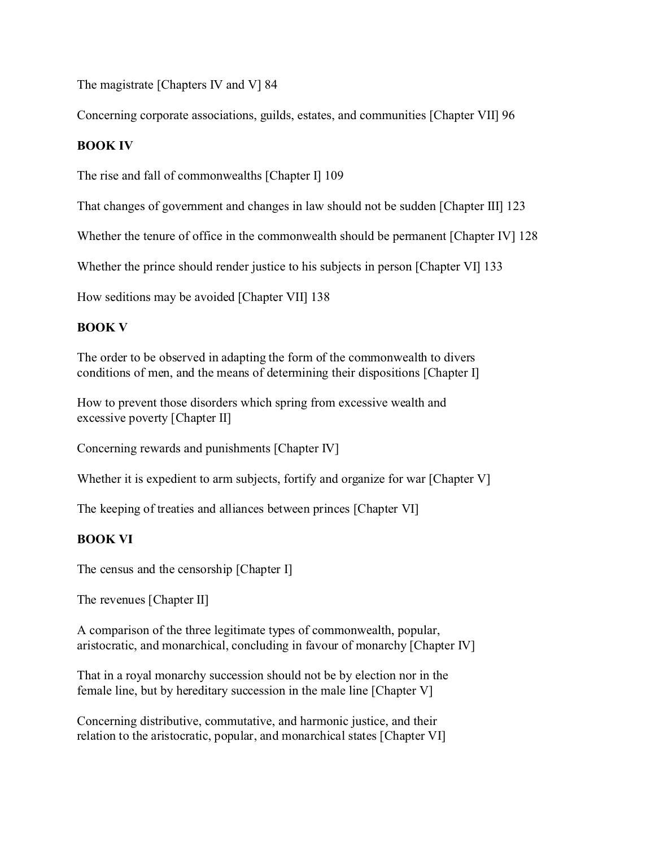The magistrate [Chapters IV and V] 84

Concerning corporate associations, guilds, estates, and communities [Chapter VII] 96

### **BOOK IV**

The rise and fall of commonwealths [Chapter I] 109

That changes of government and changes in law should not be sudden [Chapter III] 123

Whether the tenure of office in the commonwealth should be permanent [Chapter IV] 128

Whether the prince should render justice to his subjects in person [Chapter VI] 133

How seditions may be avoided [Chapter VII] 138

#### **BOOK V**

The order to be observed in adapting the form of the commonwealth to divers conditions of men, and the means of determining their dispositions [Chapter I]

How to prevent those disorders which spring from excessive wealth and excessive poverty [Chapter II]

Concerning rewards and punishments [Chapter IV]

Whether it is expedient to arm subjects, fortify and organize for war [Chapter V]

The keeping of treaties and alliances between princes [Chapter VI]

## **BOOK VI**

The census and the censorship [Chapter I]

```
The revenues [Chapter II]
```
A comparison of the three legitimate types of commonwealth, popular, aristocratic, and monarchical, concluding in favour of monarchy [Chapter IV]

That in a royal monarchy succession should not be by election nor in the female line, but by hereditary succession in the male line [Chapter V]

Concerning distributive, commutative, and harmonic justice, and their relation to the aristocratic, popular, and monarchical states [Chapter VI]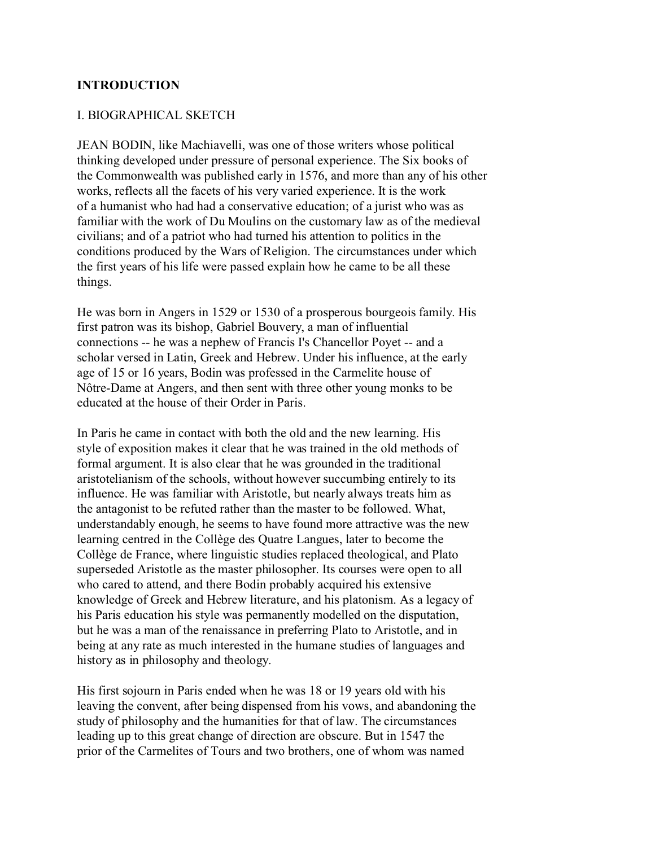#### **INTRODUCTION**

#### I. BIOGRAPHICAL SKETCH

JEAN BODIN, like Machiavelli, was one of those writers whose political thinking developed under pressure of personal experience. The Six books of the Commonwealth was published early in 1576, and more than any of his other works, reflects all the facets of his very varied experience. It is the work of a humanist who had had a conservative education; of a jurist who was as familiar with the work of Du Moulins on the customary law as of the medieval civilians; and of a patriot who had turned his attention to politics in the conditions produced by the Wars of Religion. The circumstances under which the first years of his life were passed explain how he came to be all these things.

He was born in Angers in 1529 or 1530 of a prosperous bourgeois family. His first patron was its bishop, Gabriel Bouvery, a man of influential connections -- he was a nephew of Francis I's Chancellor Poyet -- and a scholar versed in Latin, Greek and Hebrew. Under his influence, at the early age of 15 or 16 years, Bodin was professed in the Carmelite house of Nôtre-Dame at Angers, and then sent with three other young monks to be educated at the house of their Order in Paris.

In Paris he came in contact with both the old and the new learning. His style of exposition makes it clear that he was trained in the old methods of formal argument. It is also clear that he was grounded in the traditional aristotelianism of the schools, without however succumbing entirely to its influence. He was familiar with Aristotle, but nearly always treats him as the antagonist to be refuted rather than the master to be followed. What, understandably enough, he seems to have found more attractive was the new learning centred in the Collège des Quatre Langues, later to become the Collège de France, where linguistic studies replaced theological, and Plato superseded Aristotle as the master philosopher. Its courses were open to all who cared to attend, and there Bodin probably acquired his extensive knowledge of Greek and Hebrew literature, and his platonism. As a legacy of his Paris education his style was permanently modelled on the disputation, but he was a man of the renaissance in preferring Plato to Aristotle, and in being at any rate as much interested in the humane studies of languages and history as in philosophy and theology.

His first sojourn in Paris ended when he was 18 or 19 years old with his leaving the convent, after being dispensed from his vows, and abandoning the study of philosophy and the humanities for that of law. The circumstances leading up to this great change of direction are obscure. But in 1547 the prior of the Carmelites of Tours and two brothers, one of whom was named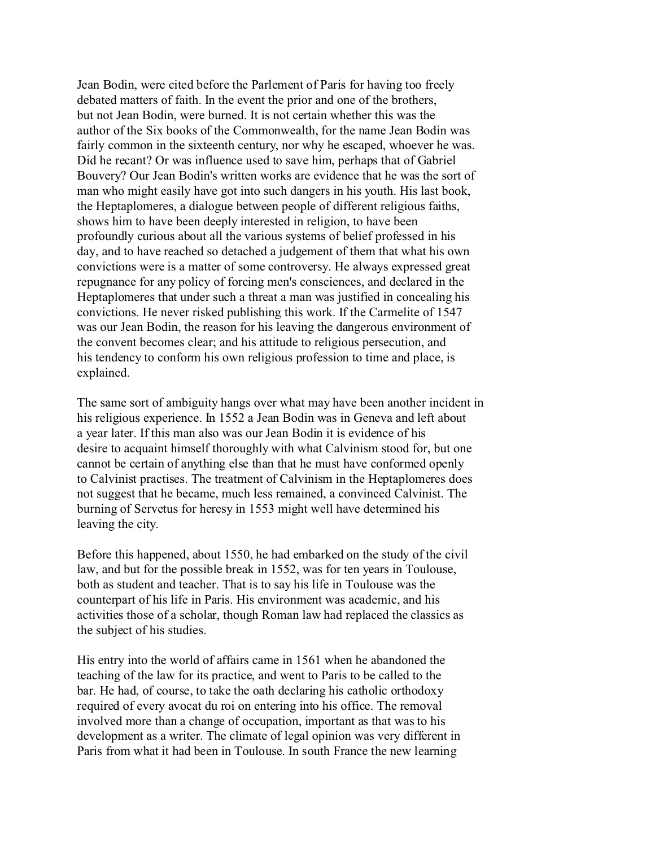Jean Bodin, were cited before the Parlement of Paris for having too freely debated matters of faith. In the event the prior and one of the brothers, but not Jean Bodin, were burned. It is not certain whether this was the author of the Six books of the Commonwealth, for the name Jean Bodin was fairly common in the sixteenth century, nor why he escaped, whoever he was. Did he recant? Or was influence used to save him, perhaps that of Gabriel Bouvery? Our Jean Bodin's written works are evidence that he was the sort of man who might easily have got into such dangers in his youth. His last book, the Heptaplomeres, a dialogue between people of different religious faiths, shows him to have been deeply interested in religion, to have been profoundly curious about all the various systems of belief professed in his day, and to have reached so detached a judgement of them that what his own convictions were is a matter of some controversy. He always expressed great repugnance for any policy of forcing men's consciences, and declared in the Heptaplomeres that under such a threat a man was justified in concealing his convictions. He never risked publishing this work. If the Carmelite of 1547 was our Jean Bodin, the reason for his leaving the dangerous environment of the convent becomes clear; and his attitude to religious persecution, and his tendency to conform his own religious profession to time and place, is explained.

The same sort of ambiguity hangs over what may have been another incident in his religious experience. In 1552 a Jean Bodin was in Geneva and left about a year later. If this man also was our Jean Bodin it is evidence of his desire to acquaint himself thoroughly with what Calvinism stood for, but one cannot be certain of anything else than that he must have conformed openly to Calvinist practises. The treatment of Calvinism in the Heptaplomeres does not suggest that he became, much less remained, a convinced Calvinist. The burning of Servetus for heresy in 1553 might well have determined his leaving the city.

Before this happened, about 1550, he had embarked on the study of the civil law, and but for the possible break in 1552, was for ten years in Toulouse, both as student and teacher. That is to say his life in Toulouse was the counterpart of his life in Paris. His environment was academic, and his activities those of a scholar, though Roman law had replaced the classics as the subject of his studies.

His entry into the world of affairs came in 1561 when he abandoned the teaching of the law for its practice, and went to Paris to be called to the bar. He had, of course, to take the oath declaring his catholic orthodoxy required of every avocat du roi on entering into his office. The removal involved more than a change of occupation, important as that was to his development as a writer. The climate of legal opinion was very different in Paris from what it had been in Toulouse. In south France the new learning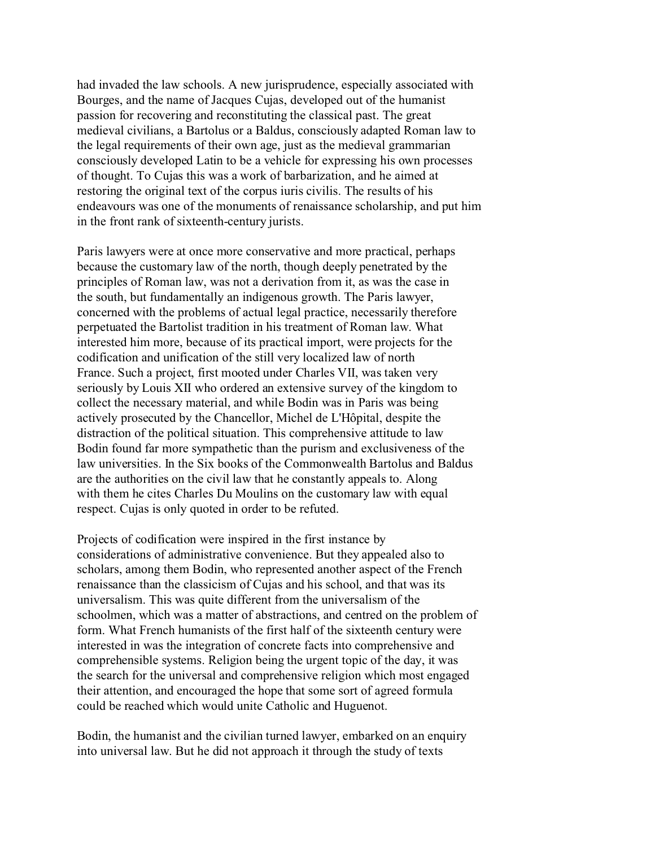had invaded the law schools. A new jurisprudence, especially associated with Bourges, and the name of Jacques Cujas, developed out of the humanist passion for recovering and reconstituting the classical past. The great medieval civilians, a Bartolus or a Baldus, consciously adapted Roman law to the legal requirements of their own age, just as the medieval grammarian consciously developed Latin to be a vehicle for expressing his own processes of thought. To Cujas this was a work of barbarization, and he aimed at restoring the original text of the corpus iuris civilis. The results of his endeavours was one of the monuments of renaissance scholarship, and put him in the front rank of sixteenth-century jurists.

Paris lawyers were at once more conservative and more practical, perhaps because the customary law of the north, though deeply penetrated by the principles of Roman law, was not a derivation from it, as was the case in the south, but fundamentally an indigenous growth. The Paris lawyer, concerned with the problems of actual legal practice, necessarily therefore perpetuated the Bartolist tradition in his treatment of Roman law. What interested him more, because of its practical import, were projects for the codification and unification of the still very localized law of north France. Such a project, first mooted under Charles VII, was taken very seriously by Louis XII who ordered an extensive survey of the kingdom to collect the necessary material, and while Bodin was in Paris was being actively prosecuted by the Chancellor, Michel de L'Hôpital, despite the distraction of the political situation. This comprehensive attitude to law Bodin found far more sympathetic than the purism and exclusiveness of the law universities. In the Six books of the Commonwealth Bartolus and Baldus are the authorities on the civil law that he constantly appeals to. Along with them he cites Charles Du Moulins on the customary law with equal respect. Cujas is only quoted in order to be refuted.

Projects of codification were inspired in the first instance by considerations of administrative convenience. But they appealed also to scholars, among them Bodin, who represented another aspect of the French renaissance than the classicism of Cujas and his school, and that was its universalism. This was quite different from the universalism of the schoolmen, which was a matter of abstractions, and centred on the problem of form. What French humanists of the first half of the sixteenth century were interested in was the integration of concrete facts into comprehensive and comprehensible systems. Religion being the urgent topic of the day, it was the search for the universal and comprehensive religion which most engaged their attention, and encouraged the hope that some sort of agreed formula could be reached which would unite Catholic and Huguenot.

Bodin, the humanist and the civilian turned lawyer, embarked on an enquiry into universal law. But he did not approach it through the study of texts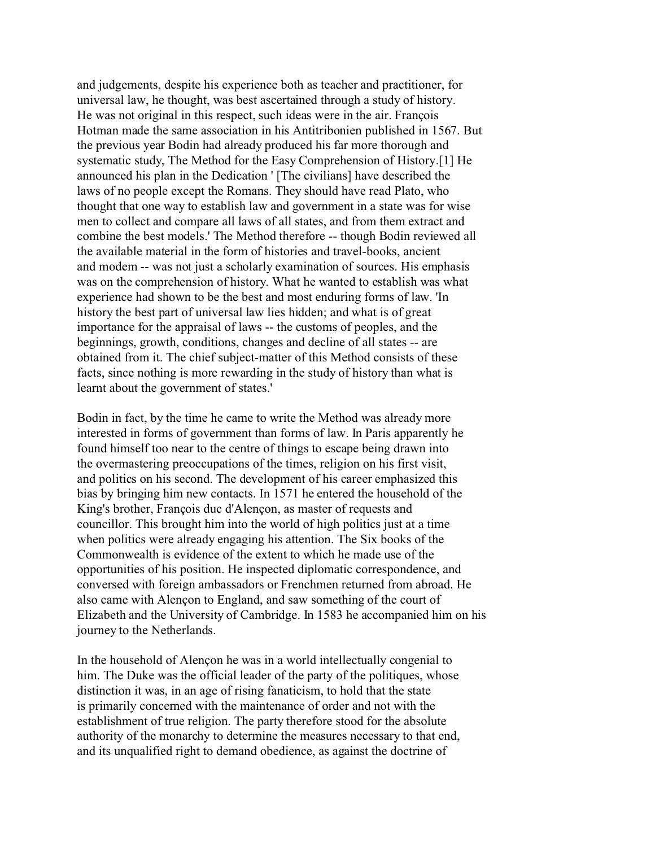and judgements, despite his experience both as teacher and practitioner, for universal law, he thought, was best ascertained through a study of history. He was not original in this respect, such ideas were in the air. François Hotman made the same association in his Antitribonien published in 1567. But the previous year Bodin had already produced his far more thorough and systematic study, The Method for the Easy Comprehension of History.[1] He announced his plan in the Dedication ' [The civilians] have described the laws of no people except the Romans. They should have read Plato, who thought that one way to establish law and government in a state was for wise men to collect and compare all laws of all states, and from them extract and combine the best models.' The Method therefore -- though Bodin reviewed all the available material in the form of histories and travel-books, ancient and modem -- was not just a scholarly examination of sources. His emphasis was on the comprehension of history. What he wanted to establish was what experience had shown to be the best and most enduring forms of law. 'In history the best part of universal law lies hidden; and what is of great importance for the appraisal of laws -- the customs of peoples, and the beginnings, growth, conditions, changes and decline of all states -- are obtained from it. The chief subject-matter of this Method consists of these facts, since nothing is more rewarding in the study of history than what is learnt about the government of states.'

Bodin in fact, by the time he came to write the Method was already more interested in forms of government than forms of law. In Paris apparently he found himself too near to the centre of things to escape being drawn into the overmastering preoccupations of the times, religion on his first visit, and politics on his second. The development of his career emphasized this bias by bringing him new contacts. In 1571 he entered the household of the King's brother, François duc d'Alençon, as master of requests and councillor. This brought him into the world of high politics just at a time when politics were already engaging his attention. The Six books of the Commonwealth is evidence of the extent to which he made use of the opportunities of his position. He inspected diplomatic correspondence, and conversed with foreign ambassadors or Frenchmen returned from abroad. He also came with Alençon to England, and saw something of the court of Elizabeth and the University of Cambridge. In 1583 he accompanied him on his journey to the Netherlands.

In the household of Alençon he was in a world intellectually congenial to him. The Duke was the official leader of the party of the politiques, whose distinction it was, in an age of rising fanaticism, to hold that the state is primarily concerned with the maintenance of order and not with the establishment of true religion. The party therefore stood for the absolute authority of the monarchy to determine the measures necessary to that end, and its unqualified right to demand obedience, as against the doctrine of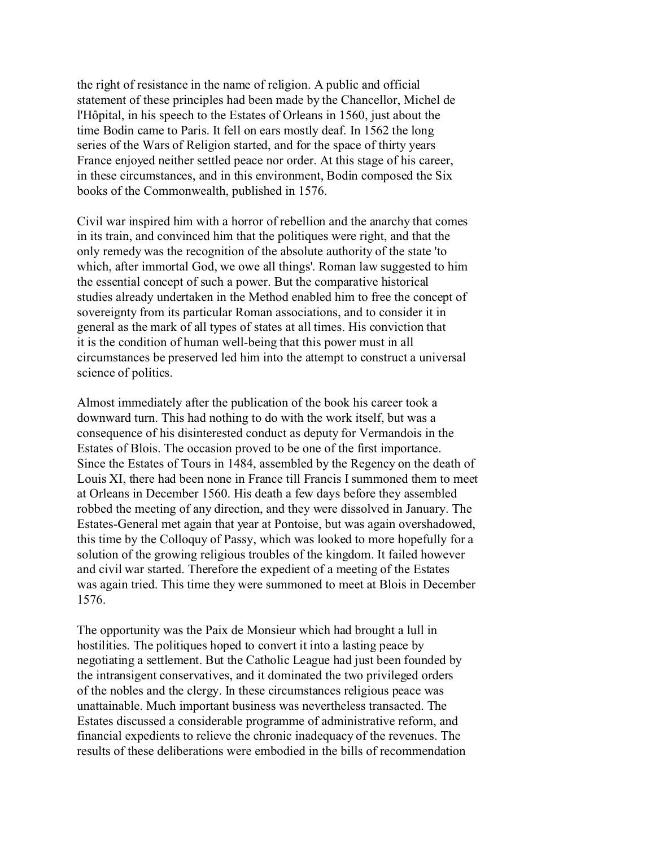the right of resistance in the name of religion. A public and official statement of these principles had been made by the Chancellor, Michel de l'Hôpital, in his speech to the Estates of Orleans in 1560, just about the time Bodin came to Paris. It fell on ears mostly deaf. In 1562 the long series of the Wars of Religion started, and for the space of thirty years France enjoyed neither settled peace nor order. At this stage of his career, in these circumstances, and in this environment, Bodin composed the Six books of the Commonwealth, published in 1576.

Civil war inspired him with a horror of rebellion and the anarchy that comes in its train, and convinced him that the politiques were right, and that the only remedy was the recognition of the absolute authority of the state 'to which, after immortal God, we owe all things'. Roman law suggested to him the essential concept of such a power. But the comparative historical studies already undertaken in the Method enabled him to free the concept of sovereignty from its particular Roman associations, and to consider it in general as the mark of all types of states at all times. His conviction that it is the condition of human well-being that this power must in all circumstances be preserved led him into the attempt to construct a universal science of politics.

Almost immediately after the publication of the book his career took a downward turn. This had nothing to do with the work itself, but was a consequence of his disinterested conduct as deputy for Vermandois in the Estates of Blois. The occasion proved to be one of the first importance. Since the Estates of Tours in 1484, assembled by the Regency on the death of Louis XI, there had been none in France till Francis I summoned them to meet at Orleans in December 1560. His death a few days before they assembled robbed the meeting of any direction, and they were dissolved in January. The Estates-General met again that year at Pontoise, but was again overshadowed, this time by the Colloquy of Passy, which was looked to more hopefully for a solution of the growing religious troubles of the kingdom. It failed however and civil war started. Therefore the expedient of a meeting of the Estates was again tried. This time they were summoned to meet at Blois in December 1576.

The opportunity was the Paix de Monsieur which had brought a lull in hostilities. The politiques hoped to convert it into a lasting peace by negotiating a settlement. But the Catholic League had just been founded by the intransigent conservatives, and it dominated the two privileged orders of the nobles and the clergy. In these circumstances religious peace was unattainable. Much important business was nevertheless transacted. The Estates discussed a considerable programme of administrative reform, and financial expedients to relieve the chronic inadequacy of the revenues. The results of these deliberations were embodied in the bills of recommendation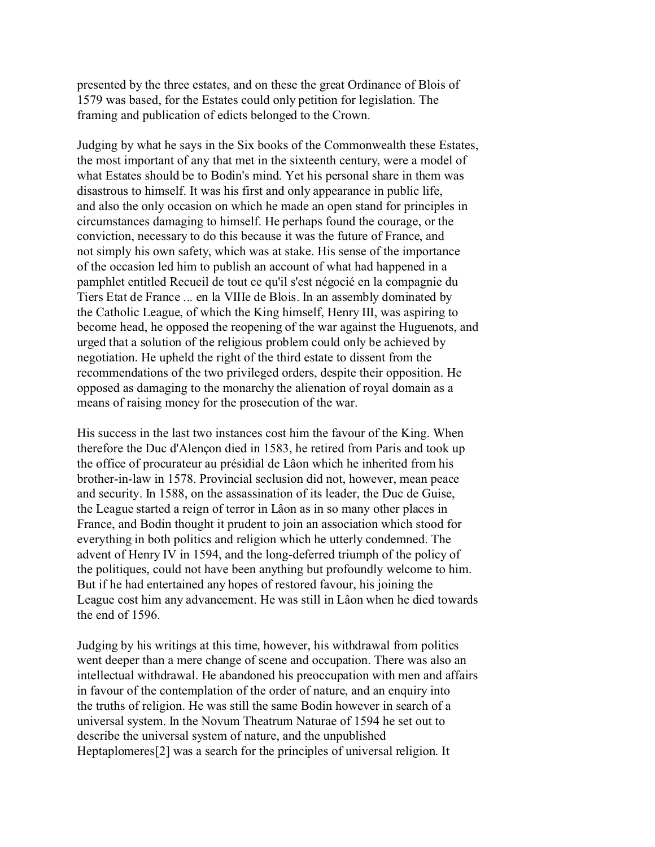presented by the three estates, and on these the great Ordinance of Blois of 1579 was based, for the Estates could only petition for legislation. The framing and publication of edicts belonged to the Crown.

Judging by what he says in the Six books of the Commonwealth these Estates, the most important of any that met in the sixteenth century, were a model of what Estates should be to Bodin's mind. Yet his personal share in them was disastrous to himself. It was his first and only appearance in public life, and also the only occasion on which he made an open stand for principles in circumstances damaging to himself. He perhaps found the courage, or the conviction, necessary to do this because it was the future of France, and not simply his own safety, which was at stake. His sense of the importance of the occasion led him to publish an account of what had happened in a pamphlet entitled Recueil de tout ce qu'il s'est négocié en la compagnie du Tiers Etat de France ... en la VIIIe de Blois. In an assembly dominated by the Catholic League, of which the King himself, Henry III, was aspiring to become head, he opposed the reopening of the war against the Huguenots, and urged that a solution of the religious problem could only be achieved by negotiation. He upheld the right of the third estate to dissent from the recommendations of the two privileged orders, despite their opposition. He opposed as damaging to the monarchy the alienation of royal domain as a means of raising money for the prosecution of the war.

His success in the last two instances cost him the favour of the King. When therefore the Duc d'Alençon died in 1583, he retired from Paris and took up the office of procurateur au présidial de Lâon which he inherited from his brother-in-law in 1578. Provincial seclusion did not, however, mean peace and security. In 1588, on the assassination of its leader, the Duc de Guise, the League started a reign of terror in Lâon as in so many other places in France, and Bodin thought it prudent to join an association which stood for everything in both politics and religion which he utterly condemned. The advent of Henry IV in 1594, and the long-deferred triumph of the policy of the politiques, could not have been anything but profoundly welcome to him. But if he had entertained any hopes of restored favour, his joining the League cost him any advancement. He was still in Lâon when he died towards the end of 1596.

Judging by his writings at this time, however, his withdrawal from politics went deeper than a mere change of scene and occupation. There was also an intellectual withdrawal. He abandoned his preoccupation with men and affairs in favour of the contemplation of the order of nature, and an enquiry into the truths of religion. He was still the same Bodin however in search of a universal system. In the Novum Theatrum Naturae of 1594 he set out to describe the universal system of nature, and the unpublished Heptaplomeres[2] was a search for the principles of universal religion. It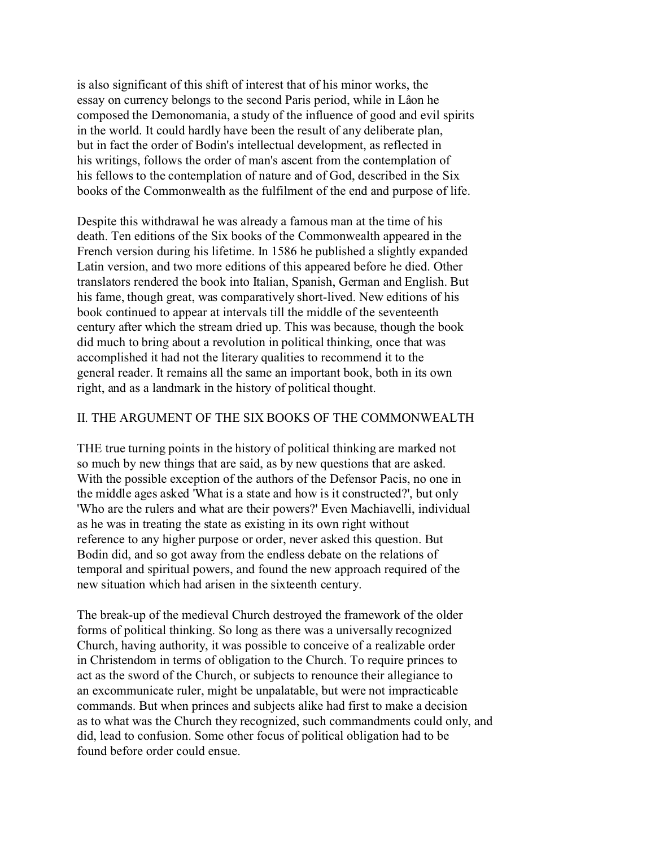is also significant of this shift of interest that of his minor works, the essay on currency belongs to the second Paris period, while in Lâon he composed the Demonomania, a study of the influence of good and evil spirits in the world. It could hardly have been the result of any deliberate plan, but in fact the order of Bodin's intellectual development, as reflected in his writings, follows the order of man's ascent from the contemplation of his fellows to the contemplation of nature and of God, described in the Six books of the Commonwealth as the fulfilment of the end and purpose of life.

Despite this withdrawal he was already a famous man at the time of his death. Ten editions of the Six books of the Commonwealth appeared in the French version during his lifetime. In 1586 he published a slightly expanded Latin version, and two more editions of this appeared before he died. Other translators rendered the book into Italian, Spanish, German and English. But his fame, though great, was comparatively short-lived. New editions of his book continued to appear at intervals till the middle of the seventeenth century after which the stream dried up. This was because, though the book did much to bring about a revolution in political thinking, once that was accomplished it had not the literary qualities to recommend it to the general reader. It remains all the same an important book, both in its own right, and as a landmark in the history of political thought.

#### II. THE ARGUMENT OF THE SIX BOOKS OF THE COMMONWEALTH

THE true turning points in the history of political thinking are marked not so much by new things that are said, as by new questions that are asked. With the possible exception of the authors of the Defensor Pacis, no one in the middle ages asked 'What is a state and how is it constructed?', but only 'Who are the rulers and what are their powers?' Even Machiavelli, individual as he was in treating the state as existing in its own right without reference to any higher purpose or order, never asked this question. But Bodin did, and so got away from the endless debate on the relations of temporal and spiritual powers, and found the new approach required of the new situation which had arisen in the sixteenth century.

The break-up of the medieval Church destroyed the framework of the older forms of political thinking. So long as there was a universally recognized Church, having authority, it was possible to conceive of a realizable order in Christendom in terms of obligation to the Church. To require princes to act as the sword of the Church, or subjects to renounce their allegiance to an excommunicate ruler, might be unpalatable, but were not impracticable commands. But when princes and subjects alike had first to make a decision as to what was the Church they recognized, such commandments could only, and did, lead to confusion. Some other focus of political obligation had to be found before order could ensue.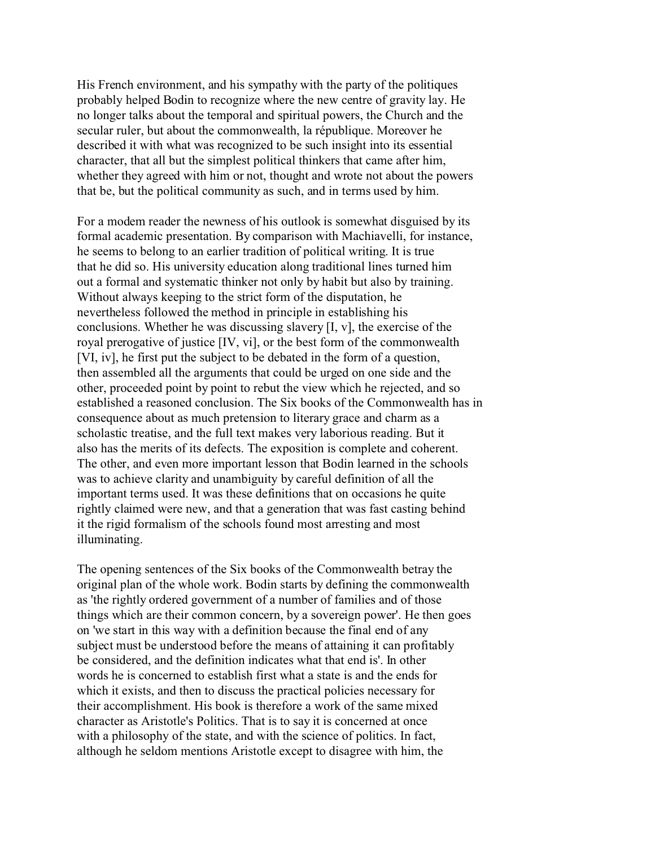His French environment, and his sympathy with the party of the politiques probably helped Bodin to recognize where the new centre of gravity lay. He no longer talks about the temporal and spiritual powers, the Church and the secular ruler, but about the commonwealth, la république. Moreover he described it with what was recognized to be such insight into its essential character, that all but the simplest political thinkers that came after him, whether they agreed with him or not, thought and wrote not about the powers that be, but the political community as such, and in terms used by him.

For a modem reader the newness of his outlook is somewhat disguised by its formal academic presentation. By comparison with Machiavelli, for instance, he seems to belong to an earlier tradition of political writing. It is true that he did so. His university education along traditional lines turned him out a formal and systematic thinker not only by habit but also by training. Without always keeping to the strict form of the disputation, he nevertheless followed the method in principle in establishing his conclusions. Whether he was discussing slavery [I, v], the exercise of the royal prerogative of justice [IV, vi], or the best form of the commonwealth [VI, iv], he first put the subject to be debated in the form of a question, then assembled all the arguments that could be urged on one side and the other, proceeded point by point to rebut the view which he rejected, and so established a reasoned conclusion. The Six books of the Commonwealth has in consequence about as much pretension to literary grace and charm as a scholastic treatise, and the full text makes very laborious reading. But it also has the merits of its defects. The exposition is complete and coherent. The other, and even more important lesson that Bodin learned in the schools was to achieve clarity and unambiguity by careful definition of all the important terms used. It was these definitions that on occasions he quite rightly claimed were new, and that a generation that was fast casting behind it the rigid formalism of the schools found most arresting and most illuminating.

The opening sentences of the Six books of the Commonwealth betray the original plan of the whole work. Bodin starts by defining the commonwealth as 'the rightly ordered government of a number of families and of those things which are their common concern, by a sovereign power'. He then goes on 'we start in this way with a definition because the final end of any subject must be understood before the means of attaining it can profitably be considered, and the definition indicates what that end is'. In other words he is concerned to establish first what a state is and the ends for which it exists, and then to discuss the practical policies necessary for their accomplishment. His book is therefore a work of the same mixed character as Aristotle's Politics. That is to say it is concerned at once with a philosophy of the state, and with the science of politics. In fact, although he seldom mentions Aristotle except to disagree with him, the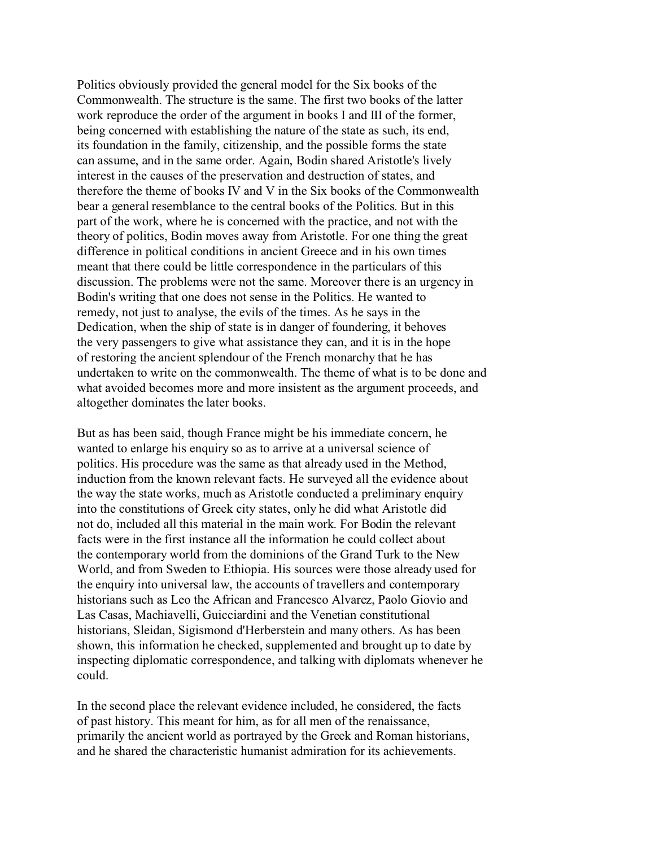Politics obviously provided the general model for the Six books of the Commonwealth. The structure is the same. The first two books of the latter work reproduce the order of the argument in books I and III of the former, being concerned with establishing the nature of the state as such, its end, its foundation in the family, citizenship, and the possible forms the state can assume, and in the same order. Again, Bodin shared Aristotle's lively interest in the causes of the preservation and destruction of states, and therefore the theme of books IV and V in the Six books of the Commonwealth bear a general resemblance to the central books of the Politics. But in this part of the work, where he is concerned with the practice, and not with the theory of politics, Bodin moves away from Aristotle. For one thing the great difference in political conditions in ancient Greece and in his own times meant that there could be little correspondence in the particulars of this discussion. The problems were not the same. Moreover there is an urgency in Bodin's writing that one does not sense in the Politics. He wanted to remedy, not just to analyse, the evils of the times. As he says in the Dedication, when the ship of state is in danger of foundering, it behoves the very passengers to give what assistance they can, and it is in the hope of restoring the ancient splendour of the French monarchy that he has undertaken to write on the commonwealth. The theme of what is to be done and what avoided becomes more and more insistent as the argument proceeds, and altogether dominates the later books.

But as has been said, though France might be his immediate concern, he wanted to enlarge his enquiry so as to arrive at a universal science of politics. His procedure was the same as that already used in the Method, induction from the known relevant facts. He surveyed all the evidence about the way the state works, much as Aristotle conducted a preliminary enquiry into the constitutions of Greek city states, only he did what Aristotle did not do, included all this material in the main work. For Bodin the relevant facts were in the first instance all the information he could collect about the contemporary world from the dominions of the Grand Turk to the New World, and from Sweden to Ethiopia. His sources were those already used for the enquiry into universal law, the accounts of travellers and contemporary historians such as Leo the African and Francesco Alvarez, Paolo Giovio and Las Casas, Machiavelli, Guicciardini and the Venetian constitutional historians, Sleidan, Sigismond d'Herberstein and many others. As has been shown, this information he checked, supplemented and brought up to date by inspecting diplomatic correspondence, and talking with diplomats whenever he could.

In the second place the relevant evidence included, he considered, the facts of past history. This meant for him, as for all men of the renaissance, primarily the ancient world as portrayed by the Greek and Roman historians, and he shared the characteristic humanist admiration for its achievements.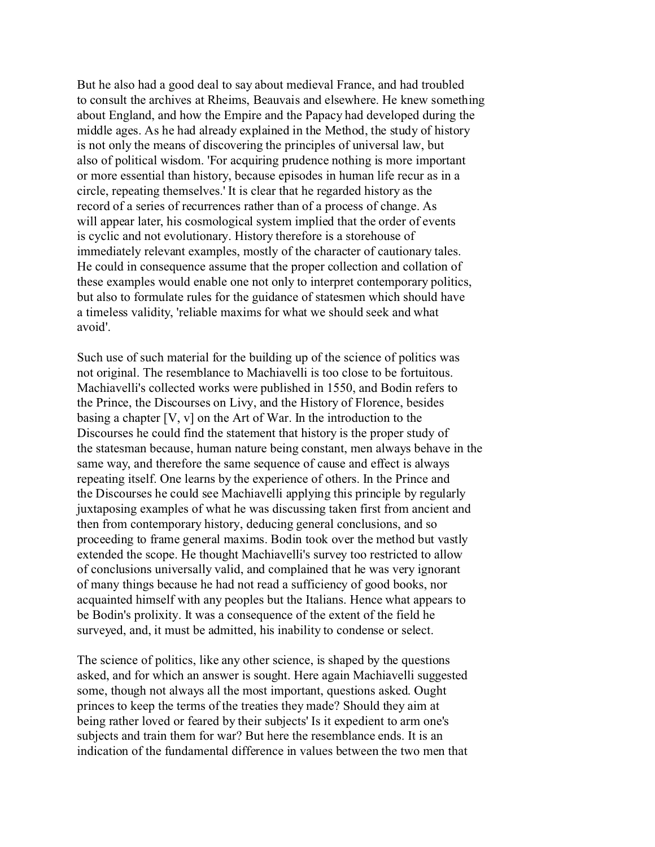But he also had a good deal to say about medieval France, and had troubled to consult the archives at Rheims, Beauvais and elsewhere. He knew something about England, and how the Empire and the Papacy had developed during the middle ages. As he had already explained in the Method, the study of history is not only the means of discovering the principles of universal law, but also of political wisdom. 'For acquiring prudence nothing is more important or more essential than history, because episodes in human life recur as in a circle, repeating themselves.' It is clear that he regarded history as the record of a series of recurrences rather than of a process of change. As will appear later, his cosmological system implied that the order of events is cyclic and not evolutionary. History therefore is a storehouse of immediately relevant examples, mostly of the character of cautionary tales. He could in consequence assume that the proper collection and collation of these examples would enable one not only to interpret contemporary politics, but also to formulate rules for the guidance of statesmen which should have a timeless validity, 'reliable maxims for what we should seek and what avoid'.

Such use of such material for the building up of the science of politics was not original. The resemblance to Machiavelli is too close to be fortuitous. Machiavelli's collected works were published in 1550, and Bodin refers to the Prince, the Discourses on Livy, and the History of Florence, besides basing a chapter [V, v] on the Art of War. In the introduction to the Discourses he could find the statement that history is the proper study of the statesman because, human nature being constant, men always behave in the same way, and therefore the same sequence of cause and effect is always repeating itself. One learns by the experience of others. In the Prince and the Discourses he could see Machiavelli applying this principle by regularly juxtaposing examples of what he was discussing taken first from ancient and then from contemporary history, deducing general conclusions, and so proceeding to frame general maxims. Bodin took over the method but vastly extended the scope. He thought Machiavelli's survey too restricted to allow of conclusions universally valid, and complained that he was very ignorant of many things because he had not read a sufficiency of good books, nor acquainted himself with any peoples but the Italians. Hence what appears to be Bodin's prolixity. It was a consequence of the extent of the field he surveyed, and, it must be admitted, his inability to condense or select.

The science of politics, like any other science, is shaped by the questions asked, and for which an answer is sought. Here again Machiavelli suggested some, though not always all the most important, questions asked. Ought princes to keep the terms of the treaties they made? Should they aim at being rather loved or feared by their subjects' Is it expedient to arm one's subjects and train them for war? But here the resemblance ends. It is an indication of the fundamental difference in values between the two men that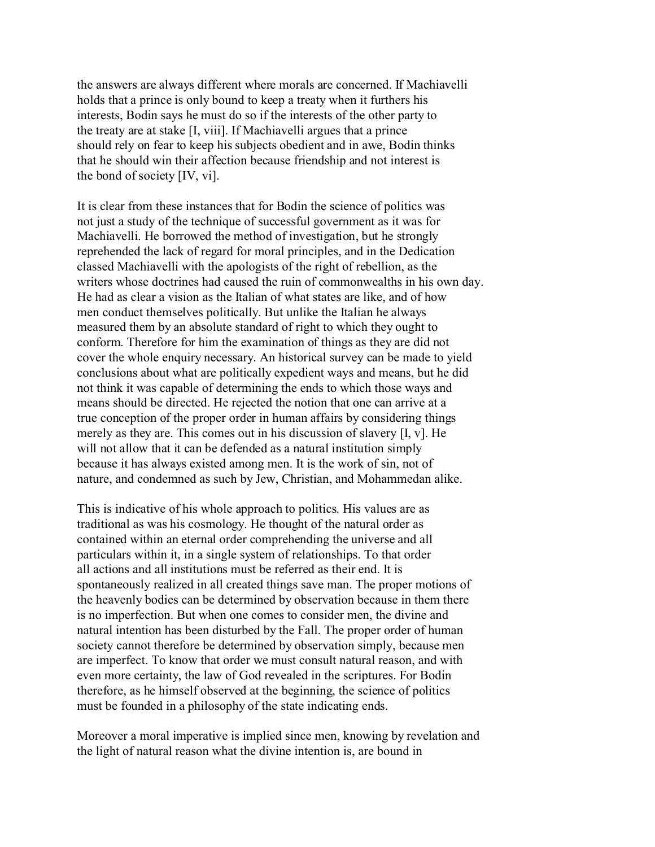the answers are always different where morals are concerned. If Machiavelli holds that a prince is only bound to keep a treaty when it furthers his interests, Bodin says he must do so if the interests of the other party to the treaty are at stake [I, viii]. If Machiavelli argues that a prince should rely on fear to keep his subjects obedient and in awe, Bodin thinks that he should win their affection because friendship and not interest is the bond of society [IV, vi].

It is clear from these instances that for Bodin the science of politics was not just a study of the technique of successful government as it was for Machiavelli. He borrowed the method of investigation, but he strongly reprehended the lack of regard for moral principles, and in the Dedication classed Machiavelli with the apologists of the right of rebellion, as the writers whose doctrines had caused the ruin of commonwealths in his own day. He had as clear a vision as the Italian of what states are like, and of how men conduct themselves politically. But unlike the Italian he always measured them by an absolute standard of right to which they ought to conform. Therefore for him the examination of things as they are did not cover the whole enquiry necessary. An historical survey can be made to yield conclusions about what are politically expedient ways and means, but he did not think it was capable of determining the ends to which those ways and means should be directed. He rejected the notion that one can arrive at a true conception of the proper order in human affairs by considering things merely as they are. This comes out in his discussion of slavery [I, v]. He will not allow that it can be defended as a natural institution simply because it has always existed among men. It is the work of sin, not of nature, and condemned as such by Jew, Christian, and Mohammedan alike.

This is indicative of his whole approach to politics. His values are as traditional as was his cosmology. He thought of the natural order as contained within an eternal order comprehending the universe and all particulars within it, in a single system of relationships. To that order all actions and all institutions must be referred as their end. It is spontaneously realized in all created things save man. The proper motions of the heavenly bodies can be determined by observation because in them there is no imperfection. But when one comes to consider men, the divine and natural intention has been disturbed by the Fall. The proper order of human society cannot therefore be determined by observation simply, because men are imperfect. To know that order we must consult natural reason, and with even more certainty, the law of God revealed in the scriptures. For Bodin therefore, as he himself observed at the beginning, the science of politics must be founded in a philosophy of the state indicating ends.

Moreover a moral imperative is implied since men, knowing by revelation and the light of natural reason what the divine intention is, are bound in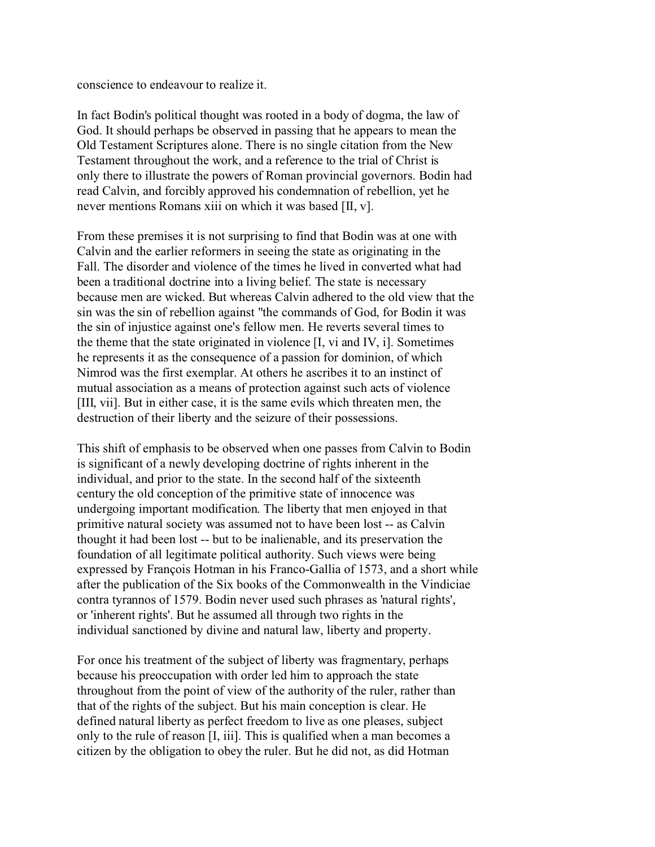conscience to endeavour to realize it.

In fact Bodin's political thought was rooted in a body of dogma, the law of God. It should perhaps be observed in passing that he appears to mean the Old Testament Scriptures alone. There is no single citation from the New Testament throughout the work, and a reference to the trial of Christ is only there to illustrate the powers of Roman provincial governors. Bodin had read Calvin, and forcibly approved his condemnation of rebellion, yet he never mentions Romans xiii on which it was based [II, v].

From these premises it is not surprising to find that Bodin was at one with Calvin and the earlier reformers in seeing the state as originating in the Fall. The disorder and violence of the times he lived in converted what had been a traditional doctrine into a living belief. The state is necessary because men are wicked. But whereas Calvin adhered to the old view that the sin was the sin of rebellion against "the commands of God, for Bodin it was the sin of injustice against one's fellow men. He reverts several times to the theme that the state originated in violence [I, vi and IV, i]. Sometimes he represents it as the consequence of a passion for dominion, of which Nimrod was the first exemplar. At others he ascribes it to an instinct of mutual association as a means of protection against such acts of violence [III, vii]. But in either case, it is the same evils which threaten men, the destruction of their liberty and the seizure of their possessions.

This shift of emphasis to be observed when one passes from Calvin to Bodin is significant of a newly developing doctrine of rights inherent in the individual, and prior to the state. In the second half of the sixteenth century the old conception of the primitive state of innocence was undergoing important modification. The liberty that men enjoyed in that primitive natural society was assumed not to have been lost -- as Calvin thought it had been lost -- but to be inalienable, and its preservation the foundation of all legitimate political authority. Such views were being expressed by François Hotman in his Franco-Gallia of 1573, and a short while after the publication of the Six books of the Commonwealth in the Vindiciae contra tyrannos of 1579. Bodin never used such phrases as 'natural rights', or 'inherent rights'. But he assumed all through two rights in the individual sanctioned by divine and natural law, liberty and property.

For once his treatment of the subject of liberty was fragmentary, perhaps because his preoccupation with order led him to approach the state throughout from the point of view of the authority of the ruler, rather than that of the rights of the subject. But his main conception is clear. He defined natural liberty as perfect freedom to live as one pleases, subject only to the rule of reason [I, iii]. This is qualified when a man becomes a citizen by the obligation to obey the ruler. But he did not, as did Hotman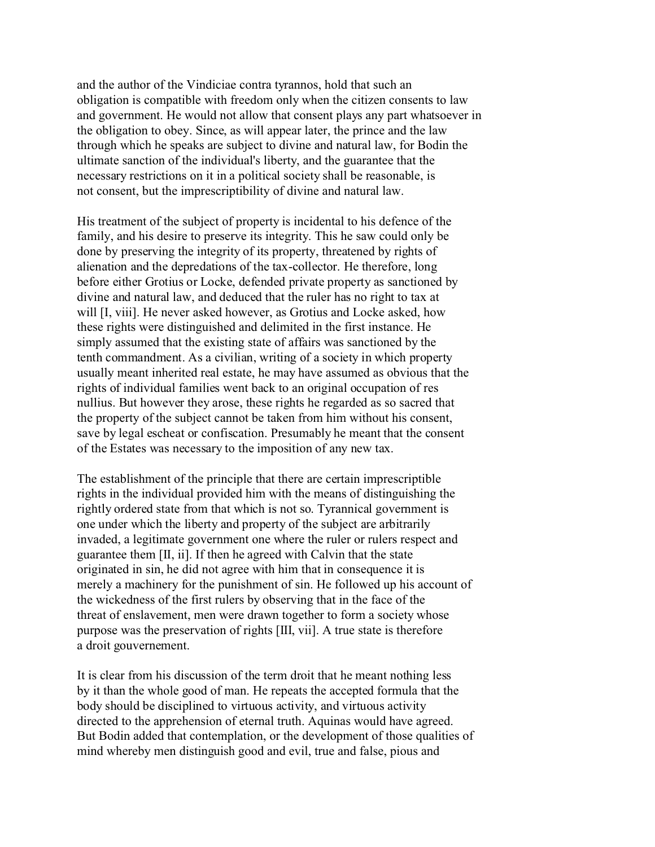and the author of the Vindiciae contra tyrannos, hold that such an obligation is compatible with freedom only when the citizen consents to law and government. He would not allow that consent plays any part whatsoever in the obligation to obey. Since, as will appear later, the prince and the law through which he speaks are subject to divine and natural law, for Bodin the ultimate sanction of the individual's liberty, and the guarantee that the necessary restrictions on it in a political society shall be reasonable, is not consent, but the imprescriptibility of divine and natural law.

His treatment of the subject of property is incidental to his defence of the family, and his desire to preserve its integrity. This he saw could only be done by preserving the integrity of its property, threatened by rights of alienation and the depredations of the tax-collector. He therefore, long before either Grotius or Locke, defended private property as sanctioned by divine and natural law, and deduced that the ruler has no right to tax at will [I, viii]. He never asked however, as Grotius and Locke asked, how these rights were distinguished and delimited in the first instance. He simply assumed that the existing state of affairs was sanctioned by the tenth commandment. As a civilian, writing of a society in which property usually meant inherited real estate, he may have assumed as obvious that the rights of individual families went back to an original occupation of res nullius. But however they arose, these rights he regarded as so sacred that the property of the subject cannot be taken from him without his consent, save by legal escheat or confiscation. Presumably he meant that the consent of the Estates was necessary to the imposition of any new tax.

The establishment of the principle that there are certain imprescriptible rights in the individual provided him with the means of distinguishing the rightly ordered state from that which is not so. Tyrannical government is one under which the liberty and property of the subject are arbitrarily invaded, a legitimate government one where the ruler or rulers respect and guarantee them [II, ii]. If then he agreed with Calvin that the state originated in sin, he did not agree with him that in consequence it is merely a machinery for the punishment of sin. He followed up his account of the wickedness of the first rulers by observing that in the face of the threat of enslavement, men were drawn together to form a society whose purpose was the preservation of rights [III, vii]. A true state is therefore a droit gouvernement.

It is clear from his discussion of the term droit that he meant nothing less by it than the whole good of man. He repeats the accepted formula that the body should be disciplined to virtuous activity, and virtuous activity directed to the apprehension of eternal truth. Aquinas would have agreed. But Bodin added that contemplation, or the development of those qualities of mind whereby men distinguish good and evil, true and false, pious and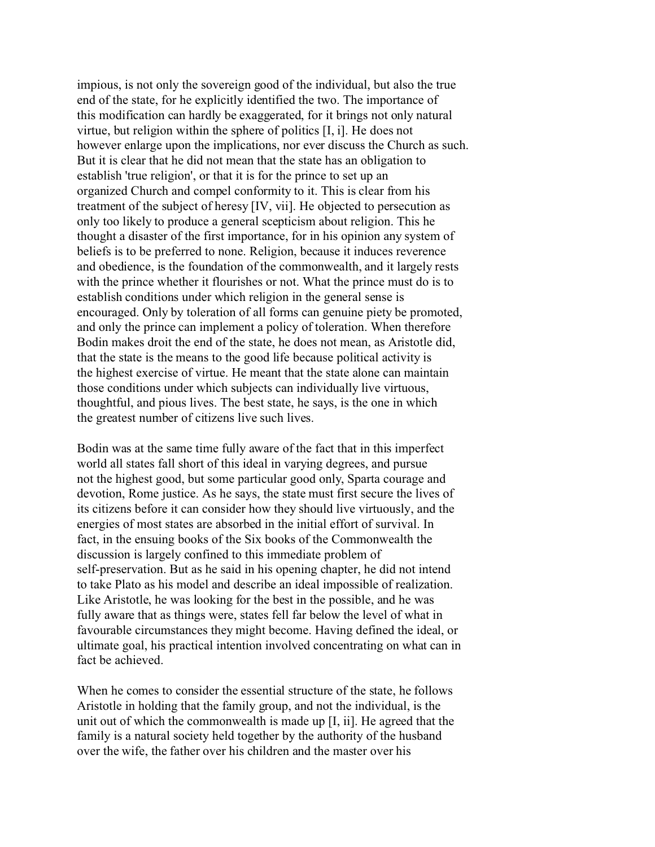impious, is not only the sovereign good of the individual, but also the true end of the state, for he explicitly identified the two. The importance of this modification can hardly be exaggerated, for it brings not only natural virtue, but religion within the sphere of politics [I, i]. He does not however enlarge upon the implications, nor ever discuss the Church as such. But it is clear that he did not mean that the state has an obligation to establish 'true religion', or that it is for the prince to set up an organized Church and compel conformity to it. This is clear from his treatment of the subject of heresy [IV, vii]. He objected to persecution as only too likely to produce a general scepticism about religion. This he thought a disaster of the first importance, for in his opinion any system of beliefs is to be preferred to none. Religion, because it induces reverence and obedience, is the foundation of the commonwealth, and it largely rests with the prince whether it flourishes or not. What the prince must do is to establish conditions under which religion in the general sense is encouraged. Only by toleration of all forms can genuine piety be promoted, and only the prince can implement a policy of toleration. When therefore Bodin makes droit the end of the state, he does not mean, as Aristotle did, that the state is the means to the good life because political activity is the highest exercise of virtue. He meant that the state alone can maintain those conditions under which subjects can individually live virtuous, thoughtful, and pious lives. The best state, he says, is the one in which the greatest number of citizens live such lives.

Bodin was at the same time fully aware of the fact that in this imperfect world all states fall short of this ideal in varying degrees, and pursue not the highest good, but some particular good only, Sparta courage and devotion, Rome justice. As he says, the state must first secure the lives of its citizens before it can consider how they should live virtuously, and the energies of most states are absorbed in the initial effort of survival. In fact, in the ensuing books of the Six books of the Commonwealth the discussion is largely confined to this immediate problem of self-preservation. But as he said in his opening chapter, he did not intend to take Plato as his model and describe an ideal impossible of realization. Like Aristotle, he was looking for the best in the possible, and he was fully aware that as things were, states fell far below the level of what in favourable circumstances they might become. Having defined the ideal, or ultimate goal, his practical intention involved concentrating on what can in fact be achieved.

When he comes to consider the essential structure of the state, he follows Aristotle in holding that the family group, and not the individual, is the unit out of which the commonwealth is made up [I, ii]. He agreed that the family is a natural society held together by the authority of the husband over the wife, the father over his children and the master over his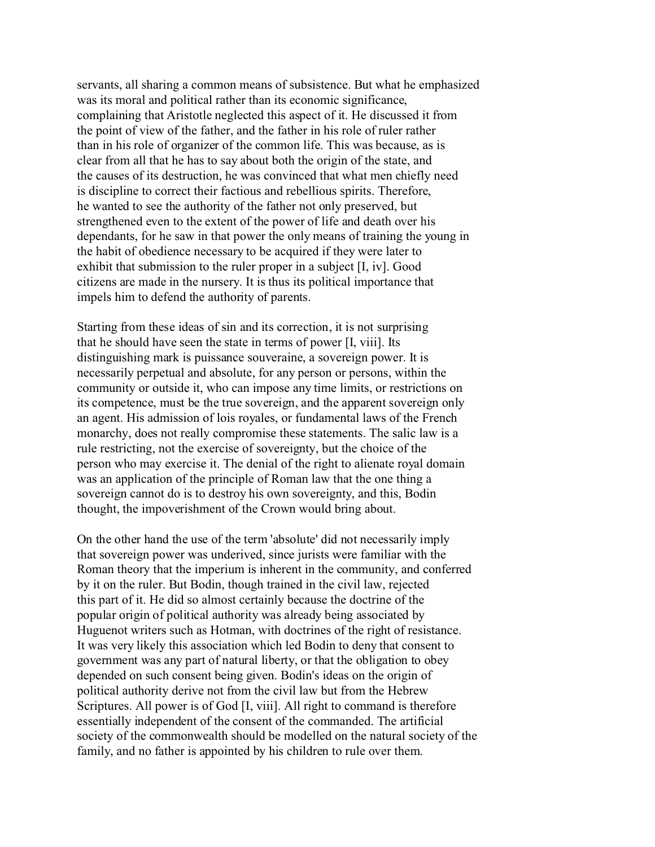servants, all sharing a common means of subsistence. But what he emphasized was its moral and political rather than its economic significance, complaining that Aristotle neglected this aspect of it. He discussed it from the point of view of the father, and the father in his role of ruler rather than in his role of organizer of the common life. This was because, as is clear from all that he has to say about both the origin of the state, and the causes of its destruction, he was convinced that what men chiefly need is discipline to correct their factious and rebellious spirits. Therefore, he wanted to see the authority of the father not only preserved, but strengthened even to the extent of the power of life and death over his dependants, for he saw in that power the only means of training the young in the habit of obedience necessary to be acquired if they were later to exhibit that submission to the ruler proper in a subject [I, iv]. Good citizens are made in the nursery. It is thus its political importance that impels him to defend the authority of parents.

Starting from these ideas of sin and its correction, it is not surprising that he should have seen the state in terms of power [I, viii]. Its distinguishing mark is puissance souveraine, a sovereign power. It is necessarily perpetual and absolute, for any person or persons, within the community or outside it, who can impose any time limits, or restrictions on its competence, must be the true sovereign, and the apparent sovereign only an agent. His admission of lois royales, or fundamental laws of the French monarchy, does not really compromise these statements. The salic law is a rule restricting, not the exercise of sovereignty, but the choice of the person who may exercise it. The denial of the right to alienate royal domain was an application of the principle of Roman law that the one thing a sovereign cannot do is to destroy his own sovereignty, and this, Bodin thought, the impoverishment of the Crown would bring about.

On the other hand the use of the term 'absolute' did not necessarily imply that sovereign power was underived, since jurists were familiar with the Roman theory that the imperium is inherent in the community, and conferred by it on the ruler. But Bodin, though trained in the civil law, rejected this part of it. He did so almost certainly because the doctrine of the popular origin of political authority was already being associated by Huguenot writers such as Hotman, with doctrines of the right of resistance. It was very likely this association which led Bodin to deny that consent to government was any part of natural liberty, or that the obligation to obey depended on such consent being given. Bodin's ideas on the origin of political authority derive not from the civil law but from the Hebrew Scriptures. All power is of God [I, viii]. All right to command is therefore essentially independent of the consent of the commanded. The artificial society of the commonwealth should be modelled on the natural society of the family, and no father is appointed by his children to rule over them.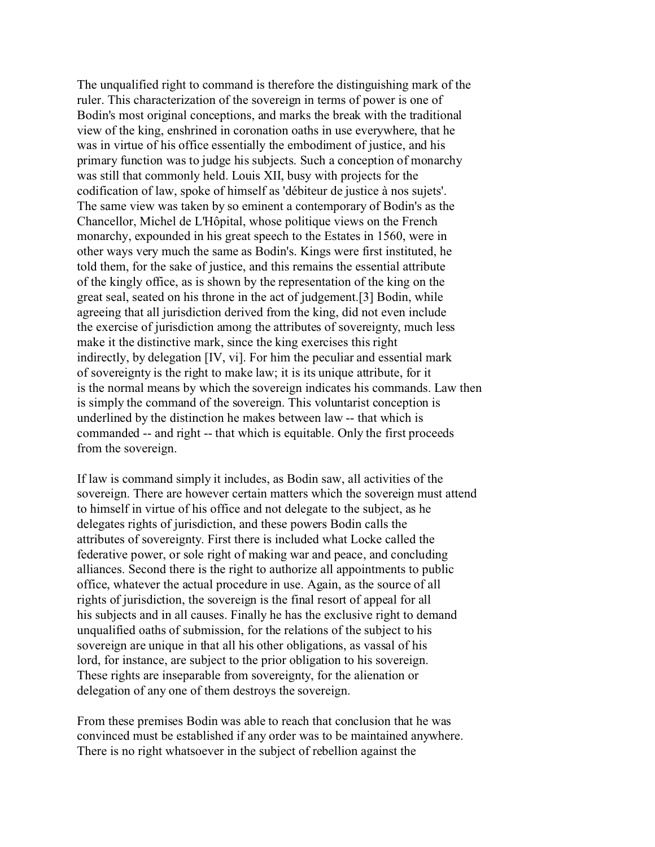The unqualified right to command is therefore the distinguishing mark of the ruler. This characterization of the sovereign in terms of power is one of Bodin's most original conceptions, and marks the break with the traditional view of the king, enshrined in coronation oaths in use everywhere, that he was in virtue of his office essentially the embodiment of justice, and his primary function was to judge his subjects. Such a conception of monarchy was still that commonly held. Louis XII, busy with projects for the codification of law, spoke of himself as 'débiteur de justice à nos sujets'. The same view was taken by so eminent a contemporary of Bodin's as the Chancellor, Michel de L'Hôpital, whose politique views on the French monarchy, expounded in his great speech to the Estates in 1560, were in other ways very much the same as Bodin's. Kings were first instituted, he told them, for the sake of justice, and this remains the essential attribute of the kingly office, as is shown by the representation of the king on the great seal, seated on his throne in the act of judgement.[3] Bodin, while agreeing that all jurisdiction derived from the king, did not even include the exercise of jurisdiction among the attributes of sovereignty, much less make it the distinctive mark, since the king exercises this right indirectly, by delegation [IV, vi]. For him the peculiar and essential mark of sovereignty is the right to make law; it is its unique attribute, for it is the normal means by which the sovereign indicates his commands. Law then is simply the command of the sovereign. This voluntarist conception is underlined by the distinction he makes between law -- that which is commanded -- and right -- that which is equitable. Only the first proceeds from the sovereign.

If law is command simply it includes, as Bodin saw, all activities of the sovereign. There are however certain matters which the sovereign must attend to himself in virtue of his office and not delegate to the subject, as he delegates rights of jurisdiction, and these powers Bodin calls the attributes of sovereignty. First there is included what Locke called the federative power, or sole right of making war and peace, and concluding alliances. Second there is the right to authorize all appointments to public office, whatever the actual procedure in use. Again, as the source of all rights of jurisdiction, the sovereign is the final resort of appeal for all his subjects and in all causes. Finally he has the exclusive right to demand unqualified oaths of submission, for the relations of the subject to his sovereign are unique in that all his other obligations, as vassal of his lord, for instance, are subject to the prior obligation to his sovereign. These rights are inseparable from sovereignty, for the alienation or delegation of any one of them destroys the sovereign.

From these premises Bodin was able to reach that conclusion that he was convinced must be established if any order was to be maintained anywhere. There is no right whatsoever in the subject of rebellion against the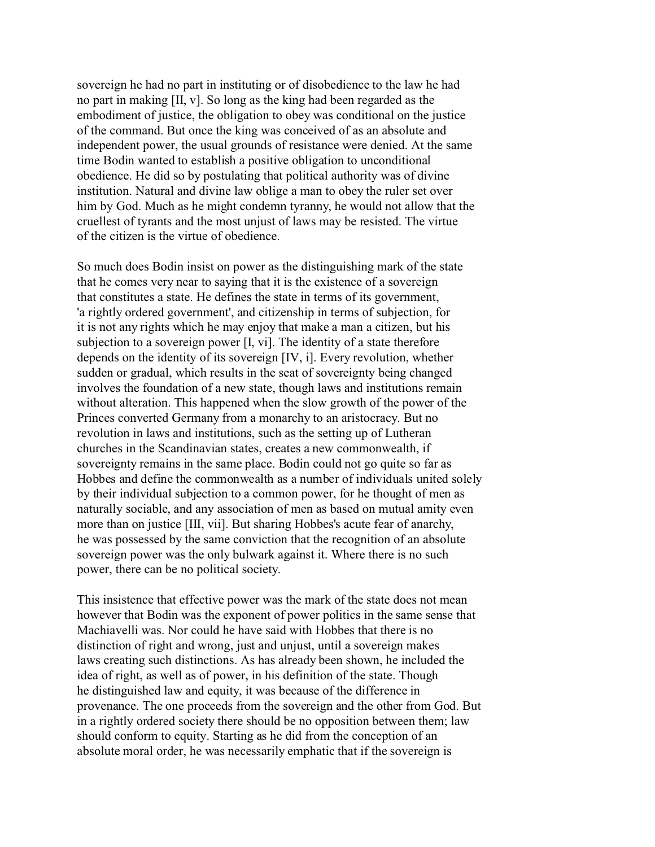sovereign he had no part in instituting or of disobedience to the law he had no part in making [II, v]. So long as the king had been regarded as the embodiment of justice, the obligation to obey was conditional on the justice of the command. But once the king was conceived of as an absolute and independent power, the usual grounds of resistance were denied. At the same time Bodin wanted to establish a positive obligation to unconditional obedience. He did so by postulating that political authority was of divine institution. Natural and divine law oblige a man to obey the ruler set over him by God. Much as he might condemn tyranny, he would not allow that the cruellest of tyrants and the most unjust of laws may be resisted. The virtue of the citizen is the virtue of obedience.

So much does Bodin insist on power as the distinguishing mark of the state that he comes very near to saying that it is the existence of a sovereign that constitutes a state. He defines the state in terms of its government, 'a rightly ordered government', and citizenship in terms of subjection, for it is not any rights which he may enjoy that make a man a citizen, but his subjection to a sovereign power [I, vi]. The identity of a state therefore depends on the identity of its sovereign [IV, i]. Every revolution, whether sudden or gradual, which results in the seat of sovereignty being changed involves the foundation of a new state, though laws and institutions remain without alteration. This happened when the slow growth of the power of the Princes converted Germany from a monarchy to an aristocracy. But no revolution in laws and institutions, such as the setting up of Lutheran churches in the Scandinavian states, creates a new commonwealth, if sovereignty remains in the same place. Bodin could not go quite so far as Hobbes and define the commonwealth as a number of individuals united solely by their individual subjection to a common power, for he thought of men as naturally sociable, and any association of men as based on mutual amity even more than on justice [III, vii]. But sharing Hobbes's acute fear of anarchy, he was possessed by the same conviction that the recognition of an absolute sovereign power was the only bulwark against it. Where there is no such power, there can be no political society.

This insistence that effective power was the mark of the state does not mean however that Bodin was the exponent of power politics in the same sense that Machiavelli was. Nor could he have said with Hobbes that there is no distinction of right and wrong, just and unjust, until a sovereign makes laws creating such distinctions. As has already been shown, he included the idea of right, as well as of power, in his definition of the state. Though he distinguished law and equity, it was because of the difference in provenance. The one proceeds from the sovereign and the other from God. But in a rightly ordered society there should be no opposition between them; law should conform to equity. Starting as he did from the conception of an absolute moral order, he was necessarily emphatic that if the sovereign is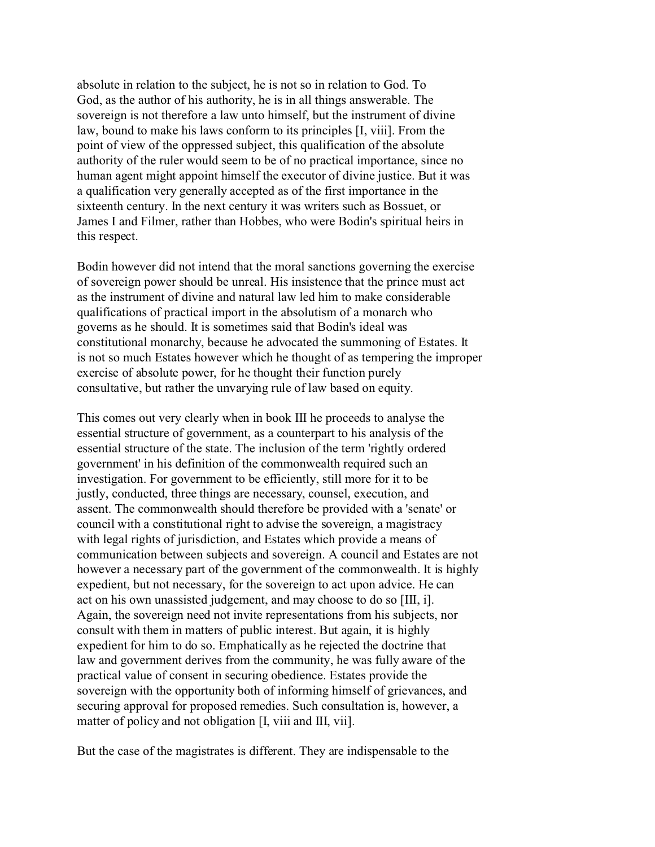absolute in relation to the subject, he is not so in relation to God. To God, as the author of his authority, he is in all things answerable. The sovereign is not therefore a law unto himself, but the instrument of divine law, bound to make his laws conform to its principles [I, viii]. From the point of view of the oppressed subject, this qualification of the absolute authority of the ruler would seem to be of no practical importance, since no human agent might appoint himself the executor of divine justice. But it was a qualification very generally accepted as of the first importance in the sixteenth century. In the next century it was writers such as Bossuet, or James I and Filmer, rather than Hobbes, who were Bodin's spiritual heirs in this respect.

Bodin however did not intend that the moral sanctions governing the exercise of sovereign power should be unreal. His insistence that the prince must act as the instrument of divine and natural law led him to make considerable qualifications of practical import in the absolutism of a monarch who governs as he should. It is sometimes said that Bodin's ideal was constitutional monarchy, because he advocated the summoning of Estates. It is not so much Estates however which he thought of as tempering the improper exercise of absolute power, for he thought their function purely consultative, but rather the unvarying rule of law based on equity.

This comes out very clearly when in book III he proceeds to analyse the essential structure of government, as a counterpart to his analysis of the essential structure of the state. The inclusion of the term 'rightly ordered government' in his definition of the commonwealth required such an investigation. For government to be efficiently, still more for it to be justly, conducted, three things are necessary, counsel, execution, and assent. The commonwealth should therefore be provided with a 'senate' or council with a constitutional right to advise the sovereign, a magistracy with legal rights of jurisdiction, and Estates which provide a means of communication between subjects and sovereign. A council and Estates are not however a necessary part of the government of the commonwealth. It is highly expedient, but not necessary, for the sovereign to act upon advice. He can act on his own unassisted judgement, and may choose to do so [III, i]. Again, the sovereign need not invite representations from his subjects, nor consult with them in matters of public interest. But again, it is highly expedient for him to do so. Emphatically as he rejected the doctrine that law and government derives from the community, he was fully aware of the practical value of consent in securing obedience. Estates provide the sovereign with the opportunity both of informing himself of grievances, and securing approval for proposed remedies. Such consultation is, however, a matter of policy and not obligation [I, viii and III, vii].

But the case of the magistrates is different. They are indispensable to the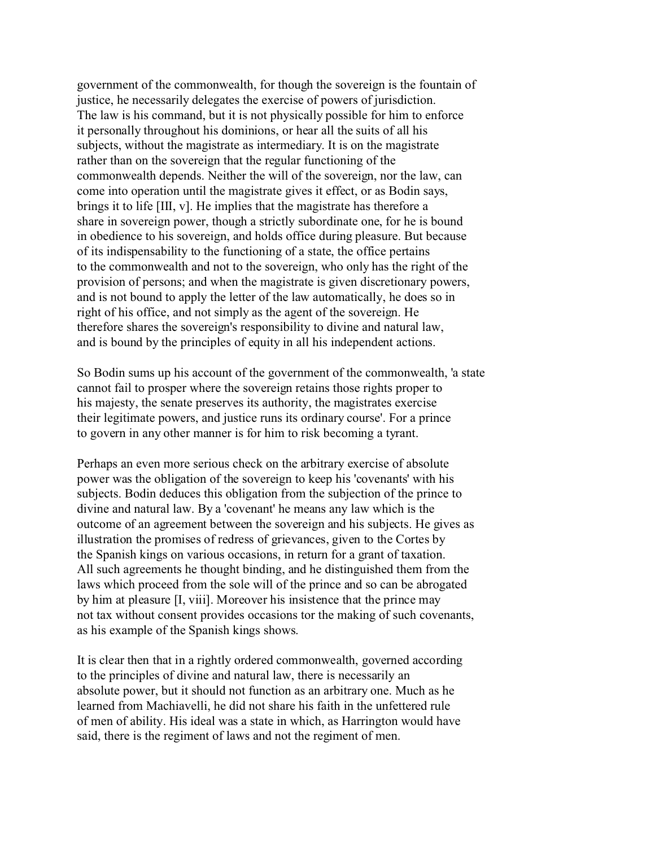government of the commonwealth, for though the sovereign is the fountain of justice, he necessarily delegates the exercise of powers of jurisdiction. The law is his command, but it is not physically possible for him to enforce it personally throughout his dominions, or hear all the suits of all his subjects, without the magistrate as intermediary. It is on the magistrate rather than on the sovereign that the regular functioning of the commonwealth depends. Neither the will of the sovereign, nor the law, can come into operation until the magistrate gives it effect, or as Bodin says, brings it to life [III, v]. He implies that the magistrate has therefore a share in sovereign power, though a strictly subordinate one, for he is bound in obedience to his sovereign, and holds office during pleasure. But because of its indispensability to the functioning of a state, the office pertains to the commonwealth and not to the sovereign, who only has the right of the provision of persons; and when the magistrate is given discretionary powers, and is not bound to apply the letter of the law automatically, he does so in right of his office, and not simply as the agent of the sovereign. He therefore shares the sovereign's responsibility to divine and natural law, and is bound by the principles of equity in all his independent actions.

So Bodin sums up his account of the government of the commonwealth, 'a state cannot fail to prosper where the sovereign retains those rights proper to his majesty, the senate preserves its authority, the magistrates exercise their legitimate powers, and justice runs its ordinary course'. For a prince to govern in any other manner is for him to risk becoming a tyrant.

Perhaps an even more serious check on the arbitrary exercise of absolute power was the obligation of the sovereign to keep his 'covenants' with his subjects. Bodin deduces this obligation from the subjection of the prince to divine and natural law. By a 'covenant' he means any law which is the outcome of an agreement between the sovereign and his subjects. He gives as illustration the promises of redress of grievances, given to the Cortes by the Spanish kings on various occasions, in return for a grant of taxation. All such agreements he thought binding, and he distinguished them from the laws which proceed from the sole will of the prince and so can be abrogated by him at pleasure [I, viii]. Moreover his insistence that the prince may not tax without consent provides occasions tor the making of such covenants, as his example of the Spanish kings shows.

It is clear then that in a rightly ordered commonwealth, governed according to the principles of divine and natural law, there is necessarily an absolute power, but it should not function as an arbitrary one. Much as he learned from Machiavelli, he did not share his faith in the unfettered rule of men of ability. His ideal was a state in which, as Harrington would have said, there is the regiment of laws and not the regiment of men.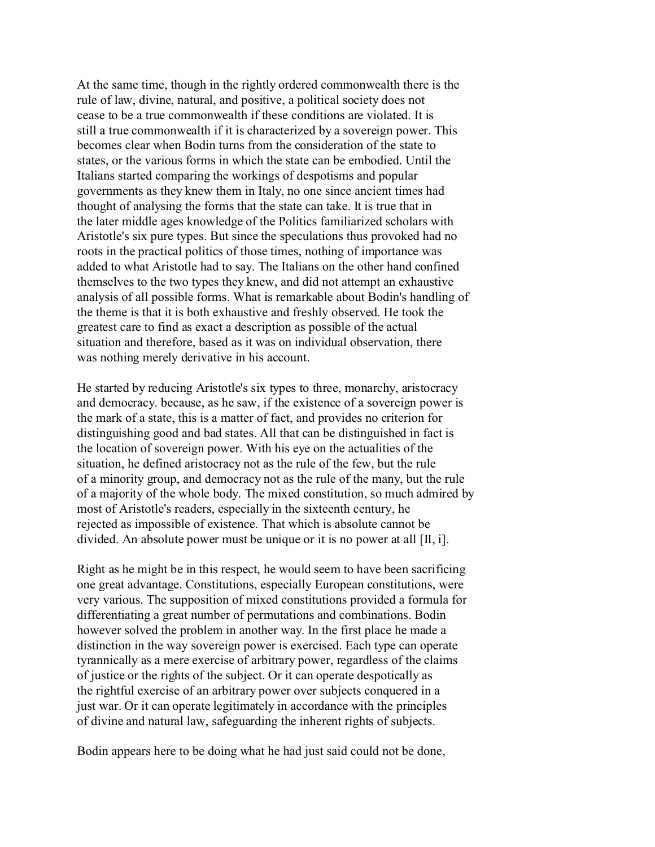At the same time, though in the rightly ordered commonwealth there is the rule of law, divine, natural, and positive, a political society does not cease to be a true commonwealth if these conditions are violated. It is still a true commonwealth if it is characterized by a sovereign power. This becomes clear when Bodin turns from the consideration of the state to states, or the various forms in which the state can be embodied. Until the Italians started comparing the workings of despotisms and popular governments as they knew them in Italy, no one since ancient times had thought of analysing the forms that the state can take. It is true that in the later middle ages knowledge of the Politics familiarized scholars with Aristotle's six pure types. But since the speculations thus provoked had no roots in the practical politics of those times, nothing of importance was added to what Aristotle had to say. The Italians on the other hand confined themselves to the two types they knew, and did not attempt an exhaustive analysis of all possible forms. What is remarkable about Bodin's handling of the theme is that it is both exhaustive and freshly observed. He took the greatest care to find as exact a description as possible of the actual situation and therefore, based as it was on individual observation, there was nothing merely derivative in his account.

He started by reducing Aristotle's six types to three, monarchy, aristocracy and democracy. because, as he saw, if the existence of a sovereign power is the mark of a state, this is a matter of fact, and provides no criterion for distinguishing good and bad states. All that can be distinguished in fact is the location of sovereign power. With his eye on the actualities of the situation, he defined aristocracy not as the rule of the few, but the rule of a minority group, and democracy not as the rule of the many, but the rule of a majority of the whole body. The mixed constitution, so much admired by most of Aristotle's readers, especially in the sixteenth century, he rejected as impossible of existence. That which is absolute cannot be divided. An absolute power must be unique or it is no power at all  $[H, i]$ .

Right as he might be in this respect, he would seem to have been sacrificing one great advantage. Constitutions, especially European constitutions, were very various. The supposition of mixed constitutions provided a formula for differentiating a great number of permutations and combinations. Bodin however solved the problem in another way. In the first place he made a distinction in the way sovereign power is exercised. Each type can operate tyrannically as a mere exercise of arbitrary power, regardless of the claims of justice or the rights of the subject. Or it can operate despotically as the rightful exercise of an arbitrary power over subjects conquered in a just war. Or it can operate legitimately in accordance with the principles of divine and natural law, safeguarding the inherent rights of subjects.

Bodin appears here to be doing what he had just said could not be done,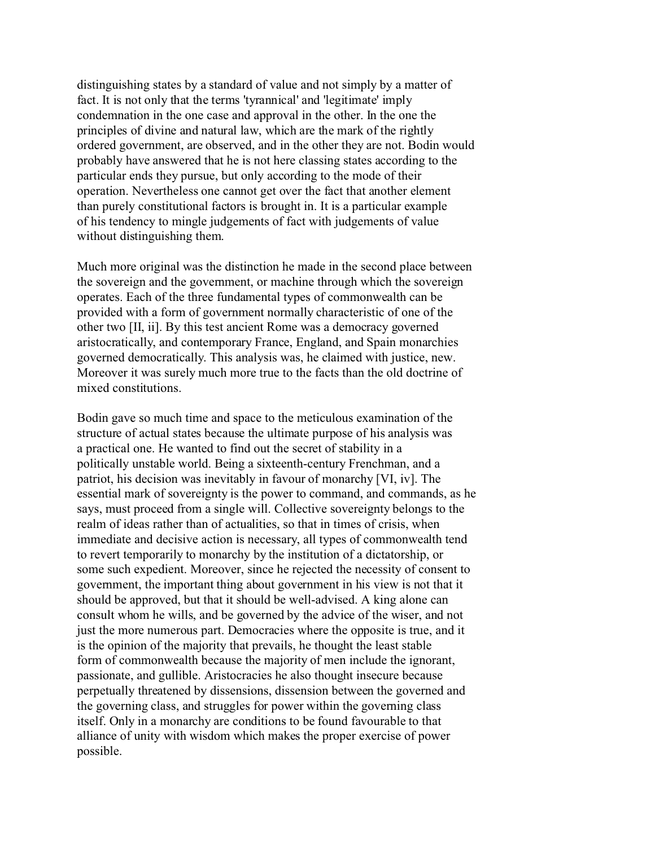distinguishing states by a standard of value and not simply by a matter of fact. It is not only that the terms 'tyrannical' and 'legitimate' imply condemnation in the one case and approval in the other. In the one the principles of divine and natural law, which are the mark of the rightly ordered government, are observed, and in the other they are not. Bodin would probably have answered that he is not here classing states according to the particular ends they pursue, but only according to the mode of their operation. Nevertheless one cannot get over the fact that another element than purely constitutional factors is brought in. It is a particular example of his tendency to mingle judgements of fact with judgements of value without distinguishing them.

Much more original was the distinction he made in the second place between the sovereign and the government, or machine through which the sovereign operates. Each of the three fundamental types of commonwealth can be provided with a form of government normally characteristic of one of the other two [II, ii]. By this test ancient Rome was a democracy governed aristocratically, and contemporary France, England, and Spain monarchies governed democratically. This analysis was, he claimed with justice, new. Moreover it was surely much more true to the facts than the old doctrine of mixed constitutions.

Bodin gave so much time and space to the meticulous examination of the structure of actual states because the ultimate purpose of his analysis was a practical one. He wanted to find out the secret of stability in a politically unstable world. Being a sixteenth-century Frenchman, and a patriot, his decision was inevitably in favour of monarchy [VI, iv]. The essential mark of sovereignty is the power to command, and commands, as he says, must proceed from a single will. Collective sovereignty belongs to the realm of ideas rather than of actualities, so that in times of crisis, when immediate and decisive action is necessary, all types of commonwealth tend to revert temporarily to monarchy by the institution of a dictatorship, or some such expedient. Moreover, since he rejected the necessity of consent to government, the important thing about government in his view is not that it should be approved, but that it should be well-advised. A king alone can consult whom he wills, and be governed by the advice of the wiser, and not just the more numerous part. Democracies where the opposite is true, and it is the opinion of the majority that prevails, he thought the least stable form of commonwealth because the majority of men include the ignorant, passionate, and gullible. Aristocracies he also thought insecure because perpetually threatened by dissensions, dissension between the governed and the governing class, and struggles for power within the governing class itself. Only in a monarchy are conditions to be found favourable to that alliance of unity with wisdom which makes the proper exercise of power possible.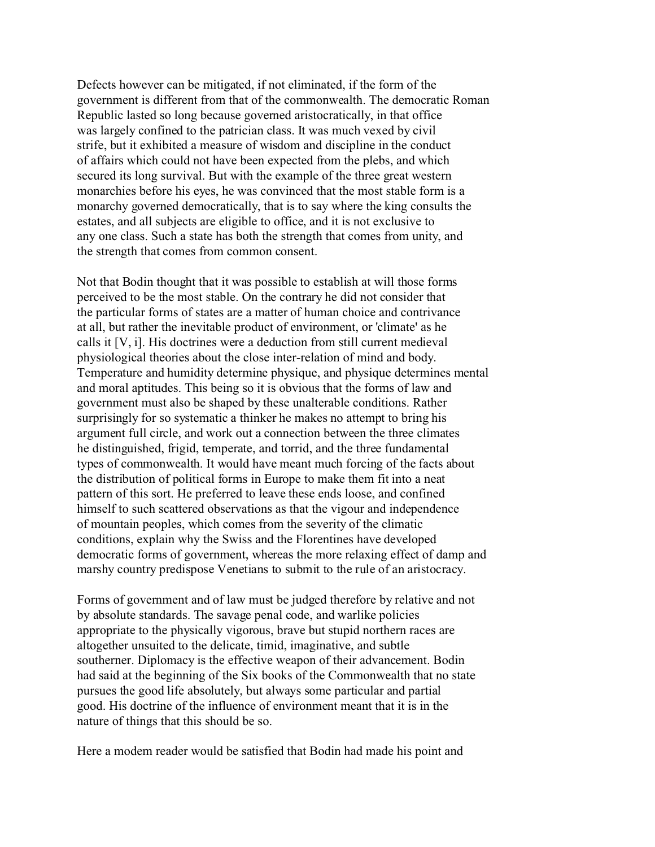Defects however can be mitigated, if not eliminated, if the form of the government is different from that of the commonwealth. The democratic Roman Republic lasted so long because governed aristocratically, in that office was largely confined to the patrician class. It was much vexed by civil strife, but it exhibited a measure of wisdom and discipline in the conduct of affairs which could not have been expected from the plebs, and which secured its long survival. But with the example of the three great western monarchies before his eyes, he was convinced that the most stable form is a monarchy governed democratically, that is to say where the king consults the estates, and all subjects are eligible to office, and it is not exclusive to any one class. Such a state has both the strength that comes from unity, and the strength that comes from common consent.

Not that Bodin thought that it was possible to establish at will those forms perceived to be the most stable. On the contrary he did not consider that the particular forms of states are a matter of human choice and contrivance at all, but rather the inevitable product of environment, or 'climate' as he calls it [V, i]. His doctrines were a deduction from still current medieval physiological theories about the close inter-relation of mind and body. Temperature and humidity determine physique, and physique determines mental and moral aptitudes. This being so it is obvious that the forms of law and government must also be shaped by these unalterable conditions. Rather surprisingly for so systematic a thinker he makes no attempt to bring his argument full circle, and work out a connection between the three climates he distinguished, frigid, temperate, and torrid, and the three fundamental types of commonwealth. It would have meant much forcing of the facts about the distribution of political forms in Europe to make them fit into a neat pattern of this sort. He preferred to leave these ends loose, and confined himself to such scattered observations as that the vigour and independence of mountain peoples, which comes from the severity of the climatic conditions, explain why the Swiss and the Florentines have developed democratic forms of government, whereas the more relaxing effect of damp and marshy country predispose Venetians to submit to the rule of an aristocracy.

Forms of government and of law must be judged therefore by relative and not by absolute standards. The savage penal code, and warlike policies appropriate to the physically vigorous, brave but stupid northern races are altogether unsuited to the delicate, timid, imaginative, and subtle southerner. Diplomacy is the effective weapon of their advancement. Bodin had said at the beginning of the Six books of the Commonwealth that no state pursues the good life absolutely, but always some particular and partial good. His doctrine of the influence of environment meant that it is in the nature of things that this should be so.

Here a modem reader would be satisfied that Bodin had made his point and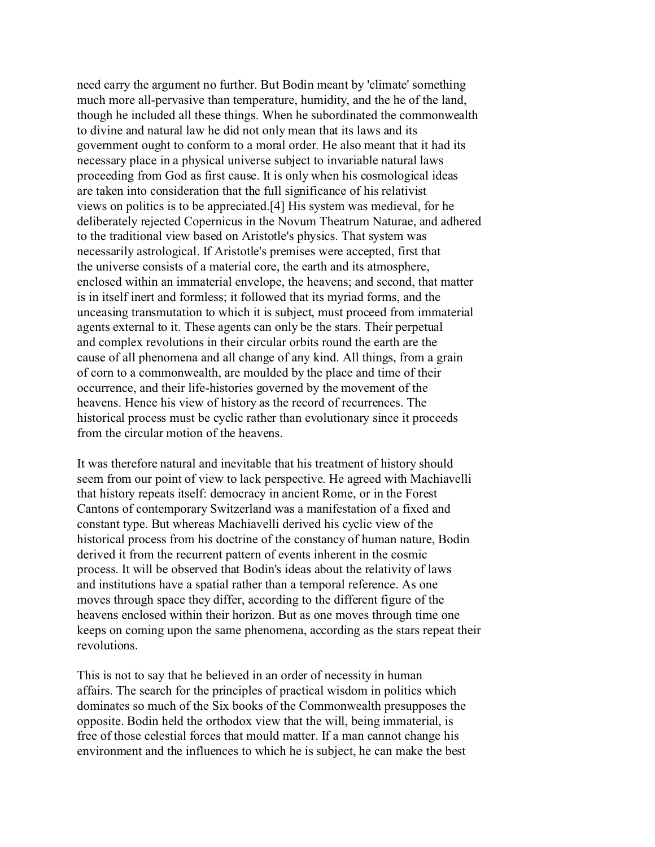need carry the argument no further. But Bodin meant by 'climate' something much more all-pervasive than temperature, humidity, and the he of the land, though he included all these things. When he subordinated the commonwealth to divine and natural law he did not only mean that its laws and its government ought to conform to a moral order. He also meant that it had its necessary place in a physical universe subject to invariable natural laws proceeding from God as first cause. It is only when his cosmological ideas are taken into consideration that the full significance of his relativist views on politics is to be appreciated.[4] His system was medieval, for he deliberately rejected Copernicus in the Novum Theatrum Naturae, and adhered to the traditional view based on Aristotle's physics. That system was necessarily astrological. If Aristotle's premises were accepted, first that the universe consists of a material core, the earth and its atmosphere, enclosed within an immaterial envelope, the heavens; and second, that matter is in itself inert and formless; it followed that its myriad forms, and the unceasing transmutation to which it is subject, must proceed from immaterial agents external to it. These agents can only be the stars. Their perpetual and complex revolutions in their circular orbits round the earth are the cause of all phenomena and all change of any kind. All things, from a grain of corn to a commonwealth, are moulded by the place and time of their occurrence, and their life-histories governed by the movement of the heavens. Hence his view of history as the record of recurrences. The historical process must be cyclic rather than evolutionary since it proceeds from the circular motion of the heavens.

It was therefore natural and inevitable that his treatment of history should seem from our point of view to lack perspective. He agreed with Machiavelli that history repeats itself: democracy in ancient Rome, or in the Forest Cantons of contemporary Switzerland was a manifestation of a fixed and constant type. But whereas Machiavelli derived his cyclic view of the historical process from his doctrine of the constancy of human nature, Bodin derived it from the recurrent pattern of events inherent in the cosmic process. It will be observed that Bodin's ideas about the relativity of laws and institutions have a spatial rather than a temporal reference. As one moves through space they differ, according to the different figure of the heavens enclosed within their horizon. But as one moves through time one keeps on coming upon the same phenomena, according as the stars repeat their revolutions.

This is not to say that he believed in an order of necessity in human affairs. The search for the principles of practical wisdom in politics which dominates so much of the Six books of the Commonwealth presupposes the opposite. Bodin held the orthodox view that the will, being immaterial, is free of those celestial forces that mould matter. If a man cannot change his environment and the influences to which he is subject, he can make the best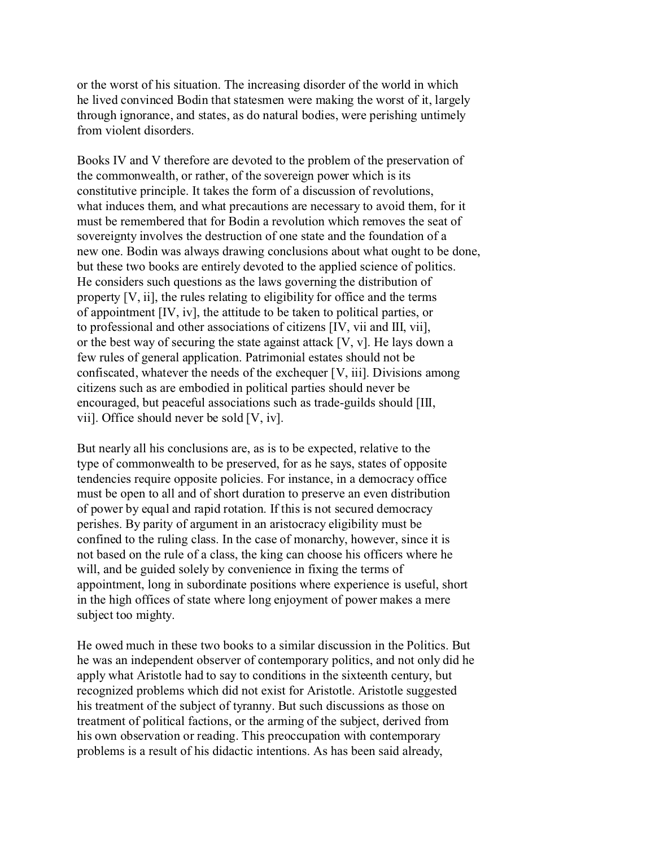or the worst of his situation. The increasing disorder of the world in which he lived convinced Bodin that statesmen were making the worst of it, largely through ignorance, and states, as do natural bodies, were perishing untimely from violent disorders.

Books IV and V therefore are devoted to the problem of the preservation of the commonwealth, or rather, of the sovereign power which is its constitutive principle. It takes the form of a discussion of revolutions, what induces them, and what precautions are necessary to avoid them, for it must be remembered that for Bodin a revolution which removes the seat of sovereignty involves the destruction of one state and the foundation of a new one. Bodin was always drawing conclusions about what ought to be done, but these two books are entirely devoted to the applied science of politics. He considers such questions as the laws governing the distribution of property [V, ii], the rules relating to eligibility for office and the terms of appointment [IV, iv], the attitude to be taken to political parties, or to professional and other associations of citizens [IV, vii and III, vii], or the best way of securing the state against attack [V, v]. He lays down a few rules of general application. Patrimonial estates should not be confiscated, whatever the needs of the exchequer [V, iii]. Divisions among citizens such as are embodied in political parties should never be encouraged, but peaceful associations such as trade-guilds should [III, vii]. Office should never be sold [V, iv].

But nearly all his conclusions are, as is to be expected, relative to the type of commonwealth to be preserved, for as he says, states of opposite tendencies require opposite policies. For instance, in a democracy office must be open to all and of short duration to preserve an even distribution of power by equal and rapid rotation. If this is not secured democracy perishes. By parity of argument in an aristocracy eligibility must be confined to the ruling class. In the case of monarchy, however, since it is not based on the rule of a class, the king can choose his officers where he will, and be guided solely by convenience in fixing the terms of appointment, long in subordinate positions where experience is useful, short in the high offices of state where long enjoyment of power makes a mere subject too mighty.

He owed much in these two books to a similar discussion in the Politics. But he was an independent observer of contemporary politics, and not only did he apply what Aristotle had to say to conditions in the sixteenth century, but recognized problems which did not exist for Aristotle. Aristotle suggested his treatment of the subject of tyranny. But such discussions as those on treatment of political factions, or the arming of the subject, derived from his own observation or reading. This preoccupation with contemporary problems is a result of his didactic intentions. As has been said already,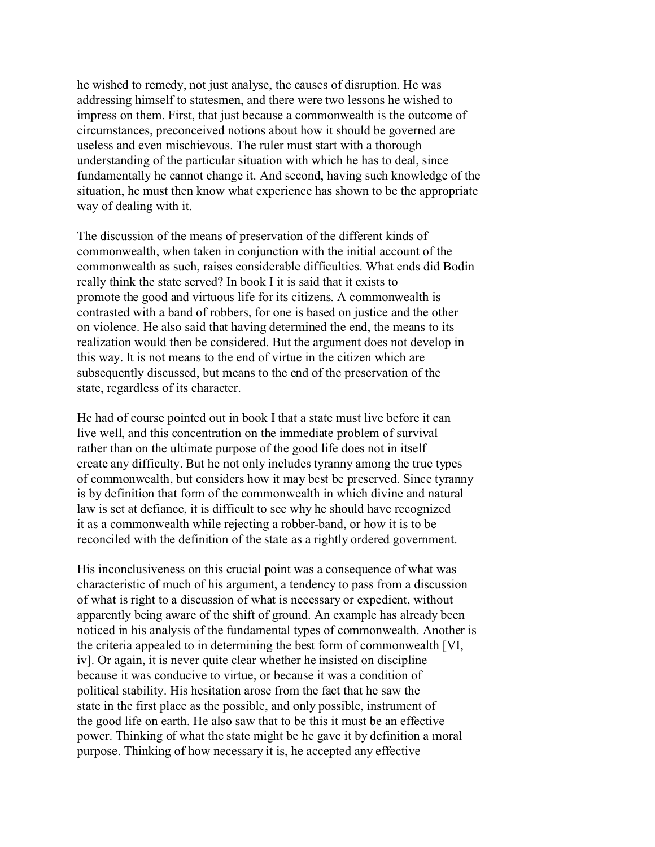he wished to remedy, not just analyse, the causes of disruption. He was addressing himself to statesmen, and there were two lessons he wished to impress on them. First, that just because a commonwealth is the outcome of circumstances, preconceived notions about how it should be governed are useless and even mischievous. The ruler must start with a thorough understanding of the particular situation with which he has to deal, since fundamentally he cannot change it. And second, having such knowledge of the situation, he must then know what experience has shown to be the appropriate way of dealing with it.

The discussion of the means of preservation of the different kinds of commonwealth, when taken in conjunction with the initial account of the commonwealth as such, raises considerable difficulties. What ends did Bodin really think the state served? In book I it is said that it exists to promote the good and virtuous life for its citizens. A commonwealth is contrasted with a band of robbers, for one is based on justice and the other on violence. He also said that having determined the end, the means to its realization would then be considered. But the argument does not develop in this way. It is not means to the end of virtue in the citizen which are subsequently discussed, but means to the end of the preservation of the state, regardless of its character.

He had of course pointed out in book I that a state must live before it can live well, and this concentration on the immediate problem of survival rather than on the ultimate purpose of the good life does not in itself create any difficulty. But he not only includes tyranny among the true types of commonwealth, but considers how it may best be preserved. Since tyranny is by definition that form of the commonwealth in which divine and natural law is set at defiance, it is difficult to see why he should have recognized it as a commonwealth while rejecting a robber-band, or how it is to be reconciled with the definition of the state as a rightly ordered government.

His inconclusiveness on this crucial point was a consequence of what was characteristic of much of his argument, a tendency to pass from a discussion of what is right to a discussion of what is necessary or expedient, without apparently being aware of the shift of ground. An example has already been noticed in his analysis of the fundamental types of commonwealth. Another is the criteria appealed to in determining the best form of commonwealth [VI, iv]. Or again, it is never quite clear whether he insisted on discipline because it was conducive to virtue, or because it was a condition of political stability. His hesitation arose from the fact that he saw the state in the first place as the possible, and only possible, instrument of the good life on earth. He also saw that to be this it must be an effective power. Thinking of what the state might be he gave it by definition a moral purpose. Thinking of how necessary it is, he accepted any effective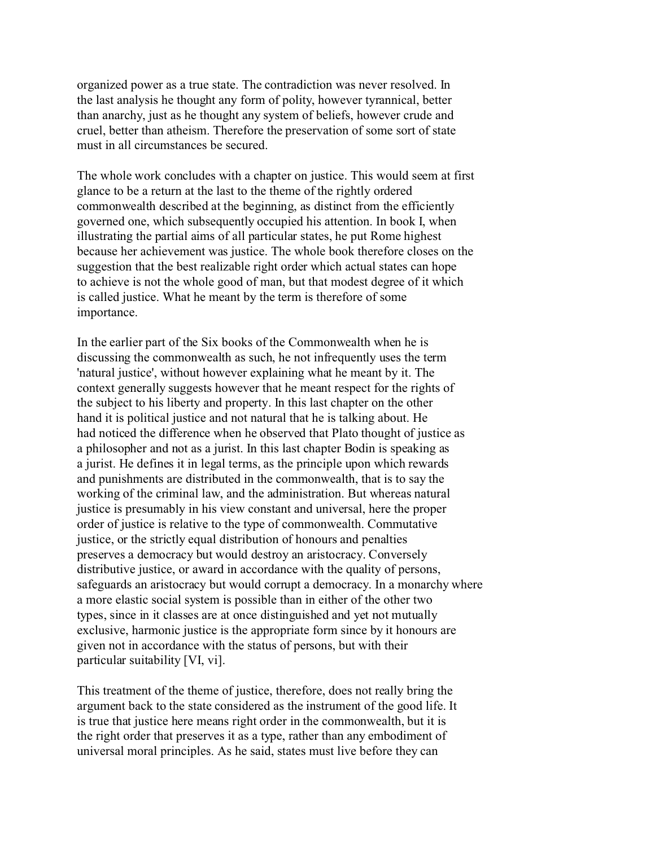organized power as a true state. The contradiction was never resolved. In the last analysis he thought any form of polity, however tyrannical, better than anarchy, just as he thought any system of beliefs, however crude and cruel, better than atheism. Therefore the preservation of some sort of state must in all circumstances be secured.

The whole work concludes with a chapter on justice. This would seem at first glance to be a return at the last to the theme of the rightly ordered commonwealth described at the beginning, as distinct from the efficiently governed one, which subsequently occupied his attention. In book I, when illustrating the partial aims of all particular states, he put Rome highest because her achievement was justice. The whole book therefore closes on the suggestion that the best realizable right order which actual states can hope to achieve is not the whole good of man, but that modest degree of it which is called justice. What he meant by the term is therefore of some importance.

In the earlier part of the Six books of the Commonwealth when he is discussing the commonwealth as such, he not infrequently uses the term 'natural justice', without however explaining what he meant by it. The context generally suggests however that he meant respect for the rights of the subject to his liberty and property. In this last chapter on the other hand it is political justice and not natural that he is talking about. He had noticed the difference when he observed that Plato thought of justice as a philosopher and not as a jurist. In this last chapter Bodin is speaking as a jurist. He defines it in legal terms, as the principle upon which rewards and punishments are distributed in the commonwealth, that is to say the working of the criminal law, and the administration. But whereas natural justice is presumably in his view constant and universal, here the proper order of justice is relative to the type of commonwealth. Commutative justice, or the strictly equal distribution of honours and penalties preserves a democracy but would destroy an aristocracy. Conversely distributive justice, or award in accordance with the quality of persons, safeguards an aristocracy but would corrupt a democracy. In a monarchy where a more elastic social system is possible than in either of the other two types, since in it classes are at once distinguished and yet not mutually exclusive, harmonic justice is the appropriate form since by it honours are given not in accordance with the status of persons, but with their particular suitability [VI, vi].

This treatment of the theme of justice, therefore, does not really bring the argument back to the state considered as the instrument of the good life. It is true that justice here means right order in the commonwealth, but it is the right order that preserves it as a type, rather than any embodiment of universal moral principles. As he said, states must live before they can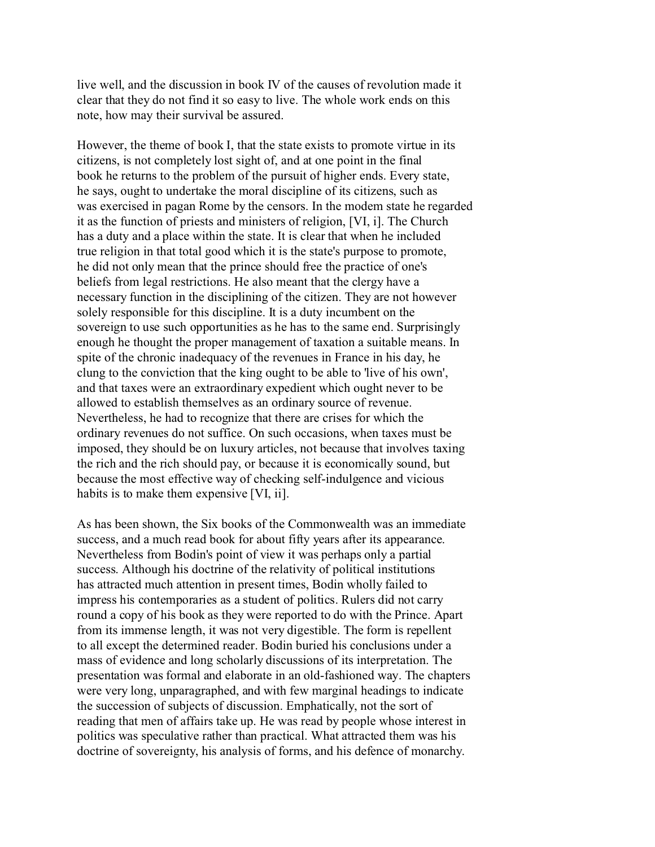live well, and the discussion in book IV of the causes of revolution made it clear that they do not find it so easy to live. The whole work ends on this note, how may their survival be assured.

However, the theme of book I, that the state exists to promote virtue in its citizens, is not completely lost sight of, and at one point in the final book he returns to the problem of the pursuit of higher ends. Every state, he says, ought to undertake the moral discipline of its citizens, such as was exercised in pagan Rome by the censors. In the modem state he regarded it as the function of priests and ministers of religion, [VI, i]. The Church has a duty and a place within the state. It is clear that when he included true religion in that total good which it is the state's purpose to promote, he did not only mean that the prince should free the practice of one's beliefs from legal restrictions. He also meant that the clergy have a necessary function in the disciplining of the citizen. They are not however solely responsible for this discipline. It is a duty incumbent on the sovereign to use such opportunities as he has to the same end. Surprisingly enough he thought the proper management of taxation a suitable means. In spite of the chronic inadequacy of the revenues in France in his day, he clung to the conviction that the king ought to be able to 'live of his own', and that taxes were an extraordinary expedient which ought never to be allowed to establish themselves as an ordinary source of revenue. Nevertheless, he had to recognize that there are crises for which the ordinary revenues do not suffice. On such occasions, when taxes must be imposed, they should be on luxury articles, not because that involves taxing the rich and the rich should pay, or because it is economically sound, but because the most effective way of checking self-indulgence and vicious habits is to make them expensive [VI, ii].

As has been shown, the Six books of the Commonwealth was an immediate success, and a much read book for about fifty years after its appearance. Nevertheless from Bodin's point of view it was perhaps only a partial success. Although his doctrine of the relativity of political institutions has attracted much attention in present times, Bodin wholly failed to impress his contemporaries as a student of politics. Rulers did not carry round a copy of his book as they were reported to do with the Prince. Apart from its immense length, it was not very digestible. The form is repellent to all except the determined reader. Bodin buried his conclusions under a mass of evidence and long scholarly discussions of its interpretation. The presentation was formal and elaborate in an old-fashioned way. The chapters were very long, unparagraphed, and with few marginal headings to indicate the succession of subjects of discussion. Emphatically, not the sort of reading that men of affairs take up. He was read by people whose interest in politics was speculative rather than practical. What attracted them was his doctrine of sovereignty, his analysis of forms, and his defence of monarchy.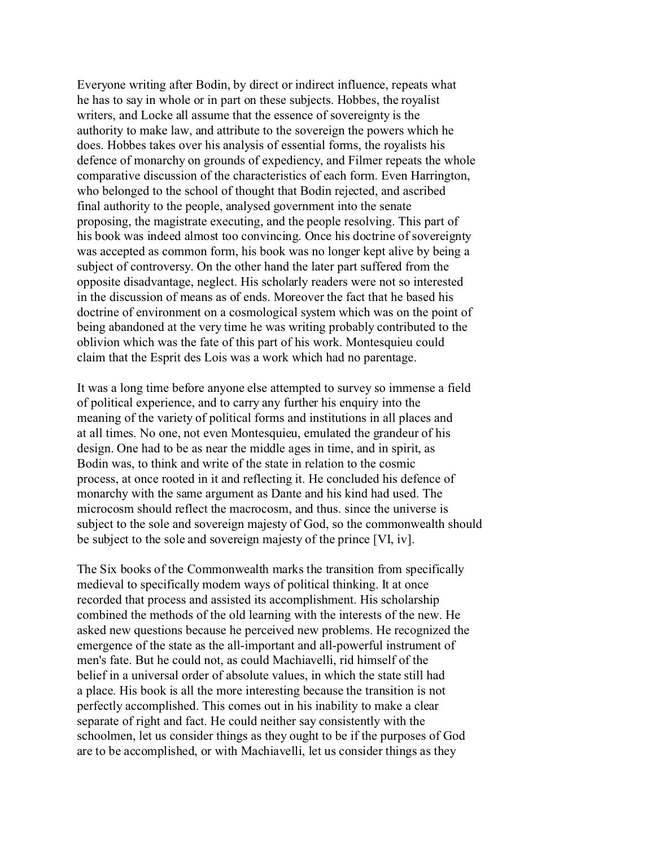Everyone writing after Bodin, by direct or indirect influence, repeats what he has to say in whole or in part on these subjects. Hobbes, the royalist writers, and Locke all assume that the essence of sovereignty is the authority to make law, and attribute to the sovereign the powers which he does. Hobbes takes over his analysis of essential forms, the royalists his defence of monarchy on grounds of expediency, and Filmer repeats the whole comparative discussion of the characteristics of each form. Even Harrington, who belonged to the school of thought that Bodin rejected, and ascribed final authority to the people, analysed government into the senate proposing, the magistrate executing, and the people resolving. This part of his book was indeed almost too convincing. Once his doctrine of sovereignty was accepted as common form, his book was no longer kept alive by being a subject of controversy. On the other hand the later part suffered from the opposite disadvantage, neglect. His scholarly readers were not so interested in the discussion of means as of ends. Moreover the fact that he based his doctrine of environment on a cosmological system which was on the point of being abandoned at the very time he was writing probably contributed to the oblivion which was the fate of this part of his work. Montesquieu could claim that the Esprit des Lois was a work which had no parentage.

It was a long time before anyone else attempted to survey so immense a field of political experience, and to carry any further his enquiry into the meaning of the variety of political forms and institutions in all places and at all times. No one, not even Montesquieu, emulated the grandeur of his design. One had to be as near the middle ages in time, and in spirit, as Bodin was, to think and write of the state in relation to the cosmic process, at once rooted in it and reflecting it. He concluded his defence of monarchy with the same argument as Dante and his kind had used. The microcosm should reflect the macrocosm, and thus. since the universe is subject to the sole and sovereign majesty of God, so the commonwealth should be subject to the sole and sovereign majesty of the prince [VI, iv].

The Six books of the Commonwealth marks the transition from specifically medieval to specifically modem ways of political thinking. It at once recorded that process and assisted its accomplishment. His scholarship combined the methods of the old learning with the interests of the new. He asked new questions because he perceived new problems. He recognized the emergence of the state as the all-important and all-powerful instrument of men's fate. But he could not, as could Machiavelli, rid himself of the belief in a universal order of absolute values, in which the state still had a place. His book is all the more interesting because the transition is not perfectly accomplished. This comes out in his inability to make a clear separate of right and fact. He could neither say consistently with the schoolmen, let us consider things as they ought to be if the purposes of God are to be accomplished, or with Machiavelli, let us consider things as they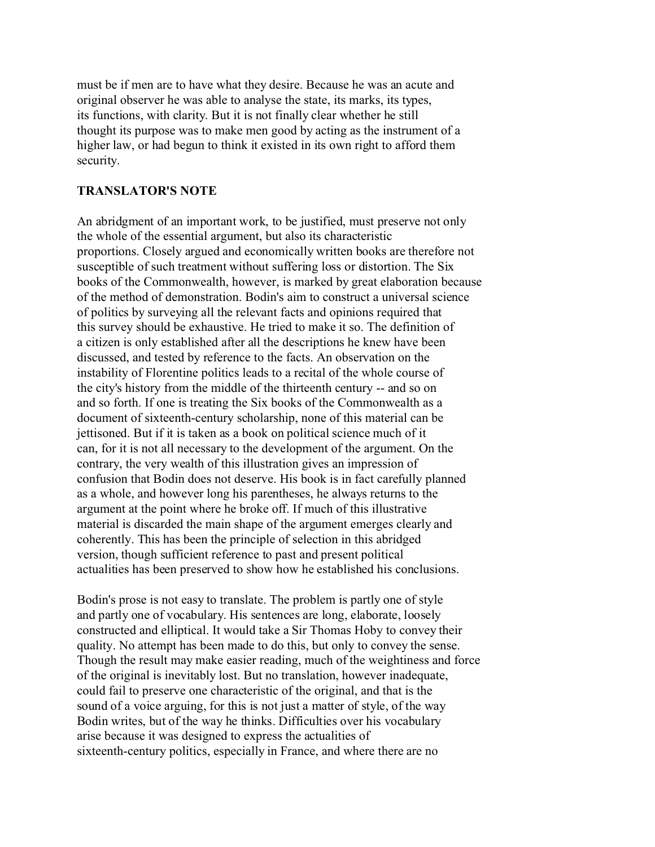must be if men are to have what they desire. Because he was an acute and original observer he was able to analyse the state, its marks, its types, its functions, with clarity. But it is not finally clear whether he still thought its purpose was to make men good by acting as the instrument of a higher law, or had begun to think it existed in its own right to afford them security.

#### **TRANSLATOR'S NOTE**

An abridgment of an important work, to be justified, must preserve not only the whole of the essential argument, but also its characteristic proportions. Closely argued and economically written books are therefore not susceptible of such treatment without suffering loss or distortion. The Six books of the Commonwealth, however, is marked by great elaboration because of the method of demonstration. Bodin's aim to construct a universal science of politics by surveying all the relevant facts and opinions required that this survey should be exhaustive. He tried to make it so. The definition of a citizen is only established after all the descriptions he knew have been discussed, and tested by reference to the facts. An observation on the instability of Florentine politics leads to a recital of the whole course of the city's history from the middle of the thirteenth century -- and so on and so forth. If one is treating the Six books of the Commonwealth as a document of sixteenth-century scholarship, none of this material can be jettisoned. But if it is taken as a book on political science much of it can, for it is not all necessary to the development of the argument. On the contrary, the very wealth of this illustration gives an impression of confusion that Bodin does not deserve. His book is in fact carefully planned as a whole, and however long his parentheses, he always returns to the argument at the point where he broke off. If much of this illustrative material is discarded the main shape of the argument emerges clearly and coherently. This has been the principle of selection in this abridged version, though sufficient reference to past and present political actualities has been preserved to show how he established his conclusions.

Bodin's prose is not easy to translate. The problem is partly one of style and partly one of vocabulary. His sentences are long, elaborate, loosely constructed and elliptical. It would take a Sir Thomas Hoby to convey their quality. No attempt has been made to do this, but only to convey the sense. Though the result may make easier reading, much of the weightiness and force of the original is inevitably lost. But no translation, however inadequate, could fail to preserve one characteristic of the original, and that is the sound of a voice arguing, for this is not just a matter of style, of the way Bodin writes, but of the way he thinks. Difficulties over his vocabulary arise because it was designed to express the actualities of sixteenth-century politics, especially in France, and where there are no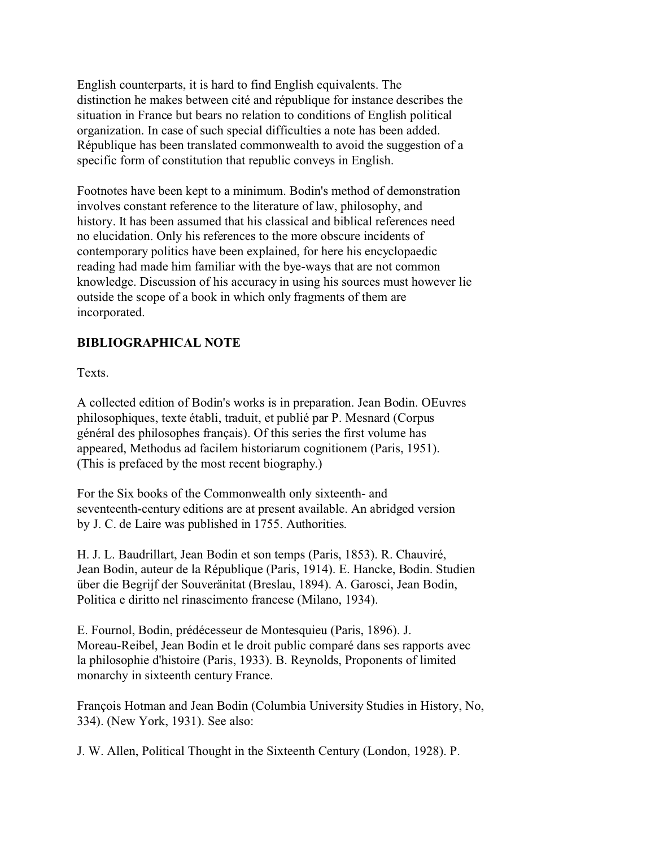English counterparts, it is hard to find English equivalents. The distinction he makes between cité and république for instance describes the situation in France but bears no relation to conditions of English political organization. In case of such special difficulties a note has been added. République has been translated commonwealth to avoid the suggestion of a specific form of constitution that republic conveys in English.

Footnotes have been kept to a minimum. Bodin's method of demonstration involves constant reference to the literature of law, philosophy, and history. It has been assumed that his classical and biblical references need no elucidation. Only his references to the more obscure incidents of contemporary politics have been explained, for here his encyclopaedic reading had made him familiar with the bye-ways that are not common knowledge. Discussion of his accuracy in using his sources must however lie outside the scope of a book in which only fragments of them are incorporated.

## **BIBLIOGRAPHICAL NOTE**

Texts.

A collected edition of Bodin's works is in preparation. Jean Bodin. OEuvres philosophiques, texte établi, traduit, et publié par P. Mesnard (Corpus général des philosophes français). Of this series the first volume has appeared, Methodus ad facilem historiarum cognitionem (Paris, 1951). (This is prefaced by the most recent biography.)

For the Six books of the Commonwealth only sixteenth- and seventeenth-century editions are at present available. An abridged version by J. C. de Laire was published in 1755. Authorities.

H. J. L. Baudrillart, Jean Bodin et son temps (Paris, 1853). R. Chauviré, Jean Bodin, auteur de la République (Paris, 1914). E. Hancke, Bodin. Studien über die Begrijf der Souveränitat (Breslau, 1894). A. Garosci, Jean Bodin, Politica e diritto nel rinascimento francese (Milano, 1934).

E. Fournol, Bodin, prédécesseur de Montesquieu (Paris, 1896). J. Moreau-Reibel, Jean Bodin et le droit public comparé dans ses rapports avec la philosophie d'histoire (Paris, 1933). B. Reynolds, Proponents of limited monarchy in sixteenth century France.

François Hotman and Jean Bodin (Columbia University Studies in History, No, 334). (New York, 1931). See also:

J. W. Allen, Political Thought in the Sixteenth Century (London, 1928). P.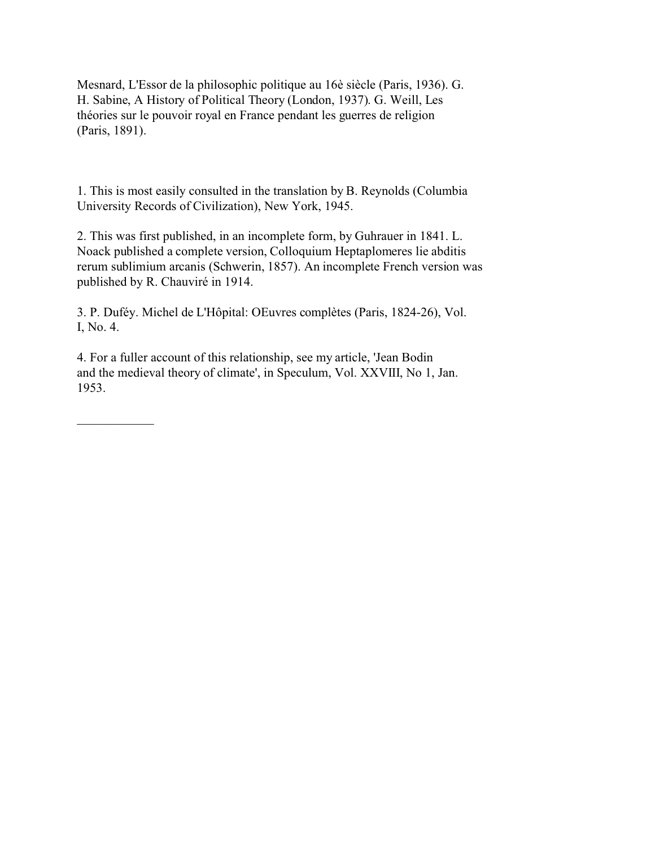Mesnard, L'Essor de la philosophic politique au 16è siècle (Paris, 1936). G. H. Sabine, A History of Political Theory (London, 1937). G. Weill, Les théories sur le pouvoir royal en France pendant les guerres de religion (Paris, 1891).

1. This is most easily consulted in the translation by B. Reynolds (Columbia University Records of Civilization), New York, 1945.

2. This was first published, in an incomplete form, by Guhrauer in 1841. L. Noack published a complete version, Colloquium Heptaplomeres lie abditis rerum sublimium arcanis (Schwerin, 1857). An incomplete French version was published by R. Chauviré in 1914.

3. P. Duféy. Michel de L'Hôpital: OEuvres complètes (Paris, 1824-26), Vol. I, No. 4.

4. For a fuller account of this relationship, see my article, 'Jean Bodin and the medieval theory of climate', in Speculum, Vol. XXVIII, No 1, Jan. 1953.

 $\mathcal{L}$  , we have the set of  $\mathcal{L}$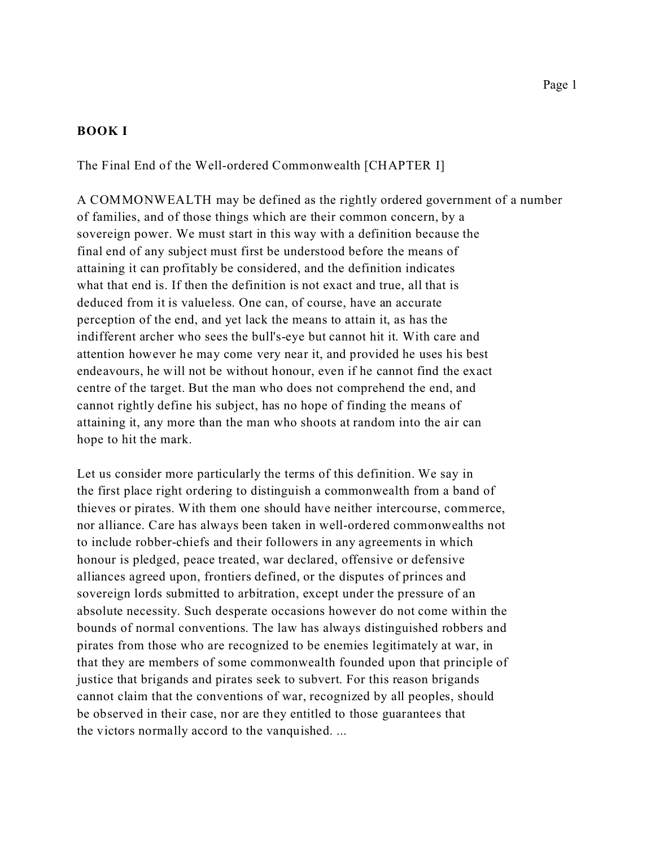#### **BOOK I**

The Final End of the Well-ordered Commonwealth [CHAPTER I]

A COMMONWEALTH may be defined as the rightly ordered government of a number of families, and of those things which are their common concern, by a sovereign power. We must start in this way with a definition because the final end of any subject must first be understood before the means of attaining it can profitably be considered, and the definition indicates what that end is. If then the definition is not exact and true, all that is deduced from it is valueless. One can, of course, have an accurate perception of the end, and yet lack the means to attain it, as has the indifferent archer who sees the bull's-eye but cannot hit it. With care and attention however he may come very near it, and provided he uses his best endeavours, he will not be without honour, even if he cannot find the exact centre of the target. But the man who does not comprehend the end, and cannot rightly define his subject, has no hope of finding the means of attaining it, any more than the man who shoots at random into the air can hope to hit the mark.

Let us consider more particularly the terms of this definition. We say in the first place right ordering to distinguish a commonwealth from a band of thieves or pirates. With them one should have neither intercourse, commerce, nor alliance. Care has always been taken in well-ordered commonwealths not to include robber-chiefs and their followers in any agreements in which honour is pledged, peace treated, war declared, offensive or defensive alliances agreed upon, frontiers defined, or the disputes of princes and sovereign lords submitted to arbitration, except under the pressure of an absolute necessity. Such desperate occasions however do not come within the bounds of normal conventions. The law has always distinguished robbers and pirates from those who are recognized to be enemies legitimately at war, in that they are members of some commonwealth founded upon that principle of justice that brigands and pirates seek to subvert. For this reason brigands cannot claim that the conventions of war, recognized by all peoples, should be observed in their case, nor are they entitled to those guarantees that the victors normally accord to the vanquished. ...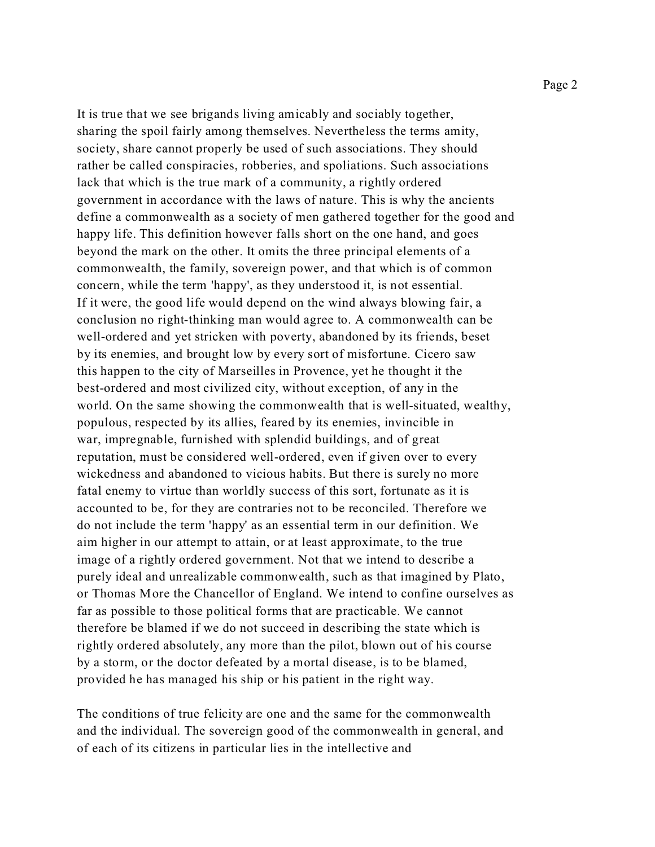Page 2

It is true that we see brigands living amicably and sociably together, sharing the spoil fairly among themselves. Nevertheless the terms amity, society, share cannot properly be used of such associations. They should rather be called conspiracies, robberies, and spoliations. Such associations lack that which is the true mark of a community, a rightly ordered government in accordance with the laws of nature. This is why the ancients define a commonwealth as a society of men gathered together for the good and happy life. This definition however falls short on the one hand, and goes beyond the mark on the other. It omits the three principal elements of a commonwealth, the family, sovereign power, and that which is of common concern, while the term 'happy', as they understood it, is not essential. If it were, the good life would depend on the wind always blowing fair, a conclusion no right-thinking man would agree to. A commonwealth can be well-ordered and yet stricken with poverty, abandoned by its friends, beset by its enemies, and brought low by every sort of misfortune. Cicero saw this happen to the city of Marseilles in Provence, yet he thought it the best-ordered and most civilized city, without exception, of any in the world. On the same showing the commonwealth that is well-situated, wealthy, populous, respected by its allies, feared by its enemies, invincible in war, impregnable, furnished with splendid buildings, and of great reputation, must be considered well-ordered, even if given over to every wickedness and abandoned to vicious habits. But there is surely no more fatal enemy to virtue than worldly success of this sort, fortunate as it is accounted to be, for they are contraries not to be reconciled. Therefore we do not include the term 'happy' as an essential term in our definition. We aim higher in our attempt to attain, or at least approximate, to the true image of a rightly ordered government. Not that we intend to describe a purely ideal and unrealizable commonwealth, such as that imagined by Plato, or Thomas More the Chancellor of England. We intend to confine ourselves as far as possible to those political forms that are practicable. We cannot therefore be blamed if we do not succeed in describing the state which is rightly ordered absolutely, any more than the pilot, blown out of his course by a storm, or the doctor defeated by a mortal disease, is to be blamed, provided he has managed his ship or his patient in the right way.

The conditions of true felicity are one and the same for the commonwealth and the individual. The sovereign good of the commonwealth in general, and of each of its citizens in particular lies in the intellective and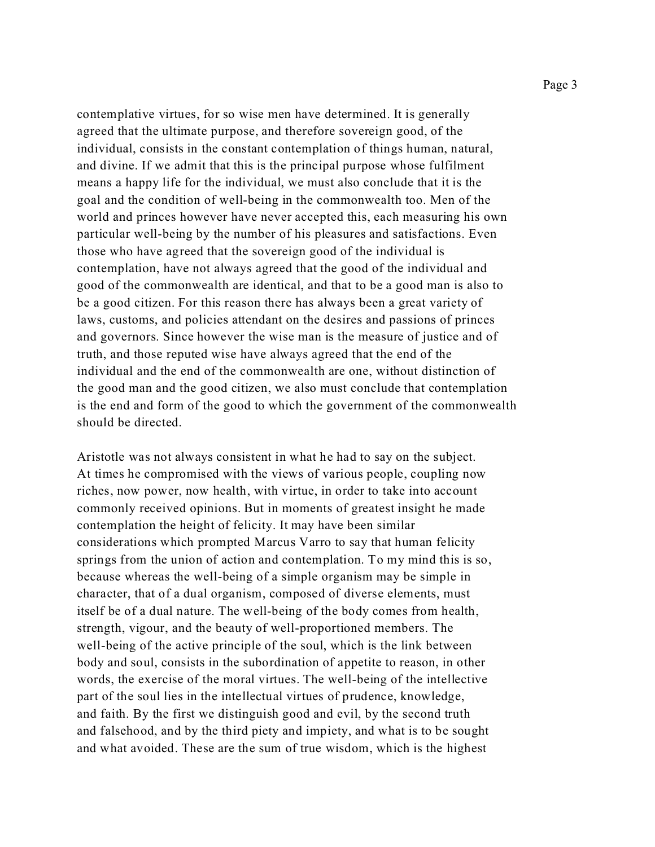contemplative virtues, for so wise men have determined. It is generally agreed that the ultimate purpose, and therefore sovereign good, of the individual, consists in the constant contemplation of things human, natural, and divine. If we admit that this is the principal purpose whose fulfilment means a happy life for the individual, we must also conclude that it is the goal and the condition of well-being in the commonwealth too. Men of the world and princes however have never accepted this, each measuring his own particular well-being by the number of his pleasures and satisfactions. Even those who have agreed that the sovereign good of the individual is contemplation, have not always agreed that the good of the individual and good of the commonwealth are identical, and that to be a good man is also to be a good citizen. For this reason there has always been a great variety of laws, customs, and policies attendant on the desires and passions of princes and governors. Since however the wise man is the measure of justice and of truth, and those reputed wise have always agreed that the end of the individual and the end of the commonwealth are one, without distinction of the good man and the good citizen, we also must conclude that contemplation is the end and form of the good to which the government of the commonwealth should be directed.

Aristotle was not always consistent in what he had to say on the subject. At times he compromised with the views of various people, coupling now riches, now power, now health, with virtue, in order to take into account commonly received opinions. But in moments of greatest insight he made contemplation the height of felicity. It may have been similar considerations which prompted Marcus Varro to say that human felicity springs from the union of action and contemplation. To my mind this is so, because whereas the well-being of a simple organism may be simple in character, that of a dual organism, composed of diverse elements, must itself be of a dual nature. The well-being of the body comes from health, strength, vigour, and the beauty of well-proportioned members. The well-being of the active principle of the soul, which is the link between body and soul, consists in the subordination of appetite to reason, in other words, the exercise of the moral virtues. The well-being of the intellective part of the soul lies in the intellectual virtues of prudence, knowledge, and faith. By the first we distinguish good and evil, by the second truth and falsehood, and by the third piety and impiety, and what is to be sought and what avoided. These are the sum of true wisdom, which is the highest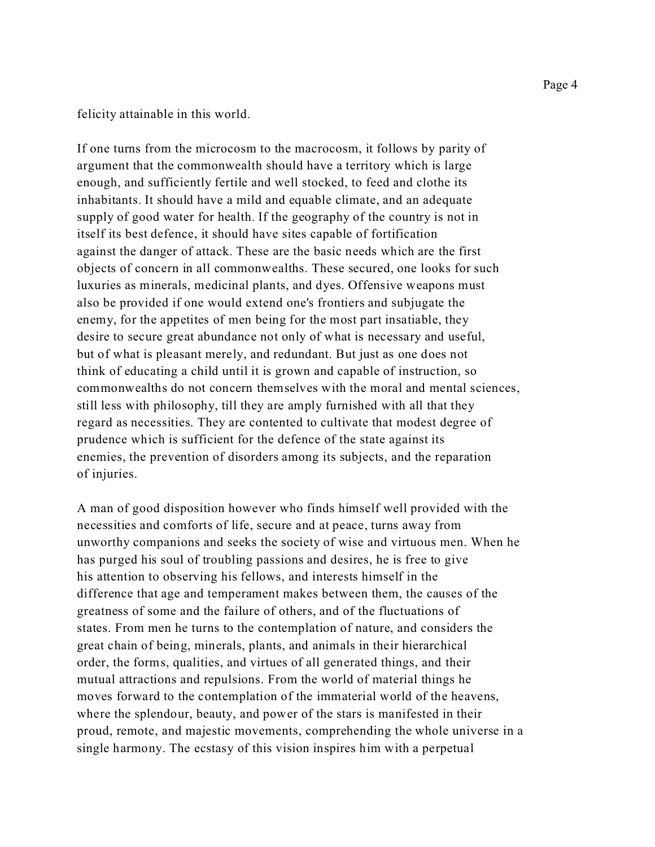felicity attainable in this world.

If one turns from the microcosm to the macrocosm, it follows by parity of argument that the commonwealth should have a territory which is large enough, and sufficiently fertile and well stocked, to feed and clothe its inhabitants. It should have a mild and equable climate, and an adequate supply of good water for health. If the geography of the country is not in itself its best defence, it should have sites capable of fortification against the danger of attack. These are the basic needs which are the first objects of concern in all commonwealths. These secured, one looks for such luxuries as minerals, medicinal plants, and dyes. Offensive weapons must also be provided if one would extend one's frontiers and subjugate the enemy, for the appetites of men being for the most part insatiable, they desire to secure great abundance not only of what is necessary and useful, but of what is pleasant merely, and redundant. But just as one does not think of educating a child until it is grown and capable of instruction, so commonwealths do not concern themselves with the moral and mental sciences, still less with philosophy, till they are amply furnished with all that they regard as necessities. They are contented to cultivate that modest degree of prudence which is sufficient for the defence of the state against its enemies, the prevention of disorders among its subjects, and the reparation of injuries.

A man of good disposition however who finds himself well provided with the necessities and comforts of life, secure and at peace, turns away from unworthy companions and seeks the society of wise and virtuous men. When he has purged his soul of troubling passions and desires, he is free to give his attention to observing his fellows, and interests himself in the difference that age and temperament makes between them, the causes of the greatness of some and the failure of others, and of the fluctuations of states. From men he turns to the contemplation of nature, and considers the great chain of being, minerals, plants, and animals in their hierarchical order, the forms, qualities, and virtues of all generated things, and their mutual attractions and repulsions. From the world of material things he moves forward to the contemplation of the immaterial world of the heavens, where the splendour, beauty, and power of the stars is manifested in their proud, remote, and majestic movements, comprehending the whole universe in a single harmony. The ecstasy of this vision inspires him with a perpetual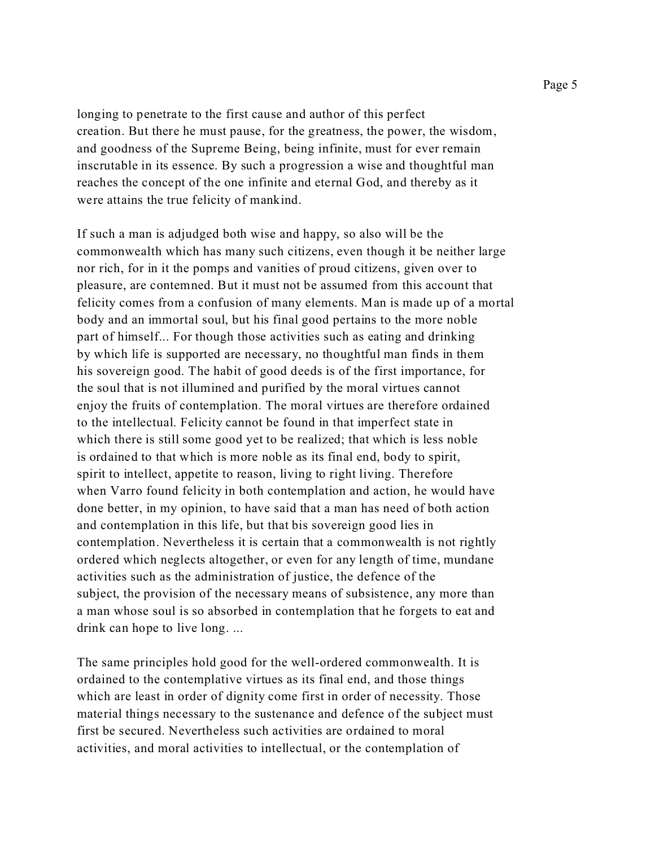longing to penetrate to the first cause and author of this perfect creation. But there he must pause, for the greatness, the power, the wisdom, and goodness of the Supreme Being, being infinite, must for ever remain inscrutable in its essence. By such a progression a wise and thoughtful man reaches the concept of the one infinite and eternal God, and thereby as it were attains the true felicity of mankind.

If such a man is adjudged both wise and happy, so also will be the commonwealth which has many such citizens, even though it be neither large nor rich, for in it the pomps and vanities of proud citizens, given over to pleasure, are contemned. But it must not be assumed from this account that felicity comes from a confusion of many elements. Man is made up of a mortal body and an immortal soul, but his final good pertains to the more noble part of himself... For though those activities such as eating and drinking by which life is supported are necessary, no thoughtful man finds in them his sovereign good. The habit of good deeds is of the first importance, for the soul that is not illumined and purified by the moral virtues cannot enjoy the fruits of contemplation. The moral virtues are therefore ordained to the intellectual. Felicity cannot be found in that imperfect state in which there is still some good yet to be realized; that which is less noble is ordained to that which is more noble as its final end, body to spirit, spirit to intellect, appetite to reason, living to right living. Therefore when Varro found felicity in both contemplation and action, he would have done better, in my opinion, to have said that a man has need of both action and contemplation in this life, but that bis sovereign good lies in contemplation. Nevertheless it is certain that a commonwealth is not rightly ordered which neglects altogether, or even for any length of time, mundane activities such as the administration of justice, the defence of the subject, the provision of the necessary means of subsistence, any more than a man whose soul is so absorbed in contemplation that he forgets to eat and drink can hope to live long. ...

The same principles hold good for the well-ordered commonwealth. It is ordained to the contemplative virtues as its final end, and those things which are least in order of dignity come first in order of necessity. Those material things necessary to the sustenance and defence of the subject must first be secured. Nevertheless such activities are ordained to moral activities, and moral activities to intellectual, or the contemplation of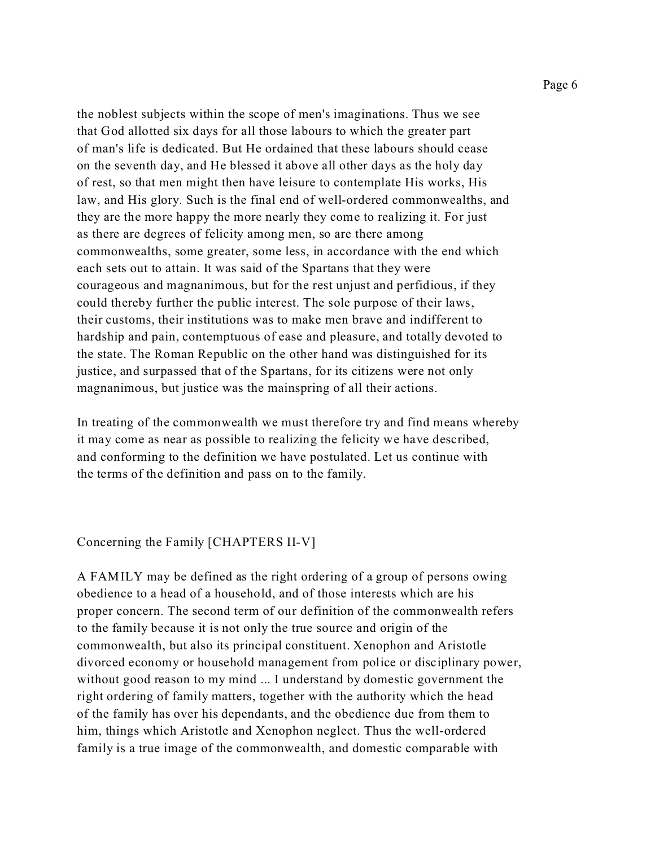Page 6

the noblest subjects within the scope of men's imaginations. Thus we see that God allotted six days for all those labours to which the greater part of man's life is dedicated. But He ordained that these labours should cease on the seventh day, and He blessed it above all other days as the holy day of rest, so that men might then have leisure to contemplate His works, His law, and His glory. Such is the final end of well-ordered commonwealths, and they are the more happy the more nearly they come to realizing it. For just as there are degrees of felicity among men, so are there among commonwealths, some greater, some less, in accordance with the end which each sets out to attain. It was said of the Spartans that they were courageous and magnanimous, but for the rest unjust and perfidious, if they could thereby further the public interest. The sole purpose of their laws, their customs, their institutions was to make men brave and indifferent to hardship and pain, contemptuous of ease and pleasure, and totally devoted to the state. The Roman Republic on the other hand was distinguished for its justice, and surpassed that of the Spartans, for its citizens were not only magnanimous, but justice was the mainspring of all their actions.

In treating of the commonwealth we must therefore try and find means whereby it may come as near as possible to realizing the felicity we have described, and conforming to the definition we have postulated. Let us continue with the terms of the definition and pass on to the family.

## Concerning the Family [CHAPTERS II-V]

A FAMILY may be defined as the right ordering of a group of persons owing obedience to a head of a household, and of those interests which are his proper concern. The second term of our definition of the commonwealth refers to the family because it is not only the true source and origin of the commonwealth, but also its principal constituent. Xenophon and Aristotle divorced economy or household management from police or disciplinary power, without good reason to my mind ... I understand by domestic government the right ordering of family matters, together with the authority which the head of the family has over his dependants, and the obedience due from them to him, things which Aristotle and Xenophon neglect. Thus the well-ordered family is a true image of the commonwealth, and domestic comparable with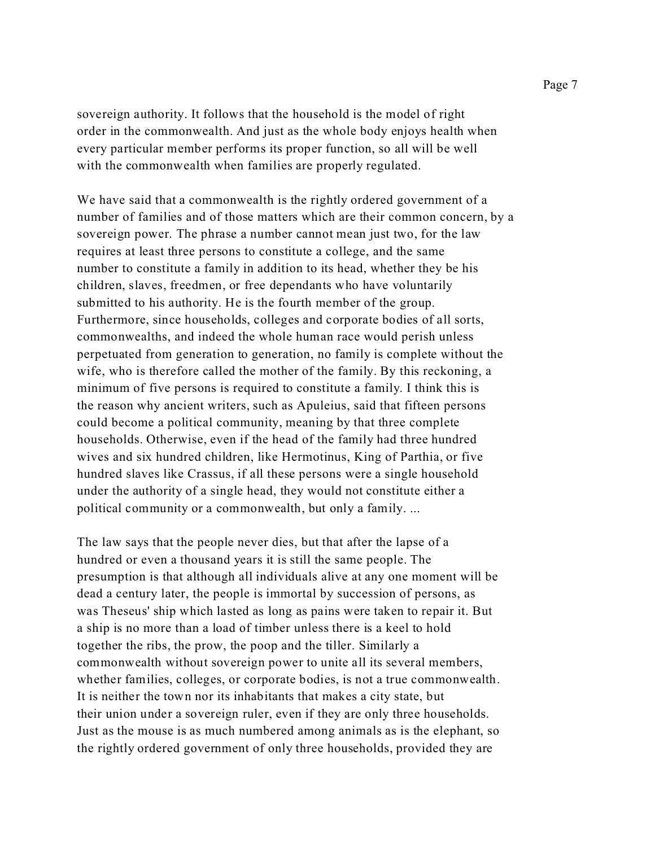sovereign authority. It follows that the household is the model of right order in the commonwealth. And just as the whole body enjoys health when every particular member performs its proper function, so all will be well with the commonwealth when families are properly regulated.

We have said that a commonwealth is the rightly ordered government of a number of families and of those matters which are their common concern, by a sovereign power. The phrase a number cannot mean just two, for the law requires at least three persons to constitute a college, and the same number to constitute a family in addition to its head, whether they be his children, slaves, freedmen, or free dependants who have voluntarily submitted to his authority. He is the fourth member of the group. Furthermore, since households, colleges and corporate bodies of all sorts, commonwealths, and indeed the whole human race would perish unless perpetuated from generation to generation, no family is complete without the wife, who is therefore called the mother of the family. By this reckoning, a minimum of five persons is required to constitute a family. I think this is the reason why ancient writers, such as Apuleius, said that fifteen persons could become a political community, meaning by that three complete households. Otherwise, even if the head of the family had three hundred wives and six hundred children, like Hermotinus, King of Parthia, or five hundred slaves like Crassus, if all these persons were a single household under the authority of a single head, they would not constitute either a political community or a commonwealth, but only a family. ...

The law says that the people never dies, but that after the lapse of a hundred or even a thousand years it is still the same people. The presumption is that although all individuals alive at any one moment will be dead a century later, the people is immortal by succession of persons, as was Theseus' ship which lasted as long as pains were taken to repair it. But a ship is no more than a load of timber unless there is a keel to hold together the ribs, the prow, the poop and the tiller. Similarly a commonwealth without sovereign power to unite all its several members, whether families, colleges, or corporate bodies, is not a true commonwealth. It is neither the town nor its inhabitants that makes a city state, but their union under a sovereign ruler, even if they are only three households. Just as the mouse is as much numbered among animals as is the elephant, so the rightly ordered government of only three households, provided they are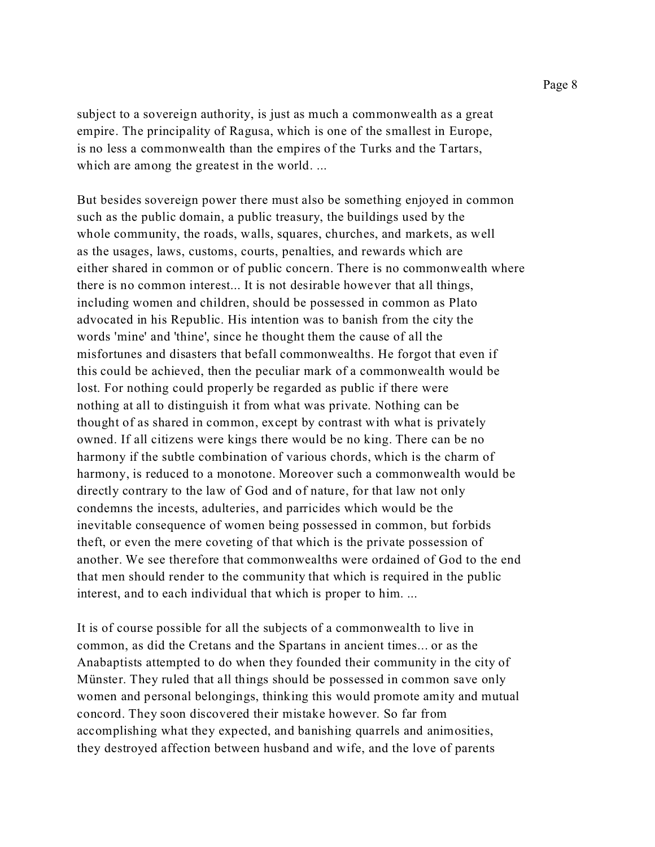subject to a sovereign authority, is just as much a commonwealth as a great empire. The principality of Ragusa, which is one of the smallest in Europe, is no less a commonwealth than the empires of the Turks and the Tartars, which are among the greatest in the world. ...

But besides sovereign power there must also be something enjoyed in common such as the public domain, a public treasury, the buildings used by the whole community, the roads, walls, squares, churches, and markets, as well as the usages, laws, customs, courts, penalties, and rewards which are either shared in common or of public concern. There is no commonwealth where there is no common interest... It is not desirable however that all things, including women and children, should be possessed in common as Plato advocated in his Republic. His intention was to banish from the city the words 'mine' and 'thine', since he thought them the cause of all the misfortunes and disasters that befall commonwealths. He forgot that even if this could be achieved, then the peculiar mark of a commonwealth would be lost. For nothing could properly be regarded as public if there were nothing at all to distinguish it from what was private. Nothing can be thought of as shared in common, except by contrast with what is privately owned. If all citizens were kings there would be no king. There can be no harmony if the subtle combination of various chords, which is the charm of harmony, is reduced to a monotone. Moreover such a commonwealth would be directly contrary to the law of God and of nature, for that law not only condemns the incests, adulteries, and parricides which would be the inevitable consequence of women being possessed in common, but forbids theft, or even the mere coveting of that which is the private possession of another. We see therefore that commonwealths were ordained of God to the end that men should render to the community that which is required in the public interest, and to each individual that which is proper to him. ...

It is of course possible for all the subjects of a commonwealth to live in common, as did the Cretans and the Spartans in ancient times... or as the Anabaptists attempted to do when they founded their community in the city of Münster. They ruled that all things should be possessed in common save only women and personal belongings, thinking this would promote amity and mutual concord. They soon discovered their mistake however. So far from accomplishing what they expected, and banishing quarrels and animosities, they destroyed affection between husband and wife, and the love of parents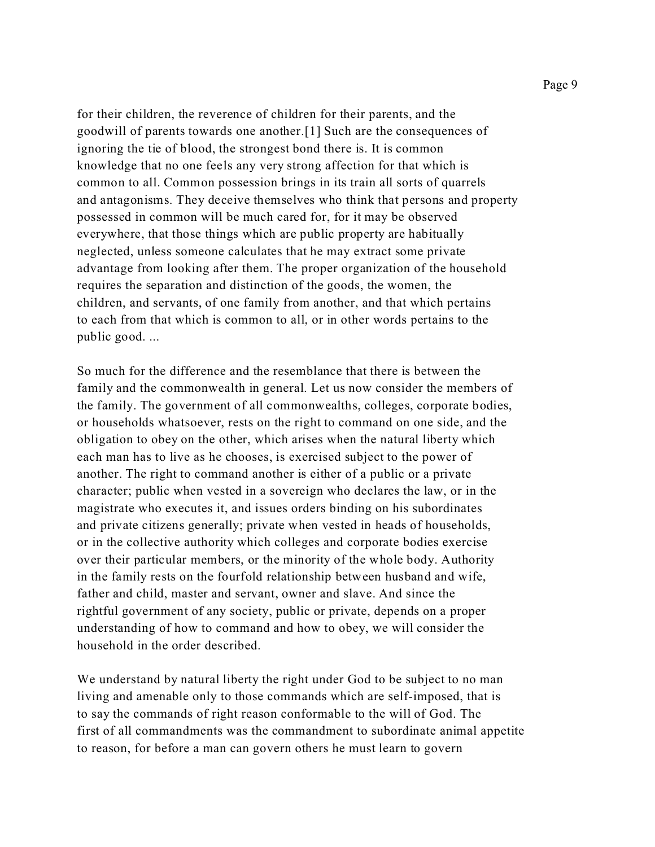for their children, the reverence of children for their parents, and the goodwill of parents towards one another.[1] Such are the consequences of ignoring the tie of blood, the strongest bond there is. It is common knowledge that no one feels any very strong affection for that which is common to all. Common possession brings in its train all sorts of quarrels and antagonisms. They deceive themselves who think that persons and property possessed in common will be much cared for, for it may be observed everywhere, that those things which are public property are habitually neglected, unless someone calculates that he may extract some private advantage from looking after them. The proper organization of the household requires the separation and distinction of the goods, the women, the children, and servants, of one family from another, and that which pertains to each from that which is common to all, or in other words pertains to the public good. ...

So much for the difference and the resemblance that there is between the family and the commonwealth in general. Let us now consider the members of the family. The government of all commonwealths, colleges, corporate bodies, or households whatsoever, rests on the right to command on one side, and the obligation to obey on the other, which arises when the natural liberty which each man has to live as he chooses, is exercised subject to the power of another. The right to command another is either of a public or a private character; public when vested in a sovereign who declares the law, or in the magistrate who executes it, and issues orders binding on his subordinates and private citizens generally; private when vested in heads of households, or in the collective authority which colleges and corporate bodies exercise over their particular members, or the minority of the whole body. Authority in the family rests on the fourfold relationship between husband and wife, father and child, master and servant, owner and slave. And since the rightful government of any society, public or private, depends on a proper understanding of how to command and how to obey, we will consider the household in the order described.

We understand by natural liberty the right under God to be subject to no man living and amenable only to those commands which are self-imposed, that is to say the commands of right reason conformable to the will of God. The first of all commandments was the commandment to subordinate animal appetite to reason, for before a man can govern others he must learn to govern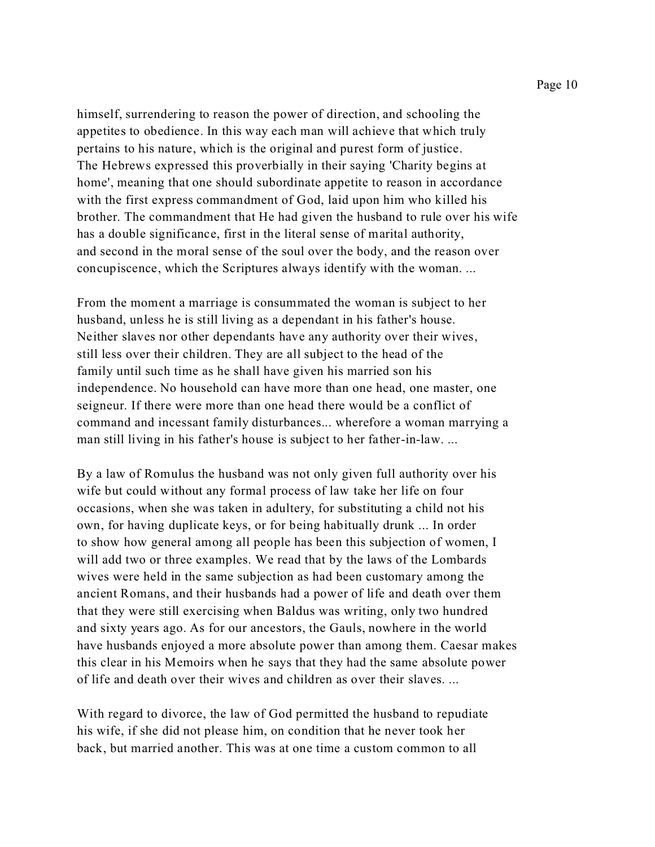himself, surrendering to reason the power of direction, and schooling the appetites to obedience. In this way each man will achieve that which truly pertains to his nature, which is the original and purest form of justice. The Hebrews expressed this proverbially in their saying 'Charity begins at home', meaning that one should subordinate appetite to reason in accordance with the first express commandment of God, laid upon him who killed his brother. The commandment that He had given the husband to rule over his wife has a double significance, first in the literal sense of marital authority, and second in the moral sense of the soul over the body, and the reason over concupiscence, which the Scriptures always identify with the woman. ...

From the moment a marriage is consummated the woman is subject to her husband, unless he is still living as a dependant in his father's house. Neither slaves nor other dependants have any authority over their wives, still less over their children. They are all subject to the head of the family until such time as he shall have given his married son his independence. No household can have more than one head, one master, one seigneur. If there were more than one head there would be a conflict of command and incessant family disturbances... wherefore a woman marrying a man still living in his father's house is subject to her father-in-law. ...

By a law of Romulus the husband was not only given full authority over his wife but could without any formal process of law take her life on four occasions, when she was taken in adultery, for substituting a child not his own, for having duplicate keys, or for being habitually drunk ... In order to show how general among all people has been this subjection of women, I will add two or three examples. We read that by the laws of the Lombards wives were held in the same subjection as had been customary among the ancient Romans, and their husbands had a power of life and death over them that they were still exercising when Baldus was writing, only two hundred and sixty years ago. As for our ancestors, the Gauls, nowhere in the world have husbands enjoyed a more absolute power than among them. Caesar makes this clear in his Memoirs when he says that they had the same absolute power of life and death over their wives and children as over their slaves. ...

With regard to divorce, the law of God permitted the husband to repudiate his wife, if she did not please him, on condition that he never took her back, but married another. This was at one time a custom common to all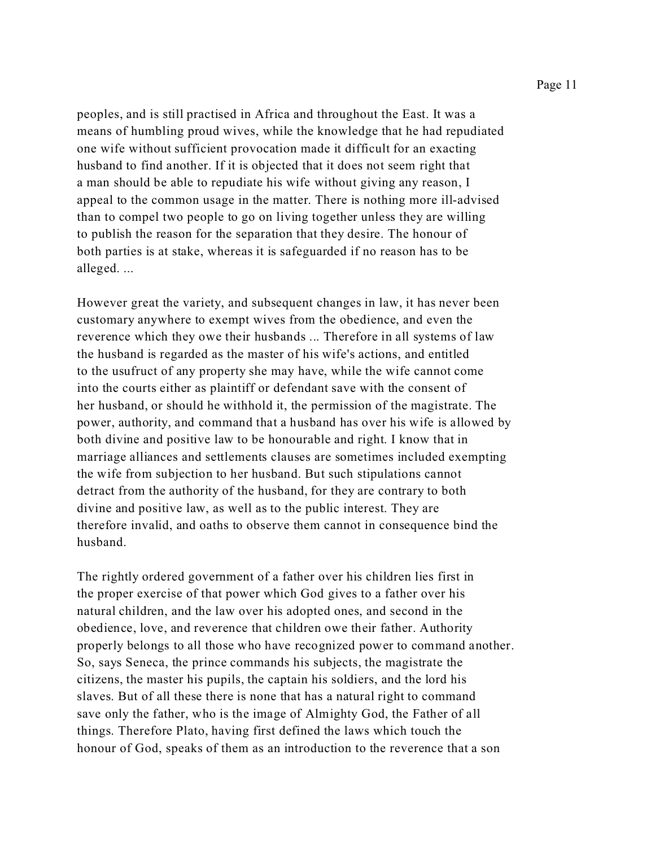peoples, and is still practised in Africa and throughout the East. It was a means of humbling proud wives, while the knowledge that he had repudiated one wife without sufficient provocation made it difficult for an exacting husband to find another. If it is objected that it does not seem right that a man should be able to repudiate his wife without giving any reason, I appeal to the common usage in the matter. There is nothing more ill-advised than to compel two people to go on living together unless they are willing to publish the reason for the separation that they desire. The honour of both parties is at stake, whereas it is safeguarded if no reason has to be alleged. ...

However great the variety, and subsequent changes in law, it has never been customary anywhere to exempt wives from the obedience, and even the reverence which they owe their husbands ... Therefore in all systems of law the husband is regarded as the master of his wife's actions, and entitled to the usufruct of any property she may have, while the wife cannot come into the courts either as plaintiff or defendant save with the consent of her husband, or should he withhold it, the permission of the magistrate. The power, authority, and command that a husband has over his wife is allowed by both divine and positive law to be honourable and right. I know that in marriage alliances and settlements clauses are sometimes included exempting the wife from subjection to her husband. But such stipulations cannot detract from the authority of the husband, for they are contrary to both divine and positive law, as well as to the public interest. They are therefore invalid, and oaths to observe them cannot in consequence bind the husband.

The rightly ordered government of a father over his children lies first in the proper exercise of that power which God gives to a father over his natural children, and the law over his adopted ones, and second in the obedience, love, and reverence that children owe their father. Authority properly belongs to all those who have recognized power to command another. So, says Seneca, the prince commands his subjects, the magistrate the citizens, the master his pupils, the captain his soldiers, and the lord his slaves. But of all these there is none that has a natural right to command save only the father, who is the image of Almighty God, the Father of all things. Therefore Plato, having first defined the laws which touch the honour of God, speaks of them as an introduction to the reverence that a son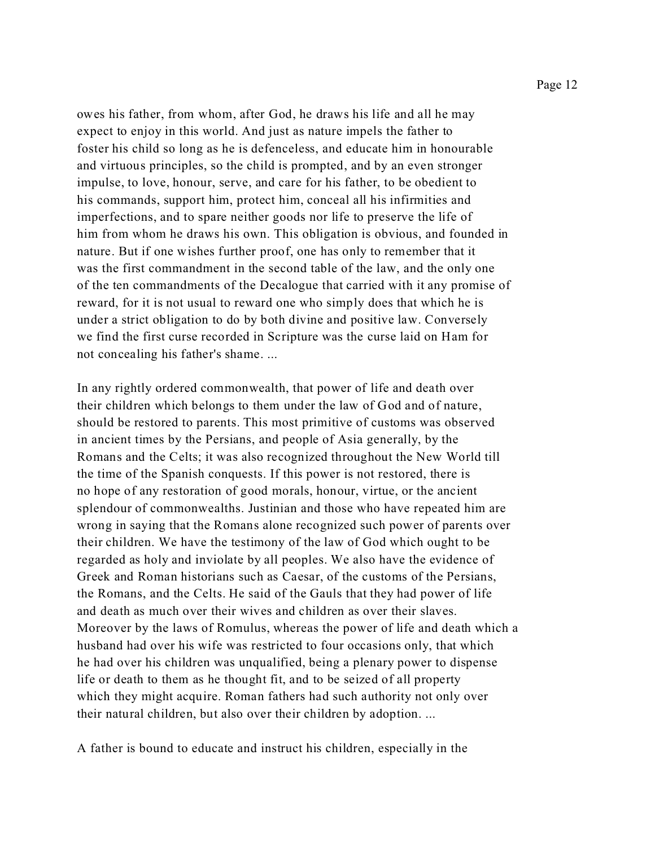Page 12

owes his father, from whom, after God, he draws his life and all he may expect to enjoy in this world. And just as nature impels the father to foster his child so long as he is defenceless, and educate him in honourable and virtuous principles, so the child is prompted, and by an even stronger impulse, to love, honour, serve, and care for his father, to be obedient to his commands, support him, protect him, conceal all his infirmities and imperfections, and to spare neither goods nor life to preserve the life of him from whom he draws his own. This obligation is obvious, and founded in nature. But if one wishes further proof, one has only to remember that it was the first commandment in the second table of the law, and the only one of the ten commandments of the Decalogue that carried with it any promise of reward, for it is not usual to reward one who simply does that which he is under a strict obligation to do by both divine and positive law. Conversely we find the first curse recorded in Scripture was the curse laid on Ham for not concealing his father's shame. ...

In any rightly ordered commonwealth, that power of life and death over their children which belongs to them under the law of God and of nature, should be restored to parents. This most primitive of customs was observed in ancient times by the Persians, and people of Asia generally, by the Romans and the Celts; it was also recognized throughout the New World till the time of the Spanish conquests. If this power is not restored, there is no hope of any restoration of good morals, honour, virtue, or the ancient splendour of commonwealths. Justinian and those who have repeated him are wrong in saying that the Romans alone recognized such power of parents over their children. We have the testimony of the law of God which ought to be regarded as holy and inviolate by all peoples. We also have the evidence of Greek and Roman historians such as Caesar, of the customs of the Persians, the Romans, and the Celts. He said of the Gauls that they had power of life and death as much over their wives and children as over their slaves. Moreover by the laws of Romulus, whereas the power of life and death which a husband had over his wife was restricted to four occasions only, that which he had over his children was unqualified, being a plenary power to dispense life or death to them as he thought fit, and to be seized of all property which they might acquire. Roman fathers had such authority not only over their natural children, but also over their children by adoption. ...

A father is bound to educate and instruct his children, especially in the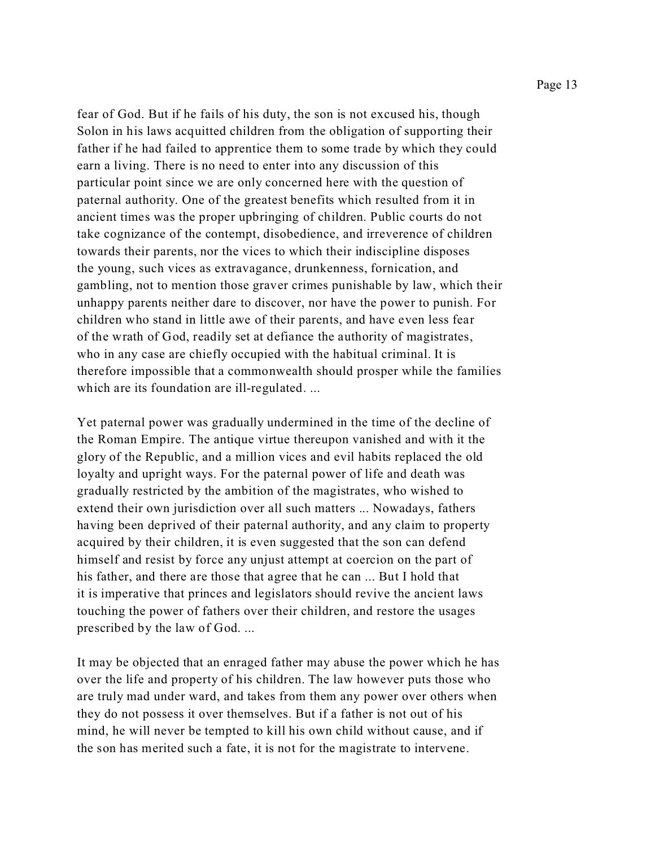fear of God. But if he fails of his duty, the son is not excused his, though Solon in his laws acquitted children from the obligation of supporting their father if he had failed to apprentice them to some trade by which they could earn a living. There is no need to enter into any discussion of this particular point since we are only concerned here with the question of paternal authority. One of the greatest benefits which resulted from it in ancient times was the proper upbringing of children. Public courts do not take cognizance of the contempt, disobedience, and irreverence of children towards their parents, nor the vices to which their indiscipline disposes the young, such vices as extravagance, drunkenness, fornication, and gambling, not to mention those graver crimes punishable by law, which their unhappy parents neither dare to discover, nor have the power to punish. For children who stand in little awe of their parents, and have even less fear of the wrath of God, readily set at defiance the authority of magistrates, who in any case are chiefly occupied with the habitual criminal. It is therefore impossible that a commonwealth should prosper while the families which are its foundation are ill-regulated. ...

Yet paternal power was gradually undermined in the time of the decline of the Roman Empire. The antique virtue thereupon vanished and with it the glory of the Republic, and a million vices and evil habits replaced the old loyalty and upright ways. For the paternal power of life and death was gradually restricted by the ambition of the magistrates, who wished to extend their own jurisdiction over all such matters ... Nowadays, fathers having been deprived of their paternal authority, and any claim to property acquired by their children, it is even suggested that the son can defend himself and resist by force any unjust attempt at coercion on the part of his father, and there are those that agree that he can ... But I hold that it is imperative that princes and legislators should revive the ancient laws touching the power of fathers over their children, and restore the usages prescribed by the law of God. ...

It may be objected that an enraged father may abuse the power which he has over the life and property of his children. The law however puts those who are truly mad under ward, and takes from them any power over others when they do not possess it over themselves. But if a father is not out of his mind, he will never be tempted to kill his own child without cause, and if the son has merited such a fate, it is not for the magistrate to intervene.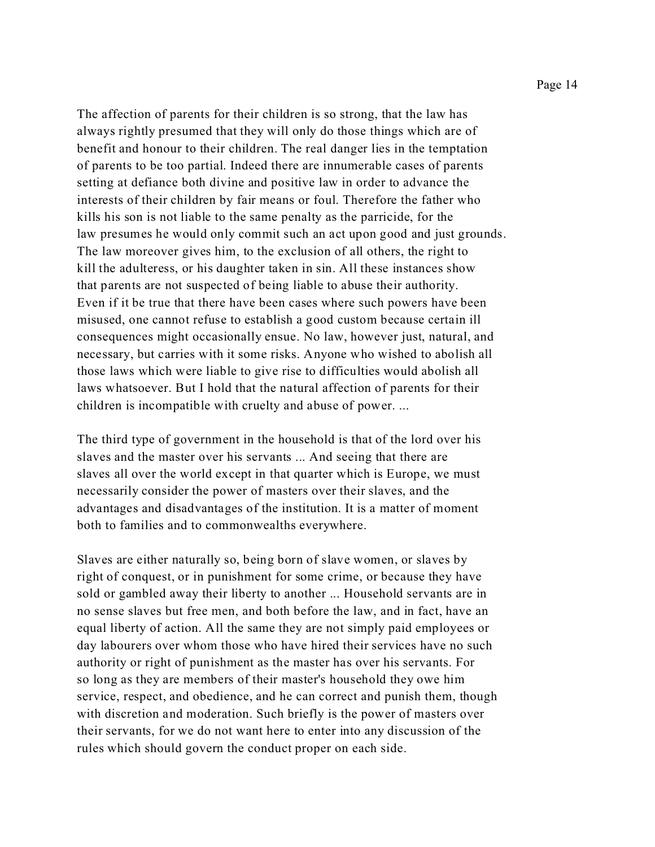Page 14

The affection of parents for their children is so strong, that the law has always rightly presumed that they will only do those things which are of benefit and honour to their children. The real danger lies in the temptation of parents to be too partial. Indeed there are innumerable cases of parents setting at defiance both divine and positive law in order to advance the interests of their children by fair means or foul. Therefore the father who kills his son is not liable to the same penalty as the parricide, for the law presumes he would only commit such an act upon good and just grounds. The law moreover gives him, to the exclusion of all others, the right to kill the adulteress, or his daughter taken in sin. All these instances show that parents are not suspected of being liable to abuse their authority. Even if it be true that there have been cases where such powers have been misused, one cannot refuse to establish a good custom because certain ill consequences might occasionally ensue. No law, however just, natural, and necessary, but carries with it some risks. Anyone who wished to abolish all those laws which were liable to give rise to difficulties would abolish all laws whatsoever. But I hold that the natural affection of parents for their children is incompatible with cruelty and abuse of power. ...

The third type of government in the household is that of the lord over his slaves and the master over his servants ... And seeing that there are slaves all over the world except in that quarter which is Europe, we must necessarily consider the power of masters over their slaves, and the advantages and disadvantages of the institution. It is a matter of moment both to families and to commonwealths everywhere.

Slaves are either naturally so, being born of slave women, or slaves by right of conquest, or in punishment for some crime, or because they have sold or gambled away their liberty to another ... Household servants are in no sense slaves but free men, and both before the law, and in fact, have an equal liberty of action. All the same they are not simply paid employees or day labourers over whom those who have hired their services have no such authority or right of punishment as the master has over his servants. For so long as they are members of their master's household they owe him service, respect, and obedience, and he can correct and punish them, though with discretion and moderation. Such briefly is the power of masters over their servants, for we do not want here to enter into any discussion of the rules which should govern the conduct proper on each side.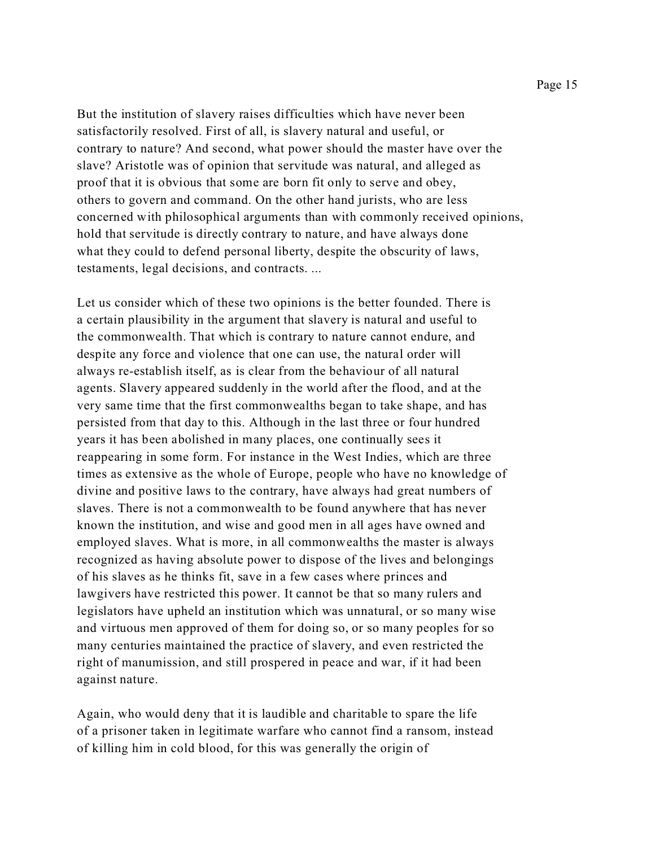But the institution of slavery raises difficulties which have never been satisfactorily resolved. First of all, is slavery natural and useful, or contrary to nature? And second, what power should the master have over the slave? Aristotle was of opinion that servitude was natural, and alleged as proof that it is obvious that some are born fit only to serve and obey, others to govern and command. On the other hand jurists, who are less concerned with philosophical arguments than with commonly received opinions, hold that servitude is directly contrary to nature, and have always done what they could to defend personal liberty, despite the obscurity of laws, testaments, legal decisions, and contracts. ...

Let us consider which of these two opinions is the better founded. There is a certain plausibility in the argument that slavery is natural and useful to the commonwealth. That which is contrary to nature cannot endure, and despite any force and violence that one can use, the natural order will always re-establish itself, as is clear from the behaviour of all natural agents. Slavery appeared suddenly in the world after the flood, and at the very same time that the first commonwealths began to take shape, and has persisted from that day to this. Although in the last three or four hundred years it has been abolished in many places, one continually sees it reappearing in some form. For instance in the West Indies, which are three times as extensive as the whole of Europe, people who have no knowledge of divine and positive laws to the contrary, have always had great numbers of slaves. There is not a commonwealth to be found anywhere that has never known the institution, and wise and good men in all ages have owned and employed slaves. What is more, in all commonwealths the master is always recognized as having absolute power to dispose of the lives and belongings of his slaves as he thinks fit, save in a few cases where princes and lawgivers have restricted this power. It cannot be that so many rulers and legislators have upheld an institution which was unnatural, or so many wise and virtuous men approved of them for doing so, or so many peoples for so many centuries maintained the practice of slavery, and even restricted the right of manumission, and still prospered in peace and war, if it had been against nature.

Again, who would deny that it is laudible and charitable to spare the life of a prisoner taken in legitimate warfare who cannot find a ransom, instead of killing him in cold blood, for this was generally the origin of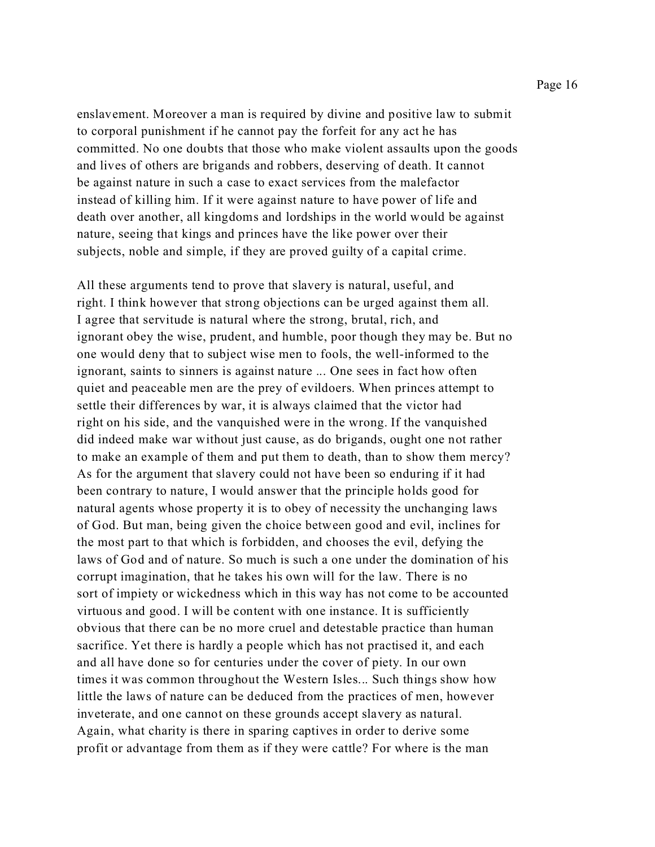enslavement. Moreover a man is required by divine and positive law to submit to corporal punishment if he cannot pay the forfeit for any act he has committed. No one doubts that those who make violent assaults upon the goods and lives of others are brigands and robbers, deserving of death. It cannot be against nature in such a case to exact services from the malefactor instead of killing him. If it were against nature to have power of life and death over another, all kingdoms and lordships in the world would be against nature, seeing that kings and princes have the like power over their subjects, noble and simple, if they are proved guilty of a capital crime.

All these arguments tend to prove that slavery is natural, useful, and right. I think however that strong objections can be urged against them all. I agree that servitude is natural where the strong, brutal, rich, and ignorant obey the wise, prudent, and humble, poor though they may be. But no one would deny that to subject wise men to fools, the well-informed to the ignorant, saints to sinners is against nature ... One sees in fact how often quiet and peaceable men are the prey of evildoers. When princes attempt to settle their differences by war, it is always claimed that the victor had right on his side, and the vanquished were in the wrong. If the vanquished did indeed make war without just cause, as do brigands, ought one not rather to make an example of them and put them to death, than to show them mercy? As for the argument that slavery could not have been so enduring if it had been contrary to nature, I would answer that the principle holds good for natural agents whose property it is to obey of necessity the unchanging laws of God. But man, being given the choice between good and evil, inclines for the most part to that which is forbidden, and chooses the evil, defying the laws of God and of nature. So much is such a one under the domination of his corrupt imagination, that he takes his own will for the law. There is no sort of impiety or wickedness which in this way has not come to be accounted virtuous and good. I will be content with one instance. It is sufficiently obvious that there can be no more cruel and detestable practice than human sacrifice. Yet there is hardly a people which has not practised it, and each and all have done so for centuries under the cover of piety. In our own times it was common throughout the Western Isles... Such things show how little the laws of nature can be deduced from the practices of men, however inveterate, and one cannot on these grounds accept slavery as natural. Again, what charity is there in sparing captives in order to derive some profit or advantage from them as if they were cattle? For where is the man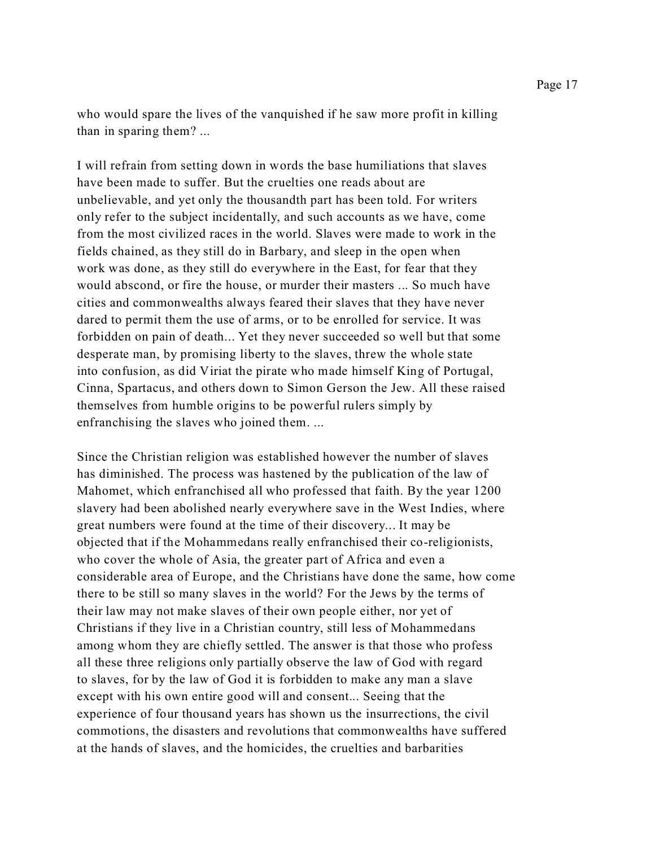who would spare the lives of the vanquished if he saw more profit in killing than in sparing them? ...

I will refrain from setting down in words the base humiliations that slaves have been made to suffer. But the cruelties one reads about are unbelievable, and yet only the thousandth part has been told. For writers only refer to the subject incidentally, and such accounts as we have, come from the most civilized races in the world. Slaves were made to work in the fields chained, as they still do in Barbary, and sleep in the open when work was done, as they still do everywhere in the East, for fear that they would abscond, or fire the house, or murder their masters ... So much have cities and commonwealths always feared their slaves that they have never dared to permit them the use of arms, or to be enrolled for service. It was forbidden on pain of death... Yet they never succeeded so well but that some desperate man, by promising liberty to the slaves, threw the whole state into confusion, as did Viriat the pirate who made himself King of Portugal, Cinna, Spartacus, and others down to Simon Gerson the Jew. All these raised themselves from humble origins to be powerful rulers simply by enfranchising the slaves who joined them. ...

Since the Christian religion was established however the number of slaves has diminished. The process was hastened by the publication of the law of Mahomet, which enfranchised all who professed that faith. By the year 1200 slavery had been abolished nearly everywhere save in the West Indies, where great numbers were found at the time of their discovery... It may be objected that if the Mohammedans really enfranchised their co-religionists, who cover the whole of Asia, the greater part of Africa and even a considerable area of Europe, and the Christians have done the same, how come there to be still so many slaves in the world? For the Jews by the terms of their law may not make slaves of their own people either, nor yet of Christians if they live in a Christian country, still less of Mohammedans among whom they are chiefly settled. The answer is that those who profess all these three religions only partially observe the law of God with regard to slaves, for by the law of God it is forbidden to make any man a slave except with his own entire good will and consent... Seeing that the experience of four thousand years has shown us the insurrections, the civil commotions, the disasters and revolutions that commonwealths have suffered at the hands of slaves, and the homicides, the cruelties and barbarities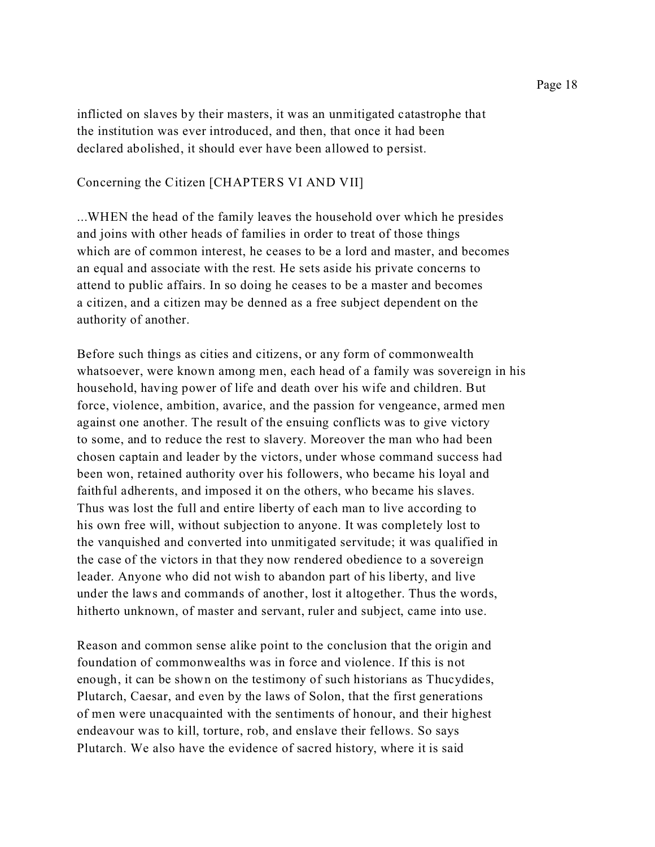inflicted on slaves by their masters, it was an unmitigated catastrophe that the institution was ever introduced, and then, that once it had been declared abolished, it should ever have been allowed to persist.

## Concerning the Citizen [CHAPTERS VI AND VII]

...WHEN the head of the family leaves the household over which he presides and joins with other heads of families in order to treat of those things which are of common interest, he ceases to be a lord and master, and becomes an equal and associate with the rest. He sets aside his private concerns to attend to public affairs. In so doing he ceases to be a master and becomes a citizen, and a citizen may be denned as a free subject dependent on the authority of another.

Before such things as cities and citizens, or any form of commonwealth whatsoever, were known among men, each head of a family was sovereign in his household, having power of life and death over his wife and children. But force, violence, ambition, avarice, and the passion for vengeance, armed men against one another. The result of the ensuing conflicts was to give victory to some, and to reduce the rest to slavery. Moreover the man who had been chosen captain and leader by the victors, under whose command success had been won, retained authority over his followers, who became his loyal and faithful adherents, and imposed it on the others, who became his slaves. Thus was lost the full and entire liberty of each man to live according to his own free will, without subjection to anyone. It was completely lost to the vanquished and converted into unmitigated servitude; it was qualified in the case of the victors in that they now rendered obedience to a sovereign leader. Anyone who did not wish to abandon part of his liberty, and live under the laws and commands of another, lost it altogether. Thus the words, hitherto unknown, of master and servant, ruler and subject, came into use.

Reason and common sense alike point to the conclusion that the origin and foundation of commonwealths was in force and violence. If this is not enough, it can be shown on the testimony of such historians as Thucydides, Plutarch, Caesar, and even by the laws of Solon, that the first generations of men were unacquainted with the sentiments of honour, and their highest endeavour was to kill, torture, rob, and enslave their fellows. So says Plutarch. We also have the evidence of sacred history, where it is said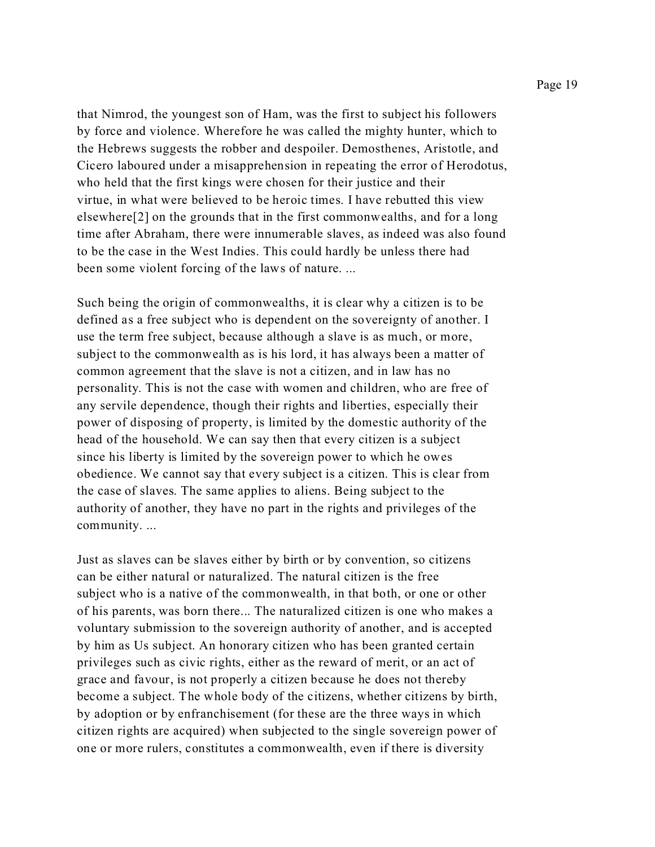that Nimrod, the youngest son of Ham, was the first to subject his followers by force and violence. Wherefore he was called the mighty hunter, which to the Hebrews suggests the robber and despoiler. Demosthenes, Aristotle, and Cicero laboured under a misapprehension in repeating the error of Herodotus, who held that the first kings were chosen for their justice and their virtue, in what were believed to be heroic times. I have rebutted this view elsewhere[2] on the grounds that in the first commonwealths, and for a long time after Abraham, there were innumerable slaves, as indeed was also found to be the case in the West Indies. This could hardly be unless there had been some violent forcing of the laws of nature. ...

Such being the origin of commonwealths, it is clear why a citizen is to be defined as a free subject who is dependent on the sovereignty of another. I use the term free subject, because although a slave is as much, or more, subject to the commonwealth as is his lord, it has always been a matter of common agreement that the slave is not a citizen, and in law has no personality. This is not the case with women and children, who are free of any servile dependence, though their rights and liberties, especially their power of disposing of property, is limited by the domestic authority of the head of the household. We can say then that every citizen is a subject since his liberty is limited by the sovereign power to which he owes obedience. We cannot say that every subject is a citizen. This is clear from the case of slaves. The same applies to aliens. Being subject to the authority of another, they have no part in the rights and privileges of the community. ...

Just as slaves can be slaves either by birth or by convention, so citizens can be either natural or naturalized. The natural citizen is the free subject who is a native of the commonwealth, in that both, or one or other of his parents, was born there... The naturalized citizen is one who makes a voluntary submission to the sovereign authority of another, and is accepted by him as Us subject. An honorary citizen who has been granted certain privileges such as civic rights, either as the reward of merit, or an act of grace and favour, is not properly a citizen because he does not thereby become a subject. The whole body of the citizens, whether citizens by birth, by adoption or by enfranchisement (for these are the three ways in which citizen rights are acquired) when subjected to the single sovereign power of one or more rulers, constitutes a commonwealth, even if there is diversity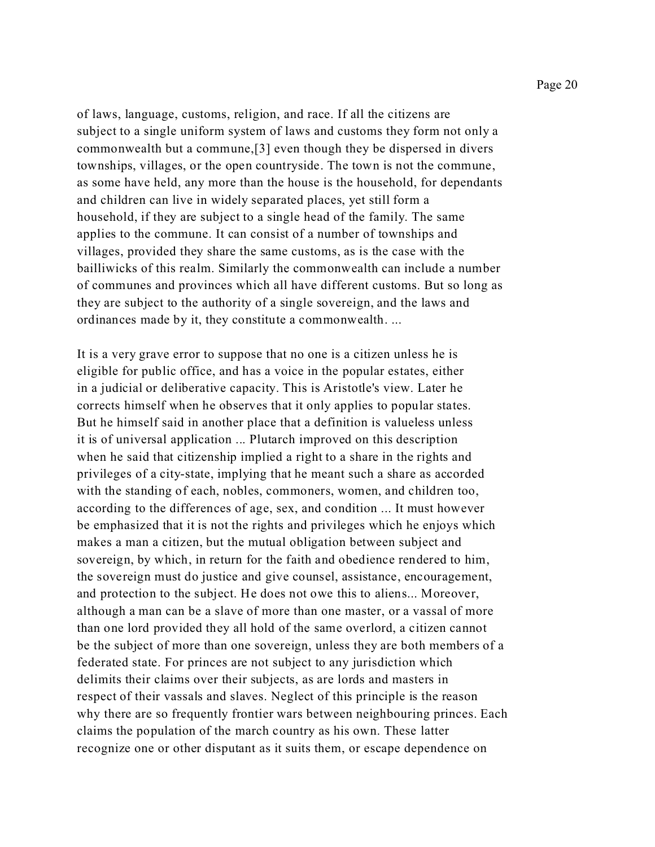of laws, language, customs, religion, and race. If all the citizens are subject to a single uniform system of laws and customs they form not only a commonwealth but a commune,[3] even though they be dispersed in divers townships, villages, or the open countryside. The town is not the commune, as some have held, any more than the house is the household, for dependants and children can live in widely separated places, yet still form a household, if they are subject to a single head of the family. The same applies to the commune. It can consist of a number of townships and villages, provided they share the same customs, as is the case with the bailliwicks of this realm. Similarly the commonwealth can include a number of communes and provinces which all have different customs. But so long as they are subject to the authority of a single sovereign, and the laws and ordinances made by it, they constitute a commonwealth. ...

It is a very grave error to suppose that no one is a citizen unless he is eligible for public office, and has a voice in the popular estates, either in a judicial or deliberative capacity. This is Aristotle's view. Later he corrects himself when he observes that it only applies to popular states. But he himself said in another place that a definition is valueless unless it is of universal application ... Plutarch improved on this description when he said that citizenship implied a right to a share in the rights and privileges of a city-state, implying that he meant such a share as accorded with the standing of each, nobles, commoners, women, and children too, according to the differences of age, sex, and condition ... It must however be emphasized that it is not the rights and privileges which he enjoys which makes a man a citizen, but the mutual obligation between subject and sovereign, by which, in return for the faith and obedience rendered to him, the sovereign must do justice and give counsel, assistance, encouragement, and protection to the subject. He does not owe this to aliens... Moreover, although a man can be a slave of more than one master, or a vassal of more than one lord provided they all hold of the same overlord, a citizen cannot be the subject of more than one sovereign, unless they are both members of a federated state. For princes are not subject to any jurisdiction which delimits their claims over their subjects, as are lords and masters in respect of their vassals and slaves. Neglect of this principle is the reason why there are so frequently frontier wars between neighbouring princes. Each claims the population of the march country as his own. These latter recognize one or other disputant as it suits them, or escape dependence on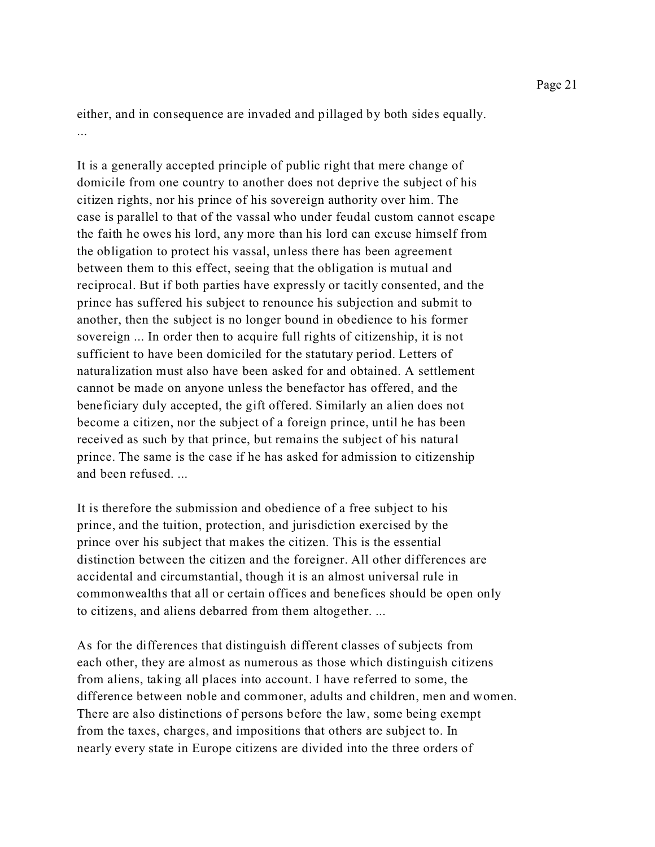either, and in consequence are invaded and pillaged by both sides equally. ...

It is a generally accepted principle of public right that mere change of domicile from one country to another does not deprive the subject of his citizen rights, nor his prince of his sovereign authority over him. The case is parallel to that of the vassal who under feudal custom cannot escape the faith he owes his lord, any more than his lord can excuse himself from the obligation to protect his vassal, unless there has been agreement between them to this effect, seeing that the obligation is mutual and reciprocal. But if both parties have expressly or tacitly consented, and the prince has suffered his subject to renounce his subjection and submit to another, then the subject is no longer bound in obedience to his former sovereign ... In order then to acquire full rights of citizenship, it is not sufficient to have been domiciled for the statutary period. Letters of naturalization must also have been asked for and obtained. A settlement cannot be made on anyone unless the benefactor has offered, and the beneficiary duly accepted, the gift offered. Similarly an alien does not become a citizen, nor the subject of a foreign prince, until he has been received as such by that prince, but remains the subject of his natural prince. The same is the case if he has asked for admission to citizenship and been refused. ...

It is therefore the submission and obedience of a free subject to his prince, and the tuition, protection, and jurisdiction exercised by the prince over his subject that makes the citizen. This is the essential distinction between the citizen and the foreigner. All other differences are accidental and circumstantial, though it is an almost universal rule in commonwealths that all or certain offices and benefices should be open only to citizens, and aliens debarred from them altogether. ...

As for the differences that distinguish different classes of subjects from each other, they are almost as numerous as those which distinguish citizens from aliens, taking all places into account. I have referred to some, the difference between noble and commoner, adults and children, men and women. There are also distinctions of persons before the law, some being exempt from the taxes, charges, and impositions that others are subject to. In nearly every state in Europe citizens are divided into the three orders of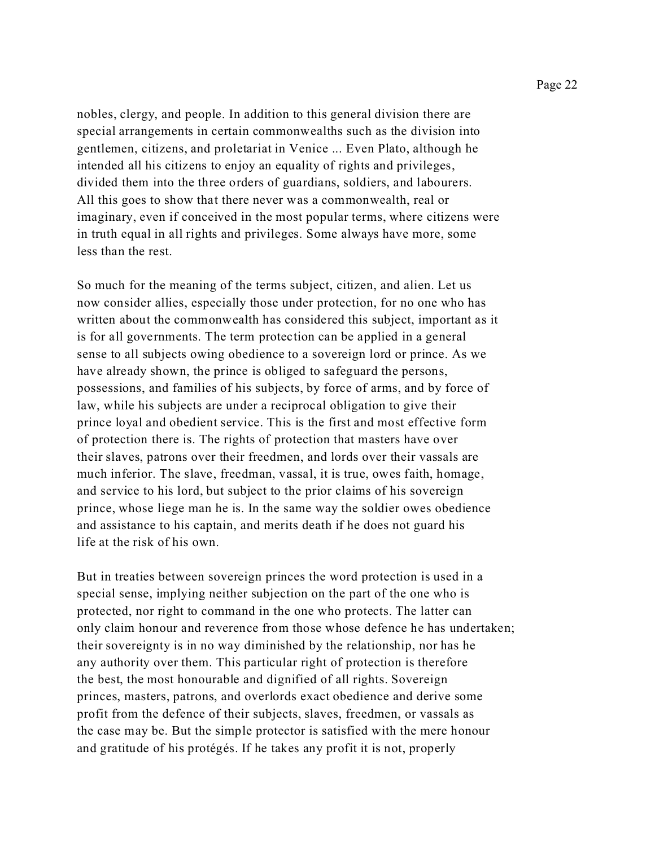nobles, clergy, and people. In addition to this general division there are special arrangements in certain commonwealths such as the division into gentlemen, citizens, and proletariat in Venice ... Even Plato, although he intended all his citizens to enjoy an equality of rights and privileges, divided them into the three orders of guardians, soldiers, and labourers. All this goes to show that there never was a commonwealth, real or imaginary, even if conceived in the most popular terms, where citizens were in truth equal in all rights and privileges. Some always have more, some less than the rest.

So much for the meaning of the terms subject, citizen, and alien. Let us now consider allies, especially those under protection, for no one who has written about the commonwealth has considered this subject, important as it is for all governments. The term protection can be applied in a general sense to all subjects owing obedience to a sovereign lord or prince. As we have already shown, the prince is obliged to safeguard the persons, possessions, and families of his subjects, by force of arms, and by force of law, while his subjects are under a reciprocal obligation to give their prince loyal and obedient service. This is the first and most effective form of protection there is. The rights of protection that masters have over their slaves, patrons over their freedmen, and lords over their vassals are much inferior. The slave, freedman, vassal, it is true, owes faith, homage, and service to his lord, but subject to the prior claims of his sovereign prince, whose liege man he is. In the same way the soldier owes obedience and assistance to his captain, and merits death if he does not guard his life at the risk of his own.

But in treaties between sovereign princes the word protection is used in a special sense, implying neither subjection on the part of the one who is protected, nor right to command in the one who protects. The latter can only claim honour and reverence from those whose defence he has undertaken; their sovereignty is in no way diminished by the relationship, nor has he any authority over them. This particular right of protection is therefore the best, the most honourable and dignified of all rights. Sovereign princes, masters, patrons, and overlords exact obedience and derive some profit from the defence of their subjects, slaves, freedmen, or vassals as the case may be. But the simple protector is satisfied with the mere honour and gratitude of his protégés. If he takes any profit it is not, properly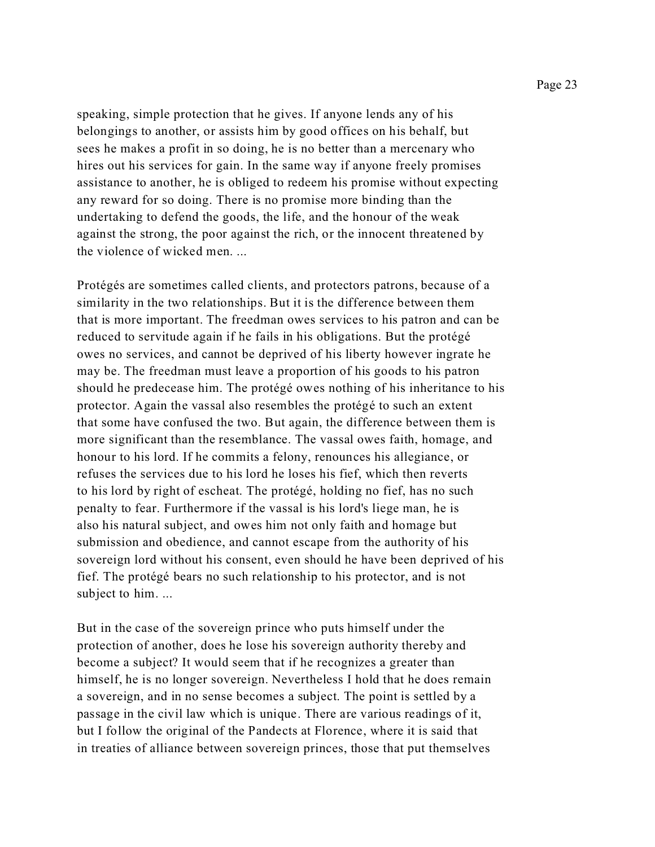speaking, simple protection that he gives. If anyone lends any of his belongings to another, or assists him by good offices on his behalf, but sees he makes a profit in so doing, he is no better than a mercenary who hires out his services for gain. In the same way if anyone freely promises assistance to another, he is obliged to redeem his promise without expecting any reward for so doing. There is no promise more binding than the undertaking to defend the goods, the life, and the honour of the weak against the strong, the poor against the rich, or the innocent threatened by the violence of wicked men. ...

Protégés are sometimes called clients, and protectors patrons, because of a similarity in the two relationships. But it is the difference between them that is more important. The freedman owes services to his patron and can be reduced to servitude again if he fails in his obligations. But the protégé owes no services, and cannot be deprived of his liberty however ingrate he may be. The freedman must leave a proportion of his goods to his patron should he predecease him. The protégé owes nothing of his inheritance to his protector. Again the vassal also resembles the protégé to such an extent that some have confused the two. But again, the difference between them is more significant than the resemblance. The vassal owes faith, homage, and honour to his lord. If he commits a felony, renounces his allegiance, or refuses the services due to his lord he loses his fief, which then reverts to his lord by right of escheat. The protégé, holding no fief, has no such penalty to fear. Furthermore if the vassal is his lord's liege man, he is also his natural subject, and owes him not only faith and homage but submission and obedience, and cannot escape from the authority of his sovereign lord without his consent, even should he have been deprived of his fief. The protégé bears no such relationship to his protector, and is not subject to him. ...

But in the case of the sovereign prince who puts himself under the protection of another, does he lose his sovereign authority thereby and become a subject? It would seem that if he recognizes a greater than himself, he is no longer sovereign. Nevertheless I hold that he does remain a sovereign, and in no sense becomes a subject. The point is settled by a passage in the civil law which is unique. There are various readings of it, but I follow the original of the Pandects at Florence, where it is said that in treaties of alliance between sovereign princes, those that put themselves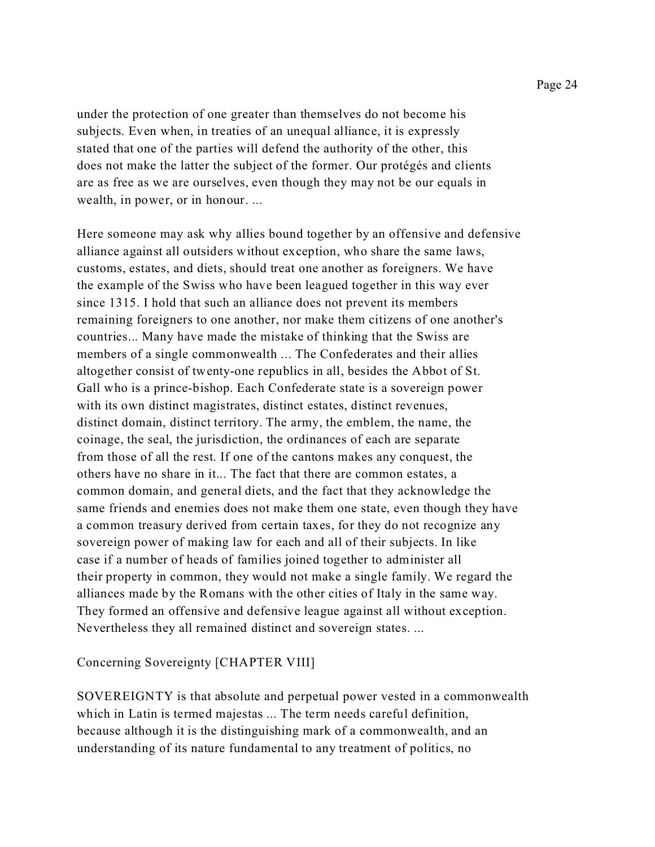under the protection of one greater than themselves do not become his subjects. Even when, in treaties of an unequal alliance, it is expressly stated that one of the parties will defend the authority of the other, this does not make the latter the subject of the former. Our protégés and clients are as free as we are ourselves, even though they may not be our equals in wealth, in power, or in honour. ...

Here someone may ask why allies bound together by an offensive and defensive alliance against all outsiders without exception, who share the same laws, customs, estates, and diets, should treat one another as foreigners. We have the example of the Swiss who have been leagued together in this way ever since 1315. I hold that such an alliance does not prevent its members remaining foreigners to one another, nor make them citizens of one another's countries... Many have made the mistake of thinking that the Swiss are members of a single commonwealth ... The Confederates and their allies altogether consist of twenty-one republics in all, besides the Abbot of St. Gall who is a prince-bishop. Each Confederate state is a sovereign power with its own distinct magistrates, distinct estates, distinct revenues, distinct domain, distinct territory. The army, the emblem, the name, the coinage, the seal, the jurisdiction, the ordinances of each are separate from those of all the rest. If one of the cantons makes any conquest, the others have no share in it... The fact that there are common estates, a common domain, and general diets, and the fact that they acknowledge the same friends and enemies does not make them one state, even though they have a common treasury derived from certain taxes, for they do not recognize any sovereign power of making law for each and all of their subjects. In like case if a number of heads of families joined together to administer all their property in common, they would not make a single family. We regard the alliances made by the Romans with the other cities of Italy in the same way. They formed an offensive and defensive league against all without exception. Nevertheless they all remained distinct and sovereign states. ...

## Concerning Sovereignty [CHAPTER VIII]

SOVEREIGNTY is that absolute and perpetual power vested in a commonwealth which in Latin is termed majestas ... The term needs careful definition, because although it is the distinguishing mark of a commonwealth, and an understanding of its nature fundamental to any treatment of politics, no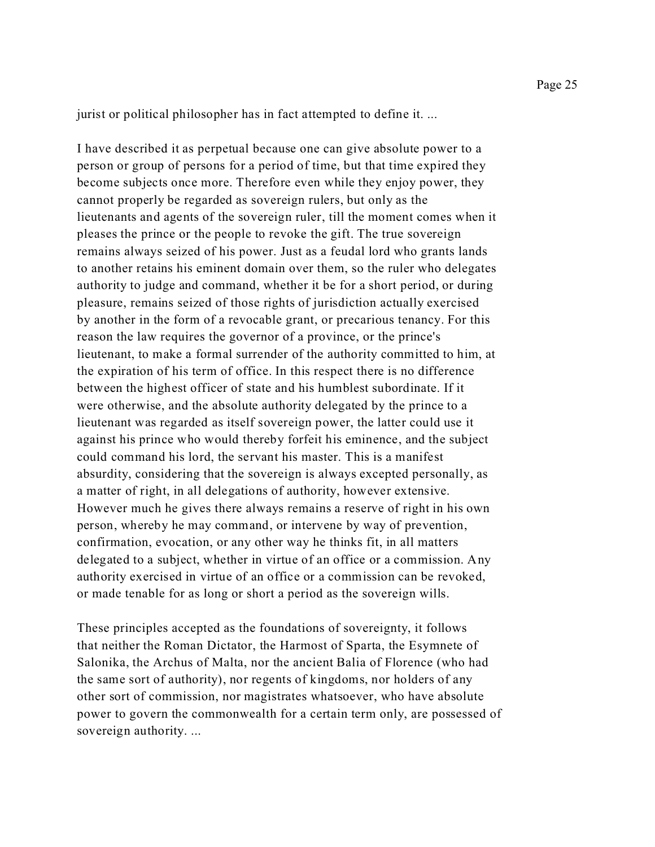jurist or political philosopher has in fact attempted to define it. ...

I have described it as perpetual because one can give absolute power to a person or group of persons for a period of time, but that time expired they become subjects once more. Therefore even while they enjoy power, they cannot properly be regarded as sovereign rulers, but only as the lieutenants and agents of the sovereign ruler, till the moment comes when it pleases the prince or the people to revoke the gift. The true sovereign remains always seized of his power. Just as a feudal lord who grants lands to another retains his eminent domain over them, so the ruler who delegates authority to judge and command, whether it be for a short period, or during pleasure, remains seized of those rights of jurisdiction actually exercised by another in the form of a revocable grant, or precarious tenancy. For this reason the law requires the governor of a province, or the prince's lieutenant, to make a formal surrender of the authority committed to him, at the expiration of his term of office. In this respect there is no difference between the highest officer of state and his humblest subordinate. If it were otherwise, and the absolute authority delegated by the prince to a lieutenant was regarded as itself sovereign power, the latter could use it against his prince who would thereby forfeit his eminence, and the subject could command his lord, the servant his master. This is a manifest absurdity, considering that the sovereign is always excepted personally, as a matter of right, in all delegations of authority, however extensive. However much he gives there always remains a reserve of right in his own person, whereby he may command, or intervene by way of prevention, confirmation, evocation, or any other way he thinks fit, in all matters delegated to a subject, whether in virtue of an office or a commission. Any authority exercised in virtue of an office or a commission can be revoked, or made tenable for as long or short a period as the sovereign wills.

These principles accepted as the foundations of sovereignty, it follows that neither the Roman Dictator, the Harmost of Sparta, the Esymnete of Salonika, the Archus of Malta, nor the ancient Balia of Florence (who had the same sort of authority), nor regents of kingdoms, nor holders of any other sort of commission, nor magistrates whatsoever, who have absolute power to govern the commonwealth for a certain term only, are possessed of sovereign authority. ...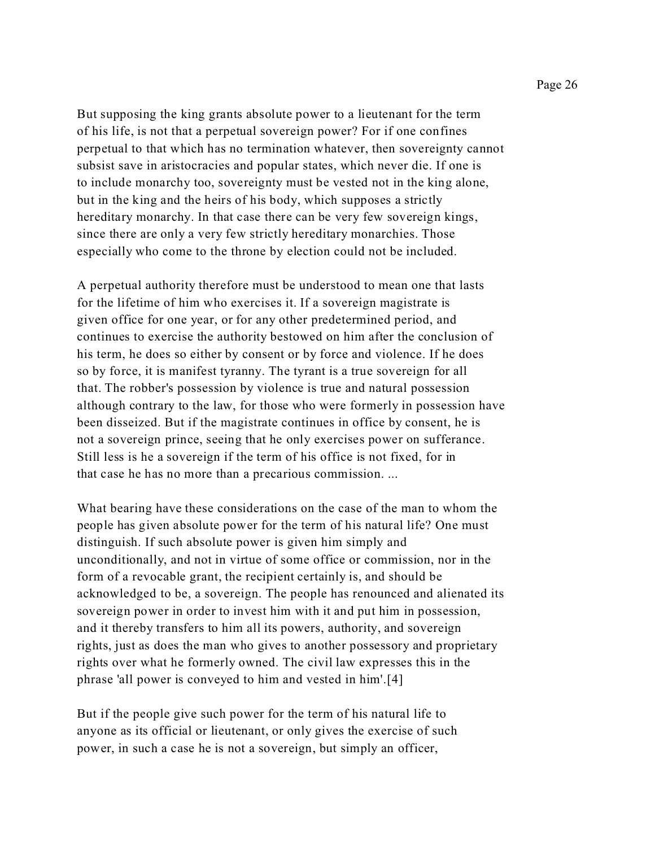But supposing the king grants absolute power to a lieutenant for the term of his life, is not that a perpetual sovereign power? For if one confines perpetual to that which has no termination whatever, then sovereignty cannot subsist save in aristocracies and popular states, which never die. If one is to include monarchy too, sovereignty must be vested not in the king alone, but in the king and the heirs of his body, which supposes a strictly hereditary monarchy. In that case there can be very few sovereign kings, since there are only a very few strictly hereditary monarchies. Those especially who come to the throne by election could not be included.

A perpetual authority therefore must be understood to mean one that lasts for the lifetime of him who exercises it. If a sovereign magistrate is given office for one year, or for any other predetermined period, and continues to exercise the authority bestowed on him after the conclusion of his term, he does so either by consent or by force and violence. If he does so by force, it is manifest tyranny. The tyrant is a true sovereign for all that. The robber's possession by violence is true and natural possession although contrary to the law, for those who were formerly in possession have been disseized. But if the magistrate continues in office by consent, he is not a sovereign prince, seeing that he only exercises power on sufferance. Still less is he a sovereign if the term of his office is not fixed, for in that case he has no more than a precarious commission. ...

What bearing have these considerations on the case of the man to whom the people has given absolute power for the term of his natural life? One must distinguish. If such absolute power is given him simply and unconditionally, and not in virtue of some office or commission, nor in the form of a revocable grant, the recipient certainly is, and should be acknowledged to be, a sovereign. The people has renounced and alienated its sovereign power in order to invest him with it and put him in possession, and it thereby transfers to him all its powers, authority, and sovereign rights, just as does the man who gives to another possessory and proprietary rights over what he formerly owned. The civil law expresses this in the phrase 'all power is conveyed to him and vested in him'.[4]

But if the people give such power for the term of his natural life to anyone as its official or lieutenant, or only gives the exercise of such power, in such a case he is not a sovereign, but simply an officer,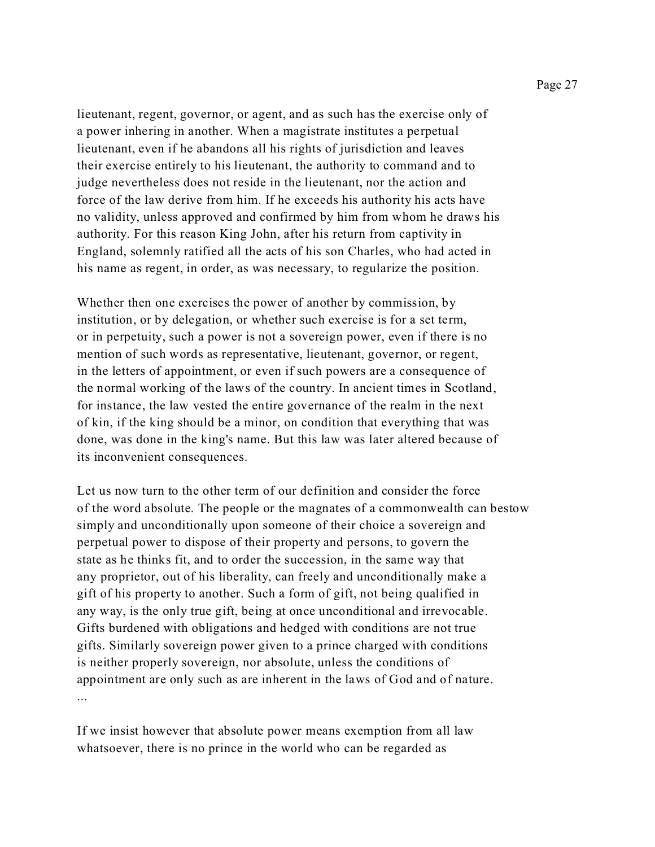lieutenant, regent, governor, or agent, and as such has the exercise only of a power inhering in another. When a magistrate institutes a perpetual lieutenant, even if he abandons all his rights of jurisdiction and leaves their exercise entirely to his lieutenant, the authority to command and to judge nevertheless does not reside in the lieutenant, nor the action and force of the law derive from him. If he exceeds his authority his acts have no validity, unless approved and confirmed by him from whom he draws his authority. For this reason King John, after his return from captivity in England, solemnly ratified all the acts of his son Charles, who had acted in his name as regent, in order, as was necessary, to regularize the position.

Whether then one exercises the power of another by commission, by institution, or by delegation, or whether such exercise is for a set term, or in perpetuity, such a power is not a sovereign power, even if there is no mention of such words as representative, lieutenant, governor, or regent, in the letters of appointment, or even if such powers are a consequence of the normal working of the laws of the country. In ancient times in Scotland, for instance, the law vested the entire governance of the realm in the next of kin, if the king should be a minor, on condition that everything that was done, was done in the king's name. But this law was later altered because of its inconvenient consequences.

Let us now turn to the other term of our definition and consider the force of the word absolute. The people or the magnates of a commonwealth can bestow simply and unconditionally upon someone of their choice a sovereign and perpetual power to dispose of their property and persons, to govern the state as he thinks fit, and to order the succession, in the same way that any proprietor, out of his liberality, can freely and unconditionally make a gift of his property to another. Such a form of gift, not being qualified in any way, is the only true gift, being at once unconditional and irrevocable. Gifts burdened with obligations and hedged with conditions are not true gifts. Similarly sovereign power given to a prince charged with conditions is neither properly sovereign, nor absolute, unless the conditions of appointment are only such as are inherent in the laws of God and of nature. ...

If we insist however that absolute power means exemption from all law whatsoever, there is no prince in the world who can be regarded as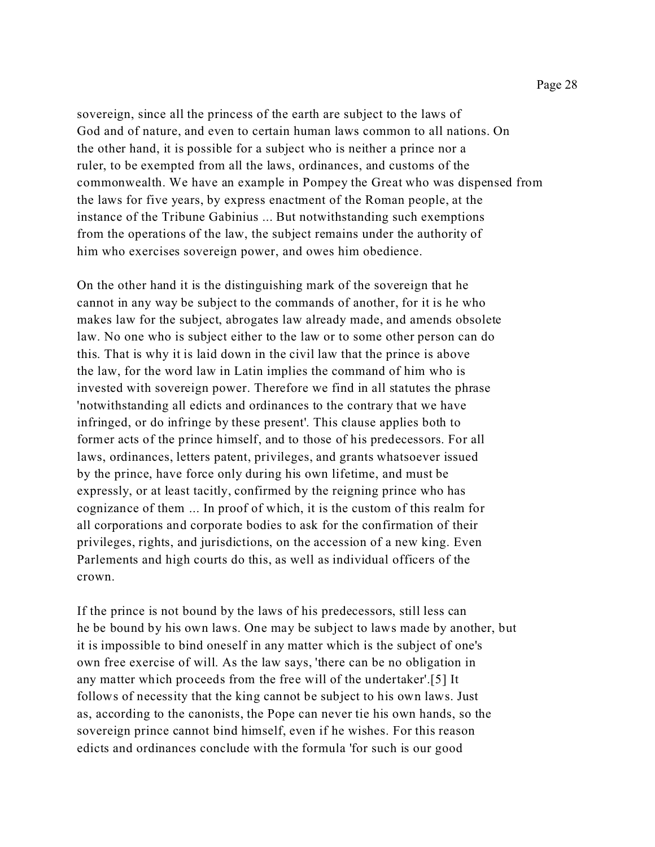sovereign, since all the princess of the earth are subject to the laws of God and of nature, and even to certain human laws common to all nations. On the other hand, it is possible for a subject who is neither a prince nor a ruler, to be exempted from all the laws, ordinances, and customs of the commonwealth. We have an example in Pompey the Great who was dispensed from the laws for five years, by express enactment of the Roman people, at the instance of the Tribune Gabinius ... But notwithstanding such exemptions from the operations of the law, the subject remains under the authority of him who exercises sovereign power, and owes him obedience.

On the other hand it is the distinguishing mark of the sovereign that he cannot in any way be subject to the commands of another, for it is he who makes law for the subject, abrogates law already made, and amends obsolete law. No one who is subject either to the law or to some other person can do this. That is why it is laid down in the civil law that the prince is above the law, for the word law in Latin implies the command of him who is invested with sovereign power. Therefore we find in all statutes the phrase 'notwithstanding all edicts and ordinances to the contrary that we have infringed, or do infringe by these present'. This clause applies both to former acts of the prince himself, and to those of his predecessors. For all laws, ordinances, letters patent, privileges, and grants whatsoever issued by the prince, have force only during his own lifetime, and must be expressly, or at least tacitly, confirmed by the reigning prince who has cognizance of them ... In proof of which, it is the custom of this realm for all corporations and corporate bodies to ask for the confirmation of their privileges, rights, and jurisdictions, on the accession of a new king. Even Parlements and high courts do this, as well as individual officers of the crown.

If the prince is not bound by the laws of his predecessors, still less can he be bound by his own laws. One may be subject to laws made by another, but it is impossible to bind oneself in any matter which is the subject of one's own free exercise of will. As the law says, 'there can be no obligation in any matter which proceeds from the free will of the undertaker'.[5] It follows of necessity that the king cannot be subject to his own laws. Just as, according to the canonists, the Pope can never tie his own hands, so the sovereign prince cannot bind himself, even if he wishes. For this reason edicts and ordinances conclude with the formula 'for such is our good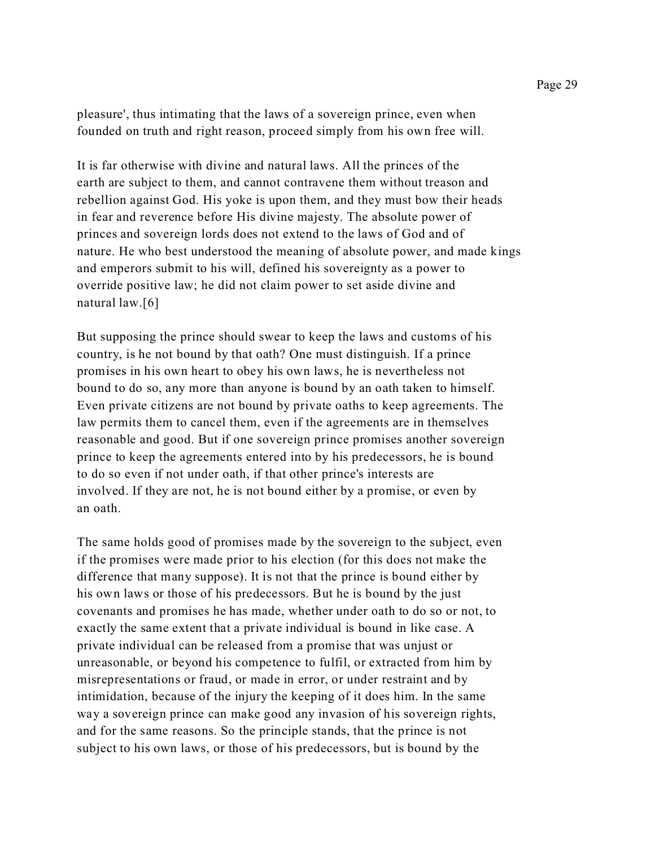pleasure', thus intimating that the laws of a sovereign prince, even when founded on truth and right reason, proceed simply from his own free will.

It is far otherwise with divine and natural laws. All the princes of the earth are subject to them, and cannot contravene them without treason and rebellion against God. His yoke is upon them, and they must bow their heads in fear and reverence before His divine majesty. The absolute power of princes and sovereign lords does not extend to the laws of God and of nature. He who best understood the meaning of absolute power, and made kings and emperors submit to his will, defined his sovereignty as a power to override positive law; he did not claim power to set aside divine and natural law.[6]

But supposing the prince should swear to keep the laws and customs of his country, is he not bound by that oath? One must distinguish. If a prince promises in his own heart to obey his own laws, he is nevertheless not bound to do so, any more than anyone is bound by an oath taken to himself. Even private citizens are not bound by private oaths to keep agreements. The law permits them to cancel them, even if the agreements are in themselves reasonable and good. But if one sovereign prince promises another sovereign prince to keep the agreements entered into by his predecessors, he is bound to do so even if not under oath, if that other prince's interests are involved. If they are not, he is not bound either by a promise, or even by an oath.

The same holds good of promises made by the sovereign to the subject, even if the promises were made prior to his election (for this does not make the difference that many suppose). It is not that the prince is bound either by his own laws or those of his predecessors. But he is bound by the just covenants and promises he has made, whether under oath to do so or not, to exactly the same extent that a private individual is bound in like case. A private individual can be released from a promise that was unjust or unreasonable, or beyond his competence to fulfil, or extracted from him by misrepresentations or fraud, or made in error, or under restraint and by intimidation, because of the injury the keeping of it does him. In the same way a sovereign prince can make good any invasion of his sovereign rights, and for the same reasons. So the principle stands, that the prince is not subject to his own laws, or those of his predecessors, but is bound by the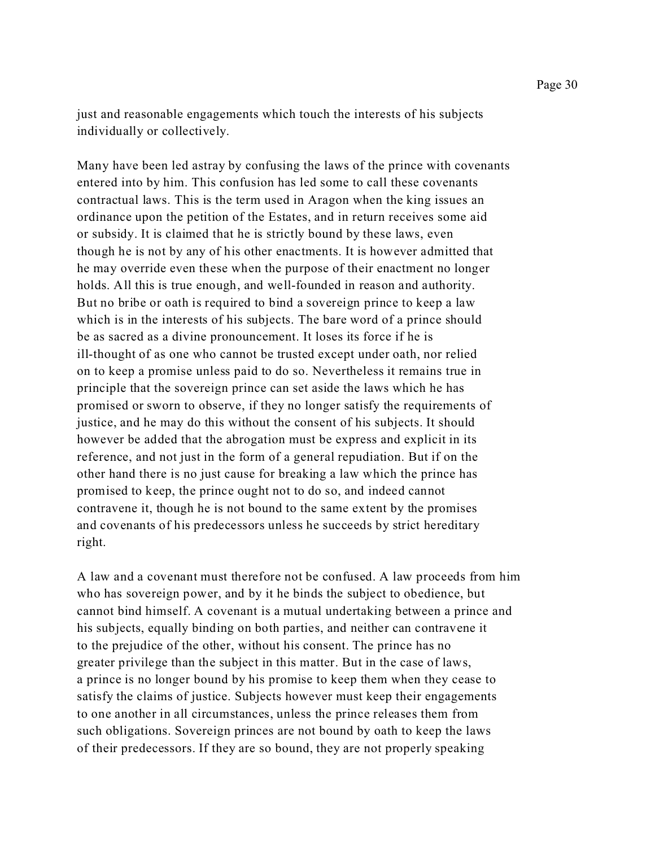just and reasonable engagements which touch the interests of his subjects individually or collectively.

Many have been led astray by confusing the laws of the prince with covenants entered into by him. This confusion has led some to call these covenants contractual laws. This is the term used in Aragon when the king issues an ordinance upon the petition of the Estates, and in return receives some aid or subsidy. It is claimed that he is strictly bound by these laws, even though he is not by any of his other enactments. It is however admitted that he may override even these when the purpose of their enactment no longer holds. All this is true enough, and well-founded in reason and authority. But no bribe or oath is required to bind a sovereign prince to keep a law which is in the interests of his subjects. The bare word of a prince should be as sacred as a divine pronouncement. It loses its force if he is ill-thought of as one who cannot be trusted except under oath, nor relied on to keep a promise unless paid to do so. Nevertheless it remains true in principle that the sovereign prince can set aside the laws which he has promised or sworn to observe, if they no longer satisfy the requirements of justice, and he may do this without the consent of his subjects. It should however be added that the abrogation must be express and explicit in its reference, and not just in the form of a general repudiation. But if on the other hand there is no just cause for breaking a law which the prince has promised to keep, the prince ought not to do so, and indeed cannot contravene it, though he is not bound to the same extent by the promises and covenants of his predecessors unless he succeeds by strict hereditary right.

A law and a covenant must therefore not be confused. A law proceeds from him who has sovereign power, and by it he binds the subject to obedience, but cannot bind himself. A covenant is a mutual undertaking between a prince and his subjects, equally binding on both parties, and neither can contravene it to the prejudice of the other, without his consent. The prince has no greater privilege than the subject in this matter. But in the case of laws, a prince is no longer bound by his promise to keep them when they cease to satisfy the claims of justice. Subjects however must keep their engagements to one another in all circumstances, unless the prince releases them from such obligations. Sovereign princes are not bound by oath to keep the laws of their predecessors. If they are so bound, they are not properly speaking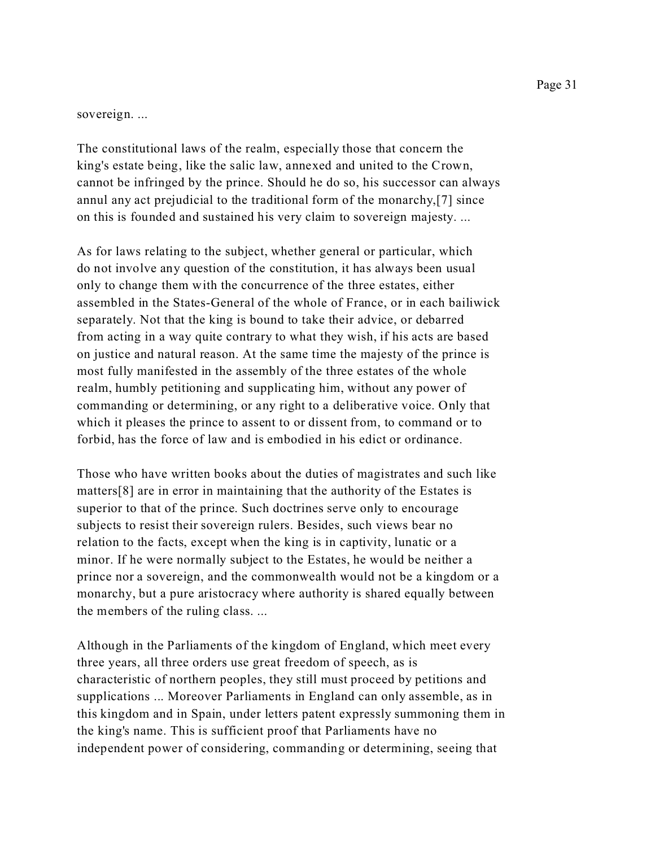sovereign. ...

The constitutional laws of the realm, especially those that concern the king's estate being, like the salic law, annexed and united to the Crown, cannot be infringed by the prince. Should he do so, his successor can always annul any act prejudicial to the traditional form of the monarchy,[7] since on this is founded and sustained his very claim to sovereign majesty. ...

As for laws relating to the subject, whether general or particular, which do not involve any question of the constitution, it has always been usual only to change them with the concurrence of the three estates, either assembled in the States-General of the whole of France, or in each bailiwick separately. Not that the king is bound to take their advice, or debarred from acting in a way quite contrary to what they wish, if his acts are based on justice and natural reason. At the same time the majesty of the prince is most fully manifested in the assembly of the three estates of the whole realm, humbly petitioning and supplicating him, without any power of commanding or determining, or any right to a deliberative voice. Only that which it pleases the prince to assent to or dissent from, to command or to forbid, has the force of law and is embodied in his edict or ordinance.

Those who have written books about the duties of magistrates and such like matters[8] are in error in maintaining that the authority of the Estates is superior to that of the prince. Such doctrines serve only to encourage subjects to resist their sovereign rulers. Besides, such views bear no relation to the facts, except when the king is in captivity, lunatic or a minor. If he were normally subject to the Estates, he would be neither a prince nor a sovereign, and the commonwealth would not be a kingdom or a monarchy, but a pure aristocracy where authority is shared equally between the members of the ruling class. ...

Although in the Parliaments of the kingdom of England, which meet every three years, all three orders use great freedom of speech, as is characteristic of northern peoples, they still must proceed by petitions and supplications ... Moreover Parliaments in England can only assemble, as in this kingdom and in Spain, under letters patent expressly summoning them in the king's name. This is sufficient proof that Parliaments have no independent power of considering, commanding or determining, seeing that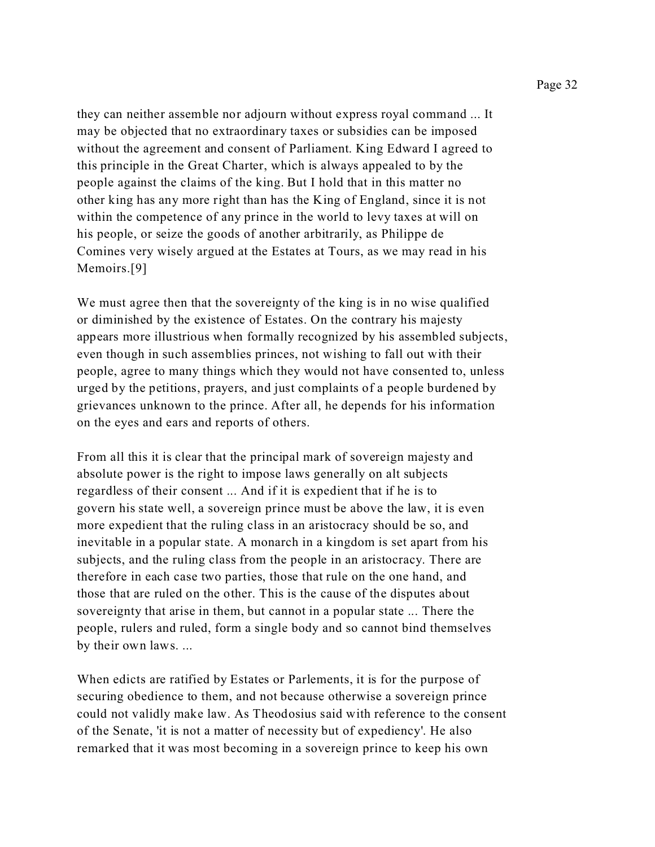they can neither assemble nor adjourn without express royal command ... It may be objected that no extraordinary taxes or subsidies can be imposed without the agreement and consent of Parliament. King Edward I agreed to this principle in the Great Charter, which is always appealed to by the people against the claims of the king. But I hold that in this matter no other king has any more right than has the King of England, since it is not within the competence of any prince in the world to levy taxes at will on his people, or seize the goods of another arbitrarily, as Philippe de Comines very wisely argued at the Estates at Tours, as we may read in his Memoirs.[9]

We must agree then that the sovereignty of the king is in no wise qualified or diminished by the existence of Estates. On the contrary his majesty appears more illustrious when formally recognized by his assembled subjects, even though in such assemblies princes, not wishing to fall out with their people, agree to many things which they would not have consented to, unless urged by the petitions, prayers, and just complaints of a people burdened by grievances unknown to the prince. After all, he depends for his information on the eyes and ears and reports of others.

From all this it is clear that the principal mark of sovereign majesty and absolute power is the right to impose laws generally on alt subjects regardless of their consent ... And if it is expedient that if he is to govern his state well, a sovereign prince must be above the law, it is even more expedient that the ruling class in an aristocracy should be so, and inevitable in a popular state. A monarch in a kingdom is set apart from his subjects, and the ruling class from the people in an aristocracy. There are therefore in each case two parties, those that rule on the one hand, and those that are ruled on the other. This is the cause of the disputes about sovereignty that arise in them, but cannot in a popular state ... There the people, rulers and ruled, form a single body and so cannot bind themselves by their own laws. ...

When edicts are ratified by Estates or Parlements, it is for the purpose of securing obedience to them, and not because otherwise a sovereign prince could not validly make law. As Theodosius said with reference to the consent of the Senate, 'it is not a matter of necessity but of expediency'. He also remarked that it was most becoming in a sovereign prince to keep his own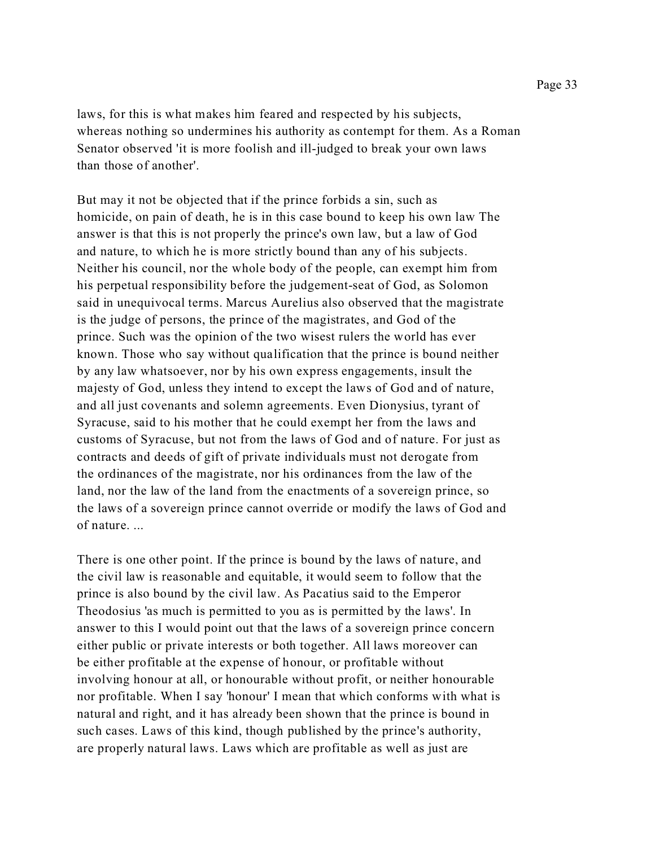laws, for this is what makes him feared and respected by his subjects, whereas nothing so undermines his authority as contempt for them. As a Roman Senator observed 'it is more foolish and ill-judged to break your own laws than those of another'.

But may it not be objected that if the prince forbids a sin, such as homicide, on pain of death, he is in this case bound to keep his own law The answer is that this is not properly the prince's own law, but a law of God and nature, to which he is more strictly bound than any of his subjects. Neither his council, nor the whole body of the people, can exempt him from his perpetual responsibility before the judgement-seat of God, as Solomon said in unequivocal terms. Marcus Aurelius also observed that the magistrate is the judge of persons, the prince of the magistrates, and God of the prince. Such was the opinion of the two wisest rulers the world has ever known. Those who say without qualification that the prince is bound neither by any law whatsoever, nor by his own express engagements, insult the majesty of God, unless they intend to except the laws of God and of nature, and all just covenants and solemn agreements. Even Dionysius, tyrant of Syracuse, said to his mother that he could exempt her from the laws and customs of Syracuse, but not from the laws of God and of nature. For just as contracts and deeds of gift of private individuals must not derogate from the ordinances of the magistrate, nor his ordinances from the law of the land, nor the law of the land from the enactments of a sovereign prince, so the laws of a sovereign prince cannot override or modify the laws of God and of nature. ...

There is one other point. If the prince is bound by the laws of nature, and the civil law is reasonable and equitable, it would seem to follow that the prince is also bound by the civil law. As Pacatius said to the Emperor Theodosius 'as much is permitted to you as is permitted by the laws'. In answer to this I would point out that the laws of a sovereign prince concern either public or private interests or both together. All laws moreover can be either profitable at the expense of honour, or profitable without involving honour at all, or honourable without profit, or neither honourable nor profitable. When I say 'honour' I mean that which conforms with what is natural and right, and it has already been shown that the prince is bound in such cases. Laws of this kind, though published by the prince's authority, are properly natural laws. Laws which are profitable as well as just are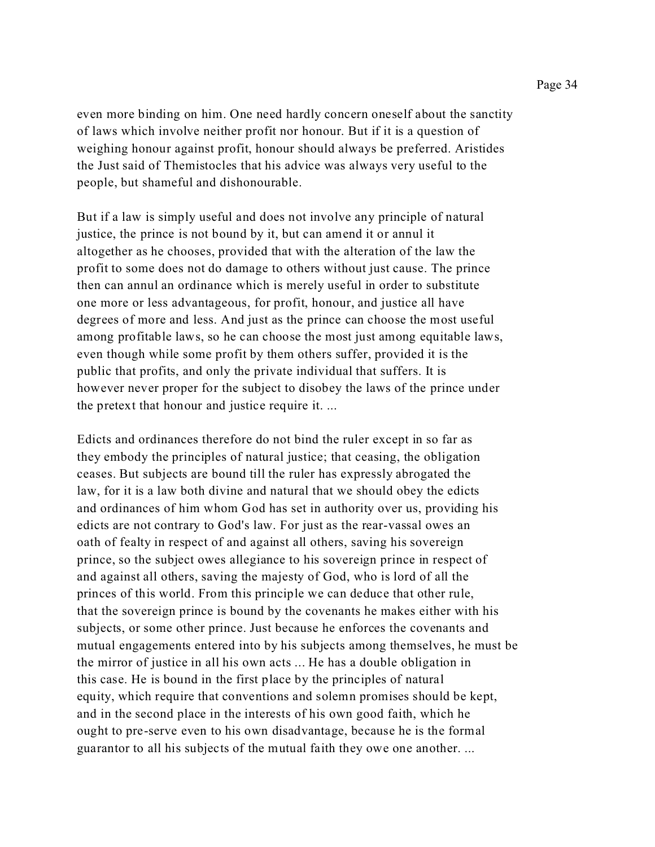even more binding on him. One need hardly concern oneself about the sanctity of laws which involve neither profit nor honour. But if it is a question of weighing honour against profit, honour should always be preferred. Aristides the Just said of Themistocles that his advice was always very useful to the people, but shameful and dishonourable.

But if a law is simply useful and does not involve any principle of natural justice, the prince is not bound by it, but can amend it or annul it altogether as he chooses, provided that with the alteration of the law the profit to some does not do damage to others without just cause. The prince then can annul an ordinance which is merely useful in order to substitute one more or less advantageous, for profit, honour, and justice all have degrees of more and less. And just as the prince can choose the most useful among profitable laws, so he can choose the most just among equitable laws, even though while some profit by them others suffer, provided it is the public that profits, and only the private individual that suffers. It is however never proper for the subject to disobey the laws of the prince under the pretext that honour and justice require it. ...

Edicts and ordinances therefore do not bind the ruler except in so far as they embody the principles of natural justice; that ceasing, the obligation ceases. But subjects are bound till the ruler has expressly abrogated the law, for it is a law both divine and natural that we should obey the edicts and ordinances of him whom God has set in authority over us, providing his edicts are not contrary to God's law. For just as the rear-vassal owes an oath of fealty in respect of and against all others, saving his sovereign prince, so the subject owes allegiance to his sovereign prince in respect of and against all others, saving the majesty of God, who is lord of all the princes of this world. From this principle we can deduce that other rule, that the sovereign prince is bound by the covenants he makes either with his subjects, or some other prince. Just because he enforces the covenants and mutual engagements entered into by his subjects among themselves, he must be the mirror of justice in all his own acts ... He has a double obligation in this case. He is bound in the first place by the principles of natural equity, which require that conventions and solemn promises should be kept, and in the second place in the interests of his own good faith, which he ought to pre-serve even to his own disadvantage, because he is the formal guarantor to all his subjects of the mutual faith they owe one another. ...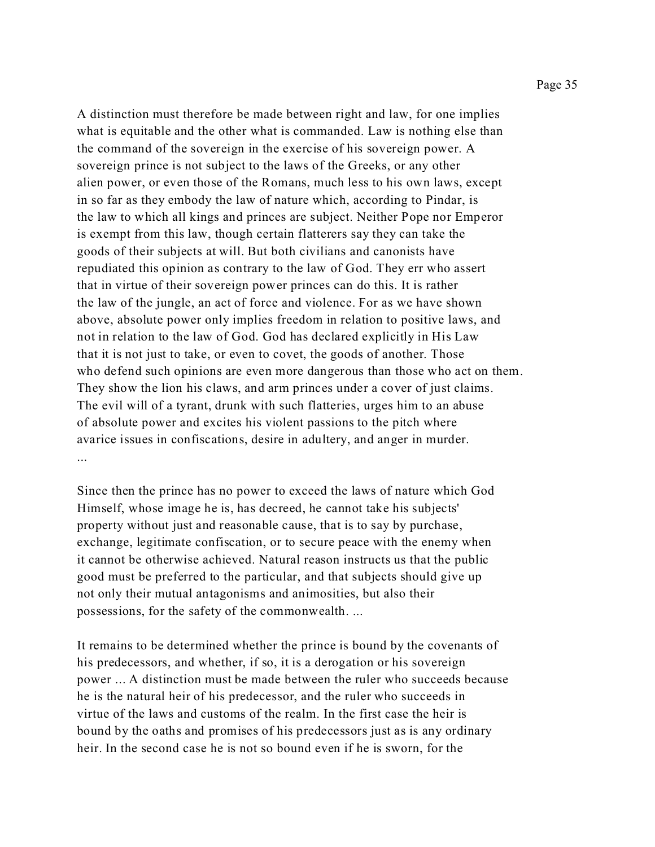Page 35

A distinction must therefore be made between right and law, for one implies what is equitable and the other what is commanded. Law is nothing else than the command of the sovereign in the exercise of his sovereign power. A sovereign prince is not subject to the laws of the Greeks, or any other alien power, or even those of the Romans, much less to his own laws, except in so far as they embody the law of nature which, according to Pindar, is the law to which all kings and princes are subject. Neither Pope nor Emperor is exempt from this law, though certain flatterers say they can take the goods of their subjects at will. But both civilians and canonists have repudiated this opinion as contrary to the law of God. They err who assert that in virtue of their sovereign power princes can do this. It is rather the law of the jungle, an act of force and violence. For as we have shown above, absolute power only implies freedom in relation to positive laws, and not in relation to the law of God. God has declared explicitly in His Law that it is not just to take, or even to covet, the goods of another. Those who defend such opinions are even more dangerous than those who act on them. They show the lion his claws, and arm princes under a cover of just claims. The evil will of a tyrant, drunk with such flatteries, urges him to an abuse of absolute power and excites his violent passions to the pitch where avarice issues in confiscations, desire in adultery, and anger in murder. ...

Since then the prince has no power to exceed the laws of nature which God Himself, whose image he is, has decreed, he cannot take his subjects' property without just and reasonable cause, that is to say by purchase, exchange, legitimate confiscation, or to secure peace with the enemy when it cannot be otherwise achieved. Natural reason instructs us that the public good must be preferred to the particular, and that subjects should give up not only their mutual antagonisms and animosities, but also their possessions, for the safety of the commonwealth. ...

It remains to be determined whether the prince is bound by the covenants of his predecessors, and whether, if so, it is a derogation or his sovereign power ... A distinction must be made between the ruler who succeeds because he is the natural heir of his predecessor, and the ruler who succeeds in virtue of the laws and customs of the realm. In the first case the heir is bound by the oaths and promises of his predecessors just as is any ordinary heir. In the second case he is not so bound even if he is sworn, for the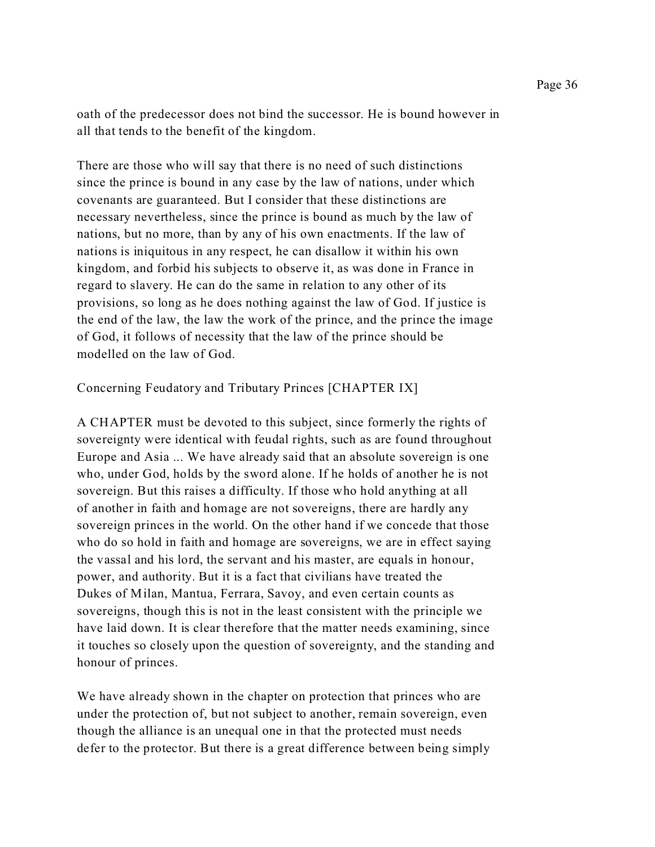oath of the predecessor does not bind the successor. He is bound however in all that tends to the benefit of the kingdom.

There are those who will say that there is no need of such distinctions since the prince is bound in any case by the law of nations, under which covenants are guaranteed. But I consider that these distinctions are necessary nevertheless, since the prince is bound as much by the law of nations, but no more, than by any of his own enactments. If the law of nations is iniquitous in any respect, he can disallow it within his own kingdom, and forbid his subjects to observe it, as was done in France in regard to slavery. He can do the same in relation to any other of its provisions, so long as he does nothing against the law of God. If justice is the end of the law, the law the work of the prince, and the prince the image of God, it follows of necessity that the law of the prince should be modelled on the law of God.

## Concerning Feudatory and Tributary Princes [CHAPTER IX]

A CHAPTER must be devoted to this subject, since formerly the rights of sovereignty were identical with feudal rights, such as are found throughout Europe and Asia ... We have already said that an absolute sovereign is one who, under God, holds by the sword alone. If he holds of another he is not sovereign. But this raises a difficulty. If those who hold anything at all of another in faith and homage are not sovereigns, there are hardly any sovereign princes in the world. On the other hand if we concede that those who do so hold in faith and homage are sovereigns, we are in effect saying the vassal and his lord, the servant and his master, are equals in honour, power, and authority. But it is a fact that civilians have treated the Dukes of Milan, Mantua, Ferrara, Savoy, and even certain counts as sovereigns, though this is not in the least consistent with the principle we have laid down. It is clear therefore that the matter needs examining, since it touches so closely upon the question of sovereignty, and the standing and honour of princes.

We have already shown in the chapter on protection that princes who are under the protection of, but not subject to another, remain sovereign, even though the alliance is an unequal one in that the protected must needs defer to the protector. But there is a great difference between being simply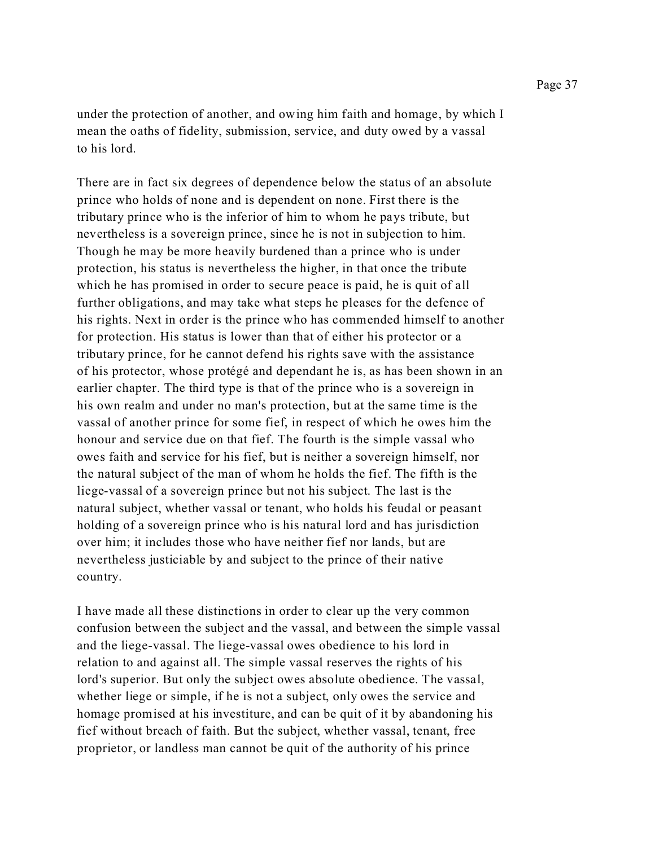under the protection of another, and owing him faith and homage, by which I mean the oaths of fidelity, submission, service, and duty owed by a vassal to his lord.

There are in fact six degrees of dependence below the status of an absolute prince who holds of none and is dependent on none. First there is the tributary prince who is the inferior of him to whom he pays tribute, but nevertheless is a sovereign prince, since he is not in subjection to him. Though he may be more heavily burdened than a prince who is under protection, his status is nevertheless the higher, in that once the tribute which he has promised in order to secure peace is paid, he is quit of all further obligations, and may take what steps he pleases for the defence of his rights. Next in order is the prince who has commended himself to another for protection. His status is lower than that of either his protector or a tributary prince, for he cannot defend his rights save with the assistance of his protector, whose protégé and dependant he is, as has been shown in an earlier chapter. The third type is that of the prince who is a sovereign in his own realm and under no man's protection, but at the same time is the vassal of another prince for some fief, in respect of which he owes him the honour and service due on that fief. The fourth is the simple vassal who owes faith and service for his fief, but is neither a sovereign himself, nor the natural subject of the man of whom he holds the fief. The fifth is the liege-vassal of a sovereign prince but not his subject. The last is the natural subject, whether vassal or tenant, who holds his feudal or peasant holding of a sovereign prince who is his natural lord and has jurisdiction over him; it includes those who have neither fief nor lands, but are nevertheless justiciable by and subject to the prince of their native country.

I have made all these distinctions in order to clear up the very common confusion between the subject and the vassal, and between the simple vassal and the liege-vassal. The liege-vassal owes obedience to his lord in relation to and against all. The simple vassal reserves the rights of his lord's superior. But only the subject owes absolute obedience. The vassal, whether liege or simple, if he is not a subject, only owes the service and homage promised at his investiture, and can be quit of it by abandoning his fief without breach of faith. But the subject, whether vassal, tenant, free proprietor, or landless man cannot be quit of the authority of his prince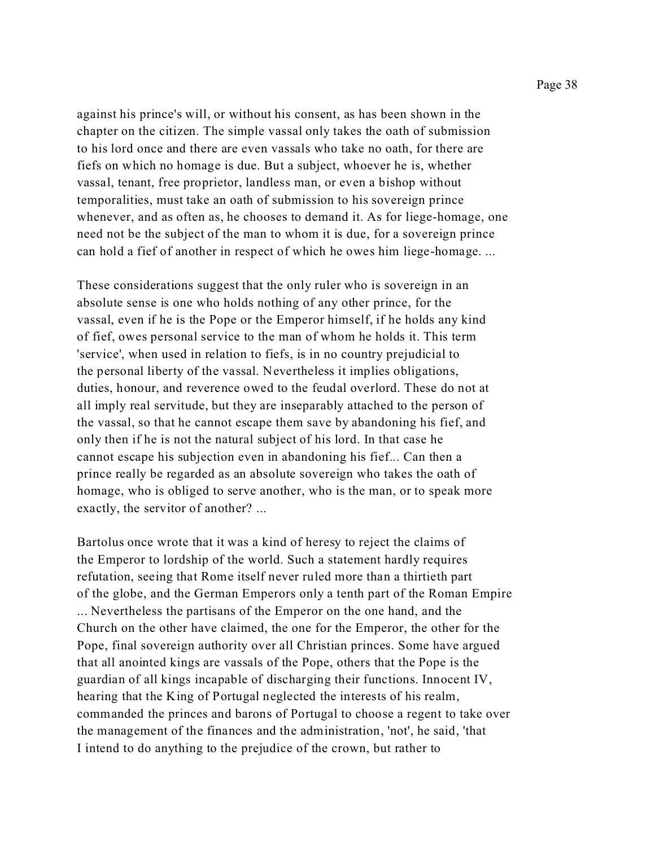against his prince's will, or without his consent, as has been shown in the chapter on the citizen. The simple vassal only takes the oath of submission to his lord once and there are even vassals who take no oath, for there are fiefs on which no homage is due. But a subject, whoever he is, whether vassal, tenant, free proprietor, landless man, or even a bishop without temporalities, must take an oath of submission to his sovereign prince whenever, and as often as, he chooses to demand it. As for liege-homage, one need not be the subject of the man to whom it is due, for a sovereign prince can hold a fief of another in respect of which he owes him liege-homage. ...

These considerations suggest that the only ruler who is sovereign in an absolute sense is one who holds nothing of any other prince, for the vassal, even if he is the Pope or the Emperor himself, if he holds any kind of fief, owes personal service to the man of whom he holds it. This term 'service', when used in relation to fiefs, is in no country prejudicial to the personal liberty of the vassal. Nevertheless it implies obligations, duties, honour, and reverence owed to the feudal overlord. These do not at all imply real servitude, but they are inseparably attached to the person of the vassal, so that he cannot escape them save by abandoning his fief, and only then if he is not the natural subject of his lord. In that case he cannot escape his subjection even in abandoning his fief... Can then a prince really be regarded as an absolute sovereign who takes the oath of homage, who is obliged to serve another, who is the man, or to speak more exactly, the servitor of another? ...

Bartolus once wrote that it was a kind of heresy to reject the claims of the Emperor to lordship of the world. Such a statement hardly requires refutation, seeing that Rome itself never ruled more than a thirtieth part of the globe, and the German Emperors only a tenth part of the Roman Empire ... Nevertheless the partisans of the Emperor on the one hand, and the Church on the other have claimed, the one for the Emperor, the other for the Pope, final sovereign authority over all Christian princes. Some have argued that all anointed kings are vassals of the Pope, others that the Pope is the guardian of all kings incapable of discharging their functions. Innocent IV, hearing that the King of Portugal neglected the interests of his realm, commanded the princes and barons of Portugal to choose a regent to take over the management of the finances and the administration, 'not', he said, 'that I intend to do anything to the prejudice of the crown, but rather to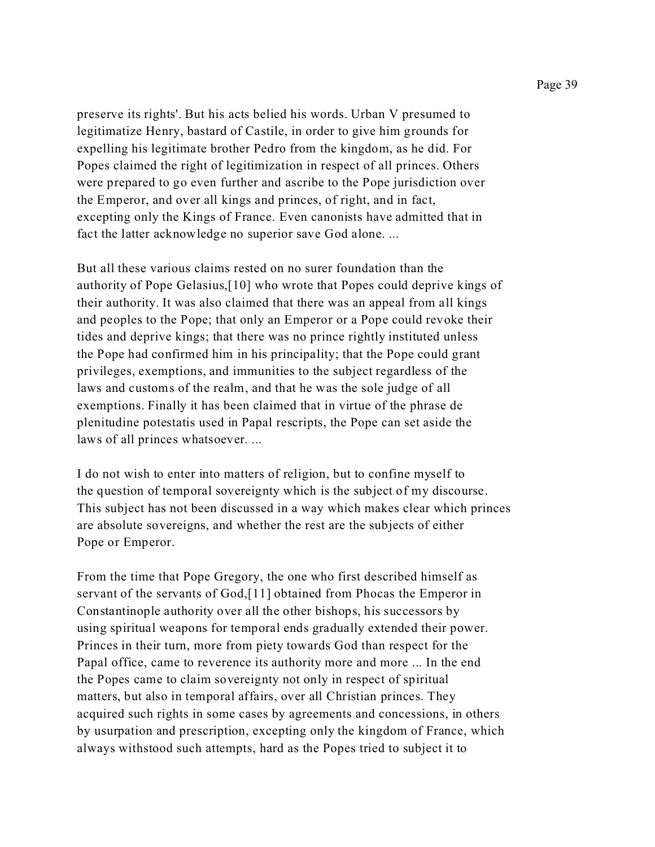preserve its rights'. But his acts belied his words. Urban V presumed to legitimatize Henry, bastard of Castile, in order to give him grounds for expelling his legitimate brother Pedro from the kingdom, as he did. For Popes claimed the right of legitimization in respect of all princes. Others were prepared to go even further and ascribe to the Pope jurisdiction over the Emperor, and over all kings and princes, of right, and in fact, excepting only the Kings of France. Even canonists have admitted that in fact the latter acknowledge no superior save God alone. ...

But all these various claims rested on no surer foundation than the authority of Pope Gelasius,[10] who wrote that Popes could deprive kings of their authority. It was also claimed that there was an appeal from all kings and peoples to the Pope; that only an Emperor or a Pope could revoke their tides and deprive kings; that there was no prince rightly instituted unless the Pope had confirmed him in his principality; that the Pope could grant privileges, exemptions, and immunities to the subject regardless of the laws and customs of the realm, and that he was the sole judge of all exemptions. Finally it has been claimed that in virtue of the phrase de plenitudine potestatis used in Papal rescripts, the Pope can set aside the laws of all princes whatsoever. ...

I do not wish to enter into matters of religion, but to confine myself to the question of temporal sovereignty which is the subject of my discourse. This subject has not been discussed in a way which makes clear which princes are absolute sovereigns, and whether the rest are the subjects of either Pope or Emperor.

From the time that Pope Gregory, the one who first described himself as servant of the servants of God,[11] obtained from Phocas the Emperor in Constantinople authority over all the other bishops, his successors by using spiritual weapons for temporal ends gradually extended their power. Princes in their turn, more from piety towards God than respect for the Papal office, came to reverence its authority more and more ... In the end the Popes came to claim sovereignty not only in respect of spiritual matters, but also in temporal affairs, over all Christian princes. They acquired such rights in some cases by agreements and concessions, in others by usurpation and prescription, excepting only the kingdom of France, which always withstood such attempts, hard as the Popes tried to subject it to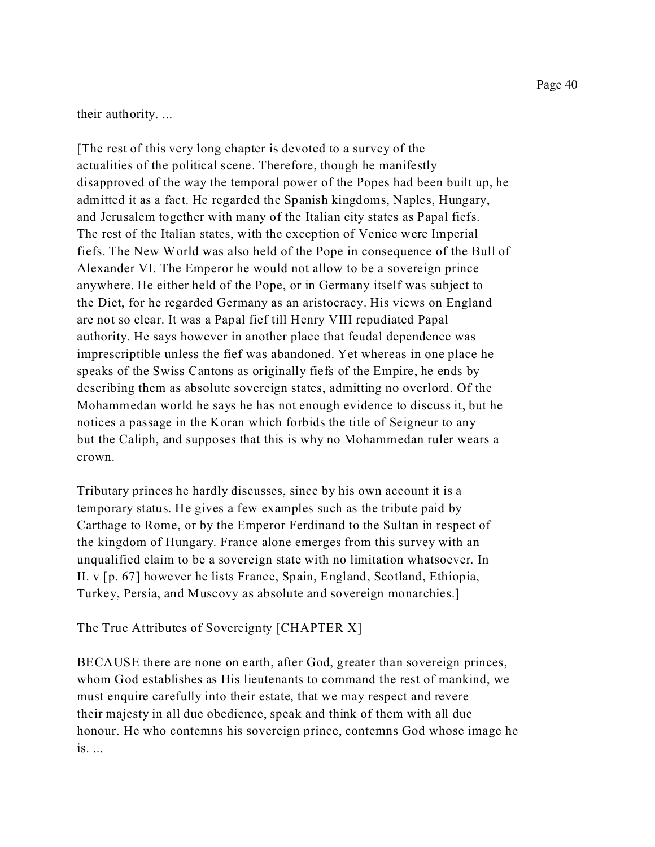their authority. ...

[The rest of this very long chapter is devoted to a survey of the actualities of the political scene. Therefore, though he manifestly disapproved of the way the temporal power of the Popes had been built up, he admitted it as a fact. He regarded the Spanish kingdoms, Naples, Hungary, and Jerusalem together with many of the Italian city states as Papal fiefs. The rest of the Italian states, with the exception of Venice were Imperial fiefs. The New World was also held of the Pope in consequence of the Bull of Alexander VI. The Emperor he would not allow to be a sovereign prince anywhere. He either held of the Pope, or in Germany itself was subject to the Diet, for he regarded Germany as an aristocracy. His views on England are not so clear. It was a Papal fief till Henry VIII repudiated Papal authority. He says however in another place that feudal dependence was imprescriptible unless the fief was abandoned. Yet whereas in one place he speaks of the Swiss Cantons as originally fiefs of the Empire, he ends by describing them as absolute sovereign states, admitting no overlord. Of the Mohammedan world he says he has not enough evidence to discuss it, but he notices a passage in the Koran which forbids the title of Seigneur to any but the Caliph, and supposes that this is why no Mohammedan ruler wears a crown.

Tributary princes he hardly discusses, since by his own account it is a temporary status. He gives a few examples such as the tribute paid by Carthage to Rome, or by the Emperor Ferdinand to the Sultan in respect of the kingdom of Hungary. France alone emerges from this survey with an unqualified claim to be a sovereign state with no limitation whatsoever. In II. v [p. 67] however he lists France, Spain, England, Scotland, Ethiopia, Turkey, Persia, and Muscovy as absolute and sovereign monarchies.]

# The True Attributes of Sovereignty [CHAPTER X]

BECAUSE there are none on earth, after God, greater than sovereign princes, whom God establishes as His lieutenants to command the rest of mankind, we must enquire carefully into their estate, that we may respect and revere their majesty in all due obedience, speak and think of them with all due honour. He who contemns his sovereign prince, contemns God whose image he is. ...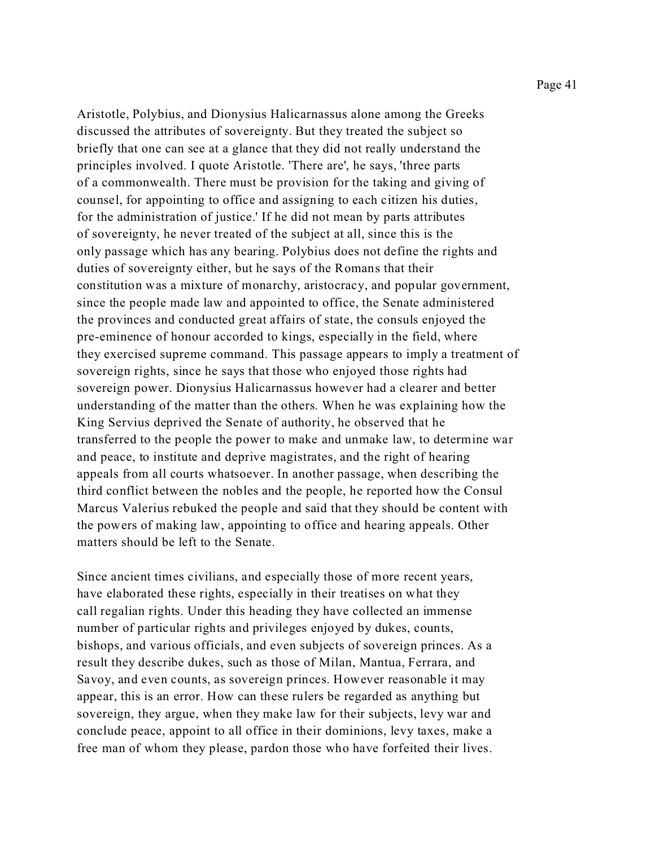Aristotle, Polybius, and Dionysius Halicarnassus alone among the Greeks discussed the attributes of sovereignty. But they treated the subject so briefly that one can see at a glance that they did not really understand the principles involved. I quote Aristotle. 'There are', he says, 'three parts of a commonwealth. There must be provision for the taking and giving of counsel, for appointing to office and assigning to each citizen his duties, for the administration of justice.' If he did not mean by parts attributes of sovereignty, he never treated of the subject at all, since this is the only passage which has any bearing. Polybius does not define the rights and duties of sovereignty either, but he says of the Romans that their constitution was a mixture of monarchy, aristocracy, and popular government, since the people made law and appointed to office, the Senate administered the provinces and conducted great affairs of state, the consuls enjoyed the pre-eminence of honour accorded to kings, especially in the field, where they exercised supreme command. This passage appears to imply a treatment of sovereign rights, since he says that those who enjoyed those rights had sovereign power. Dionysius Halicarnassus however had a clearer and better understanding of the matter than the others. When he was explaining how the King Servius deprived the Senate of authority, he observed that he transferred to the people the power to make and unmake law, to determine war and peace, to institute and deprive magistrates, and the right of hearing appeals from all courts whatsoever. In another passage, when describing the third conflict between the nobles and the people, he reported how the Consul Marcus Valerius rebuked the people and said that they should be content with the powers of making law, appointing to office and hearing appeals. Other matters should be left to the Senate.

Since ancient times civilians, and especially those of more recent years, have elaborated these rights, especially in their treatises on what they call regalian rights. Under this heading they have collected an immense number of particular rights and privileges enjoyed by dukes, counts, bishops, and various officials, and even subjects of sovereign princes. As a result they describe dukes, such as those of Milan, Mantua, Ferrara, and Savoy, and even counts, as sovereign princes. However reasonable it may appear, this is an error. How can these rulers be regarded as anything but sovereign, they argue, when they make law for their subjects, levy war and conclude peace, appoint to all office in their dominions, levy taxes, make a free man of whom they please, pardon those who have forfeited their lives.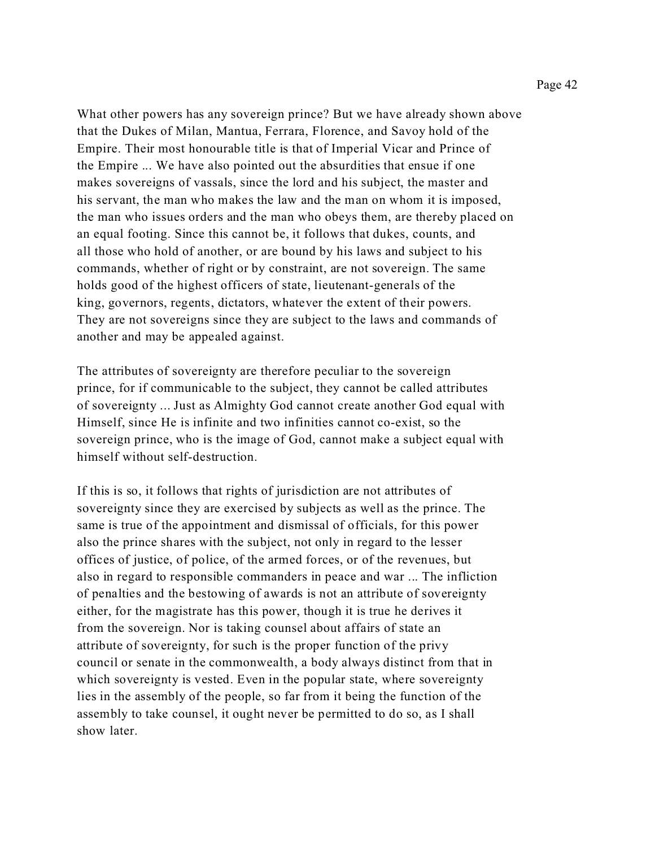What other powers has any sovereign prince? But we have already shown above that the Dukes of Milan, Mantua, Ferrara, Florence, and Savoy hold of the Empire. Their most honourable title is that of Imperial Vicar and Prince of the Empire ... We have also pointed out the absurdities that ensue if one makes sovereigns of vassals, since the lord and his subject, the master and his servant, the man who makes the law and the man on whom it is imposed, the man who issues orders and the man who obeys them, are thereby placed on an equal footing. Since this cannot be, it follows that dukes, counts, and all those who hold of another, or are bound by his laws and subject to his commands, whether of right or by constraint, are not sovereign. The same holds good of the highest officers of state, lieutenant-generals of the king, governors, regents, dictators, whatever the extent of their powers. They are not sovereigns since they are subject to the laws and commands of another and may be appealed against.

The attributes of sovereignty are therefore peculiar to the sovereign prince, for if communicable to the subject, they cannot be called attributes of sovereignty ... Just as Almighty God cannot create another God equal with Himself, since He is infinite and two infinities cannot co-exist, so the sovereign prince, who is the image of God, cannot make a subject equal with himself without self-destruction.

If this is so, it follows that rights of jurisdiction are not attributes of sovereignty since they are exercised by subjects as well as the prince. The same is true of the appointment and dismissal of officials, for this power also the prince shares with the subject, not only in regard to the lesser offices of justice, of police, of the armed forces, or of the revenues, but also in regard to responsible commanders in peace and war ... The infliction of penalties and the bestowing of awards is not an attribute of sovereignty either, for the magistrate has this power, though it is true he derives it from the sovereign. Nor is taking counsel about affairs of state an attribute of sovereignty, for such is the proper function of the privy council or senate in the commonwealth, a body always distinct from that in which sovereignty is vested. Even in the popular state, where sovereignty lies in the assembly of the people, so far from it being the function of the assembly to take counsel, it ought never be permitted to do so, as I shall show later.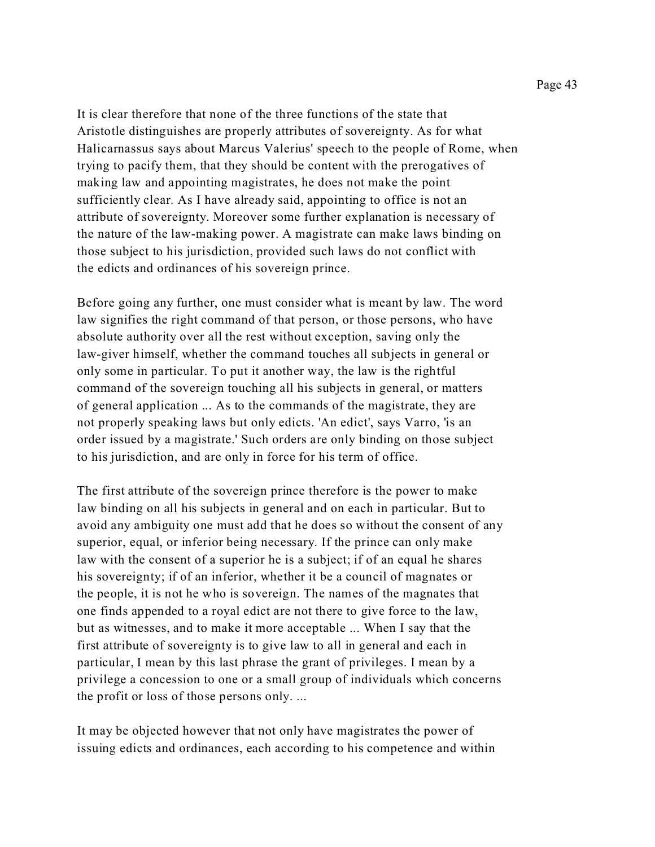It is clear therefore that none of the three functions of the state that Aristotle distinguishes are properly attributes of sovereignty. As for what Halicarnassus says about Marcus Valerius' speech to the people of Rome, when trying to pacify them, that they should be content with the prerogatives of making law and appointing magistrates, he does not make the point sufficiently clear. As I have already said, appointing to office is not an attribute of sovereignty. Moreover some further explanation is necessary of the nature of the law-making power. A magistrate can make laws binding on those subject to his jurisdiction, provided such laws do not conflict with the edicts and ordinances of his sovereign prince.

Before going any further, one must consider what is meant by law. The word law signifies the right command of that person, or those persons, who have absolute authority over all the rest without exception, saving only the law-giver himself, whether the command touches all subjects in general or only some in particular. To put it another way, the law is the rightful command of the sovereign touching all his subjects in general, or matters of general application ... As to the commands of the magistrate, they are not properly speaking laws but only edicts. 'An edict', says Varro, 'is an order issued by a magistrate.' Such orders are only binding on those subject to his jurisdiction, and are only in force for his term of office.

The first attribute of the sovereign prince therefore is the power to make law binding on all his subjects in general and on each in particular. But to avoid any ambiguity one must add that he does so without the consent of any superior, equal, or inferior being necessary. If the prince can only make law with the consent of a superior he is a subject; if of an equal he shares his sovereignty; if of an inferior, whether it be a council of magnates or the people, it is not he who is sovereign. The names of the magnates that one finds appended to a royal edict are not there to give force to the law, but as witnesses, and to make it more acceptable ... When I say that the first attribute of sovereignty is to give law to all in general and each in particular, I mean by this last phrase the grant of privileges. I mean by a privilege a concession to one or a small group of individuals which concerns the profit or loss of those persons only. ...

It may be objected however that not only have magistrates the power of issuing edicts and ordinances, each according to his competence and within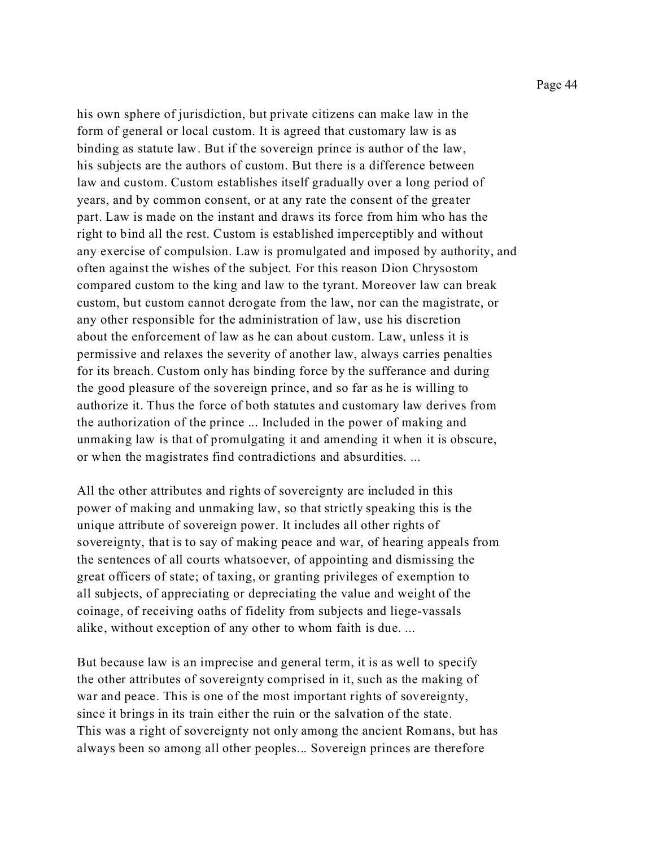his own sphere of jurisdiction, but private citizens can make law in the form of general or local custom. It is agreed that customary law is as binding as statute law. But if the sovereign prince is author of the law, his subjects are the authors of custom. But there is a difference between law and custom. Custom establishes itself gradually over a long period of years, and by common consent, or at any rate the consent of the greater part. Law is made on the instant and draws its force from him who has the right to bind all the rest. Custom is established imperceptibly and without any exercise of compulsion. Law is promulgated and imposed by authority, and often against the wishes of the subject. For this reason Dion Chrysostom compared custom to the king and law to the tyrant. Moreover law can break custom, but custom cannot derogate from the law, nor can the magistrate, or any other responsible for the administration of law, use his discretion about the enforcement of law as he can about custom. Law, unless it is permissive and relaxes the severity of another law, always carries penalties for its breach. Custom only has binding force by the sufferance and during the good pleasure of the sovereign prince, and so far as he is willing to authorize it. Thus the force of both statutes and customary law derives from the authorization of the prince ... Included in the power of making and unmaking law is that of promulgating it and amending it when it is obscure, or when the magistrates find contradictions and absurdities. ...

All the other attributes and rights of sovereignty are included in this power of making and unmaking law, so that strictly speaking this is the unique attribute of sovereign power. It includes all other rights of sovereignty, that is to say of making peace and war, of hearing appeals from the sentences of all courts whatsoever, of appointing and dismissing the great officers of state; of taxing, or granting privileges of exemption to all subjects, of appreciating or depreciating the value and weight of the coinage, of receiving oaths of fidelity from subjects and liege-vassals alike, without exception of any other to whom faith is due. ...

But because law is an imprecise and general term, it is as well to specify the other attributes of sovereignty comprised in it, such as the making of war and peace. This is one of the most important rights of sovereignty, since it brings in its train either the ruin or the salvation of the state. This was a right of sovereignty not only among the ancient Romans, but has always been so among all other peoples... Sovereign princes are therefore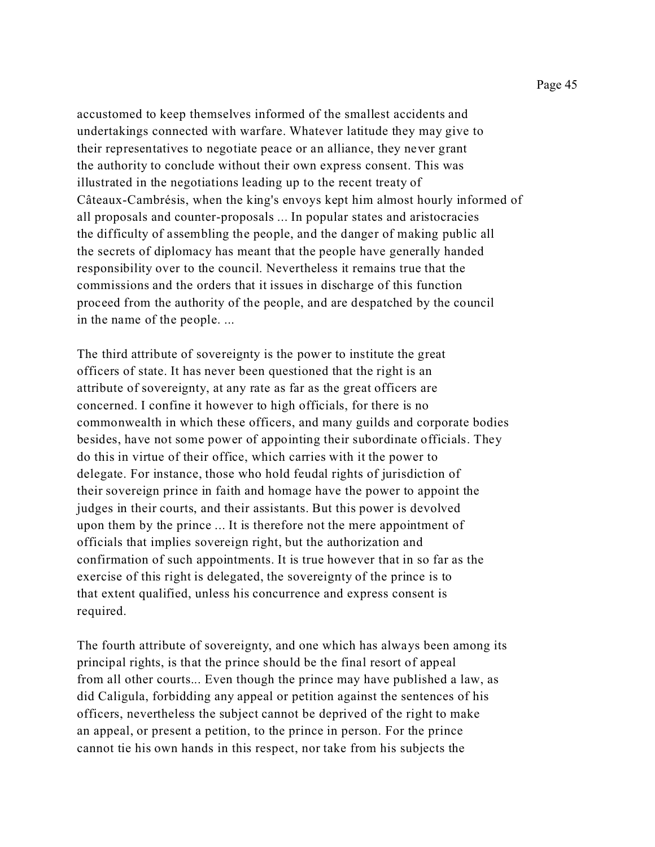accustomed to keep themselves informed of the smallest accidents and undertakings connected with warfare. Whatever latitude they may give to their representatives to negotiate peace or an alliance, they never grant the authority to conclude without their own express consent. This was illustrated in the negotiations leading up to the recent treaty of Câteaux-Cambrésis, when the king's envoys kept him almost hourly informed of all proposals and counter-proposals ... In popular states and aristocracies the difficulty of assembling the people, and the danger of making public all the secrets of diplomacy has meant that the people have generally handed responsibility over to the council. Nevertheless it remains true that the commissions and the orders that it issues in discharge of this function proceed from the authority of the people, and are despatched by the council in the name of the people. ...

The third attribute of sovereignty is the power to institute the great officers of state. It has never been questioned that the right is an attribute of sovereignty, at any rate as far as the great officers are concerned. I confine it however to high officials, for there is no commonwealth in which these officers, and many guilds and corporate bodies besides, have not some power of appointing their subordinate officials. They do this in virtue of their office, which carries with it the power to delegate. For instance, those who hold feudal rights of jurisdiction of their sovereign prince in faith and homage have the power to appoint the judges in their courts, and their assistants. But this power is devolved upon them by the prince ... It is therefore not the mere appointment of officials that implies sovereign right, but the authorization and confirmation of such appointments. It is true however that in so far as the exercise of this right is delegated, the sovereignty of the prince is to that extent qualified, unless his concurrence and express consent is required.

The fourth attribute of sovereignty, and one which has always been among its principal rights, is that the prince should be the final resort of appeal from all other courts... Even though the prince may have published a law, as did Caligula, forbidding any appeal or petition against the sentences of his officers, nevertheless the subject cannot be deprived of the right to make an appeal, or present a petition, to the prince in person. For the prince cannot tie his own hands in this respect, nor take from his subjects the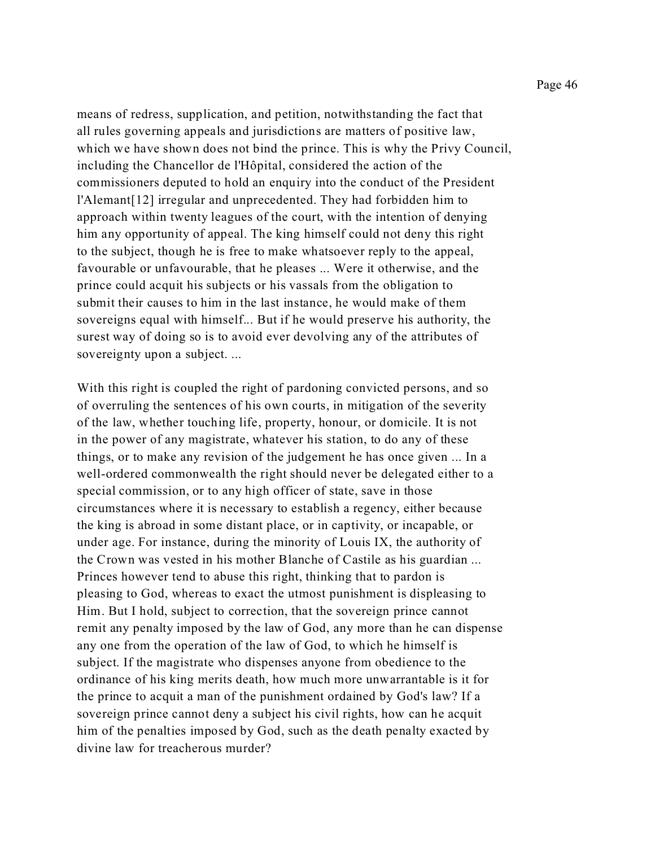means of redress, supplication, and petition, notwithstanding the fact that all rules governing appeals and jurisdictions are matters of positive law, which we have shown does not bind the prince. This is why the Privy Council, including the Chancellor de l'Hôpital, considered the action of the commissioners deputed to hold an enquiry into the conduct of the President l'Alemant[12] irregular and unprecedented. They had forbidden him to approach within twenty leagues of the court, with the intention of denying him any opportunity of appeal. The king himself could not deny this right to the subject, though he is free to make whatsoever reply to the appeal, favourable or unfavourable, that he pleases ... Were it otherwise, and the prince could acquit his subjects or his vassals from the obligation to submit their causes to him in the last instance, he would make of them sovereigns equal with himself... But if he would preserve his authority, the surest way of doing so is to avoid ever devolving any of the attributes of sovereignty upon a subject. ...

With this right is coupled the right of pardoning convicted persons, and so of overruling the sentences of his own courts, in mitigation of the severity of the law, whether touching life, property, honour, or domicile. It is not in the power of any magistrate, whatever his station, to do any of these things, or to make any revision of the judgement he has once given ... In a well-ordered commonwealth the right should never be delegated either to a special commission, or to any high officer of state, save in those circumstances where it is necessary to establish a regency, either because the king is abroad in some distant place, or in captivity, or incapable, or under age. For instance, during the minority of Louis IX, the authority of the Crown was vested in his mother Blanche of Castile as his guardian ... Princes however tend to abuse this right, thinking that to pardon is pleasing to God, whereas to exact the utmost punishment is displeasing to Him. But I hold, subject to correction, that the sovereign prince cannot remit any penalty imposed by the law of God, any more than he can dispense any one from the operation of the law of God, to which he himself is subject. If the magistrate who dispenses anyone from obedience to the ordinance of his king merits death, how much more unwarrantable is it for the prince to acquit a man of the punishment ordained by God's law? If a sovereign prince cannot deny a subject his civil rights, how can he acquit him of the penalties imposed by God, such as the death penalty exacted by divine law for treacherous murder?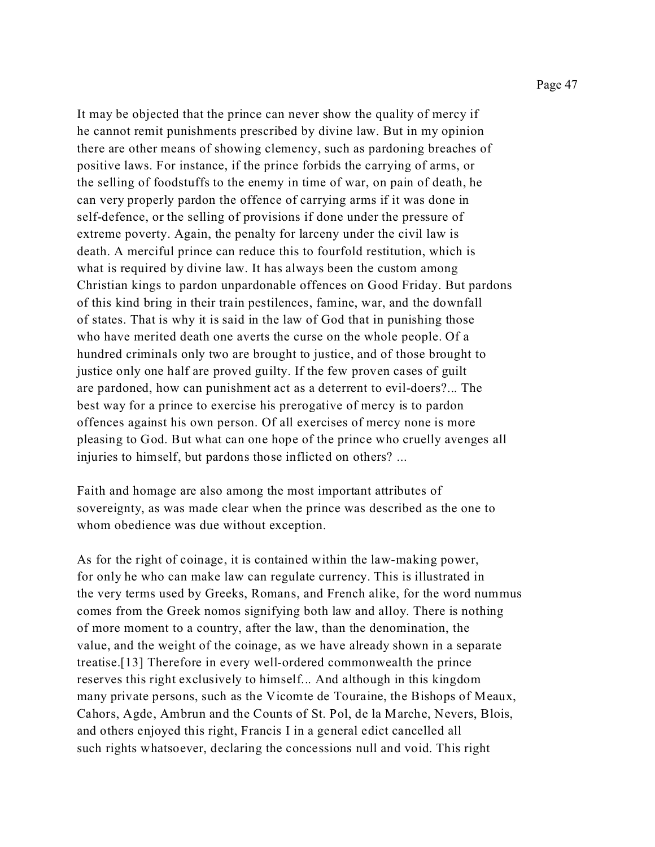It may be objected that the prince can never show the quality of mercy if he cannot remit punishments prescribed by divine law. But in my opinion there are other means of showing clemency, such as pardoning breaches of positive laws. For instance, if the prince forbids the carrying of arms, or the selling of foodstuffs to the enemy in time of war, on pain of death, he can very properly pardon the offence of carrying arms if it was done in self-defence, or the selling of provisions if done under the pressure of extreme poverty. Again, the penalty for larceny under the civil law is death. A merciful prince can reduce this to fourfold restitution, which is what is required by divine law. It has always been the custom among Christian kings to pardon unpardonable offences on Good Friday. But pardons of this kind bring in their train pestilences, famine, war, and the downfall of states. That is why it is said in the law of God that in punishing those who have merited death one averts the curse on the whole people. Of a hundred criminals only two are brought to justice, and of those brought to justice only one half are proved guilty. If the few proven cases of guilt are pardoned, how can punishment act as a deterrent to evil-doers?... The best way for a prince to exercise his prerogative of mercy is to pardon offences against his own person. Of all exercises of mercy none is more pleasing to God. But what can one hope of the prince who cruelly avenges all injuries to himself, but pardons those inflicted on others? ...

Faith and homage are also among the most important attributes of sovereignty, as was made clear when the prince was described as the one to whom obedience was due without exception.

As for the right of coinage, it is contained within the law-making power, for only he who can make law can regulate currency. This is illustrated in the very terms used by Greeks, Romans, and French alike, for the word nummus comes from the Greek nomos signifying both law and alloy. There is nothing of more moment to a country, after the law, than the denomination, the value, and the weight of the coinage, as we have already shown in a separate treatise.[13] Therefore in every well-ordered commonwealth the prince reserves this right exclusively to himself... And although in this kingdom many private persons, such as the Vicomte de Touraine, the Bishops of Meaux, Cahors, Agde, Ambrun and the Counts of St. Pol, de la Marche, Nevers, Blois, and others enjoyed this right, Francis I in a general edict cancelled all such rights whatsoever, declaring the concessions null and void. This right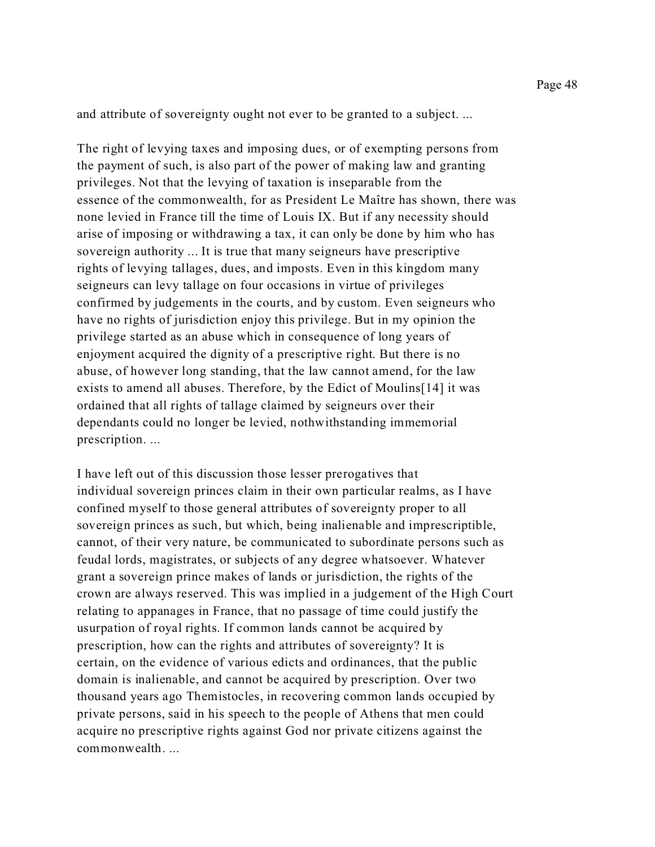and attribute of sovereignty ought not ever to be granted to a subject. ...

The right of levying taxes and imposing dues, or of exempting persons from the payment of such, is also part of the power of making law and granting privileges. Not that the levying of taxation is inseparable from the essence of the commonwealth, for as President Le Maître has shown, there was none levied in France till the time of Louis IX. But if any necessity should arise of imposing or withdrawing a tax, it can only be done by him who has sovereign authority ... It is true that many seigneurs have prescriptive rights of levying tallages, dues, and imposts. Even in this kingdom many seigneurs can levy tallage on four occasions in virtue of privileges confirmed by judgements in the courts, and by custom. Even seigneurs who have no rights of jurisdiction enjoy this privilege. But in my opinion the privilege started as an abuse which in consequence of long years of enjoyment acquired the dignity of a prescriptive right. But there is no abuse, of however long standing, that the law cannot amend, for the law exists to amend all abuses. Therefore, by the Edict of Moulins[14] it was ordained that all rights of tallage claimed by seigneurs over their dependants could no longer be levied, nothwithstanding immemorial prescription. ...

I have left out of this discussion those lesser prerogatives that individual sovereign princes claim in their own particular realms, as I have confined myself to those general attributes of sovereignty proper to all sovereign princes as such, but which, being inalienable and imprescriptible, cannot, of their very nature, be communicated to subordinate persons such as feudal lords, magistrates, or subjects of any degree whatsoever. Whatever grant a sovereign prince makes of lands or jurisdiction, the rights of the crown are always reserved. This was implied in a judgement of the High Court relating to appanages in France, that no passage of time could justify the usurpation of royal rights. If common lands cannot be acquired by prescription, how can the rights and attributes of sovereignty? It is certain, on the evidence of various edicts and ordinances, that the public domain is inalienable, and cannot be acquired by prescription. Over two thousand years ago Themistocles, in recovering common lands occupied by private persons, said in his speech to the people of Athens that men could acquire no prescriptive rights against God nor private citizens against the commonwealth. ...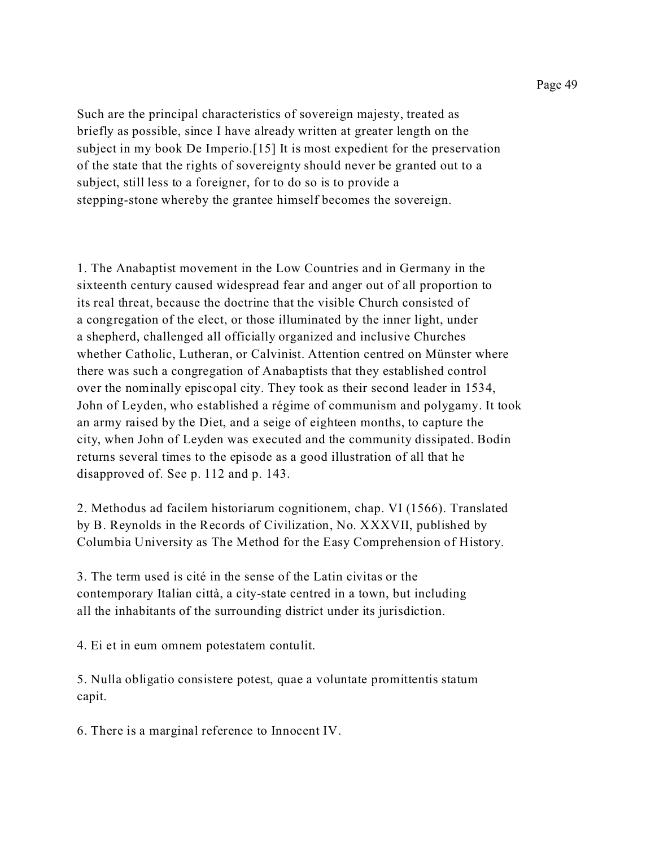Such are the principal characteristics of sovereign majesty, treated as briefly as possible, since I have already written at greater length on the subject in my book De Imperio.[15] It is most expedient for the preservation of the state that the rights of sovereignty should never be granted out to a subject, still less to a foreigner, for to do so is to provide a stepping-stone whereby the grantee himself becomes the sovereign.

1. The Anabaptist movement in the Low Countries and in Germany in the sixteenth century caused widespread fear and anger out of all proportion to its real threat, because the doctrine that the visible Church consisted of a congregation of the elect, or those illuminated by the inner light, under a shepherd, challenged all officially organized and inclusive Churches whether Catholic, Lutheran, or Calvinist. Attention centred on Münster where there was such a congregation of Anabaptists that they established control over the nominally episcopal city. They took as their second leader in 1534, John of Leyden, who established a régime of communism and polygamy. It took an army raised by the Diet, and a seige of eighteen months, to capture the city, when John of Leyden was executed and the community dissipated. Bodin returns several times to the episode as a good illustration of all that he disapproved of. See p. 112 and p. 143.

2. Methodus ad facilem historiarum cognitionem, chap. VI (1566). Translated by B. Reynolds in the Records of Civilization, No. XXXVII, published by Columbia University as The Method for the Easy Comprehension of History.

3. The term used is cité in the sense of the Latin civitas or the contemporary Italian città, a city-state centred in a town, but including all the inhabitants of the surrounding district under its jurisdiction.

4. Ei et in eum omnem potestatem contulit.

5. Nulla obligatio consistere potest, quae a voluntate promittentis statum capit.

6. There is a marginal reference to Innocent IV.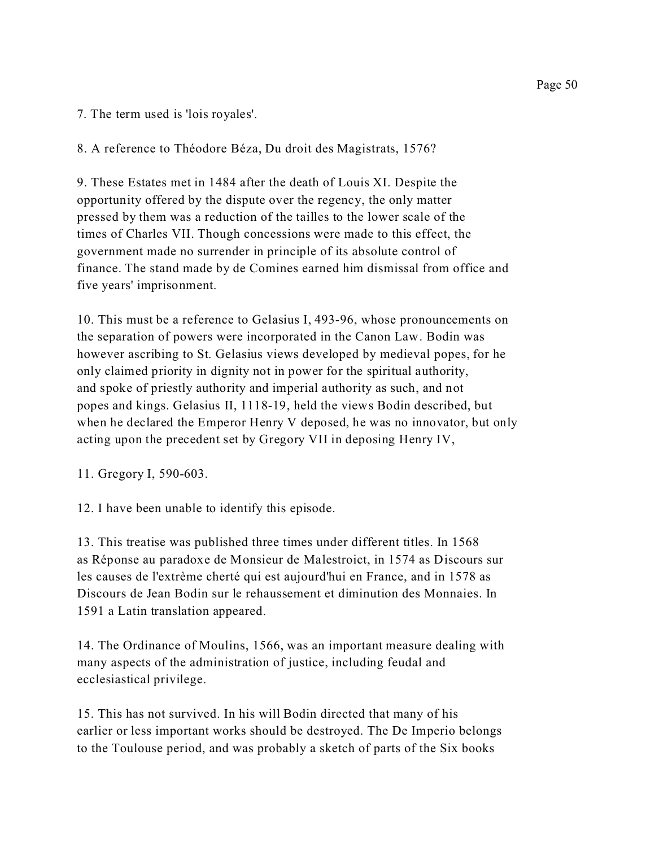7. The term used is 'lois royales'.

8. A reference to Théodore Béza, Du droit des Magistrats, 1576?

9. These Estates met in 1484 after the death of Louis XI. Despite the opportunity offered by the dispute over the regency, the only matter pressed by them was a reduction of the tailles to the lower scale of the times of Charles VII. Though concessions were made to this effect, the government made no surrender in principle of its absolute control of finance. The stand made by de Comines earned him dismissal from office and five years' imprisonment.

10. This must be a reference to Gelasius I, 493-96, whose pronouncements on the separation of powers were incorporated in the Canon Law. Bodin was however ascribing to St. Gelasius views developed by medieval popes, for he only claimed priority in dignity not in power for the spiritual authority, and spoke of priestly authority and imperial authority as such, and not popes and kings. Gelasius II, 1118-19, held the views Bodin described, but when he declared the Emperor Henry V deposed, he was no innovator, but only acting upon the precedent set by Gregory VII in deposing Henry IV,

11. Gregory I, 590-603.

12. I have been unable to identify this episode.

13. This treatise was published three times under different titles. In 1568 as Réponse au paradoxe de Monsieur de Malestroict, in 1574 as Discours sur les causes de l'extrème cherté qui est aujourd'hui en France, and in 1578 as Discours de Jean Bodin sur le rehaussement et diminution des Monnaies. In 1591 a Latin translation appeared.

14. The Ordinance of Moulins, 1566, was an important measure dealing with many aspects of the administration of justice, including feudal and ecclesiastical privilege.

15. This has not survived. In his will Bodin directed that many of his earlier or less important works should be destroyed. The De Imperio belongs to the Toulouse period, and was probably a sketch of parts of the Six books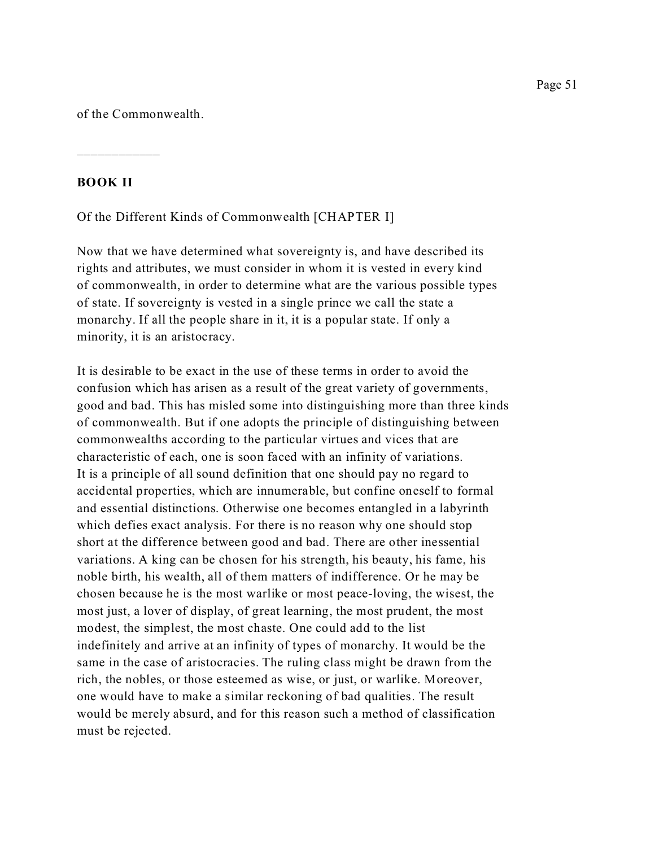of the Commonwealth.

## **BOOK II**

\_\_\_\_\_\_\_\_\_\_\_\_

#### Of the Different Kinds of Commonwealth [CHAPTER I]

Now that we have determined what sovereignty is, and have described its rights and attributes, we must consider in whom it is vested in every kind of commonwealth, in order to determine what are the various possible types of state. If sovereignty is vested in a single prince we call the state a monarchy. If all the people share in it, it is a popular state. If only a minority, it is an aristocracy.

It is desirable to be exact in the use of these terms in order to avoid the confusion which has arisen as a result of the great variety of governments, good and bad. This has misled some into distinguishing more than three kinds of commonwealth. But if one adopts the principle of distinguishing between commonwealths according to the particular virtues and vices that are characteristic of each, one is soon faced with an infinity of variations. It is a principle of all sound definition that one should pay no regard to accidental properties, which are innumerable, but confine oneself to formal and essential distinctions. Otherwise one becomes entangled in a labyrinth which defies exact analysis. For there is no reason why one should stop short at the difference between good and bad. There are other inessential variations. A king can be chosen for his strength, his beauty, his fame, his noble birth, his wealth, all of them matters of indifference. Or he may be chosen because he is the most warlike or most peace-loving, the wisest, the most just, a lover of display, of great learning, the most prudent, the most modest, the simplest, the most chaste. One could add to the list indefinitely and arrive at an infinity of types of monarchy. It would be the same in the case of aristocracies. The ruling class might be drawn from the rich, the nobles, or those esteemed as wise, or just, or warlike. Moreover, one would have to make a similar reckoning of bad qualities. The result would be merely absurd, and for this reason such a method of classification must be rejected.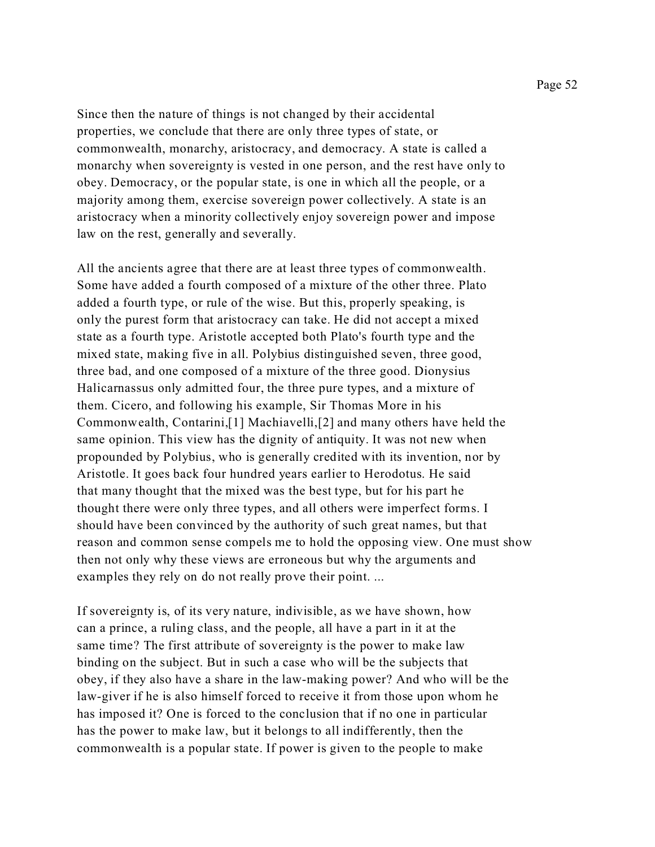Since then the nature of things is not changed by their accidental properties, we conclude that there are only three types of state, or commonwealth, monarchy, aristocracy, and democracy. A state is called a monarchy when sovereignty is vested in one person, and the rest have only to obey. Democracy, or the popular state, is one in which all the people, or a majority among them, exercise sovereign power collectively. A state is an aristocracy when a minority collectively enjoy sovereign power and impose law on the rest, generally and severally.

All the ancients agree that there are at least three types of commonwealth. Some have added a fourth composed of a mixture of the other three. Plato added a fourth type, or rule of the wise. But this, properly speaking, is only the purest form that aristocracy can take. He did not accept a mixed state as a fourth type. Aristotle accepted both Plato's fourth type and the mixed state, making five in all. Polybius distinguished seven, three good, three bad, and one composed of a mixture of the three good. Dionysius Halicarnassus only admitted four, the three pure types, and a mixture of them. Cicero, and following his example, Sir Thomas More in his Commonwealth, Contarini,[1] Machiavelli,[2] and many others have held the same opinion. This view has the dignity of antiquity. It was not new when propounded by Polybius, who is generally credited with its invention, nor by Aristotle. It goes back four hundred years earlier to Herodotus. He said that many thought that the mixed was the best type, but for his part he thought there were only three types, and all others were imperfect forms. I should have been convinced by the authority of such great names, but that reason and common sense compels me to hold the opposing view. One must show then not only why these views are erroneous but why the arguments and examples they rely on do not really prove their point. ...

If sovereignty is, of its very nature, indivisible, as we have shown, how can a prince, a ruling class, and the people, all have a part in it at the same time? The first attribute of sovereignty is the power to make law binding on the subject. But in such a case who will be the subjects that obey, if they also have a share in the law-making power? And who will be the law-giver if he is also himself forced to receive it from those upon whom he has imposed it? One is forced to the conclusion that if no one in particular has the power to make law, but it belongs to all indifferently, then the commonwealth is a popular state. If power is given to the people to make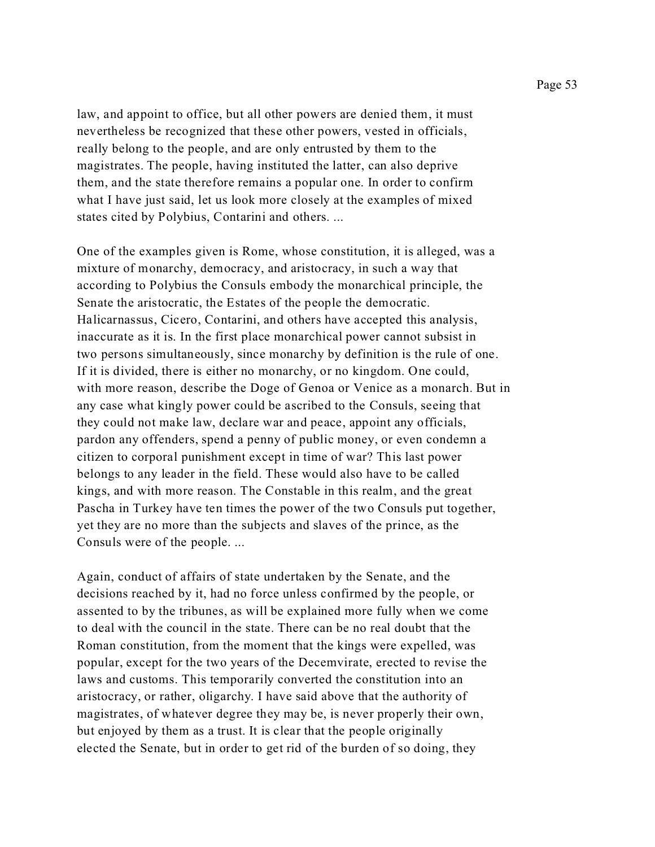law, and appoint to office, but all other powers are denied them, it must nevertheless be recognized that these other powers, vested in officials, really belong to the people, and are only entrusted by them to the magistrates. The people, having instituted the latter, can also deprive them, and the state therefore remains a popular one. In order to confirm what I have just said, let us look more closely at the examples of mixed states cited by Polybius, Contarini and others. ...

One of the examples given is Rome, whose constitution, it is alleged, was a mixture of monarchy, democracy, and aristocracy, in such a way that according to Polybius the Consuls embody the monarchical principle, the Senate the aristocratic, the Estates of the people the democratic. Halicarnassus, Cicero, Contarini, and others have accepted this analysis, inaccurate as it is. In the first place monarchical power cannot subsist in two persons simultaneously, since monarchy by definition is the rule of one. If it is divided, there is either no monarchy, or no kingdom. One could, with more reason, describe the Doge of Genoa or Venice as a monarch. But in any case what kingly power could be ascribed to the Consuls, seeing that they could not make law, declare war and peace, appoint any officials, pardon any offenders, spend a penny of public money, or even condemn a citizen to corporal punishment except in time of war? This last power belongs to any leader in the field. These would also have to be called kings, and with more reason. The Constable in this realm, and the great Pascha in Turkey have ten times the power of the two Consuls put together, yet they are no more than the subjects and slaves of the prince, as the Consuls were of the people. ...

Again, conduct of affairs of state undertaken by the Senate, and the decisions reached by it, had no force unless confirmed by the people, or assented to by the tribunes, as will be explained more fully when we come to deal with the council in the state. There can be no real doubt that the Roman constitution, from the moment that the kings were expelled, was popular, except for the two years of the Decemvirate, erected to revise the laws and customs. This temporarily converted the constitution into an aristocracy, or rather, oligarchy. I have said above that the authority of magistrates, of whatever degree they may be, is never properly their own, but enjoyed by them as a trust. It is clear that the people originally elected the Senate, but in order to get rid of the burden of so doing, they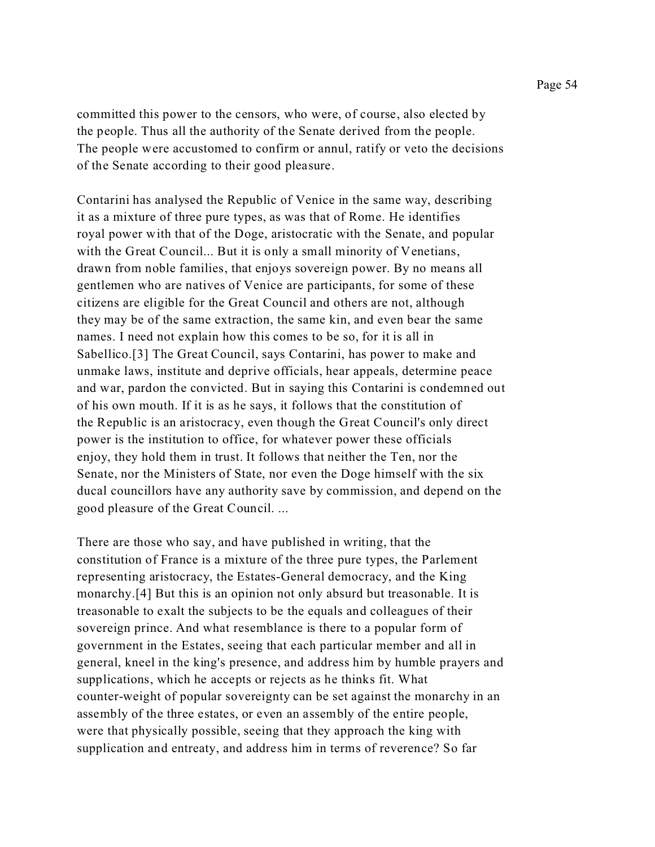committed this power to the censors, who were, of course, also elected by the people. Thus all the authority of the Senate derived from the people. The people were accustomed to confirm or annul, ratify or veto the decisions of the Senate according to their good pleasure.

Contarini has analysed the Republic of Venice in the same way, describing it as a mixture of three pure types, as was that of Rome. He identifies royal power with that of the Doge, aristocratic with the Senate, and popular with the Great Council... But it is only a small minority of Venetians, drawn from noble families, that enjoys sovereign power. By no means all gentlemen who are natives of Venice are participants, for some of these citizens are eligible for the Great Council and others are not, although they may be of the same extraction, the same kin, and even bear the same names. I need not explain how this comes to be so, for it is all in Sabellico.[3] The Great Council, says Contarini, has power to make and unmake laws, institute and deprive officials, hear appeals, determine peace and war, pardon the convicted. But in saying this Contarini is condemned out of his own mouth. If it is as he says, it follows that the constitution of the Republic is an aristocracy, even though the Great Council's only direct power is the institution to office, for whatever power these officials enjoy, they hold them in trust. It follows that neither the Ten, nor the Senate, nor the Ministers of State, nor even the Doge himself with the six ducal councillors have any authority save by commission, and depend on the good pleasure of the Great Council. ...

There are those who say, and have published in writing, that the constitution of France is a mixture of the three pure types, the Parlement representing aristocracy, the Estates-General democracy, and the King monarchy.[4] But this is an opinion not only absurd but treasonable. It is treasonable to exalt the subjects to be the equals and colleagues of their sovereign prince. And what resemblance is there to a popular form of government in the Estates, seeing that each particular member and all in general, kneel in the king's presence, and address him by humble prayers and supplications, which he accepts or rejects as he thinks fit. What counter-weight of popular sovereignty can be set against the monarchy in an assembly of the three estates, or even an assembly of the entire people, were that physically possible, seeing that they approach the king with supplication and entreaty, and address him in terms of reverence? So far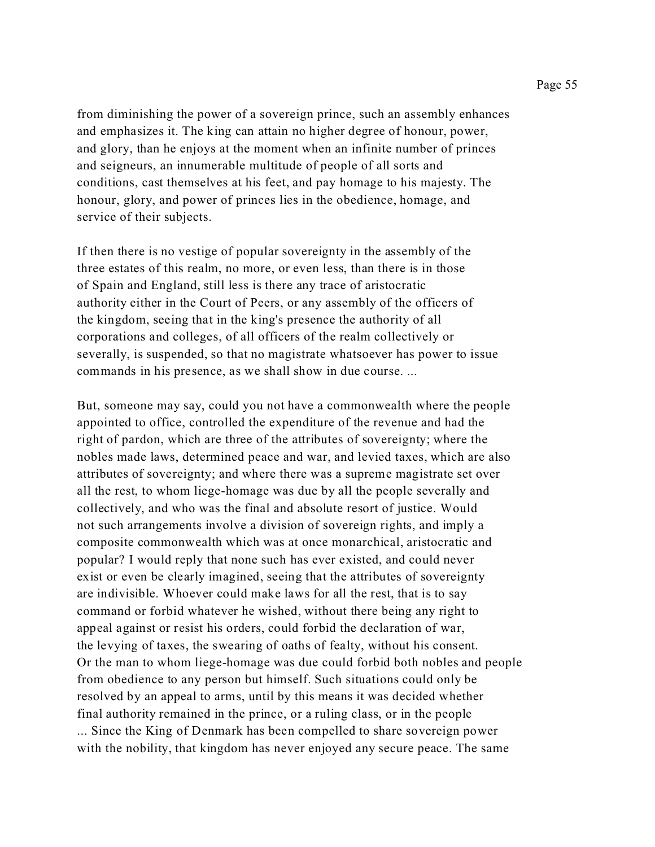from diminishing the power of a sovereign prince, such an assembly enhances and emphasizes it. The king can attain no higher degree of honour, power, and glory, than he enjoys at the moment when an infinite number of princes and seigneurs, an innumerable multitude of people of all sorts and conditions, cast themselves at his feet, and pay homage to his majesty. The honour, glory, and power of princes lies in the obedience, homage, and service of their subjects.

If then there is no vestige of popular sovereignty in the assembly of the three estates of this realm, no more, or even less, than there is in those of Spain and England, still less is there any trace of aristocratic authority either in the Court of Peers, or any assembly of the officers of the kingdom, seeing that in the king's presence the authority of all corporations and colleges, of all officers of the realm collectively or severally, is suspended, so that no magistrate whatsoever has power to issue commands in his presence, as we shall show in due course. ...

But, someone may say, could you not have a commonwealth where the people appointed to office, controlled the expenditure of the revenue and had the right of pardon, which are three of the attributes of sovereignty; where the nobles made laws, determined peace and war, and levied taxes, which are also attributes of sovereignty; and where there was a supreme magistrate set over all the rest, to whom liege-homage was due by all the people severally and collectively, and who was the final and absolute resort of justice. Would not such arrangements involve a division of sovereign rights, and imply a composite commonwealth which was at once monarchical, aristocratic and popular? I would reply that none such has ever existed, and could never exist or even be clearly imagined, seeing that the attributes of sovereignty are indivisible. Whoever could make laws for all the rest, that is to say command or forbid whatever he wished, without there being any right to appeal against or resist his orders, could forbid the declaration of war, the levying of taxes, the swearing of oaths of fealty, without his consent. Or the man to whom liege-homage was due could forbid both nobles and people from obedience to any person but himself. Such situations could only be resolved by an appeal to arms, until by this means it was decided whether final authority remained in the prince, or a ruling class, or in the people ... Since the King of Denmark has been compelled to share sovereign power with the nobility, that kingdom has never enjoyed any secure peace. The same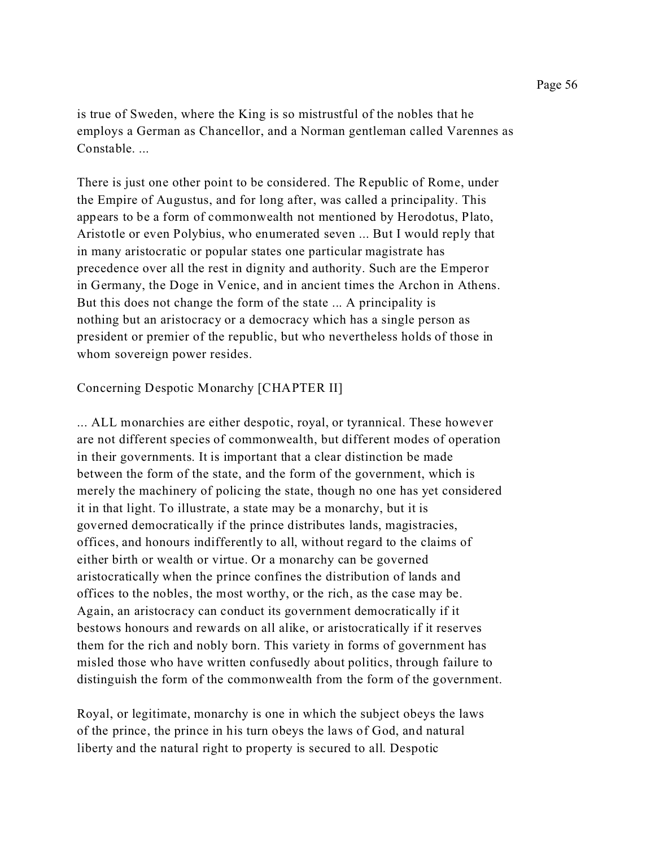is true of Sweden, where the King is so mistrustful of the nobles that he employs a German as Chancellor, and a Norman gentleman called Varennes as Constable. ...

There is just one other point to be considered. The Republic of Rome, under the Empire of Augustus, and for long after, was called a principality. This appears to be a form of commonwealth not mentioned by Herodotus, Plato, Aristotle or even Polybius, who enumerated seven ... But I would reply that in many aristocratic or popular states one particular magistrate has precedence over all the rest in dignity and authority. Such are the Emperor in Germany, the Doge in Venice, and in ancient times the Archon in Athens. But this does not change the form of the state ... A principality is nothing but an aristocracy or a democracy which has a single person as president or premier of the republic, but who nevertheless holds of those in whom sovereign power resides.

### Concerning Despotic Monarchy [CHAPTER II]

... ALL monarchies are either despotic, royal, or tyrannical. These however are not different species of commonwealth, but different modes of operation in their governments. It is important that a clear distinction be made between the form of the state, and the form of the government, which is merely the machinery of policing the state, though no one has yet considered it in that light. To illustrate, a state may be a monarchy, but it is governed democratically if the prince distributes lands, magistracies, offices, and honours indifferently to all, without regard to the claims of either birth or wealth or virtue. Or a monarchy can be governed aristocratically when the prince confines the distribution of lands and offices to the nobles, the most worthy, or the rich, as the case may be. Again, an aristocracy can conduct its government democratically if it bestows honours and rewards on all alike, or aristocratically if it reserves them for the rich and nobly born. This variety in forms of government has misled those who have written confusedly about politics, through failure to distinguish the form of the commonwealth from the form of the government.

Royal, or legitimate, monarchy is one in which the subject obeys the laws of the prince, the prince in his turn obeys the laws of God, and natural liberty and the natural right to property is secured to all. Despotic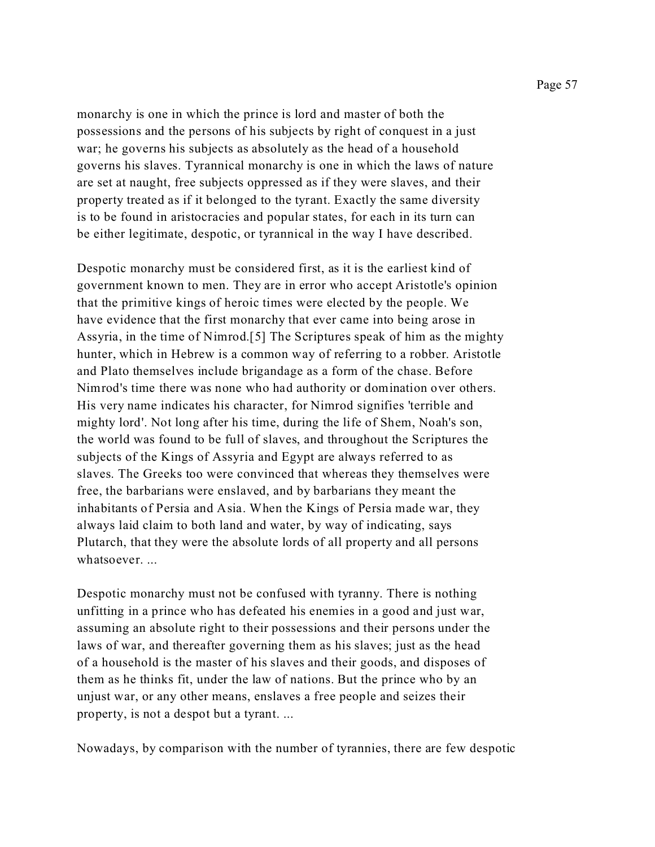monarchy is one in which the prince is lord and master of both the possessions and the persons of his subjects by right of conquest in a just war; he governs his subjects as absolutely as the head of a household governs his slaves. Tyrannical monarchy is one in which the laws of nature are set at naught, free subjects oppressed as if they were slaves, and their property treated as if it belonged to the tyrant. Exactly the same diversity is to be found in aristocracies and popular states, for each in its turn can be either legitimate, despotic, or tyrannical in the way I have described.

Despotic monarchy must be considered first, as it is the earliest kind of government known to men. They are in error who accept Aristotle's opinion that the primitive kings of heroic times were elected by the people. We have evidence that the first monarchy that ever came into being arose in Assyria, in the time of Nimrod.[5] The Scriptures speak of him as the mighty hunter, which in Hebrew is a common way of referring to a robber. Aristotle and Plato themselves include brigandage as a form of the chase. Before Nimrod's time there was none who had authority or domination over others. His very name indicates his character, for Nimrod signifies 'terrible and mighty lord'. Not long after his time, during the life of Shem, Noah's son, the world was found to be full of slaves, and throughout the Scriptures the subjects of the Kings of Assyria and Egypt are always referred to as slaves. The Greeks too were convinced that whereas they themselves were free, the barbarians were enslaved, and by barbarians they meant the inhabitants of Persia and Asia. When the Kings of Persia made war, they always laid claim to both land and water, by way of indicating, says Plutarch, that they were the absolute lords of all property and all persons whatsoever. ...

Despotic monarchy must not be confused with tyranny. There is nothing unfitting in a prince who has defeated his enemies in a good and just war, assuming an absolute right to their possessions and their persons under the laws of war, and thereafter governing them as his slaves; just as the head of a household is the master of his slaves and their goods, and disposes of them as he thinks fit, under the law of nations. But the prince who by an unjust war, or any other means, enslaves a free people and seizes their property, is not a despot but a tyrant. ...

Nowadays, by comparison with the number of tyrannies, there are few despotic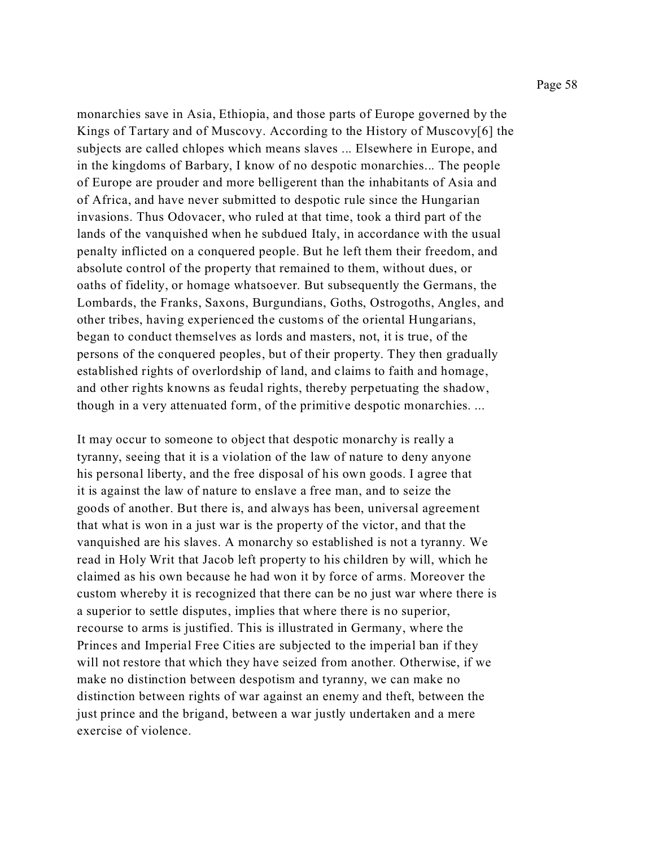monarchies save in Asia, Ethiopia, and those parts of Europe governed by the Kings of Tartary and of Muscovy. According to the History of Muscovy[6] the subjects are called chlopes which means slaves ... Elsewhere in Europe, and in the kingdoms of Barbary, I know of no despotic monarchies... The people of Europe are prouder and more belligerent than the inhabitants of Asia and of Africa, and have never submitted to despotic rule since the Hungarian invasions. Thus Odovacer, who ruled at that time, took a third part of the lands of the vanquished when he subdued Italy, in accordance with the usual penalty inflicted on a conquered people. But he left them their freedom, and absolute control of the property that remained to them, without dues, or oaths of fidelity, or homage whatsoever. But subsequently the Germans, the Lombards, the Franks, Saxons, Burgundians, Goths, Ostrogoths, Angles, and other tribes, having experienced the customs of the oriental Hungarians, began to conduct themselves as lords and masters, not, it is true, of the persons of the conquered peoples, but of their property. They then gradually established rights of overlordship of land, and claims to faith and homage, and other rights knowns as feudal rights, thereby perpetuating the shadow, though in a very attenuated form, of the primitive despotic monarchies. ...

It may occur to someone to object that despotic monarchy is really a tyranny, seeing that it is a violation of the law of nature to deny anyone his personal liberty, and the free disposal of his own goods. I agree that it is against the law of nature to enslave a free man, and to seize the goods of another. But there is, and always has been, universal agreement that what is won in a just war is the property of the victor, and that the vanquished are his slaves. A monarchy so established is not a tyranny. We read in Holy Writ that Jacob left property to his children by will, which he claimed as his own because he had won it by force of arms. Moreover the custom whereby it is recognized that there can be no just war where there is a superior to settle disputes, implies that where there is no superior, recourse to arms is justified. This is illustrated in Germany, where the Princes and Imperial Free Cities are subjected to the imperial ban if they will not restore that which they have seized from another. Otherwise, if we make no distinction between despotism and tyranny, we can make no distinction between rights of war against an enemy and theft, between the just prince and the brigand, between a war justly undertaken and a mere exercise of violence.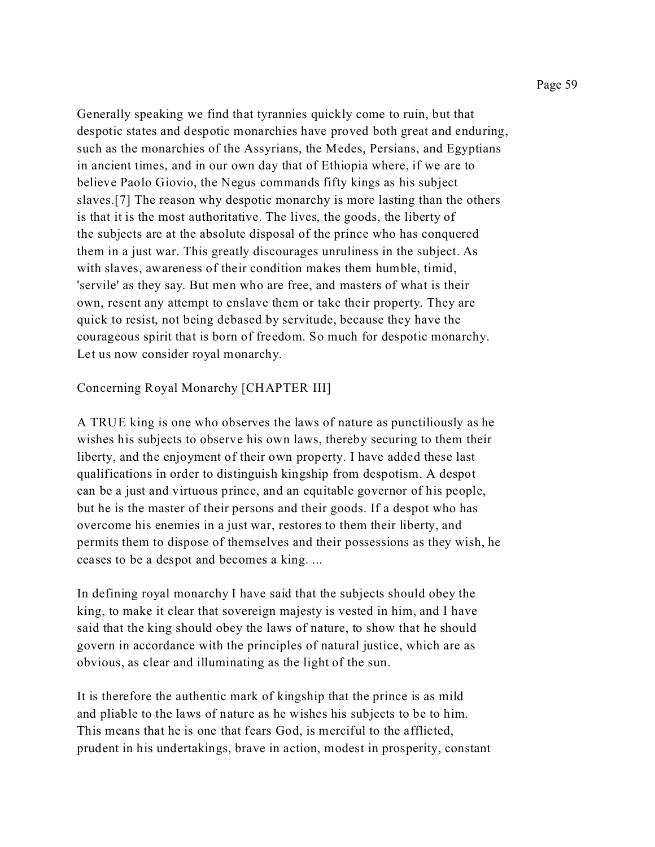Generally speaking we find that tyrannies quickly come to ruin, but that despotic states and despotic monarchies have proved both great and enduring, such as the monarchies of the Assyrians, the Medes, Persians, and Egyptians in ancient times, and in our own day that of Ethiopia where, if we are to believe Paolo Giovio, the Negus commands fifty kings as his subject slaves.[7] The reason why despotic monarchy is more lasting than the others is that it is the most authoritative. The lives, the goods, the liberty of the subjects are at the absolute disposal of the prince who has conquered them in a just war. This greatly discourages unruliness in the subject. As with slaves, awareness of their condition makes them humble, timid, 'servile' as they say. But men who are free, and masters of what is their own, resent any attempt to enslave them or take their property. They are quick to resist, not being debased by servitude, because they have the courageous spirit that is born of freedom. So much for despotic monarchy. Let us now consider royal monarchy.

#### Concerning Royal Monarchy [CHAPTER III]

A TRUE king is one who observes the laws of nature as punctiliously as he wishes his subjects to observe his own laws, thereby securing to them their liberty, and the enjoyment of their own property. I have added these last qualifications in order to distinguish kingship from despotism. A despot can be a just and virtuous prince, and an equitable governor of his people, but he is the master of their persons and their goods. If a despot who has overcome his enemies in a just war, restores to them their liberty, and permits them to dispose of themselves and their possessions as they wish, he ceases to be a despot and becomes a king. ...

In defining royal monarchy I have said that the subjects should obey the king, to make it clear that sovereign majesty is vested in him, and I have said that the king should obey the laws of nature, to show that he should govern in accordance with the principles of natural justice, which are as obvious, as clear and illuminating as the light of the sun.

It is therefore the authentic mark of kingship that the prince is as mild and pliable to the laws of nature as he wishes his subjects to be to him. This means that he is one that fears God, is merciful to the afflicted, prudent in his undertakings, brave in action, modest in prosperity, constant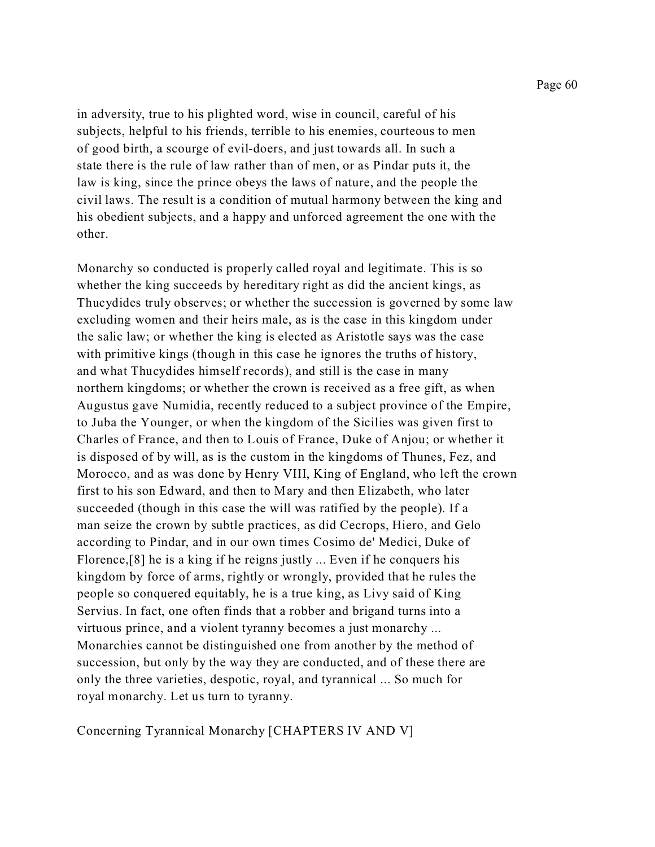in adversity, true to his plighted word, wise in council, careful of his subjects, helpful to his friends, terrible to his enemies, courteous to men of good birth, a scourge of evil-doers, and just towards all. In such a state there is the rule of law rather than of men, or as Pindar puts it, the law is king, since the prince obeys the laws of nature, and the people the civil laws. The result is a condition of mutual harmony between the king and his obedient subjects, and a happy and unforced agreement the one with the other.

Monarchy so conducted is properly called royal and legitimate. This is so whether the king succeeds by hereditary right as did the ancient kings, as Thucydides truly observes; or whether the succession is governed by some law excluding women and their heirs male, as is the case in this kingdom under the salic law; or whether the king is elected as Aristotle says was the case with primitive kings (though in this case he ignores the truths of history, and what Thucydides himself records), and still is the case in many northern kingdoms; or whether the crown is received as a free gift, as when Augustus gave Numidia, recently reduced to a subject province of the Empire, to Juba the Younger, or when the kingdom of the Sicilies was given first to Charles of France, and then to Louis of France, Duke of Anjou; or whether it is disposed of by will, as is the custom in the kingdoms of Thunes, Fez, and Morocco, and as was done by Henry VIII, King of England, who left the crown first to his son Edward, and then to Mary and then Elizabeth, who later succeeded (though in this case the will was ratified by the people). If a man seize the crown by subtle practices, as did Cecrops, Hiero, and Gelo according to Pindar, and in our own times Cosimo de' Medici, Duke of Florence,[8] he is a king if he reigns justly ... Even if he conquers his kingdom by force of arms, rightly or wrongly, provided that he rules the people so conquered equitably, he is a true king, as Livy said of King Servius. In fact, one often finds that a robber and brigand turns into a virtuous prince, and a violent tyranny becomes a just monarchy ... Monarchies cannot be distinguished one from another by the method of succession, but only by the way they are conducted, and of these there are only the three varieties, despotic, royal, and tyrannical ... So much for royal monarchy. Let us turn to tyranny.

Concerning Tyrannical Monarchy [CHAPTERS IV AND V]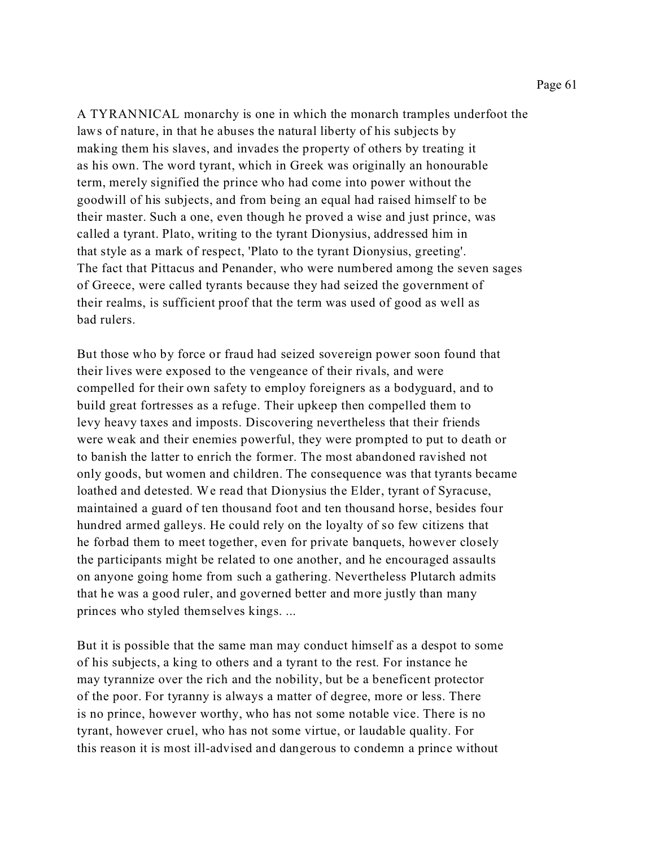A TYRANNICAL monarchy is one in which the monarch tramples underfoot the laws of nature, in that he abuses the natural liberty of his subjects by making them his slaves, and invades the property of others by treating it as his own. The word tyrant, which in Greek was originally an honourable term, merely signified the prince who had come into power without the goodwill of his subjects, and from being an equal had raised himself to be their master. Such a one, even though he proved a wise and just prince, was called a tyrant. Plato, writing to the tyrant Dionysius, addressed him in that style as a mark of respect, 'Plato to the tyrant Dionysius, greeting'. The fact that Pittacus and Penander, who were numbered among the seven sages of Greece, were called tyrants because they had seized the government of their realms, is sufficient proof that the term was used of good as well as bad rulers.

But those who by force or fraud had seized sovereign power soon found that their lives were exposed to the vengeance of their rivals, and were compelled for their own safety to employ foreigners as a bodyguard, and to build great fortresses as a refuge. Their upkeep then compelled them to levy heavy taxes and imposts. Discovering nevertheless that their friends were weak and their enemies powerful, they were prompted to put to death or to banish the latter to enrich the former. The most abandoned ravished not only goods, but women and children. The consequence was that tyrants became loathed and detested. We read that Dionysius the Elder, tyrant of Syracuse, maintained a guard of ten thousand foot and ten thousand horse, besides four hundred armed galleys. He could rely on the loyalty of so few citizens that he forbad them to meet together, even for private banquets, however closely the participants might be related to one another, and he encouraged assaults on anyone going home from such a gathering. Nevertheless Plutarch admits that he was a good ruler, and governed better and more justly than many princes who styled themselves kings. ...

But it is possible that the same man may conduct himself as a despot to some of his subjects, a king to others and a tyrant to the rest. For instance he may tyrannize over the rich and the nobility, but be a beneficent protector of the poor. For tyranny is always a matter of degree, more or less. There is no prince, however worthy, who has not some notable vice. There is no tyrant, however cruel, who has not some virtue, or laudable quality. For this reason it is most ill-advised and dangerous to condemn a prince without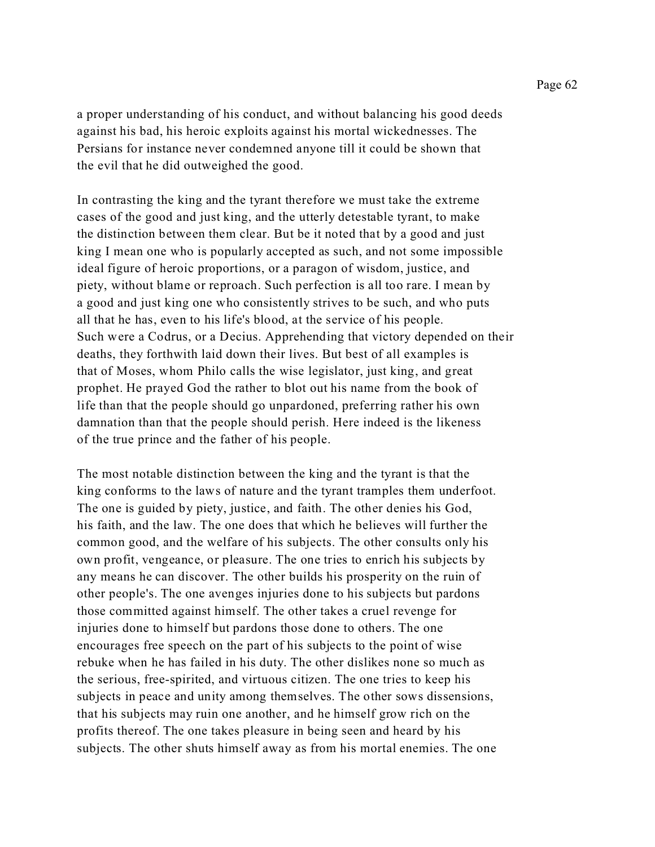a proper understanding of his conduct, and without balancing his good deeds against his bad, his heroic exploits against his mortal wickednesses. The Persians for instance never condemned anyone till it could be shown that the evil that he did outweighed the good.

In contrasting the king and the tyrant therefore we must take the extreme cases of the good and just king, and the utterly detestable tyrant, to make the distinction between them clear. But be it noted that by a good and just king I mean one who is popularly accepted as such, and not some impossible ideal figure of heroic proportions, or a paragon of wisdom, justice, and piety, without blame or reproach. Such perfection is all too rare. I mean by a good and just king one who consistently strives to be such, and who puts all that he has, even to his life's blood, at the service of his people. Such were a Codrus, or a Decius. Apprehending that victory depended on their deaths, they forthwith laid down their lives. But best of all examples is that of Moses, whom Philo calls the wise legislator, just king, and great prophet. He prayed God the rather to blot out his name from the book of life than that the people should go unpardoned, preferring rather his own damnation than that the people should perish. Here indeed is the likeness of the true prince and the father of his people.

The most notable distinction between the king and the tyrant is that the king conforms to the laws of nature and the tyrant tramples them underfoot. The one is guided by piety, justice, and faith. The other denies his God, his faith, and the law. The one does that which he believes will further the common good, and the welfare of his subjects. The other consults only his own profit, vengeance, or pleasure. The one tries to enrich his subjects by any means he can discover. The other builds his prosperity on the ruin of other people's. The one avenges injuries done to his subjects but pardons those committed against himself. The other takes a cruel revenge for injuries done to himself but pardons those done to others. The one encourages free speech on the part of his subjects to the point of wise rebuke when he has failed in his duty. The other dislikes none so much as the serious, free-spirited, and virtuous citizen. The one tries to keep his subjects in peace and unity among themselves. The other sows dissensions, that his subjects may ruin one another, and he himself grow rich on the profits thereof. The one takes pleasure in being seen and heard by his subjects. The other shuts himself away as from his mortal enemies. The one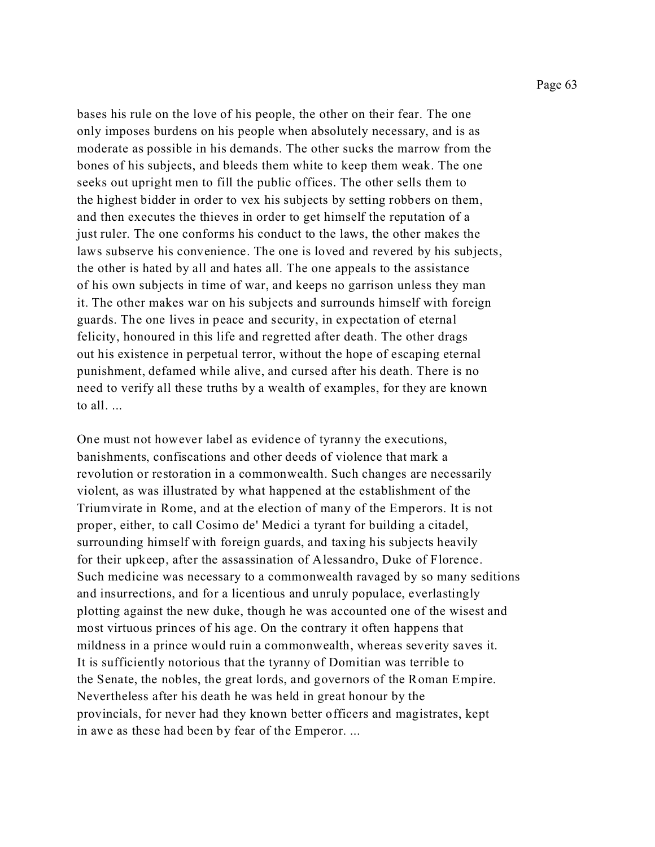bases his rule on the love of his people, the other on their fear. The one only imposes burdens on his people when absolutely necessary, and is as moderate as possible in his demands. The other sucks the marrow from the bones of his subjects, and bleeds them white to keep them weak. The one seeks out upright men to fill the public offices. The other sells them to the highest bidder in order to vex his subjects by setting robbers on them, and then executes the thieves in order to get himself the reputation of a just ruler. The one conforms his conduct to the laws, the other makes the laws subserve his convenience. The one is loved and revered by his subjects, the other is hated by all and hates all. The one appeals to the assistance of his own subjects in time of war, and keeps no garrison unless they man it. The other makes war on his subjects and surrounds himself with foreign guards. The one lives in peace and security, in expectation of eternal felicity, honoured in this life and regretted after death. The other drags out his existence in perpetual terror, without the hope of escaping eternal punishment, defamed while alive, and cursed after his death. There is no need to verify all these truths by a wealth of examples, for they are known to all. ...

One must not however label as evidence of tyranny the executions, banishments, confiscations and other deeds of violence that mark a revolution or restoration in a commonwealth. Such changes are necessarily violent, as was illustrated by what happened at the establishment of the Triumvirate in Rome, and at the election of many of the Emperors. It is not proper, either, to call Cosimo de' Medici a tyrant for building a citadel, surrounding himself with foreign guards, and taxing his subjects heavily for their upkeep, after the assassination of Alessandro, Duke of Florence. Such medicine was necessary to a commonwealth ravaged by so many seditions and insurrections, and for a licentious and unruly populace, everlastingly plotting against the new duke, though he was accounted one of the wisest and most virtuous princes of his age. On the contrary it often happens that mildness in a prince would ruin a commonwealth, whereas severity saves it. It is sufficiently notorious that the tyranny of Domitian was terrible to the Senate, the nobles, the great lords, and governors of the Roman Empire. Nevertheless after his death he was held in great honour by the provincials, for never had they known better officers and magistrates, kept in awe as these had been by fear of the Emperor. ...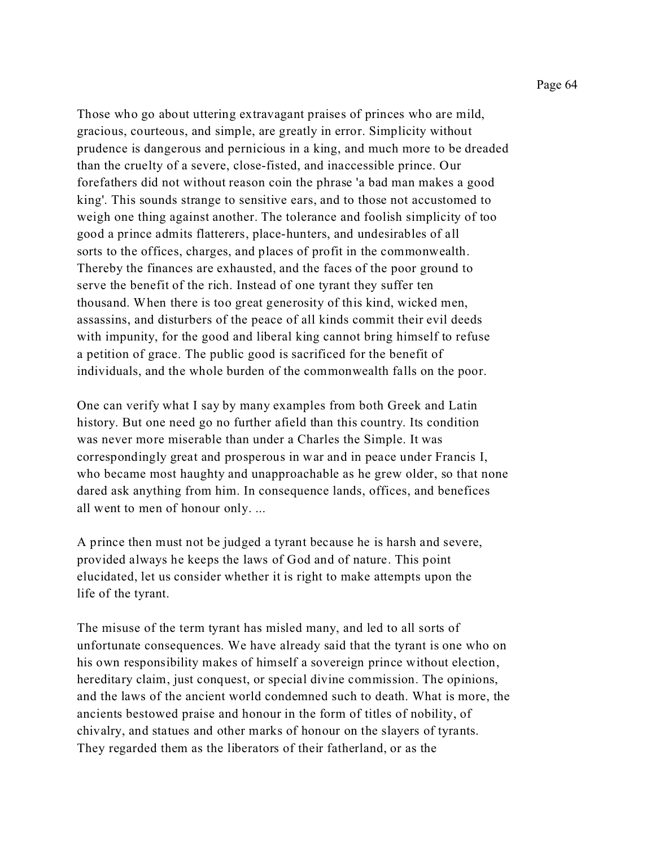Those who go about uttering extravagant praises of princes who are mild, gracious, courteous, and simple, are greatly in error. Simplicity without prudence is dangerous and pernicious in a king, and much more to be dreaded than the cruelty of a severe, close-fisted, and inaccessible prince. Our forefathers did not without reason coin the phrase 'a bad man makes a good king'. This sounds strange to sensitive ears, and to those not accustomed to weigh one thing against another. The tolerance and foolish simplicity of too good a prince admits flatterers, place-hunters, and undesirables of all sorts to the offices, charges, and places of profit in the commonwealth. Thereby the finances are exhausted, and the faces of the poor ground to serve the benefit of the rich. Instead of one tyrant they suffer ten thousand. When there is too great generosity of this kind, wicked men, assassins, and disturbers of the peace of all kinds commit their evil deeds with impunity, for the good and liberal king cannot bring himself to refuse a petition of grace. The public good is sacrificed for the benefit of individuals, and the whole burden of the commonwealth falls on the poor.

One can verify what I say by many examples from both Greek and Latin history. But one need go no further afield than this country. Its condition was never more miserable than under a Charles the Simple. It was correspondingly great and prosperous in war and in peace under Francis I, who became most haughty and unapproachable as he grew older, so that none dared ask anything from him. In consequence lands, offices, and benefices all went to men of honour only. ...

A prince then must not be judged a tyrant because he is harsh and severe, provided always he keeps the laws of God and of nature. This point elucidated, let us consider whether it is right to make attempts upon the life of the tyrant.

The misuse of the term tyrant has misled many, and led to all sorts of unfortunate consequences. We have already said that the tyrant is one who on his own responsibility makes of himself a sovereign prince without election, hereditary claim, just conquest, or special divine commission. The opinions, and the laws of the ancient world condemned such to death. What is more, the ancients bestowed praise and honour in the form of titles of nobility, of chivalry, and statues and other marks of honour on the slayers of tyrants. They regarded them as the liberators of their fatherland, or as the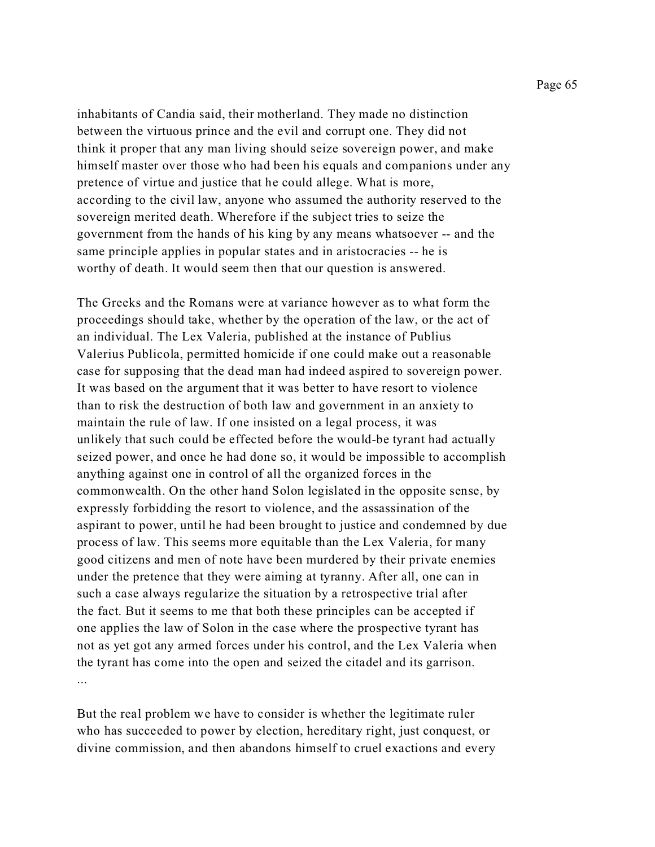inhabitants of Candia said, their motherland. They made no distinction between the virtuous prince and the evil and corrupt one. They did not think it proper that any man living should seize sovereign power, and make himself master over those who had been his equals and companions under any pretence of virtue and justice that he could allege. What is more, according to the civil law, anyone who assumed the authority reserved to the sovereign merited death. Wherefore if the subject tries to seize the government from the hands of his king by any means whatsoever -- and the same principle applies in popular states and in aristocracies -- he is worthy of death. It would seem then that our question is answered.

The Greeks and the Romans were at variance however as to what form the proceedings should take, whether by the operation of the law, or the act of an individual. The Lex Valeria, published at the instance of Publius Valerius Publicola, permitted homicide if one could make out a reasonable case for supposing that the dead man had indeed aspired to sovereign power. It was based on the argument that it was better to have resort to violence than to risk the destruction of both law and government in an anxiety to maintain the rule of law. If one insisted on a legal process, it was unlikely that such could be effected before the would-be tyrant had actually seized power, and once he had done so, it would be impossible to accomplish anything against one in control of all the organized forces in the commonwealth. On the other hand Solon legislated in the opposite sense, by expressly forbidding the resort to violence, and the assassination of the aspirant to power, until he had been brought to justice and condemned by due process of law. This seems more equitable than the Lex Valeria, for many good citizens and men of note have been murdered by their private enemies under the pretence that they were aiming at tyranny. After all, one can in such a case always regularize the situation by a retrospective trial after the fact. But it seems to me that both these principles can be accepted if one applies the law of Solon in the case where the prospective tyrant has not as yet got any armed forces under his control, and the Lex Valeria when the tyrant has come into the open and seized the citadel and its garrison. ...

But the real problem we have to consider is whether the legitimate ruler who has succeeded to power by election, hereditary right, just conquest, or divine commission, and then abandons himself to cruel exactions and every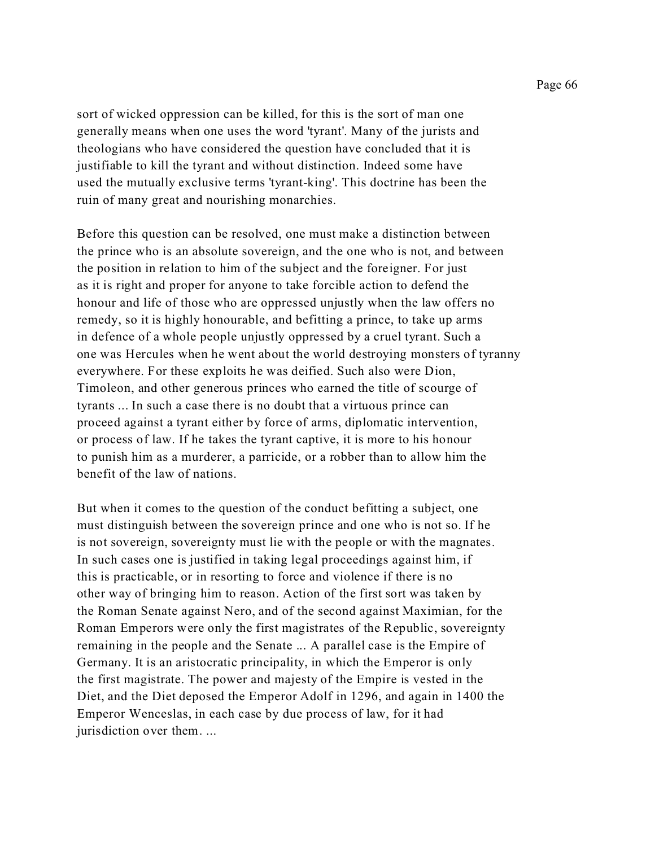sort of wicked oppression can be killed, for this is the sort of man one generally means when one uses the word 'tyrant'. Many of the jurists and theologians who have considered the question have concluded that it is justifiable to kill the tyrant and without distinction. Indeed some have used the mutually exclusive terms 'tyrant-king'. This doctrine has been the ruin of many great and nourishing monarchies.

Before this question can be resolved, one must make a distinction between the prince who is an absolute sovereign, and the one who is not, and between the position in relation to him of the subject and the foreigner. For just as it is right and proper for anyone to take forcible action to defend the honour and life of those who are oppressed unjustly when the law offers no remedy, so it is highly honourable, and befitting a prince, to take up arms in defence of a whole people unjustly oppressed by a cruel tyrant. Such a one was Hercules when he went about the world destroying monsters of tyranny everywhere. For these exploits he was deified. Such also were Dion, Timoleon, and other generous princes who earned the title of scourge of tyrants ... In such a case there is no doubt that a virtuous prince can proceed against a tyrant either by force of arms, diplomatic intervention, or process of law. If he takes the tyrant captive, it is more to his honour to punish him as a murderer, a parricide, or a robber than to allow him the benefit of the law of nations.

But when it comes to the question of the conduct befitting a subject, one must distinguish between the sovereign prince and one who is not so. If he is not sovereign, sovereignty must lie with the people or with the magnates. In such cases one is justified in taking legal proceedings against him, if this is practicable, or in resorting to force and violence if there is no other way of bringing him to reason. Action of the first sort was taken by the Roman Senate against Nero, and of the second against Maximian, for the Roman Emperors were only the first magistrates of the Republic, sovereignty remaining in the people and the Senate ... A parallel case is the Empire of Germany. It is an aristocratic principality, in which the Emperor is only the first magistrate. The power and majesty of the Empire is vested in the Diet, and the Diet deposed the Emperor Adolf in 1296, and again in 1400 the Emperor Wenceslas, in each case by due process of law, for it had jurisdiction over them....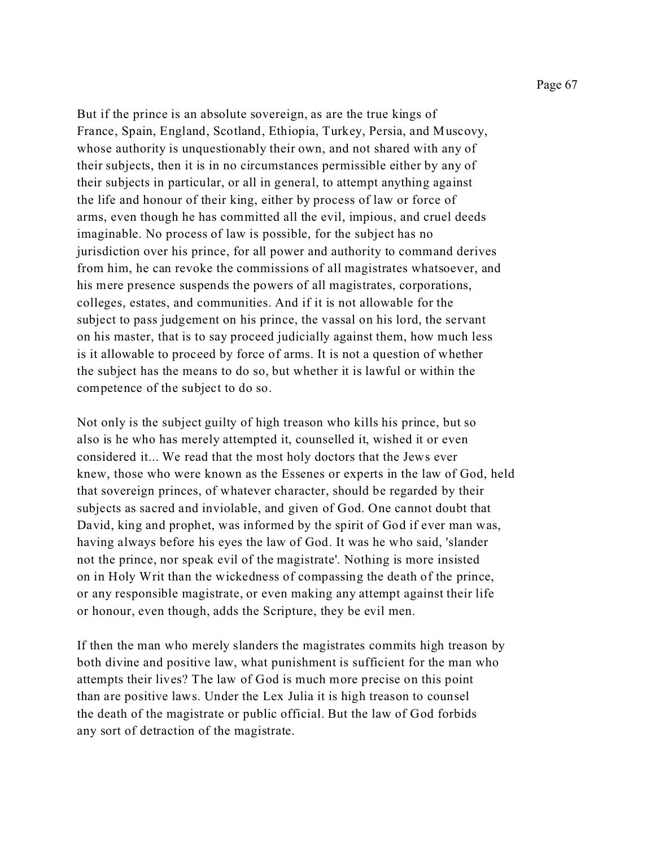But if the prince is an absolute sovereign, as are the true kings of France, Spain, England, Scotland, Ethiopia, Turkey, Persia, and Muscovy, whose authority is unquestionably their own, and not shared with any of their subjects, then it is in no circumstances permissible either by any of their subjects in particular, or all in general, to attempt anything against the life and honour of their king, either by process of law or force of arms, even though he has committed all the evil, impious, and cruel deeds imaginable. No process of law is possible, for the subject has no jurisdiction over his prince, for all power and authority to command derives from him, he can revoke the commissions of all magistrates whatsoever, and his mere presence suspends the powers of all magistrates, corporations, colleges, estates, and communities. And if it is not allowable for the subject to pass judgement on his prince, the vassal on his lord, the servant on his master, that is to say proceed judicially against them, how much less is it allowable to proceed by force of arms. It is not a question of whether the subject has the means to do so, but whether it is lawful or within the competence of the subject to do so.

Not only is the subject guilty of high treason who kills his prince, but so also is he who has merely attempted it, counselled it, wished it or even considered it... We read that the most holy doctors that the Jews ever knew, those who were known as the Essenes or experts in the law of God, held that sovereign princes, of whatever character, should be regarded by their subjects as sacred and inviolable, and given of God. One cannot doubt that David, king and prophet, was informed by the spirit of God if ever man was, having always before his eyes the law of God. It was he who said, 'slander not the prince, nor speak evil of the magistrate'. Nothing is more insisted on in Holy Writ than the wickedness of compassing the death of the prince, or any responsible magistrate, or even making any attempt against their life or honour, even though, adds the Scripture, they be evil men.

If then the man who merely slanders the magistrates commits high treason by both divine and positive law, what punishment is sufficient for the man who attempts their lives? The law of God is much more precise on this point than are positive laws. Under the Lex Julia it is high treason to counsel the death of the magistrate or public official. But the law of God forbids any sort of detraction of the magistrate.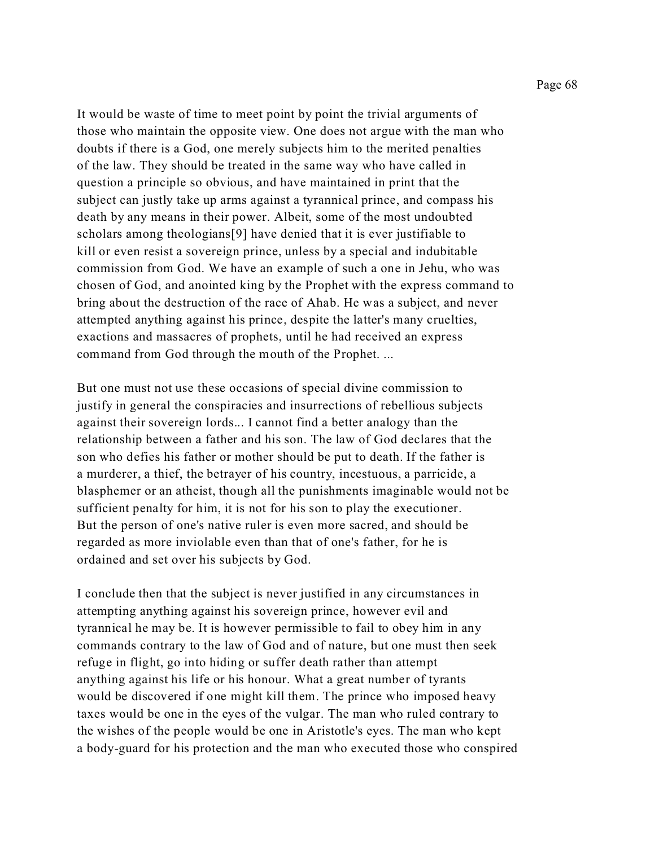It would be waste of time to meet point by point the trivial arguments of those who maintain the opposite view. One does not argue with the man who doubts if there is a God, one merely subjects him to the merited penalties of the law. They should be treated in the same way who have called in question a principle so obvious, and have maintained in print that the subject can justly take up arms against a tyrannical prince, and compass his death by any means in their power. Albeit, some of the most undoubted scholars among theologians[9] have denied that it is ever justifiable to kill or even resist a sovereign prince, unless by a special and indubitable commission from God. We have an example of such a one in Jehu, who was chosen of God, and anointed king by the Prophet with the express command to bring about the destruction of the race of Ahab. He was a subject, and never attempted anything against his prince, despite the latter's many cruelties, exactions and massacres of prophets, until he had received an express command from God through the mouth of the Prophet. ...

But one must not use these occasions of special divine commission to justify in general the conspiracies and insurrections of rebellious subjects against their sovereign lords... I cannot find a better analogy than the relationship between a father and his son. The law of God declares that the son who defies his father or mother should be put to death. If the father is a murderer, a thief, the betrayer of his country, incestuous, a parricide, a blasphemer or an atheist, though all the punishments imaginable would not be sufficient penalty for him, it is not for his son to play the executioner. But the person of one's native ruler is even more sacred, and should be regarded as more inviolable even than that of one's father, for he is ordained and set over his subjects by God.

I conclude then that the subject is never justified in any circumstances in attempting anything against his sovereign prince, however evil and tyrannical he may be. It is however permissible to fail to obey him in any commands contrary to the law of God and of nature, but one must then seek refuge in flight, go into hiding or suffer death rather than attempt anything against his life or his honour. What a great number of tyrants would be discovered if one might kill them. The prince who imposed heavy taxes would be one in the eyes of the vulgar. The man who ruled contrary to the wishes of the people would be one in Aristotle's eyes. The man who kept a body-guard for his protection and the man who executed those who conspired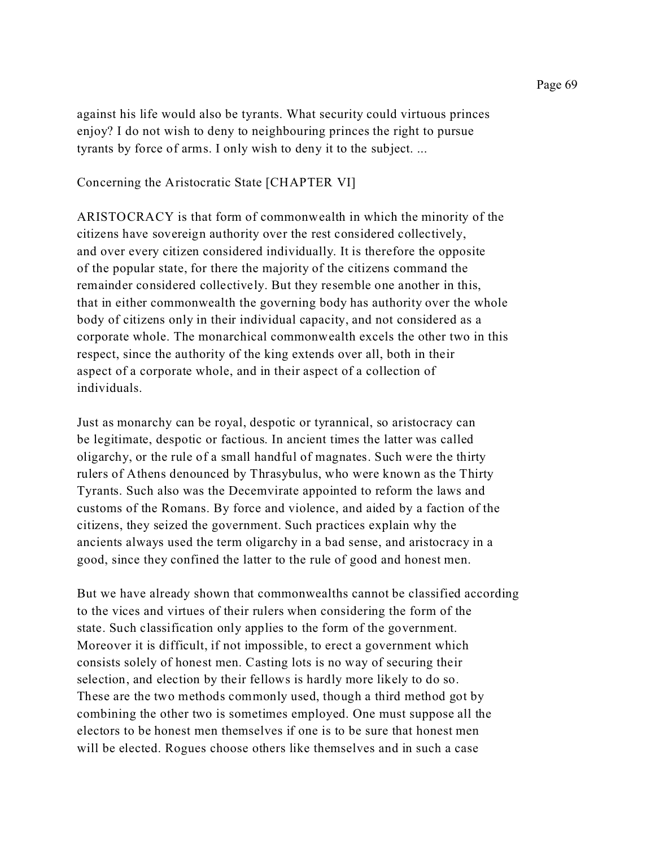against his life would also be tyrants. What security could virtuous princes enjoy? I do not wish to deny to neighbouring princes the right to pursue tyrants by force of arms. I only wish to deny it to the subject. ...

Concerning the Aristocratic State [CHAPTER VI]

ARISTOCRACY is that form of commonwealth in which the minority of the citizens have sovereign authority over the rest considered collectively, and over every citizen considered individually. It is therefore the opposite of the popular state, for there the majority of the citizens command the remainder considered collectively. But they resemble one another in this, that in either commonwealth the governing body has authority over the whole body of citizens only in their individual capacity, and not considered as a corporate whole. The monarchical commonwealth excels the other two in this respect, since the authority of the king extends over all, both in their aspect of a corporate whole, and in their aspect of a collection of individuals.

Just as monarchy can be royal, despotic or tyrannical, so aristocracy can be legitimate, despotic or factious. In ancient times the latter was called oligarchy, or the rule of a small handful of magnates. Such were the thirty rulers of Athens denounced by Thrasybulus, who were known as the Thirty Tyrants. Such also was the Decemvirate appointed to reform the laws and customs of the Romans. By force and violence, and aided by a faction of the citizens, they seized the government. Such practices explain why the ancients always used the term oligarchy in a bad sense, and aristocracy in a good, since they confined the latter to the rule of good and honest men.

But we have already shown that commonwealths cannot be classified according to the vices and virtues of their rulers when considering the form of the state. Such classification only applies to the form of the government. Moreover it is difficult, if not impossible, to erect a government which consists solely of honest men. Casting lots is no way of securing their selection, and election by their fellows is hardly more likely to do so. These are the two methods commonly used, though a third method got by combining the other two is sometimes employed. One must suppose all the electors to be honest men themselves if one is to be sure that honest men will be elected. Rogues choose others like themselves and in such a case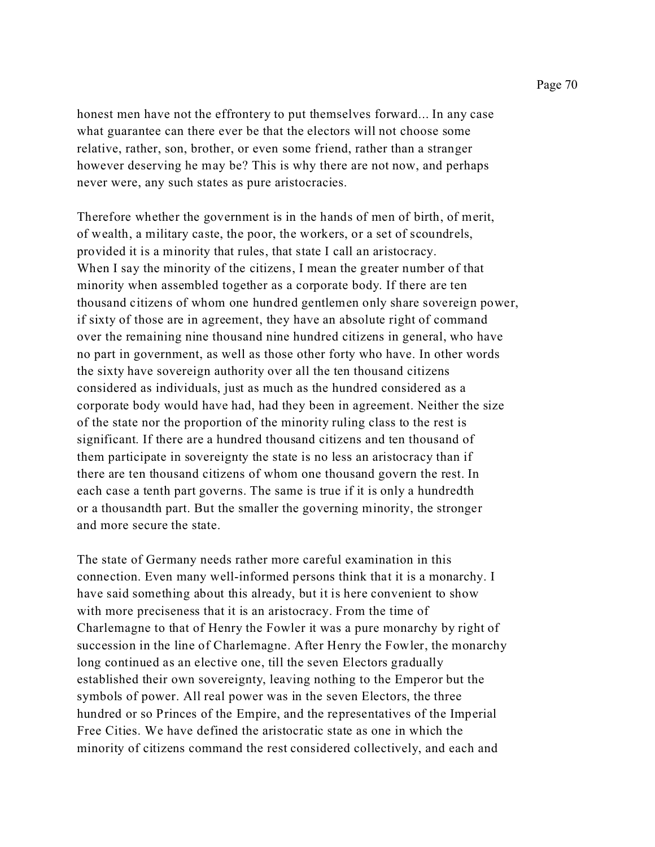honest men have not the effrontery to put themselves forward... In any case what guarantee can there ever be that the electors will not choose some relative, rather, son, brother, or even some friend, rather than a stranger however deserving he may be? This is why there are not now, and perhaps never were, any such states as pure aristocracies.

Therefore whether the government is in the hands of men of birth, of merit, of wealth, a military caste, the poor, the workers, or a set of scoundrels, provided it is a minority that rules, that state I call an aristocracy. When I say the minority of the citizens, I mean the greater number of that minority when assembled together as a corporate body. If there are ten thousand citizens of whom one hundred gentlemen only share sovereign power, if sixty of those are in agreement, they have an absolute right of command over the remaining nine thousand nine hundred citizens in general, who have no part in government, as well as those other forty who have. In other words the sixty have sovereign authority over all the ten thousand citizens considered as individuals, just as much as the hundred considered as a corporate body would have had, had they been in agreement. Neither the size of the state nor the proportion of the minority ruling class to the rest is significant. If there are a hundred thousand citizens and ten thousand of them participate in sovereignty the state is no less an aristocracy than if there are ten thousand citizens of whom one thousand govern the rest. In each case a tenth part governs. The same is true if it is only a hundredth or a thousandth part. But the smaller the governing minority, the stronger and more secure the state.

The state of Germany needs rather more careful examination in this connection. Even many well-informed persons think that it is a monarchy. I have said something about this already, but it is here convenient to show with more preciseness that it is an aristocracy. From the time of Charlemagne to that of Henry the Fowler it was a pure monarchy by right of succession in the line of Charlemagne. After Henry the Fowler, the monarchy long continued as an elective one, till the seven Electors gradually established their own sovereignty, leaving nothing to the Emperor but the symbols of power. All real power was in the seven Electors, the three hundred or so Princes of the Empire, and the representatives of the Imperial Free Cities. We have defined the aristocratic state as one in which the minority of citizens command the rest considered collectively, and each and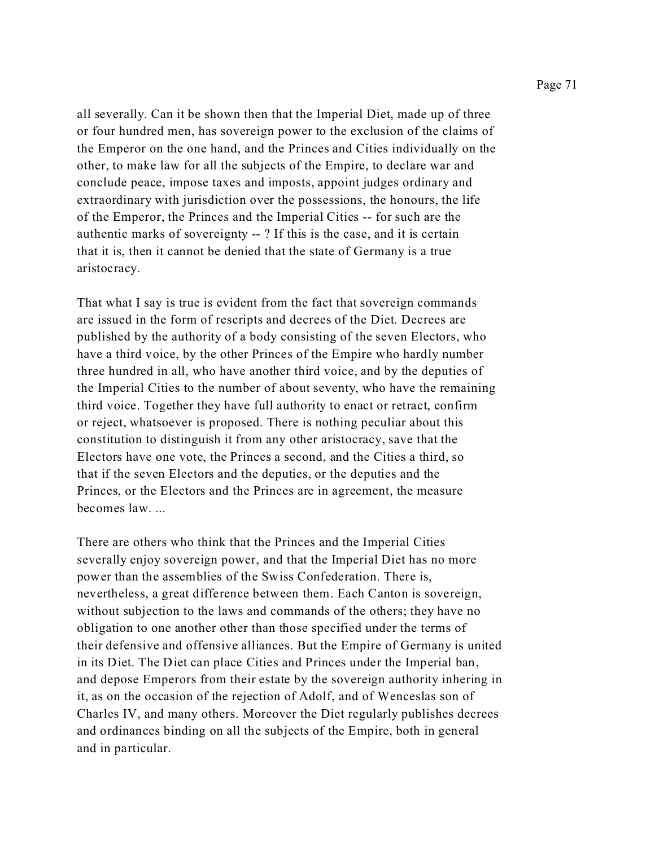all severally. Can it be shown then that the Imperial Diet, made up of three or four hundred men, has sovereign power to the exclusion of the claims of the Emperor on the one hand, and the Princes and Cities individually on the other, to make law for all the subjects of the Empire, to declare war and conclude peace, impose taxes and imposts, appoint judges ordinary and extraordinary with jurisdiction over the possessions, the honours, the life of the Emperor, the Princes and the Imperial Cities -- for such are the authentic marks of sovereignty -- ? If this is the case, and it is certain that it is, then it cannot be denied that the state of Germany is a true aristocracy.

That what I say is true is evident from the fact that sovereign commands are issued in the form of rescripts and decrees of the Diet. Decrees are published by the authority of a body consisting of the seven Electors, who have a third voice, by the other Princes of the Empire who hardly number three hundred in all, who have another third voice, and by the deputies of the Imperial Cities to the number of about seventy, who have the remaining third voice. Together they have full authority to enact or retract, confirm or reject, whatsoever is proposed. There is nothing peculiar about this constitution to distinguish it from any other aristocracy, save that the Electors have one vote, the Princes a second, and the Cities a third, so that if the seven Electors and the deputies, or the deputies and the Princes, or the Electors and the Princes are in agreement, the measure becomes law. ...

There are others who think that the Princes and the Imperial Cities severally enjoy sovereign power, and that the Imperial Diet has no more power than the assemblies of the Swiss Confederation. There is, nevertheless, a great difference between them. Each Canton is sovereign, without subjection to the laws and commands of the others; they have no obligation to one another other than those specified under the terms of their defensive and offensive alliances. But the Empire of Germany is united in its Diet. The Diet can place Cities and Princes under the Imperial ban, and depose Emperors from their estate by the sovereign authority inhering in it, as on the occasion of the rejection of Adolf, and of Wenceslas son of Charles IV, and many others. Moreover the Diet regularly publishes decrees and ordinances binding on all the subjects of the Empire, both in general and in particular.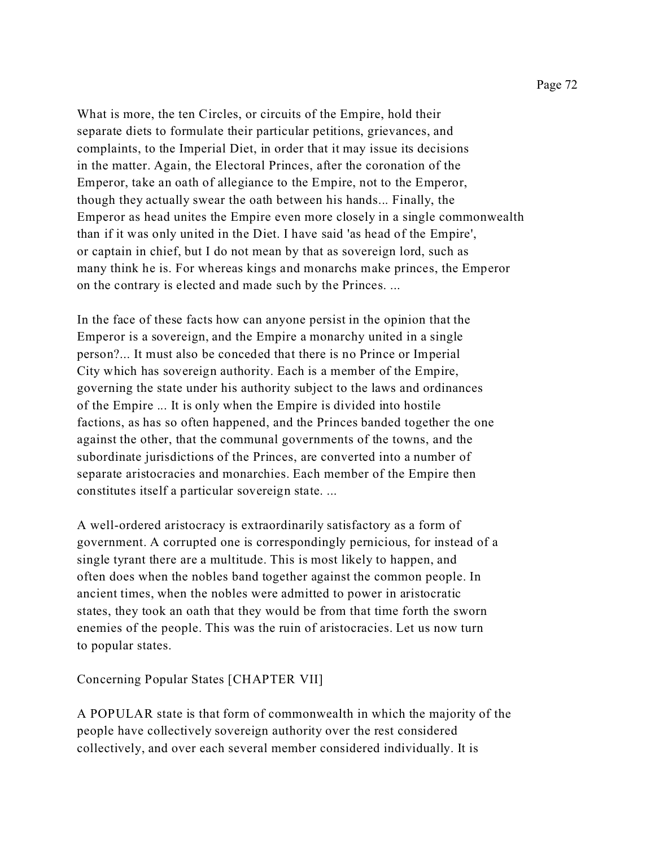What is more, the ten Circles, or circuits of the Empire, hold their separate diets to formulate their particular petitions, grievances, and complaints, to the Imperial Diet, in order that it may issue its decisions in the matter. Again, the Electoral Princes, after the coronation of the Emperor, take an oath of allegiance to the Empire, not to the Emperor, though they actually swear the oath between his hands... Finally, the Emperor as head unites the Empire even more closely in a single commonwealth than if it was only united in the Diet. I have said 'as head of the Empire', or captain in chief, but I do not mean by that as sovereign lord, such as many think he is. For whereas kings and monarchs make princes, the Emperor on the contrary is elected and made such by the Princes. ...

In the face of these facts how can anyone persist in the opinion that the Emperor is a sovereign, and the Empire a monarchy united in a single person?... It must also be conceded that there is no Prince or Imperial City which has sovereign authority. Each is a member of the Empire, governing the state under his authority subject to the laws and ordinances of the Empire ... It is only when the Empire is divided into hostile factions, as has so often happened, and the Princes banded together the one against the other, that the communal governments of the towns, and the subordinate jurisdictions of the Princes, are converted into a number of separate aristocracies and monarchies. Each member of the Empire then constitutes itself a particular sovereign state. ...

A well-ordered aristocracy is extraordinarily satisfactory as a form of government. A corrupted one is correspondingly pernicious, for instead of a single tyrant there are a multitude. This is most likely to happen, and often does when the nobles band together against the common people. In ancient times, when the nobles were admitted to power in aristocratic states, they took an oath that they would be from that time forth the sworn enemies of the people. This was the ruin of aristocracies. Let us now turn to popular states.

Concerning Popular States [CHAPTER VII]

A POPULAR state is that form of commonwealth in which the majority of the people have collectively sovereign authority over the rest considered collectively, and over each several member considered individually. It is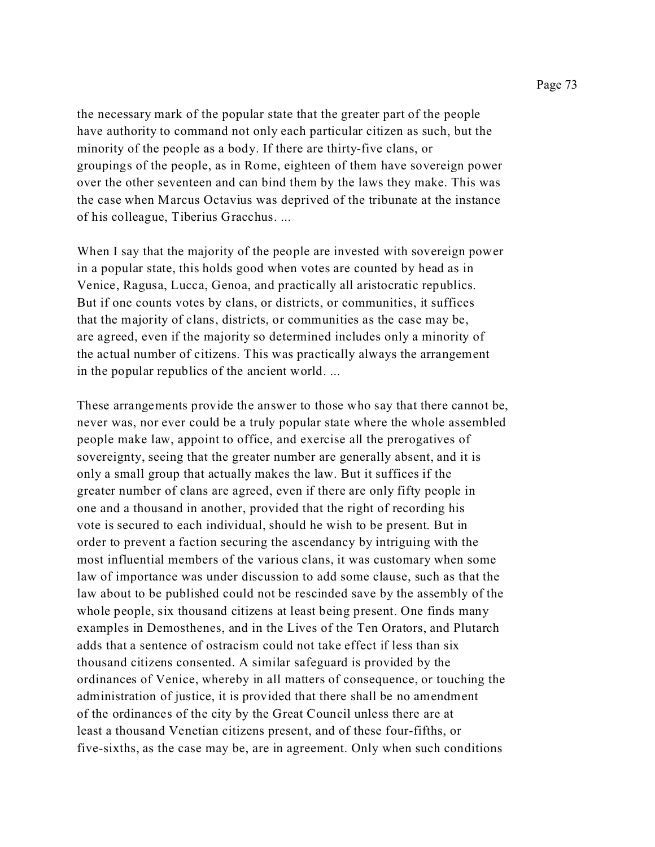the necessary mark of the popular state that the greater part of the people have authority to command not only each particular citizen as such, but the minority of the people as a body. If there are thirty-five clans, or groupings of the people, as in Rome, eighteen of them have sovereign power over the other seventeen and can bind them by the laws they make. This was the case when Marcus Octavius was deprived of the tribunate at the instance of his colleague, Tiberius Gracchus. ...

When I say that the majority of the people are invested with sovereign power in a popular state, this holds good when votes are counted by head as in Venice, Ragusa, Lucca, Genoa, and practically all aristocratic republics. But if one counts votes by clans, or districts, or communities, it suffices that the majority of clans, districts, or communities as the case may be, are agreed, even if the majority so determined includes only a minority of the actual number of citizens. This was practically always the arrangement in the popular republics of the ancient world. ...

These arrangements provide the answer to those who say that there cannot be, never was, nor ever could be a truly popular state where the whole assembled people make law, appoint to office, and exercise all the prerogatives of sovereignty, seeing that the greater number are generally absent, and it is only a small group that actually makes the law. But it suffices if the greater number of clans are agreed, even if there are only fifty people in one and a thousand in another, provided that the right of recording his vote is secured to each individual, should he wish to be present. But in order to prevent a faction securing the ascendancy by intriguing with the most influential members of the various clans, it was customary when some law of importance was under discussion to add some clause, such as that the law about to be published could not be rescinded save by the assembly of the whole people, six thousand citizens at least being present. One finds many examples in Demosthenes, and in the Lives of the Ten Orators, and Plutarch adds that a sentence of ostracism could not take effect if less than six thousand citizens consented. A similar safeguard is provided by the ordinances of Venice, whereby in all matters of consequence, or touching the administration of justice, it is provided that there shall be no amendment of the ordinances of the city by the Great Council unless there are at least a thousand Venetian citizens present, and of these four-fifths, or five-sixths, as the case may be, are in agreement. Only when such conditions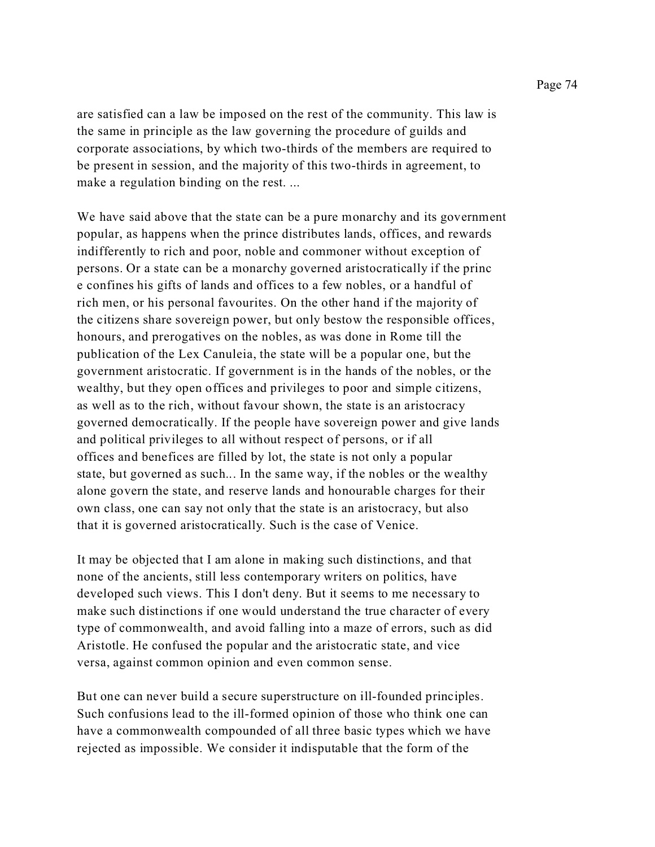are satisfied can a law be imposed on the rest of the community. This law is the same in principle as the law governing the procedure of guilds and corporate associations, by which two-thirds of the members are required to be present in session, and the majority of this two-thirds in agreement, to make a regulation binding on the rest. ...

We have said above that the state can be a pure monarchy and its government popular, as happens when the prince distributes lands, offices, and rewards indifferently to rich and poor, noble and commoner without exception of persons. Or a state can be a monarchy governed aristocratically if the princ e confines his gifts of lands and offices to a few nobles, or a handful of rich men, or his personal favourites. On the other hand if the majority of the citizens share sovereign power, but only bestow the responsible offices, honours, and prerogatives on the nobles, as was done in Rome till the publication of the Lex Canuleia, the state will be a popular one, but the government aristocratic. If government is in the hands of the nobles, or the wealthy, but they open offices and privileges to poor and simple citizens, as well as to the rich, without favour shown, the state is an aristocracy governed democratically. If the people have sovereign power and give lands and political privileges to all without respect of persons, or if all offices and benefices are filled by lot, the state is not only a popular state, but governed as such... In the same way, if the nobles or the wealthy alone govern the state, and reserve lands and honourable charges for their own class, one can say not only that the state is an aristocracy, but also that it is governed aristocratically. Such is the case of Venice.

It may be objected that I am alone in making such distinctions, and that none of the ancients, still less contemporary writers on politics, have developed such views. This I don't deny. But it seems to me necessary to make such distinctions if one would understand the true character of every type of commonwealth, and avoid falling into a maze of errors, such as did Aristotle. He confused the popular and the aristocratic state, and vice versa, against common opinion and even common sense.

But one can never build a secure superstructure on ill-founded principles. Such confusions lead to the ill-formed opinion of those who think one can have a commonwealth compounded of all three basic types which we have rejected as impossible. We consider it indisputable that the form of the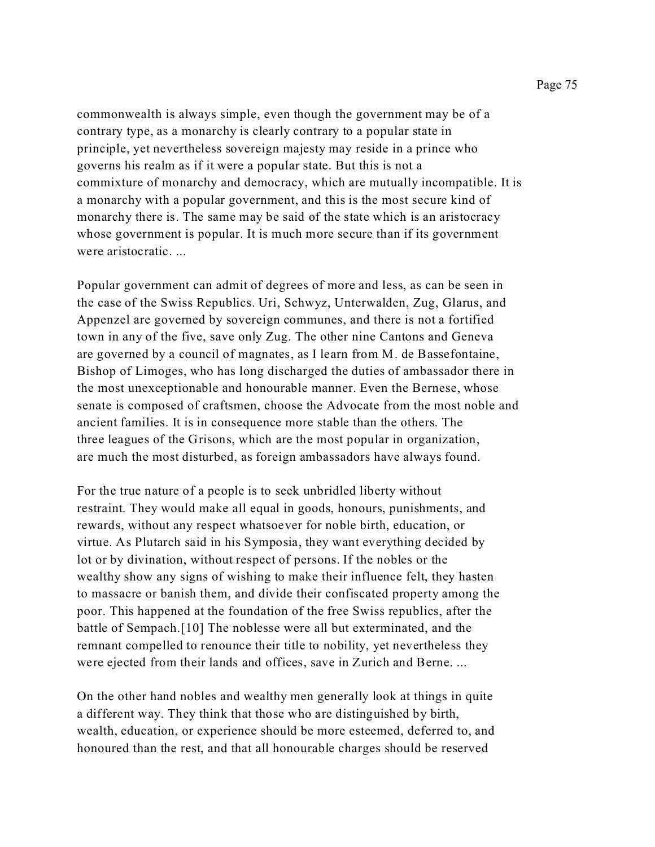commonwealth is always simple, even though the government may be of a contrary type, as a monarchy is clearly contrary to a popular state in principle, yet nevertheless sovereign majesty may reside in a prince who governs his realm as if it were a popular state. But this is not a commixture of monarchy and democracy, which are mutually incompatible. It is a monarchy with a popular government, and this is the most secure kind of monarchy there is. The same may be said of the state which is an aristocracy whose government is popular. It is much more secure than if its government were aristocratic. ...

Popular government can admit of degrees of more and less, as can be seen in the case of the Swiss Republics. Uri, Schwyz, Unterwalden, Zug, Glarus, and Appenzel are governed by sovereign communes, and there is not a fortified town in any of the five, save only Zug. The other nine Cantons and Geneva are governed by a council of magnates, as I learn from M. de Bassefontaine, Bishop of Limoges, who has long discharged the duties of ambassador there in the most unexceptionable and honourable manner. Even the Bernese, whose senate is composed of craftsmen, choose the Advocate from the most noble and ancient families. It is in consequence more stable than the others. The three leagues of the Grisons, which are the most popular in organization, are much the most disturbed, as foreign ambassadors have always found.

For the true nature of a people is to seek unbridled liberty without restraint. They would make all equal in goods, honours, punishments, and rewards, without any respect whatsoever for noble birth, education, or virtue. As Plutarch said in his Symposia, they want everything decided by lot or by divination, without respect of persons. If the nobles or the wealthy show any signs of wishing to make their influence felt, they hasten to massacre or banish them, and divide their confiscated property among the poor. This happened at the foundation of the free Swiss republics, after the battle of Sempach.[10] The noblesse were all but exterminated, and the remnant compelled to renounce their title to nobility, yet nevertheless they were ejected from their lands and offices, save in Zurich and Berne. ...

On the other hand nobles and wealthy men generally look at things in quite a different way. They think that those who are distinguished by birth, wealth, education, or experience should be more esteemed, deferred to, and honoured than the rest, and that all honourable charges should be reserved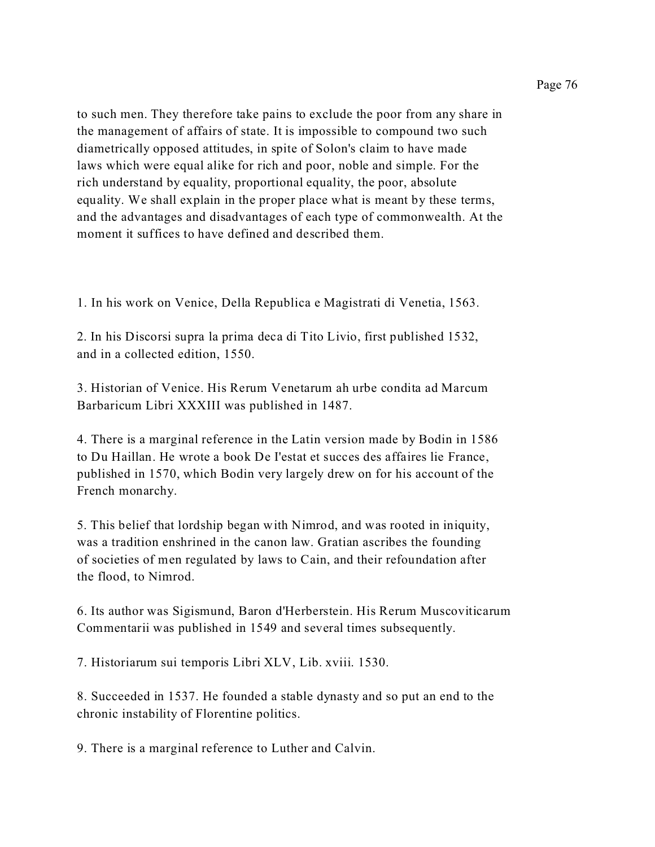to such men. They therefore take pains to exclude the poor from any share in the management of affairs of state. It is impossible to compound two such diametrically opposed attitudes, in spite of Solon's claim to have made laws which were equal alike for rich and poor, noble and simple. For the rich understand by equality, proportional equality, the poor, absolute equality. We shall explain in the proper place what is meant by these terms, and the advantages and disadvantages of each type of commonwealth. At the moment it suffices to have defined and described them.

1. In his work on Venice, Della Republica e Magistrati di Venetia, 1563.

2. In his Discorsi supra la prima deca di Tito Livio, first published 1532, and in a collected edition, 1550.

3. Historian of Venice. His Rerum Venetarum ah urbe condita ad Marcum Barbaricum Libri XXXIII was published in 1487.

4. There is a marginal reference in the Latin version made by Bodin in 1586 to Du Haillan. He wrote a book De I'estat et succes des affaires lie France, published in 1570, which Bodin very largely drew on for his account of the French monarchy.

5. This belief that lordship began with Nimrod, and was rooted in iniquity, was a tradition enshrined in the canon law. Gratian ascribes the founding of societies of men regulated by laws to Cain, and their refoundation after the flood, to Nimrod.

6. Its author was Sigismund, Baron d'Herberstein. His Rerum Muscoviticarum Commentarii was published in 1549 and several times subsequently.

7. Historiarum sui temporis Libri XLV, Lib. xviii. 1530.

8. Succeeded in 1537. He founded a stable dynasty and so put an end to the chronic instability of Florentine politics.

9. There is a marginal reference to Luther and Calvin.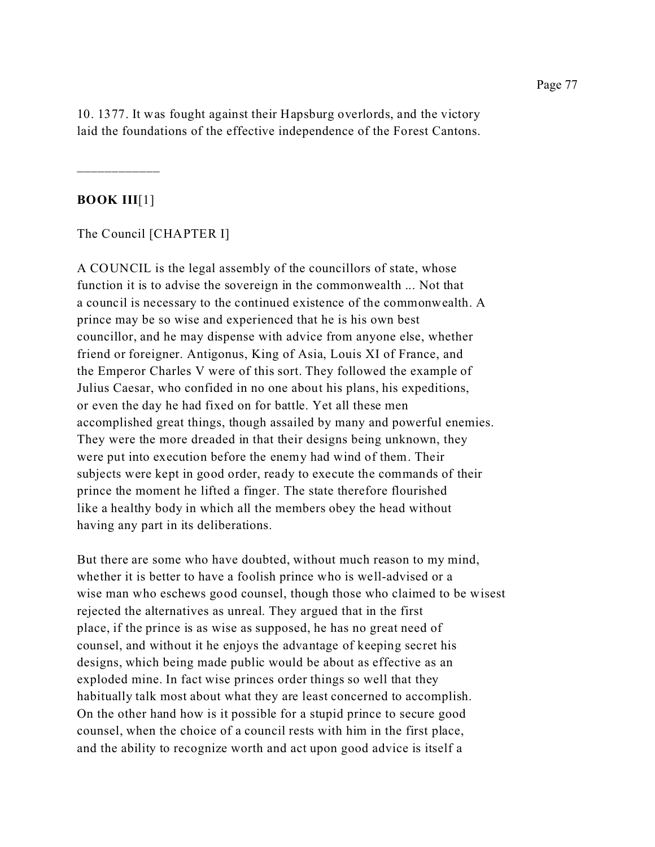10. 1377. It was fought against their Hapsburg overlords, and the victory laid the foundations of the effective independence of the Forest Cantons.

## **BOOK III**[1]

#### The Council [CHAPTER I]

A COUNCIL is the legal assembly of the councillors of state, whose function it is to advise the sovereign in the commonwealth ... Not that a council is necessary to the continued existence of the commonwealth. A prince may be so wise and experienced that he is his own best councillor, and he may dispense with advice from anyone else, whether friend or foreigner. Antigonus, King of Asia, Louis XI of France, and the Emperor Charles V were of this sort. They followed the example of Julius Caesar, who confided in no one about his plans, his expeditions, or even the day he had fixed on for battle. Yet all these men accomplished great things, though assailed by many and powerful enemies. They were the more dreaded in that their designs being unknown, they were put into execution before the enemy had wind of them. Their subjects were kept in good order, ready to execute the commands of their prince the moment he lifted a finger. The state therefore flourished like a healthy body in which all the members obey the head without having any part in its deliberations.

But there are some who have doubted, without much reason to my mind, whether it is better to have a foolish prince who is well-advised or a wise man who eschews good counsel, though those who claimed to be wisest rejected the alternatives as unreal. They argued that in the first place, if the prince is as wise as supposed, he has no great need of counsel, and without it he enjoys the advantage of keeping secret his designs, which being made public would be about as effective as an exploded mine. In fact wise princes order things so well that they habitually talk most about what they are least concerned to accomplish. On the other hand how is it possible for a stupid prince to secure good counsel, when the choice of a council rests with him in the first place, and the ability to recognize worth and act upon good advice is itself a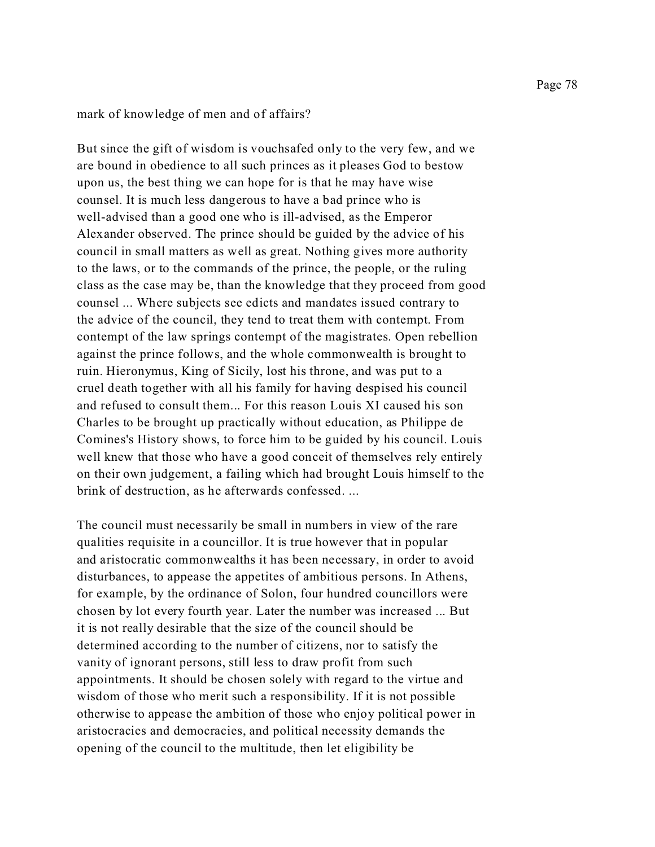mark of knowledge of men and of affairs?

But since the gift of wisdom is vouchsafed only to the very few, and we are bound in obedience to all such princes as it pleases God to bestow upon us, the best thing we can hope for is that he may have wise counsel. It is much less dangerous to have a bad prince who is well-advised than a good one who is ill-advised, as the Emperor Alexander observed. The prince should be guided by the advice of his council in small matters as well as great. Nothing gives more authority to the laws, or to the commands of the prince, the people, or the ruling class as the case may be, than the knowledge that they proceed from good counsel ... Where subjects see edicts and mandates issued contrary to the advice of the council, they tend to treat them with contempt. From contempt of the law springs contempt of the magistrates. Open rebellion against the prince follows, and the whole commonwealth is brought to ruin. Hieronymus, King of Sicily, lost his throne, and was put to a cruel death together with all his family for having despised his council and refused to consult them... For this reason Louis XI caused his son Charles to be brought up practically without education, as Philippe de Comines's History shows, to force him to be guided by his council. Louis well knew that those who have a good conceit of themselves rely entirely on their own judgement, a failing which had brought Louis himself to the brink of destruction, as he afterwards confessed. ...

The council must necessarily be small in numbers in view of the rare qualities requisite in a councillor. It is true however that in popular and aristocratic commonwealths it has been necessary, in order to avoid disturbances, to appease the appetites of ambitious persons. In Athens, for example, by the ordinance of Solon, four hundred councillors were chosen by lot every fourth year. Later the number was increased ... But it is not really desirable that the size of the council should be determined according to the number of citizens, nor to satisfy the vanity of ignorant persons, still less to draw profit from such appointments. It should be chosen solely with regard to the virtue and wisdom of those who merit such a responsibility. If it is not possible otherwise to appease the ambition of those who enjoy political power in aristocracies and democracies, and political necessity demands the opening of the council to the multitude, then let eligibility be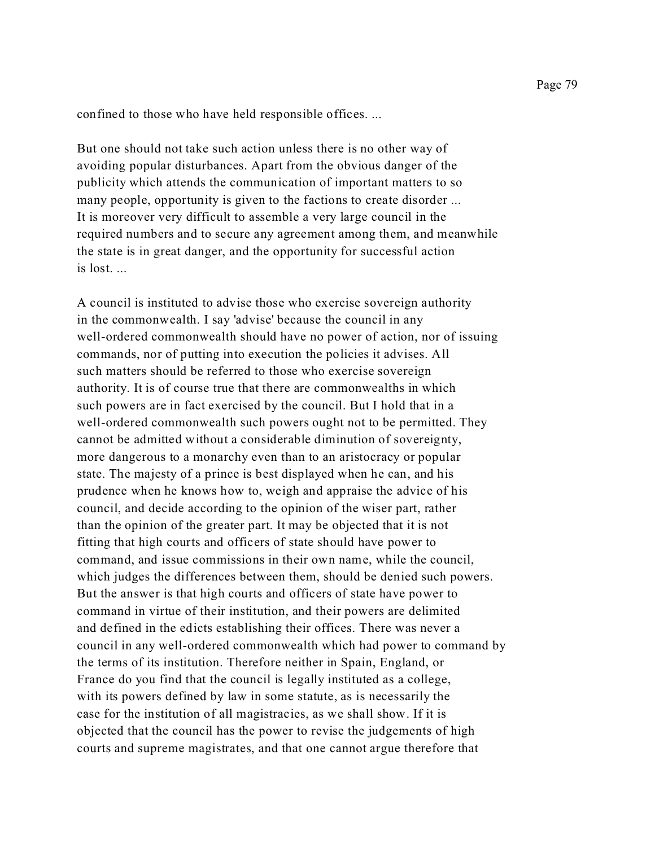confined to those who have held responsible offices. ...

But one should not take such action unless there is no other way of avoiding popular disturbances. Apart from the obvious danger of the publicity which attends the communication of important matters to so many people, opportunity is given to the factions to create disorder ... It is moreover very difficult to assemble a very large council in the required numbers and to secure any agreement among them, and meanwhile the state is in great danger, and the opportunity for successful action is lost. ...

A council is instituted to advise those who exercise sovereign authority in the commonwealth. I say 'advise' because the council in any well-ordered commonwealth should have no power of action, nor of issuing commands, nor of putting into execution the policies it advises. All such matters should be referred to those who exercise sovereign authority. It is of course true that there are commonwealths in which such powers are in fact exercised by the council. But I hold that in a well-ordered commonwealth such powers ought not to be permitted. They cannot be admitted without a considerable diminution of sovereignty, more dangerous to a monarchy even than to an aristocracy or popular state. The majesty of a prince is best displayed when he can, and his prudence when he knows how to, weigh and appraise the advice of his council, and decide according to the opinion of the wiser part, rather than the opinion of the greater part. It may be objected that it is not fitting that high courts and officers of state should have power to command, and issue commissions in their own name, while the council, which judges the differences between them, should be denied such powers. But the answer is that high courts and officers of state have power to command in virtue of their institution, and their powers are delimited and defined in the edicts establishing their offices. There was never a council in any well-ordered commonwealth which had power to command by the terms of its institution. Therefore neither in Spain, England, or France do you find that the council is legally instituted as a college, with its powers defined by law in some statute, as is necessarily the case for the institution of all magistracies, as we shall show. If it is objected that the council has the power to revise the judgements of high courts and supreme magistrates, and that one cannot argue therefore that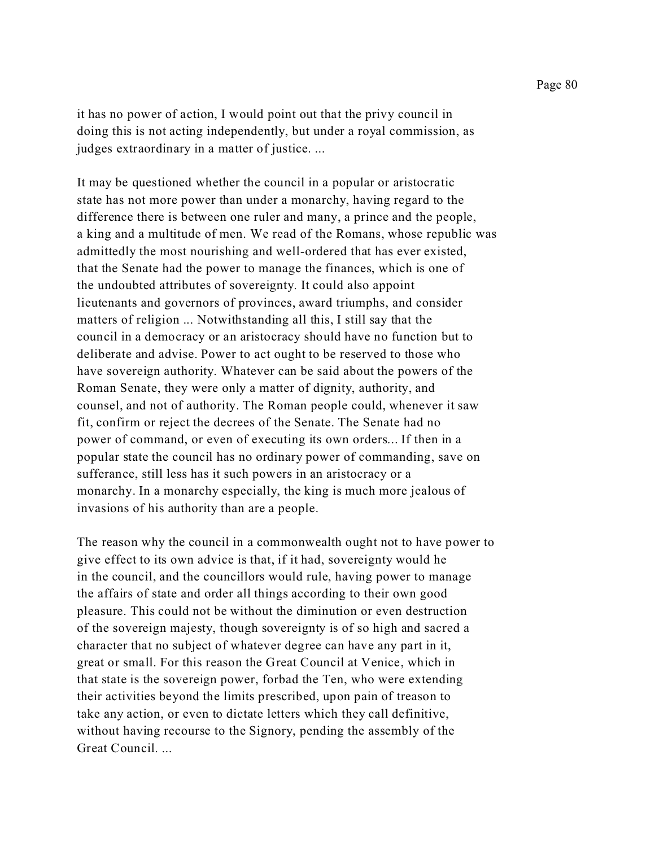it has no power of action, I would point out that the privy council in doing this is not acting independently, but under a royal commission, as judges extraordinary in a matter of justice. ...

It may be questioned whether the council in a popular or aristocratic state has not more power than under a monarchy, having regard to the difference there is between one ruler and many, a prince and the people, a king and a multitude of men. We read of the Romans, whose republic was admittedly the most nourishing and well-ordered that has ever existed, that the Senate had the power to manage the finances, which is one of the undoubted attributes of sovereignty. It could also appoint lieutenants and governors of provinces, award triumphs, and consider matters of religion ... Notwithstanding all this, I still say that the council in a democracy or an aristocracy should have no function but to deliberate and advise. Power to act ought to be reserved to those who have sovereign authority. Whatever can be said about the powers of the Roman Senate, they were only a matter of dignity, authority, and counsel, and not of authority. The Roman people could, whenever it saw fit, confirm or reject the decrees of the Senate. The Senate had no power of command, or even of executing its own orders... If then in a popular state the council has no ordinary power of commanding, save on sufferance, still less has it such powers in an aristocracy or a monarchy. In a monarchy especially, the king is much more jealous of invasions of his authority than are a people.

The reason why the council in a commonwealth ought not to have power to give effect to its own advice is that, if it had, sovereignty would he in the council, and the councillors would rule, having power to manage the affairs of state and order all things according to their own good pleasure. This could not be without the diminution or even destruction of the sovereign majesty, though sovereignty is of so high and sacred a character that no subject of whatever degree can have any part in it, great or small. For this reason the Great Council at Venice, which in that state is the sovereign power, forbad the Ten, who were extending their activities beyond the limits prescribed, upon pain of treason to take any action, or even to dictate letters which they call definitive, without having recourse to the Signory, pending the assembly of the Great Council. ...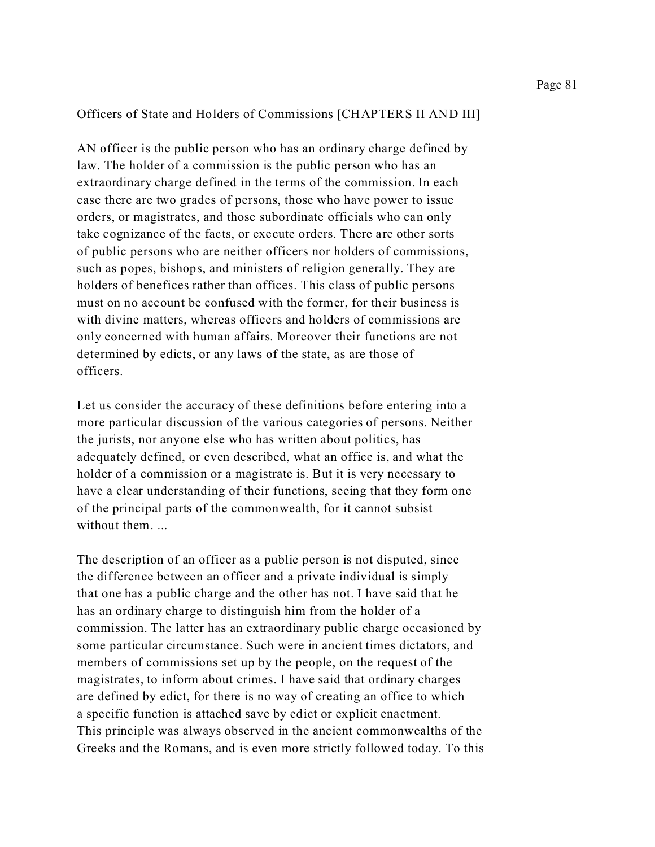### Officers of State and Holders of Commissions [CHAPTERS II AND III]

AN officer is the public person who has an ordinary charge defined by law. The holder of a commission is the public person who has an extraordinary charge defined in the terms of the commission. In each case there are two grades of persons, those who have power to issue orders, or magistrates, and those subordinate officials who can only take cognizance of the facts, or execute orders. There are other sorts of public persons who are neither officers nor holders of commissions, such as popes, bishops, and ministers of religion generally. They are holders of benefices rather than offices. This class of public persons must on no account be confused with the former, for their business is with divine matters, whereas officers and holders of commissions are only concerned with human affairs. Moreover their functions are not determined by edicts, or any laws of the state, as are those of officers.

Let us consider the accuracy of these definitions before entering into a more particular discussion of the various categories of persons. Neither the jurists, nor anyone else who has written about politics, has adequately defined, or even described, what an office is, and what the holder of a commission or a magistrate is. But it is very necessary to have a clear understanding of their functions, seeing that they form one of the principal parts of the commonwealth, for it cannot subsist without them....

The description of an officer as a public person is not disputed, since the difference between an officer and a private individual is simply that one has a public charge and the other has not. I have said that he has an ordinary charge to distinguish him from the holder of a commission. The latter has an extraordinary public charge occasioned by some particular circumstance. Such were in ancient times dictators, and members of commissions set up by the people, on the request of the magistrates, to inform about crimes. I have said that ordinary charges are defined by edict, for there is no way of creating an office to which a specific function is attached save by edict or explicit enactment. This principle was always observed in the ancient commonwealths of the Greeks and the Romans, and is even more strictly followed today. To this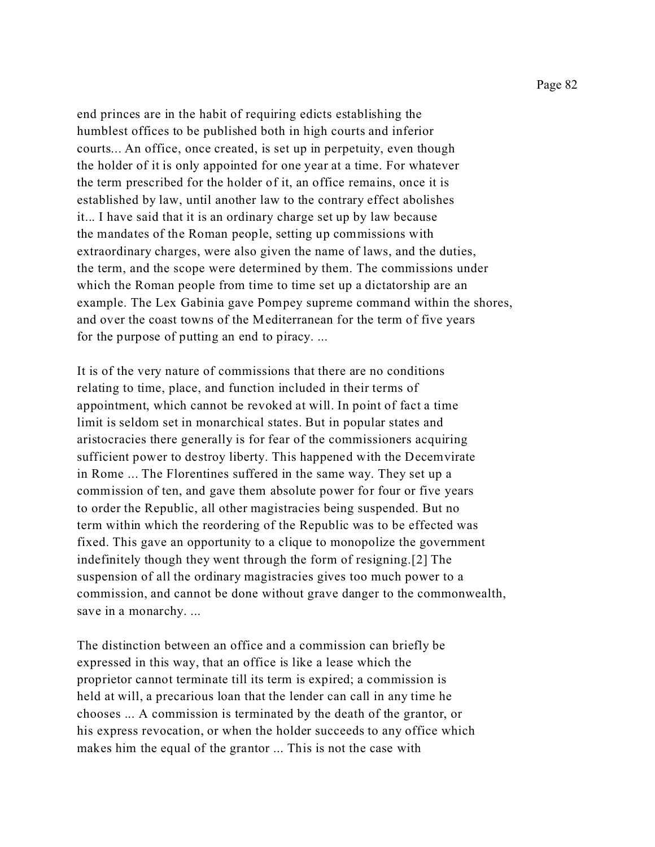end princes are in the habit of requiring edicts establishing the humblest offices to be published both in high courts and inferior courts... An office, once created, is set up in perpetuity, even though the holder of it is only appointed for one year at a time. For whatever the term prescribed for the holder of it, an office remains, once it is established by law, until another law to the contrary effect abolishes it... I have said that it is an ordinary charge set up by law because the mandates of the Roman people, setting up commissions with extraordinary charges, were also given the name of laws, and the duties, the term, and the scope were determined by them. The commissions under which the Roman people from time to time set up a dictatorship are an example. The Lex Gabinia gave Pompey supreme command within the shores, and over the coast towns of the Mediterranean for the term of five years for the purpose of putting an end to piracy. ...

It is of the very nature of commissions that there are no conditions relating to time, place, and function included in their terms of appointment, which cannot be revoked at will. In point of fact a time limit is seldom set in monarchical states. But in popular states and aristocracies there generally is for fear of the commissioners acquiring sufficient power to destroy liberty. This happened with the Decemvirate in Rome ... The Florentines suffered in the same way. They set up a commission of ten, and gave them absolute power for four or five years to order the Republic, all other magistracies being suspended. But no term within which the reordering of the Republic was to be effected was fixed. This gave an opportunity to a clique to monopolize the government indefinitely though they went through the form of resigning.[2] The suspension of all the ordinary magistracies gives too much power to a commission, and cannot be done without grave danger to the commonwealth, save in a monarchy. ...

The distinction between an office and a commission can briefly be expressed in this way, that an office is like a lease which the proprietor cannot terminate till its term is expired; a commission is held at will, a precarious loan that the lender can call in any time he chooses ... A commission is terminated by the death of the grantor, or his express revocation, or when the holder succeeds to any office which makes him the equal of the grantor ... This is not the case with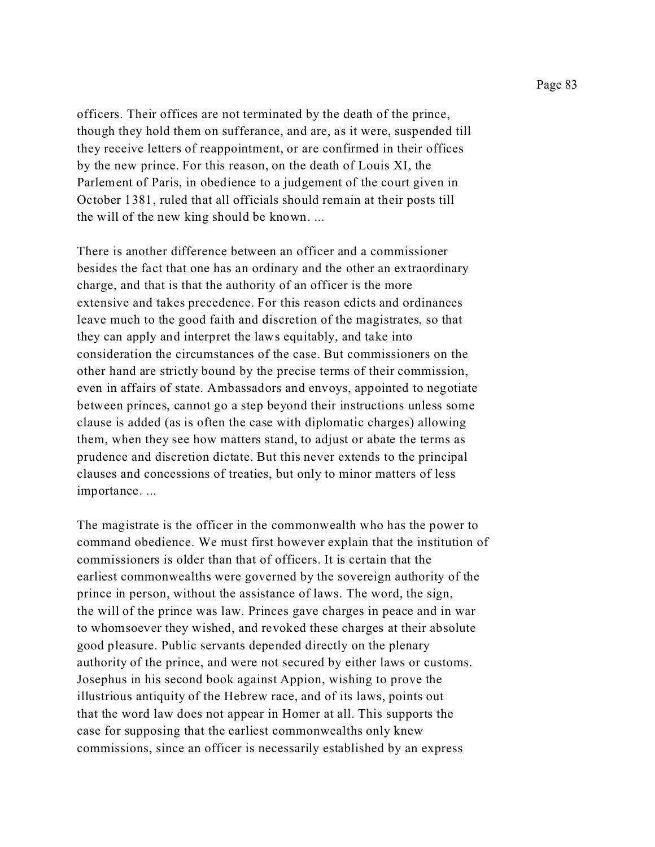officers. Their offices are not terminated by the death of the prince, though they hold them on sufferance, and are, as it were, suspended till they receive letters of reappointment, or are confirmed in their offices by the new prince. For this reason, on the death of Louis XI, the Parlement of Paris, in obedience to a judgement of the court given in October 1381, ruled that all officials should remain at their posts till the will of the new king should be known. ...

There is another difference between an officer and a commissioner besides the fact that one has an ordinary and the other an extraordinary charge, and that is that the authority of an officer is the more extensive and takes precedence. For this reason edicts and ordinances leave much to the good faith and discretion of the magistrates, so that they can apply and interpret the laws equitably, and take into consideration the circumstances of the case. But commissioners on the other hand are strictly bound by the precise terms of their commission, even in affairs of state. Ambassadors and envoys, appointed to negotiate between princes, cannot go a step beyond their instructions unless some clause is added (as is often the case with diplomatic charges) allowing them, when they see how matters stand, to adjust or abate the terms as prudence and discretion dictate. But this never extends to the principal clauses and concessions of treaties, but only to minor matters of less importance. ...

The magistrate is the officer in the commonwealth who has the power to command obedience. We must first however explain that the institution of commissioners is older than that of officers. It is certain that the earliest commonwealths were governed by the sovereign authority of the prince in person, without the assistance of laws. The word, the sign, the will of the prince was law. Princes gave charges in peace and in war to whomsoever they wished, and revoked these charges at their absolute good pleasure. Public servants depended directly on the plenary authority of the prince, and were not secured by either laws or customs. Josephus in his second book against Appion, wishing to prove the illustrious antiquity of the Hebrew race, and of its laws, points out that the word law does not appear in Homer at all. This supports the case for supposing that the earliest commonwealths only knew commissions, since an officer is necessarily established by an express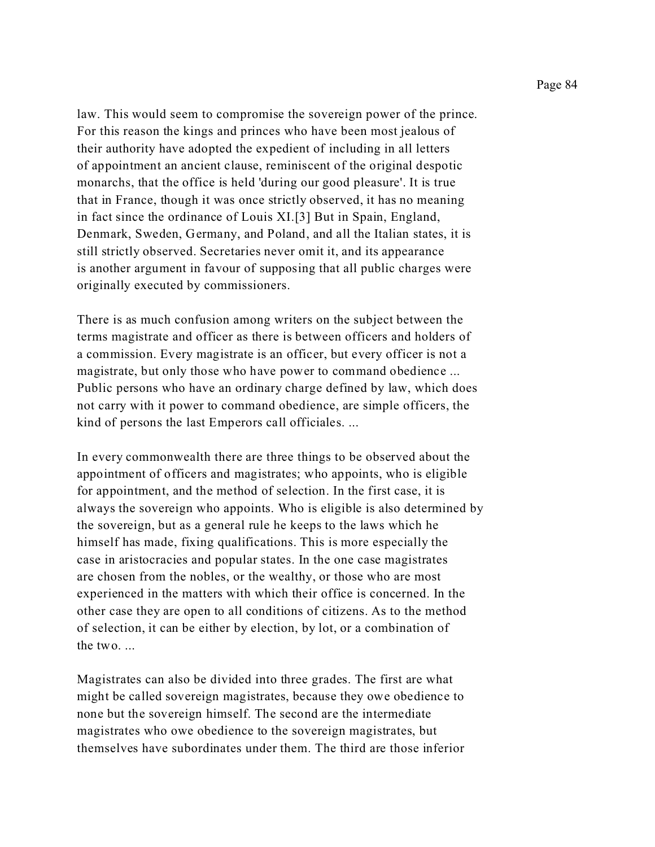Page 84

law. This would seem to compromise the sovereign power of the prince. For this reason the kings and princes who have been most jealous of their authority have adopted the expedient of including in all letters of appointment an ancient clause, reminiscent of the original despotic monarchs, that the office is held 'during our good pleasure'. It is true that in France, though it was once strictly observed, it has no meaning in fact since the ordinance of Louis XI.[3] But in Spain, England, Denmark, Sweden, Germany, and Poland, and all the Italian states, it is still strictly observed. Secretaries never omit it, and its appearance is another argument in favour of supposing that all public charges were originally executed by commissioners.

There is as much confusion among writers on the subject between the terms magistrate and officer as there is between officers and holders of a commission. Every magistrate is an officer, but every officer is not a magistrate, but only those who have power to command obedience ... Public persons who have an ordinary charge defined by law, which does not carry with it power to command obedience, are simple officers, the kind of persons the last Emperors call officiales. ...

In every commonwealth there are three things to be observed about the appointment of officers and magistrates; who appoints, who is eligible for appointment, and the method of selection. In the first case, it is always the sovereign who appoints. Who is eligible is also determined by the sovereign, but as a general rule he keeps to the laws which he himself has made, fixing qualifications. This is more especially the case in aristocracies and popular states. In the one case magistrates are chosen from the nobles, or the wealthy, or those who are most experienced in the matters with which their office is concerned. In the other case they are open to all conditions of citizens. As to the method of selection, it can be either by election, by lot, or a combination of the two. ...

Magistrates can also be divided into three grades. The first are what might be called sovereign magistrates, because they owe obedience to none but the sovereign himself. The second are the intermediate magistrates who owe obedience to the sovereign magistrates, but themselves have subordinates under them. The third are those inferior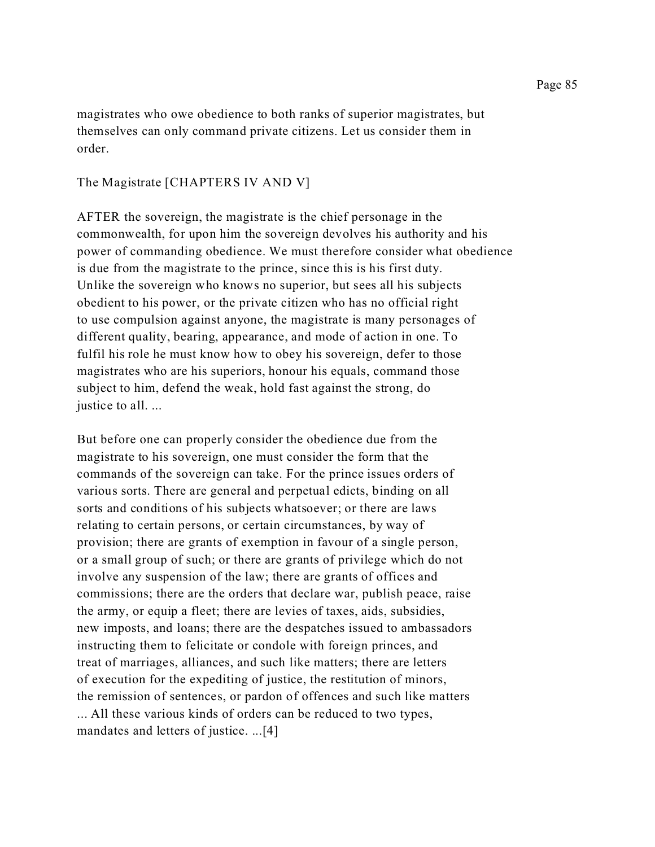magistrates who owe obedience to both ranks of superior magistrates, but themselves can only command private citizens. Let us consider them in order.

# The Magistrate [CHAPTERS IV AND V]

AFTER the sovereign, the magistrate is the chief personage in the commonwealth, for upon him the sovereign devolves his authority and his power of commanding obedience. We must therefore consider what obedience is due from the magistrate to the prince, since this is his first duty. Unlike the sovereign who knows no superior, but sees all his subjects obedient to his power, or the private citizen who has no official right to use compulsion against anyone, the magistrate is many personages of different quality, bearing, appearance, and mode of action in one. To fulfil his role he must know how to obey his sovereign, defer to those magistrates who are his superiors, honour his equals, command those subject to him, defend the weak, hold fast against the strong, do justice to all. ...

But before one can properly consider the obedience due from the magistrate to his sovereign, one must consider the form that the commands of the sovereign can take. For the prince issues orders of various sorts. There are general and perpetual edicts, binding on all sorts and conditions of his subjects whatsoever; or there are laws relating to certain persons, or certain circumstances, by way of provision; there are grants of exemption in favour of a single person, or a small group of such; or there are grants of privilege which do not involve any suspension of the law; there are grants of offices and commissions; there are the orders that declare war, publish peace, raise the army, or equip a fleet; there are levies of taxes, aids, subsidies, new imposts, and loans; there are the despatches issued to ambassadors instructing them to felicitate or condole with foreign princes, and treat of marriages, alliances, and such like matters; there are letters of execution for the expediting of justice, the restitution of minors, the remission of sentences, or pardon of offences and such like matters ... All these various kinds of orders can be reduced to two types, mandates and letters of justice. ...[4]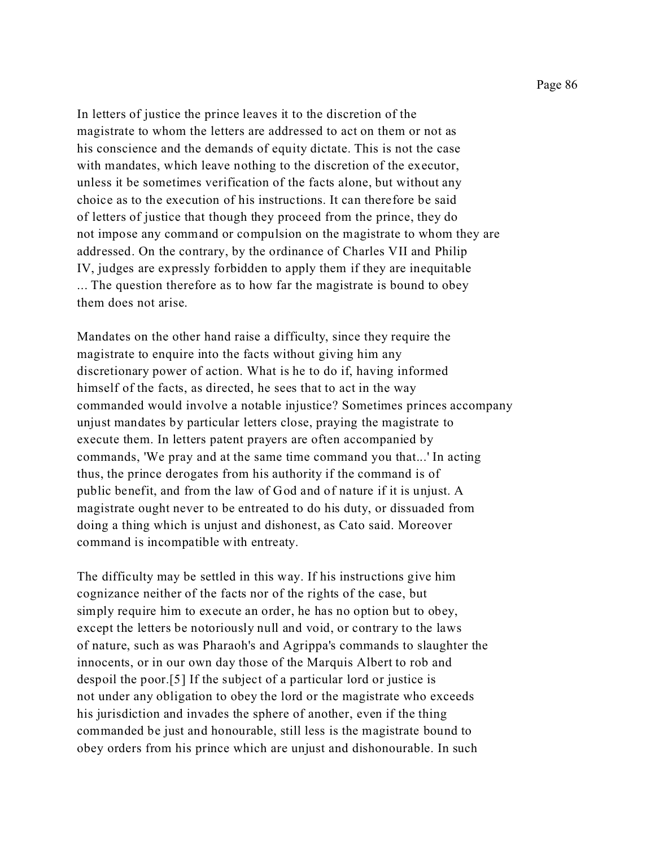Page 86

In letters of justice the prince leaves it to the discretion of the magistrate to whom the letters are addressed to act on them or not as his conscience and the demands of equity dictate. This is not the case with mandates, which leave nothing to the discretion of the executor, unless it be sometimes verification of the facts alone, but without any choice as to the execution of his instructions. It can therefore be said of letters of justice that though they proceed from the prince, they do not impose any command or compulsion on the magistrate to whom they are addressed. On the contrary, by the ordinance of Charles VII and Philip IV, judges are expressly forbidden to apply them if they are inequitable ... The question therefore as to how far the magistrate is bound to obey them does not arise.

Mandates on the other hand raise a difficulty, since they require the magistrate to enquire into the facts without giving him any discretionary power of action. What is he to do if, having informed himself of the facts, as directed, he sees that to act in the way commanded would involve a notable injustice? Sometimes princes accompany unjust mandates by particular letters close, praying the magistrate to execute them. In letters patent prayers are often accompanied by commands, 'We pray and at the same time command you that...' In acting thus, the prince derogates from his authority if the command is of public benefit, and from the law of God and of nature if it is unjust. A magistrate ought never to be entreated to do his duty, or dissuaded from doing a thing which is unjust and dishonest, as Cato said. Moreover command is incompatible with entreaty.

The difficulty may be settled in this way. If his instructions give him cognizance neither of the facts nor of the rights of the case, but simply require him to execute an order, he has no option but to obey, except the letters be notoriously null and void, or contrary to the laws of nature, such as was Pharaoh's and Agrippa's commands to slaughter the innocents, or in our own day those of the Marquis Albert to rob and despoil the poor.[5] If the subject of a particular lord or justice is not under any obligation to obey the lord or the magistrate who exceeds his jurisdiction and invades the sphere of another, even if the thing commanded be just and honourable, still less is the magistrate bound to obey orders from his prince which are unjust and dishonourable. In such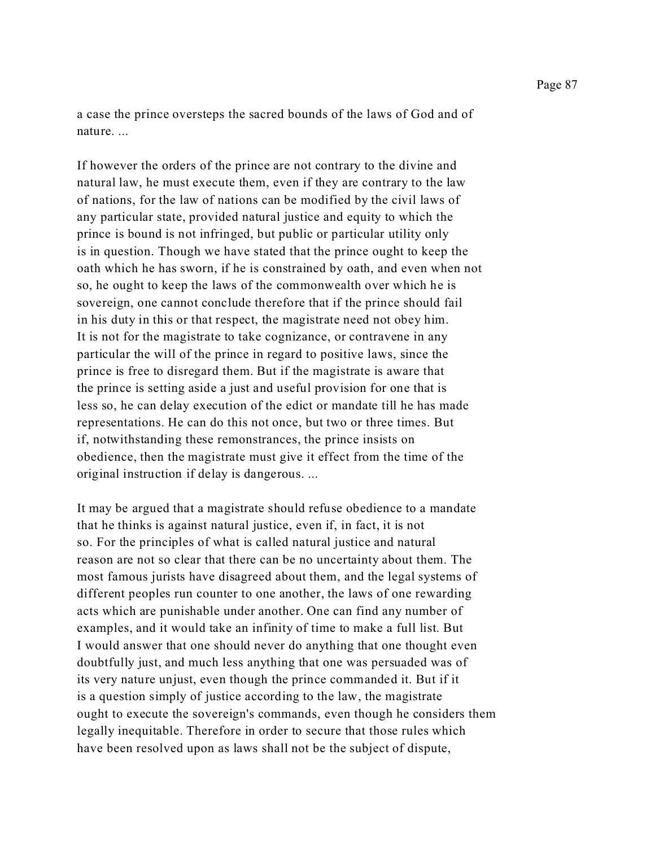a case the prince oversteps the sacred bounds of the laws of God and of nature. ...

If however the orders of the prince are not contrary to the divine and natural law, he must execute them, even if they are contrary to the law of nations, for the law of nations can be modified by the civil laws of any particular state, provided natural justice and equity to which the prince is bound is not infringed, but public or particular utility only is in question. Though we have stated that the prince ought to keep the oath which he has sworn, if he is constrained by oath, and even when not so, he ought to keep the laws of the commonwealth over which he is sovereign, one cannot conclude therefore that if the prince should fail in his duty in this or that respect, the magistrate need not obey him. It is not for the magistrate to take cognizance, or contravene in any particular the will of the prince in regard to positive laws, since the prince is free to disregard them. But if the magistrate is aware that the prince is setting aside a just and useful provision for one that is less so, he can delay execution of the edict or mandate till he has made representations. He can do this not once, but two or three times. But if, notwithstanding these remonstrances, the prince insists on obedience, then the magistrate must give it effect from the time of the original instruction if delay is dangerous. ...

It may be argued that a magistrate should refuse obedience to a mandate that he thinks is against natural justice, even if, in fact, it is not so. For the principles of what is called natural justice and natural reason are not so clear that there can be no uncertainty about them. The most famous jurists have disagreed about them, and the legal systems of different peoples run counter to one another, the laws of one rewarding acts which are punishable under another. One can find any number of examples, and it would take an infinity of time to make a full list. But I would answer that one should never do anything that one thought even doubtfully just, and much less anything that one was persuaded was of its very nature unjust, even though the prince commanded it. But if it is a question simply of justice according to the law, the magistrate ought to execute the sovereign's commands, even though he considers them legally inequitable. Therefore in order to secure that those rules which have been resolved upon as laws shall not be the subject of dispute,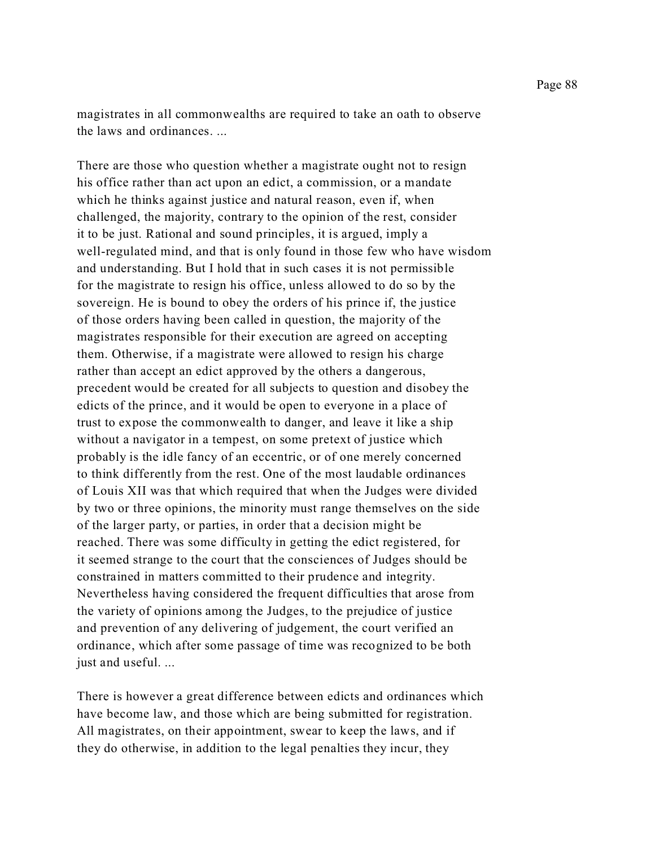magistrates in all commonwealths are required to take an oath to observe the laws and ordinances. ...

There are those who question whether a magistrate ought not to resign his office rather than act upon an edict, a commission, or a mandate which he thinks against justice and natural reason, even if, when challenged, the majority, contrary to the opinion of the rest, consider it to be just. Rational and sound principles, it is argued, imply a well-regulated mind, and that is only found in those few who have wisdom and understanding. But I hold that in such cases it is not permissible for the magistrate to resign his office, unless allowed to do so by the sovereign. He is bound to obey the orders of his prince if, the justice of those orders having been called in question, the majority of the magistrates responsible for their execution are agreed on accepting them. Otherwise, if a magistrate were allowed to resign his charge rather than accept an edict approved by the others a dangerous, precedent would be created for all subjects to question and disobey the edicts of the prince, and it would be open to everyone in a place of trust to expose the commonwealth to danger, and leave it like a ship without a navigator in a tempest, on some pretext of justice which probably is the idle fancy of an eccentric, or of one merely concerned to think differently from the rest. One of the most laudable ordinances of Louis XII was that which required that when the Judges were divided by two or three opinions, the minority must range themselves on the side of the larger party, or parties, in order that a decision might be reached. There was some difficulty in getting the edict registered, for it seemed strange to the court that the consciences of Judges should be constrained in matters committed to their prudence and integrity. Nevertheless having considered the frequent difficulties that arose from the variety of opinions among the Judges, to the prejudice of justice and prevention of any delivering of judgement, the court verified an ordinance, which after some passage of time was recognized to be both just and useful. ...

There is however a great difference between edicts and ordinances which have become law, and those which are being submitted for registration. All magistrates, on their appointment, swear to keep the laws, and if they do otherwise, in addition to the legal penalties they incur, they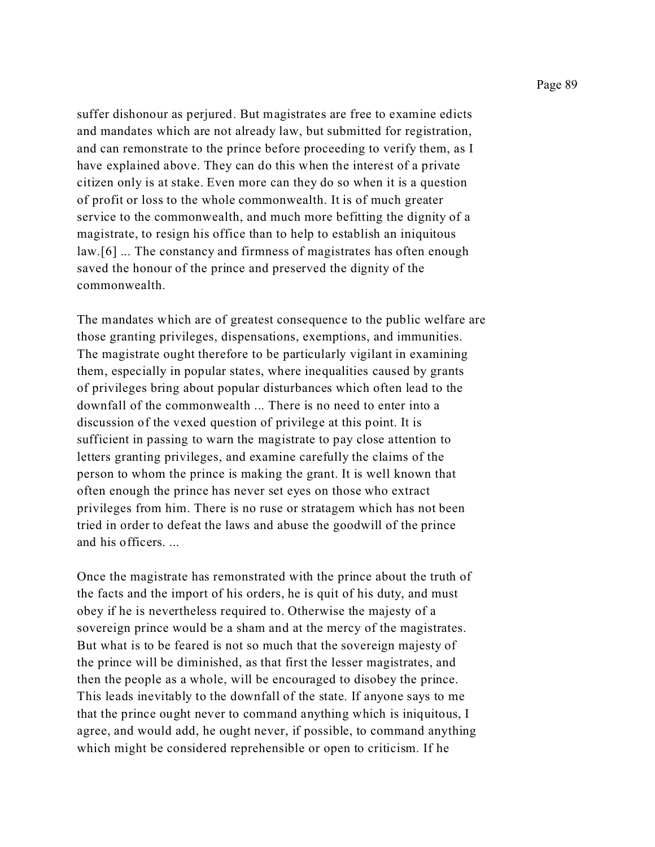suffer dishonour as perjured. But magistrates are free to examine edicts and mandates which are not already law, but submitted for registration, and can remonstrate to the prince before proceeding to verify them, as I have explained above. They can do this when the interest of a private citizen only is at stake. Even more can they do so when it is a question of profit or loss to the whole commonwealth. It is of much greater service to the commonwealth, and much more befitting the dignity of a magistrate, to resign his office than to help to establish an iniquitous law.[6] ... The constancy and firmness of magistrates has often enough saved the honour of the prince and preserved the dignity of the commonwealth.

The mandates which are of greatest consequence to the public welfare are those granting privileges, dispensations, exemptions, and immunities. The magistrate ought therefore to be particularly vigilant in examining them, especially in popular states, where inequalities caused by grants of privileges bring about popular disturbances which often lead to the downfall of the commonwealth ... There is no need to enter into a discussion of the vexed question of privilege at this point. It is sufficient in passing to warn the magistrate to pay close attention to letters granting privileges, and examine carefully the claims of the person to whom the prince is making the grant. It is well known that often enough the prince has never set eyes on those who extract privileges from him. There is no ruse or stratagem which has not been tried in order to defeat the laws and abuse the goodwill of the prince and his officers. ...

Once the magistrate has remonstrated with the prince about the truth of the facts and the import of his orders, he is quit of his duty, and must obey if he is nevertheless required to. Otherwise the majesty of a sovereign prince would be a sham and at the mercy of the magistrates. But what is to be feared is not so much that the sovereign majesty of the prince will be diminished, as that first the lesser magistrates, and then the people as a whole, will be encouraged to disobey the prince. This leads inevitably to the downfall of the state. If anyone says to me that the prince ought never to command anything which is iniquitous, I agree, and would add, he ought never, if possible, to command anything which might be considered reprehensible or open to criticism. If he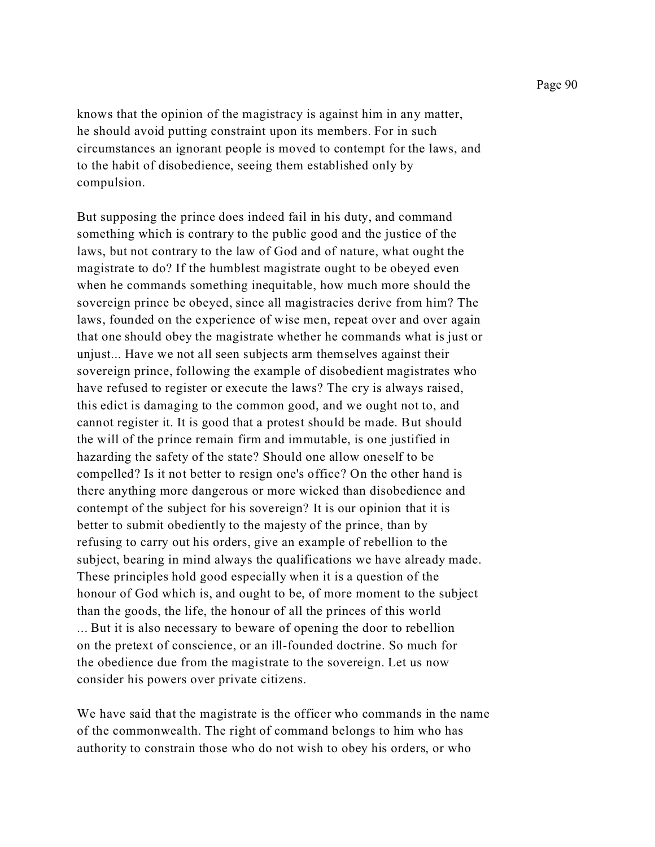knows that the opinion of the magistracy is against him in any matter, he should avoid putting constraint upon its members. For in such circumstances an ignorant people is moved to contempt for the laws, and to the habit of disobedience, seeing them established only by compulsion.

But supposing the prince does indeed fail in his duty, and command something which is contrary to the public good and the justice of the laws, but not contrary to the law of God and of nature, what ought the magistrate to do? If the humblest magistrate ought to be obeyed even when he commands something inequitable, how much more should the sovereign prince be obeyed, since all magistracies derive from him? The laws, founded on the experience of wise men, repeat over and over again that one should obey the magistrate whether he commands what is just or unjust... Have we not all seen subjects arm themselves against their sovereign prince, following the example of disobedient magistrates who have refused to register or execute the laws? The cry is always raised, this edict is damaging to the common good, and we ought not to, and cannot register it. It is good that a protest should be made. But should the will of the prince remain firm and immutable, is one justified in hazarding the safety of the state? Should one allow oneself to be compelled? Is it not better to resign one's office? On the other hand is there anything more dangerous or more wicked than disobedience and contempt of the subject for his sovereign? It is our opinion that it is better to submit obediently to the majesty of the prince, than by refusing to carry out his orders, give an example of rebellion to the subject, bearing in mind always the qualifications we have already made. These principles hold good especially when it is a question of the honour of God which is, and ought to be, of more moment to the subject than the goods, the life, the honour of all the princes of this world ... But it is also necessary to beware of opening the door to rebellion on the pretext of conscience, or an ill-founded doctrine. So much for the obedience due from the magistrate to the sovereign. Let us now consider his powers over private citizens.

We have said that the magistrate is the officer who commands in the name of the commonwealth. The right of command belongs to him who has authority to constrain those who do not wish to obey his orders, or who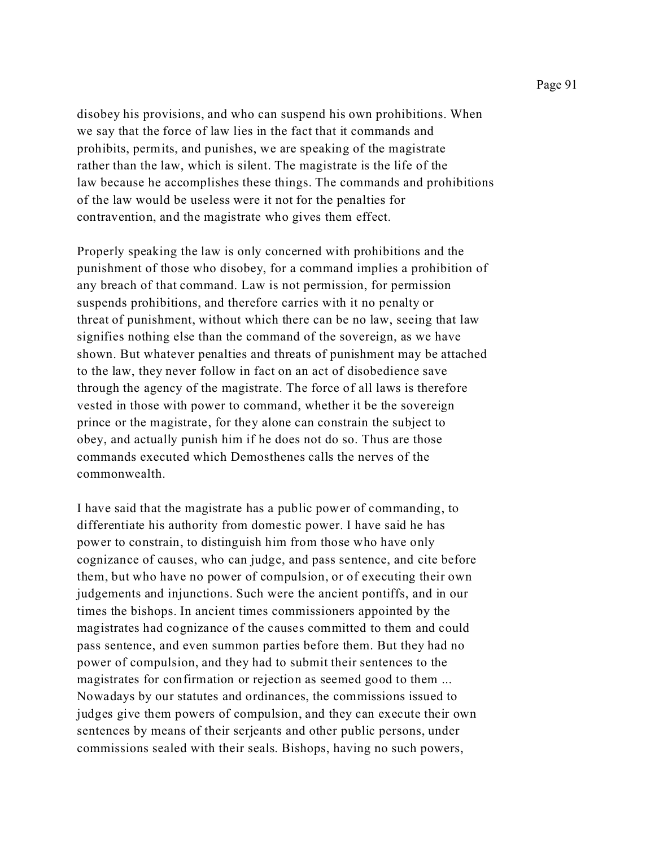disobey his provisions, and who can suspend his own prohibitions. When we say that the force of law lies in the fact that it commands and prohibits, permits, and punishes, we are speaking of the magistrate rather than the law, which is silent. The magistrate is the life of the law because he accomplishes these things. The commands and prohibitions of the law would be useless were it not for the penalties for contravention, and the magistrate who gives them effect.

Properly speaking the law is only concerned with prohibitions and the punishment of those who disobey, for a command implies a prohibition of any breach of that command. Law is not permission, for permission suspends prohibitions, and therefore carries with it no penalty or threat of punishment, without which there can be no law, seeing that law signifies nothing else than the command of the sovereign, as we have shown. But whatever penalties and threats of punishment may be attached to the law, they never follow in fact on an act of disobedience save through the agency of the magistrate. The force of all laws is therefore vested in those with power to command, whether it be the sovereign prince or the magistrate, for they alone can constrain the subject to obey, and actually punish him if he does not do so. Thus are those commands executed which Demosthenes calls the nerves of the commonwealth.

I have said that the magistrate has a public power of commanding, to differentiate his authority from domestic power. I have said he has power to constrain, to distinguish him from those who have only cognizance of causes, who can judge, and pass sentence, and cite before them, but who have no power of compulsion, or of executing their own judgements and injunctions. Such were the ancient pontiffs, and in our times the bishops. In ancient times commissioners appointed by the magistrates had cognizance of the causes committed to them and could pass sentence, and even summon parties before them. But they had no power of compulsion, and they had to submit their sentences to the magistrates for confirmation or rejection as seemed good to them ... Nowadays by our statutes and ordinances, the commissions issued to judges give them powers of compulsion, and they can execute their own sentences by means of their serjeants and other public persons, under commissions sealed with their seals. Bishops, having no such powers,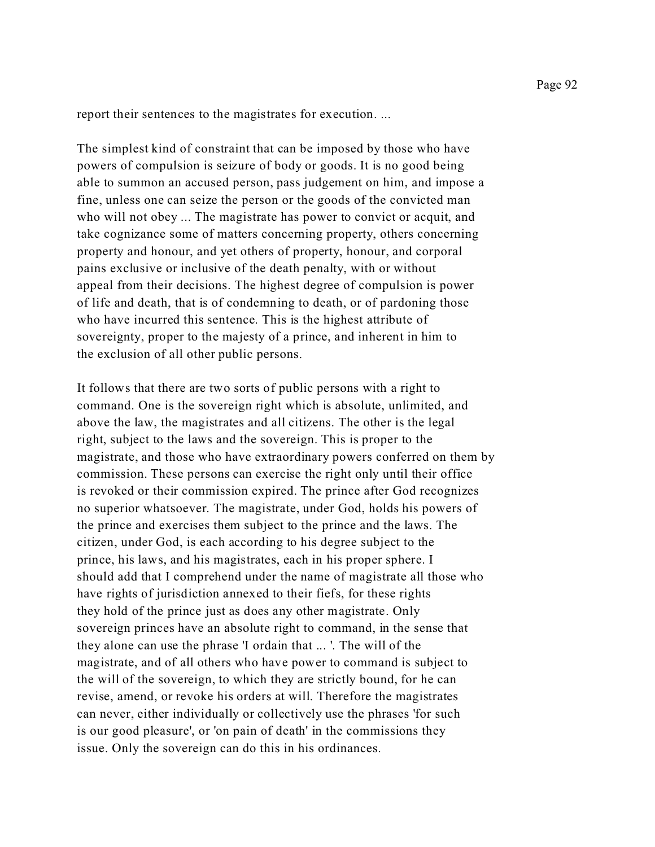report their sentences to the magistrates for execution. ...

The simplest kind of constraint that can be imposed by those who have powers of compulsion is seizure of body or goods. It is no good being able to summon an accused person, pass judgement on him, and impose a fine, unless one can seize the person or the goods of the convicted man who will not obey ... The magistrate has power to convict or acquit, and take cognizance some of matters concerning property, others concerning property and honour, and yet others of property, honour, and corporal pains exclusive or inclusive of the death penalty, with or without appeal from their decisions. The highest degree of compulsion is power of life and death, that is of condemning to death, or of pardoning those who have incurred this sentence. This is the highest attribute of sovereignty, proper to the majesty of a prince, and inherent in him to the exclusion of all other public persons.

It follows that there are two sorts of public persons with a right to command. One is the sovereign right which is absolute, unlimited, and above the law, the magistrates and all citizens. The other is the legal right, subject to the laws and the sovereign. This is proper to the magistrate, and those who have extraordinary powers conferred on them by commission. These persons can exercise the right only until their office is revoked or their commission expired. The prince after God recognizes no superior whatsoever. The magistrate, under God, holds his powers of the prince and exercises them subject to the prince and the laws. The citizen, under God, is each according to his degree subject to the prince, his laws, and his magistrates, each in his proper sphere. I should add that I comprehend under the name of magistrate all those who have rights of jurisdiction annexed to their fiefs, for these rights they hold of the prince just as does any other magistrate. Only sovereign princes have an absolute right to command, in the sense that they alone can use the phrase 'I ordain that ... '. The will of the magistrate, and of all others who have power to command is subject to the will of the sovereign, to which they are strictly bound, for he can revise, amend, or revoke his orders at will. Therefore the magistrates can never, either individually or collectively use the phrases 'for such is our good pleasure', or 'on pain of death' in the commissions they issue. Only the sovereign can do this in his ordinances.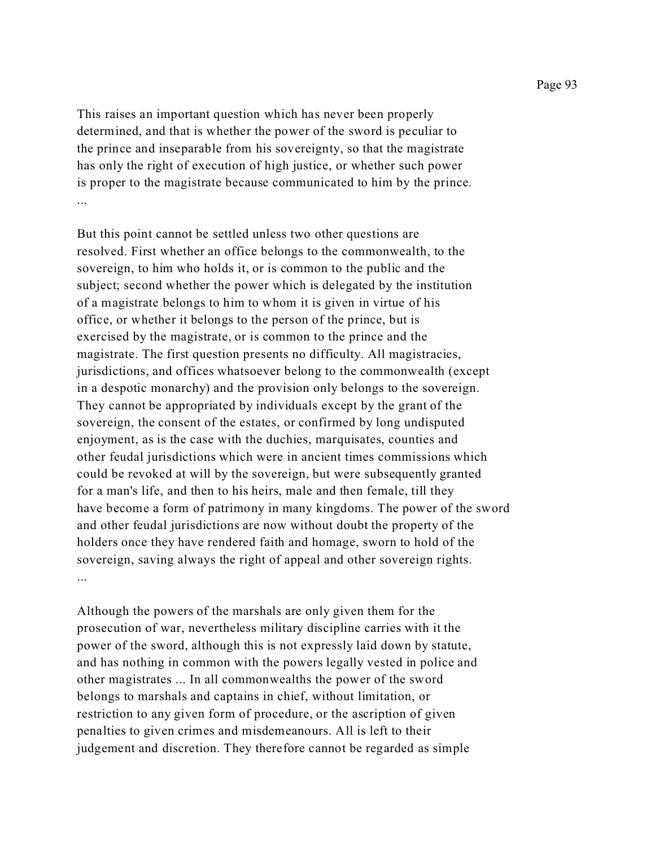This raises an important question which has never been properly determined, and that is whether the power of the sword is peculiar to the prince and inseparable from his sovereignty, so that the magistrate has only the right of execution of high justice, or whether such power is proper to the magistrate because communicated to him by the prince. ...

But this point cannot be settled unless two other questions are resolved. First whether an office belongs to the commonwealth, to the sovereign, to him who holds it, or is common to the public and the subject; second whether the power which is delegated by the institution of a magistrate belongs to him to whom it is given in virtue of his office, or whether it belongs to the person of the prince, but is exercised by the magistrate, or is common to the prince and the magistrate. The first question presents no difficulty. All magistracies, jurisdictions, and offices whatsoever belong to the commonwealth (except in a despotic monarchy) and the provision only belongs to the sovereign. They cannot be appropriated by individuals except by the grant of the sovereign, the consent of the estates, or confirmed by long undisputed enjoyment, as is the case with the duchies, marquisates, counties and other feudal jurisdictions which were in ancient times commissions which could be revoked at will by the sovereign, but were subsequently granted for a man's life, and then to his heirs, male and then female, till they have become a form of patrimony in many kingdoms. The power of the sword and other feudal jurisdictions are now without doubt the property of the holders once they have rendered faith and homage, sworn to hold of the sovereign, saving always the right of appeal and other sovereign rights. ...

Although the powers of the marshals are only given them for the prosecution of war, nevertheless military discipline carries with it the power of the sword, although this is not expressly laid down by statute, and has nothing in common with the powers legally vested in police and other magistrates ... In all commonwealths the power of the sword belongs to marshals and captains in chief, without limitation, or restriction to any given form of procedure, or the ascription of given penalties to given crimes and misdemeanours. All is left to their judgement and discretion. They therefore cannot be regarded as simple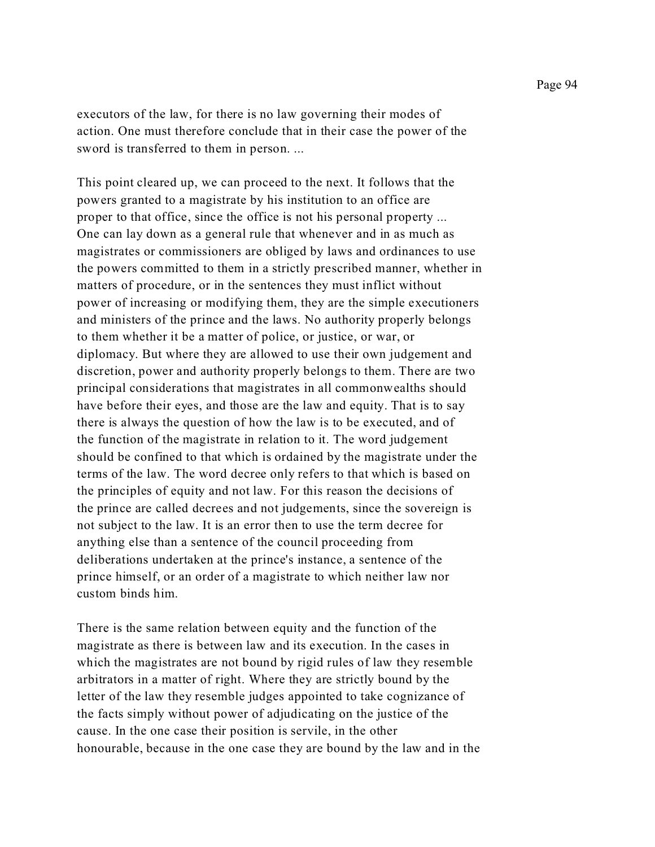executors of the law, for there is no law governing their modes of action. One must therefore conclude that in their case the power of the sword is transferred to them in person. ...

This point cleared up, we can proceed to the next. It follows that the powers granted to a magistrate by his institution to an office are proper to that office, since the office is not his personal property ... One can lay down as a general rule that whenever and in as much as magistrates or commissioners are obliged by laws and ordinances to use the powers committed to them in a strictly prescribed manner, whether in matters of procedure, or in the sentences they must inflict without power of increasing or modifying them, they are the simple executioners and ministers of the prince and the laws. No authority properly belongs to them whether it be a matter of police, or justice, or war, or diplomacy. But where they are allowed to use their own judgement and discretion, power and authority properly belongs to them. There are two principal considerations that magistrates in all commonwealths should have before their eyes, and those are the law and equity. That is to say there is always the question of how the law is to be executed, and of the function of the magistrate in relation to it. The word judgement should be confined to that which is ordained by the magistrate under the terms of the law. The word decree only refers to that which is based on the principles of equity and not law. For this reason the decisions of the prince are called decrees and not judgements, since the sovereign is not subject to the law. It is an error then to use the term decree for anything else than a sentence of the council proceeding from deliberations undertaken at the prince's instance, a sentence of the prince himself, or an order of a magistrate to which neither law nor custom binds him.

There is the same relation between equity and the function of the magistrate as there is between law and its execution. In the cases in which the magistrates are not bound by rigid rules of law they resemble arbitrators in a matter of right. Where they are strictly bound by the letter of the law they resemble judges appointed to take cognizance of the facts simply without power of adjudicating on the justice of the cause. In the one case their position is servile, in the other honourable, because in the one case they are bound by the law and in the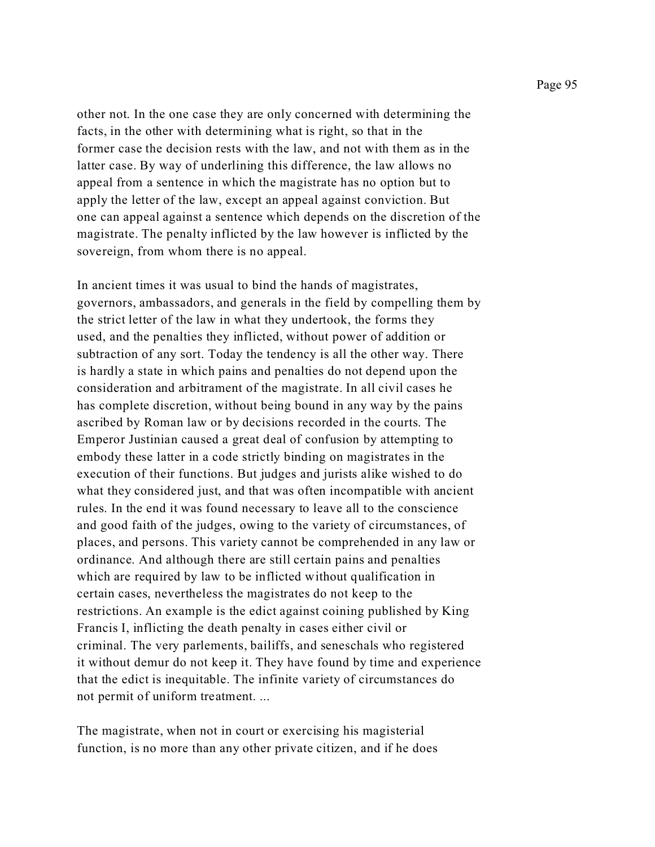other not. In the one case they are only concerned with determining the facts, in the other with determining what is right, so that in the former case the decision rests with the law, and not with them as in the latter case. By way of underlining this difference, the law allows no appeal from a sentence in which the magistrate has no option but to apply the letter of the law, except an appeal against conviction. But one can appeal against a sentence which depends on the discretion of the magistrate. The penalty inflicted by the law however is inflicted by the sovereign, from whom there is no appeal.

In ancient times it was usual to bind the hands of magistrates, governors, ambassadors, and generals in the field by compelling them by the strict letter of the law in what they undertook, the forms they used, and the penalties they inflicted, without power of addition or subtraction of any sort. Today the tendency is all the other way. There is hardly a state in which pains and penalties do not depend upon the consideration and arbitrament of the magistrate. In all civil cases he has complete discretion, without being bound in any way by the pains ascribed by Roman law or by decisions recorded in the courts. The Emperor Justinian caused a great deal of confusion by attempting to embody these latter in a code strictly binding on magistrates in the execution of their functions. But judges and jurists alike wished to do what they considered just, and that was often incompatible with ancient rules. In the end it was found necessary to leave all to the conscience and good faith of the judges, owing to the variety of circumstances, of places, and persons. This variety cannot be comprehended in any law or ordinance. And although there are still certain pains and penalties which are required by law to be inflicted without qualification in certain cases, nevertheless the magistrates do not keep to the restrictions. An example is the edict against coining published by King Francis I, inflicting the death penalty in cases either civil or criminal. The very parlements, bailiffs, and seneschals who registered it without demur do not keep it. They have found by time and experience that the edict is inequitable. The infinite variety of circumstances do not permit of uniform treatment. ...

The magistrate, when not in court or exercising his magisterial function, is no more than any other private citizen, and if he does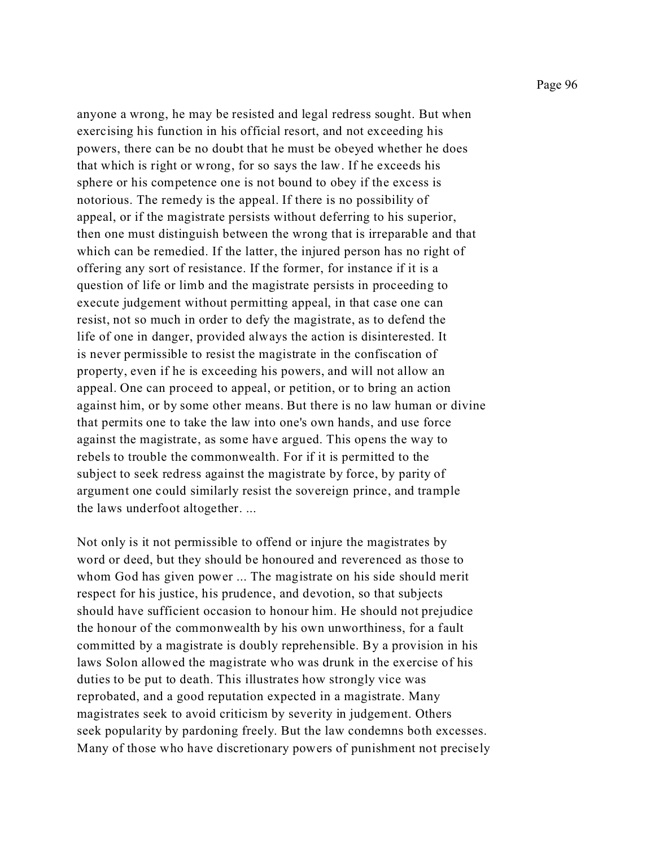anyone a wrong, he may be resisted and legal redress sought. But when exercising his function in his official resort, and not exceeding his powers, there can be no doubt that he must be obeyed whether he does that which is right or wrong, for so says the law. If he exceeds his sphere or his competence one is not bound to obey if the excess is notorious. The remedy is the appeal. If there is no possibility of appeal, or if the magistrate persists without deferring to his superior, then one must distinguish between the wrong that is irreparable and that which can be remedied. If the latter, the injured person has no right of offering any sort of resistance. If the former, for instance if it is a question of life or limb and the magistrate persists in proceeding to execute judgement without permitting appeal, in that case one can resist, not so much in order to defy the magistrate, as to defend the life of one in danger, provided always the action is disinterested. It is never permissible to resist the magistrate in the confiscation of property, even if he is exceeding his powers, and will not allow an appeal. One can proceed to appeal, or petition, or to bring an action against him, or by some other means. But there is no law human or divine that permits one to take the law into one's own hands, and use force against the magistrate, as some have argued. This opens the way to rebels to trouble the commonwealth. For if it is permitted to the subject to seek redress against the magistrate by force, by parity of argument one could similarly resist the sovereign prince, and trample the laws underfoot altogether. ...

Not only is it not permissible to offend or injure the magistrates by word or deed, but they should be honoured and reverenced as those to whom God has given power ... The magistrate on his side should merit respect for his justice, his prudence, and devotion, so that subjects should have sufficient occasion to honour him. He should not prejudice the honour of the commonwealth by his own unworthiness, for a fault committed by a magistrate is doubly reprehensible. By a provision in his laws Solon allowed the magistrate who was drunk in the exercise of his duties to be put to death. This illustrates how strongly vice was reprobated, and a good reputation expected in a magistrate. Many magistrates seek to avoid criticism by severity in judgement. Others seek popularity by pardoning freely. But the law condemns both excesses. Many of those who have discretionary powers of punishment not precisely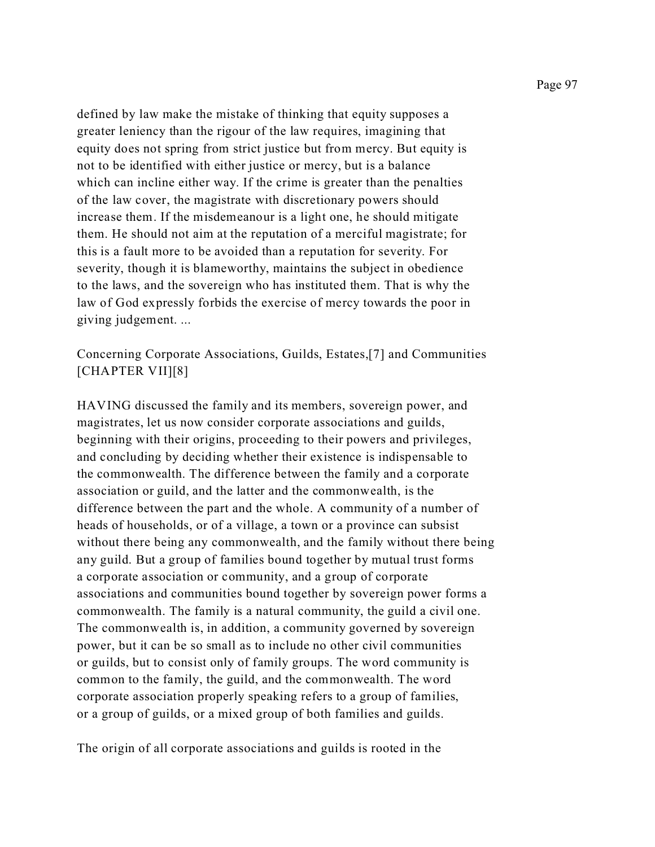defined by law make the mistake of thinking that equity supposes a greater leniency than the rigour of the law requires, imagining that equity does not spring from strict justice but from mercy. But equity is not to be identified with either justice or mercy, but is a balance which can incline either way. If the crime is greater than the penalties of the law cover, the magistrate with discretionary powers should increase them. If the misdemeanour is a light one, he should mitigate them. He should not aim at the reputation of a merciful magistrate; for this is a fault more to be avoided than a reputation for severity. For severity, though it is blameworthy, maintains the subject in obedience to the laws, and the sovereign who has instituted them. That is why the law of God expressly forbids the exercise of mercy towards the poor in giving judgement. ...

Concerning Corporate Associations, Guilds, Estates,[7] and Communities [CHAPTER VII][8]

HAVING discussed the family and its members, sovereign power, and magistrates, let us now consider corporate associations and guilds, beginning with their origins, proceeding to their powers and privileges, and concluding by deciding whether their existence is indispensable to the commonwealth. The difference between the family and a corporate association or guild, and the latter and the commonwealth, is the difference between the part and the whole. A community of a number of heads of households, or of a village, a town or a province can subsist without there being any commonwealth, and the family without there being any guild. But a group of families bound together by mutual trust forms a corporate association or community, and a group of corporate associations and communities bound together by sovereign power forms a commonwealth. The family is a natural community, the guild a civil one. The commonwealth is, in addition, a community governed by sovereign power, but it can be so small as to include no other civil communities or guilds, but to consist only of family groups. The word community is common to the family, the guild, and the commonwealth. The word corporate association properly speaking refers to a group of families, or a group of guilds, or a mixed group of both families and guilds.

The origin of all corporate associations and guilds is rooted in the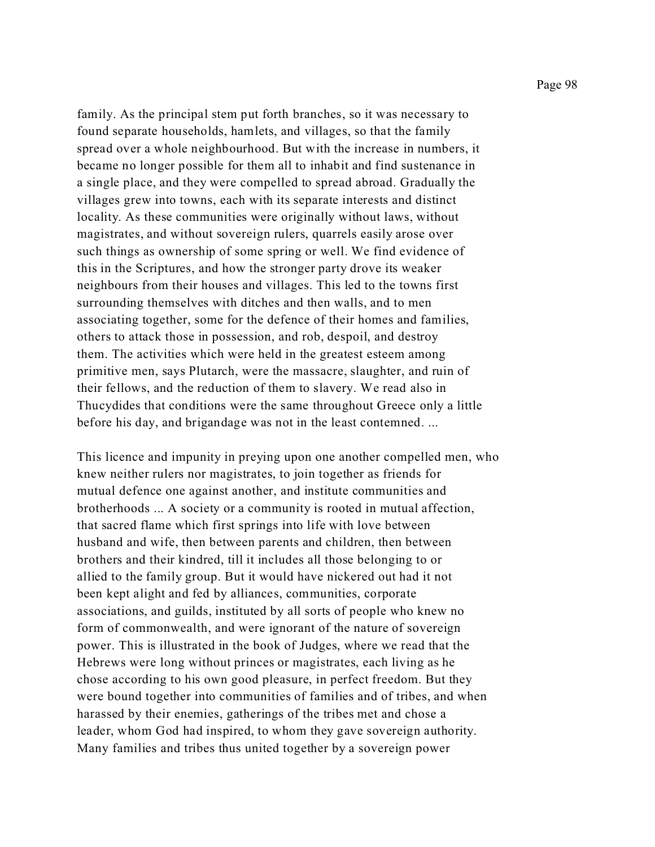family. As the principal stem put forth branches, so it was necessary to found separate households, hamlets, and villages, so that the family spread over a whole neighbourhood. But with the increase in numbers, it became no longer possible for them all to inhabit and find sustenance in a single place, and they were compelled to spread abroad. Gradually the villages grew into towns, each with its separate interests and distinct locality. As these communities were originally without laws, without magistrates, and without sovereign rulers, quarrels easily arose over such things as ownership of some spring or well. We find evidence of this in the Scriptures, and how the stronger party drove its weaker neighbours from their houses and villages. This led to the towns first surrounding themselves with ditches and then walls, and to men associating together, some for the defence of their homes and families, others to attack those in possession, and rob, despoil, and destroy them. The activities which were held in the greatest esteem among primitive men, says Plutarch, were the massacre, slaughter, and ruin of their fellows, and the reduction of them to slavery. We read also in Thucydides that conditions were the same throughout Greece only a little before his day, and brigandage was not in the least contemned. ...

This licence and impunity in preying upon one another compelled men, who knew neither rulers nor magistrates, to join together as friends for mutual defence one against another, and institute communities and brotherhoods ... A society or a community is rooted in mutual affection, that sacred flame which first springs into life with love between husband and wife, then between parents and children, then between brothers and their kindred, till it includes all those belonging to or allied to the family group. But it would have nickered out had it not been kept alight and fed by alliances, communities, corporate associations, and guilds, instituted by all sorts of people who knew no form of commonwealth, and were ignorant of the nature of sovereign power. This is illustrated in the book of Judges, where we read that the Hebrews were long without princes or magistrates, each living as he chose according to his own good pleasure, in perfect freedom. But they were bound together into communities of families and of tribes, and when harassed by their enemies, gatherings of the tribes met and chose a leader, whom God had inspired, to whom they gave sovereign authority. Many families and tribes thus united together by a sovereign power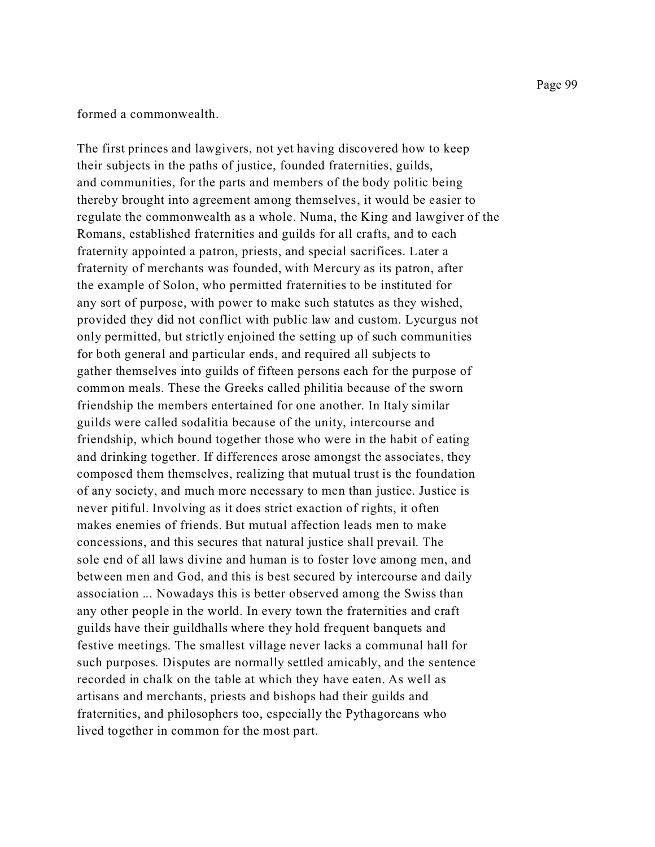The first princes and lawgivers, not yet having discovered how to keep their subjects in the paths of justice, founded fraternities, guilds, and communities, for the parts and members of the body politic being thereby brought into agreement among themselves, it would be easier to regulate the commonwealth as a whole. Numa, the King and lawgiver of the Romans, established fraternities and guilds for all crafts, and to each fraternity appointed a patron, priests, and special sacrifices. Later a fraternity of merchants was founded, with Mercury as its patron, after the example of Solon, who permitted fraternities to be instituted for any sort of purpose, with power to make such statutes as they wished, provided they did not conflict with public law and custom. Lycurgus not only permitted, but strictly enjoined the setting up of such communities for both general and particular ends, and required all subjects to gather themselves into guilds of fifteen persons each for the purpose of common meals. These the Greeks called philitia because of the sworn friendship the members entertained for one another. In Italy similar guilds were called sodalitia because of the unity, intercourse and friendship, which bound together those who were in the habit of eating and drinking together. If differences arose amongst the associates, they composed them themselves, realizing that mutual trust is the foundation of any society, and much more necessary to men than justice. Justice is never pitiful. Involving as it does strict exaction of rights, it often makes enemies of friends. But mutual affection leads men to make concessions, and this secures that natural justice shall prevail. The sole end of all laws divine and human is to foster love among men, and between men and God, and this is best secured by intercourse and daily association ... Nowadays this is better observed among the Swiss than any other people in the world. In every town the fraternities and craft guilds have their guildhalls where they hold frequent banquets and festive meetings. The smallest village never lacks a communal hall for such purposes. Disputes are normally settled amicably, and the sentence recorded in chalk on the table at which they have eaten. As well as artisans and merchants, priests and bishops had their guilds and fraternities, and philosophers too, especially the Pythagoreans who lived together in common for the most part.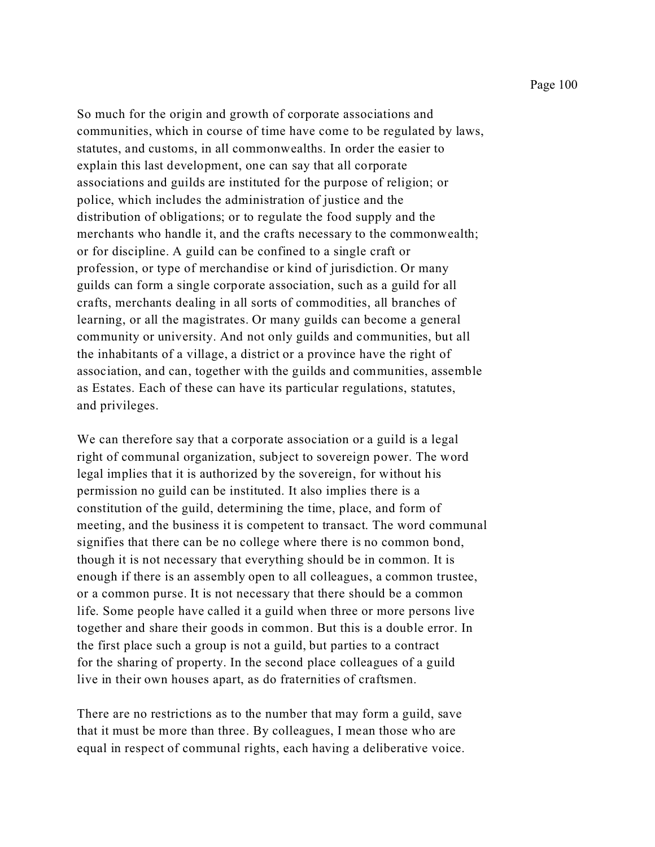So much for the origin and growth of corporate associations and communities, which in course of time have come to be regulated by laws, statutes, and customs, in all commonwealths. In order the easier to explain this last development, one can say that all corporate associations and guilds are instituted for the purpose of religion; or police, which includes the administration of justice and the distribution of obligations; or to regulate the food supply and the merchants who handle it, and the crafts necessary to the commonwealth; or for discipline. A guild can be confined to a single craft or profession, or type of merchandise or kind of jurisdiction. Or many guilds can form a single corporate association, such as a guild for all crafts, merchants dealing in all sorts of commodities, all branches of learning, or all the magistrates. Or many guilds can become a general community or university. And not only guilds and communities, but all the inhabitants of a village, a district or a province have the right of association, and can, together with the guilds and communities, assemble as Estates. Each of these can have its particular regulations, statutes, and privileges.

We can therefore say that a corporate association or a guild is a legal right of communal organization, subject to sovereign power. The word legal implies that it is authorized by the sovereign, for without his permission no guild can be instituted. It also implies there is a constitution of the guild, determining the time, place, and form of meeting, and the business it is competent to transact. The word communal signifies that there can be no college where there is no common bond, though it is not necessary that everything should be in common. It is enough if there is an assembly open to all colleagues, a common trustee, or a common purse. It is not necessary that there should be a common life. Some people have called it a guild when three or more persons live together and share their goods in common. But this is a double error. In the first place such a group is not a guild, but parties to a contract for the sharing of property. In the second place colleagues of a guild live in their own houses apart, as do fraternities of craftsmen.

There are no restrictions as to the number that may form a guild, save that it must be more than three. By colleagues, I mean those who are equal in respect of communal rights, each having a deliberative voice.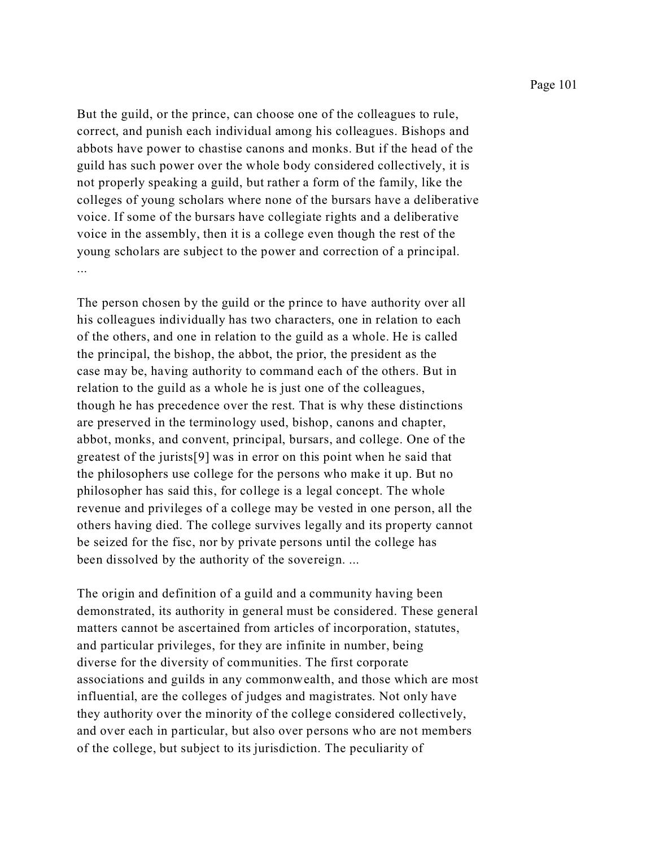But the guild, or the prince, can choose one of the colleagues to rule, correct, and punish each individual among his colleagues. Bishops and abbots have power to chastise canons and monks. But if the head of the guild has such power over the whole body considered collectively, it is not properly speaking a guild, but rather a form of the family, like the colleges of young scholars where none of the bursars have a deliberative voice. If some of the bursars have collegiate rights and a deliberative voice in the assembly, then it is a college even though the rest of the young scholars are subject to the power and correction of a principal. ...

The person chosen by the guild or the prince to have authority over all his colleagues individually has two characters, one in relation to each of the others, and one in relation to the guild as a whole. He is called the principal, the bishop, the abbot, the prior, the president as the case may be, having authority to command each of the others. But in relation to the guild as a whole he is just one of the colleagues, though he has precedence over the rest. That is why these distinctions are preserved in the terminology used, bishop, canons and chapter, abbot, monks, and convent, principal, bursars, and college. One of the greatest of the jurists[9] was in error on this point when he said that the philosophers use college for the persons who make it up. But no philosopher has said this, for college is a legal concept. The whole revenue and privileges of a college may be vested in one person, all the others having died. The college survives legally and its property cannot be seized for the fisc, nor by private persons until the college has been dissolved by the authority of the sovereign. ...

The origin and definition of a guild and a community having been demonstrated, its authority in general must be considered. These general matters cannot be ascertained from articles of incorporation, statutes, and particular privileges, for they are infinite in number, being diverse for the diversity of communities. The first corporate associations and guilds in any commonwealth, and those which are most influential, are the colleges of judges and magistrates. Not only have they authority over the minority of the college considered collectively, and over each in particular, but also over persons who are not members of the college, but subject to its jurisdiction. The peculiarity of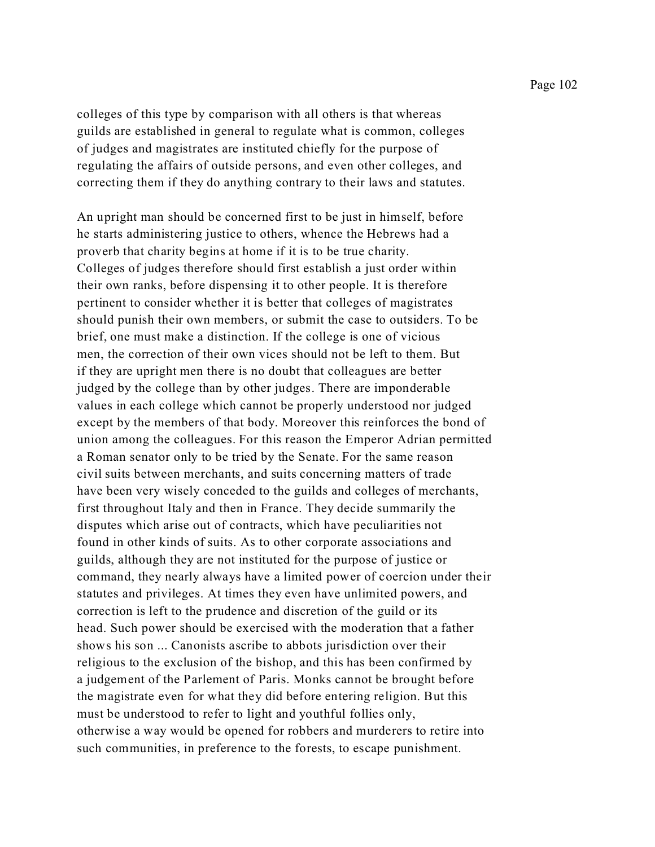colleges of this type by comparison with all others is that whereas guilds are established in general to regulate what is common, colleges of judges and magistrates are instituted chiefly for the purpose of regulating the affairs of outside persons, and even other colleges, and correcting them if they do anything contrary to their laws and statutes.

An upright man should be concerned first to be just in himself, before he starts administering justice to others, whence the Hebrews had a proverb that charity begins at home if it is to be true charity. Colleges of judges therefore should first establish a just order within their own ranks, before dispensing it to other people. It is therefore pertinent to consider whether it is better that colleges of magistrates should punish their own members, or submit the case to outsiders. To be brief, one must make a distinction. If the college is one of vicious men, the correction of their own vices should not be left to them. But if they are upright men there is no doubt that colleagues are better judged by the college than by other judges. There are imponderable values in each college which cannot be properly understood nor judged except by the members of that body. Moreover this reinforces the bond of union among the colleagues. For this reason the Emperor Adrian permitted a Roman senator only to be tried by the Senate. For the same reason civil suits between merchants, and suits concerning matters of trade have been very wisely conceded to the guilds and colleges of merchants, first throughout Italy and then in France. They decide summarily the disputes which arise out of contracts, which have peculiarities not found in other kinds of suits. As to other corporate associations and guilds, although they are not instituted for the purpose of justice or command, they nearly always have a limited power of coercion under their statutes and privileges. At times they even have unlimited powers, and correction is left to the prudence and discretion of the guild or its head. Such power should be exercised with the moderation that a father shows his son ... Canonists ascribe to abbots jurisdiction over their religious to the exclusion of the bishop, and this has been confirmed by a judgement of the Parlement of Paris. Monks cannot be brought before the magistrate even for what they did before entering religion. But this must be understood to refer to light and youthful follies only, otherwise a way would be opened for robbers and murderers to retire into such communities, in preference to the forests, to escape punishment.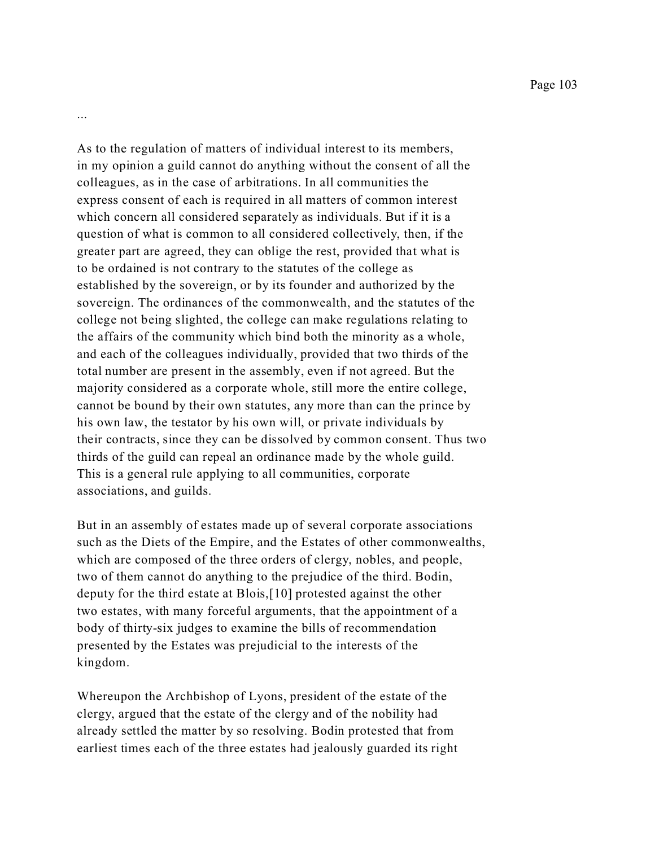...

As to the regulation of matters of individual interest to its members, in my opinion a guild cannot do anything without the consent of all the colleagues, as in the case of arbitrations. In all communities the express consent of each is required in all matters of common interest which concern all considered separately as individuals. But if it is a question of what is common to all considered collectively, then, if the greater part are agreed, they can oblige the rest, provided that what is to be ordained is not contrary to the statutes of the college as established by the sovereign, or by its founder and authorized by the sovereign. The ordinances of the commonwealth, and the statutes of the college not being slighted, the college can make regulations relating to the affairs of the community which bind both the minority as a whole, and each of the colleagues individually, provided that two thirds of the total number are present in the assembly, even if not agreed. But the majority considered as a corporate whole, still more the entire college, cannot be bound by their own statutes, any more than can the prince by his own law, the testator by his own will, or private individuals by their contracts, since they can be dissolved by common consent. Thus two thirds of the guild can repeal an ordinance made by the whole guild. This is a general rule applying to all communities, corporate associations, and guilds.

But in an assembly of estates made up of several corporate associations such as the Diets of the Empire, and the Estates of other commonwealths, which are composed of the three orders of clergy, nobles, and people, two of them cannot do anything to the prejudice of the third. Bodin, deputy for the third estate at Blois,[10] protested against the other two estates, with many forceful arguments, that the appointment of a body of thirty-six judges to examine the bills of recommendation presented by the Estates was prejudicial to the interests of the kingdom.

Whereupon the Archbishop of Lyons, president of the estate of the clergy, argued that the estate of the clergy and of the nobility had already settled the matter by so resolving. Bodin protested that from earliest times each of the three estates had jealously guarded its right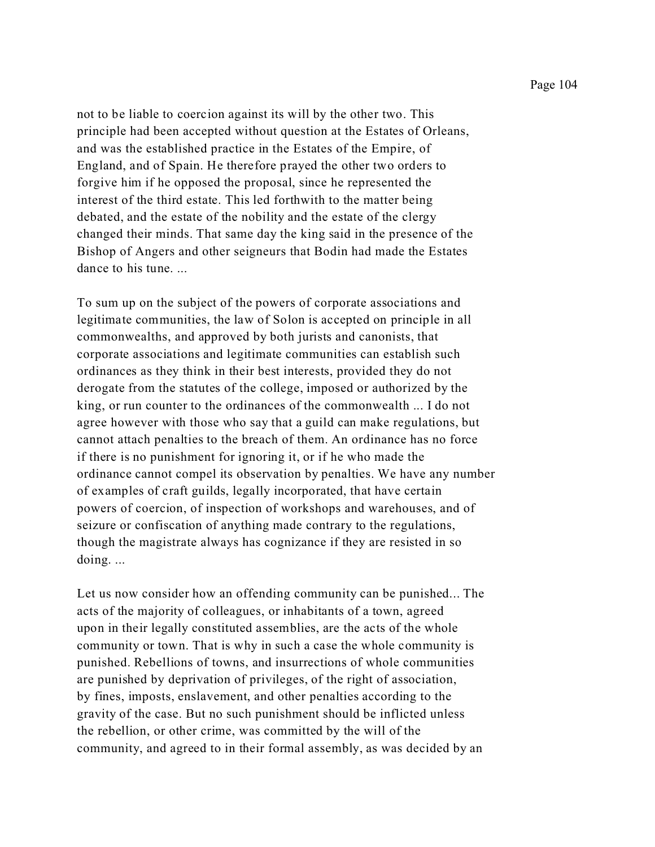not to be liable to coercion against its will by the other two. This principle had been accepted without question at the Estates of Orleans, and was the established practice in the Estates of the Empire, of England, and of Spain. He therefore prayed the other two orders to forgive him if he opposed the proposal, since he represented the interest of the third estate. This led forthwith to the matter being debated, and the estate of the nobility and the estate of the clergy changed their minds. That same day the king said in the presence of the Bishop of Angers and other seigneurs that Bodin had made the Estates dance to his tune. ...

To sum up on the subject of the powers of corporate associations and legitimate communities, the law of Solon is accepted on principle in all commonwealths, and approved by both jurists and canonists, that corporate associations and legitimate communities can establish such ordinances as they think in their best interests, provided they do not derogate from the statutes of the college, imposed or authorized by the king, or run counter to the ordinances of the commonwealth ... I do not agree however with those who say that a guild can make regulations, but cannot attach penalties to the breach of them. An ordinance has no force if there is no punishment for ignoring it, or if he who made the ordinance cannot compel its observation by penalties. We have any number of examples of craft guilds, legally incorporated, that have certain powers of coercion, of inspection of workshops and warehouses, and of seizure or confiscation of anything made contrary to the regulations, though the magistrate always has cognizance if they are resisted in so doing. ...

Let us now consider how an offending community can be punished... The acts of the majority of colleagues, or inhabitants of a town, agreed upon in their legally constituted assemblies, are the acts of the whole community or town. That is why in such a case the whole community is punished. Rebellions of towns, and insurrections of whole communities are punished by deprivation of privileges, of the right of association, by fines, imposts, enslavement, and other penalties according to the gravity of the case. But no such punishment should be inflicted unless the rebellion, or other crime, was committed by the will of the community, and agreed to in their formal assembly, as was decided by an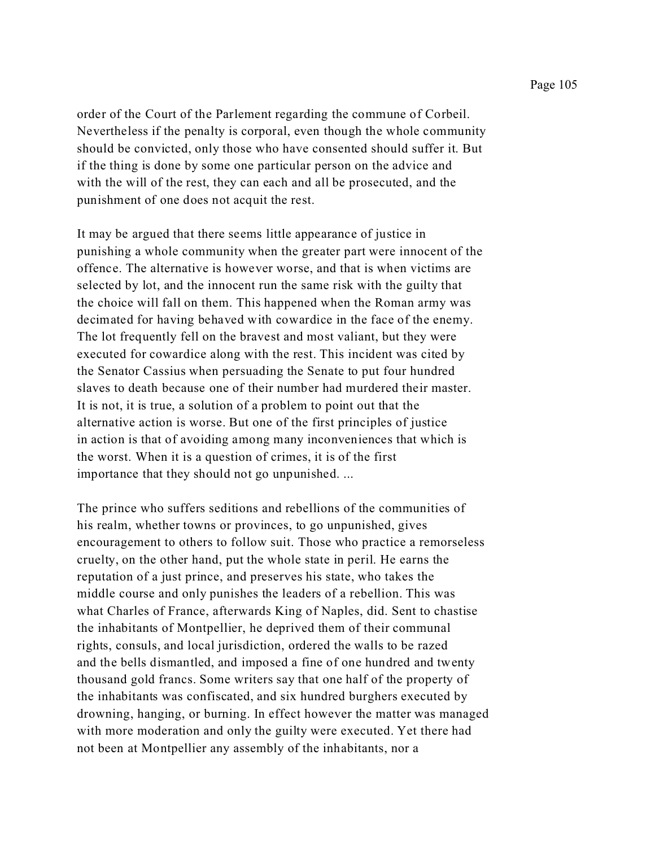order of the Court of the Parlement regarding the commune of Corbeil. Nevertheless if the penalty is corporal, even though the whole community should be convicted, only those who have consented should suffer it. But if the thing is done by some one particular person on the advice and with the will of the rest, they can each and all be prosecuted, and the punishment of one does not acquit the rest.

It may be argued that there seems little appearance of justice in punishing a whole community when the greater part were innocent of the offence. The alternative is however worse, and that is when victims are selected by lot, and the innocent run the same risk with the guilty that the choice will fall on them. This happened when the Roman army was decimated for having behaved with cowardice in the face of the enemy. The lot frequently fell on the bravest and most valiant, but they were executed for cowardice along with the rest. This incident was cited by the Senator Cassius when persuading the Senate to put four hundred slaves to death because one of their number had murdered their master. It is not, it is true, a solution of a problem to point out that the alternative action is worse. But one of the first principles of justice in action is that of avoiding among many inconveniences that which is the worst. When it is a question of crimes, it is of the first importance that they should not go unpunished. ...

The prince who suffers seditions and rebellions of the communities of his realm, whether towns or provinces, to go unpunished, gives encouragement to others to follow suit. Those who practice a remorseless cruelty, on the other hand, put the whole state in peril. He earns the reputation of a just prince, and preserves his state, who takes the middle course and only punishes the leaders of a rebellion. This was what Charles of France, afterwards King of Naples, did. Sent to chastise the inhabitants of Montpellier, he deprived them of their communal rights, consuls, and local jurisdiction, ordered the walls to be razed and the bells dismantled, and imposed a fine of one hundred and twenty thousand gold francs. Some writers say that one half of the property of the inhabitants was confiscated, and six hundred burghers executed by drowning, hanging, or burning. In effect however the matter was managed with more moderation and only the guilty were executed. Yet there had not been at Montpellier any assembly of the inhabitants, nor a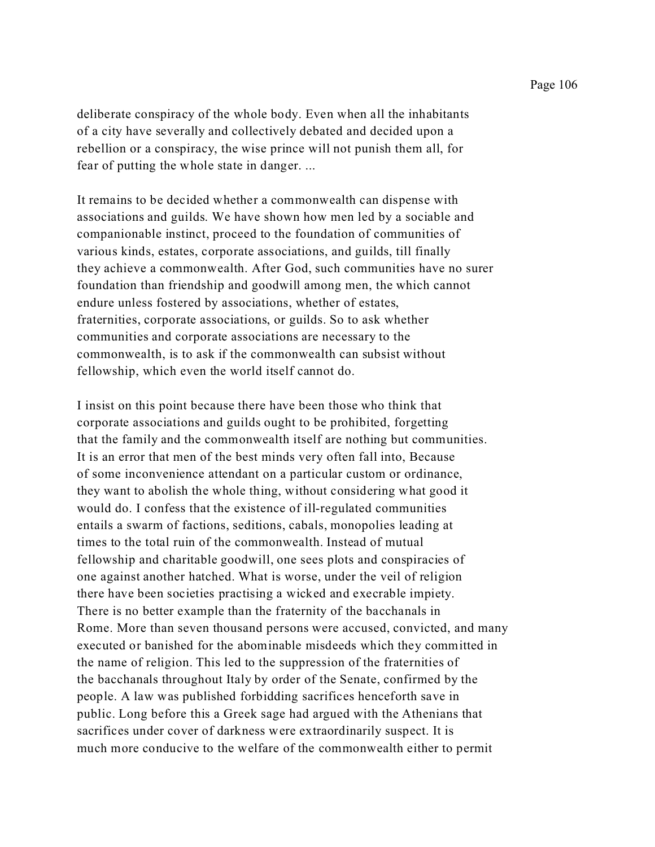deliberate conspiracy of the whole body. Even when all the inhabitants of a city have severally and collectively debated and decided upon a rebellion or a conspiracy, the wise prince will not punish them all, for fear of putting the whole state in danger. ...

It remains to be decided whether a commonwealth can dispense with associations and guilds. We have shown how men led by a sociable and companionable instinct, proceed to the foundation of communities of various kinds, estates, corporate associations, and guilds, till finally they achieve a commonwealth. After God, such communities have no surer foundation than friendship and goodwill among men, the which cannot endure unless fostered by associations, whether of estates, fraternities, corporate associations, or guilds. So to ask whether communities and corporate associations are necessary to the commonwealth, is to ask if the commonwealth can subsist without fellowship, which even the world itself cannot do.

I insist on this point because there have been those who think that corporate associations and guilds ought to be prohibited, forgetting that the family and the commonwealth itself are nothing but communities. It is an error that men of the best minds very often fall into, Because of some inconvenience attendant on a particular custom or ordinance, they want to abolish the whole thing, without considering what good it would do. I confess that the existence of ill-regulated communities entails a swarm of factions, seditions, cabals, monopolies leading at times to the total ruin of the commonwealth. Instead of mutual fellowship and charitable goodwill, one sees plots and conspiracies of one against another hatched. What is worse, under the veil of religion there have been societies practising a wicked and execrable impiety. There is no better example than the fraternity of the bacchanals in Rome. More than seven thousand persons were accused, convicted, and many executed or banished for the abominable misdeeds which they committed in the name of religion. This led to the suppression of the fraternities of the bacchanals throughout Italy by order of the Senate, confirmed by the people. A law was published forbidding sacrifices henceforth save in public. Long before this a Greek sage had argued with the Athenians that sacrifices under cover of darkness were extraordinarily suspect. It is much more conducive to the welfare of the commonwealth either to permit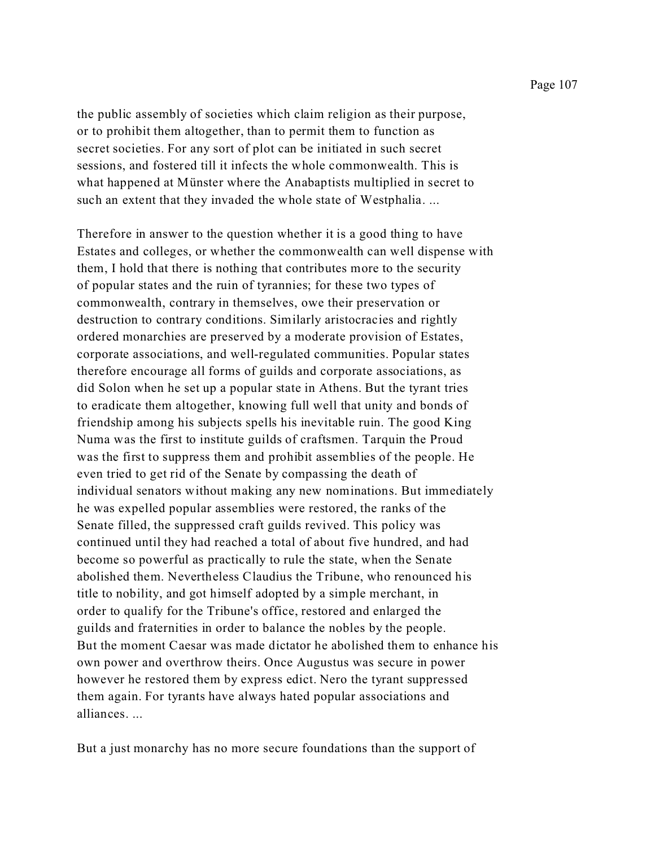the public assembly of societies which claim religion as their purpose, or to prohibit them altogether, than to permit them to function as secret societies. For any sort of plot can be initiated in such secret sessions, and fostered till it infects the whole commonwealth. This is what happened at Münster where the Anabaptists multiplied in secret to such an extent that they invaded the whole state of Westphalia. ...

Therefore in answer to the question whether it is a good thing to have Estates and colleges, or whether the commonwealth can well dispense with them, I hold that there is nothing that contributes more to the security of popular states and the ruin of tyrannies; for these two types of commonwealth, contrary in themselves, owe their preservation or destruction to contrary conditions. Similarly aristocracies and rightly ordered monarchies are preserved by a moderate provision of Estates, corporate associations, and well-regulated communities. Popular states therefore encourage all forms of guilds and corporate associations, as did Solon when he set up a popular state in Athens. But the tyrant tries to eradicate them altogether, knowing full well that unity and bonds of friendship among his subjects spells his inevitable ruin. The good King Numa was the first to institute guilds of craftsmen. Tarquin the Proud was the first to suppress them and prohibit assemblies of the people. He even tried to get rid of the Senate by compassing the death of individual senators without making any new nominations. But immediately he was expelled popular assemblies were restored, the ranks of the Senate filled, the suppressed craft guilds revived. This policy was continued until they had reached a total of about five hundred, and had become so powerful as practically to rule the state, when the Senate abolished them. Nevertheless Claudius the Tribune, who renounced his title to nobility, and got himself adopted by a simple merchant, in order to qualify for the Tribune's office, restored and enlarged the guilds and fraternities in order to balance the nobles by the people. But the moment Caesar was made dictator he abolished them to enhance his own power and overthrow theirs. Once Augustus was secure in power however he restored them by express edict. Nero the tyrant suppressed them again. For tyrants have always hated popular associations and alliances. ...

But a just monarchy has no more secure foundations than the support of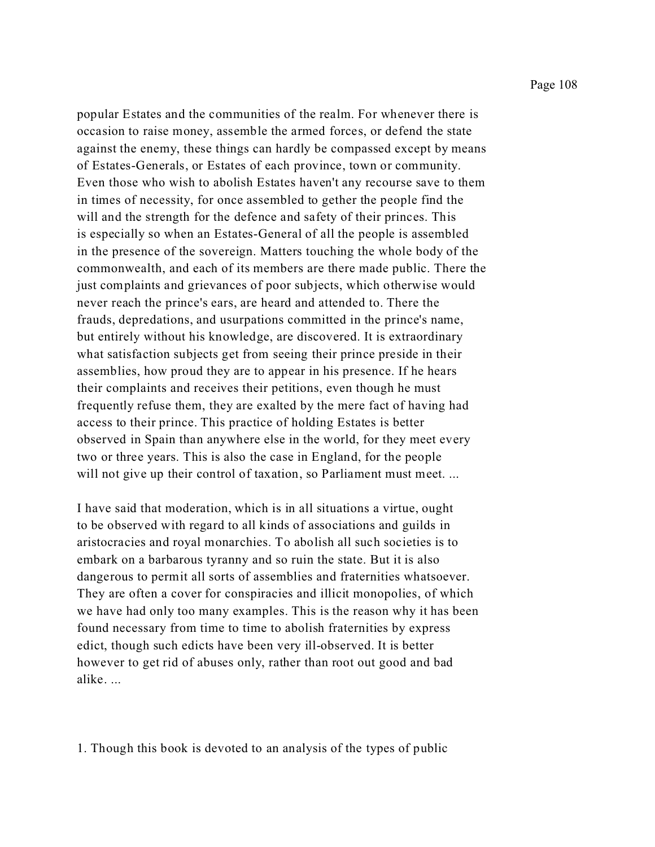popular Estates and the communities of the realm. For whenever there is occasion to raise money, assemble the armed forces, or defend the state against the enemy, these things can hardly be compassed except by means of Estates-Generals, or Estates of each province, town or community. Even those who wish to abolish Estates haven't any recourse save to them in times of necessity, for once assembled to gether the people find the will and the strength for the defence and safety of their princes. This is especially so when an Estates-General of all the people is assembled in the presence of the sovereign. Matters touching the whole body of the commonwealth, and each of its members are there made public. There the just complaints and grievances of poor subjects, which otherwise would never reach the prince's ears, are heard and attended to. There the frauds, depredations, and usurpations committed in the prince's name, but entirely without his knowledge, are discovered. It is extraordinary what satisfaction subjects get from seeing their prince preside in their assemblies, how proud they are to appear in his presence. If he hears their complaints and receives their petitions, even though he must frequently refuse them, they are exalted by the mere fact of having had access to their prince. This practice of holding Estates is better observed in Spain than anywhere else in the world, for they meet every two or three years. This is also the case in England, for the people will not give up their control of taxation, so Parliament must meet. ...

I have said that moderation, which is in all situations a virtue, ought to be observed with regard to all kinds of associations and guilds in aristocracies and royal monarchies. To abolish all such societies is to embark on a barbarous tyranny and so ruin the state. But it is also dangerous to permit all sorts of assemblies and fraternities whatsoever. They are often a cover for conspiracies and illicit monopolies, of which we have had only too many examples. This is the reason why it has been found necessary from time to time to abolish fraternities by express edict, though such edicts have been very ill-observed. It is better however to get rid of abuses only, rather than root out good and bad alike. ...

1. Though this book is devoted to an analysis of the types of public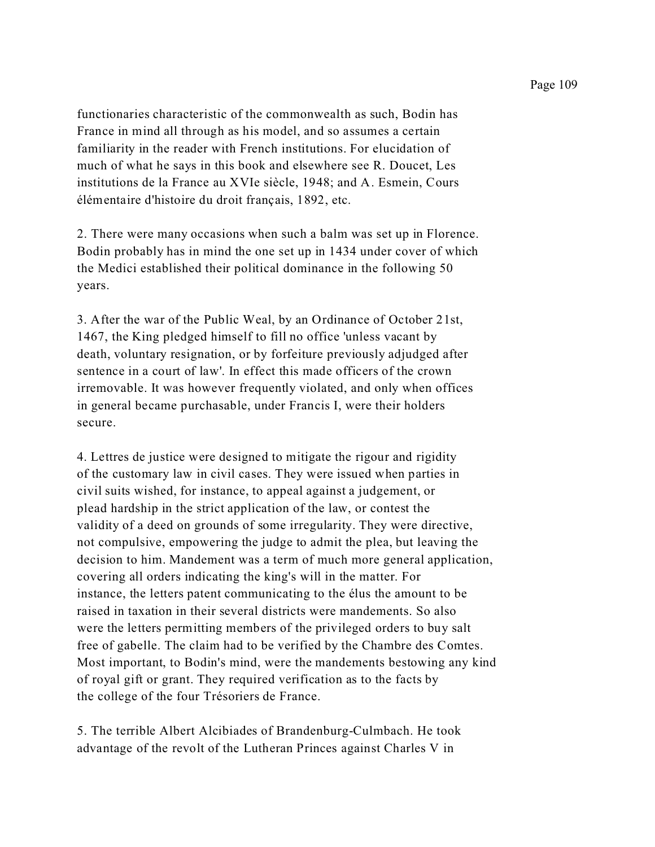functionaries characteristic of the commonwealth as such, Bodin has France in mind all through as his model, and so assumes a certain familiarity in the reader with French institutions. For elucidation of much of what he says in this book and elsewhere see R. Doucet, Les institutions de la France au XVIe siècle, 1948; and A. Esmein, Cours élémentaire d'histoire du droit français, 1892, etc.

2. There were many occasions when such a balm was set up in Florence. Bodin probably has in mind the one set up in 1434 under cover of which the Medici established their political dominance in the following 50 years.

3. After the war of the Public Weal, by an Ordinance of October 21st, 1467, the King pledged himself to fill no office 'unless vacant by death, voluntary resignation, or by forfeiture previously adjudged after sentence in a court of law'. In effect this made officers of the crown irremovable. It was however frequently violated, and only when offices in general became purchasable, under Francis I, were their holders secure.

4. Lettres de justice were designed to mitigate the rigour and rigidity of the customary law in civil cases. They were issued when parties in civil suits wished, for instance, to appeal against a judgement, or plead hardship in the strict application of the law, or contest the validity of a deed on grounds of some irregularity. They were directive, not compulsive, empowering the judge to admit the plea, but leaving the decision to him. Mandement was a term of much more general application, covering all orders indicating the king's will in the matter. For instance, the letters patent communicating to the élus the amount to be raised in taxation in their several districts were mandements. So also were the letters permitting members of the privileged orders to buy salt free of gabelle. The claim had to be verified by the Chambre des Comtes. Most important, to Bodin's mind, were the mandements bestowing any kind of royal gift or grant. They required verification as to the facts by the college of the four Trésoriers de France.

5. The terrible Albert Alcibiades of Brandenburg-Culmbach. He took advantage of the revolt of the Lutheran Princes against Charles V in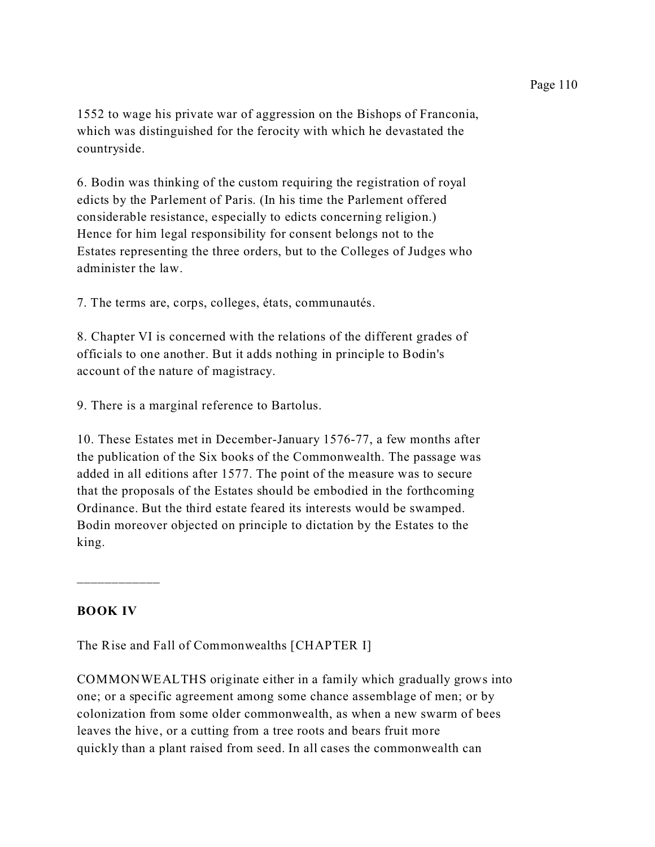1552 to wage his private war of aggression on the Bishops of Franconia, which was distinguished for the ferocity with which he devastated the countryside.

6. Bodin was thinking of the custom requiring the registration of royal edicts by the Parlement of Paris. (In his time the Parlement offered considerable resistance, especially to edicts concerning religion.) Hence for him legal responsibility for consent belongs not to the Estates representing the three orders, but to the Colleges of Judges who administer the law.

7. The terms are, corps, colleges, états, communautés.

8. Chapter VI is concerned with the relations of the different grades of officials to one another. But it adds nothing in principle to Bodin's account of the nature of magistracy.

9. There is a marginal reference to Bartolus.

10. These Estates met in December-January 1576-77, a few months after the publication of the Six books of the Commonwealth. The passage was added in all editions after 1577. The point of the measure was to secure that the proposals of the Estates should be embodied in the forthcoming Ordinance. But the third estate feared its interests would be swamped. Bodin moreover objected on principle to dictation by the Estates to the king.

# **BOOK IV**

\_\_\_\_\_\_\_\_\_\_\_\_

The Rise and Fall of Commonwealths [CHAPTER I]

COMMONWEALTHS originate either in a family which gradually grows into one; or a specific agreement among some chance assemblage of men; or by colonization from some older commonwealth, as when a new swarm of bees leaves the hive, or a cutting from a tree roots and bears fruit more quickly than a plant raised from seed. In all cases the commonwealth can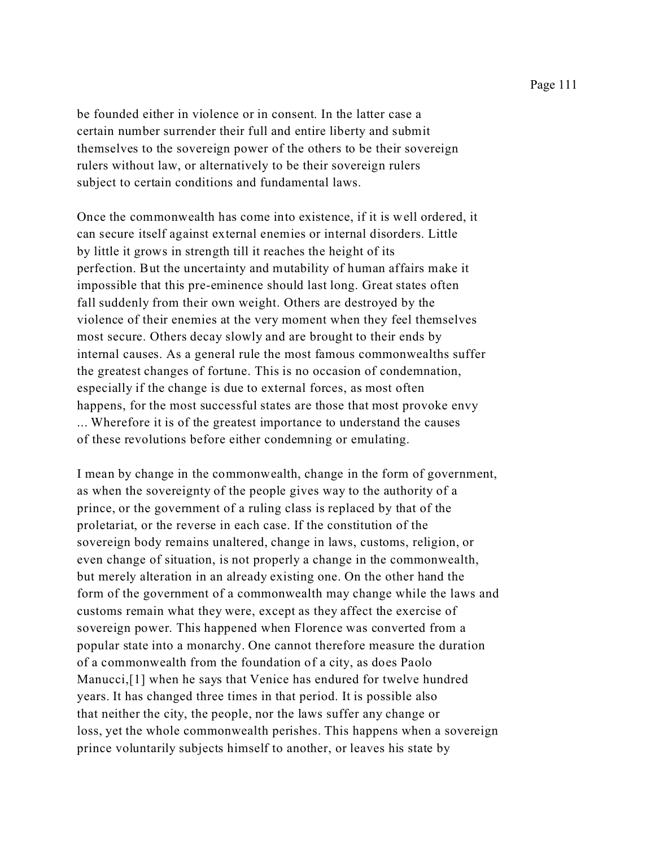be founded either in violence or in consent. In the latter case a certain number surrender their full and entire liberty and submit themselves to the sovereign power of the others to be their sovereign rulers without law, or alternatively to be their sovereign rulers subject to certain conditions and fundamental laws.

Once the commonwealth has come into existence, if it is well ordered, it can secure itself against external enemies or internal disorders. Little by little it grows in strength till it reaches the height of its perfection. But the uncertainty and mutability of human affairs make it impossible that this pre-eminence should last long. Great states often fall suddenly from their own weight. Others are destroyed by the violence of their enemies at the very moment when they feel themselves most secure. Others decay slowly and are brought to their ends by internal causes. As a general rule the most famous commonwealths suffer the greatest changes of fortune. This is no occasion of condemnation, especially if the change is due to external forces, as most often happens, for the most successful states are those that most provoke envy ... Wherefore it is of the greatest importance to understand the causes of these revolutions before either condemning or emulating.

I mean by change in the commonwealth, change in the form of government, as when the sovereignty of the people gives way to the authority of a prince, or the government of a ruling class is replaced by that of the proletariat, or the reverse in each case. If the constitution of the sovereign body remains unaltered, change in laws, customs, religion, or even change of situation, is not properly a change in the commonwealth, but merely alteration in an already existing one. On the other hand the form of the government of a commonwealth may change while the laws and customs remain what they were, except as they affect the exercise of sovereign power. This happened when Florence was converted from a popular state into a monarchy. One cannot therefore measure the duration of a commonwealth from the foundation of a city, as does Paolo Manucci,[1] when he says that Venice has endured for twelve hundred years. It has changed three times in that period. It is possible also that neither the city, the people, nor the laws suffer any change or loss, yet the whole commonwealth perishes. This happens when a sovereign prince voluntarily subjects himself to another, or leaves his state by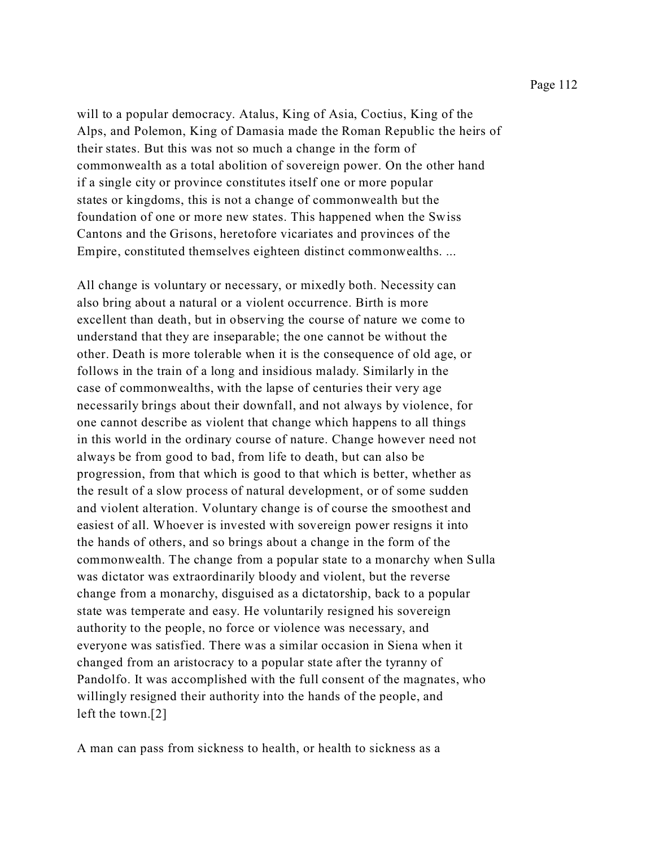will to a popular democracy. Atalus, King of Asia, Coctius, King of the Alps, and Polemon, King of Damasia made the Roman Republic the heirs of their states. But this was not so much a change in the form of commonwealth as a total abolition of sovereign power. On the other hand if a single city or province constitutes itself one or more popular states or kingdoms, this is not a change of commonwealth but the foundation of one or more new states. This happened when the Swiss Cantons and the Grisons, heretofore vicariates and provinces of the Empire, constituted themselves eighteen distinct commonwealths. ...

All change is voluntary or necessary, or mixedly both. Necessity can also bring about a natural or a violent occurrence. Birth is more excellent than death, but in observing the course of nature we come to understand that they are inseparable; the one cannot be without the other. Death is more tolerable when it is the consequence of old age, or follows in the train of a long and insidious malady. Similarly in the case of commonwealths, with the lapse of centuries their very age necessarily brings about their downfall, and not always by violence, for one cannot describe as violent that change which happens to all things in this world in the ordinary course of nature. Change however need not always be from good to bad, from life to death, but can also be progression, from that which is good to that which is better, whether as the result of a slow process of natural development, or of some sudden and violent alteration. Voluntary change is of course the smoothest and easiest of all. Whoever is invested with sovereign power resigns it into the hands of others, and so brings about a change in the form of the commonwealth. The change from a popular state to a monarchy when Sulla was dictator was extraordinarily bloody and violent, but the reverse change from a monarchy, disguised as a dictatorship, back to a popular state was temperate and easy. He voluntarily resigned his sovereign authority to the people, no force or violence was necessary, and everyone was satisfied. There was a similar occasion in Siena when it changed from an aristocracy to a popular state after the tyranny of Pandolfo. It was accomplished with the full consent of the magnates, who willingly resigned their authority into the hands of the people, and left the town.[2]

A man can pass from sickness to health, or health to sickness as a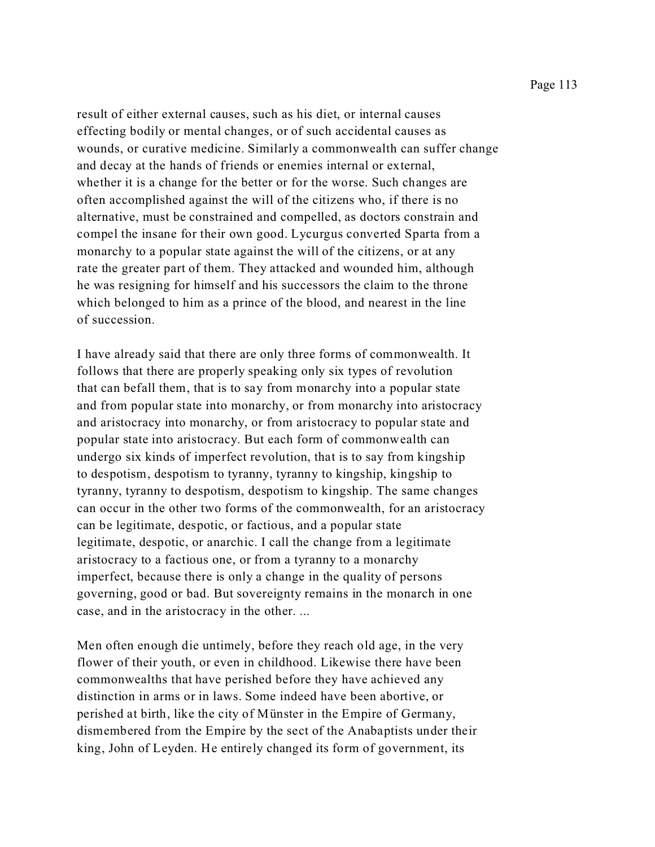result of either external causes, such as his diet, or internal causes effecting bodily or mental changes, or of such accidental causes as wounds, or curative medicine. Similarly a commonwealth can suffer change and decay at the hands of friends or enemies internal or external, whether it is a change for the better or for the worse. Such changes are often accomplished against the will of the citizens who, if there is no alternative, must be constrained and compelled, as doctors constrain and compel the insane for their own good. Lycurgus converted Sparta from a monarchy to a popular state against the will of the citizens, or at any rate the greater part of them. They attacked and wounded him, although he was resigning for himself and his successors the claim to the throne which belonged to him as a prince of the blood, and nearest in the line of succession.

I have already said that there are only three forms of commonwealth. It follows that there are properly speaking only six types of revolution that can befall them, that is to say from monarchy into a popular state and from popular state into monarchy, or from monarchy into aristocracy and aristocracy into monarchy, or from aristocracy to popular state and popular state into aristocracy. But each form of commonwealth can undergo six kinds of imperfect revolution, that is to say from kingship to despotism, despotism to tyranny, tyranny to kingship, kingship to tyranny, tyranny to despotism, despotism to kingship. The same changes can occur in the other two forms of the commonwealth, for an aristocracy can be legitimate, despotic, or factious, and a popular state legitimate, despotic, or anarchic. I call the change from a legitimate aristocracy to a factious one, or from a tyranny to a monarchy imperfect, because there is only a change in the quality of persons governing, good or bad. But sovereignty remains in the monarch in one case, and in the aristocracy in the other. ...

Men often enough die untimely, before they reach old age, in the very flower of their youth, or even in childhood. Likewise there have been commonwealths that have perished before they have achieved any distinction in arms or in laws. Some indeed have been abortive, or perished at birth, like the city of Münster in the Empire of Germany, dismembered from the Empire by the sect of the Anabaptists under their king, John of Leyden. He entirely changed its form of government, its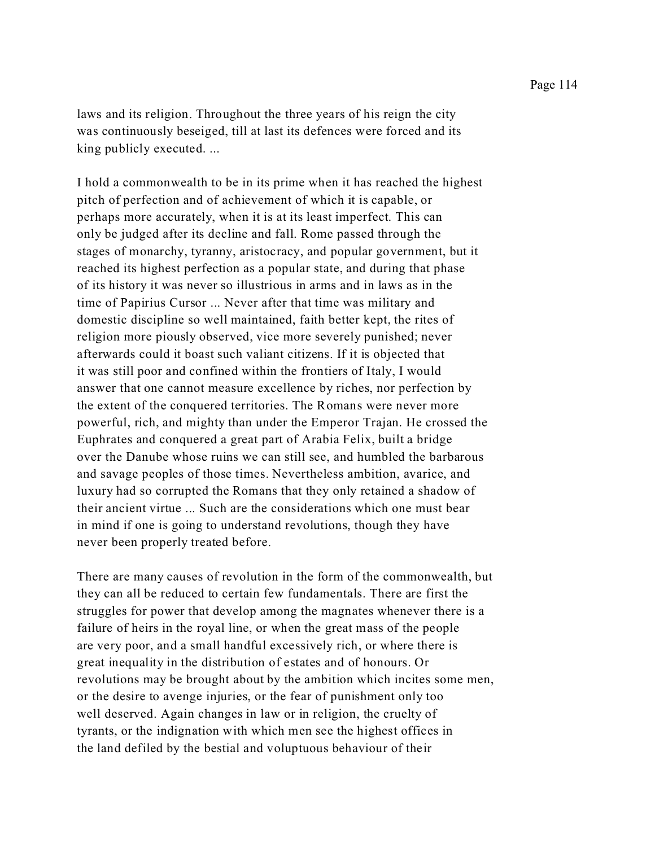laws and its religion. Throughout the three years of his reign the city was continuously beseiged, till at last its defences were forced and its king publicly executed. ...

I hold a commonwealth to be in its prime when it has reached the highest pitch of perfection and of achievement of which it is capable, or perhaps more accurately, when it is at its least imperfect. This can only be judged after its decline and fall. Rome passed through the stages of monarchy, tyranny, aristocracy, and popular government, but it reached its highest perfection as a popular state, and during that phase of its history it was never so illustrious in arms and in laws as in the time of Papirius Cursor ... Never after that time was military and domestic discipline so well maintained, faith better kept, the rites of religion more piously observed, vice more severely punished; never afterwards could it boast such valiant citizens. If it is objected that it was still poor and confined within the frontiers of Italy, I would answer that one cannot measure excellence by riches, nor perfection by the extent of the conquered territories. The Romans were never more powerful, rich, and mighty than under the Emperor Trajan. He crossed the Euphrates and conquered a great part of Arabia Felix, built a bridge over the Danube whose ruins we can still see, and humbled the barbarous and savage peoples of those times. Nevertheless ambition, avarice, and luxury had so corrupted the Romans that they only retained a shadow of their ancient virtue ... Such are the considerations which one must bear in mind if one is going to understand revolutions, though they have never been properly treated before.

There are many causes of revolution in the form of the commonwealth, but they can all be reduced to certain few fundamentals. There are first the struggles for power that develop among the magnates whenever there is a failure of heirs in the royal line, or when the great mass of the people are very poor, and a small handful excessively rich, or where there is great inequality in the distribution of estates and of honours. Or revolutions may be brought about by the ambition which incites some men, or the desire to avenge injuries, or the fear of punishment only too well deserved. Again changes in law or in religion, the cruelty of tyrants, or the indignation with which men see the highest offices in the land defiled by the bestial and voluptuous behaviour of their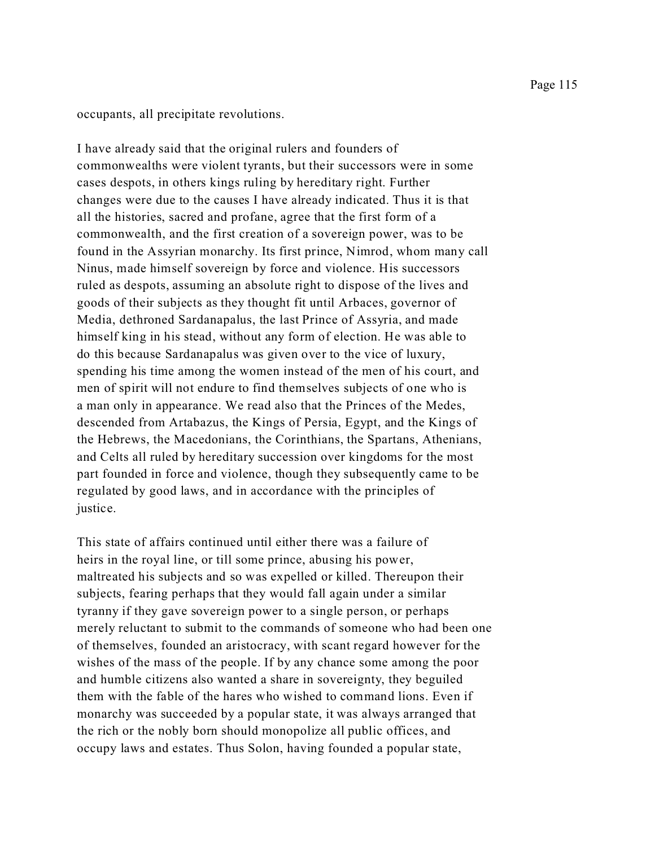occupants, all precipitate revolutions.

I have already said that the original rulers and founders of commonwealths were violent tyrants, but their successors were in some cases despots, in others kings ruling by hereditary right. Further changes were due to the causes I have already indicated. Thus it is that all the histories, sacred and profane, agree that the first form of a commonwealth, and the first creation of a sovereign power, was to be found in the Assyrian monarchy. Its first prince, Nimrod, whom many call Ninus, made himself sovereign by force and violence. His successors ruled as despots, assuming an absolute right to dispose of the lives and goods of their subjects as they thought fit until Arbaces, governor of Media, dethroned Sardanapalus, the last Prince of Assyria, and made himself king in his stead, without any form of election. He was able to do this because Sardanapalus was given over to the vice of luxury, spending his time among the women instead of the men of his court, and men of spirit will not endure to find themselves subjects of one who is a man only in appearance. We read also that the Princes of the Medes, descended from Artabazus, the Kings of Persia, Egypt, and the Kings of the Hebrews, the Macedonians, the Corinthians, the Spartans, Athenians, and Celts all ruled by hereditary succession over kingdoms for the most part founded in force and violence, though they subsequently came to be regulated by good laws, and in accordance with the principles of justice.

This state of affairs continued until either there was a failure of heirs in the royal line, or till some prince, abusing his power, maltreated his subjects and so was expelled or killed. Thereupon their subjects, fearing perhaps that they would fall again under a similar tyranny if they gave sovereign power to a single person, or perhaps merely reluctant to submit to the commands of someone who had been one of themselves, founded an aristocracy, with scant regard however for the wishes of the mass of the people. If by any chance some among the poor and humble citizens also wanted a share in sovereignty, they beguiled them with the fable of the hares who wished to command lions. Even if monarchy was succeeded by a popular state, it was always arranged that the rich or the nobly born should monopolize all public offices, and occupy laws and estates. Thus Solon, having founded a popular state,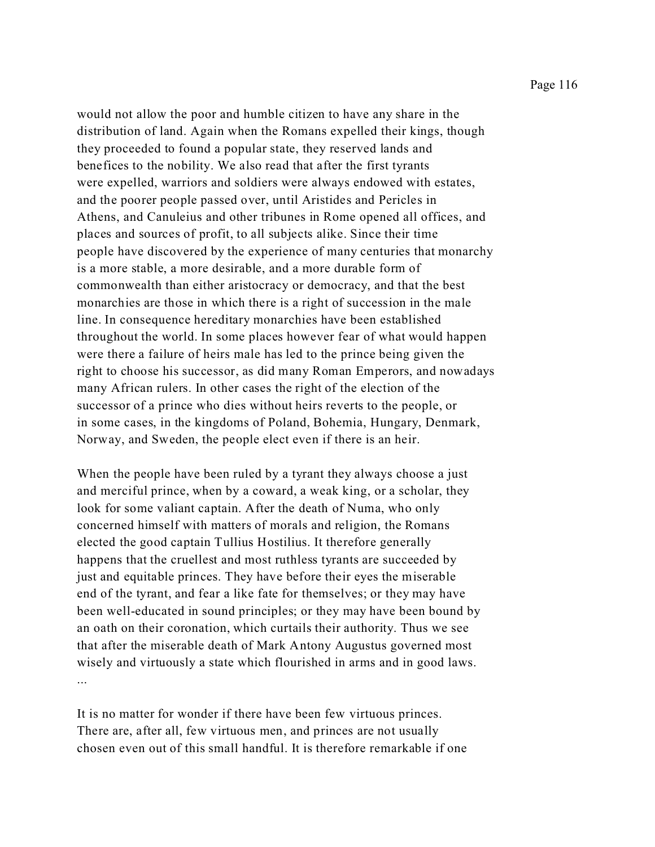Page 116

would not allow the poor and humble citizen to have any share in the distribution of land. Again when the Romans expelled their kings, though they proceeded to found a popular state, they reserved lands and benefices to the nobility. We also read that after the first tyrants were expelled, warriors and soldiers were always endowed with estates, and the poorer people passed over, until Aristides and Pericles in Athens, and Canuleius and other tribunes in Rome opened all offices, and places and sources of profit, to all subjects alike. Since their time people have discovered by the experience of many centuries that monarchy is a more stable, a more desirable, and a more durable form of commonwealth than either aristocracy or democracy, and that the best monarchies are those in which there is a right of succession in the male line. In consequence hereditary monarchies have been established throughout the world. In some places however fear of what would happen were there a failure of heirs male has led to the prince being given the right to choose his successor, as did many Roman Emperors, and nowadays many African rulers. In other cases the right of the election of the successor of a prince who dies without heirs reverts to the people, or in some cases, in the kingdoms of Poland, Bohemia, Hungary, Denmark, Norway, and Sweden, the people elect even if there is an heir.

When the people have been ruled by a tyrant they always choose a just and merciful prince, when by a coward, a weak king, or a scholar, they look for some valiant captain. After the death of Numa, who only concerned himself with matters of morals and religion, the Romans elected the good captain Tullius Hostilius. It therefore generally happens that the cruellest and most ruthless tyrants are succeeded by just and equitable princes. They have before their eyes the miserable end of the tyrant, and fear a like fate for themselves; or they may have been well-educated in sound principles; or they may have been bound by an oath on their coronation, which curtails their authority. Thus we see that after the miserable death of Mark Antony Augustus governed most wisely and virtuously a state which flourished in arms and in good laws. ...

It is no matter for wonder if there have been few virtuous princes. There are, after all, few virtuous men, and princes are not usually chosen even out of this small handful. It is therefore remarkable if one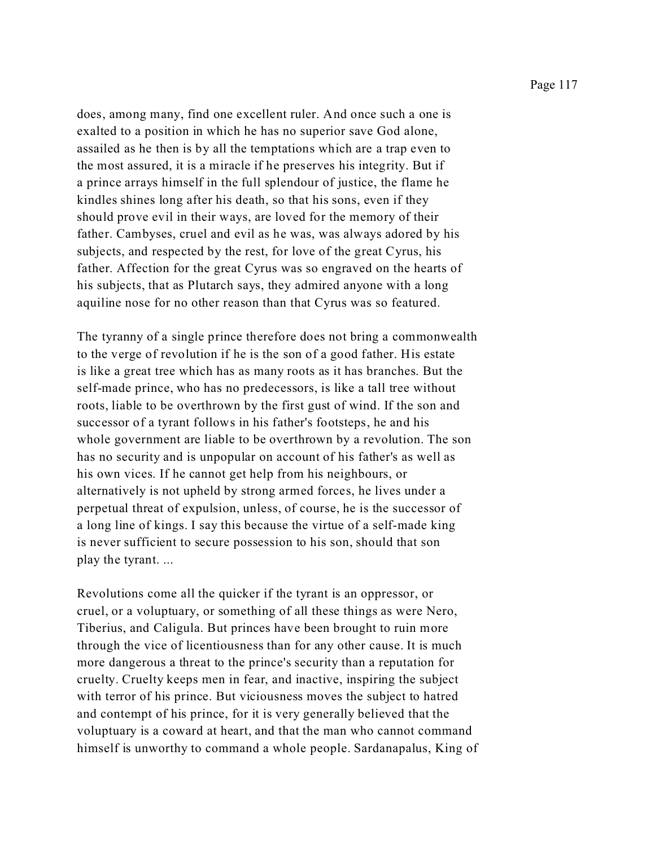does, among many, find one excellent ruler. And once such a one is exalted to a position in which he has no superior save God alone, assailed as he then is by all the temptations which are a trap even to the most assured, it is a miracle if he preserves his integrity. But if a prince arrays himself in the full splendour of justice, the flame he kindles shines long after his death, so that his sons, even if they should prove evil in their ways, are loved for the memory of their father. Cambyses, cruel and evil as he was, was always adored by his subjects, and respected by the rest, for love of the great Cyrus, his father. Affection for the great Cyrus was so engraved on the hearts of his subjects, that as Plutarch says, they admired anyone with a long aquiline nose for no other reason than that Cyrus was so featured.

The tyranny of a single prince therefore does not bring a commonwealth to the verge of revolution if he is the son of a good father. His estate is like a great tree which has as many roots as it has branches. But the self-made prince, who has no predecessors, is like a tall tree without roots, liable to be overthrown by the first gust of wind. If the son and successor of a tyrant follows in his father's footsteps, he and his whole government are liable to be overthrown by a revolution. The son has no security and is unpopular on account of his father's as well as his own vices. If he cannot get help from his neighbours, or alternatively is not upheld by strong armed forces, he lives under a perpetual threat of expulsion, unless, of course, he is the successor of a long line of kings. I say this because the virtue of a self-made king is never sufficient to secure possession to his son, should that son play the tyrant. ...

Revolutions come all the quicker if the tyrant is an oppressor, or cruel, or a voluptuary, or something of all these things as were Nero, Tiberius, and Caligula. But princes have been brought to ruin more through the vice of licentiousness than for any other cause. It is much more dangerous a threat to the prince's security than a reputation for cruelty. Cruelty keeps men in fear, and inactive, inspiring the subject with terror of his prince. But viciousness moves the subject to hatred and contempt of his prince, for it is very generally believed that the voluptuary is a coward at heart, and that the man who cannot command himself is unworthy to command a whole people. Sardanapalus, King of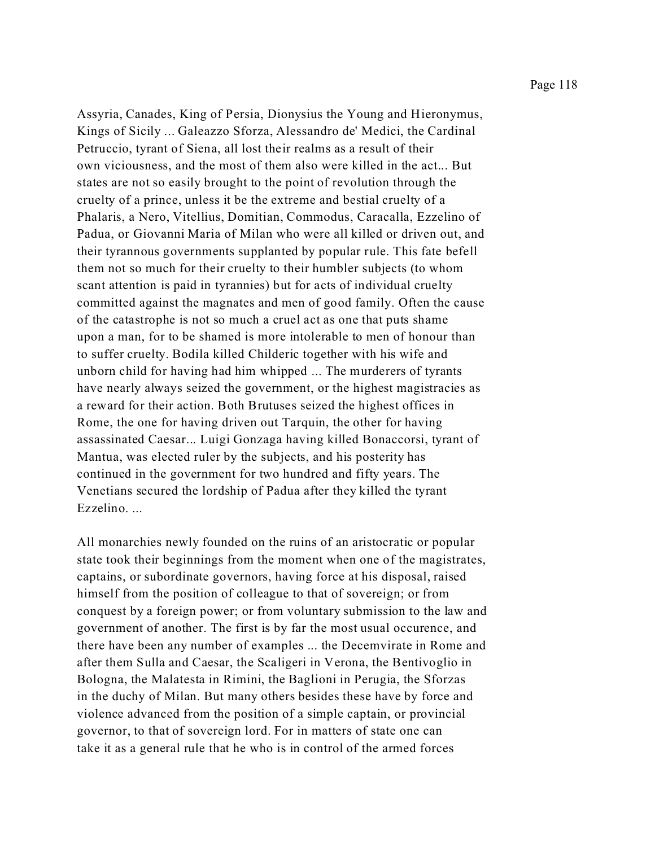Assyria, Canades, King of Persia, Dionysius the Young and Hieronymus, Kings of Sicily ... Galeazzo Sforza, Alessandro de' Medici, the Cardinal Petruccio, tyrant of Siena, all lost their realms as a result of their own viciousness, and the most of them also were killed in the act... But states are not so easily brought to the point of revolution through the cruelty of a prince, unless it be the extreme and bestial cruelty of a Phalaris, a Nero, Vitellius, Domitian, Commodus, Caracalla, Ezzelino of Padua, or Giovanni Maria of Milan who were all killed or driven out, and their tyrannous governments supplanted by popular rule. This fate befell them not so much for their cruelty to their humbler subjects (to whom scant attention is paid in tyrannies) but for acts of individual cruelty committed against the magnates and men of good family. Often the cause of the catastrophe is not so much a cruel act as one that puts shame upon a man, for to be shamed is more intolerable to men of honour than to suffer cruelty. Bodila killed Childeric together with his wife and unborn child for having had him whipped ... The murderers of tyrants have nearly always seized the government, or the highest magistracies as a reward for their action. Both Brutuses seized the highest offices in Rome, the one for having driven out Tarquin, the other for having assassinated Caesar... Luigi Gonzaga having killed Bonaccorsi, tyrant of Mantua, was elected ruler by the subjects, and his posterity has continued in the government for two hundred and fifty years. The Venetians secured the lordship of Padua after they killed the tyrant Ezzelino. ...

All monarchies newly founded on the ruins of an aristocratic or popular state took their beginnings from the moment when one of the magistrates, captains, or subordinate governors, having force at his disposal, raised himself from the position of colleague to that of sovereign; or from conquest by a foreign power; or from voluntary submission to the law and government of another. The first is by far the most usual occurence, and there have been any number of examples ... the Decemvirate in Rome and after them Sulla and Caesar, the Scaligeri in Verona, the Bentivoglio in Bologna, the Malatesta in Rimini, the Baglioni in Perugia, the Sforzas in the duchy of Milan. But many others besides these have by force and violence advanced from the position of a simple captain, or provincial governor, to that of sovereign lord. For in matters of state one can take it as a general rule that he who is in control of the armed forces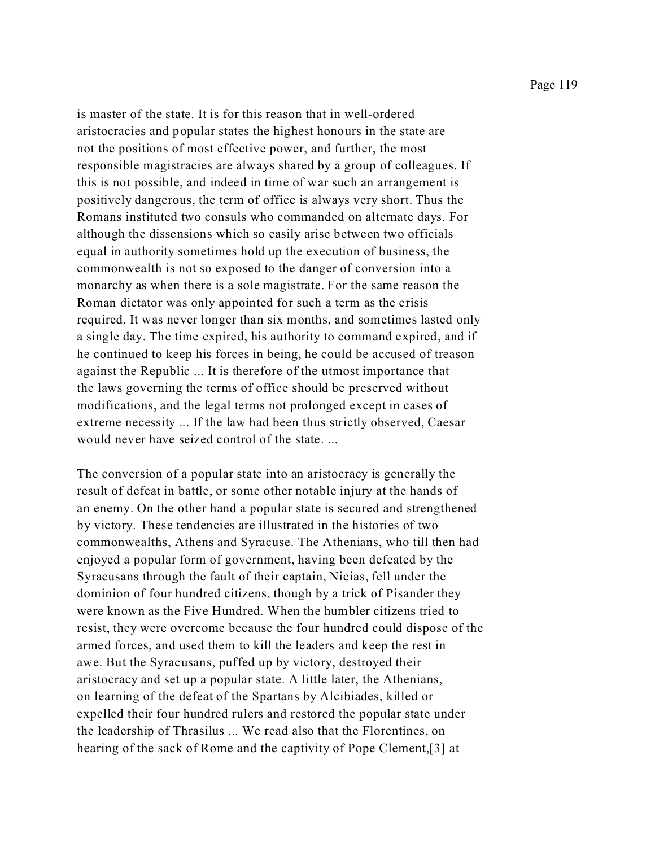is master of the state. It is for this reason that in well-ordered aristocracies and popular states the highest honours in the state are not the positions of most effective power, and further, the most responsible magistracies are always shared by a group of colleagues. If this is not possible, and indeed in time of war such an arrangement is positively dangerous, the term of office is always very short. Thus the Romans instituted two consuls who commanded on alternate days. For although the dissensions which so easily arise between two officials equal in authority sometimes hold up the execution of business, the commonwealth is not so exposed to the danger of conversion into a monarchy as when there is a sole magistrate. For the same reason the Roman dictator was only appointed for such a term as the crisis required. It was never longer than six months, and sometimes lasted only a single day. The time expired, his authority to command expired, and if he continued to keep his forces in being, he could be accused of treason against the Republic ... It is therefore of the utmost importance that the laws governing the terms of office should be preserved without modifications, and the legal terms not prolonged except in cases of extreme necessity ... If the law had been thus strictly observed, Caesar would never have seized control of the state. ...

The conversion of a popular state into an aristocracy is generally the result of defeat in battle, or some other notable injury at the hands of an enemy. On the other hand a popular state is secured and strengthened by victory. These tendencies are illustrated in the histories of two commonwealths, Athens and Syracuse. The Athenians, who till then had enjoyed a popular form of government, having been defeated by the Syracusans through the fault of their captain, Nicias, fell under the dominion of four hundred citizens, though by a trick of Pisander they were known as the Five Hundred. When the humbler citizens tried to resist, they were overcome because the four hundred could dispose of the armed forces, and used them to kill the leaders and keep the rest in awe. But the Syracusans, puffed up by victory, destroyed their aristocracy and set up a popular state. A little later, the Athenians, on learning of the defeat of the Spartans by Alcibiades, killed or expelled their four hundred rulers and restored the popular state under the leadership of Thrasilus ... We read also that the Florentines, on hearing of the sack of Rome and the captivity of Pope Clement,[3] at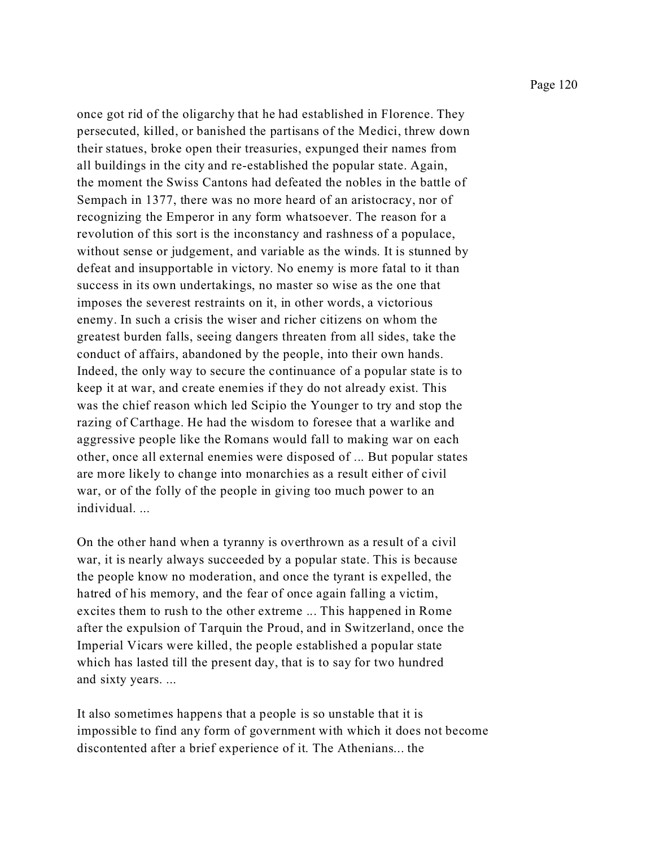once got rid of the oligarchy that he had established in Florence. They persecuted, killed, or banished the partisans of the Medici, threw down their statues, broke open their treasuries, expunged their names from all buildings in the city and re-established the popular state. Again, the moment the Swiss Cantons had defeated the nobles in the battle of Sempach in 1377, there was no more heard of an aristocracy, nor of recognizing the Emperor in any form whatsoever. The reason for a revolution of this sort is the inconstancy and rashness of a populace, without sense or judgement, and variable as the winds. It is stunned by defeat and insupportable in victory. No enemy is more fatal to it than success in its own undertakings, no master so wise as the one that imposes the severest restraints on it, in other words, a victorious enemy. In such a crisis the wiser and richer citizens on whom the greatest burden falls, seeing dangers threaten from all sides, take the conduct of affairs, abandoned by the people, into their own hands. Indeed, the only way to secure the continuance of a popular state is to keep it at war, and create enemies if they do not already exist. This was the chief reason which led Scipio the Younger to try and stop the razing of Carthage. He had the wisdom to foresee that a warlike and aggressive people like the Romans would fall to making war on each other, once all external enemies were disposed of ... But popular states are more likely to change into monarchies as a result either of civil war, or of the folly of the people in giving too much power to an individual. ...

On the other hand when a tyranny is overthrown as a result of a civil war, it is nearly always succeeded by a popular state. This is because the people know no moderation, and once the tyrant is expelled, the hatred of his memory, and the fear of once again falling a victim, excites them to rush to the other extreme ... This happened in Rome after the expulsion of Tarquin the Proud, and in Switzerland, once the Imperial Vicars were killed, the people established a popular state which has lasted till the present day, that is to say for two hundred and sixty years. ...

It also sometimes happens that a people is so unstable that it is impossible to find any form of government with which it does not become discontented after a brief experience of it. The Athenians... the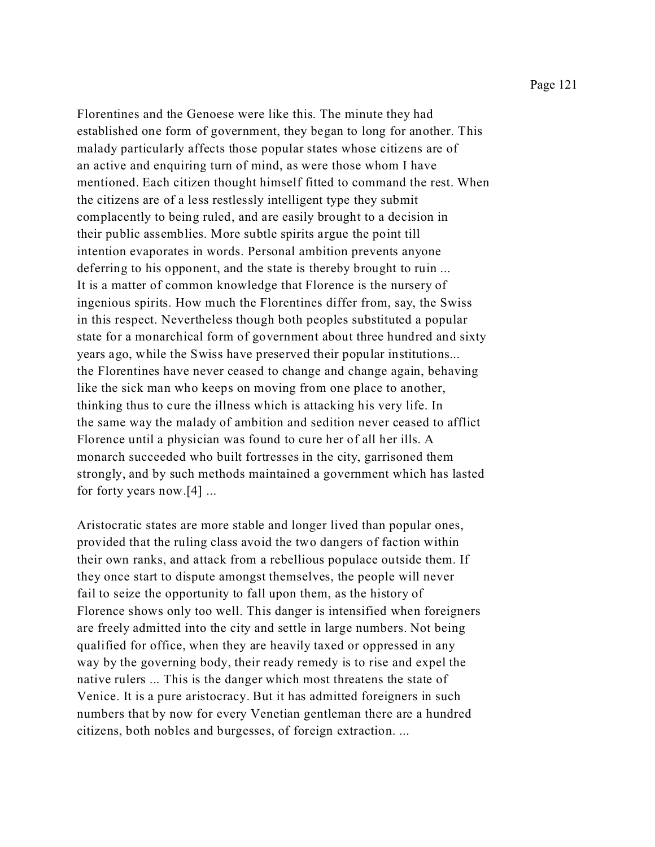Page 121

Florentines and the Genoese were like this. The minute they had established one form of government, they began to long for another. This malady particularly affects those popular states whose citizens are of an active and enquiring turn of mind, as were those whom I have mentioned. Each citizen thought himself fitted to command the rest. When the citizens are of a less restlessly intelligent type they submit complacently to being ruled, and are easily brought to a decision in their public assemblies. More subtle spirits argue the point till intention evaporates in words. Personal ambition prevents anyone deferring to his opponent, and the state is thereby brought to ruin ... It is a matter of common knowledge that Florence is the nursery of ingenious spirits. How much the Florentines differ from, say, the Swiss in this respect. Nevertheless though both peoples substituted a popular state for a monarchical form of government about three hundred and sixty years ago, while the Swiss have preserved their popular institutions... the Florentines have never ceased to change and change again, behaving like the sick man who keeps on moving from one place to another, thinking thus to cure the illness which is attacking his very life. In the same way the malady of ambition and sedition never ceased to afflict Florence until a physician was found to cure her of all her ills. A monarch succeeded who built fortresses in the city, garrisoned them strongly, and by such methods maintained a government which has lasted for forty years now.[4] ...

Aristocratic states are more stable and longer lived than popular ones, provided that the ruling class avoid the two dangers of faction within their own ranks, and attack from a rebellious populace outside them. If they once start to dispute amongst themselves, the people will never fail to seize the opportunity to fall upon them, as the history of Florence shows only too well. This danger is intensified when foreigners are freely admitted into the city and settle in large numbers. Not being qualified for office, when they are heavily taxed or oppressed in any way by the governing body, their ready remedy is to rise and expel the native rulers ... This is the danger which most threatens the state of Venice. It is a pure aristocracy. But it has admitted foreigners in such numbers that by now for every Venetian gentleman there are a hundred citizens, both nobles and burgesses, of foreign extraction. ...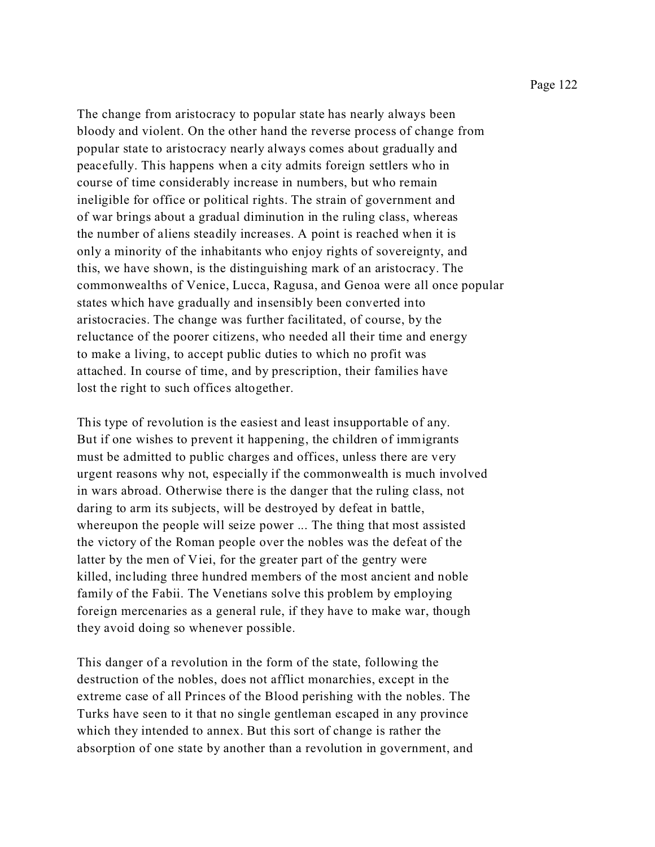Page 122

The change from aristocracy to popular state has nearly always been bloody and violent. On the other hand the reverse process of change from popular state to aristocracy nearly always comes about gradually and peacefully. This happens when a city admits foreign settlers who in course of time considerably increase in numbers, but who remain ineligible for office or political rights. The strain of government and of war brings about a gradual diminution in the ruling class, whereas the number of aliens steadily increases. A point is reached when it is only a minority of the inhabitants who enjoy rights of sovereignty, and this, we have shown, is the distinguishing mark of an aristocracy. The commonwealths of Venice, Lucca, Ragusa, and Genoa were all once popular states which have gradually and insensibly been converted into aristocracies. The change was further facilitated, of course, by the reluctance of the poorer citizens, who needed all their time and energy to make a living, to accept public duties to which no profit was attached. In course of time, and by prescription, their families have lost the right to such offices altogether.

This type of revolution is the easiest and least insupportable of any. But if one wishes to prevent it happening, the children of immigrants must be admitted to public charges and offices, unless there are very urgent reasons why not, especially if the commonwealth is much involved in wars abroad. Otherwise there is the danger that the ruling class, not daring to arm its subjects, will be destroyed by defeat in battle, whereupon the people will seize power ... The thing that most assisted the victory of the Roman people over the nobles was the defeat of the latter by the men of Viei, for the greater part of the gentry were killed, including three hundred members of the most ancient and noble family of the Fabii. The Venetians solve this problem by employing foreign mercenaries as a general rule, if they have to make war, though they avoid doing so whenever possible.

This danger of a revolution in the form of the state, following the destruction of the nobles, does not afflict monarchies, except in the extreme case of all Princes of the Blood perishing with the nobles. The Turks have seen to it that no single gentleman escaped in any province which they intended to annex. But this sort of change is rather the absorption of one state by another than a revolution in government, and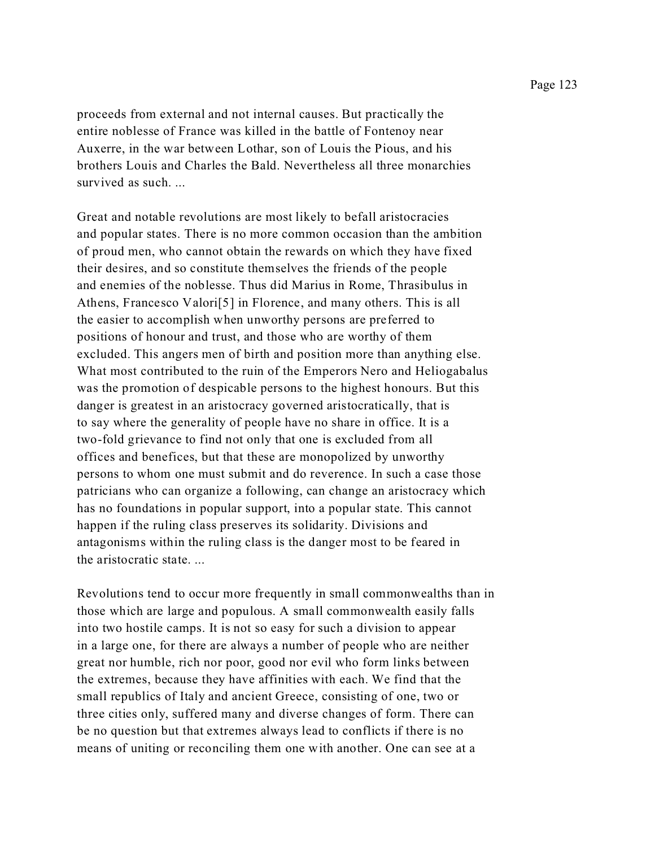proceeds from external and not internal causes. But practically the entire noblesse of France was killed in the battle of Fontenoy near Auxerre, in the war between Lothar, son of Louis the Pious, and his brothers Louis and Charles the Bald. Nevertheless all three monarchies survived as such. ...

Great and notable revolutions are most likely to befall aristocracies and popular states. There is no more common occasion than the ambition of proud men, who cannot obtain the rewards on which they have fixed their desires, and so constitute themselves the friends of the people and enemies of the noblesse. Thus did Marius in Rome, Thrasibulus in Athens, Francesco Valori[5] in Florence, and many others. This is all the easier to accomplish when unworthy persons are preferred to positions of honour and trust, and those who are worthy of them excluded. This angers men of birth and position more than anything else. What most contributed to the ruin of the Emperors Nero and Heliogabalus was the promotion of despicable persons to the highest honours. But this danger is greatest in an aristocracy governed aristocratically, that is to say where the generality of people have no share in office. It is a two-fold grievance to find not only that one is excluded from all offices and benefices, but that these are monopolized by unworthy persons to whom one must submit and do reverence. In such a case those patricians who can organize a following, can change an aristocracy which has no foundations in popular support, into a popular state. This cannot happen if the ruling class preserves its solidarity. Divisions and antagonisms within the ruling class is the danger most to be feared in the aristocratic state. ...

Revolutions tend to occur more frequently in small commonwealths than in those which are large and populous. A small commonwealth easily falls into two hostile camps. It is not so easy for such a division to appear in a large one, for there are always a number of people who are neither great nor humble, rich nor poor, good nor evil who form links between the extremes, because they have affinities with each. We find that the small republics of Italy and ancient Greece, consisting of one, two or three cities only, suffered many and diverse changes of form. There can be no question but that extremes always lead to conflicts if there is no means of uniting or reconciling them one with another. One can see at a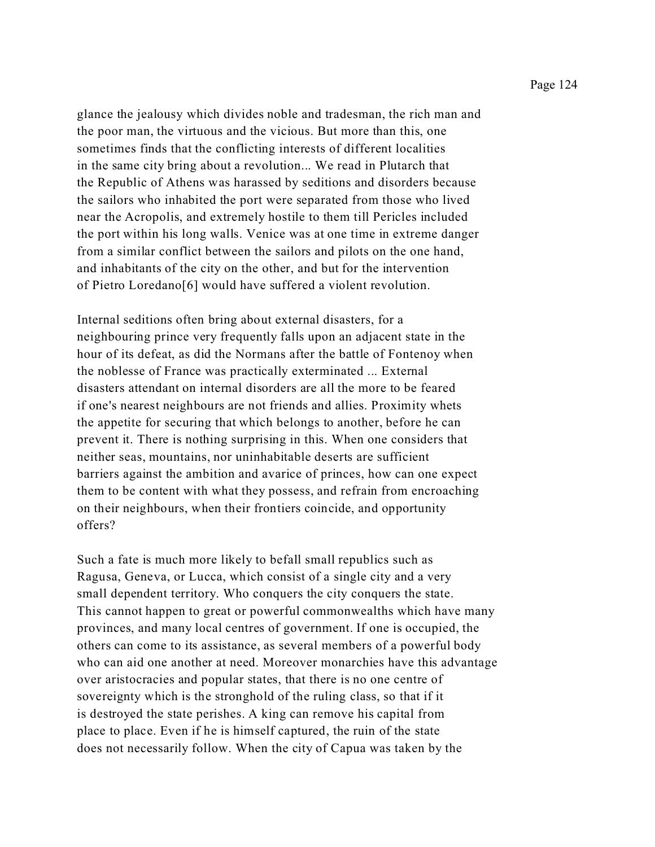glance the jealousy which divides noble and tradesman, the rich man and the poor man, the virtuous and the vicious. But more than this, one sometimes finds that the conflicting interests of different localities in the same city bring about a revolution... We read in Plutarch that the Republic of Athens was harassed by seditions and disorders because the sailors who inhabited the port were separated from those who lived near the Acropolis, and extremely hostile to them till Pericles included the port within his long walls. Venice was at one time in extreme danger from a similar conflict between the sailors and pilots on the one hand, and inhabitants of the city on the other, and but for the intervention of Pietro Loredano[6] would have suffered a violent revolution.

Internal seditions often bring about external disasters, for a neighbouring prince very frequently falls upon an adjacent state in the hour of its defeat, as did the Normans after the battle of Fontenoy when the noblesse of France was practically exterminated ... External disasters attendant on internal disorders are all the more to be feared if one's nearest neighbours are not friends and allies. Proximity whets the appetite for securing that which belongs to another, before he can prevent it. There is nothing surprising in this. When one considers that neither seas, mountains, nor uninhabitable deserts are sufficient barriers against the ambition and avarice of princes, how can one expect them to be content with what they possess, and refrain from encroaching on their neighbours, when their frontiers coincide, and opportunity offers?

Such a fate is much more likely to befall small republics such as Ragusa, Geneva, or Lucca, which consist of a single city and a very small dependent territory. Who conquers the city conquers the state. This cannot happen to great or powerful commonwealths which have many provinces, and many local centres of government. If one is occupied, the others can come to its assistance, as several members of a powerful body who can aid one another at need. Moreover monarchies have this advantage over aristocracies and popular states, that there is no one centre of sovereignty which is the stronghold of the ruling class, so that if it is destroyed the state perishes. A king can remove his capital from place to place. Even if he is himself captured, the ruin of the state does not necessarily follow. When the city of Capua was taken by the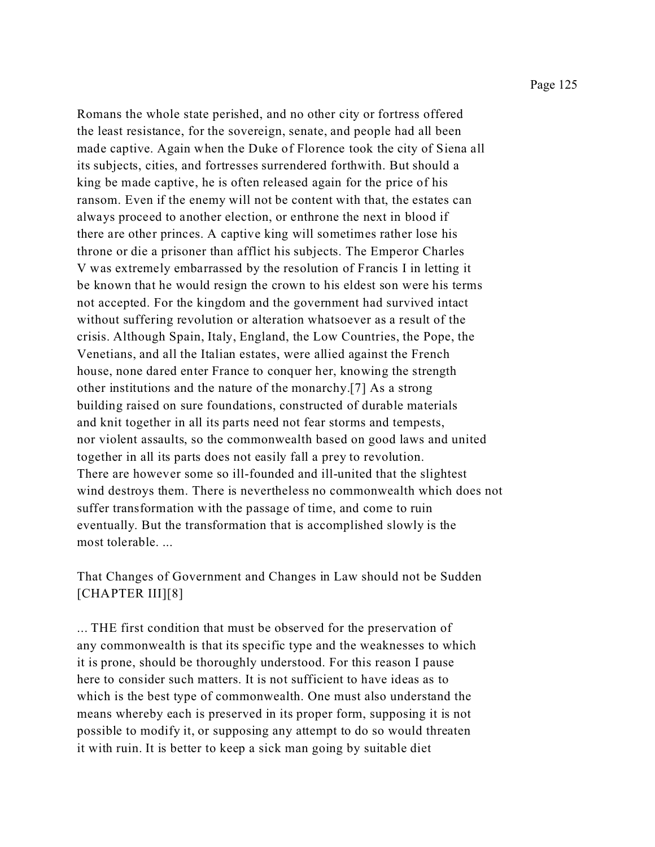Page 125

Romans the whole state perished, and no other city or fortress offered the least resistance, for the sovereign, senate, and people had all been made captive. Again when the Duke of Florence took the city of Siena all its subjects, cities, and fortresses surrendered forthwith. But should a king be made captive, he is often released again for the price of his ransom. Even if the enemy will not be content with that, the estates can always proceed to another election, or enthrone the next in blood if there are other princes. A captive king will sometimes rather lose his throne or die a prisoner than afflict his subjects. The Emperor Charles V was extremely embarrassed by the resolution of Francis I in letting it be known that he would resign the crown to his eldest son were his terms not accepted. For the kingdom and the government had survived intact without suffering revolution or alteration whatsoever as a result of the crisis. Although Spain, Italy, England, the Low Countries, the Pope, the Venetians, and all the Italian estates, were allied against the French house, none dared enter France to conquer her, knowing the strength other institutions and the nature of the monarchy.[7] As a strong building raised on sure foundations, constructed of durable materials and knit together in all its parts need not fear storms and tempests, nor violent assaults, so the commonwealth based on good laws and united together in all its parts does not easily fall a prey to revolution. There are however some so ill-founded and ill-united that the slightest wind destroys them. There is nevertheless no commonwealth which does not suffer transformation with the passage of time, and come to ruin eventually. But the transformation that is accomplished slowly is the most tolerable. ...

That Changes of Government and Changes in Law should not be Sudden [CHAPTER III][8]

... THE first condition that must be observed for the preservation of any commonwealth is that its specific type and the weaknesses to which it is prone, should be thoroughly understood. For this reason I pause here to consider such matters. It is not sufficient to have ideas as to which is the best type of commonwealth. One must also understand the means whereby each is preserved in its proper form, supposing it is not possible to modify it, or supposing any attempt to do so would threaten it with ruin. It is better to keep a sick man going by suitable diet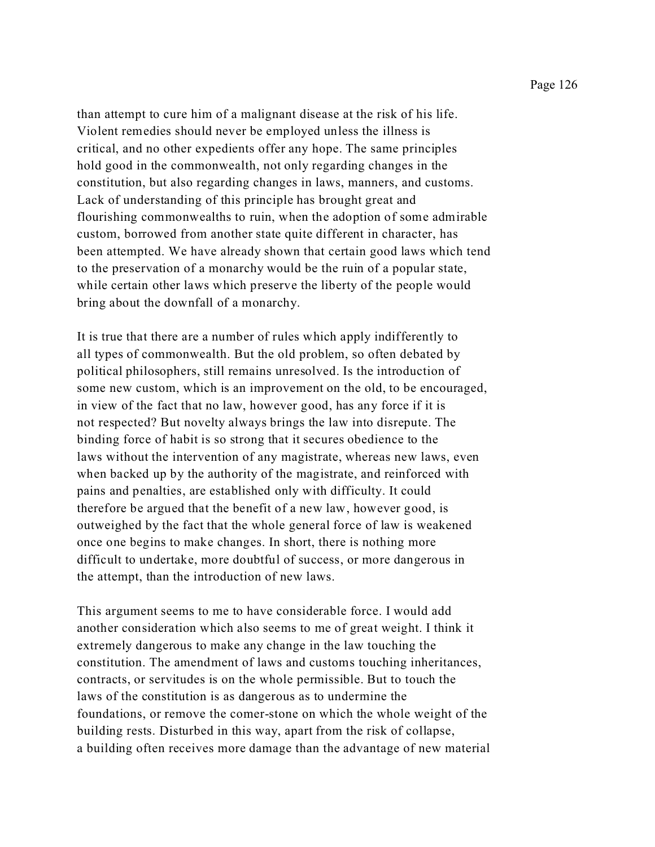than attempt to cure him of a malignant disease at the risk of his life. Violent remedies should never be employed unless the illness is critical, and no other expedients offer any hope. The same principles hold good in the commonwealth, not only regarding changes in the constitution, but also regarding changes in laws, manners, and customs. Lack of understanding of this principle has brought great and flourishing commonwealths to ruin, when the adoption of some admirable custom, borrowed from another state quite different in character, has been attempted. We have already shown that certain good laws which tend to the preservation of a monarchy would be the ruin of a popular state, while certain other laws which preserve the liberty of the people would bring about the downfall of a monarchy.

It is true that there are a number of rules which apply indifferently to all types of commonwealth. But the old problem, so often debated by political philosophers, still remains unresolved. Is the introduction of some new custom, which is an improvement on the old, to be encouraged, in view of the fact that no law, however good, has any force if it is not respected? But novelty always brings the law into disrepute. The binding force of habit is so strong that it secures obedience to the laws without the intervention of any magistrate, whereas new laws, even when backed up by the authority of the magistrate, and reinforced with pains and penalties, are established only with difficulty. It could therefore be argued that the benefit of a new law, however good, is outweighed by the fact that the whole general force of law is weakened once one begins to make changes. In short, there is nothing more difficult to undertake, more doubtful of success, or more dangerous in the attempt, than the introduction of new laws.

This argument seems to me to have considerable force. I would add another consideration which also seems to me of great weight. I think it extremely dangerous to make any change in the law touching the constitution. The amendment of laws and customs touching inheritances, contracts, or servitudes is on the whole permissible. But to touch the laws of the constitution is as dangerous as to undermine the foundations, or remove the comer-stone on which the whole weight of the building rests. Disturbed in this way, apart from the risk of collapse, a building often receives more damage than the advantage of new material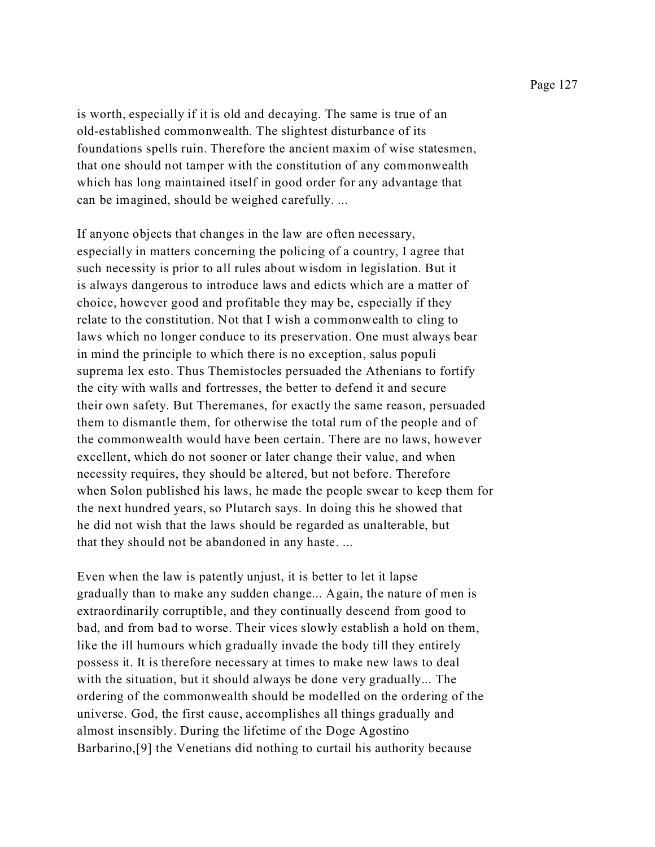is worth, especially if it is old and decaying. The same is true of an old-established commonwealth. The slightest disturbance of its foundations spells ruin. Therefore the ancient maxim of wise statesmen, that one should not tamper with the constitution of any commonwealth which has long maintained itself in good order for any advantage that can be imagined, should be weighed carefully. ...

If anyone objects that changes in the law are often necessary, especially in matters concerning the policing of a country, I agree that such necessity is prior to all rules about wisdom in legislation. But it is always dangerous to introduce laws and edicts which are a matter of choice, however good and profitable they may be, especially if they relate to the constitution. Not that I wish a commonwealth to cling to laws which no longer conduce to its preservation. One must always bear in mind the principle to which there is no exception, salus populi suprema lex esto. Thus Themistocles persuaded the Athenians to fortify the city with walls and fortresses, the better to defend it and secure their own safety. But Theremanes, for exactly the same reason, persuaded them to dismantle them, for otherwise the total rum of the people and of the commonwealth would have been certain. There are no laws, however excellent, which do not sooner or later change their value, and when necessity requires, they should be altered, but not before. Therefore when Solon published his laws, he made the people swear to keep them for the next hundred years, so Plutarch says. In doing this he showed that he did not wish that the laws should be regarded as unalterable, but that they should not be abandoned in any haste. ...

Even when the law is patently unjust, it is better to let it lapse gradually than to make any sudden change... Again, the nature of men is extraordinarily corruptible, and they continually descend from good to bad, and from bad to worse. Their vices slowly establish a hold on them, like the ill humours which gradually invade the body till they entirely possess it. It is therefore necessary at times to make new laws to deal with the situation, but it should always be done very gradually... The ordering of the commonwealth should be modelled on the ordering of the universe. God, the first cause, accomplishes all things gradually and almost insensibly. During the lifetime of the Doge Agostino Barbarino,[9] the Venetians did nothing to curtail his authority because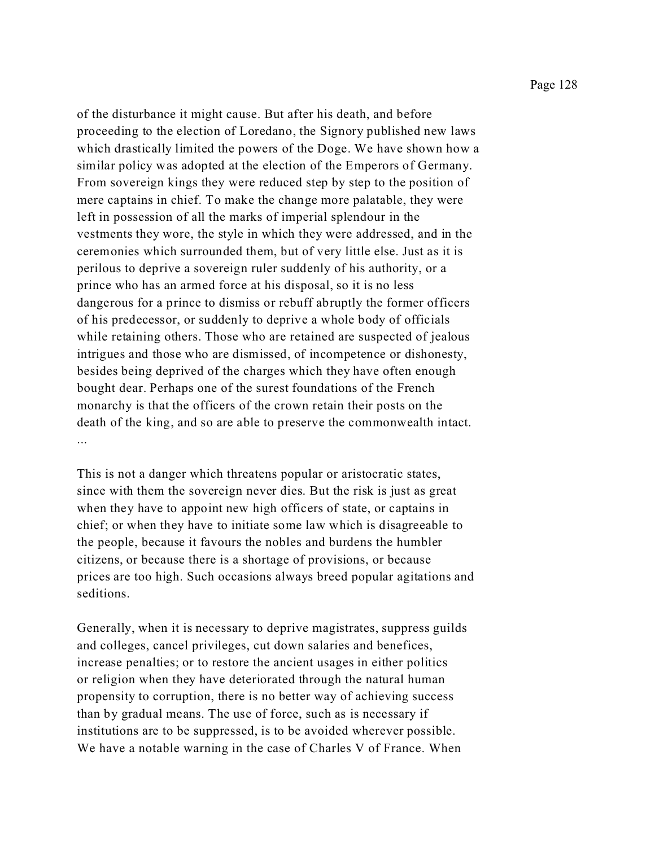of the disturbance it might cause. But after his death, and before proceeding to the election of Loredano, the Signory published new laws which drastically limited the powers of the Doge. We have shown how a similar policy was adopted at the election of the Emperors of Germany. From sovereign kings they were reduced step by step to the position of mere captains in chief. To make the change more palatable, they were left in possession of all the marks of imperial splendour in the vestments they wore, the style in which they were addressed, and in the ceremonies which surrounded them, but of very little else. Just as it is perilous to deprive a sovereign ruler suddenly of his authority, or a prince who has an armed force at his disposal, so it is no less dangerous for a prince to dismiss or rebuff abruptly the former officers of his predecessor, or suddenly to deprive a whole body of officials while retaining others. Those who are retained are suspected of jealous intrigues and those who are dismissed, of incompetence or dishonesty, besides being deprived of the charges which they have often enough bought dear. Perhaps one of the surest foundations of the French monarchy is that the officers of the crown retain their posts on the death of the king, and so are able to preserve the commonwealth intact. ...

This is not a danger which threatens popular or aristocratic states, since with them the sovereign never dies. But the risk is just as great when they have to appoint new high officers of state, or captains in chief; or when they have to initiate some law which is disagreeable to the people, because it favours the nobles and burdens the humbler citizens, or because there is a shortage of provisions, or because prices are too high. Such occasions always breed popular agitations and seditions.

Generally, when it is necessary to deprive magistrates, suppress guilds and colleges, cancel privileges, cut down salaries and benefices, increase penalties; or to restore the ancient usages in either politics or religion when they have deteriorated through the natural human propensity to corruption, there is no better way of achieving success than by gradual means. The use of force, such as is necessary if institutions are to be suppressed, is to be avoided wherever possible. We have a notable warning in the case of Charles V of France. When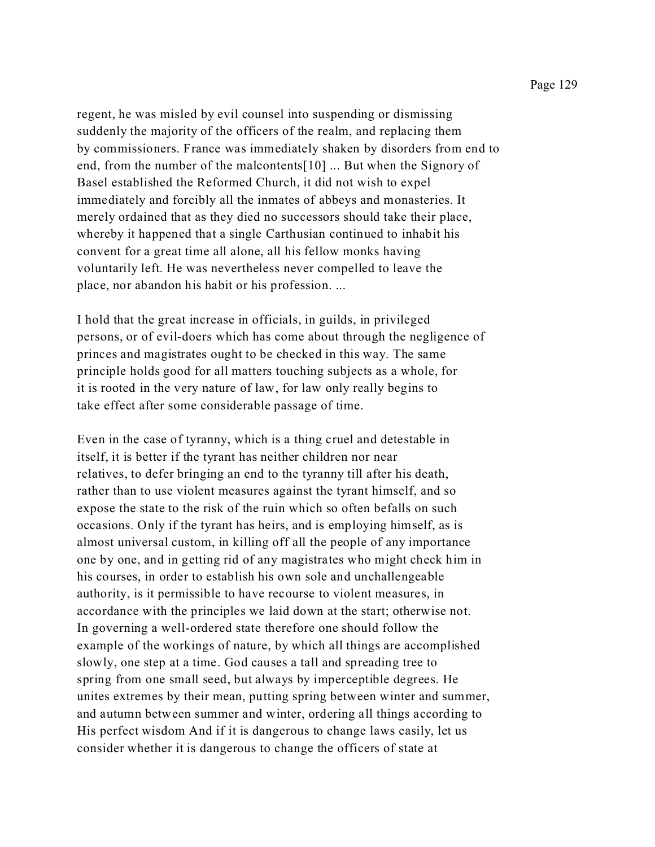regent, he was misled by evil counsel into suspending or dismissing suddenly the majority of the officers of the realm, and replacing them by commissioners. France was immediately shaken by disorders from end to end, from the number of the malcontents[10] ... But when the Signory of Basel established the Reformed Church, it did not wish to expel immediately and forcibly all the inmates of abbeys and monasteries. It merely ordained that as they died no successors should take their place, whereby it happened that a single Carthusian continued to inhabit his convent for a great time all alone, all his fellow monks having voluntarily left. He was nevertheless never compelled to leave the place, nor abandon his habit or his profession. ...

I hold that the great increase in officials, in guilds, in privileged persons, or of evil-doers which has come about through the negligence of princes and magistrates ought to be checked in this way. The same principle holds good for all matters touching subjects as a whole, for it is rooted in the very nature of law, for law only really begins to take effect after some considerable passage of time.

Even in the case of tyranny, which is a thing cruel and detestable in itself, it is better if the tyrant has neither children nor near relatives, to defer bringing an end to the tyranny till after his death, rather than to use violent measures against the tyrant himself, and so expose the state to the risk of the ruin which so often befalls on such occasions. Only if the tyrant has heirs, and is employing himself, as is almost universal custom, in killing off all the people of any importance one by one, and in getting rid of any magistrates who might check him in his courses, in order to establish his own sole and unchallengeable authority, is it permissible to have recourse to violent measures, in accordance with the principles we laid down at the start; otherwise not. In governing a well-ordered state therefore one should follow the example of the workings of nature, by which all things are accomplished slowly, one step at a time. God causes a tall and spreading tree to spring from one small seed, but always by imperceptible degrees. He unites extremes by their mean, putting spring between winter and summer, and autumn between summer and winter, ordering all things according to His perfect wisdom And if it is dangerous to change laws easily, let us consider whether it is dangerous to change the officers of state at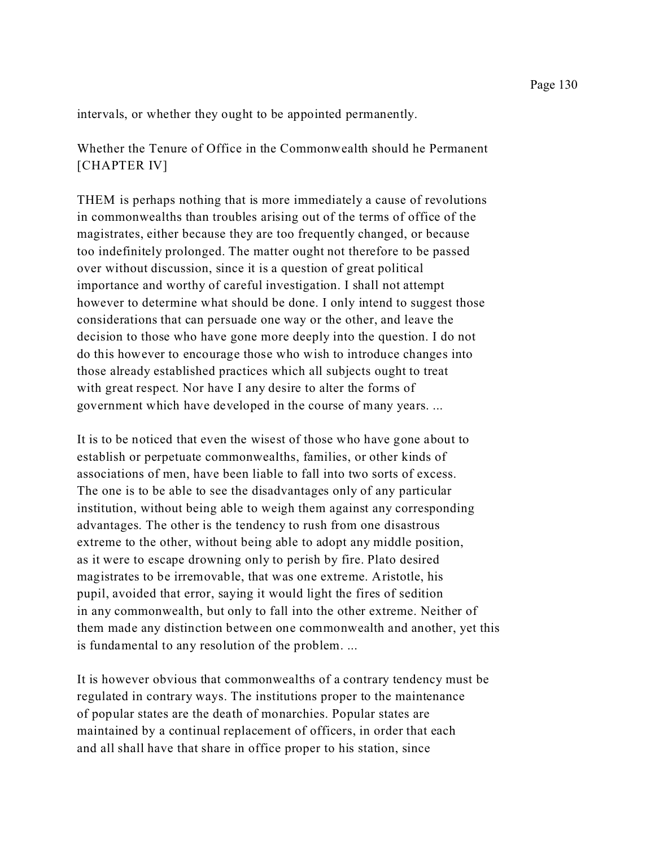intervals, or whether they ought to be appointed permanently.

Whether the Tenure of Office in the Commonwealth should he Permanent [CHAPTER IV]

THEM is perhaps nothing that is more immediately a cause of revolutions in commonwealths than troubles arising out of the terms of office of the magistrates, either because they are too frequently changed, or because too indefinitely prolonged. The matter ought not therefore to be passed over without discussion, since it is a question of great political importance and worthy of careful investigation. I shall not attempt however to determine what should be done. I only intend to suggest those considerations that can persuade one way or the other, and leave the decision to those who have gone more deeply into the question. I do not do this however to encourage those who wish to introduce changes into those already established practices which all subjects ought to treat with great respect. Nor have I any desire to alter the forms of government which have developed in the course of many years. ...

It is to be noticed that even the wisest of those who have gone about to establish or perpetuate commonwealths, families, or other kinds of associations of men, have been liable to fall into two sorts of excess. The one is to be able to see the disadvantages only of any particular institution, without being able to weigh them against any corresponding advantages. The other is the tendency to rush from one disastrous extreme to the other, without being able to adopt any middle position, as it were to escape drowning only to perish by fire. Plato desired magistrates to be irremovable, that was one extreme. Aristotle, his pupil, avoided that error, saying it would light the fires of sedition in any commonwealth, but only to fall into the other extreme. Neither of them made any distinction between one commonwealth and another, yet this is fundamental to any resolution of the problem. ...

It is however obvious that commonwealths of a contrary tendency must be regulated in contrary ways. The institutions proper to the maintenance of popular states are the death of monarchies. Popular states are maintained by a continual replacement of officers, in order that each and all shall have that share in office proper to his station, since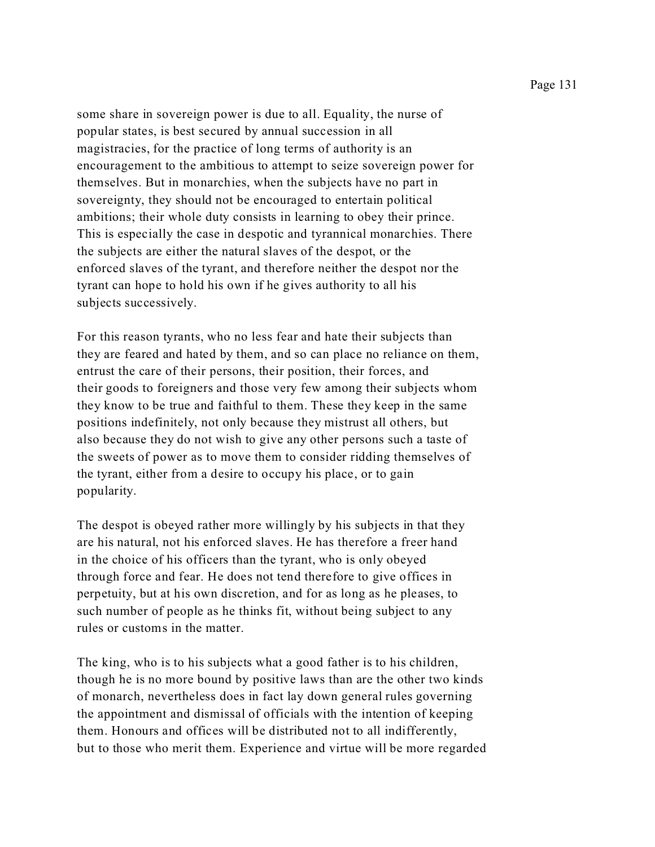Page 131

some share in sovereign power is due to all. Equality, the nurse of popular states, is best secured by annual succession in all magistracies, for the practice of long terms of authority is an encouragement to the ambitious to attempt to seize sovereign power for themselves. But in monarchies, when the subjects have no part in sovereignty, they should not be encouraged to entertain political ambitions; their whole duty consists in learning to obey their prince. This is especially the case in despotic and tyrannical monarchies. There the subjects are either the natural slaves of the despot, or the enforced slaves of the tyrant, and therefore neither the despot nor the tyrant can hope to hold his own if he gives authority to all his subjects successively.

For this reason tyrants, who no less fear and hate their subjects than they are feared and hated by them, and so can place no reliance on them, entrust the care of their persons, their position, their forces, and their goods to foreigners and those very few among their subjects whom they know to be true and faithful to them. These they keep in the same positions indefinitely, not only because they mistrust all others, but also because they do not wish to give any other persons such a taste of the sweets of power as to move them to consider ridding themselves of the tyrant, either from a desire to occupy his place, or to gain popularity.

The despot is obeyed rather more willingly by his subjects in that they are his natural, not his enforced slaves. He has therefore a freer hand in the choice of his officers than the tyrant, who is only obeyed through force and fear. He does not tend therefore to give offices in perpetuity, but at his own discretion, and for as long as he pleases, to such number of people as he thinks fit, without being subject to any rules or customs in the matter.

The king, who is to his subjects what a good father is to his children, though he is no more bound by positive laws than are the other two kinds of monarch, nevertheless does in fact lay down general rules governing the appointment and dismissal of officials with the intention of keeping them. Honours and offices will be distributed not to all indifferently, but to those who merit them. Experience and virtue will be more regarded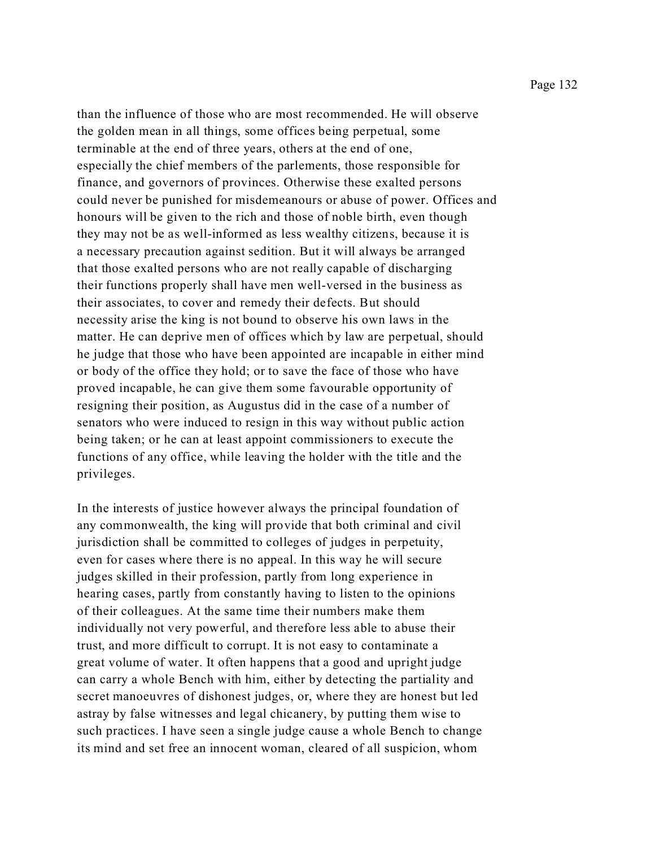than the influence of those who are most recommended. He will observe the golden mean in all things, some offices being perpetual, some terminable at the end of three years, others at the end of one, especially the chief members of the parlements, those responsible for finance, and governors of provinces. Otherwise these exalted persons could never be punished for misdemeanours or abuse of power. Offices and honours will be given to the rich and those of noble birth, even though they may not be as well-informed as less wealthy citizens, because it is a necessary precaution against sedition. But it will always be arranged that those exalted persons who are not really capable of discharging their functions properly shall have men well-versed in the business as their associates, to cover and remedy their defects. But should necessity arise the king is not bound to observe his own laws in the matter. He can deprive men of offices which by law are perpetual, should he judge that those who have been appointed are incapable in either mind or body of the office they hold; or to save the face of those who have proved incapable, he can give them some favourable opportunity of resigning their position, as Augustus did in the case of a number of senators who were induced to resign in this way without public action being taken; or he can at least appoint commissioners to execute the functions of any office, while leaving the holder with the title and the privileges.

In the interests of justice however always the principal foundation of any commonwealth, the king will provide that both criminal and civil jurisdiction shall be committed to colleges of judges in perpetuity, even for cases where there is no appeal. In this way he will secure judges skilled in their profession, partly from long experience in hearing cases, partly from constantly having to listen to the opinions of their colleagues. At the same time their numbers make them individually not very powerful, and therefore less able to abuse their trust, and more difficult to corrupt. It is not easy to contaminate a great volume of water. It often happens that a good and upright judge can carry a whole Bench with him, either by detecting the partiality and secret manoeuvres of dishonest judges, or, where they are honest but led astray by false witnesses and legal chicanery, by putting them wise to such practices. I have seen a single judge cause a whole Bench to change its mind and set free an innocent woman, cleared of all suspicion, whom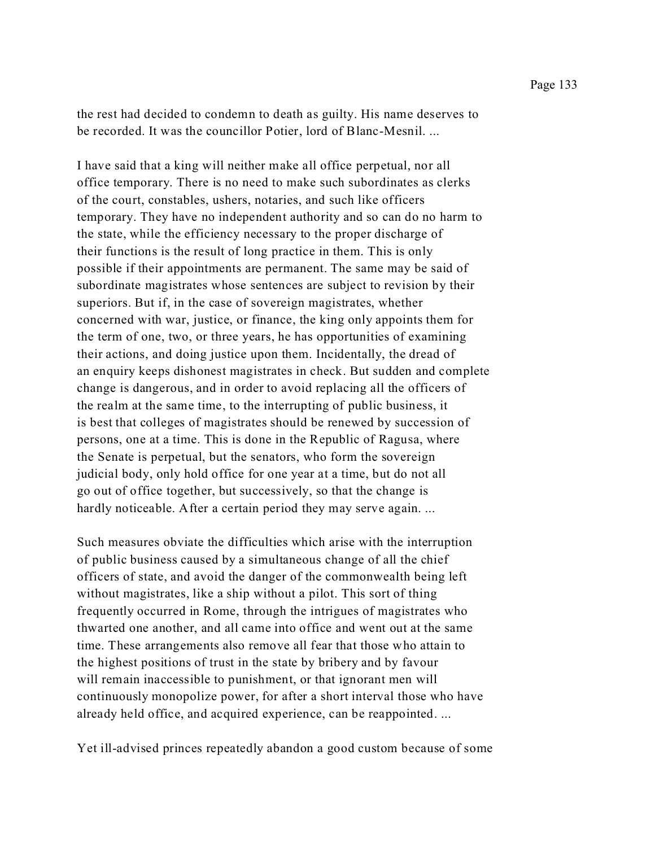the rest had decided to condemn to death as guilty. His name deserves to be recorded. It was the councillor Potier, lord of Blanc-Mesnil. ...

I have said that a king will neither make all office perpetual, nor all office temporary. There is no need to make such subordinates as clerks of the court, constables, ushers, notaries, and such like officers temporary. They have no independent authority and so can do no harm to the state, while the efficiency necessary to the proper discharge of their functions is the result of long practice in them. This is only possible if their appointments are permanent. The same may be said of subordinate magistrates whose sentences are subject to revision by their superiors. But if, in the case of sovereign magistrates, whether concerned with war, justice, or finance, the king only appoints them for the term of one, two, or three years, he has opportunities of examining their actions, and doing justice upon them. Incidentally, the dread of an enquiry keeps dishonest magistrates in check. But sudden and complete change is dangerous, and in order to avoid replacing all the officers of the realm at the same time, to the interrupting of public business, it is best that colleges of magistrates should be renewed by succession of persons, one at a time. This is done in the Republic of Ragusa, where the Senate is perpetual, but the senators, who form the sovereign judicial body, only hold office for one year at a time, but do not all go out of office together, but successively, so that the change is hardly noticeable. After a certain period they may serve again...

Such measures obviate the difficulties which arise with the interruption of public business caused by a simultaneous change of all the chief officers of state, and avoid the danger of the commonwealth being left without magistrates, like a ship without a pilot. This sort of thing frequently occurred in Rome, through the intrigues of magistrates who thwarted one another, and all came into office and went out at the same time. These arrangements also remove all fear that those who attain to the highest positions of trust in the state by bribery and by favour will remain inaccessible to punishment, or that ignorant men will continuously monopolize power, for after a short interval those who have already held office, and acquired experience, can be reappointed. ...

Yet ill-advised princes repeatedly abandon a good custom because of some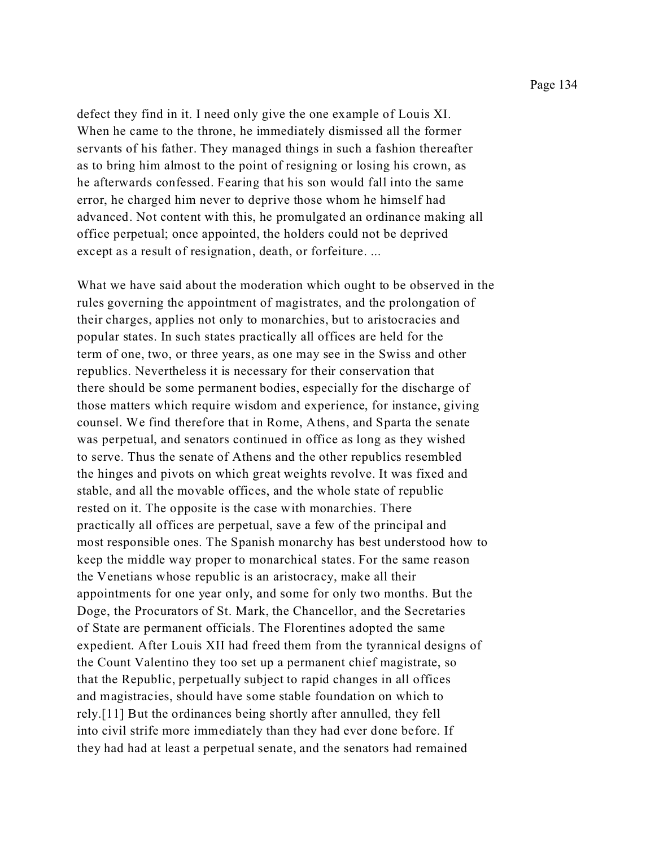defect they find in it. I need only give the one example of Louis XI. When he came to the throne, he immediately dismissed all the former servants of his father. They managed things in such a fashion thereafter as to bring him almost to the point of resigning or losing his crown, as he afterwards confessed. Fearing that his son would fall into the same error, he charged him never to deprive those whom he himself had advanced. Not content with this, he promulgated an ordinance making all office perpetual; once appointed, the holders could not be deprived except as a result of resignation, death, or forfeiture. ...

What we have said about the moderation which ought to be observed in the rules governing the appointment of magistrates, and the prolongation of their charges, applies not only to monarchies, but to aristocracies and popular states. In such states practically all offices are held for the term of one, two, or three years, as one may see in the Swiss and other republics. Nevertheless it is necessary for their conservation that there should be some permanent bodies, especially for the discharge of those matters which require wisdom and experience, for instance, giving counsel. We find therefore that in Rome, Athens, and Sparta the senate was perpetual, and senators continued in office as long as they wished to serve. Thus the senate of Athens and the other republics resembled the hinges and pivots on which great weights revolve. It was fixed and stable, and all the movable offices, and the whole state of republic rested on it. The opposite is the case with monarchies. There practically all offices are perpetual, save a few of the principal and most responsible ones. The Spanish monarchy has best understood how to keep the middle way proper to monarchical states. For the same reason the Venetians whose republic is an aristocracy, make all their appointments for one year only, and some for only two months. But the Doge, the Procurators of St. Mark, the Chancellor, and the Secretaries of State are permanent officials. The Florentines adopted the same expedient. After Louis XII had freed them from the tyrannical designs of the Count Valentino they too set up a permanent chief magistrate, so that the Republic, perpetually subject to rapid changes in all offices and magistracies, should have some stable foundation on which to rely.[11] But the ordinances being shortly after annulled, they fell into civil strife more immediately than they had ever done before. If they had had at least a perpetual senate, and the senators had remained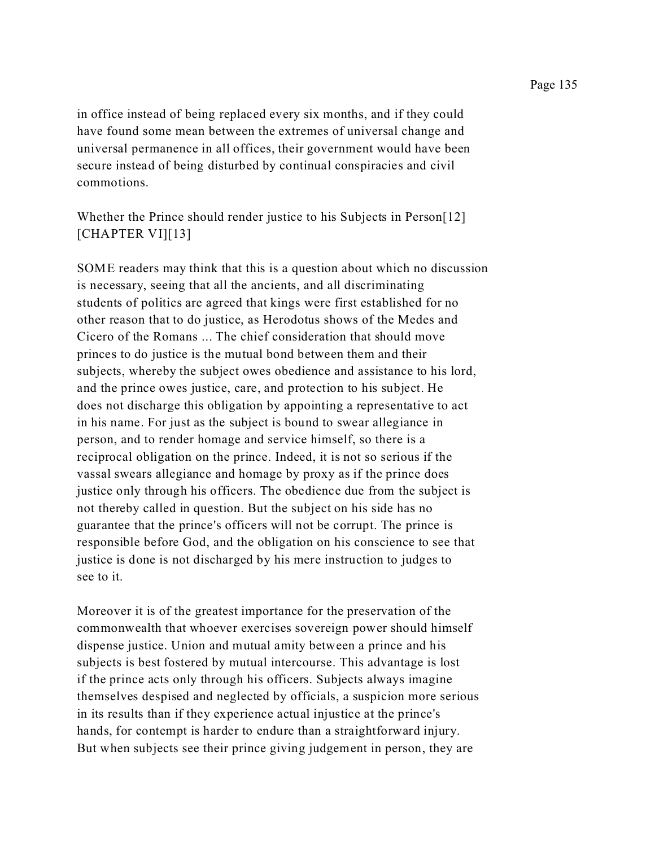in office instead of being replaced every six months, and if they could have found some mean between the extremes of universal change and universal permanence in all offices, their government would have been secure instead of being disturbed by continual conspiracies and civil commotions.

Whether the Prince should render justice to his Subjects in Person[12] [CHAPTER VI][13]

SOME readers may think that this is a question about which no discussion is necessary, seeing that all the ancients, and all discriminating students of politics are agreed that kings were first established for no other reason that to do justice, as Herodotus shows of the Medes and Cicero of the Romans ... The chief consideration that should move princes to do justice is the mutual bond between them and their subjects, whereby the subject owes obedience and assistance to his lord, and the prince owes justice, care, and protection to his subject. He does not discharge this obligation by appointing a representative to act in his name. For just as the subject is bound to swear allegiance in person, and to render homage and service himself, so there is a reciprocal obligation on the prince. Indeed, it is not so serious if the vassal swears allegiance and homage by proxy as if the prince does justice only through his officers. The obedience due from the subject is not thereby called in question. But the subject on his side has no guarantee that the prince's officers will not be corrupt. The prince is responsible before God, and the obligation on his conscience to see that justice is done is not discharged by his mere instruction to judges to see to it.

Moreover it is of the greatest importance for the preservation of the commonwealth that whoever exercises sovereign power should himself dispense justice. Union and mutual amity between a prince and his subjects is best fostered by mutual intercourse. This advantage is lost if the prince acts only through his officers. Subjects always imagine themselves despised and neglected by officials, a suspicion more serious in its results than if they experience actual injustice at the prince's hands, for contempt is harder to endure than a straightforward injury. But when subjects see their prince giving judgement in person, they are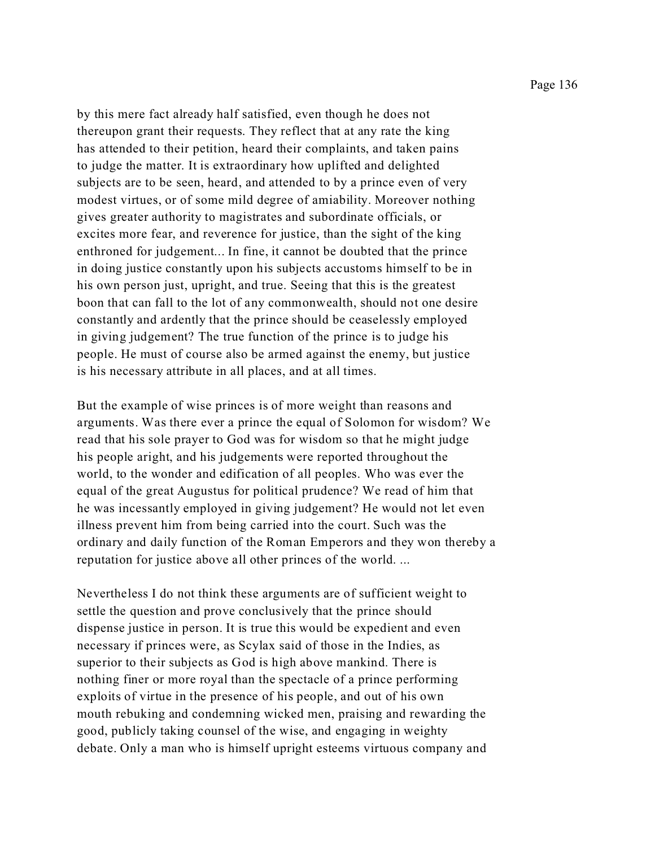by this mere fact already half satisfied, even though he does not thereupon grant their requests. They reflect that at any rate the king has attended to their petition, heard their complaints, and taken pains to judge the matter. It is extraordinary how uplifted and delighted subjects are to be seen, heard, and attended to by a prince even of very modest virtues, or of some mild degree of amiability. Moreover nothing gives greater authority to magistrates and subordinate officials, or excites more fear, and reverence for justice, than the sight of the king enthroned for judgement... In fine, it cannot be doubted that the prince in doing justice constantly upon his subjects accustoms himself to be in his own person just, upright, and true. Seeing that this is the greatest boon that can fall to the lot of any commonwealth, should not one desire constantly and ardently that the prince should be ceaselessly employed in giving judgement? The true function of the prince is to judge his people. He must of course also be armed against the enemy, but justice is his necessary attribute in all places, and at all times.

But the example of wise princes is of more weight than reasons and arguments. Was there ever a prince the equal of Solomon for wisdom? We read that his sole prayer to God was for wisdom so that he might judge his people aright, and his judgements were reported throughout the world, to the wonder and edification of all peoples. Who was ever the equal of the great Augustus for political prudence? We read of him that he was incessantly employed in giving judgement? He would not let even illness prevent him from being carried into the court. Such was the ordinary and daily function of the Roman Emperors and they won thereby a reputation for justice above all other princes of the world. ...

Nevertheless I do not think these arguments are of sufficient weight to settle the question and prove conclusively that the prince should dispense justice in person. It is true this would be expedient and even necessary if princes were, as Scylax said of those in the Indies, as superior to their subjects as God is high above mankind. There is nothing finer or more royal than the spectacle of a prince performing exploits of virtue in the presence of his people, and out of his own mouth rebuking and condemning wicked men, praising and rewarding the good, publicly taking counsel of the wise, and engaging in weighty debate. Only a man who is himself upright esteems virtuous company and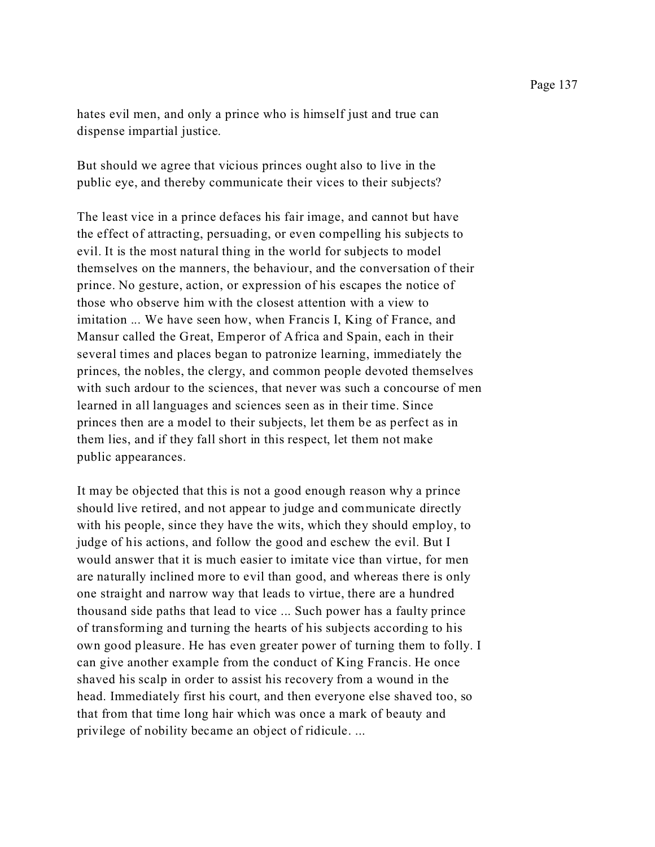hates evil men, and only a prince who is himself just and true can dispense impartial justice.

But should we agree that vicious princes ought also to live in the public eye, and thereby communicate their vices to their subjects?

The least vice in a prince defaces his fair image, and cannot but have the effect of attracting, persuading, or even compelling his subjects to evil. It is the most natural thing in the world for subjects to model themselves on the manners, the behaviour, and the conversation of their prince. No gesture, action, or expression of his escapes the notice of those who observe him with the closest attention with a view to imitation ... We have seen how, when Francis I, King of France, and Mansur called the Great, Emperor of Africa and Spain, each in their several times and places began to patronize learning, immediately the princes, the nobles, the clergy, and common people devoted themselves with such ardour to the sciences, that never was such a concourse of men learned in all languages and sciences seen as in their time. Since princes then are a model to their subjects, let them be as perfect as in them lies, and if they fall short in this respect, let them not make public appearances.

It may be objected that this is not a good enough reason why a prince should live retired, and not appear to judge and communicate directly with his people, since they have the wits, which they should employ, to judge of his actions, and follow the good and eschew the evil. But I would answer that it is much easier to imitate vice than virtue, for men are naturally inclined more to evil than good, and whereas there is only one straight and narrow way that leads to virtue, there are a hundred thousand side paths that lead to vice ... Such power has a faulty prince of transforming and turning the hearts of his subjects according to his own good pleasure. He has even greater power of turning them to folly. I can give another example from the conduct of King Francis. He once shaved his scalp in order to assist his recovery from a wound in the head. Immediately first his court, and then everyone else shaved too, so that from that time long hair which was once a mark of beauty and privilege of nobility became an object of ridicule. ...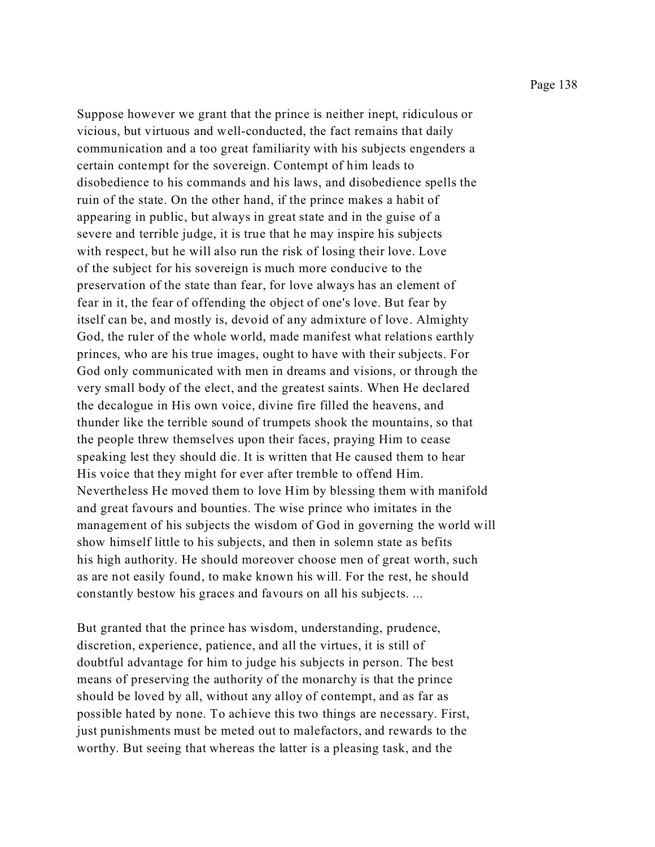Suppose however we grant that the prince is neither inept, ridiculous or vicious, but virtuous and well-conducted, the fact remains that daily communication and a too great familiarity with his subjects engenders a certain contempt for the sovereign. Contempt of him leads to disobedience to his commands and his laws, and disobedience spells the ruin of the state. On the other hand, if the prince makes a habit of appearing in public, but always in great state and in the guise of a severe and terrible judge, it is true that he may inspire his subjects with respect, but he will also run the risk of losing their love. Love of the subject for his sovereign is much more conducive to the preservation of the state than fear, for love always has an element of fear in it, the fear of offending the object of one's love. But fear by itself can be, and mostly is, devoid of any admixture of love. Almighty God, the ruler of the whole world, made manifest what relations earthly princes, who are his true images, ought to have with their subjects. For God only communicated with men in dreams and visions, or through the very small body of the elect, and the greatest saints. When He declared the decalogue in His own voice, divine fire filled the heavens, and thunder like the terrible sound of trumpets shook the mountains, so that the people threw themselves upon their faces, praying Him to cease speaking lest they should die. It is written that He caused them to hear His voice that they might for ever after tremble to offend Him. Nevertheless He moved them to love Him by blessing them with manifold and great favours and bounties. The wise prince who imitates in the management of his subjects the wisdom of God in governing the world will show himself little to his subjects, and then in solemn state as befits his high authority. He should moreover choose men of great worth, such as are not easily found, to make known his will. For the rest, he should constantly bestow his graces and favours on all his subjects. ...

But granted that the prince has wisdom, understanding, prudence, discretion, experience, patience, and all the virtues, it is still of doubtful advantage for him to judge his subjects in person. The best means of preserving the authority of the monarchy is that the prince should be loved by all, without any alloy of contempt, and as far as possible hated by none. To achieve this two things are necessary. First, just punishments must be meted out to malefactors, and rewards to the worthy. But seeing that whereas the latter is a pleasing task, and the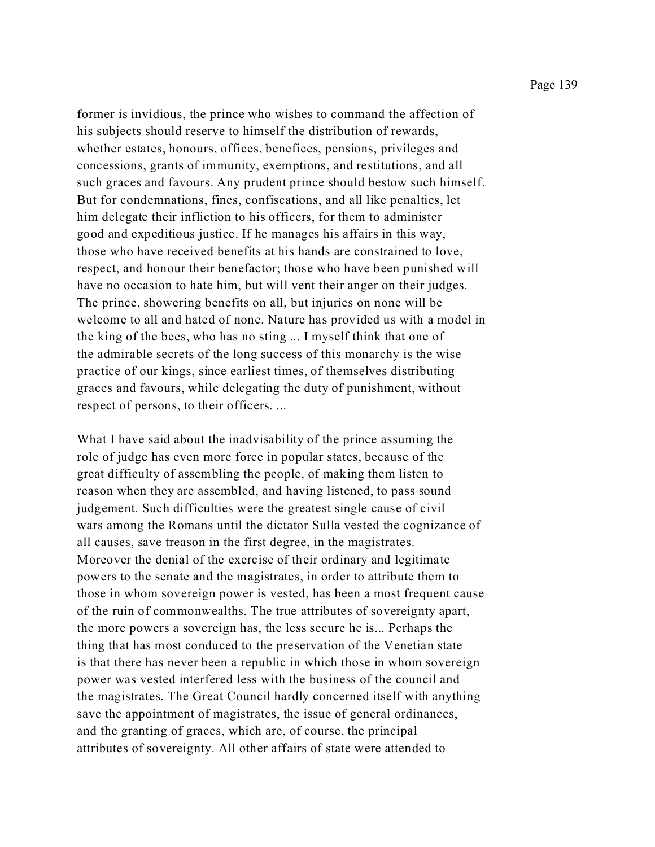former is invidious, the prince who wishes to command the affection of his subjects should reserve to himself the distribution of rewards, whether estates, honours, offices, benefices, pensions, privileges and concessions, grants of immunity, exemptions, and restitutions, and all such graces and favours. Any prudent prince should bestow such himself. But for condemnations, fines, confiscations, and all like penalties, let him delegate their infliction to his officers, for them to administer good and expeditious justice. If he manages his affairs in this way, those who have received benefits at his hands are constrained to love, respect, and honour their benefactor; those who have been punished will have no occasion to hate him, but will vent their anger on their judges. The prince, showering benefits on all, but injuries on none will be welcome to all and hated of none. Nature has provided us with a model in the king of the bees, who has no sting ... I myself think that one of the admirable secrets of the long success of this monarchy is the wise practice of our kings, since earliest times, of themselves distributing graces and favours, while delegating the duty of punishment, without respect of persons, to their officers. ...

What I have said about the inadvisability of the prince assuming the role of judge has even more force in popular states, because of the great difficulty of assembling the people, of making them listen to reason when they are assembled, and having listened, to pass sound judgement. Such difficulties were the greatest single cause of civil wars among the Romans until the dictator Sulla vested the cognizance of all causes, save treason in the first degree, in the magistrates. Moreover the denial of the exercise of their ordinary and legitimate powers to the senate and the magistrates, in order to attribute them to those in whom sovereign power is vested, has been a most frequent cause of the ruin of commonwealths. The true attributes of sovereignty apart, the more powers a sovereign has, the less secure he is... Perhaps the thing that has most conduced to the preservation of the Venetian state is that there has never been a republic in which those in whom sovereign power was vested interfered less with the business of the council and the magistrates. The Great Council hardly concerned itself with anything save the appointment of magistrates, the issue of general ordinances, and the granting of graces, which are, of course, the principal attributes of sovereignty. All other affairs of state were attended to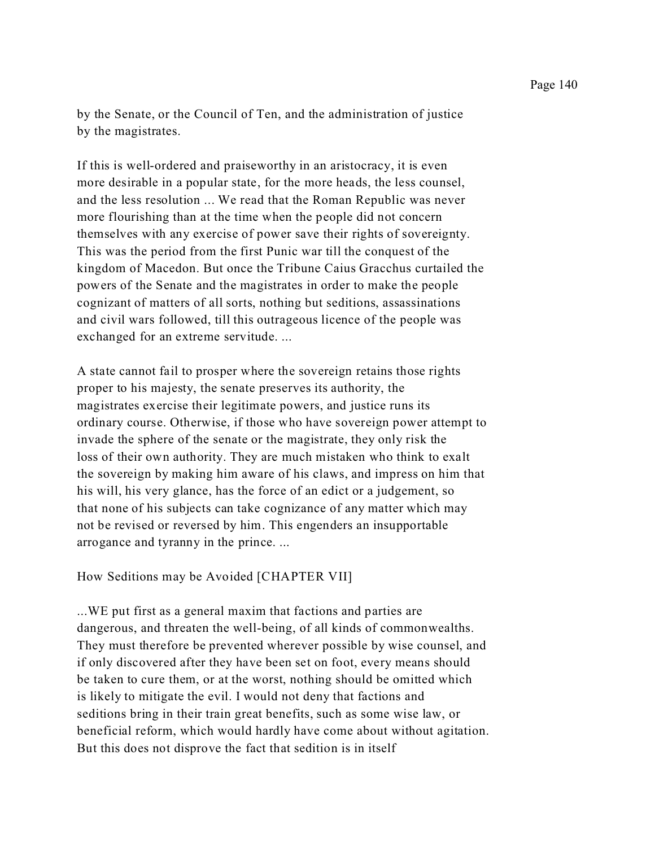by the Senate, or the Council of Ten, and the administration of justice by the magistrates.

If this is well-ordered and praiseworthy in an aristocracy, it is even more desirable in a popular state, for the more heads, the less counsel, and the less resolution ... We read that the Roman Republic was never more flourishing than at the time when the people did not concern themselves with any exercise of power save their rights of sovereignty. This was the period from the first Punic war till the conquest of the kingdom of Macedon. But once the Tribune Caius Gracchus curtailed the powers of the Senate and the magistrates in order to make the people cognizant of matters of all sorts, nothing but seditions, assassinations and civil wars followed, till this outrageous licence of the people was exchanged for an extreme servitude. ...

A state cannot fail to prosper where the sovereign retains those rights proper to his majesty, the senate preserves its authority, the magistrates exercise their legitimate powers, and justice runs its ordinary course. Otherwise, if those who have sovereign power attempt to invade the sphere of the senate or the magistrate, they only risk the loss of their own authority. They are much mistaken who think to exalt the sovereign by making him aware of his claws, and impress on him that his will, his very glance, has the force of an edict or a judgement, so that none of his subjects can take cognizance of any matter which may not be revised or reversed by him. This engenders an insupportable arrogance and tyranny in the prince. ...

## How Seditions may be Avoided [CHAPTER VII]

...WE put first as a general maxim that factions and parties are dangerous, and threaten the well-being, of all kinds of commonwealths. They must therefore be prevented wherever possible by wise counsel, and if only discovered after they have been set on foot, every means should be taken to cure them, or at the worst, nothing should be omitted which is likely to mitigate the evil. I would not deny that factions and seditions bring in their train great benefits, such as some wise law, or beneficial reform, which would hardly have come about without agitation. But this does not disprove the fact that sedition is in itself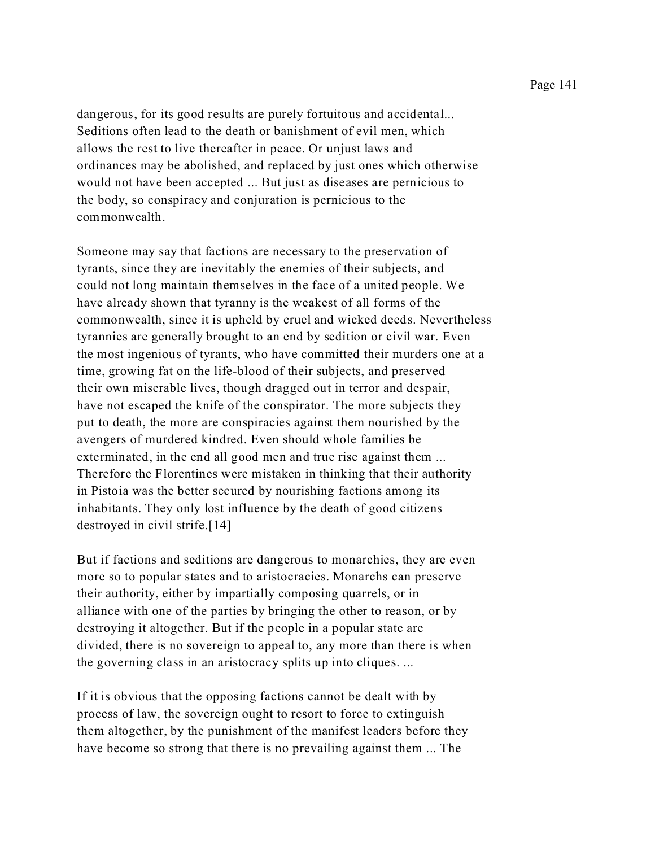Page 141

dangerous, for its good results are purely fortuitous and accidental... Seditions often lead to the death or banishment of evil men, which allows the rest to live thereafter in peace. Or unjust laws and ordinances may be abolished, and replaced by just ones which otherwise would not have been accepted ... But just as diseases are pernicious to the body, so conspiracy and conjuration is pernicious to the commonwealth.

Someone may say that factions are necessary to the preservation of tyrants, since they are inevitably the enemies of their subjects, and could not long maintain themselves in the face of a united people. We have already shown that tyranny is the weakest of all forms of the commonwealth, since it is upheld by cruel and wicked deeds. Nevertheless tyrannies are generally brought to an end by sedition or civil war. Even the most ingenious of tyrants, who have committed their murders one at a time, growing fat on the life-blood of their subjects, and preserved their own miserable lives, though dragged out in terror and despair, have not escaped the knife of the conspirator. The more subjects they put to death, the more are conspiracies against them nourished by the avengers of murdered kindred. Even should whole families be exterminated, in the end all good men and true rise against them ... Therefore the Florentines were mistaken in thinking that their authority in Pistoia was the better secured by nourishing factions among its inhabitants. They only lost influence by the death of good citizens destroyed in civil strife.[14]

But if factions and seditions are dangerous to monarchies, they are even more so to popular states and to aristocracies. Monarchs can preserve their authority, either by impartially composing quarrels, or in alliance with one of the parties by bringing the other to reason, or by destroying it altogether. But if the people in a popular state are divided, there is no sovereign to appeal to, any more than there is when the governing class in an aristocracy splits up into cliques. ...

If it is obvious that the opposing factions cannot be dealt with by process of law, the sovereign ought to resort to force to extinguish them altogether, by the punishment of the manifest leaders before they have become so strong that there is no prevailing against them ... The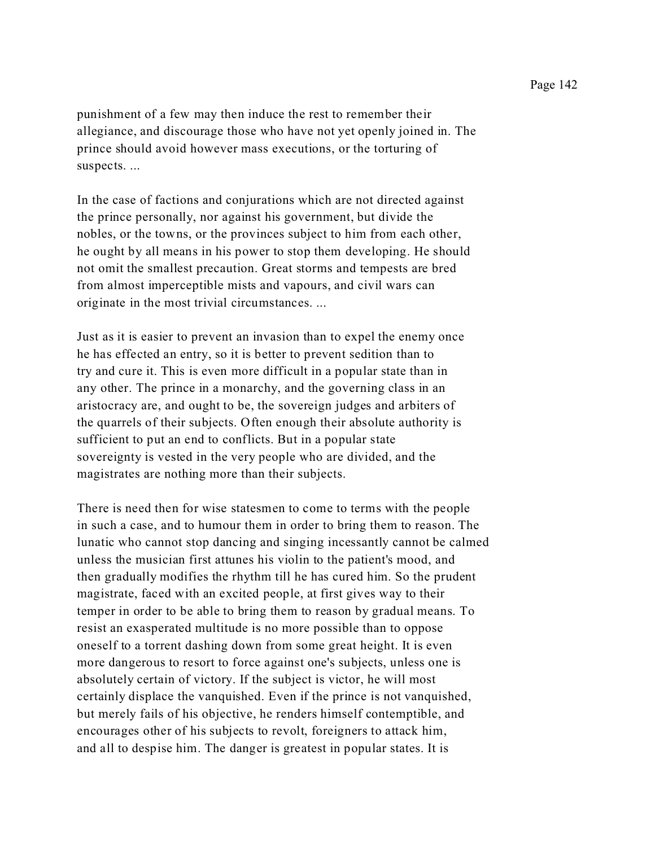punishment of a few may then induce the rest to remember their allegiance, and discourage those who have not yet openly joined in. The prince should avoid however mass executions, or the torturing of suspects. ...

In the case of factions and conjurations which are not directed against the prince personally, nor against his government, but divide the nobles, or the towns, or the provinces subject to him from each other, he ought by all means in his power to stop them developing. He should not omit the smallest precaution. Great storms and tempests are bred from almost imperceptible mists and vapours, and civil wars can originate in the most trivial circumstances. ...

Just as it is easier to prevent an invasion than to expel the enemy once he has effected an entry, so it is better to prevent sedition than to try and cure it. This is even more difficult in a popular state than in any other. The prince in a monarchy, and the governing class in an aristocracy are, and ought to be, the sovereign judges and arbiters of the quarrels of their subjects. Often enough their absolute authority is sufficient to put an end to conflicts. But in a popular state sovereignty is vested in the very people who are divided, and the magistrates are nothing more than their subjects.

There is need then for wise statesmen to come to terms with the people in such a case, and to humour them in order to bring them to reason. The lunatic who cannot stop dancing and singing incessantly cannot be calmed unless the musician first attunes his violin to the patient's mood, and then gradually modifies the rhythm till he has cured him. So the prudent magistrate, faced with an excited people, at first gives way to their temper in order to be able to bring them to reason by gradual means. To resist an exasperated multitude is no more possible than to oppose oneself to a torrent dashing down from some great height. It is even more dangerous to resort to force against one's subjects, unless one is absolutely certain of victory. If the subject is victor, he will most certainly displace the vanquished. Even if the prince is not vanquished, but merely fails of his objective, he renders himself contemptible, and encourages other of his subjects to revolt, foreigners to attack him, and all to despise him. The danger is greatest in popular states. It is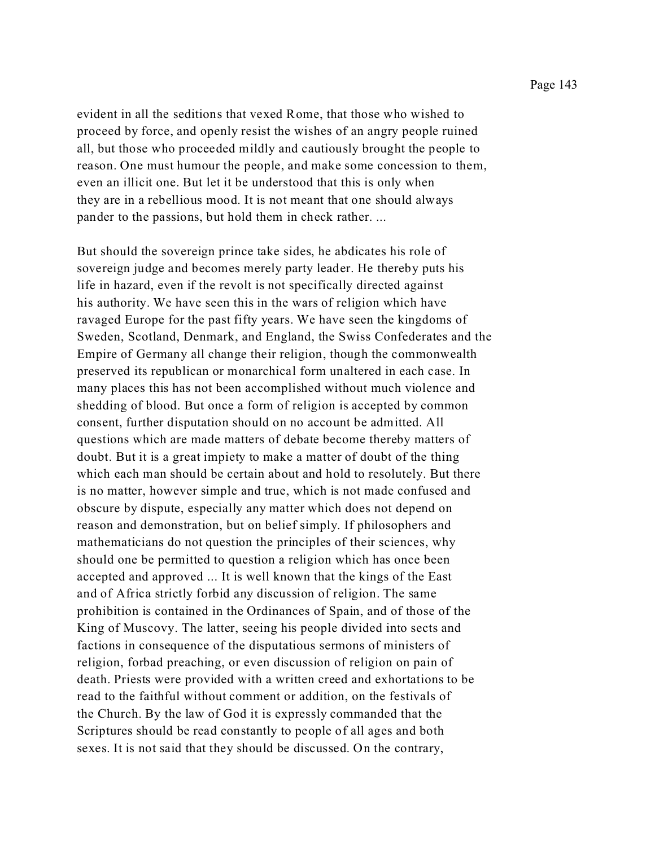Page 143

evident in all the seditions that vexed Rome, that those who wished to proceed by force, and openly resist the wishes of an angry people ruined all, but those who proceeded mildly and cautiously brought the people to reason. One must humour the people, and make some concession to them, even an illicit one. But let it be understood that this is only when they are in a rebellious mood. It is not meant that one should always pander to the passions, but hold them in check rather. ...

But should the sovereign prince take sides, he abdicates his role of sovereign judge and becomes merely party leader. He thereby puts his life in hazard, even if the revolt is not specifically directed against his authority. We have seen this in the wars of religion which have ravaged Europe for the past fifty years. We have seen the kingdoms of Sweden, Scotland, Denmark, and England, the Swiss Confederates and the Empire of Germany all change their religion, though the commonwealth preserved its republican or monarchical form unaltered in each case. In many places this has not been accomplished without much violence and shedding of blood. But once a form of religion is accepted by common consent, further disputation should on no account be admitted. All questions which are made matters of debate become thereby matters of doubt. But it is a great impiety to make a matter of doubt of the thing which each man should be certain about and hold to resolutely. But there is no matter, however simple and true, which is not made confused and obscure by dispute, especially any matter which does not depend on reason and demonstration, but on belief simply. If philosophers and mathematicians do not question the principles of their sciences, why should one be permitted to question a religion which has once been accepted and approved ... It is well known that the kings of the East and of Africa strictly forbid any discussion of religion. The same prohibition is contained in the Ordinances of Spain, and of those of the King of Muscovy. The latter, seeing his people divided into sects and factions in consequence of the disputatious sermons of ministers of religion, forbad preaching, or even discussion of religion on pain of death. Priests were provided with a written creed and exhortations to be read to the faithful without comment or addition, on the festivals of the Church. By the law of God it is expressly commanded that the Scriptures should be read constantly to people of all ages and both sexes. It is not said that they should be discussed. On the contrary,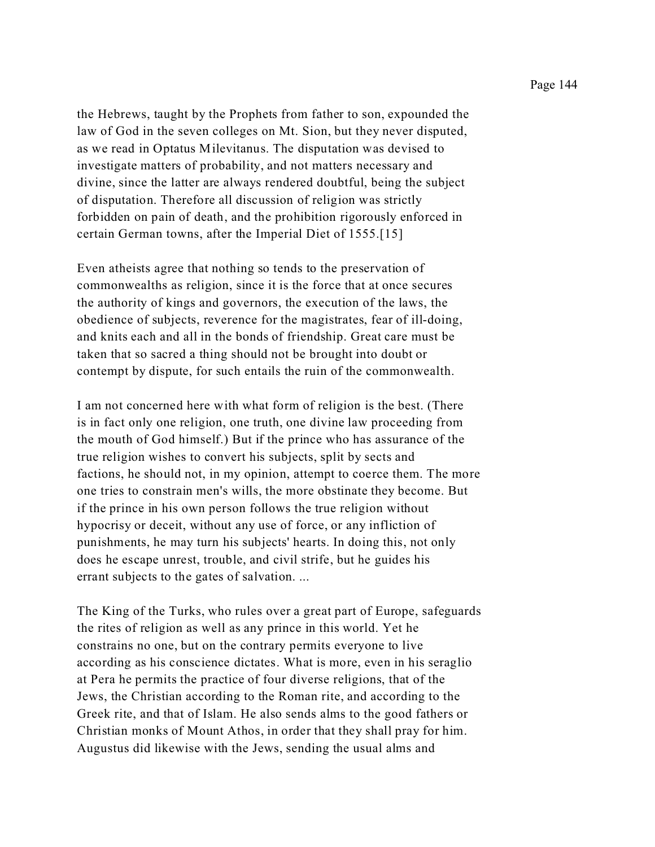the Hebrews, taught by the Prophets from father to son, expounded the law of God in the seven colleges on Mt. Sion, but they never disputed, as we read in Optatus Milevitanus. The disputation was devised to investigate matters of probability, and not matters necessary and divine, since the latter are always rendered doubtful, being the subject of disputation. Therefore all discussion of religion was strictly forbidden on pain of death, and the prohibition rigorously enforced in certain German towns, after the Imperial Diet of 1555.[15]

Even atheists agree that nothing so tends to the preservation of commonwealths as religion, since it is the force that at once secures the authority of kings and governors, the execution of the laws, the obedience of subjects, reverence for the magistrates, fear of ill-doing, and knits each and all in the bonds of friendship. Great care must be taken that so sacred a thing should not be brought into doubt or contempt by dispute, for such entails the ruin of the commonwealth.

I am not concerned here with what form of religion is the best. (There is in fact only one religion, one truth, one divine law proceeding from the mouth of God himself.) But if the prince who has assurance of the true religion wishes to convert his subjects, split by sects and factions, he should not, in my opinion, attempt to coerce them. The more one tries to constrain men's wills, the more obstinate they become. But if the prince in his own person follows the true religion without hypocrisy or deceit, without any use of force, or any infliction of punishments, he may turn his subjects' hearts. In doing this, not only does he escape unrest, trouble, and civil strife, but he guides his errant subjects to the gates of salvation. ...

The King of the Turks, who rules over a great part of Europe, safeguards the rites of religion as well as any prince in this world. Yet he constrains no one, but on the contrary permits everyone to live according as his conscience dictates. What is more, even in his seraglio at Pera he permits the practice of four diverse religions, that of the Jews, the Christian according to the Roman rite, and according to the Greek rite, and that of Islam. He also sends alms to the good fathers or Christian monks of Mount Athos, in order that they shall pray for him. Augustus did likewise with the Jews, sending the usual alms and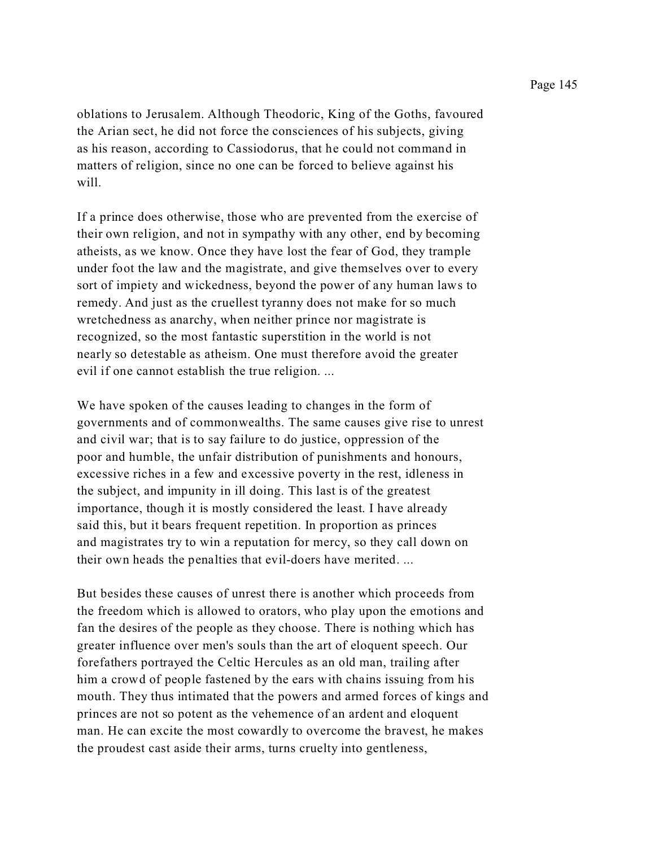oblations to Jerusalem. Although Theodoric, King of the Goths, favoured the Arian sect, he did not force the consciences of his subjects, giving as his reason, according to Cassiodorus, that he could not command in matters of religion, since no one can be forced to believe against his will.

If a prince does otherwise, those who are prevented from the exercise of their own religion, and not in sympathy with any other, end by becoming atheists, as we know. Once they have lost the fear of God, they trample under foot the law and the magistrate, and give themselves over to every sort of impiety and wickedness, beyond the power of any human laws to remedy. And just as the cruellest tyranny does not make for so much wretchedness as anarchy, when neither prince nor magistrate is recognized, so the most fantastic superstition in the world is not nearly so detestable as atheism. One must therefore avoid the greater evil if one cannot establish the true religion. ...

We have spoken of the causes leading to changes in the form of governments and of commonwealths. The same causes give rise to unrest and civil war; that is to say failure to do justice, oppression of the poor and humble, the unfair distribution of punishments and honours, excessive riches in a few and excessive poverty in the rest, idleness in the subject, and impunity in ill doing. This last is of the greatest importance, though it is mostly considered the least. I have already said this, but it bears frequent repetition. In proportion as princes and magistrates try to win a reputation for mercy, so they call down on their own heads the penalties that evil-doers have merited. ...

But besides these causes of unrest there is another which proceeds from the freedom which is allowed to orators, who play upon the emotions and fan the desires of the people as they choose. There is nothing which has greater influence over men's souls than the art of eloquent speech. Our forefathers portrayed the Celtic Hercules as an old man, trailing after him a crowd of people fastened by the ears with chains issuing from his mouth. They thus intimated that the powers and armed forces of kings and princes are not so potent as the vehemence of an ardent and eloquent man. He can excite the most cowardly to overcome the bravest, he makes the proudest cast aside their arms, turns cruelty into gentleness,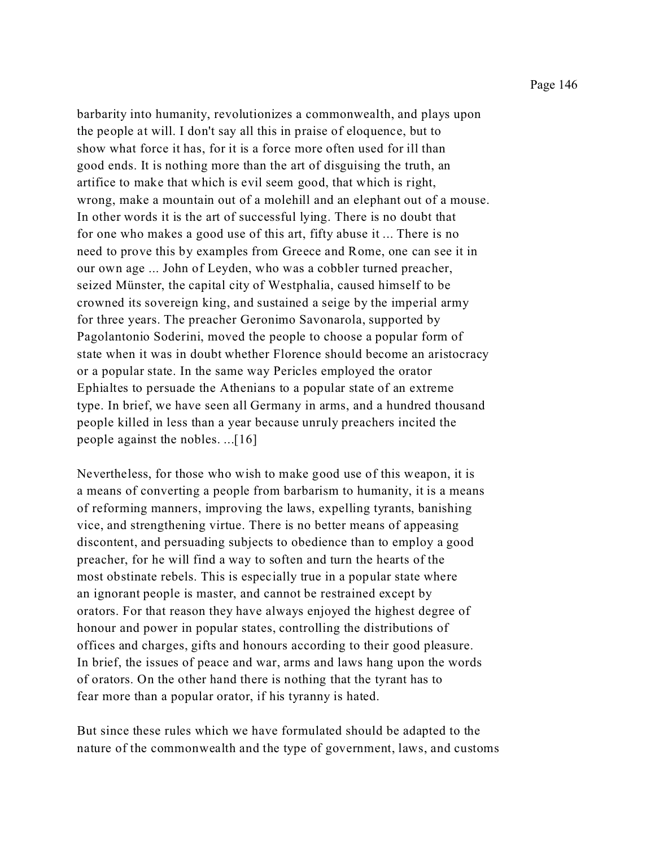barbarity into humanity, revolutionizes a commonwealth, and plays upon the people at will. I don't say all this in praise of eloquence, but to show what force it has, for it is a force more often used for ill than good ends. It is nothing more than the art of disguising the truth, an artifice to make that which is evil seem good, that which is right, wrong, make a mountain out of a molehill and an elephant out of a mouse. In other words it is the art of successful lying. There is no doubt that for one who makes a good use of this art, fifty abuse it ... There is no need to prove this by examples from Greece and Rome, one can see it in our own age ... John of Leyden, who was a cobbler turned preacher, seized Münster, the capital city of Westphalia, caused himself to be crowned its sovereign king, and sustained a seige by the imperial army for three years. The preacher Geronimo Savonarola, supported by Pagolantonio Soderini, moved the people to choose a popular form of state when it was in doubt whether Florence should become an aristocracy or a popular state. In the same way Pericles employed the orator Ephialtes to persuade the Athenians to a popular state of an extreme type. In brief, we have seen all Germany in arms, and a hundred thousand people killed in less than a year because unruly preachers incited the people against the nobles. ...[16]

Nevertheless, for those who wish to make good use of this weapon, it is a means of converting a people from barbarism to humanity, it is a means of reforming manners, improving the laws, expelling tyrants, banishing vice, and strengthening virtue. There is no better means of appeasing discontent, and persuading subjects to obedience than to employ a good preacher, for he will find a way to soften and turn the hearts of the most obstinate rebels. This is especially true in a popular state where an ignorant people is master, and cannot be restrained except by orators. For that reason they have always enjoyed the highest degree of honour and power in popular states, controlling the distributions of offices and charges, gifts and honours according to their good pleasure. In brief, the issues of peace and war, arms and laws hang upon the words of orators. On the other hand there is nothing that the tyrant has to fear more than a popular orator, if his tyranny is hated.

But since these rules which we have formulated should be adapted to the nature of the commonwealth and the type of government, laws, and customs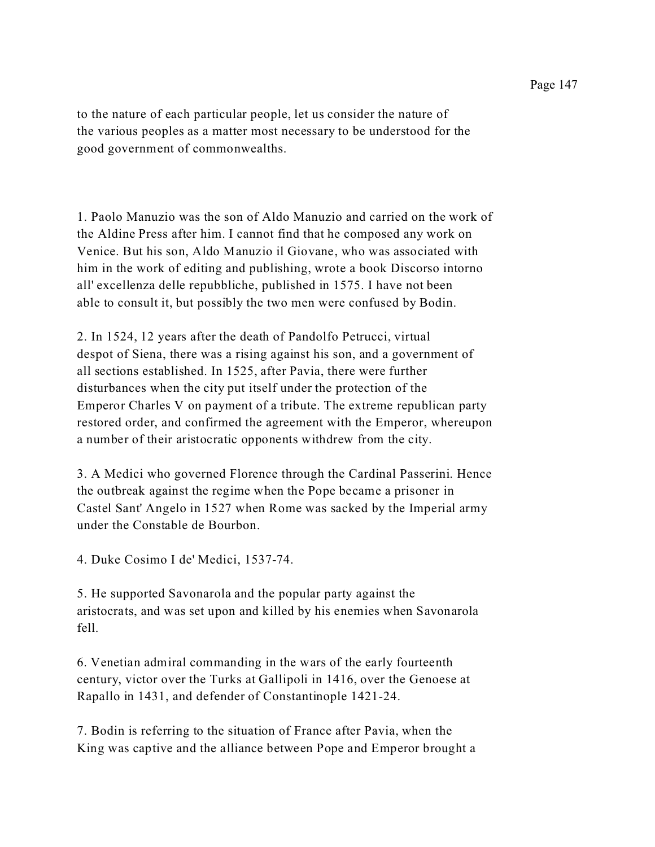to the nature of each particular people, let us consider the nature of the various peoples as a matter most necessary to be understood for the good government of commonwealths.

1. Paolo Manuzio was the son of Aldo Manuzio and carried on the work of the Aldine Press after him. I cannot find that he composed any work on Venice. But his son, Aldo Manuzio il Giovane, who was associated with him in the work of editing and publishing, wrote a book Discorso intorno all' excellenza delle repubbliche, published in 1575. I have not been able to consult it, but possibly the two men were confused by Bodin.

2. In 1524, 12 years after the death of Pandolfo Petrucci, virtual despot of Siena, there was a rising against his son, and a government of all sections established. In 1525, after Pavia, there were further disturbances when the city put itself under the protection of the Emperor Charles V on payment of a tribute. The extreme republican party restored order, and confirmed the agreement with the Emperor, whereupon a number of their aristocratic opponents withdrew from the city.

3. A Medici who governed Florence through the Cardinal Passerini. Hence the outbreak against the regime when the Pope became a prisoner in Castel Sant' Angelo in 1527 when Rome was sacked by the Imperial army under the Constable de Bourbon.

4. Duke Cosimo I de' Medici, 1537-74.

5. He supported Savonarola and the popular party against the aristocrats, and was set upon and killed by his enemies when Savonarola fell.

6. Venetian admiral commanding in the wars of the early fourteenth century, victor over the Turks at Gallipoli in 1416, over the Genoese at Rapallo in 1431, and defender of Constantinople 1421-24.

7. Bodin is referring to the situation of France after Pavia, when the King was captive and the alliance between Pope and Emperor brought a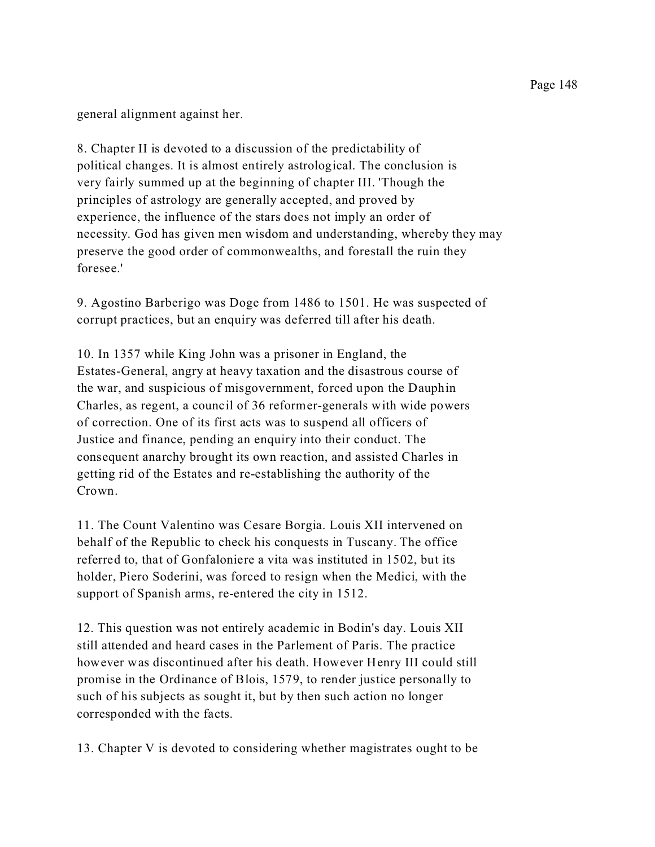general alignment against her.

8. Chapter II is devoted to a discussion of the predictability of political changes. It is almost entirely astrological. The conclusion is very fairly summed up at the beginning of chapter III. 'Though the principles of astrology are generally accepted, and proved by experience, the influence of the stars does not imply an order of necessity. God has given men wisdom and understanding, whereby they may preserve the good order of commonwealths, and forestall the ruin they foresee.'

9. Agostino Barberigo was Doge from 1486 to 1501. He was suspected of corrupt practices, but an enquiry was deferred till after his death.

10. In 1357 while King John was a prisoner in England, the Estates-General, angry at heavy taxation and the disastrous course of the war, and suspicious of misgovernment, forced upon the Dauphin Charles, as regent, a council of 36 reformer-generals with wide powers of correction. One of its first acts was to suspend all officers of Justice and finance, pending an enquiry into their conduct. The consequent anarchy brought its own reaction, and assisted Charles in getting rid of the Estates and re-establishing the authority of the Crown.

11. The Count Valentino was Cesare Borgia. Louis XII intervened on behalf of the Republic to check his conquests in Tuscany. The office referred to, that of Gonfaloniere a vita was instituted in 1502, but its holder, Piero Soderini, was forced to resign when the Medici, with the support of Spanish arms, re-entered the city in 1512.

12. This question was not entirely academic in Bodin's day. Louis XII still attended and heard cases in the Parlement of Paris. The practice however was discontinued after his death. However Henry III could still promise in the Ordinance of Blois, 1579, to render justice personally to such of his subjects as sought it, but by then such action no longer corresponded with the facts.

13. Chapter V is devoted to considering whether magistrates ought to be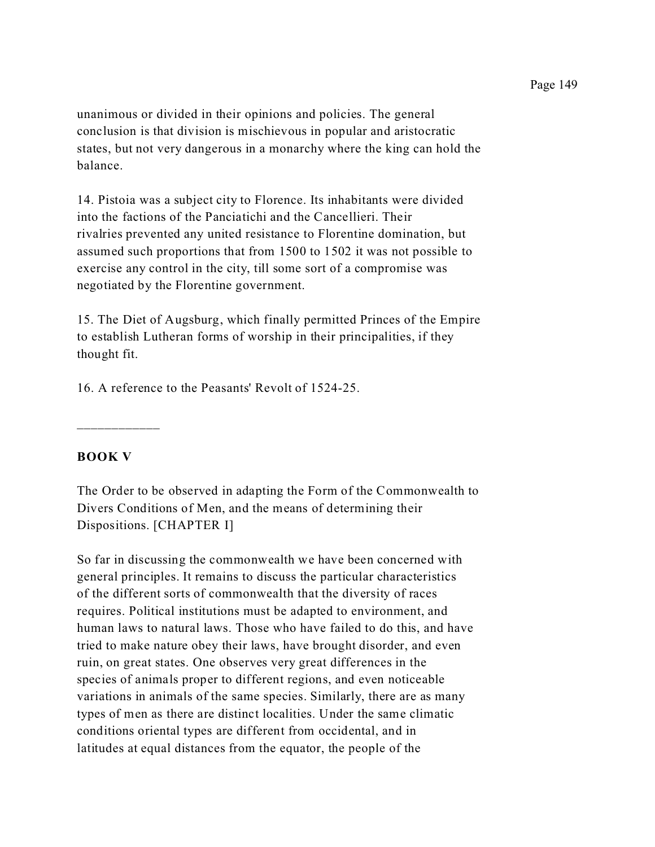unanimous or divided in their opinions and policies. The general conclusion is that division is mischievous in popular and aristocratic states, but not very dangerous in a monarchy where the king can hold the balance.

14. Pistoia was a subject city to Florence. Its inhabitants were divided into the factions of the Panciatichi and the Cancellieri. Their rivalries prevented any united resistance to Florentine domination, but assumed such proportions that from 1500 to 1502 it was not possible to exercise any control in the city, till some sort of a compromise was negotiated by the Florentine government.

15. The Diet of Augsburg, which finally permitted Princes of the Empire to establish Lutheran forms of worship in their principalities, if they thought fit.

16. A reference to the Peasants' Revolt of 1524-25.

## **BOOK V**

\_\_\_\_\_\_\_\_\_\_\_\_

The Order to be observed in adapting the Form of the Commonwealth to Divers Conditions of Men, and the means of determining their Dispositions. [CHAPTER I]

So far in discussing the commonwealth we have been concerned with general principles. It remains to discuss the particular characteristics of the different sorts of commonwealth that the diversity of races requires. Political institutions must be adapted to environment, and human laws to natural laws. Those who have failed to do this, and have tried to make nature obey their laws, have brought disorder, and even ruin, on great states. One observes very great differences in the species of animals proper to different regions, and even noticeable variations in animals of the same species. Similarly, there are as many types of men as there are distinct localities. Under the same climatic conditions oriental types are different from occidental, and in latitudes at equal distances from the equator, the people of the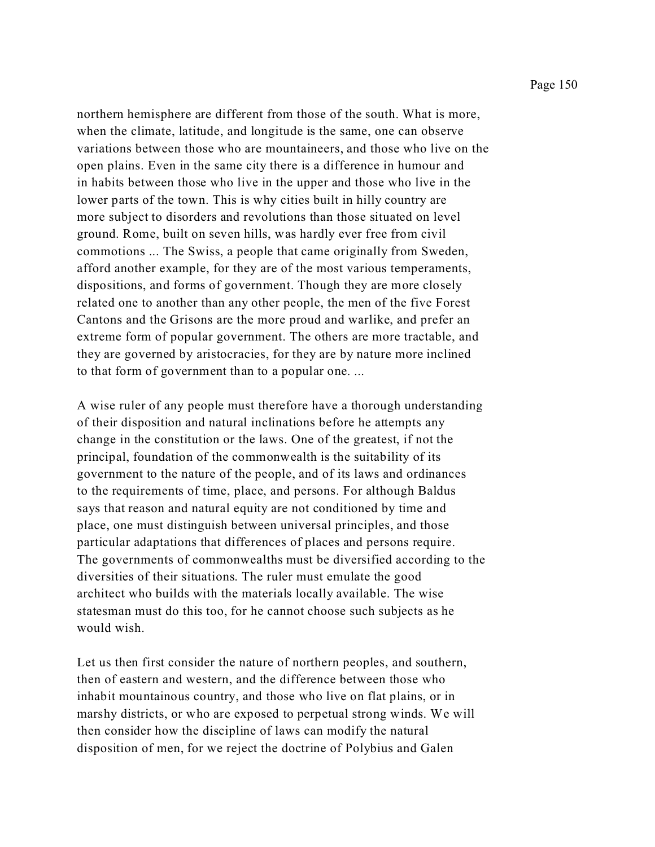northern hemisphere are different from those of the south. What is more, when the climate, latitude, and longitude is the same, one can observe variations between those who are mountaineers, and those who live on the open plains. Even in the same city there is a difference in humour and in habits between those who live in the upper and those who live in the lower parts of the town. This is why cities built in hilly country are more subject to disorders and revolutions than those situated on level ground. Rome, built on seven hills, was hardly ever free from civil commotions ... The Swiss, a people that came originally from Sweden, afford another example, for they are of the most various temperaments, dispositions, and forms of government. Though they are more closely related one to another than any other people, the men of the five Forest Cantons and the Grisons are the more proud and warlike, and prefer an extreme form of popular government. The others are more tractable, and they are governed by aristocracies, for they are by nature more inclined to that form of government than to a popular one. ...

A wise ruler of any people must therefore have a thorough understanding of their disposition and natural inclinations before he attempts any change in the constitution or the laws. One of the greatest, if not the principal, foundation of the commonwealth is the suitability of its government to the nature of the people, and of its laws and ordinances to the requirements of time, place, and persons. For although Baldus says that reason and natural equity are not conditioned by time and place, one must distinguish between universal principles, and those particular adaptations that differences of places and persons require. The governments of commonwealths must be diversified according to the diversities of their situations. The ruler must emulate the good architect who builds with the materials locally available. The wise statesman must do this too, for he cannot choose such subjects as he would wish.

Let us then first consider the nature of northern peoples, and southern, then of eastern and western, and the difference between those who inhabit mountainous country, and those who live on flat plains, or in marshy districts, or who are exposed to perpetual strong winds. We will then consider how the discipline of laws can modify the natural disposition of men, for we reject the doctrine of Polybius and Galen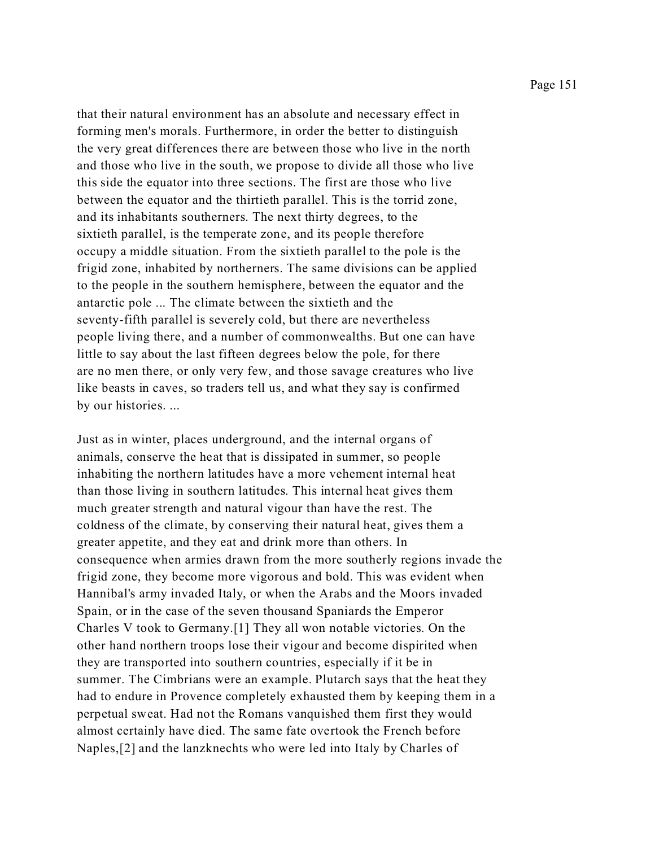that their natural environment has an absolute and necessary effect in forming men's morals. Furthermore, in order the better to distinguish the very great differences there are between those who live in the north and those who live in the south, we propose to divide all those who live this side the equator into three sections. The first are those who live between the equator and the thirtieth parallel. This is the torrid zone, and its inhabitants southerners. The next thirty degrees, to the sixtieth parallel, is the temperate zone, and its people therefore occupy a middle situation. From the sixtieth parallel to the pole is the frigid zone, inhabited by northerners. The same divisions can be applied to the people in the southern hemisphere, between the equator and the antarctic pole ... The climate between the sixtieth and the seventy-fifth parallel is severely cold, but there are nevertheless people living there, and a number of commonwealths. But one can have little to say about the last fifteen degrees below the pole, for there are no men there, or only very few, and those savage creatures who live like beasts in caves, so traders tell us, and what they say is confirmed by our histories. ...

Just as in winter, places underground, and the internal organs of animals, conserve the heat that is dissipated in summer, so people inhabiting the northern latitudes have a more vehement internal heat than those living in southern latitudes. This internal heat gives them much greater strength and natural vigour than have the rest. The coldness of the climate, by conserving their natural heat, gives them a greater appetite, and they eat and drink more than others. In consequence when armies drawn from the more southerly regions invade the frigid zone, they become more vigorous and bold. This was evident when Hannibal's army invaded Italy, or when the Arabs and the Moors invaded Spain, or in the case of the seven thousand Spaniards the Emperor Charles V took to Germany.[1] They all won notable victories. On the other hand northern troops lose their vigour and become dispirited when they are transported into southern countries, especially if it be in summer. The Cimbrians were an example. Plutarch says that the heat they had to endure in Provence completely exhausted them by keeping them in a perpetual sweat. Had not the Romans vanquished them first they would almost certainly have died. The same fate overtook the French before Naples,[2] and the lanzknechts who were led into Italy by Charles of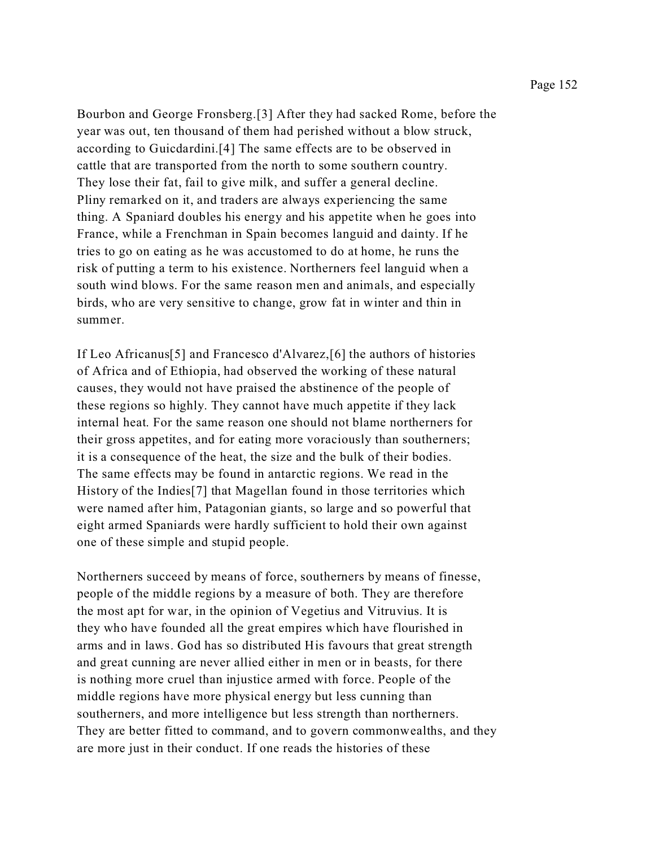Bourbon and George Fronsberg.[3] After they had sacked Rome, before the year was out, ten thousand of them had perished without a blow struck, according to Guicdardini.[4] The same effects are to be observed in cattle that are transported from the north to some southern country. They lose their fat, fail to give milk, and suffer a general decline. Pliny remarked on it, and traders are always experiencing the same thing. A Spaniard doubles his energy and his appetite when he goes into France, while a Frenchman in Spain becomes languid and dainty. If he tries to go on eating as he was accustomed to do at home, he runs the risk of putting a term to his existence. Northerners feel languid when a south wind blows. For the same reason men and animals, and especially birds, who are very sensitive to change, grow fat in winter and thin in summer.

If Leo Africanus[5] and Francesco d'Alvarez,[6] the authors of histories of Africa and of Ethiopia, had observed the working of these natural causes, they would not have praised the abstinence of the people of these regions so highly. They cannot have much appetite if they lack internal heat. For the same reason one should not blame northerners for their gross appetites, and for eating more voraciously than southerners; it is a consequence of the heat, the size and the bulk of their bodies. The same effects may be found in antarctic regions. We read in the History of the Indies[7] that Magellan found in those territories which were named after him, Patagonian giants, so large and so powerful that eight armed Spaniards were hardly sufficient to hold their own against one of these simple and stupid people.

Northerners succeed by means of force, southerners by means of finesse, people of the middle regions by a measure of both. They are therefore the most apt for war, in the opinion of Vegetius and Vitruvius. It is they who have founded all the great empires which have flourished in arms and in laws. God has so distributed His favours that great strength and great cunning are never allied either in men or in beasts, for there is nothing more cruel than injustice armed with force. People of the middle regions have more physical energy but less cunning than southerners, and more intelligence but less strength than northerners. They are better fitted to command, and to govern commonwealths, and they are more just in their conduct. If one reads the histories of these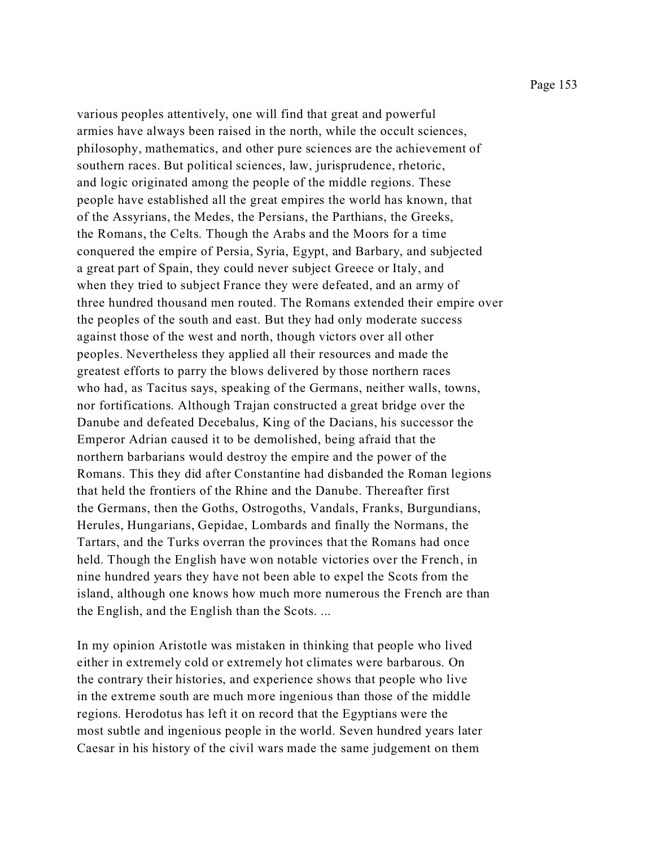Page 153

various peoples attentively, one will find that great and powerful armies have always been raised in the north, while the occult sciences, philosophy, mathematics, and other pure sciences are the achievement of southern races. But political sciences, law, jurisprudence, rhetoric, and logic originated among the people of the middle regions. These people have established all the great empires the world has known, that of the Assyrians, the Medes, the Persians, the Parthians, the Greeks, the Romans, the Celts. Though the Arabs and the Moors for a time conquered the empire of Persia, Syria, Egypt, and Barbary, and subjected a great part of Spain, they could never subject Greece or Italy, and when they tried to subject France they were defeated, and an army of three hundred thousand men routed. The Romans extended their empire over the peoples of the south and east. But they had only moderate success against those of the west and north, though victors over all other peoples. Nevertheless they applied all their resources and made the greatest efforts to parry the blows delivered by those northern races who had, as Tacitus says, speaking of the Germans, neither walls, towns, nor fortifications. Although Trajan constructed a great bridge over the Danube and defeated Decebalus, King of the Dacians, his successor the Emperor Adrian caused it to be demolished, being afraid that the northern barbarians would destroy the empire and the power of the Romans. This they did after Constantine had disbanded the Roman legions that held the frontiers of the Rhine and the Danube. Thereafter first the Germans, then the Goths, Ostrogoths, Vandals, Franks, Burgundians, Herules, Hungarians, Gepidae, Lombards and finally the Normans, the Tartars, and the Turks overran the provinces that the Romans had once held. Though the English have won notable victories over the French, in nine hundred years they have not been able to expel the Scots from the island, although one knows how much more numerous the French are than the English, and the English than the Scots. ...

In my opinion Aristotle was mistaken in thinking that people who lived either in extremely cold or extremely hot climates were barbarous. On the contrary their histories, and experience shows that people who live in the extreme south are much more ingenious than those of the middle regions. Herodotus has left it on record that the Egyptians were the most subtle and ingenious people in the world. Seven hundred years later Caesar in his history of the civil wars made the same judgement on them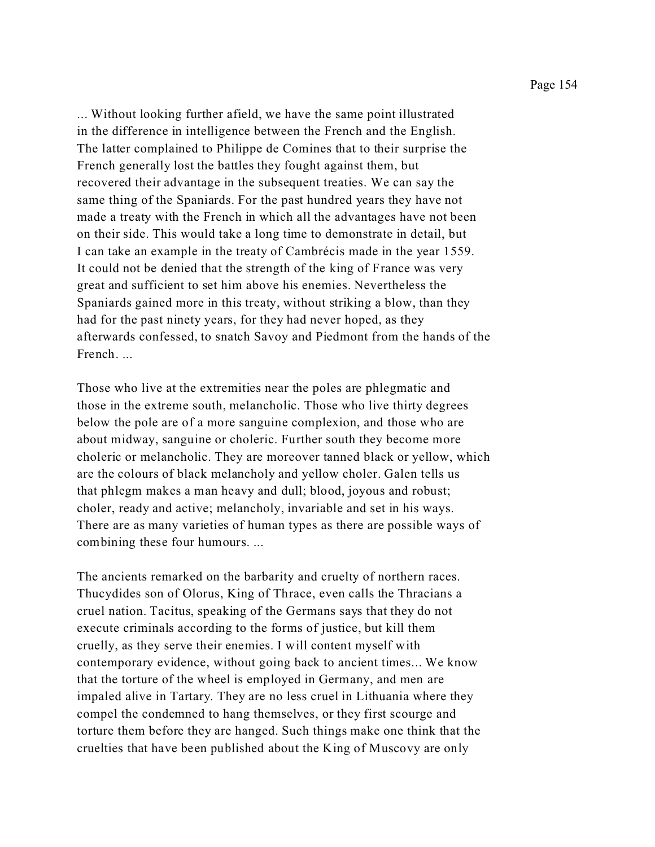... Without looking further afield, we have the same point illustrated in the difference in intelligence between the French and the English. The latter complained to Philippe de Comines that to their surprise the French generally lost the battles they fought against them, but recovered their advantage in the subsequent treaties. We can say the same thing of the Spaniards. For the past hundred years they have not made a treaty with the French in which all the advantages have not been on their side. This would take a long time to demonstrate in detail, but I can take an example in the treaty of Cambrécis made in the year 1559. It could not be denied that the strength of the king of France was very great and sufficient to set him above his enemies. Nevertheless the Spaniards gained more in this treaty, without striking a blow, than they had for the past ninety years, for they had never hoped, as they afterwards confessed, to snatch Savoy and Piedmont from the hands of the French. ...

Those who live at the extremities near the poles are phlegmatic and those in the extreme south, melancholic. Those who live thirty degrees below the pole are of a more sanguine complexion, and those who are about midway, sanguine or choleric. Further south they become more choleric or melancholic. They are moreover tanned black or yellow, which are the colours of black melancholy and yellow choler. Galen tells us that phlegm makes a man heavy and dull; blood, joyous and robust; choler, ready and active; melancholy, invariable and set in his ways. There are as many varieties of human types as there are possible ways of combining these four humours. ...

The ancients remarked on the barbarity and cruelty of northern races. Thucydides son of Olorus, King of Thrace, even calls the Thracians a cruel nation. Tacitus, speaking of the Germans says that they do not execute criminals according to the forms of justice, but kill them cruelly, as they serve their enemies. I will content myself with contemporary evidence, without going back to ancient times... We know that the torture of the wheel is employed in Germany, and men are impaled alive in Tartary. They are no less cruel in Lithuania where they compel the condemned to hang themselves, or they first scourge and torture them before they are hanged. Such things make one think that the cruelties that have been published about the King of Muscovy are only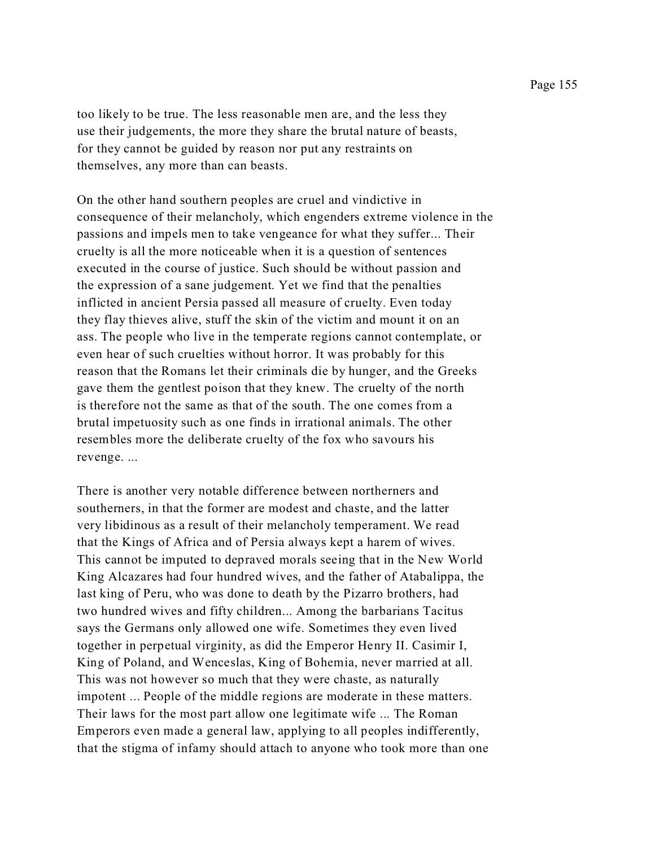too likely to be true. The less reasonable men are, and the less they use their judgements, the more they share the brutal nature of beasts, for they cannot be guided by reason nor put any restraints on themselves, any more than can beasts.

On the other hand southern peoples are cruel and vindictive in consequence of their melancholy, which engenders extreme violence in the passions and impels men to take vengeance for what they suffer... Their cruelty is all the more noticeable when it is a question of sentences executed in the course of justice. Such should be without passion and the expression of a sane judgement. Yet we find that the penalties inflicted in ancient Persia passed all measure of cruelty. Even today they flay thieves alive, stuff the skin of the victim and mount it on an ass. The people who live in the temperate regions cannot contemplate, or even hear of such cruelties without horror. It was probably for this reason that the Romans let their criminals die by hunger, and the Greeks gave them the gentlest poison that they knew. The cruelty of the north is therefore not the same as that of the south. The one comes from a brutal impetuosity such as one finds in irrational animals. The other resembles more the deliberate cruelty of the fox who savours his revenge. ...

There is another very notable difference between northerners and southerners, in that the former are modest and chaste, and the latter very libidinous as a result of their melancholy temperament. We read that the Kings of Africa and of Persia always kept a harem of wives. This cannot be imputed to depraved morals seeing that in the New World King Alcazares had four hundred wives, and the father of Atabalippa, the last king of Peru, who was done to death by the Pizarro brothers, had two hundred wives and fifty children... Among the barbarians Tacitus says the Germans only allowed one wife. Sometimes they even lived together in perpetual virginity, as did the Emperor Henry II. Casimir I, King of Poland, and Wenceslas, King of Bohemia, never married at all. This was not however so much that they were chaste, as naturally impotent ... People of the middle regions are moderate in these matters. Their laws for the most part allow one legitimate wife ... The Roman Emperors even made a general law, applying to all peoples indifferently, that the stigma of infamy should attach to anyone who took more than one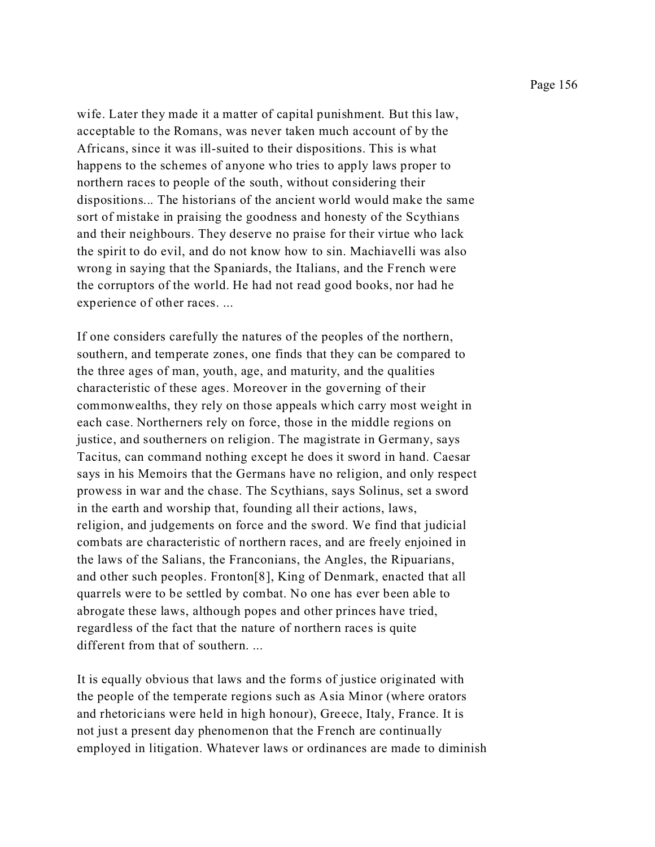wife. Later they made it a matter of capital punishment. But this law, acceptable to the Romans, was never taken much account of by the Africans, since it was ill-suited to their dispositions. This is what happens to the schemes of anyone who tries to apply laws proper to northern races to people of the south, without considering their dispositions... The historians of the ancient world would make the same sort of mistake in praising the goodness and honesty of the Scythians and their neighbours. They deserve no praise for their virtue who lack the spirit to do evil, and do not know how to sin. Machiavelli was also wrong in saying that the Spaniards, the Italians, and the French were the corruptors of the world. He had not read good books, nor had he experience of other races. ...

If one considers carefully the natures of the peoples of the northern, southern, and temperate zones, one finds that they can be compared to the three ages of man, youth, age, and maturity, and the qualities characteristic of these ages. Moreover in the governing of their commonwealths, they rely on those appeals which carry most weight in each case. Northerners rely on force, those in the middle regions on justice, and southerners on religion. The magistrate in Germany, says Tacitus, can command nothing except he does it sword in hand. Caesar says in his Memoirs that the Germans have no religion, and only respect prowess in war and the chase. The Scythians, says Solinus, set a sword in the earth and worship that, founding all their actions, laws, religion, and judgements on force and the sword. We find that judicial combats are characteristic of northern races, and are freely enjoined in the laws of the Salians, the Franconians, the Angles, the Ripuarians, and other such peoples. Fronton[8], King of Denmark, enacted that all quarrels were to be settled by combat. No one has ever been able to abrogate these laws, although popes and other princes have tried, regardless of the fact that the nature of northern races is quite different from that of southern. ...

It is equally obvious that laws and the forms of justice originated with the people of the temperate regions such as Asia Minor (where orators and rhetoricians were held in high honour), Greece, Italy, France. It is not just a present day phenomenon that the French are continually employed in litigation. Whatever laws or ordinances are made to diminish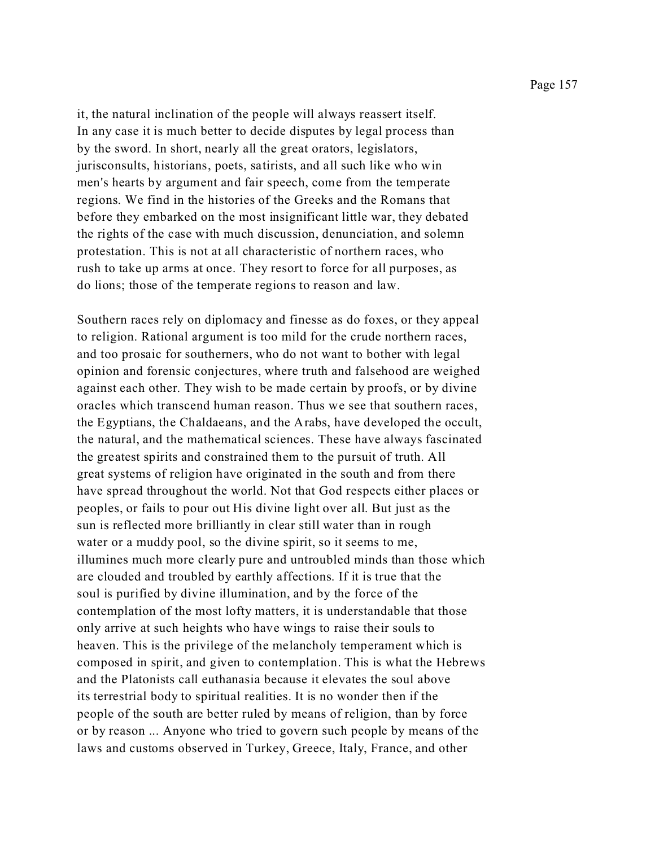it, the natural inclination of the people will always reassert itself. In any case it is much better to decide disputes by legal process than by the sword. In short, nearly all the great orators, legislators, jurisconsults, historians, poets, satirists, and all such like who win men's hearts by argument and fair speech, come from the temperate regions. We find in the histories of the Greeks and the Romans that before they embarked on the most insignificant little war, they debated the rights of the case with much discussion, denunciation, and solemn protestation. This is not at all characteristic of northern races, who rush to take up arms at once. They resort to force for all purposes, as do lions; those of the temperate regions to reason and law.

Southern races rely on diplomacy and finesse as do foxes, or they appeal to religion. Rational argument is too mild for the crude northern races, and too prosaic for southerners, who do not want to bother with legal opinion and forensic conjectures, where truth and falsehood are weighed against each other. They wish to be made certain by proofs, or by divine oracles which transcend human reason. Thus we see that southern races, the Egyptians, the Chaldaeans, and the Arabs, have developed the occult, the natural, and the mathematical sciences. These have always fascinated the greatest spirits and constrained them to the pursuit of truth. All great systems of religion have originated in the south and from there have spread throughout the world. Not that God respects either places or peoples, or fails to pour out His divine light over all. But just as the sun is reflected more brilliantly in clear still water than in rough water or a muddy pool, so the divine spirit, so it seems to me, illumines much more clearly pure and untroubled minds than those which are clouded and troubled by earthly affections. If it is true that the soul is purified by divine illumination, and by the force of the contemplation of the most lofty matters, it is understandable that those only arrive at such heights who have wings to raise their souls to heaven. This is the privilege of the melancholy temperament which is composed in spirit, and given to contemplation. This is what the Hebrews and the Platonists call euthanasia because it elevates the soul above its terrestrial body to spiritual realities. It is no wonder then if the people of the south are better ruled by means of religion, than by force or by reason ... Anyone who tried to govern such people by means of the laws and customs observed in Turkey, Greece, Italy, France, and other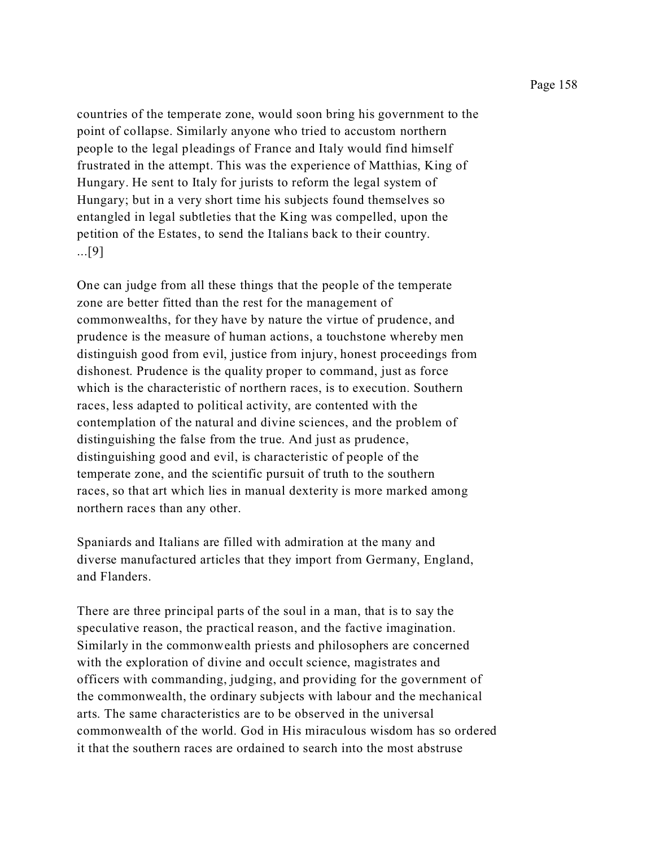countries of the temperate zone, would soon bring his government to the point of collapse. Similarly anyone who tried to accustom northern people to the legal pleadings of France and Italy would find himself frustrated in the attempt. This was the experience of Matthias, King of Hungary. He sent to Italy for jurists to reform the legal system of Hungary; but in a very short time his subjects found themselves so entangled in legal subtleties that the King was compelled, upon the petition of the Estates, to send the Italians back to their country. ...[9]

One can judge from all these things that the people of the temperate zone are better fitted than the rest for the management of commonwealths, for they have by nature the virtue of prudence, and prudence is the measure of human actions, a touchstone whereby men distinguish good from evil, justice from injury, honest proceedings from dishonest. Prudence is the quality proper to command, just as force which is the characteristic of northern races, is to execution. Southern races, less adapted to political activity, are contented with the contemplation of the natural and divine sciences, and the problem of distinguishing the false from the true. And just as prudence, distinguishing good and evil, is characteristic of people of the temperate zone, and the scientific pursuit of truth to the southern races, so that art which lies in manual dexterity is more marked among northern races than any other.

Spaniards and Italians are filled with admiration at the many and diverse manufactured articles that they import from Germany, England, and Flanders.

There are three principal parts of the soul in a man, that is to say the speculative reason, the practical reason, and the factive imagination. Similarly in the commonwealth priests and philosophers are concerned with the exploration of divine and occult science, magistrates and officers with commanding, judging, and providing for the government of the commonwealth, the ordinary subjects with labour and the mechanical arts. The same characteristics are to be observed in the universal commonwealth of the world. God in His miraculous wisdom has so ordered it that the southern races are ordained to search into the most abstruse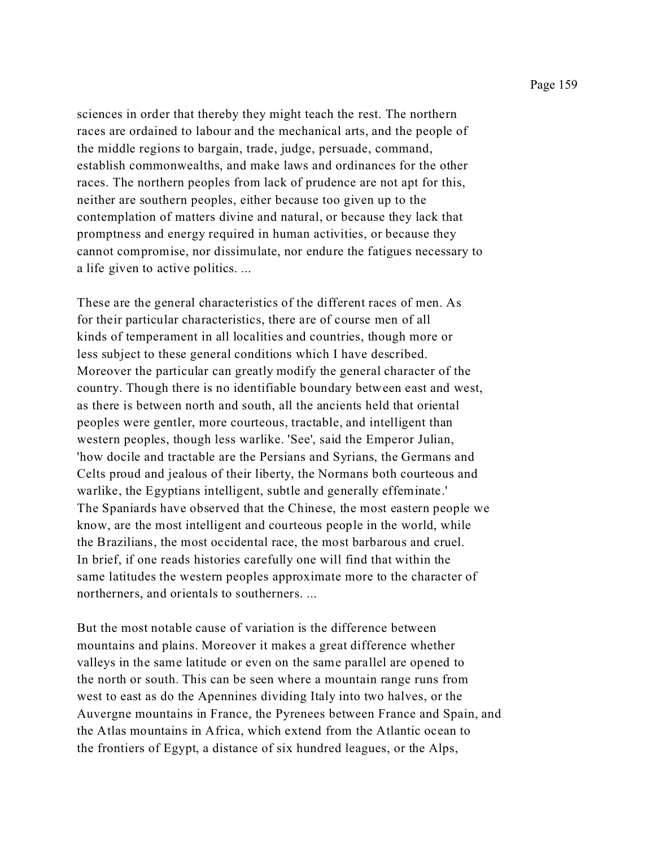sciences in order that thereby they might teach the rest. The northern races are ordained to labour and the mechanical arts, and the people of the middle regions to bargain, trade, judge, persuade, command, establish commonwealths, and make laws and ordinances for the other races. The northern peoples from lack of prudence are not apt for this, neither are southern peoples, either because too given up to the contemplation of matters divine and natural, or because they lack that promptness and energy required in human activities, or because they cannot compromise, nor dissimulate, nor endure the fatigues necessary to a life given to active politics. ...

These are the general characteristics of the different races of men. As for their particular characteristics, there are of course men of all kinds of temperament in all localities and countries, though more or less subject to these general conditions which I have described. Moreover the particular can greatly modify the general character of the country. Though there is no identifiable boundary between east and west, as there is between north and south, all the ancients held that oriental peoples were gentler, more courteous, tractable, and intelligent than western peoples, though less warlike. 'See', said the Emperor Julian, 'how docile and tractable are the Persians and Syrians, the Germans and Celts proud and jealous of their liberty, the Normans both courteous and warlike, the Egyptians intelligent, subtle and generally effeminate.' The Spaniards have observed that the Chinese, the most eastern people we know, are the most intelligent and courteous people in the world, while the Brazilians, the most occidental race, the most barbarous and cruel. In brief, if one reads histories carefully one will find that within the same latitudes the western peoples approximate more to the character of northerners, and orientals to southerners. ...

But the most notable cause of variation is the difference between mountains and plains. Moreover it makes a great difference whether valleys in the same latitude or even on the same parallel are opened to the north or south. This can be seen where a mountain range runs from west to east as do the Apennines dividing Italy into two halves, or the Auvergne mountains in France, the Pyrenees between France and Spain, and the Atlas mountains in Africa, which extend from the Atlantic ocean to the frontiers of Egypt, a distance of six hundred leagues, or the Alps,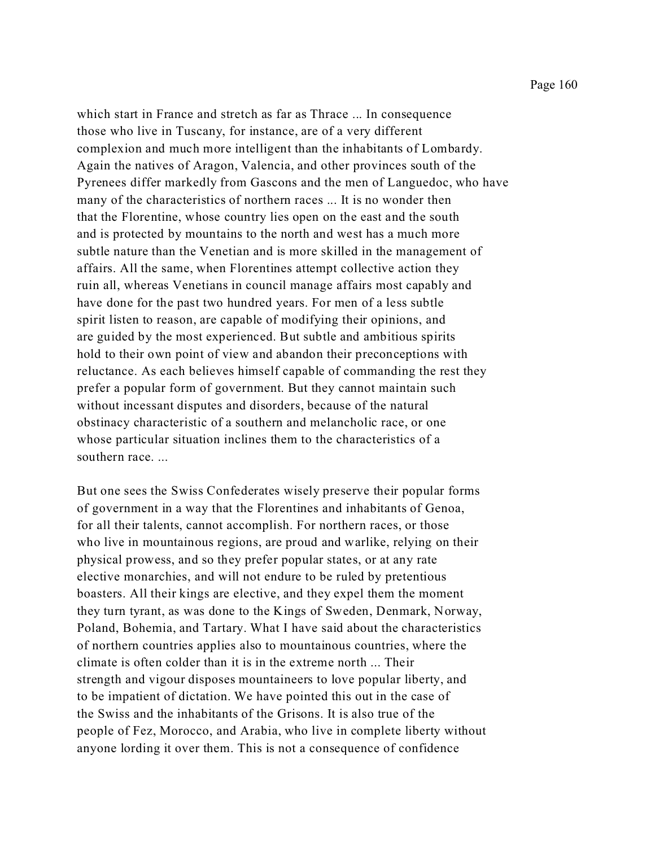which start in France and stretch as far as Thrace ... In consequence those who live in Tuscany, for instance, are of a very different complexion and much more intelligent than the inhabitants of Lombardy. Again the natives of Aragon, Valencia, and other provinces south of the Pyrenees differ markedly from Gascons and the men of Languedoc, who have many of the characteristics of northern races ... It is no wonder then that the Florentine, whose country lies open on the east and the south and is protected by mountains to the north and west has a much more subtle nature than the Venetian and is more skilled in the management of affairs. All the same, when Florentines attempt collective action they ruin all, whereas Venetians in council manage affairs most capably and have done for the past two hundred years. For men of a less subtle spirit listen to reason, are capable of modifying their opinions, and are guided by the most experienced. But subtle and ambitious spirits hold to their own point of view and abandon their preconceptions with reluctance. As each believes himself capable of commanding the rest they prefer a popular form of government. But they cannot maintain such without incessant disputes and disorders, because of the natural obstinacy characteristic of a southern and melancholic race, or one whose particular situation inclines them to the characteristics of a southern race. ...

But one sees the Swiss Confederates wisely preserve their popular forms of government in a way that the Florentines and inhabitants of Genoa, for all their talents, cannot accomplish. For northern races, or those who live in mountainous regions, are proud and warlike, relying on their physical prowess, and so they prefer popular states, or at any rate elective monarchies, and will not endure to be ruled by pretentious boasters. All their kings are elective, and they expel them the moment they turn tyrant, as was done to the Kings of Sweden, Denmark, Norway, Poland, Bohemia, and Tartary. What I have said about the characteristics of northern countries applies also to mountainous countries, where the climate is often colder than it is in the extreme north ... Their strength and vigour disposes mountaineers to love popular liberty, and to be impatient of dictation. We have pointed this out in the case of the Swiss and the inhabitants of the Grisons. It is also true of the people of Fez, Morocco, and Arabia, who live in complete liberty without anyone lording it over them. This is not a consequence of confidence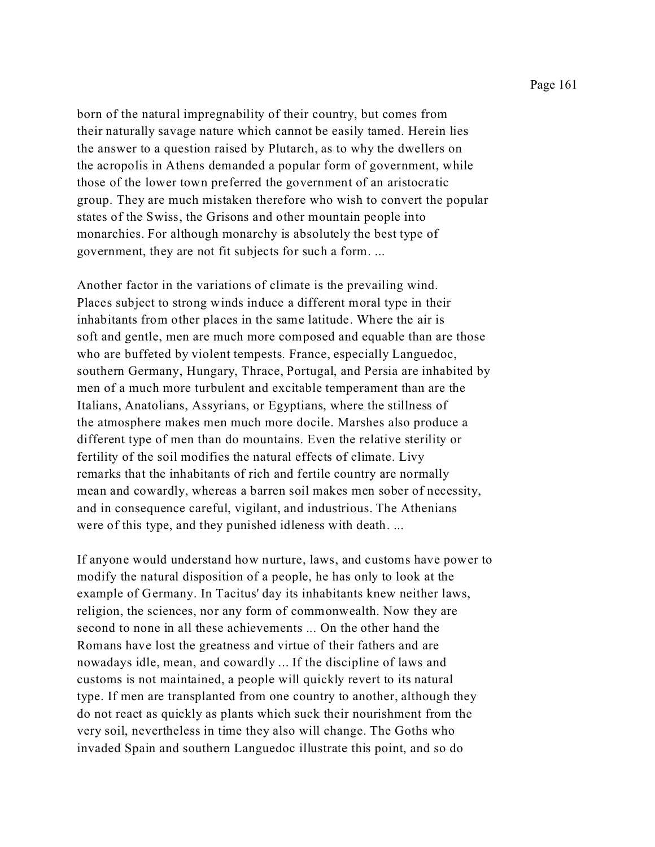Page 161

born of the natural impregnability of their country, but comes from their naturally savage nature which cannot be easily tamed. Herein lies the answer to a question raised by Plutarch, as to why the dwellers on the acropolis in Athens demanded a popular form of government, while those of the lower town preferred the government of an aristocratic group. They are much mistaken therefore who wish to convert the popular states of the Swiss, the Grisons and other mountain people into monarchies. For although monarchy is absolutely the best type of government, they are not fit subjects for such a form. ...

Another factor in the variations of climate is the prevailing wind. Places subject to strong winds induce a different moral type in their inhabitants from other places in the same latitude. Where the air is soft and gentle, men are much more composed and equable than are those who are buffeted by violent tempests. France, especially Languedoc, southern Germany, Hungary, Thrace, Portugal, and Persia are inhabited by men of a much more turbulent and excitable temperament than are the Italians, Anatolians, Assyrians, or Egyptians, where the stillness of the atmosphere makes men much more docile. Marshes also produce a different type of men than do mountains. Even the relative sterility or fertility of the soil modifies the natural effects of climate. Livy remarks that the inhabitants of rich and fertile country are normally mean and cowardly, whereas a barren soil makes men sober of necessity, and in consequence careful, vigilant, and industrious. The Athenians were of this type, and they punished idleness with death. ...

If anyone would understand how nurture, laws, and customs have power to modify the natural disposition of a people, he has only to look at the example of Germany. In Tacitus' day its inhabitants knew neither laws, religion, the sciences, nor any form of commonwealth. Now they are second to none in all these achievements ... On the other hand the Romans have lost the greatness and virtue of their fathers and are nowadays idle, mean, and cowardly ... If the discipline of laws and customs is not maintained, a people will quickly revert to its natural type. If men are transplanted from one country to another, although they do not react as quickly as plants which suck their nourishment from the very soil, nevertheless in time they also will change. The Goths who invaded Spain and southern Languedoc illustrate this point, and so do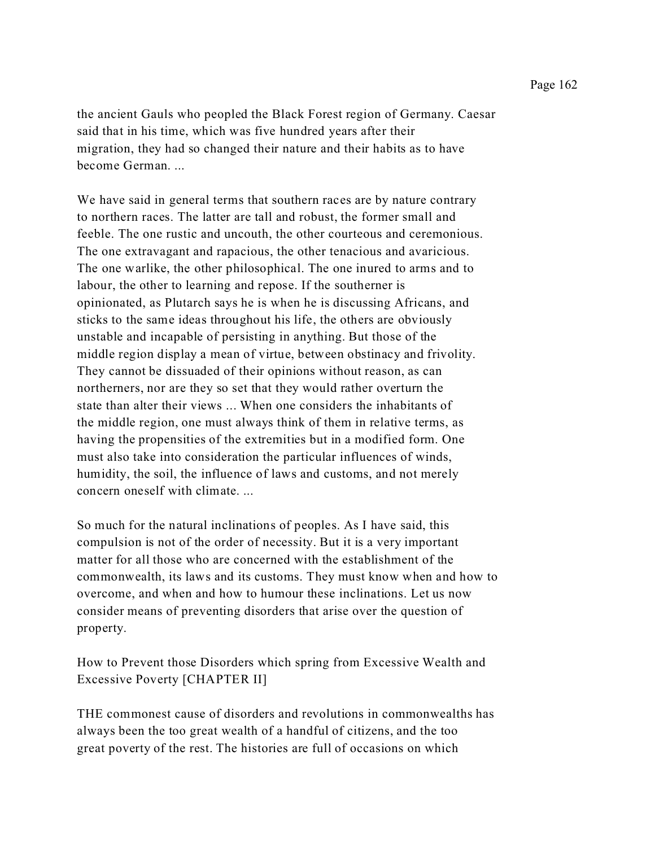the ancient Gauls who peopled the Black Forest region of Germany. Caesar said that in his time, which was five hundred years after their migration, they had so changed their nature and their habits as to have become German. ...

We have said in general terms that southern races are by nature contrary to northern races. The latter are tall and robust, the former small and feeble. The one rustic and uncouth, the other courteous and ceremonious. The one extravagant and rapacious, the other tenacious and avaricious. The one warlike, the other philosophical. The one inured to arms and to labour, the other to learning and repose. If the southerner is opinionated, as Plutarch says he is when he is discussing Africans, and sticks to the same ideas throughout his life, the others are obviously unstable and incapable of persisting in anything. But those of the middle region display a mean of virtue, between obstinacy and frivolity. They cannot be dissuaded of their opinions without reason, as can northerners, nor are they so set that they would rather overturn the state than alter their views ... When one considers the inhabitants of the middle region, one must always think of them in relative terms, as having the propensities of the extremities but in a modified form. One must also take into consideration the particular influences of winds, humidity, the soil, the influence of laws and customs, and not merely concern oneself with climate.

So much for the natural inclinations of peoples. As I have said, this compulsion is not of the order of necessity. But it is a very important matter for all those who are concerned with the establishment of the commonwealth, its laws and its customs. They must know when and how to overcome, and when and how to humour these inclinations. Let us now consider means of preventing disorders that arise over the question of property.

How to Prevent those Disorders which spring from Excessive Wealth and Excessive Poverty [CHAPTER II]

THE commonest cause of disorders and revolutions in commonwealths has always been the too great wealth of a handful of citizens, and the too great poverty of the rest. The histories are full of occasions on which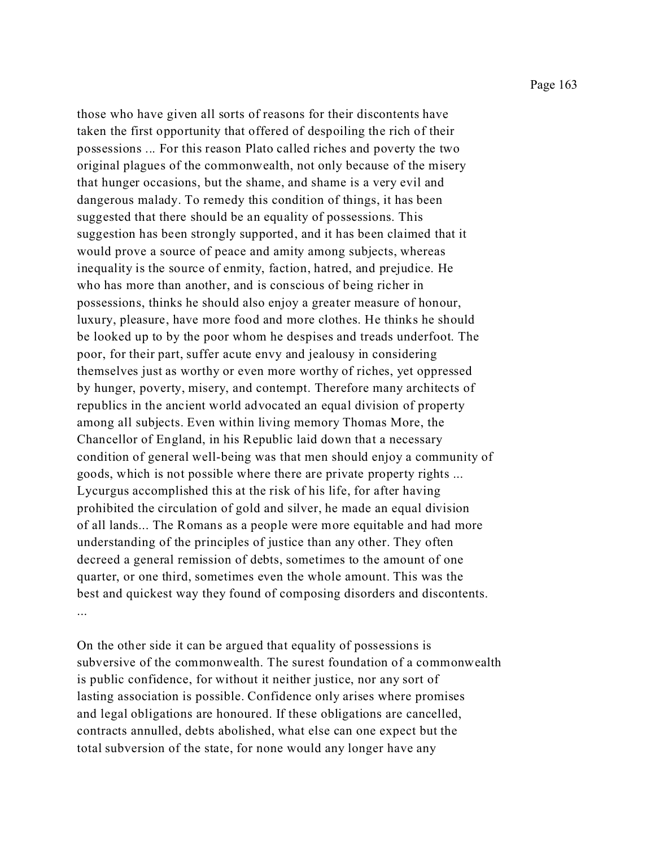those who have given all sorts of reasons for their discontents have taken the first opportunity that offered of despoiling the rich of their possessions ... For this reason Plato called riches and poverty the two original plagues of the commonwealth, not only because of the misery that hunger occasions, but the shame, and shame is a very evil and dangerous malady. To remedy this condition of things, it has been suggested that there should be an equality of possessions. This suggestion has been strongly supported, and it has been claimed that it would prove a source of peace and amity among subjects, whereas inequality is the source of enmity, faction, hatred, and prejudice. He who has more than another, and is conscious of being richer in possessions, thinks he should also enjoy a greater measure of honour, luxury, pleasure, have more food and more clothes. He thinks he should be looked up to by the poor whom he despises and treads underfoot. The poor, for their part, suffer acute envy and jealousy in considering themselves just as worthy or even more worthy of riches, yet oppressed by hunger, poverty, misery, and contempt. Therefore many architects of republics in the ancient world advocated an equal division of property among all subjects. Even within living memory Thomas More, the Chancellor of England, in his Republic laid down that a necessary condition of general well-being was that men should enjoy a community of goods, which is not possible where there are private property rights ... Lycurgus accomplished this at the risk of his life, for after having prohibited the circulation of gold and silver, he made an equal division of all lands... The Romans as a people were more equitable and had more understanding of the principles of justice than any other. They often decreed a general remission of debts, sometimes to the amount of one quarter, or one third, sometimes even the whole amount. This was the best and quickest way they found of composing disorders and discontents. ...

On the other side it can be argued that equality of possessions is subversive of the commonwealth. The surest foundation of a commonwealth is public confidence, for without it neither justice, nor any sort of lasting association is possible. Confidence only arises where promises and legal obligations are honoured. If these obligations are cancelled, contracts annulled, debts abolished, what else can one expect but the total subversion of the state, for none would any longer have any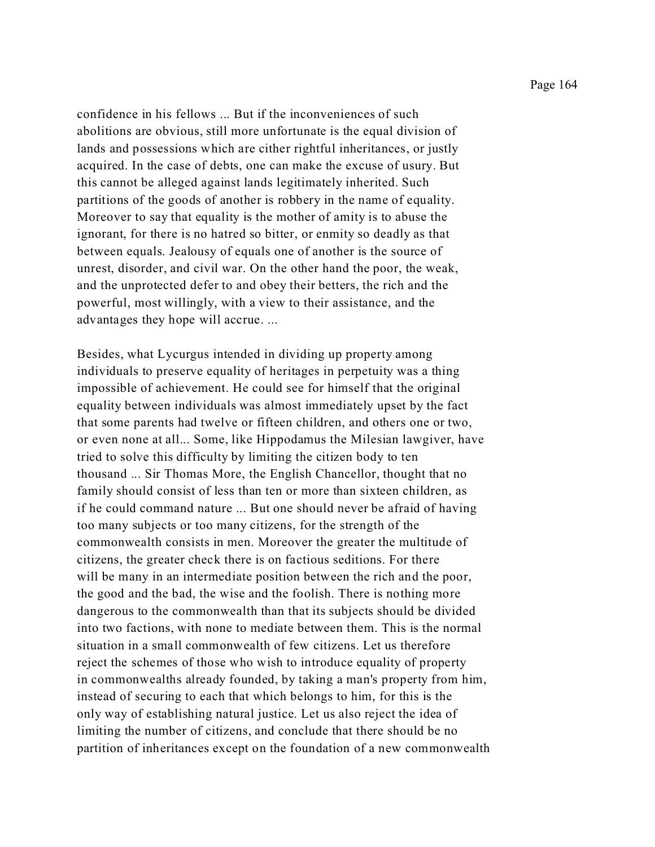confidence in his fellows ... But if the inconveniences of such abolitions are obvious, still more unfortunate is the equal division of lands and possessions which are cither rightful inheritances, or justly acquired. In the case of debts, one can make the excuse of usury. But this cannot be alleged against lands legitimately inherited. Such partitions of the goods of another is robbery in the name of equality. Moreover to say that equality is the mother of amity is to abuse the ignorant, for there is no hatred so bitter, or enmity so deadly as that between equals. Jealousy of equals one of another is the source of unrest, disorder, and civil war. On the other hand the poor, the weak, and the unprotected defer to and obey their betters, the rich and the powerful, most willingly, with a view to their assistance, and the advantages they hope will accrue. ...

Besides, what Lycurgus intended in dividing up property among individuals to preserve equality of heritages in perpetuity was a thing impossible of achievement. He could see for himself that the original equality between individuals was almost immediately upset by the fact that some parents had twelve or fifteen children, and others one or two, or even none at all... Some, like Hippodamus the Milesian lawgiver, have tried to solve this difficulty by limiting the citizen body to ten thousand ... Sir Thomas More, the English Chancellor, thought that no family should consist of less than ten or more than sixteen children, as if he could command nature ... But one should never be afraid of having too many subjects or too many citizens, for the strength of the commonwealth consists in men. Moreover the greater the multitude of citizens, the greater check there is on factious seditions. For there will be many in an intermediate position between the rich and the poor, the good and the bad, the wise and the foolish. There is nothing more dangerous to the commonwealth than that its subjects should be divided into two factions, with none to mediate between them. This is the normal situation in a small commonwealth of few citizens. Let us therefore reject the schemes of those who wish to introduce equality of property in commonwealths already founded, by taking a man's property from him, instead of securing to each that which belongs to him, for this is the only way of establishing natural justice. Let us also reject the idea of limiting the number of citizens, and conclude that there should be no partition of inheritances except on the foundation of a new commonwealth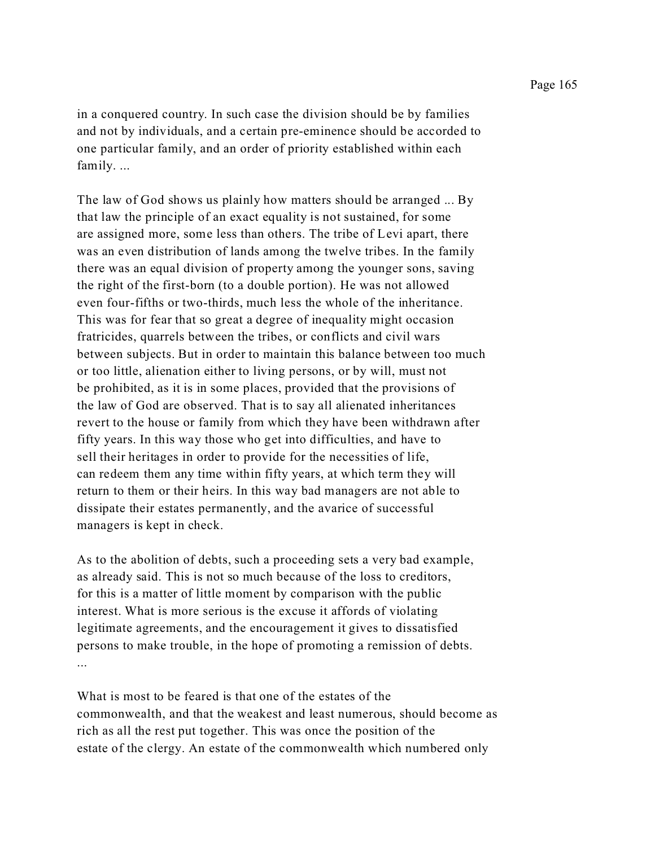in a conquered country. In such case the division should be by families and not by individuals, and a certain pre-eminence should be accorded to one particular family, and an order of priority established within each family. ...

The law of God shows us plainly how matters should be arranged ... By that law the principle of an exact equality is not sustained, for some are assigned more, some less than others. The tribe of Levi apart, there was an even distribution of lands among the twelve tribes. In the family there was an equal division of property among the younger sons, saving the right of the first-born (to a double portion). He was not allowed even four-fifths or two-thirds, much less the whole of the inheritance. This was for fear that so great a degree of inequality might occasion fratricides, quarrels between the tribes, or conflicts and civil wars between subjects. But in order to maintain this balance between too much or too little, alienation either to living persons, or by will, must not be prohibited, as it is in some places, provided that the provisions of the law of God are observed. That is to say all alienated inheritances revert to the house or family from which they have been withdrawn after fifty years. In this way those who get into difficulties, and have to sell their heritages in order to provide for the necessities of life, can redeem them any time within fifty years, at which term they will return to them or their heirs. In this way bad managers are not able to dissipate their estates permanently, and the avarice of successful managers is kept in check.

As to the abolition of debts, such a proceeding sets a very bad example, as already said. This is not so much because of the loss to creditors, for this is a matter of little moment by comparison with the public interest. What is more serious is the excuse it affords of violating legitimate agreements, and the encouragement it gives to dissatisfied persons to make trouble, in the hope of promoting a remission of debts. ...

What is most to be feared is that one of the estates of the commonwealth, and that the weakest and least numerous, should become as rich as all the rest put together. This was once the position of the estate of the clergy. An estate of the commonwealth which numbered only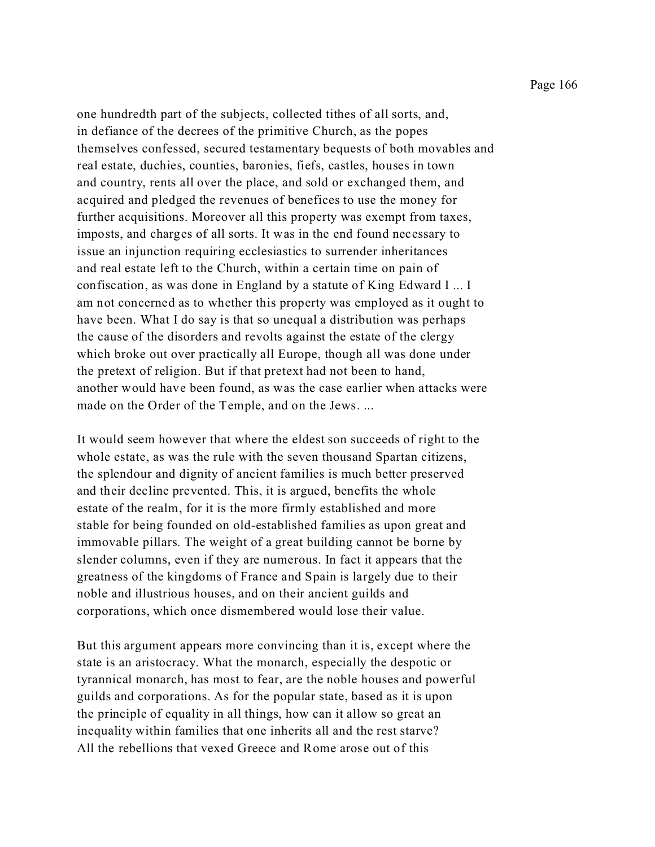one hundredth part of the subjects, collected tithes of all sorts, and, in defiance of the decrees of the primitive Church, as the popes themselves confessed, secured testamentary bequests of both movables and real estate, duchies, counties, baronies, fiefs, castles, houses in town and country, rents all over the place, and sold or exchanged them, and acquired and pledged the revenues of benefices to use the money for further acquisitions. Moreover all this property was exempt from taxes, imposts, and charges of all sorts. It was in the end found necessary to issue an injunction requiring ecclesiastics to surrender inheritances and real estate left to the Church, within a certain time on pain of confiscation, as was done in England by a statute of King Edward I ... I am not concerned as to whether this property was employed as it ought to have been. What I do say is that so unequal a distribution was perhaps the cause of the disorders and revolts against the estate of the clergy which broke out over practically all Europe, though all was done under the pretext of religion. But if that pretext had not been to hand, another would have been found, as was the case earlier when attacks were made on the Order of the Temple, and on the Jews. ...

It would seem however that where the eldest son succeeds of right to the whole estate, as was the rule with the seven thousand Spartan citizens, the splendour and dignity of ancient families is much better preserved and their decline prevented. This, it is argued, benefits the whole estate of the realm, for it is the more firmly established and more stable for being founded on old-established families as upon great and immovable pillars. The weight of a great building cannot be borne by slender columns, even if they are numerous. In fact it appears that the greatness of the kingdoms of France and Spain is largely due to their noble and illustrious houses, and on their ancient guilds and corporations, which once dismembered would lose their value.

But this argument appears more convincing than it is, except where the state is an aristocracy. What the monarch, especially the despotic or tyrannical monarch, has most to fear, are the noble houses and powerful guilds and corporations. As for the popular state, based as it is upon the principle of equality in all things, how can it allow so great an inequality within families that one inherits all and the rest starve? All the rebellions that vexed Greece and Rome arose out of this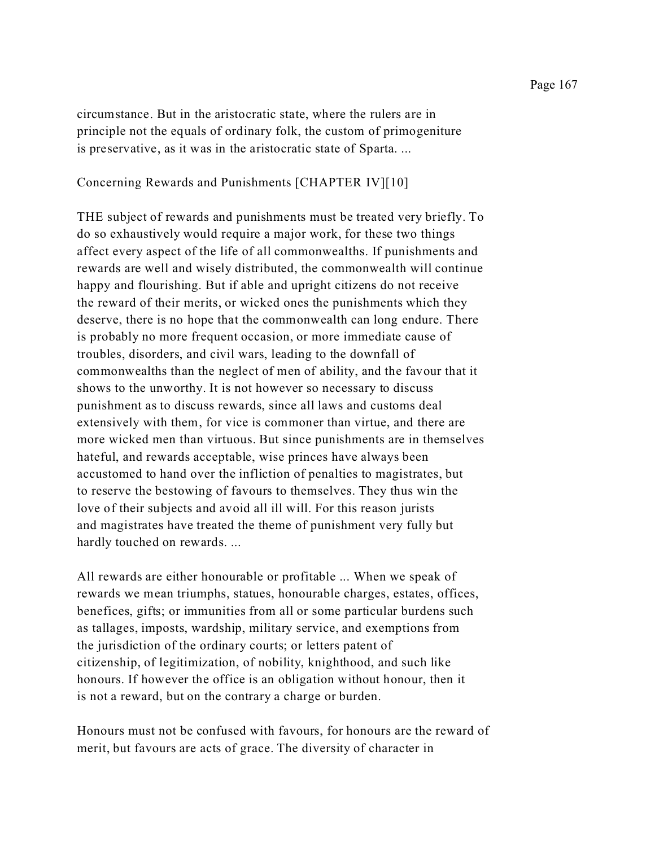circumstance. But in the aristocratic state, where the rulers are in principle not the equals of ordinary folk, the custom of primogeniture is preservative, as it was in the aristocratic state of Sparta. ...

Concerning Rewards and Punishments [CHAPTER IV][10]

THE subject of rewards and punishments must be treated very briefly. To do so exhaustively would require a major work, for these two things affect every aspect of the life of all commonwealths. If punishments and rewards are well and wisely distributed, the commonwealth will continue happy and flourishing. But if able and upright citizens do not receive the reward of their merits, or wicked ones the punishments which they deserve, there is no hope that the commonwealth can long endure. There is probably no more frequent occasion, or more immediate cause of troubles, disorders, and civil wars, leading to the downfall of commonwealths than the neglect of men of ability, and the favour that it shows to the unworthy. It is not however so necessary to discuss punishment as to discuss rewards, since all laws and customs deal extensively with them, for vice is commoner than virtue, and there are more wicked men than virtuous. But since punishments are in themselves hateful, and rewards acceptable, wise princes have always been accustomed to hand over the infliction of penalties to magistrates, but to reserve the bestowing of favours to themselves. They thus win the love of their subjects and avoid all ill will. For this reason jurists and magistrates have treated the theme of punishment very fully but hardly touched on rewards. ...

All rewards are either honourable or profitable ... When we speak of rewards we mean triumphs, statues, honourable charges, estates, offices, benefices, gifts; or immunities from all or some particular burdens such as tallages, imposts, wardship, military service, and exemptions from the jurisdiction of the ordinary courts; or letters patent of citizenship, of legitimization, of nobility, knighthood, and such like honours. If however the office is an obligation without honour, then it is not a reward, but on the contrary a charge or burden.

Honours must not be confused with favours, for honours are the reward of merit, but favours are acts of grace. The diversity of character in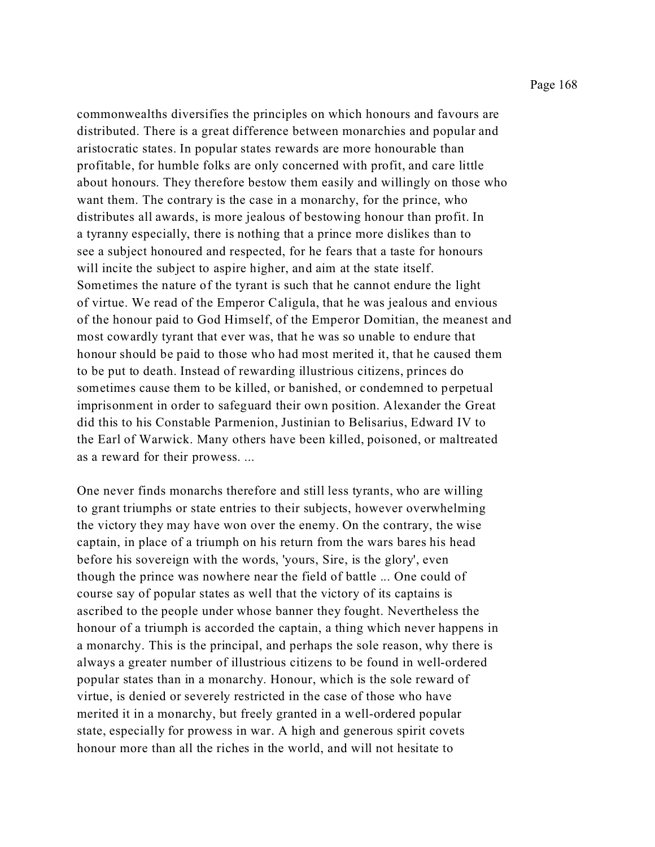commonwealths diversifies the principles on which honours and favours are distributed. There is a great difference between monarchies and popular and aristocratic states. In popular states rewards are more honourable than profitable, for humble folks are only concerned with profit, and care little about honours. They therefore bestow them easily and willingly on those who want them. The contrary is the case in a monarchy, for the prince, who distributes all awards, is more jealous of bestowing honour than profit. In a tyranny especially, there is nothing that a prince more dislikes than to see a subject honoured and respected, for he fears that a taste for honours will incite the subject to aspire higher, and aim at the state itself. Sometimes the nature of the tyrant is such that he cannot endure the light of virtue. We read of the Emperor Caligula, that he was jealous and envious of the honour paid to God Himself, of the Emperor Domitian, the meanest and most cowardly tyrant that ever was, that he was so unable to endure that honour should be paid to those who had most merited it, that he caused them to be put to death. Instead of rewarding illustrious citizens, princes do sometimes cause them to be killed, or banished, or condemned to perpetual imprisonment in order to safeguard their own position. Alexander the Great did this to his Constable Parmenion, Justinian to Belisarius, Edward IV to the Earl of Warwick. Many others have been killed, poisoned, or maltreated as a reward for their prowess. ...

One never finds monarchs therefore and still less tyrants, who are willing to grant triumphs or state entries to their subjects, however overwhelming the victory they may have won over the enemy. On the contrary, the wise captain, in place of a triumph on his return from the wars bares his head before his sovereign with the words, 'yours, Sire, is the glory', even though the prince was nowhere near the field of battle ... One could of course say of popular states as well that the victory of its captains is ascribed to the people under whose banner they fought. Nevertheless the honour of a triumph is accorded the captain, a thing which never happens in a monarchy. This is the principal, and perhaps the sole reason, why there is always a greater number of illustrious citizens to be found in well-ordered popular states than in a monarchy. Honour, which is the sole reward of virtue, is denied or severely restricted in the case of those who have merited it in a monarchy, but freely granted in a well-ordered popular state, especially for prowess in war. A high and generous spirit covets honour more than all the riches in the world, and will not hesitate to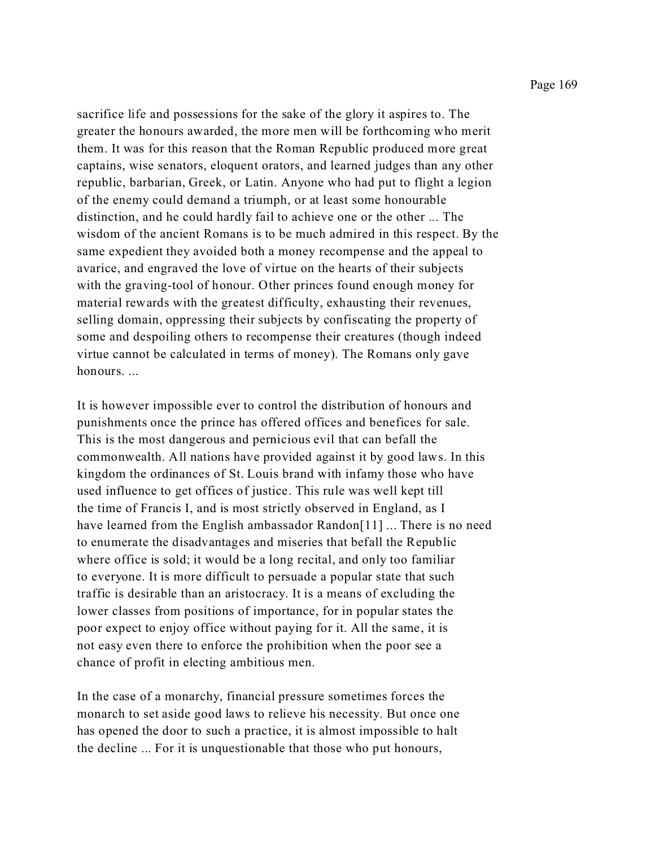sacrifice life and possessions for the sake of the glory it aspires to. The greater the honours awarded, the more men will be forthcoming who merit them. It was for this reason that the Roman Republic produced more great captains, wise senators, eloquent orators, and learned judges than any other republic, barbarian, Greek, or Latin. Anyone who had put to flight a legion of the enemy could demand a triumph, or at least some honourable distinction, and he could hardly fail to achieve one or the other ... The wisdom of the ancient Romans is to be much admired in this respect. By the same expedient they avoided both a money recompense and the appeal to avarice, and engraved the love of virtue on the hearts of their subjects with the graving-tool of honour. Other princes found enough money for material rewards with the greatest difficulty, exhausting their revenues, selling domain, oppressing their subjects by confiscating the property of some and despoiling others to recompense their creatures (though indeed virtue cannot be calculated in terms of money). The Romans only gave honours. ...

It is however impossible ever to control the distribution of honours and punishments once the prince has offered offices and benefices for sale. This is the most dangerous and pernicious evil that can befall the commonwealth. All nations have provided against it by good laws. In this kingdom the ordinances of St. Louis brand with infamy those who have used influence to get offices of justice. This rule was well kept till the time of Francis I, and is most strictly observed in England, as I have learned from the English ambassador Randon[11] ... There is no need to enumerate the disadvantages and miseries that befall the Republic where office is sold; it would be a long recital, and only too familiar to everyone. It is more difficult to persuade a popular state that such traffic is desirable than an aristocracy. It is a means of excluding the lower classes from positions of importance, for in popular states the poor expect to enjoy office without paying for it. All the same, it is not easy even there to enforce the prohibition when the poor see a chance of profit in electing ambitious men.

In the case of a monarchy, financial pressure sometimes forces the monarch to set aside good laws to relieve his necessity. But once one has opened the door to such a practice, it is almost impossible to halt the decline ... For it is unquestionable that those who put honours,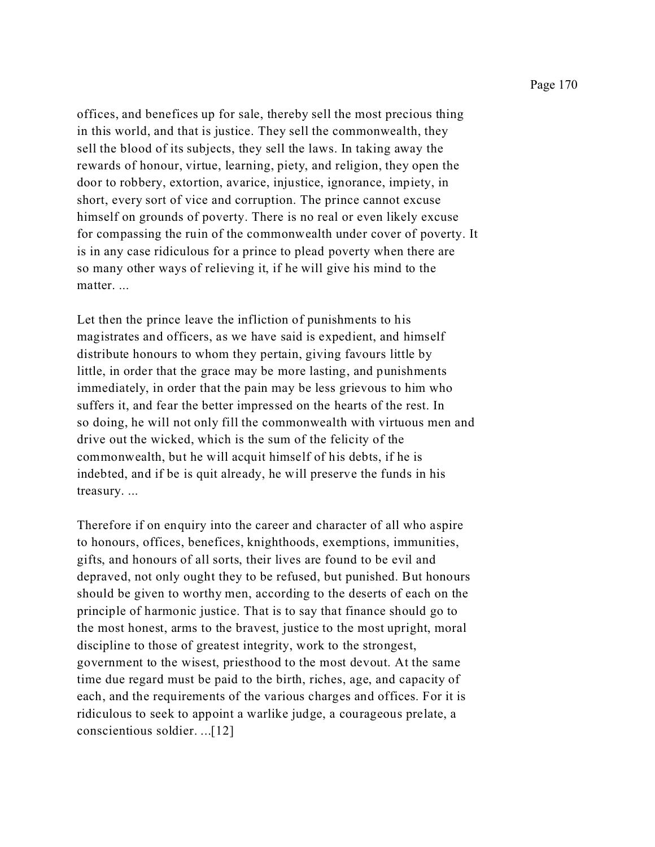offices, and benefices up for sale, thereby sell the most precious thing in this world, and that is justice. They sell the commonwealth, they sell the blood of its subjects, they sell the laws. In taking away the rewards of honour, virtue, learning, piety, and religion, they open the door to robbery, extortion, avarice, injustice, ignorance, impiety, in short, every sort of vice and corruption. The prince cannot excuse himself on grounds of poverty. There is no real or even likely excuse for compassing the ruin of the commonwealth under cover of poverty. It is in any case ridiculous for a prince to plead poverty when there are so many other ways of relieving it, if he will give his mind to the matter. ...

Let then the prince leave the infliction of punishments to his magistrates and officers, as we have said is expedient, and himself distribute honours to whom they pertain, giving favours little by little, in order that the grace may be more lasting, and punishments immediately, in order that the pain may be less grievous to him who suffers it, and fear the better impressed on the hearts of the rest. In so doing, he will not only fill the commonwealth with virtuous men and drive out the wicked, which is the sum of the felicity of the commonwealth, but he will acquit himself of his debts, if he is indebted, and if be is quit already, he will preserve the funds in his treasury. ...

Therefore if on enquiry into the career and character of all who aspire to honours, offices, benefices, knighthoods, exemptions, immunities, gifts, and honours of all sorts, their lives are found to be evil and depraved, not only ought they to be refused, but punished. But honours should be given to worthy men, according to the deserts of each on the principle of harmonic justice. That is to say that finance should go to the most honest, arms to the bravest, justice to the most upright, moral discipline to those of greatest integrity, work to the strongest, government to the wisest, priesthood to the most devout. At the same time due regard must be paid to the birth, riches, age, and capacity of each, and the requirements of the various charges and offices. For it is ridiculous to seek to appoint a warlike judge, a courageous prelate, a conscientious soldier. ...[12]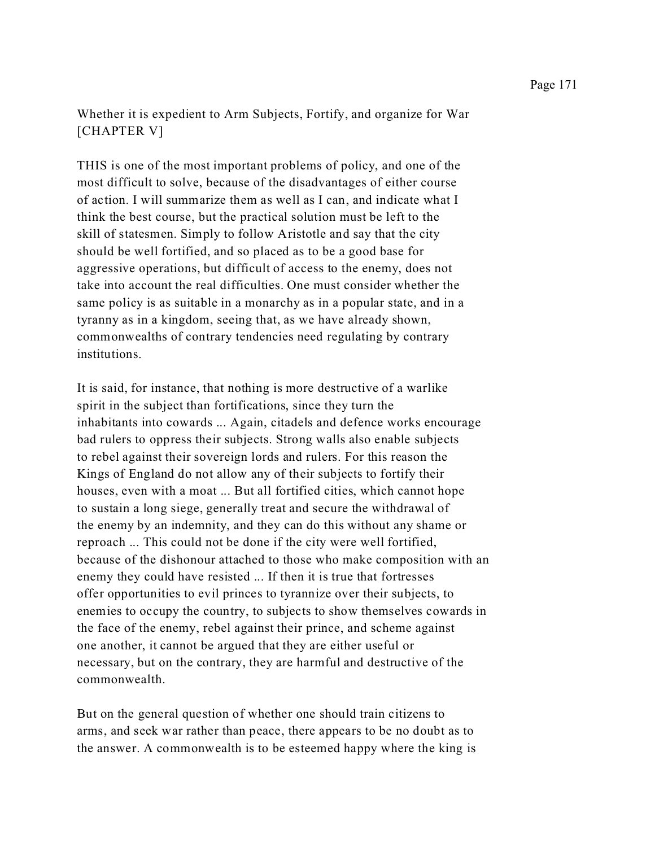Whether it is expedient to Arm Subjects, Fortify, and organize for War [CHAPTER V]

THIS is one of the most important problems of policy, and one of the most difficult to solve, because of the disadvantages of either course of action. I will summarize them as well as I can, and indicate what I think the best course, but the practical solution must be left to the skill of statesmen. Simply to follow Aristotle and say that the city should be well fortified, and so placed as to be a good base for aggressive operations, but difficult of access to the enemy, does not take into account the real difficulties. One must consider whether the same policy is as suitable in a monarchy as in a popular state, and in a tyranny as in a kingdom, seeing that, as we have already shown, commonwealths of contrary tendencies need regulating by contrary institutions.

It is said, for instance, that nothing is more destructive of a warlike spirit in the subject than fortifications, since they turn the inhabitants into cowards ... Again, citadels and defence works encourage bad rulers to oppress their subjects. Strong walls also enable subjects to rebel against their sovereign lords and rulers. For this reason the Kings of England do not allow any of their subjects to fortify their houses, even with a moat ... But all fortified cities, which cannot hope to sustain a long siege, generally treat and secure the withdrawal of the enemy by an indemnity, and they can do this without any shame or reproach ... This could not be done if the city were well fortified, because of the dishonour attached to those who make composition with an enemy they could have resisted ... If then it is true that fortresses offer opportunities to evil princes to tyrannize over their subjects, to enemies to occupy the country, to subjects to show themselves cowards in the face of the enemy, rebel against their prince, and scheme against one another, it cannot be argued that they are either useful or necessary, but on the contrary, they are harmful and destructive of the commonwealth.

But on the general question of whether one should train citizens to arms, and seek war rather than peace, there appears to be no doubt as to the answer. A commonwealth is to be esteemed happy where the king is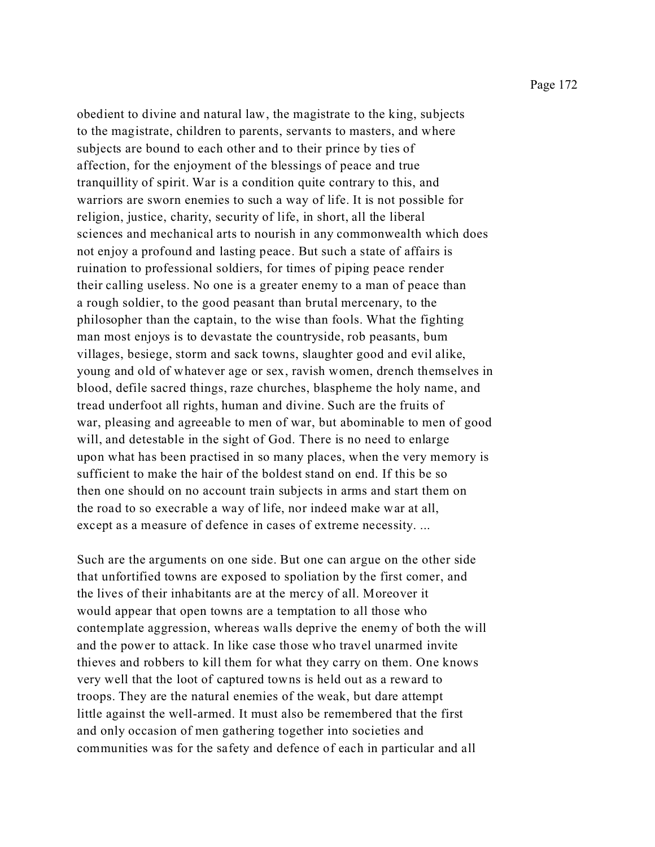Page 172

obedient to divine and natural law, the magistrate to the king, subjects to the magistrate, children to parents, servants to masters, and where subjects are bound to each other and to their prince by ties of affection, for the enjoyment of the blessings of peace and true tranquillity of spirit. War is a condition quite contrary to this, and warriors are sworn enemies to such a way of life. It is not possible for religion, justice, charity, security of life, in short, all the liberal sciences and mechanical arts to nourish in any commonwealth which does not enjoy a profound and lasting peace. But such a state of affairs is ruination to professional soldiers, for times of piping peace render their calling useless. No one is a greater enemy to a man of peace than a rough soldier, to the good peasant than brutal mercenary, to the philosopher than the captain, to the wise than fools. What the fighting man most enjoys is to devastate the countryside, rob peasants, bum villages, besiege, storm and sack towns, slaughter good and evil alike, young and old of whatever age or sex, ravish women, drench themselves in blood, defile sacred things, raze churches, blaspheme the holy name, and tread underfoot all rights, human and divine. Such are the fruits of war, pleasing and agreeable to men of war, but abominable to men of good will, and detestable in the sight of God. There is no need to enlarge upon what has been practised in so many places, when the very memory is sufficient to make the hair of the boldest stand on end. If this be so then one should on no account train subjects in arms and start them on the road to so execrable a way of life, nor indeed make war at all, except as a measure of defence in cases of extreme necessity. ...

Such are the arguments on one side. But one can argue on the other side that unfortified towns are exposed to spoliation by the first comer, and the lives of their inhabitants are at the mercy of all. Moreover it would appear that open towns are a temptation to all those who contemplate aggression, whereas walls deprive the enemy of both the will and the power to attack. In like case those who travel unarmed invite thieves and robbers to kill them for what they carry on them. One knows very well that the loot of captured towns is held out as a reward to troops. They are the natural enemies of the weak, but dare attempt little against the well-armed. It must also be remembered that the first and only occasion of men gathering together into societies and communities was for the safety and defence of each in particular and all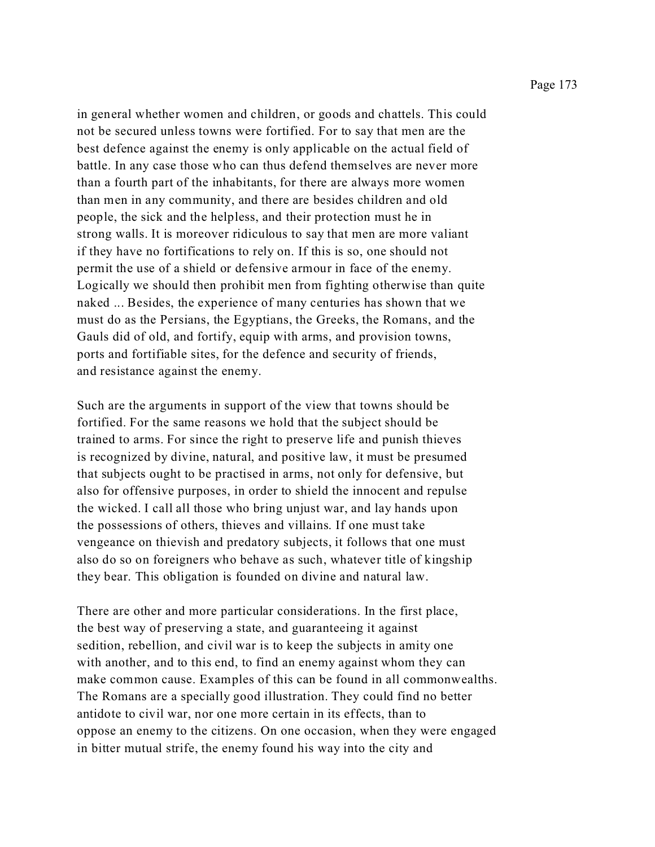in general whether women and children, or goods and chattels. This could not be secured unless towns were fortified. For to say that men are the best defence against the enemy is only applicable on the actual field of battle. In any case those who can thus defend themselves are never more than a fourth part of the inhabitants, for there are always more women than men in any community, and there are besides children and old people, the sick and the helpless, and their protection must he in strong walls. It is moreover ridiculous to say that men are more valiant if they have no fortifications to rely on. If this is so, one should not permit the use of a shield or defensive armour in face of the enemy. Logically we should then prohibit men from fighting otherwise than quite naked ... Besides, the experience of many centuries has shown that we must do as the Persians, the Egyptians, the Greeks, the Romans, and the Gauls did of old, and fortify, equip with arms, and provision towns, ports and fortifiable sites, for the defence and security of friends, and resistance against the enemy.

Such are the arguments in support of the view that towns should be fortified. For the same reasons we hold that the subject should be trained to arms. For since the right to preserve life and punish thieves is recognized by divine, natural, and positive law, it must be presumed that subjects ought to be practised in arms, not only for defensive, but also for offensive purposes, in order to shield the innocent and repulse the wicked. I call all those who bring unjust war, and lay hands upon the possessions of others, thieves and villains. If one must take vengeance on thievish and predatory subjects, it follows that one must also do so on foreigners who behave as such, whatever title of kingship they bear. This obligation is founded on divine and natural law.

There are other and more particular considerations. In the first place, the best way of preserving a state, and guaranteeing it against sedition, rebellion, and civil war is to keep the subjects in amity one with another, and to this end, to find an enemy against whom they can make common cause. Examples of this can be found in all commonwealths. The Romans are a specially good illustration. They could find no better antidote to civil war, nor one more certain in its effects, than to oppose an enemy to the citizens. On one occasion, when they were engaged in bitter mutual strife, the enemy found his way into the city and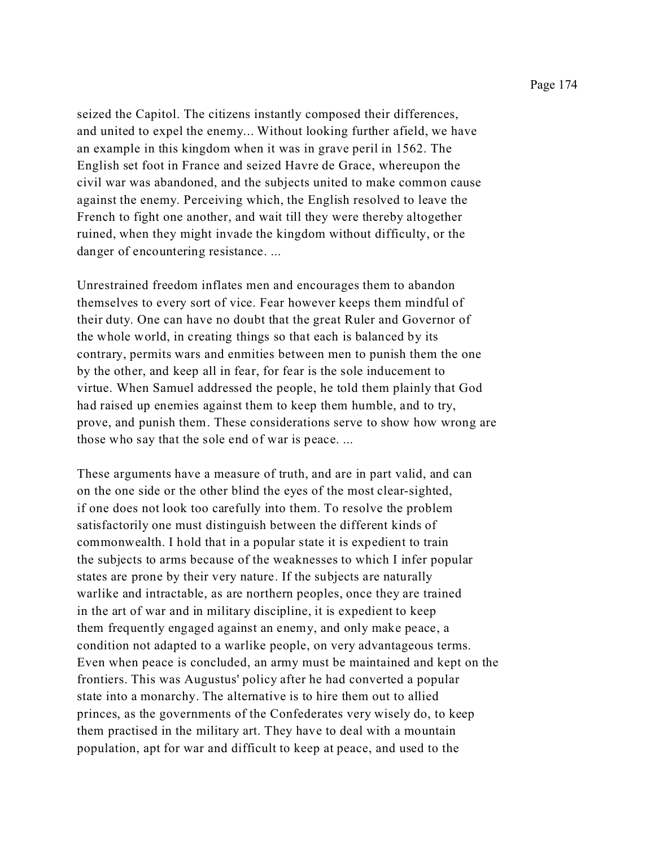seized the Capitol. The citizens instantly composed their differences, and united to expel the enemy... Without looking further afield, we have an example in this kingdom when it was in grave peril in 1562. The English set foot in France and seized Havre de Grace, whereupon the civil war was abandoned, and the subjects united to make common cause against the enemy. Perceiving which, the English resolved to leave the French to fight one another, and wait till they were thereby altogether ruined, when they might invade the kingdom without difficulty, or the danger of encountering resistance. ...

Unrestrained freedom inflates men and encourages them to abandon themselves to every sort of vice. Fear however keeps them mindful of their duty. One can have no doubt that the great Ruler and Governor of the whole world, in creating things so that each is balanced by its contrary, permits wars and enmities between men to punish them the one by the other, and keep all in fear, for fear is the sole inducement to virtue. When Samuel addressed the people, he told them plainly that God had raised up enemies against them to keep them humble, and to try, prove, and punish them. These considerations serve to show how wrong are those who say that the sole end of war is peace. ...

These arguments have a measure of truth, and are in part valid, and can on the one side or the other blind the eyes of the most clear-sighted, if one does not look too carefully into them. To resolve the problem satisfactorily one must distinguish between the different kinds of commonwealth. I hold that in a popular state it is expedient to train the subjects to arms because of the weaknesses to which I infer popular states are prone by their very nature. If the subjects are naturally warlike and intractable, as are northern peoples, once they are trained in the art of war and in military discipline, it is expedient to keep them frequently engaged against an enemy, and only make peace, a condition not adapted to a warlike people, on very advantageous terms. Even when peace is concluded, an army must be maintained and kept on the frontiers. This was Augustus' policy after he had converted a popular state into a monarchy. The alternative is to hire them out to allied princes, as the governments of the Confederates very wisely do, to keep them practised in the military art. They have to deal with a mountain population, apt for war and difficult to keep at peace, and used to the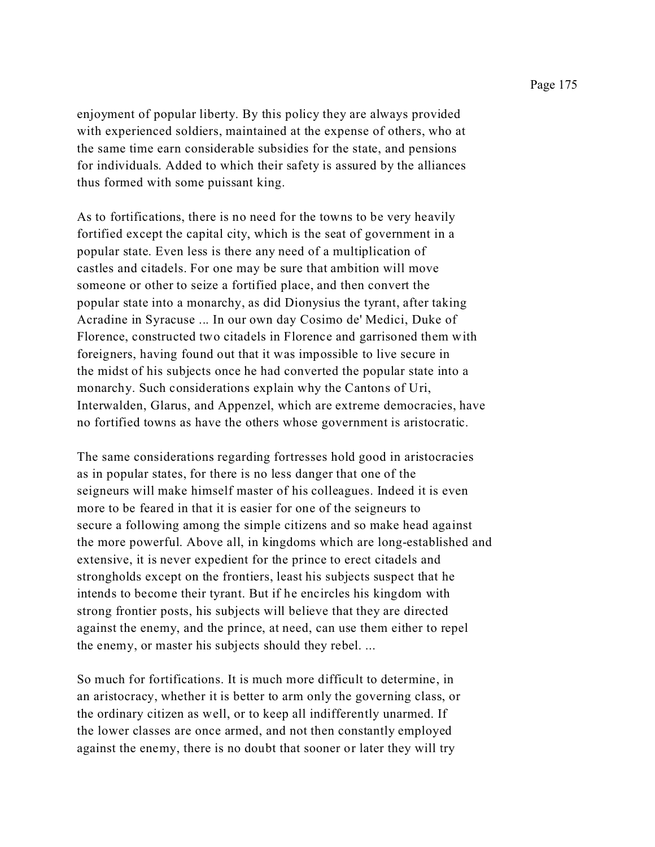enjoyment of popular liberty. By this policy they are always provided with experienced soldiers, maintained at the expense of others, who at the same time earn considerable subsidies for the state, and pensions for individuals. Added to which their safety is assured by the alliances thus formed with some puissant king.

As to fortifications, there is no need for the towns to be very heavily fortified except the capital city, which is the seat of government in a popular state. Even less is there any need of a multiplication of castles and citadels. For one may be sure that ambition will move someone or other to seize a fortified place, and then convert the popular state into a monarchy, as did Dionysius the tyrant, after taking Acradine in Syracuse ... In our own day Cosimo de' Medici, Duke of Florence, constructed two citadels in Florence and garrisoned them with foreigners, having found out that it was impossible to live secure in the midst of his subjects once he had converted the popular state into a monarchy. Such considerations explain why the Cantons of Uri, Interwalden, Glarus, and Appenzel, which are extreme democracies, have no fortified towns as have the others whose government is aristocratic.

The same considerations regarding fortresses hold good in aristocracies as in popular states, for there is no less danger that one of the seigneurs will make himself master of his colleagues. Indeed it is even more to be feared in that it is easier for one of the seigneurs to secure a following among the simple citizens and so make head against the more powerful. Above all, in kingdoms which are long-established and extensive, it is never expedient for the prince to erect citadels and strongholds except on the frontiers, least his subjects suspect that he intends to become their tyrant. But if he encircles his kingdom with strong frontier posts, his subjects will believe that they are directed against the enemy, and the prince, at need, can use them either to repel the enemy, or master his subjects should they rebel. ...

So much for fortifications. It is much more difficult to determine, in an aristocracy, whether it is better to arm only the governing class, or the ordinary citizen as well, or to keep all indifferently unarmed. If the lower classes are once armed, and not then constantly employed against the enemy, there is no doubt that sooner or later they will try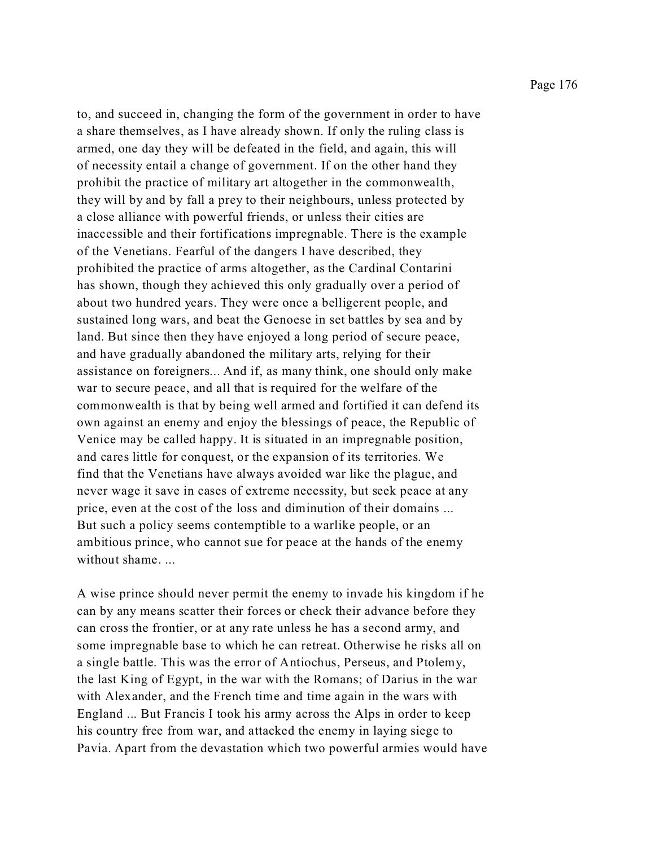to, and succeed in, changing the form of the government in order to have a share themselves, as I have already shown. If only the ruling class is armed, one day they will be defeated in the field, and again, this will of necessity entail a change of government. If on the other hand they prohibit the practice of military art altogether in the commonwealth, they will by and by fall a prey to their neighbours, unless protected by a close alliance with powerful friends, or unless their cities are inaccessible and their fortifications impregnable. There is the example of the Venetians. Fearful of the dangers I have described, they prohibited the practice of arms altogether, as the Cardinal Contarini has shown, though they achieved this only gradually over a period of about two hundred years. They were once a belligerent people, and sustained long wars, and beat the Genoese in set battles by sea and by land. But since then they have enjoyed a long period of secure peace, and have gradually abandoned the military arts, relying for their assistance on foreigners... And if, as many think, one should only make war to secure peace, and all that is required for the welfare of the commonwealth is that by being well armed and fortified it can defend its own against an enemy and enjoy the blessings of peace, the Republic of Venice may be called happy. It is situated in an impregnable position, and cares little for conquest, or the expansion of its territories. We find that the Venetians have always avoided war like the plague, and never wage it save in cases of extreme necessity, but seek peace at any price, even at the cost of the loss and diminution of their domains ... But such a policy seems contemptible to a warlike people, or an ambitious prince, who cannot sue for peace at the hands of the enemy without shame. ...

A wise prince should never permit the enemy to invade his kingdom if he can by any means scatter their forces or check their advance before they can cross the frontier, or at any rate unless he has a second army, and some impregnable base to which he can retreat. Otherwise he risks all on a single battle. This was the error of Antiochus, Perseus, and Ptolemy, the last King of Egypt, in the war with the Romans; of Darius in the war with Alexander, and the French time and time again in the wars with England ... But Francis I took his army across the Alps in order to keep his country free from war, and attacked the enemy in laying siege to Pavia. Apart from the devastation which two powerful armies would have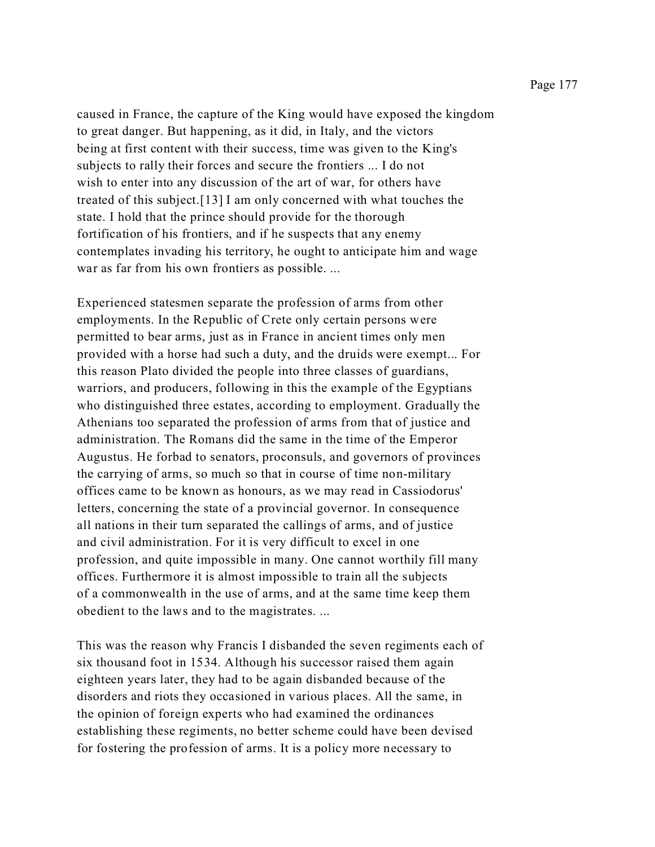caused in France, the capture of the King would have exposed the kingdom to great danger. But happening, as it did, in Italy, and the victors being at first content with their success, time was given to the King's subjects to rally their forces and secure the frontiers ... I do not wish to enter into any discussion of the art of war, for others have treated of this subject.[13] I am only concerned with what touches the state. I hold that the prince should provide for the thorough fortification of his frontiers, and if he suspects that any enemy contemplates invading his territory, he ought to anticipate him and wage war as far from his own frontiers as possible. ...

Experienced statesmen separate the profession of arms from other employments. In the Republic of Crete only certain persons were permitted to bear arms, just as in France in ancient times only men provided with a horse had such a duty, and the druids were exempt... For this reason Plato divided the people into three classes of guardians, warriors, and producers, following in this the example of the Egyptians who distinguished three estates, according to employment. Gradually the Athenians too separated the profession of arms from that of justice and administration. The Romans did the same in the time of the Emperor Augustus. He forbad to senators, proconsuls, and governors of provinces the carrying of arms, so much so that in course of time non-military offices came to be known as honours, as we may read in Cassiodorus' letters, concerning the state of a provincial governor. In consequence all nations in their turn separated the callings of arms, and of justice and civil administration. For it is very difficult to excel in one profession, and quite impossible in many. One cannot worthily fill many offices. Furthermore it is almost impossible to train all the subjects of a commonwealth in the use of arms, and at the same time keep them obedient to the laws and to the magistrates. ...

This was the reason why Francis I disbanded the seven regiments each of six thousand foot in 1534. Although his successor raised them again eighteen years later, they had to be again disbanded because of the disorders and riots they occasioned in various places. All the same, in the opinion of foreign experts who had examined the ordinances establishing these regiments, no better scheme could have been devised for fostering the profession of arms. It is a policy more necessary to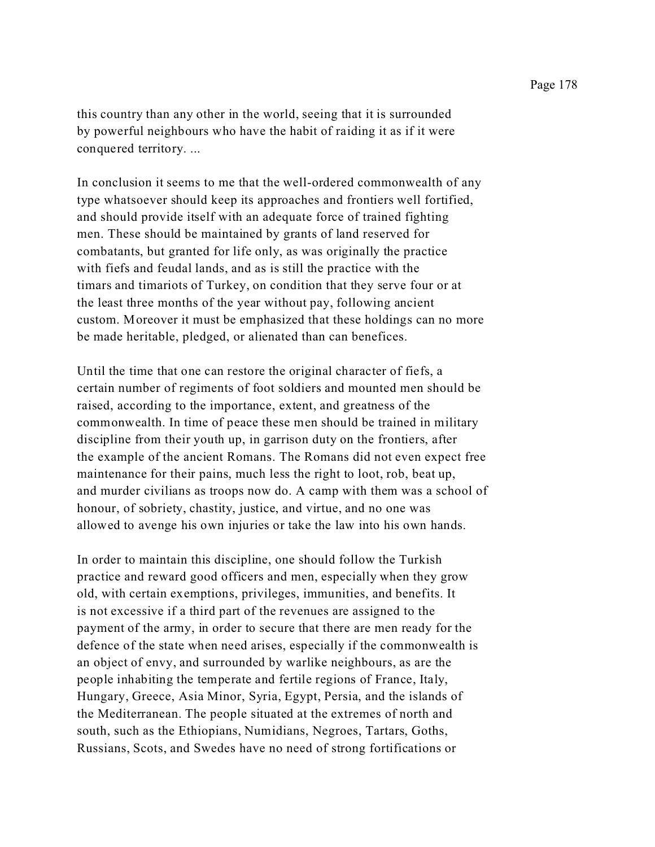this country than any other in the world, seeing that it is surrounded by powerful neighbours who have the habit of raiding it as if it were conquered territory. ...

In conclusion it seems to me that the well-ordered commonwealth of any type whatsoever should keep its approaches and frontiers well fortified, and should provide itself with an adequate force of trained fighting men. These should be maintained by grants of land reserved for combatants, but granted for life only, as was originally the practice with fiefs and feudal lands, and as is still the practice with the timars and timariots of Turkey, on condition that they serve four or at the least three months of the year without pay, following ancient custom. Moreover it must be emphasized that these holdings can no more be made heritable, pledged, or alienated than can benefices.

Until the time that one can restore the original character of fiefs, a certain number of regiments of foot soldiers and mounted men should be raised, according to the importance, extent, and greatness of the commonwealth. In time of peace these men should be trained in military discipline from their youth up, in garrison duty on the frontiers, after the example of the ancient Romans. The Romans did not even expect free maintenance for their pains, much less the right to loot, rob, beat up, and murder civilians as troops now do. A camp with them was a school of honour, of sobriety, chastity, justice, and virtue, and no one was allowed to avenge his own injuries or take the law into his own hands.

In order to maintain this discipline, one should follow the Turkish practice and reward good officers and men, especially when they grow old, with certain exemptions, privileges, immunities, and benefits. It is not excessive if a third part of the revenues are assigned to the payment of the army, in order to secure that there are men ready for the defence of the state when need arises, especially if the commonwealth is an object of envy, and surrounded by warlike neighbours, as are the people inhabiting the temperate and fertile regions of France, Italy, Hungary, Greece, Asia Minor, Syria, Egypt, Persia, and the islands of the Mediterranean. The people situated at the extremes of north and south, such as the Ethiopians, Numidians, Negroes, Tartars, Goths, Russians, Scots, and Swedes have no need of strong fortifications or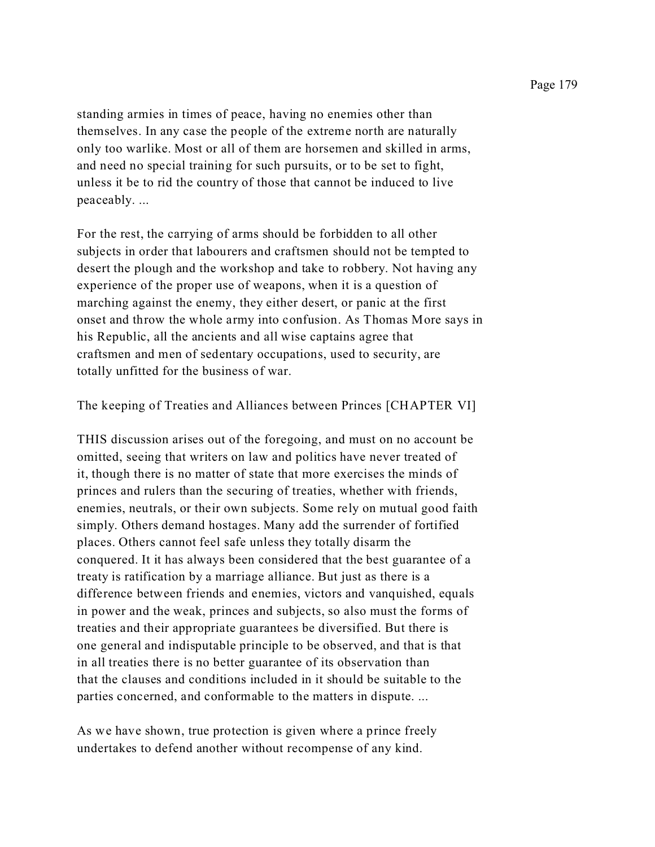standing armies in times of peace, having no enemies other than themselves. In any case the people of the extreme north are naturally only too warlike. Most or all of them are horsemen and skilled in arms, and need no special training for such pursuits, or to be set to fight, unless it be to rid the country of those that cannot be induced to live peaceably. ...

For the rest, the carrying of arms should be forbidden to all other subjects in order that labourers and craftsmen should not be tempted to desert the plough and the workshop and take to robbery. Not having any experience of the proper use of weapons, when it is a question of marching against the enemy, they either desert, or panic at the first onset and throw the whole army into confusion. As Thomas More says in his Republic, all the ancients and all wise captains agree that craftsmen and men of sedentary occupations, used to security, are totally unfitted for the business of war.

## The keeping of Treaties and Alliances between Princes [CHAPTER VI]

THIS discussion arises out of the foregoing, and must on no account be omitted, seeing that writers on law and politics have never treated of it, though there is no matter of state that more exercises the minds of princes and rulers than the securing of treaties, whether with friends, enemies, neutrals, or their own subjects. Some rely on mutual good faith simply. Others demand hostages. Many add the surrender of fortified places. Others cannot feel safe unless they totally disarm the conquered. It it has always been considered that the best guarantee of a treaty is ratification by a marriage alliance. But just as there is a difference between friends and enemies, victors and vanquished, equals in power and the weak, princes and subjects, so also must the forms of treaties and their appropriate guarantees be diversified. But there is one general and indisputable principle to be observed, and that is that in all treaties there is no better guarantee of its observation than that the clauses and conditions included in it should be suitable to the parties concerned, and conformable to the matters in dispute. ...

As we have shown, true protection is given where a prince freely undertakes to defend another without recompense of any kind.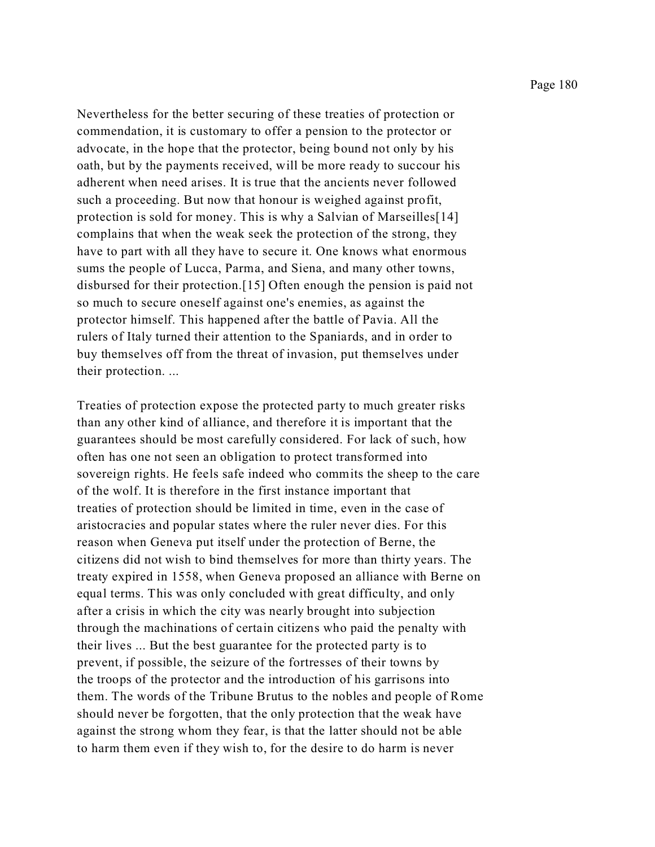Nevertheless for the better securing of these treaties of protection or commendation, it is customary to offer a pension to the protector or advocate, in the hope that the protector, being bound not only by his oath, but by the payments received, will be more ready to succour his adherent when need arises. It is true that the ancients never followed such a proceeding. But now that honour is weighed against profit, protection is sold for money. This is why a Salvian of Marseilles[14] complains that when the weak seek the protection of the strong, they have to part with all they have to secure it. One knows what enormous sums the people of Lucca, Parma, and Siena, and many other towns, disbursed for their protection.[15] Often enough the pension is paid not so much to secure oneself against one's enemies, as against the protector himself. This happened after the battle of Pavia. All the rulers of Italy turned their attention to the Spaniards, and in order to buy themselves off from the threat of invasion, put themselves under their protection. ...

Treaties of protection expose the protected party to much greater risks than any other kind of alliance, and therefore it is important that the guarantees should be most carefully considered. For lack of such, how often has one not seen an obligation to protect transformed into sovereign rights. He feels safe indeed who commits the sheep to the care of the wolf. It is therefore in the first instance important that treaties of protection should be limited in time, even in the case of aristocracies and popular states where the ruler never dies. For this reason when Geneva put itself under the protection of Berne, the citizens did not wish to bind themselves for more than thirty years. The treaty expired in 1558, when Geneva proposed an alliance with Berne on equal terms. This was only concluded with great difficulty, and only after a crisis in which the city was nearly brought into subjection through the machinations of certain citizens who paid the penalty with their lives ... But the best guarantee for the protected party is to prevent, if possible, the seizure of the fortresses of their towns by the troops of the protector and the introduction of his garrisons into them. The words of the Tribune Brutus to the nobles and people of Rome should never be forgotten, that the only protection that the weak have against the strong whom they fear, is that the latter should not be able to harm them even if they wish to, for the desire to do harm is never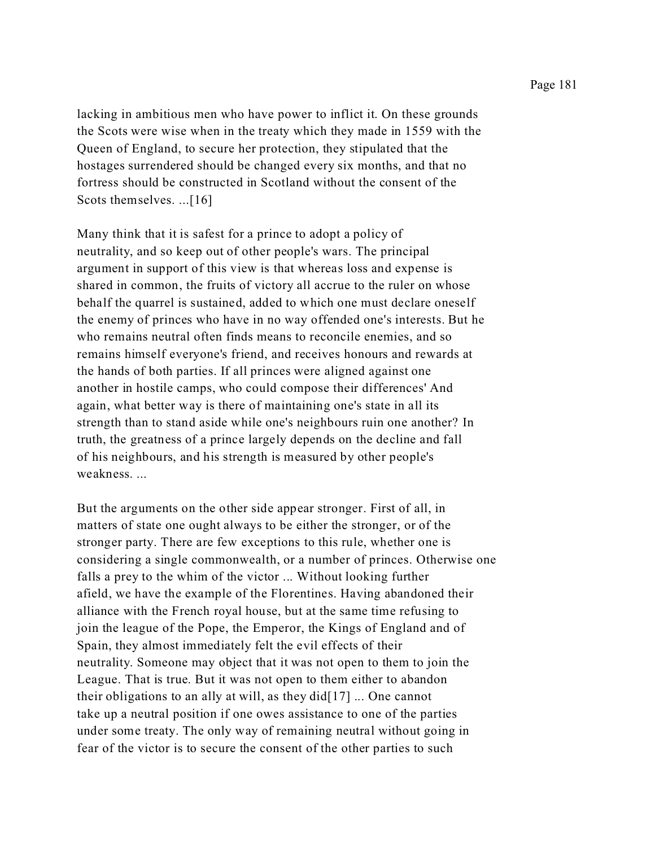lacking in ambitious men who have power to inflict it. On these grounds the Scots were wise when in the treaty which they made in 1559 with the Queen of England, to secure her protection, they stipulated that the hostages surrendered should be changed every six months, and that no fortress should be constructed in Scotland without the consent of the

Scots themselves. ...<sup>[16]</sup>

Many think that it is safest for a prince to adopt a policy of neutrality, and so keep out of other people's wars. The principal argument in support of this view is that whereas loss and expense is shared in common, the fruits of victory all accrue to the ruler on whose behalf the quarrel is sustained, added to which one must declare oneself the enemy of princes who have in no way offended one's interests. But he who remains neutral often finds means to reconcile enemies, and so remains himself everyone's friend, and receives honours and rewards at the hands of both parties. If all princes were aligned against one another in hostile camps, who could compose their differences' And again, what better way is there of maintaining one's state in all its strength than to stand aside while one's neighbours ruin one another? In truth, the greatness of a prince largely depends on the decline and fall of his neighbours, and his strength is measured by other people's weakness. ...

But the arguments on the other side appear stronger. First of all, in matters of state one ought always to be either the stronger, or of the stronger party. There are few exceptions to this rule, whether one is considering a single commonwealth, or a number of princes. Otherwise one falls a prey to the whim of the victor ... Without looking further afield, we have the example of the Florentines. Having abandoned their alliance with the French royal house, but at the same time refusing to join the league of the Pope, the Emperor, the Kings of England and of Spain, they almost immediately felt the evil effects of their neutrality. Someone may object that it was not open to them to join the League. That is true. But it was not open to them either to abandon their obligations to an ally at will, as they  $di\llbracket 17 \rrbracket$ ... One cannot take up a neutral position if one owes assistance to one of the parties under some treaty. The only way of remaining neutral without going in fear of the victor is to secure the consent of the other parties to such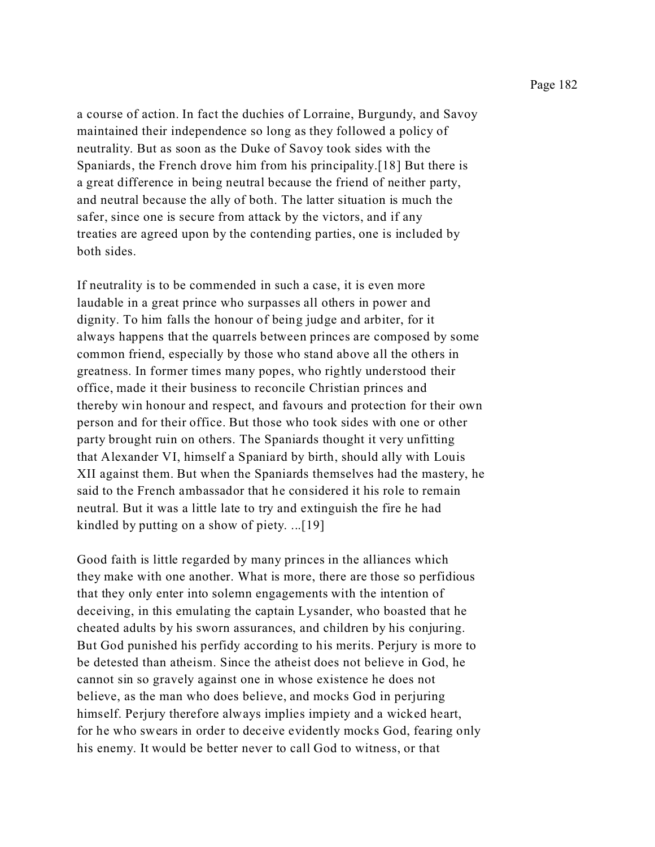a course of action. In fact the duchies of Lorraine, Burgundy, and Savoy maintained their independence so long as they followed a policy of neutrality. But as soon as the Duke of Savoy took sides with the Spaniards, the French drove him from his principality.[18] But there is a great difference in being neutral because the friend of neither party, and neutral because the ally of both. The latter situation is much the safer, since one is secure from attack by the victors, and if any treaties are agreed upon by the contending parties, one is included by both sides.

If neutrality is to be commended in such a case, it is even more laudable in a great prince who surpasses all others in power and dignity. To him falls the honour of being judge and arbiter, for it always happens that the quarrels between princes are composed by some common friend, especially by those who stand above all the others in greatness. In former times many popes, who rightly understood their office, made it their business to reconcile Christian princes and thereby win honour and respect, and favours and protection for their own person and for their office. But those who took sides with one or other party brought ruin on others. The Spaniards thought it very unfitting that Alexander VI, himself a Spaniard by birth, should ally with Louis XII against them. But when the Spaniards themselves had the mastery, he said to the French ambassador that he considered it his role to remain neutral. But it was a little late to try and extinguish the fire he had kindled by putting on a show of piety. ...[19]

Good faith is little regarded by many princes in the alliances which they make with one another. What is more, there are those so perfidious that they only enter into solemn engagements with the intention of deceiving, in this emulating the captain Lysander, who boasted that he cheated adults by his sworn assurances, and children by his conjuring. But God punished his perfidy according to his merits. Perjury is more to be detested than atheism. Since the atheist does not believe in God, he cannot sin so gravely against one in whose existence he does not believe, as the man who does believe, and mocks God in perjuring himself. Perjury therefore always implies impiety and a wicked heart, for he who swears in order to deceive evidently mocks God, fearing only his enemy. It would be better never to call God to witness, or that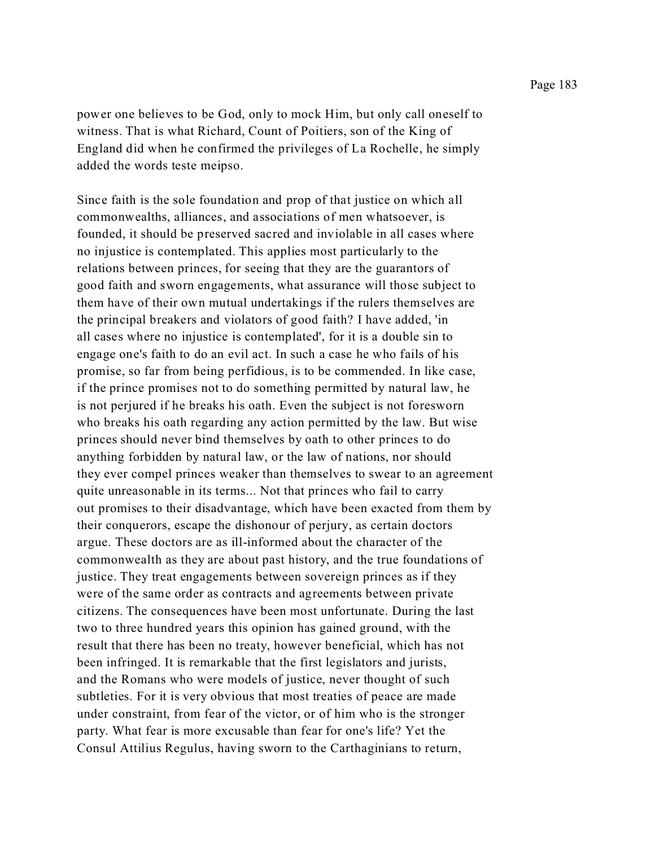power one believes to be God, only to mock Him, but only call oneself to witness. That is what Richard, Count of Poitiers, son of the King of England did when he confirmed the privileges of La Rochelle, he simply added the words teste meipso.

Since faith is the sole foundation and prop of that justice on which all commonwealths, alliances, and associations of men whatsoever, is founded, it should be preserved sacred and inviolable in all cases where no injustice is contemplated. This applies most particularly to the relations between princes, for seeing that they are the guarantors of good faith and sworn engagements, what assurance will those subject to them have of their own mutual undertakings if the rulers themselves are the principal breakers and violators of good faith? I have added, 'in all cases where no injustice is contemplated', for it is a double sin to engage one's faith to do an evil act. In such a case he who fails of his promise, so far from being perfidious, is to be commended. In like case, if the prince promises not to do something permitted by natural law, he is not perjured if he breaks his oath. Even the subject is not foresworn who breaks his oath regarding any action permitted by the law. But wise princes should never bind themselves by oath to other princes to do anything forbidden by natural law, or the law of nations, nor should they ever compel princes weaker than themselves to swear to an agreement quite unreasonable in its terms... Not that princes who fail to carry out promises to their disadvantage, which have been exacted from them by their conquerors, escape the dishonour of perjury, as certain doctors argue. These doctors are as ill-informed about the character of the commonwealth as they are about past history, and the true foundations of justice. They treat engagements between sovereign princes as if they were of the same order as contracts and agreements between private citizens. The consequences have been most unfortunate. During the last two to three hundred years this opinion has gained ground, with the result that there has been no treaty, however beneficial, which has not been infringed. It is remarkable that the first legislators and jurists, and the Romans who were models of justice, never thought of such subtleties. For it is very obvious that most treaties of peace are made under constraint, from fear of the victor, or of him who is the stronger party. What fear is more excusable than fear for one's life? Yet the Consul Attilius Regulus, having sworn to the Carthaginians to return,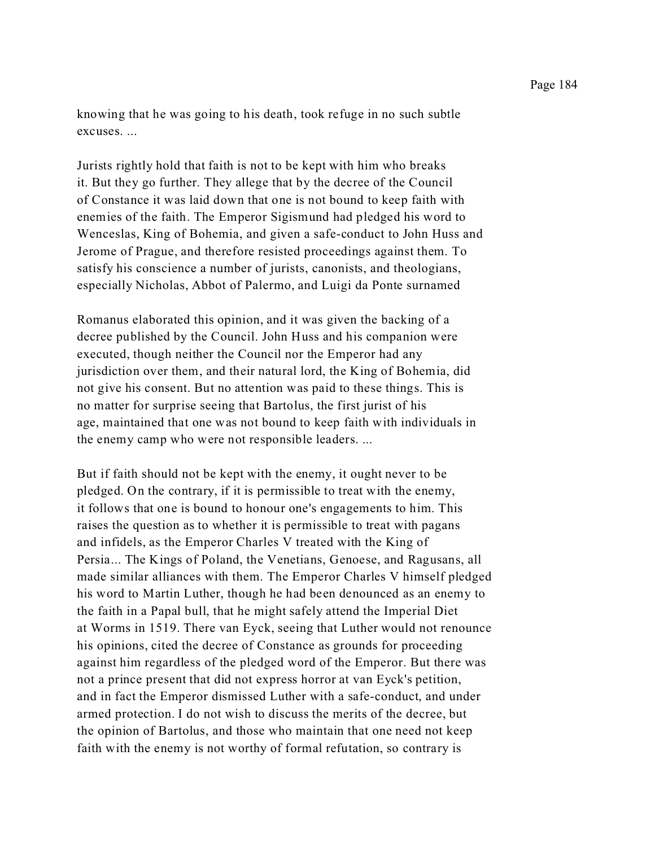knowing that he was going to his death, took refuge in no such subtle excuses. ...

Jurists rightly hold that faith is not to be kept with him who breaks it. But they go further. They allege that by the decree of the Council of Constance it was laid down that one is not bound to keep faith with enemies of the faith. The Emperor Sigismund had pledged his word to Wenceslas, King of Bohemia, and given a safe-conduct to John Huss and Jerome of Prague, and therefore resisted proceedings against them. To satisfy his conscience a number of jurists, canonists, and theologians, especially Nicholas, Abbot of Palermo, and Luigi da Ponte surnamed

Romanus elaborated this opinion, and it was given the backing of a decree published by the Council. John Huss and his companion were executed, though neither the Council nor the Emperor had any jurisdiction over them, and their natural lord, the King of Bohemia, did not give his consent. But no attention was paid to these things. This is no matter for surprise seeing that Bartolus, the first jurist of his age, maintained that one was not bound to keep faith with individuals in the enemy camp who were not responsible leaders. ...

But if faith should not be kept with the enemy, it ought never to be pledged. On the contrary, if it is permissible to treat with the enemy, it follows that one is bound to honour one's engagements to him. This raises the question as to whether it is permissible to treat with pagans and infidels, as the Emperor Charles V treated with the King of Persia... The Kings of Poland, the Venetians, Genoese, and Ragusans, all made similar alliances with them. The Emperor Charles V himself pledged his word to Martin Luther, though he had been denounced as an enemy to the faith in a Papal bull, that he might safely attend the Imperial Diet at Worms in 1519. There van Eyck, seeing that Luther would not renounce his opinions, cited the decree of Constance as grounds for proceeding against him regardless of the pledged word of the Emperor. But there was not a prince present that did not express horror at van Eyck's petition, and in fact the Emperor dismissed Luther with a safe-conduct, and under armed protection. I do not wish to discuss the merits of the decree, but the opinion of Bartolus, and those who maintain that one need not keep faith with the enemy is not worthy of formal refutation, so contrary is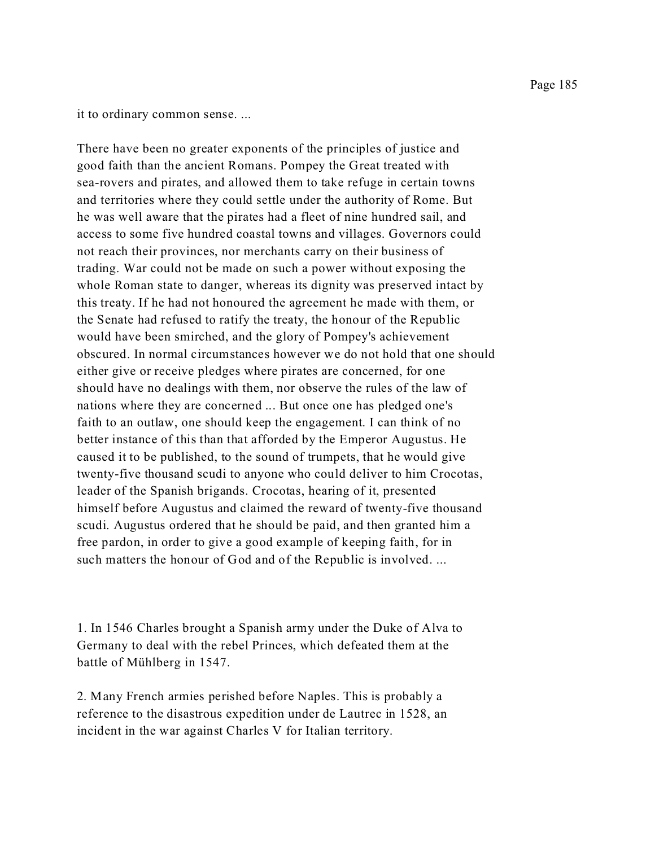it to ordinary common sense. ...

There have been no greater exponents of the principles of justice and good faith than the ancient Romans. Pompey the Great treated with sea-rovers and pirates, and allowed them to take refuge in certain towns and territories where they could settle under the authority of Rome. But he was well aware that the pirates had a fleet of nine hundred sail, and access to some five hundred coastal towns and villages. Governors could not reach their provinces, nor merchants carry on their business of trading. War could not be made on such a power without exposing the whole Roman state to danger, whereas its dignity was preserved intact by this treaty. If he had not honoured the agreement he made with them, or the Senate had refused to ratify the treaty, the honour of the Republic would have been smirched, and the glory of Pompey's achievement obscured. In normal circumstances however we do not hold that one should either give or receive pledges where pirates are concerned, for one should have no dealings with them, nor observe the rules of the law of nations where they are concerned ... But once one has pledged one's faith to an outlaw, one should keep the engagement. I can think of no better instance of this than that afforded by the Emperor Augustus. He caused it to be published, to the sound of trumpets, that he would give twenty-five thousand scudi to anyone who could deliver to him Crocotas, leader of the Spanish brigands. Crocotas, hearing of it, presented himself before Augustus and claimed the reward of twenty-five thousand scudi. Augustus ordered that he should be paid, and then granted him a free pardon, in order to give a good example of keeping faith, for in such matters the honour of God and of the Republic is involved. ...

1. In 1546 Charles brought a Spanish army under the Duke of Alva to Germany to deal with the rebel Princes, which defeated them at the battle of Mühlberg in 1547.

2. Many French armies perished before Naples. This is probably a reference to the disastrous expedition under de Lautrec in 1528, an incident in the war against Charles V for Italian territory.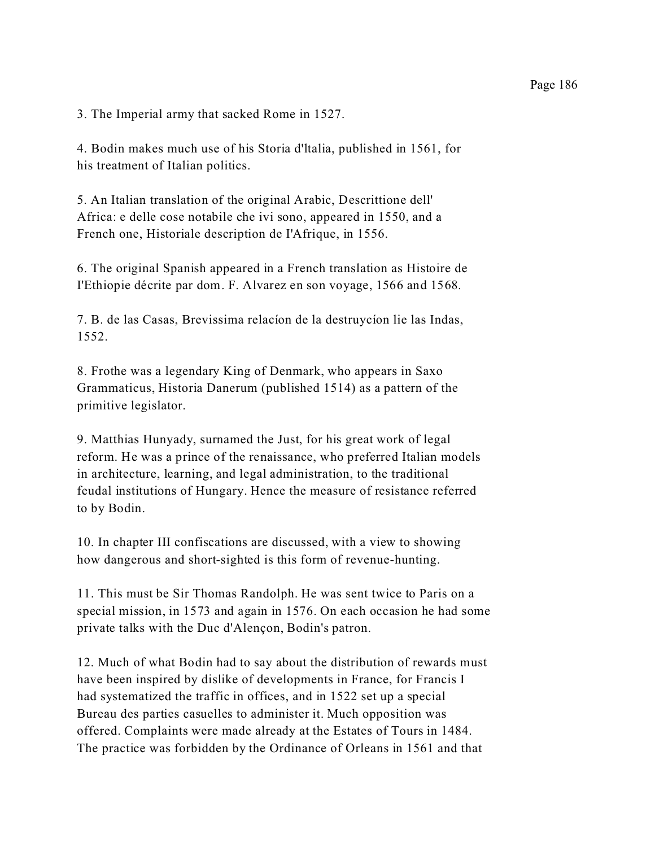3. The Imperial army that sacked Rome in 1527.

4. Bodin makes much use of his Storia d'ltalia, published in 1561, for his treatment of Italian politics.

5. An Italian translation of the original Arabic, Descrittione dell' Africa: e delle cose notabile che ivi sono, appeared in 1550, and a French one, Historiale description de I'Afrique, in 1556.

6. The original Spanish appeared in a French translation as Histoire de I'Ethiopie décrite par dom. F. Alvarez en son voyage, 1566 and 1568.

7. B. de las Casas, Brevissima relacíon de la destruycíon lie las Indas, 1552.

8. Frothe was a legendary King of Denmark, who appears in Saxo Grammaticus, Historia Danerum (published 1514) as a pattern of the primitive legislator.

9. Matthias Hunyady, surnamed the Just, for his great work of legal reform. He was a prince of the renaissance, who preferred Italian models in architecture, learning, and legal administration, to the traditional feudal institutions of Hungary. Hence the measure of resistance referred to by Bodin.

10. In chapter III confiscations are discussed, with a view to showing how dangerous and short-sighted is this form of revenue-hunting.

11. This must be Sir Thomas Randolph. He was sent twice to Paris on a special mission, in 1573 and again in 1576. On each occasion he had some private talks with the Duc d'Alençon, Bodin's patron.

12. Much of what Bodin had to say about the distribution of rewards must have been inspired by dislike of developments in France, for Francis I had systematized the traffic in offices, and in 1522 set up a special Bureau des parties casuelles to administer it. Much opposition was offered. Complaints were made already at the Estates of Tours in 1484. The practice was forbidden by the Ordinance of Orleans in 1561 and that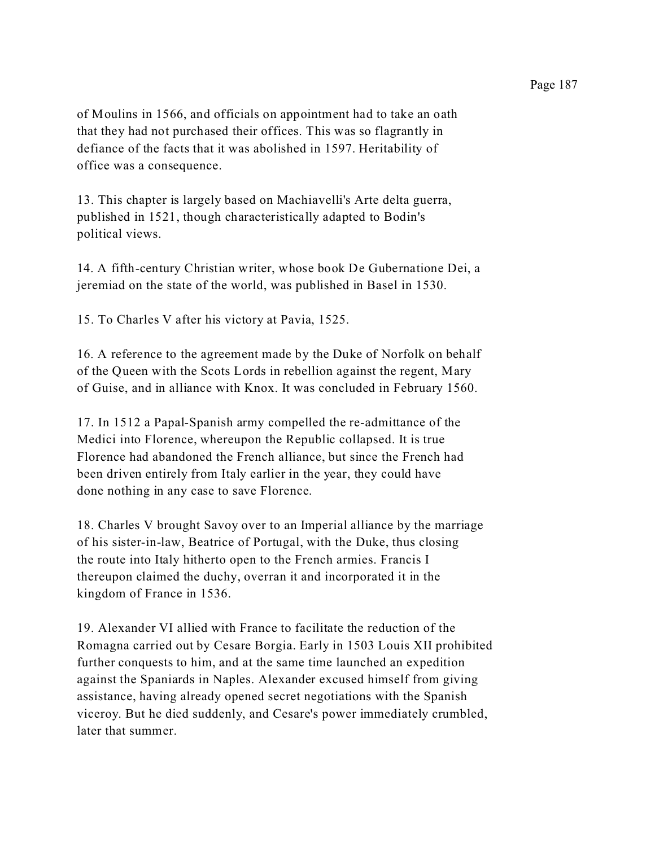of Moulins in 1566, and officials on appointment had to take an oath that they had not purchased their offices. This was so flagrantly in defiance of the facts that it was abolished in 1597. Heritability of office was a consequence.

13. This chapter is largely based on Machiavelli's Arte delta guerra, published in 1521, though characteristically adapted to Bodin's political views.

14. A fifth-century Christian writer, whose book De Gubernatione Dei, a jeremiad on the state of the world, was published in Basel in 1530.

15. To Charles V after his victory at Pavia, 1525.

16. A reference to the agreement made by the Duke of Norfolk on behalf of the Queen with the Scots Lords in rebellion against the regent, Mary of Guise, and in alliance with Knox. It was concluded in February 1560.

17. In 1512 a Papal-Spanish army compelled the re-admittance of the Medici into Florence, whereupon the Republic collapsed. It is true Florence had abandoned the French alliance, but since the French had been driven entirely from Italy earlier in the year, they could have done nothing in any case to save Florence.

18. Charles V brought Savoy over to an Imperial alliance by the marriage of his sister-in-law, Beatrice of Portugal, with the Duke, thus closing the route into Italy hitherto open to the French armies. Francis I thereupon claimed the duchy, overran it and incorporated it in the kingdom of France in 1536.

19. Alexander VI allied with France to facilitate the reduction of the Romagna carried out by Cesare Borgia. Early in 1503 Louis XII prohibited further conquests to him, and at the same time launched an expedition against the Spaniards in Naples. Alexander excused himself from giving assistance, having already opened secret negotiations with the Spanish viceroy. But he died suddenly, and Cesare's power immediately crumbled, later that summer.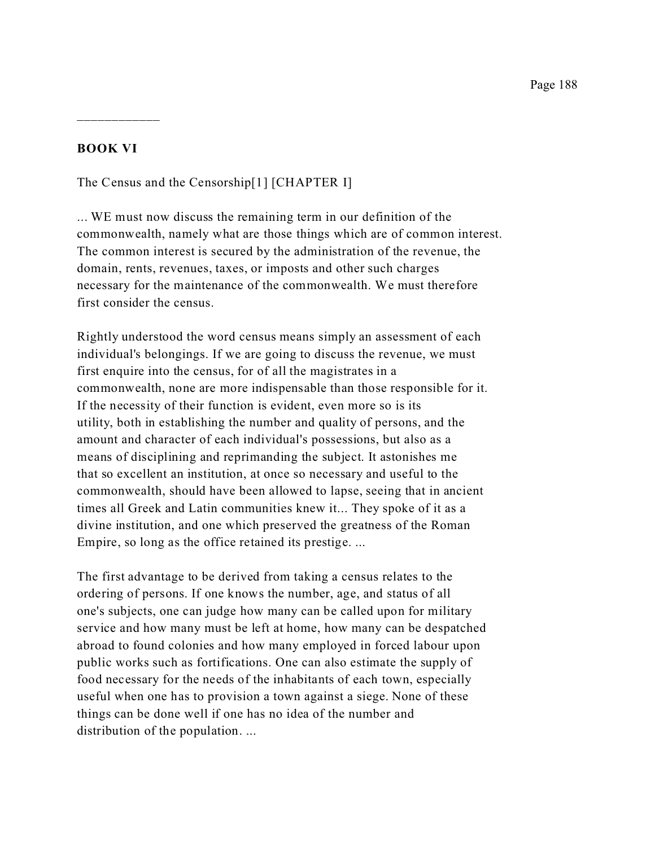## **BOOK VI**

\_\_\_\_\_\_\_\_\_\_\_\_

The Census and the Censorship[1] [CHAPTER I]

... WE must now discuss the remaining term in our definition of the commonwealth, namely what are those things which are of common interest. The common interest is secured by the administration of the revenue, the domain, rents, revenues, taxes, or imposts and other such charges necessary for the maintenance of the commonwealth. We must therefore first consider the census.

Rightly understood the word census means simply an assessment of each individual's belongings. If we are going to discuss the revenue, we must first enquire into the census, for of all the magistrates in a commonwealth, none are more indispensable than those responsible for it. If the necessity of their function is evident, even more so is its utility, both in establishing the number and quality of persons, and the amount and character of each individual's possessions, but also as a means of disciplining and reprimanding the subject. It astonishes me that so excellent an institution, at once so necessary and useful to the commonwealth, should have been allowed to lapse, seeing that in ancient times all Greek and Latin communities knew it... They spoke of it as a divine institution, and one which preserved the greatness of the Roman Empire, so long as the office retained its prestige. ...

The first advantage to be derived from taking a census relates to the ordering of persons. If one knows the number, age, and status of all one's subjects, one can judge how many can be called upon for military service and how many must be left at home, how many can be despatched abroad to found colonies and how many employed in forced labour upon public works such as fortifications. One can also estimate the supply of food necessary for the needs of the inhabitants of each town, especially useful when one has to provision a town against a siege. None of these things can be done well if one has no idea of the number and distribution of the population. ...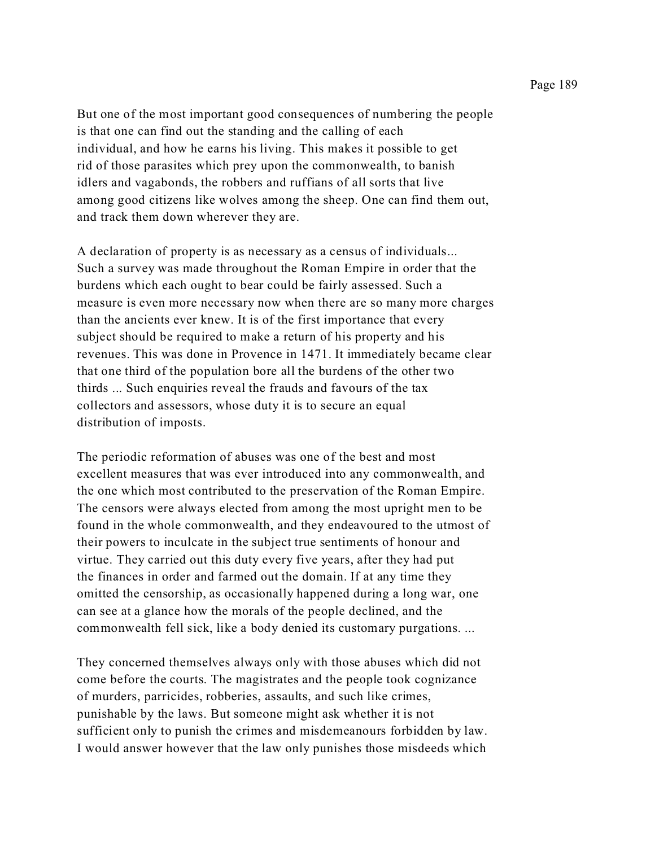Page 189

But one of the most important good consequences of numbering the people is that one can find out the standing and the calling of each individual, and how he earns his living. This makes it possible to get rid of those parasites which prey upon the commonwealth, to banish idlers and vagabonds, the robbers and ruffians of all sorts that live among good citizens like wolves among the sheep. One can find them out, and track them down wherever they are.

A declaration of property is as necessary as a census of individuals... Such a survey was made throughout the Roman Empire in order that the burdens which each ought to bear could be fairly assessed. Such a measure is even more necessary now when there are so many more charges than the ancients ever knew. It is of the first importance that every subject should be required to make a return of his property and his revenues. This was done in Provence in 1471. It immediately became clear that one third of the population bore all the burdens of the other two thirds ... Such enquiries reveal the frauds and favours of the tax collectors and assessors, whose duty it is to secure an equal distribution of imposts.

The periodic reformation of abuses was one of the best and most excellent measures that was ever introduced into any commonwealth, and the one which most contributed to the preservation of the Roman Empire. The censors were always elected from among the most upright men to be found in the whole commonwealth, and they endeavoured to the utmost of their powers to inculcate in the subject true sentiments of honour and virtue. They carried out this duty every five years, after they had put the finances in order and farmed out the domain. If at any time they omitted the censorship, as occasionally happened during a long war, one can see at a glance how the morals of the people declined, and the commonwealth fell sick, like a body denied its customary purgations. ...

They concerned themselves always only with those abuses which did not come before the courts. The magistrates and the people took cognizance of murders, parricides, robberies, assaults, and such like crimes, punishable by the laws. But someone might ask whether it is not sufficient only to punish the crimes and misdemeanours forbidden by law. I would answer however that the law only punishes those misdeeds which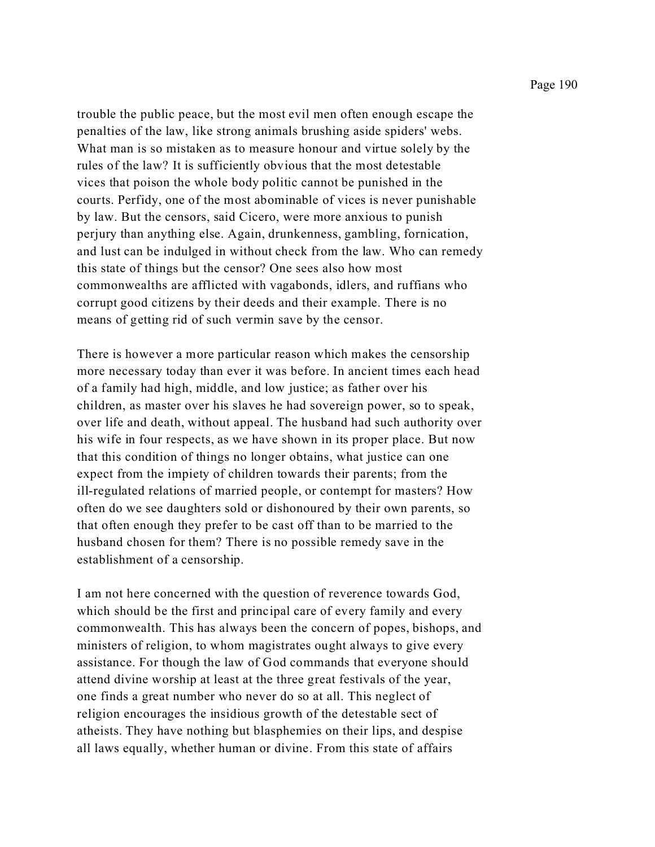trouble the public peace, but the most evil men often enough escape the penalties of the law, like strong animals brushing aside spiders' webs. What man is so mistaken as to measure honour and virtue solely by the rules of the law? It is sufficiently obvious that the most detestable vices that poison the whole body politic cannot be punished in the courts. Perfidy, one of the most abominable of vices is never punishable by law. But the censors, said Cicero, were more anxious to punish perjury than anything else. Again, drunkenness, gambling, fornication, and lust can be indulged in without check from the law. Who can remedy this state of things but the censor? One sees also how most commonwealths are afflicted with vagabonds, idlers, and ruffians who corrupt good citizens by their deeds and their example. There is no means of getting rid of such vermin save by the censor.

There is however a more particular reason which makes the censorship more necessary today than ever it was before. In ancient times each head of a family had high, middle, and low justice; as father over his children, as master over his slaves he had sovereign power, so to speak, over life and death, without appeal. The husband had such authority over his wife in four respects, as we have shown in its proper place. But now that this condition of things no longer obtains, what justice can one expect from the impiety of children towards their parents; from the ill-regulated relations of married people, or contempt for masters? How often do we see daughters sold or dishonoured by their own parents, so that often enough they prefer to be cast off than to be married to the husband chosen for them? There is no possible remedy save in the establishment of a censorship.

I am not here concerned with the question of reverence towards God, which should be the first and principal care of every family and every commonwealth. This has always been the concern of popes, bishops, and ministers of religion, to whom magistrates ought always to give every assistance. For though the law of God commands that everyone should attend divine worship at least at the three great festivals of the year, one finds a great number who never do so at all. This neglect of religion encourages the insidious growth of the detestable sect of atheists. They have nothing but blasphemies on their lips, and despise all laws equally, whether human or divine. From this state of affairs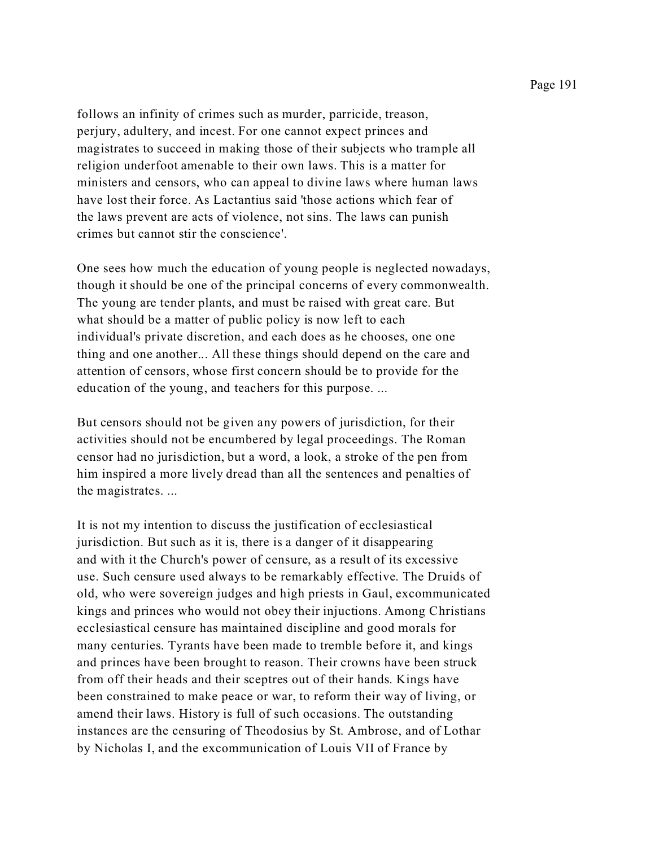follows an infinity of crimes such as murder, parricide, treason, perjury, adultery, and incest. For one cannot expect princes and magistrates to succeed in making those of their subjects who trample all religion underfoot amenable to their own laws. This is a matter for ministers and censors, who can appeal to divine laws where human laws have lost their force. As Lactantius said 'those actions which fear of the laws prevent are acts of violence, not sins. The laws can punish crimes but cannot stir the conscience'.

One sees how much the education of young people is neglected nowadays, though it should be one of the principal concerns of every commonwealth. The young are tender plants, and must be raised with great care. But what should be a matter of public policy is now left to each individual's private discretion, and each does as he chooses, one one thing and one another... All these things should depend on the care and attention of censors, whose first concern should be to provide for the education of the young, and teachers for this purpose. ...

But censors should not be given any powers of jurisdiction, for their activities should not be encumbered by legal proceedings. The Roman censor had no jurisdiction, but a word, a look, a stroke of the pen from him inspired a more lively dread than all the sentences and penalties of the magistrates. ...

It is not my intention to discuss the justification of ecclesiastical jurisdiction. But such as it is, there is a danger of it disappearing and with it the Church's power of censure, as a result of its excessive use. Such censure used always to be remarkably effective. The Druids of old, who were sovereign judges and high priests in Gaul, excommunicated kings and princes who would not obey their injuctions. Among Christians ecclesiastical censure has maintained discipline and good morals for many centuries. Tyrants have been made to tremble before it, and kings and princes have been brought to reason. Their crowns have been struck from off their heads and their sceptres out of their hands. Kings have been constrained to make peace or war, to reform their way of living, or amend their laws. History is full of such occasions. The outstanding instances are the censuring of Theodosius by St. Ambrose, and of Lothar by Nicholas I, and the excommunication of Louis VII of France by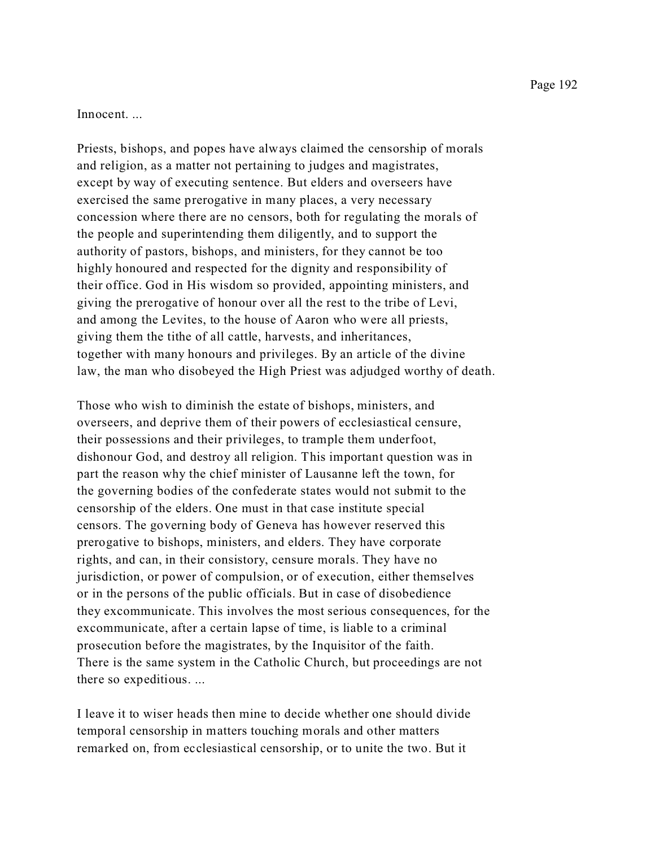Innocent.

Priests, bishops, and popes have always claimed the censorship of morals and religion, as a matter not pertaining to judges and magistrates, except by way of executing sentence. But elders and overseers have exercised the same prerogative in many places, a very necessary concession where there are no censors, both for regulating the morals of the people and superintending them diligently, and to support the authority of pastors, bishops, and ministers, for they cannot be too highly honoured and respected for the dignity and responsibility of their office. God in His wisdom so provided, appointing ministers, and giving the prerogative of honour over all the rest to the tribe of Levi, and among the Levites, to the house of Aaron who were all priests, giving them the tithe of all cattle, harvests, and inheritances, together with many honours and privileges. By an article of the divine law, the man who disobeyed the High Priest was adjudged worthy of death.

Those who wish to diminish the estate of bishops, ministers, and overseers, and deprive them of their powers of ecclesiastical censure, their possessions and their privileges, to trample them underfoot, dishonour God, and destroy all religion. This important question was in part the reason why the chief minister of Lausanne left the town, for the governing bodies of the confederate states would not submit to the censorship of the elders. One must in that case institute special censors. The governing body of Geneva has however reserved this prerogative to bishops, ministers, and elders. They have corporate rights, and can, in their consistory, censure morals. They have no jurisdiction, or power of compulsion, or of execution, either themselves or in the persons of the public officials. But in case of disobedience they excommunicate. This involves the most serious consequences, for the excommunicate, after a certain lapse of time, is liable to a criminal prosecution before the magistrates, by the Inquisitor of the faith. There is the same system in the Catholic Church, but proceedings are not there so expeditious. ...

I leave it to wiser heads then mine to decide whether one should divide temporal censorship in matters touching morals and other matters remarked on, from ecclesiastical censorship, or to unite the two. But it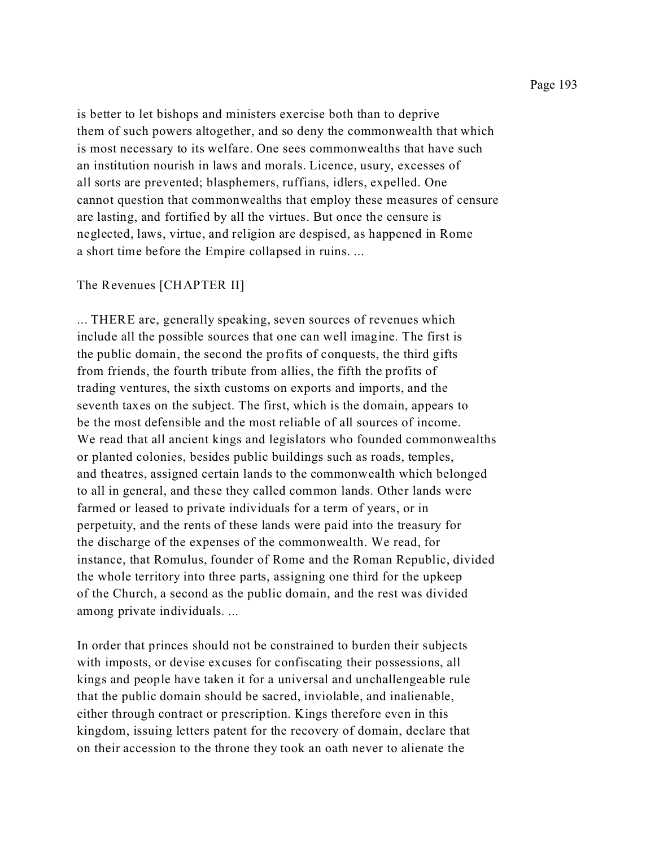is better to let bishops and ministers exercise both than to deprive them of such powers altogether, and so deny the commonwealth that which is most necessary to its welfare. One sees commonwealths that have such an institution nourish in laws and morals. Licence, usury, excesses of all sorts are prevented; blasphemers, ruffians, idlers, expelled. One cannot question that commonwealths that employ these measures of censure are lasting, and fortified by all the virtues. But once the censure is neglected, laws, virtue, and religion are despised, as happened in Rome a short time before the Empire collapsed in ruins. ...

## The Revenues [CHAPTER II]

... THERE are, generally speaking, seven sources of revenues which include all the possible sources that one can well imagine. The first is the public domain, the second the profits of conquests, the third gifts from friends, the fourth tribute from allies, the fifth the profits of trading ventures, the sixth customs on exports and imports, and the seventh taxes on the subject. The first, which is the domain, appears to be the most defensible and the most reliable of all sources of income. We read that all ancient kings and legislators who founded commonwealths or planted colonies, besides public buildings such as roads, temples, and theatres, assigned certain lands to the commonwealth which belonged to all in general, and these they called common lands. Other lands were farmed or leased to private individuals for a term of years, or in perpetuity, and the rents of these lands were paid into the treasury for the discharge of the expenses of the commonwealth. We read, for instance, that Romulus, founder of Rome and the Roman Republic, divided the whole territory into three parts, assigning one third for the upkeep of the Church, a second as the public domain, and the rest was divided among private individuals. ...

In order that princes should not be constrained to burden their subjects with imposts, or devise excuses for confiscating their possessions, all kings and people have taken it for a universal and unchallengeable rule that the public domain should be sacred, inviolable, and inalienable, either through contract or prescription. Kings therefore even in this kingdom, issuing letters patent for the recovery of domain, declare that on their accession to the throne they took an oath never to alienate the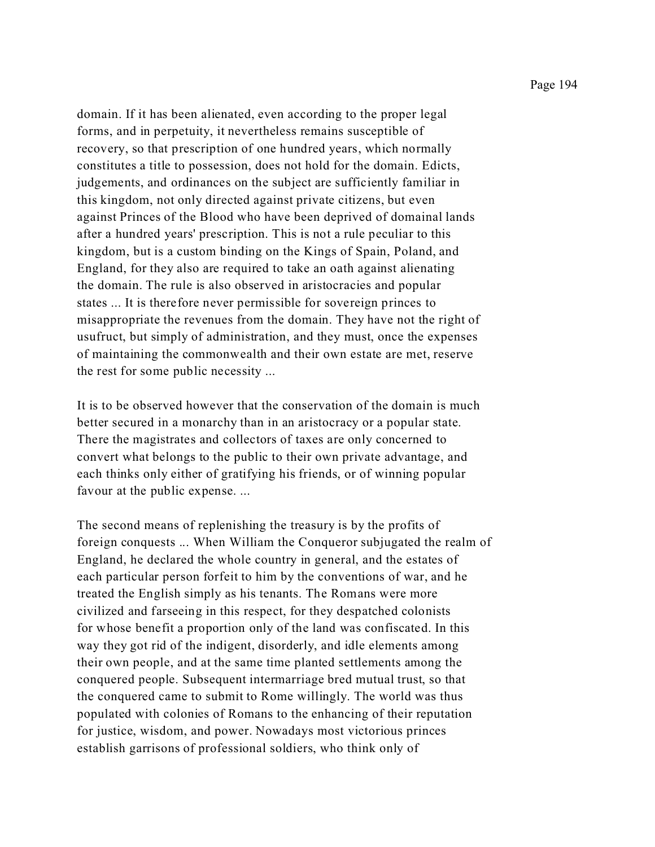domain. If it has been alienated, even according to the proper legal forms, and in perpetuity, it nevertheless remains susceptible of recovery, so that prescription of one hundred years, which normally constitutes a title to possession, does not hold for the domain. Edicts, judgements, and ordinances on the subject are sufficiently familiar in this kingdom, not only directed against private citizens, but even against Princes of the Blood who have been deprived of domainal lands after a hundred years' prescription. This is not a rule peculiar to this kingdom, but is a custom binding on the Kings of Spain, Poland, and England, for they also are required to take an oath against alienating the domain. The rule is also observed in aristocracies and popular states ... It is therefore never permissible for sovereign princes to misappropriate the revenues from the domain. They have not the right of usufruct, but simply of administration, and they must, once the expenses of maintaining the commonwealth and their own estate are met, reserve the rest for some public necessity ...

It is to be observed however that the conservation of the domain is much better secured in a monarchy than in an aristocracy or a popular state. There the magistrates and collectors of taxes are only concerned to convert what belongs to the public to their own private advantage, and each thinks only either of gratifying his friends, or of winning popular favour at the public expense. ...

The second means of replenishing the treasury is by the profits of foreign conquests ... When William the Conqueror subjugated the realm of England, he declared the whole country in general, and the estates of each particular person forfeit to him by the conventions of war, and he treated the English simply as his tenants. The Romans were more civilized and farseeing in this respect, for they despatched colonists for whose benefit a proportion only of the land was confiscated. In this way they got rid of the indigent, disorderly, and idle elements among their own people, and at the same time planted settlements among the conquered people. Subsequent intermarriage bred mutual trust, so that the conquered came to submit to Rome willingly. The world was thus populated with colonies of Romans to the enhancing of their reputation for justice, wisdom, and power. Nowadays most victorious princes establish garrisons of professional soldiers, who think only of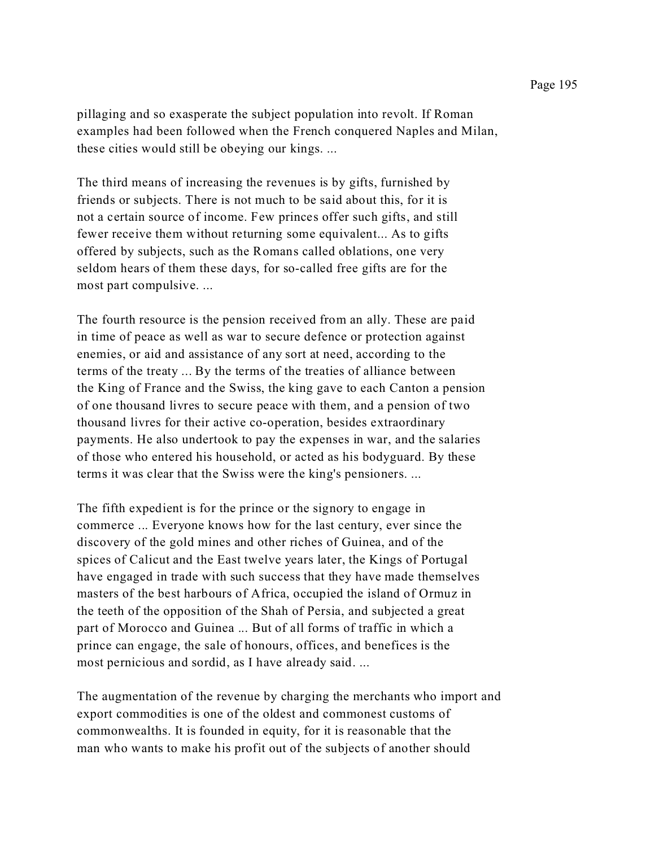pillaging and so exasperate the subject population into revolt. If Roman examples had been followed when the French conquered Naples and Milan, these cities would still be obeying our kings. ...

The third means of increasing the revenues is by gifts, furnished by friends or subjects. There is not much to be said about this, for it is not a certain source of income. Few princes offer such gifts, and still fewer receive them without returning some equivalent... As to gifts offered by subjects, such as the Romans called oblations, one very seldom hears of them these days, for so-called free gifts are for the most part compulsive. ...

The fourth resource is the pension received from an ally. These are paid in time of peace as well as war to secure defence or protection against enemies, or aid and assistance of any sort at need, according to the terms of the treaty ... By the terms of the treaties of alliance between the King of France and the Swiss, the king gave to each Canton a pension of one thousand livres to secure peace with them, and a pension of two thousand livres for their active co-operation, besides extraordinary payments. He also undertook to pay the expenses in war, and the salaries of those who entered his household, or acted as his bodyguard. By these terms it was clear that the Swiss were the king's pensioners. ...

The fifth expedient is for the prince or the signory to engage in commerce ... Everyone knows how for the last century, ever since the discovery of the gold mines and other riches of Guinea, and of the spices of Calicut and the East twelve years later, the Kings of Portugal have engaged in trade with such success that they have made themselves masters of the best harbours of Africa, occupied the island of Ormuz in the teeth of the opposition of the Shah of Persia, and subjected a great part of Morocco and Guinea ... But of all forms of traffic in which a prince can engage, the sale of honours, offices, and benefices is the most pernicious and sordid, as I have already said. ...

The augmentation of the revenue by charging the merchants who import and export commodities is one of the oldest and commonest customs of commonwealths. It is founded in equity, for it is reasonable that the man who wants to make his profit out of the subjects of another should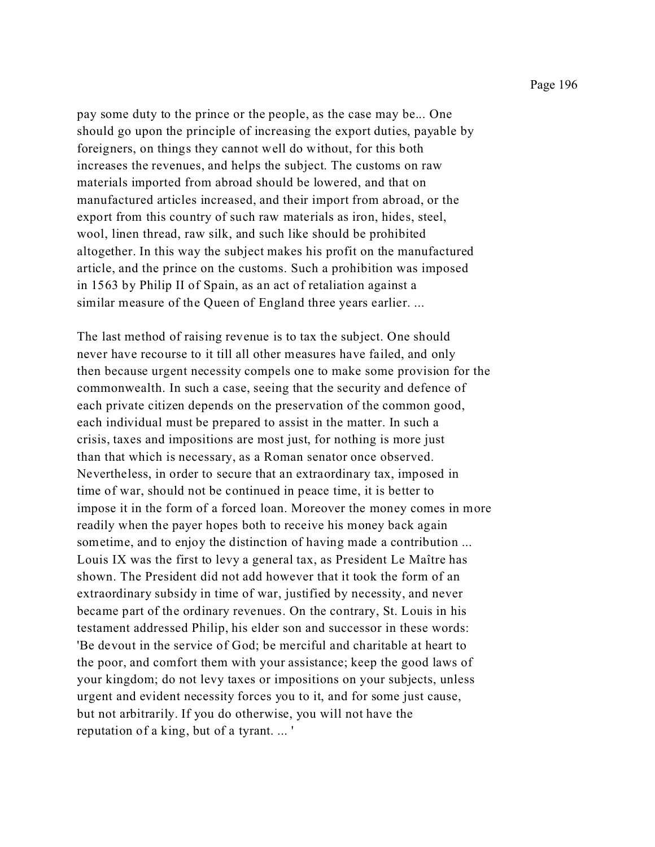Page 196

pay some duty to the prince or the people, as the case may be... One should go upon the principle of increasing the export duties, payable by foreigners, on things they cannot well do without, for this both increases the revenues, and helps the subject. The customs on raw materials imported from abroad should be lowered, and that on manufactured articles increased, and their import from abroad, or the export from this country of such raw materials as iron, hides, steel, wool, linen thread, raw silk, and such like should be prohibited altogether. In this way the subject makes his profit on the manufactured article, and the prince on the customs. Such a prohibition was imposed in 1563 by Philip II of Spain, as an act of retaliation against a similar measure of the Queen of England three years earlier. ...

The last method of raising revenue is to tax the subject. One should never have recourse to it till all other measures have failed, and only then because urgent necessity compels one to make some provision for the commonwealth. In such a case, seeing that the security and defence of each private citizen depends on the preservation of the common good, each individual must be prepared to assist in the matter. In such a crisis, taxes and impositions are most just, for nothing is more just than that which is necessary, as a Roman senator once observed. Nevertheless, in order to secure that an extraordinary tax, imposed in time of war, should not be continued in peace time, it is better to impose it in the form of a forced loan. Moreover the money comes in more readily when the payer hopes both to receive his money back again sometime, and to enjoy the distinction of having made a contribution ... Louis IX was the first to levy a general tax, as President Le Maître has shown. The President did not add however that it took the form of an extraordinary subsidy in time of war, justified by necessity, and never became part of the ordinary revenues. On the contrary, St. Louis in his testament addressed Philip, his elder son and successor in these words: 'Be devout in the service of God; be merciful and charitable at heart to the poor, and comfort them with your assistance; keep the good laws of your kingdom; do not levy taxes or impositions on your subjects, unless urgent and evident necessity forces you to it, and for some just cause, but not arbitrarily. If you do otherwise, you will not have the reputation of a king, but of a tyrant. ... '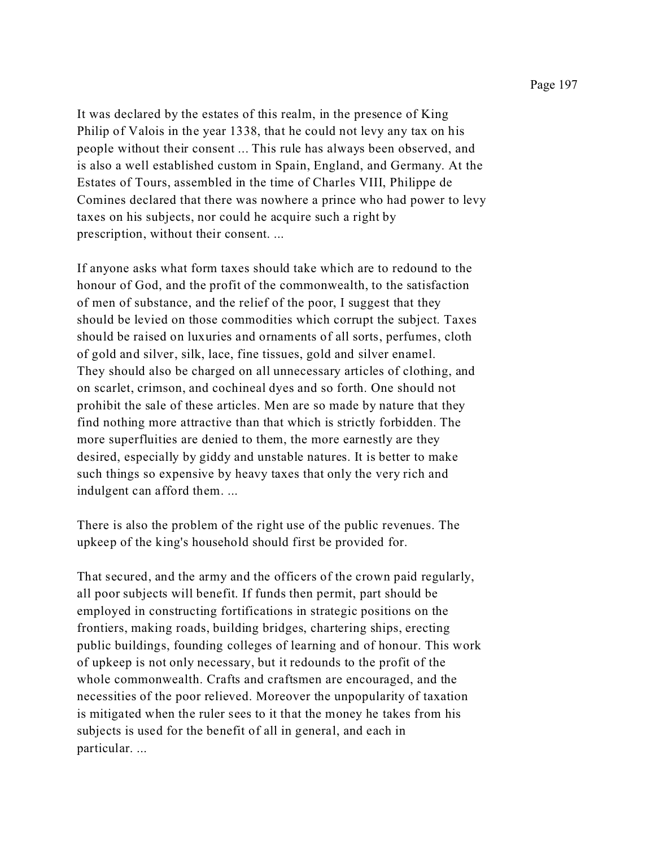Page 197

It was declared by the estates of this realm, in the presence of King Philip of Valois in the year 1338, that he could not levy any tax on his people without their consent ... This rule has always been observed, and is also a well established custom in Spain, England, and Germany. At the Estates of Tours, assembled in the time of Charles VIII, Philippe de Comines declared that there was nowhere a prince who had power to levy taxes on his subjects, nor could he acquire such a right by prescription, without their consent. ...

If anyone asks what form taxes should take which are to redound to the honour of God, and the profit of the commonwealth, to the satisfaction of men of substance, and the relief of the poor, I suggest that they should be levied on those commodities which corrupt the subject. Taxes should be raised on luxuries and ornaments of all sorts, perfumes, cloth of gold and silver, silk, lace, fine tissues, gold and silver enamel. They should also be charged on all unnecessary articles of clothing, and on scarlet, crimson, and cochineal dyes and so forth. One should not prohibit the sale of these articles. Men are so made by nature that they find nothing more attractive than that which is strictly forbidden. The more superfluities are denied to them, the more earnestly are they desired, especially by giddy and unstable natures. It is better to make such things so expensive by heavy taxes that only the very rich and indulgent can afford them. ...

There is also the problem of the right use of the public revenues. The upkeep of the king's household should first be provided for.

That secured, and the army and the officers of the crown paid regularly, all poor subjects will benefit. If funds then permit, part should be employed in constructing fortifications in strategic positions on the frontiers, making roads, building bridges, chartering ships, erecting public buildings, founding colleges of learning and of honour. This work of upkeep is not only necessary, but it redounds to the profit of the whole commonwealth. Crafts and craftsmen are encouraged, and the necessities of the poor relieved. Moreover the unpopularity of taxation is mitigated when the ruler sees to it that the money he takes from his subjects is used for the benefit of all in general, and each in particular. ...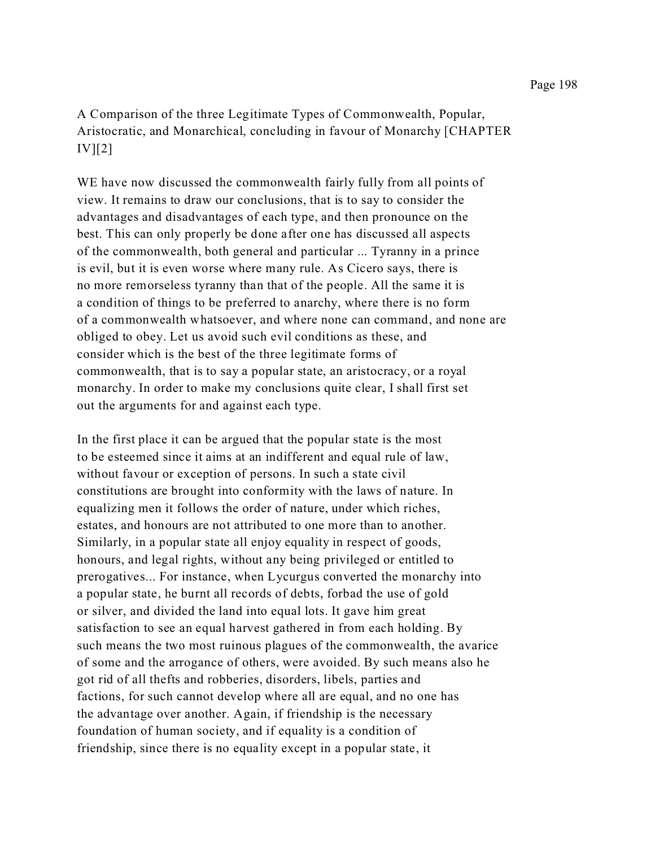A Comparison of the three Legitimate Types of Commonwealth, Popular, Aristocratic, and Monarchical, concluding in favour of Monarchy [CHAPTER IV][2]

WE have now discussed the commonwealth fairly fully from all points of view. It remains to draw our conclusions, that is to say to consider the advantages and disadvantages of each type, and then pronounce on the best. This can only properly be done after one has discussed all aspects of the commonwealth, both general and particular ... Tyranny in a prince is evil, but it is even worse where many rule. As Cicero says, there is no more remorseless tyranny than that of the people. All the same it is a condition of things to be preferred to anarchy, where there is no form of a commonwealth whatsoever, and where none can command, and none are obliged to obey. Let us avoid such evil conditions as these, and consider which is the best of the three legitimate forms of commonwealth, that is to say a popular state, an aristocracy, or a royal monarchy. In order to make my conclusions quite clear, I shall first set out the arguments for and against each type.

In the first place it can be argued that the popular state is the most to be esteemed since it aims at an indifferent and equal rule of law, without favour or exception of persons. In such a state civil constitutions are brought into conformity with the laws of nature. In equalizing men it follows the order of nature, under which riches, estates, and honours are not attributed to one more than to another. Similarly, in a popular state all enjoy equality in respect of goods, honours, and legal rights, without any being privileged or entitled to prerogatives... For instance, when Lycurgus converted the monarchy into a popular state, he burnt all records of debts, forbad the use of gold or silver, and divided the land into equal lots. It gave him great satisfaction to see an equal harvest gathered in from each holding. By such means the two most ruinous plagues of the commonwealth, the avarice of some and the arrogance of others, were avoided. By such means also he got rid of all thefts and robberies, disorders, libels, parties and factions, for such cannot develop where all are equal, and no one has the advantage over another. Again, if friendship is the necessary foundation of human society, and if equality is a condition of friendship, since there is no equality except in a popular state, it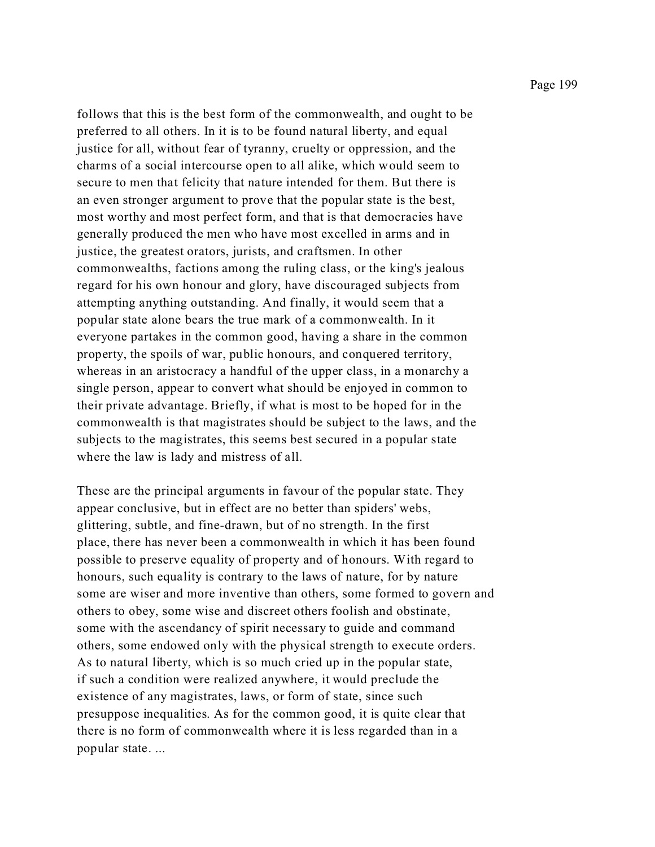follows that this is the best form of the commonwealth, and ought to be preferred to all others. In it is to be found natural liberty, and equal justice for all, without fear of tyranny, cruelty or oppression, and the charms of a social intercourse open to all alike, which would seem to secure to men that felicity that nature intended for them. But there is an even stronger argument to prove that the popular state is the best, most worthy and most perfect form, and that is that democracies have generally produced the men who have most excelled in arms and in justice, the greatest orators, jurists, and craftsmen. In other commonwealths, factions among the ruling class, or the king's jealous regard for his own honour and glory, have discouraged subjects from attempting anything outstanding. And finally, it would seem that a popular state alone bears the true mark of a commonwealth. In it everyone partakes in the common good, having a share in the common property, the spoils of war, public honours, and conquered territory, whereas in an aristocracy a handful of the upper class, in a monarchy a single person, appear to convert what should be enjoyed in common to their private advantage. Briefly, if what is most to be hoped for in the commonwealth is that magistrates should be subject to the laws, and the subjects to the magistrates, this seems best secured in a popular state where the law is lady and mistress of all.

These are the principal arguments in favour of the popular state. They appear conclusive, but in effect are no better than spiders' webs, glittering, subtle, and fine-drawn, but of no strength. In the first place, there has never been a commonwealth in which it has been found possible to preserve equality of property and of honours. With regard to honours, such equality is contrary to the laws of nature, for by nature some are wiser and more inventive than others, some formed to govern and others to obey, some wise and discreet others foolish and obstinate, some with the ascendancy of spirit necessary to guide and command others, some endowed only with the physical strength to execute orders. As to natural liberty, which is so much cried up in the popular state, if such a condition were realized anywhere, it would preclude the existence of any magistrates, laws, or form of state, since such presuppose inequalities. As for the common good, it is quite clear that there is no form of commonwealth where it is less regarded than in a popular state. ...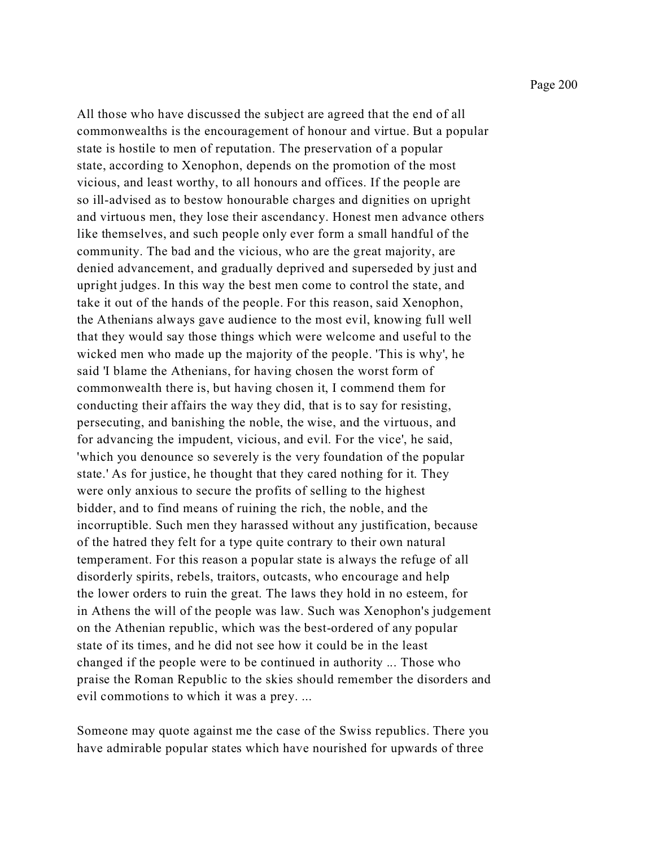All those who have discussed the subject are agreed that the end of all commonwealths is the encouragement of honour and virtue. But a popular state is hostile to men of reputation. The preservation of a popular state, according to Xenophon, depends on the promotion of the most vicious, and least worthy, to all honours and offices. If the people are so ill-advised as to bestow honourable charges and dignities on upright and virtuous men, they lose their ascendancy. Honest men advance others like themselves, and such people only ever form a small handful of the community. The bad and the vicious, who are the great majority, are denied advancement, and gradually deprived and superseded by just and upright judges. In this way the best men come to control the state, and take it out of the hands of the people. For this reason, said Xenophon, the Athenians always gave audience to the most evil, knowing full well that they would say those things which were welcome and useful to the wicked men who made up the majority of the people. 'This is why', he said 'I blame the Athenians, for having chosen the worst form of commonwealth there is, but having chosen it, I commend them for conducting their affairs the way they did, that is to say for resisting, persecuting, and banishing the noble, the wise, and the virtuous, and for advancing the impudent, vicious, and evil. For the vice', he said, 'which you denounce so severely is the very foundation of the popular state.' As for justice, he thought that they cared nothing for it. They were only anxious to secure the profits of selling to the highest bidder, and to find means of ruining the rich, the noble, and the incorruptible. Such men they harassed without any justification, because of the hatred they felt for a type quite contrary to their own natural temperament. For this reason a popular state is always the refuge of all disorderly spirits, rebels, traitors, outcasts, who encourage and help the lower orders to ruin the great. The laws they hold in no esteem, for in Athens the will of the people was law. Such was Xenophon's judgement on the Athenian republic, which was the best-ordered of any popular state of its times, and he did not see how it could be in the least changed if the people were to be continued in authority ... Those who praise the Roman Republic to the skies should remember the disorders and evil commotions to which it was a prey. ...

Someone may quote against me the case of the Swiss republics. There you have admirable popular states which have nourished for upwards of three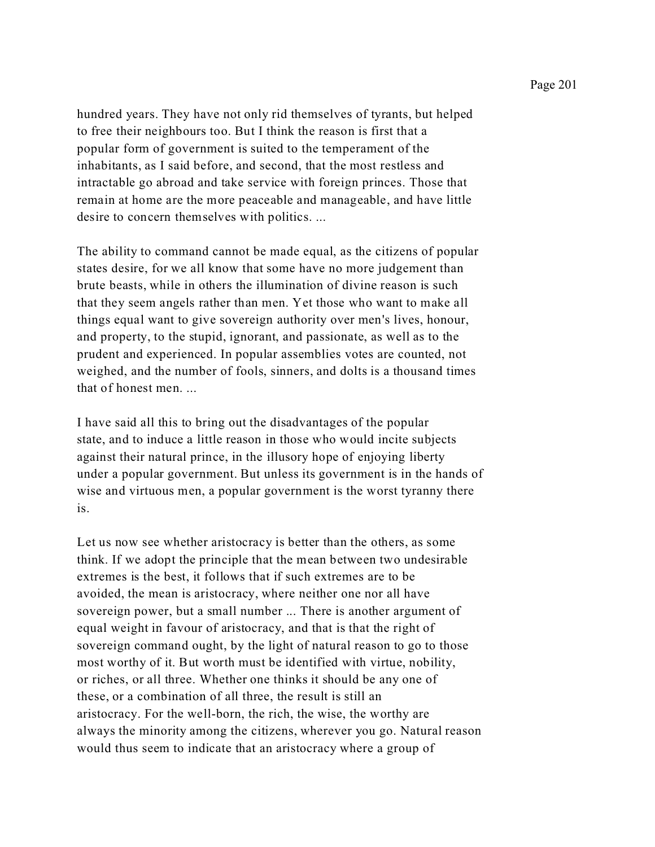hundred years. They have not only rid themselves of tyrants, but helped to free their neighbours too. But I think the reason is first that a popular form of government is suited to the temperament of the inhabitants, as I said before, and second, that the most restless and intractable go abroad and take service with foreign princes. Those that remain at home are the more peaceable and manageable, and have little desire to concern themselves with politics. ...

The ability to command cannot be made equal, as the citizens of popular states desire, for we all know that some have no more judgement than brute beasts, while in others the illumination of divine reason is such that they seem angels rather than men. Yet those who want to make all things equal want to give sovereign authority over men's lives, honour, and property, to the stupid, ignorant, and passionate, as well as to the prudent and experienced. In popular assemblies votes are counted, not weighed, and the number of fools, sinners, and dolts is a thousand times that of honest men. ...

I have said all this to bring out the disadvantages of the popular state, and to induce a little reason in those who would incite subjects against their natural prince, in the illusory hope of enjoying liberty under a popular government. But unless its government is in the hands of wise and virtuous men, a popular government is the worst tyranny there is.

Let us now see whether aristocracy is better than the others, as some think. If we adopt the principle that the mean between two undesirable extremes is the best, it follows that if such extremes are to be avoided, the mean is aristocracy, where neither one nor all have sovereign power, but a small number ... There is another argument of equal weight in favour of aristocracy, and that is that the right of sovereign command ought, by the light of natural reason to go to those most worthy of it. But worth must be identified with virtue, nobility, or riches, or all three. Whether one thinks it should be any one of these, or a combination of all three, the result is still an aristocracy. For the well-born, the rich, the wise, the worthy are always the minority among the citizens, wherever you go. Natural reason would thus seem to indicate that an aristocracy where a group of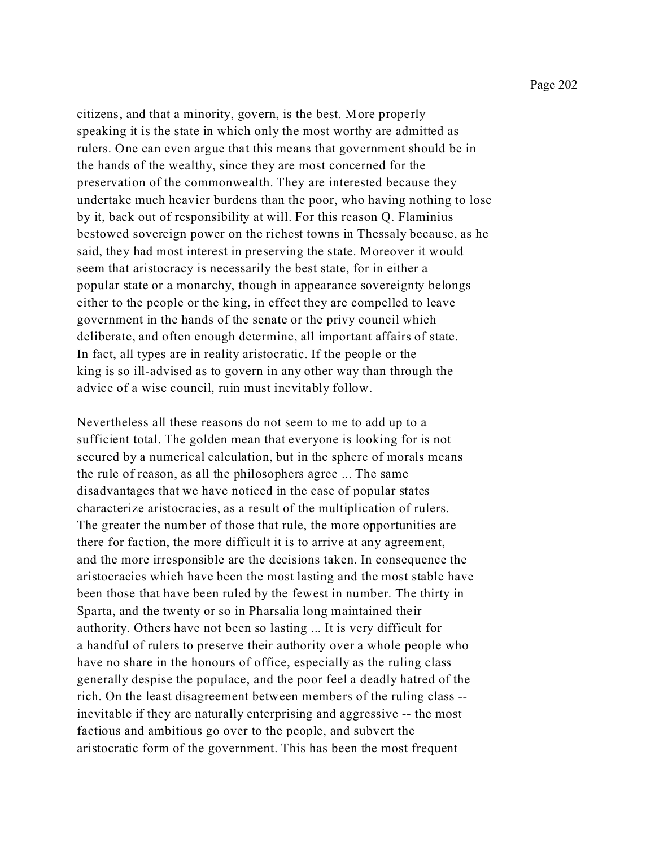citizens, and that a minority, govern, is the best. More properly speaking it is the state in which only the most worthy are admitted as rulers. One can even argue that this means that government should be in the hands of the wealthy, since they are most concerned for the preservation of the commonwealth. They are interested because they undertake much heavier burdens than the poor, who having nothing to lose by it, back out of responsibility at will. For this reason Q. Flaminius bestowed sovereign power on the richest towns in Thessaly because, as he said, they had most interest in preserving the state. Moreover it would seem that aristocracy is necessarily the best state, for in either a popular state or a monarchy, though in appearance sovereignty belongs either to the people or the king, in effect they are compelled to leave government in the hands of the senate or the privy council which deliberate, and often enough determine, all important affairs of state. In fact, all types are in reality aristocratic. If the people or the king is so ill-advised as to govern in any other way than through the advice of a wise council, ruin must inevitably follow.

Nevertheless all these reasons do not seem to me to add up to a sufficient total. The golden mean that everyone is looking for is not secured by a numerical calculation, but in the sphere of morals means the rule of reason, as all the philosophers agree ... The same disadvantages that we have noticed in the case of popular states characterize aristocracies, as a result of the multiplication of rulers. The greater the number of those that rule, the more opportunities are there for faction, the more difficult it is to arrive at any agreement, and the more irresponsible are the decisions taken. In consequence the aristocracies which have been the most lasting and the most stable have been those that have been ruled by the fewest in number. The thirty in Sparta, and the twenty or so in Pharsalia long maintained their authority. Others have not been so lasting ... It is very difficult for a handful of rulers to preserve their authority over a whole people who have no share in the honours of office, especially as the ruling class generally despise the populace, and the poor feel a deadly hatred of the rich. On the least disagreement between members of the ruling class - inevitable if they are naturally enterprising and aggressive -- the most factious and ambitious go over to the people, and subvert the aristocratic form of the government. This has been the most frequent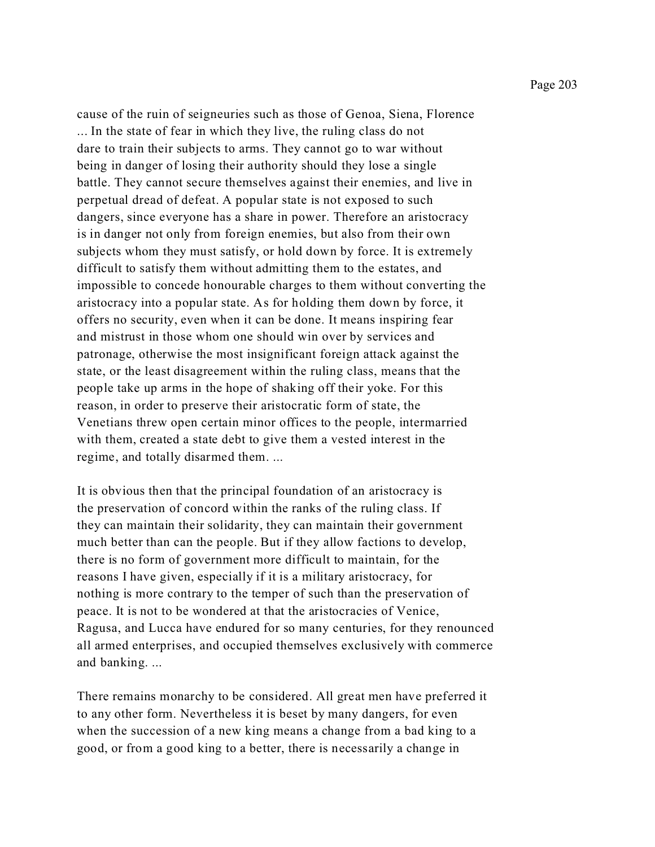cause of the ruin of seigneuries such as those of Genoa, Siena, Florence ... In the state of fear in which they live, the ruling class do not dare to train their subjects to arms. They cannot go to war without being in danger of losing their authority should they lose a single battle. They cannot secure themselves against their enemies, and live in perpetual dread of defeat. A popular state is not exposed to such dangers, since everyone has a share in power. Therefore an aristocracy is in danger not only from foreign enemies, but also from their own subjects whom they must satisfy, or hold down by force. It is extremely difficult to satisfy them without admitting them to the estates, and impossible to concede honourable charges to them without converting the aristocracy into a popular state. As for holding them down by force, it offers no security, even when it can be done. It means inspiring fear and mistrust in those whom one should win over by services and patronage, otherwise the most insignificant foreign attack against the state, or the least disagreement within the ruling class, means that the people take up arms in the hope of shaking off their yoke. For this reason, in order to preserve their aristocratic form of state, the Venetians threw open certain minor offices to the people, intermarried with them, created a state debt to give them a vested interest in the regime, and totally disarmed them. ...

It is obvious then that the principal foundation of an aristocracy is the preservation of concord within the ranks of the ruling class. If they can maintain their solidarity, they can maintain their government much better than can the people. But if they allow factions to develop, there is no form of government more difficult to maintain, for the reasons I have given, especially if it is a military aristocracy, for nothing is more contrary to the temper of such than the preservation of peace. It is not to be wondered at that the aristocracies of Venice, Ragusa, and Lucca have endured for so many centuries, for they renounced all armed enterprises, and occupied themselves exclusively with commerce and banking. ...

There remains monarchy to be considered. All great men have preferred it to any other form. Nevertheless it is beset by many dangers, for even when the succession of a new king means a change from a bad king to a good, or from a good king to a better, there is necessarily a change in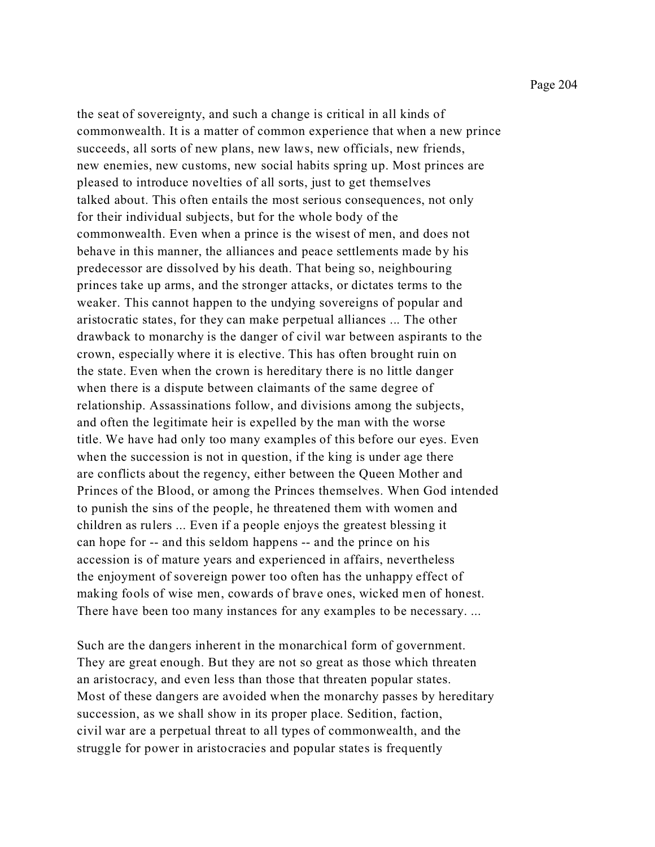the seat of sovereignty, and such a change is critical in all kinds of commonwealth. It is a matter of common experience that when a new prince succeeds, all sorts of new plans, new laws, new officials, new friends, new enemies, new customs, new social habits spring up. Most princes are pleased to introduce novelties of all sorts, just to get themselves talked about. This often entails the most serious consequences, not only for their individual subjects, but for the whole body of the commonwealth. Even when a prince is the wisest of men, and does not behave in this manner, the alliances and peace settlements made by his predecessor are dissolved by his death. That being so, neighbouring princes take up arms, and the stronger attacks, or dictates terms to the weaker. This cannot happen to the undying sovereigns of popular and aristocratic states, for they can make perpetual alliances ... The other drawback to monarchy is the danger of civil war between aspirants to the crown, especially where it is elective. This has often brought ruin on the state. Even when the crown is hereditary there is no little danger when there is a dispute between claimants of the same degree of relationship. Assassinations follow, and divisions among the subjects, and often the legitimate heir is expelled by the man with the worse title. We have had only too many examples of this before our eyes. Even when the succession is not in question, if the king is under age there are conflicts about the regency, either between the Queen Mother and Princes of the Blood, or among the Princes themselves. When God intended to punish the sins of the people, he threatened them with women and children as rulers ... Even if a people enjoys the greatest blessing it can hope for -- and this seldom happens -- and the prince on his accession is of mature years and experienced in affairs, nevertheless the enjoyment of sovereign power too often has the unhappy effect of making fools of wise men, cowards of brave ones, wicked men of honest. There have been too many instances for any examples to be necessary. ...

Such are the dangers inherent in the monarchical form of government. They are great enough. But they are not so great as those which threaten an aristocracy, and even less than those that threaten popular states. Most of these dangers are avoided when the monarchy passes by hereditary succession, as we shall show in its proper place. Sedition, faction, civil war are a perpetual threat to all types of commonwealth, and the struggle for power in aristocracies and popular states is frequently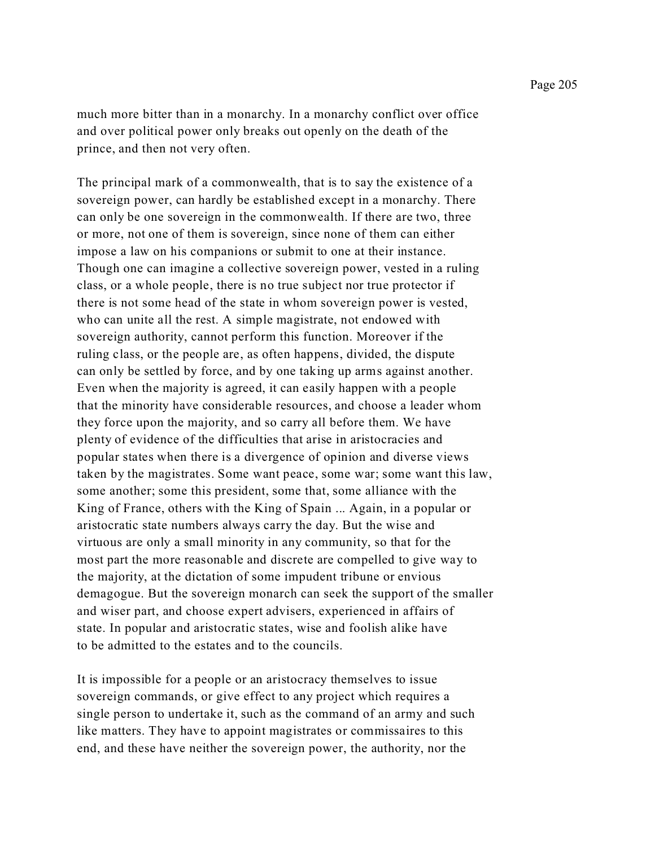much more bitter than in a monarchy. In a monarchy conflict over office and over political power only breaks out openly on the death of the prince, and then not very often.

The principal mark of a commonwealth, that is to say the existence of a sovereign power, can hardly be established except in a monarchy. There can only be one sovereign in the commonwealth. If there are two, three or more, not one of them is sovereign, since none of them can either impose a law on his companions or submit to one at their instance. Though one can imagine a collective sovereign power, vested in a ruling class, or a whole people, there is no true subject nor true protector if there is not some head of the state in whom sovereign power is vested, who can unite all the rest. A simple magistrate, not endowed with sovereign authority, cannot perform this function. Moreover if the ruling class, or the people are, as often happens, divided, the dispute can only be settled by force, and by one taking up arms against another. Even when the majority is agreed, it can easily happen with a people that the minority have considerable resources, and choose a leader whom they force upon the majority, and so carry all before them. We have plenty of evidence of the difficulties that arise in aristocracies and popular states when there is a divergence of opinion and diverse views taken by the magistrates. Some want peace, some war; some want this law, some another; some this president, some that, some alliance with the King of France, others with the King of Spain ... Again, in a popular or aristocratic state numbers always carry the day. But the wise and virtuous are only a small minority in any community, so that for the most part the more reasonable and discrete are compelled to give way to the majority, at the dictation of some impudent tribune or envious demagogue. But the sovereign monarch can seek the support of the smaller and wiser part, and choose expert advisers, experienced in affairs of state. In popular and aristocratic states, wise and foolish alike have to be admitted to the estates and to the councils.

It is impossible for a people or an aristocracy themselves to issue sovereign commands, or give effect to any project which requires a single person to undertake it, such as the command of an army and such like matters. They have to appoint magistrates or commissaires to this end, and these have neither the sovereign power, the authority, nor the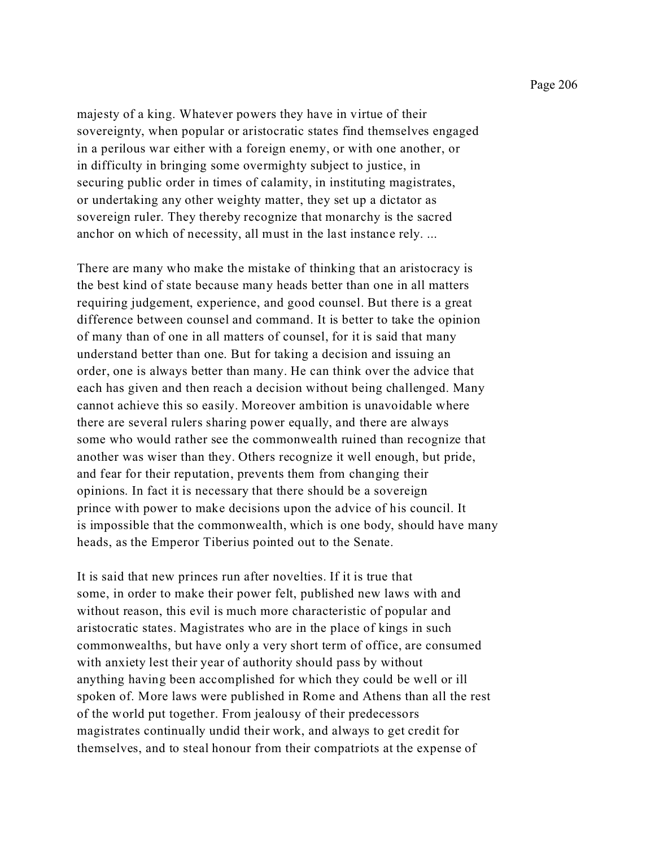majesty of a king. Whatever powers they have in virtue of their sovereignty, when popular or aristocratic states find themselves engaged in a perilous war either with a foreign enemy, or with one another, or in difficulty in bringing some overmighty subject to justice, in securing public order in times of calamity, in instituting magistrates, or undertaking any other weighty matter, they set up a dictator as sovereign ruler. They thereby recognize that monarchy is the sacred anchor on which of necessity, all must in the last instance rely. ...

There are many who make the mistake of thinking that an aristocracy is the best kind of state because many heads better than one in all matters requiring judgement, experience, and good counsel. But there is a great difference between counsel and command. It is better to take the opinion of many than of one in all matters of counsel, for it is said that many understand better than one. But for taking a decision and issuing an order, one is always better than many. He can think over the advice that each has given and then reach a decision without being challenged. Many cannot achieve this so easily. Moreover ambition is unavoidable where there are several rulers sharing power equally, and there are always some who would rather see the commonwealth ruined than recognize that another was wiser than they. Others recognize it well enough, but pride, and fear for their reputation, prevents them from changing their opinions. In fact it is necessary that there should be a sovereign prince with power to make decisions upon the advice of his council. It is impossible that the commonwealth, which is one body, should have many heads, as the Emperor Tiberius pointed out to the Senate.

It is said that new princes run after novelties. If it is true that some, in order to make their power felt, published new laws with and without reason, this evil is much more characteristic of popular and aristocratic states. Magistrates who are in the place of kings in such commonwealths, but have only a very short term of office, are consumed with anxiety lest their year of authority should pass by without anything having been accomplished for which they could be well or ill spoken of. More laws were published in Rome and Athens than all the rest of the world put together. From jealousy of their predecessors magistrates continually undid their work, and always to get credit for themselves, and to steal honour from their compatriots at the expense of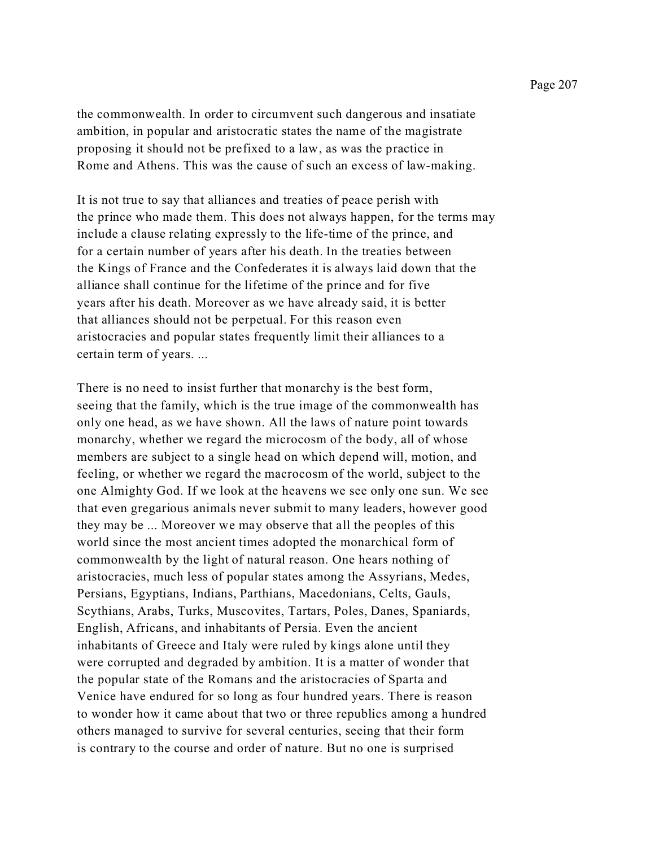the commonwealth. In order to circumvent such dangerous and insatiate ambition, in popular and aristocratic states the name of the magistrate proposing it should not be prefixed to a law, as was the practice in Rome and Athens. This was the cause of such an excess of law-making.

It is not true to say that alliances and treaties of peace perish with the prince who made them. This does not always happen, for the terms may include a clause relating expressly to the life-time of the prince, and for a certain number of years after his death. In the treaties between the Kings of France and the Confederates it is always laid down that the alliance shall continue for the lifetime of the prince and for five years after his death. Moreover as we have already said, it is better that alliances should not be perpetual. For this reason even aristocracies and popular states frequently limit their alliances to a certain term of years. ...

There is no need to insist further that monarchy is the best form, seeing that the family, which is the true image of the commonwealth has only one head, as we have shown. All the laws of nature point towards monarchy, whether we regard the microcosm of the body, all of whose members are subject to a single head on which depend will, motion, and feeling, or whether we regard the macrocosm of the world, subject to the one Almighty God. If we look at the heavens we see only one sun. We see that even gregarious animals never submit to many leaders, however good they may be ... Moreover we may observe that all the peoples of this world since the most ancient times adopted the monarchical form of commonwealth by the light of natural reason. One hears nothing of aristocracies, much less of popular states among the Assyrians, Medes, Persians, Egyptians, Indians, Parthians, Macedonians, Celts, Gauls, Scythians, Arabs, Turks, Muscovites, Tartars, Poles, Danes, Spaniards, English, Africans, and inhabitants of Persia. Even the ancient inhabitants of Greece and Italy were ruled by kings alone until they were corrupted and degraded by ambition. It is a matter of wonder that the popular state of the Romans and the aristocracies of Sparta and Venice have endured for so long as four hundred years. There is reason to wonder how it came about that two or three republics among a hundred others managed to survive for several centuries, seeing that their form is contrary to the course and order of nature. But no one is surprised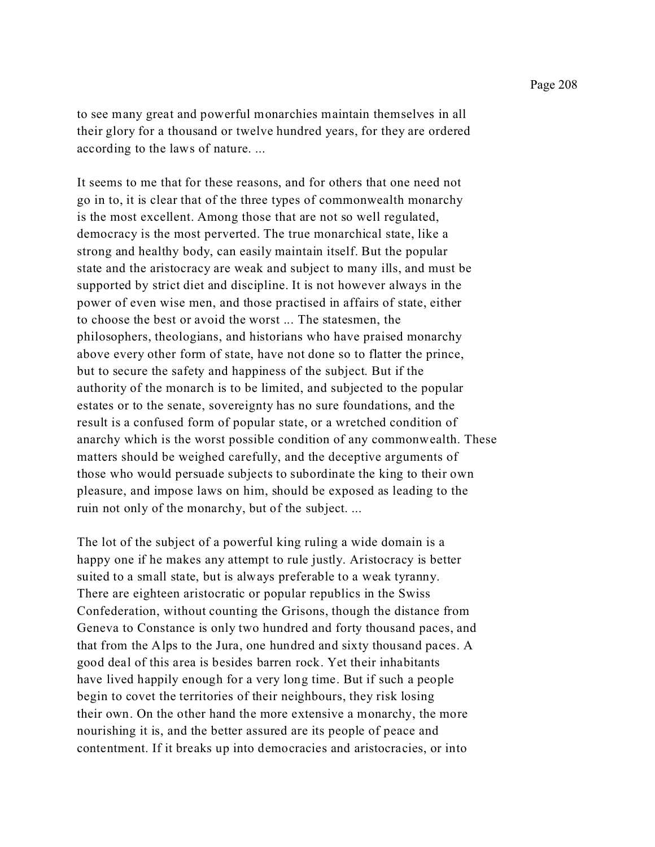to see many great and powerful monarchies maintain themselves in all their glory for a thousand or twelve hundred years, for they are ordered according to the laws of nature. ...

It seems to me that for these reasons, and for others that one need not go in to, it is clear that of the three types of commonwealth monarchy is the most excellent. Among those that are not so well regulated, democracy is the most perverted. The true monarchical state, like a strong and healthy body, can easily maintain itself. But the popular state and the aristocracy are weak and subject to many ills, and must be supported by strict diet and discipline. It is not however always in the power of even wise men, and those practised in affairs of state, either to choose the best or avoid the worst ... The statesmen, the philosophers, theologians, and historians who have praised monarchy above every other form of state, have not done so to flatter the prince, but to secure the safety and happiness of the subject. But if the authority of the monarch is to be limited, and subjected to the popular estates or to the senate, sovereignty has no sure foundations, and the result is a confused form of popular state, or a wretched condition of anarchy which is the worst possible condition of any commonwealth. These matters should be weighed carefully, and the deceptive arguments of those who would persuade subjects to subordinate the king to their own pleasure, and impose laws on him, should be exposed as leading to the ruin not only of the monarchy, but of the subject. ...

The lot of the subject of a powerful king ruling a wide domain is a happy one if he makes any attempt to rule justly. Aristocracy is better suited to a small state, but is always preferable to a weak tyranny. There are eighteen aristocratic or popular republics in the Swiss Confederation, without counting the Grisons, though the distance from Geneva to Constance is only two hundred and forty thousand paces, and that from the Alps to the Jura, one hundred and sixty thousand paces. A good deal of this area is besides barren rock. Yet their inhabitants have lived happily enough for a very long time. But if such a people begin to covet the territories of their neighbours, they risk losing their own. On the other hand the more extensive a monarchy, the more nourishing it is, and the better assured are its people of peace and contentment. If it breaks up into democracies and aristocracies, or into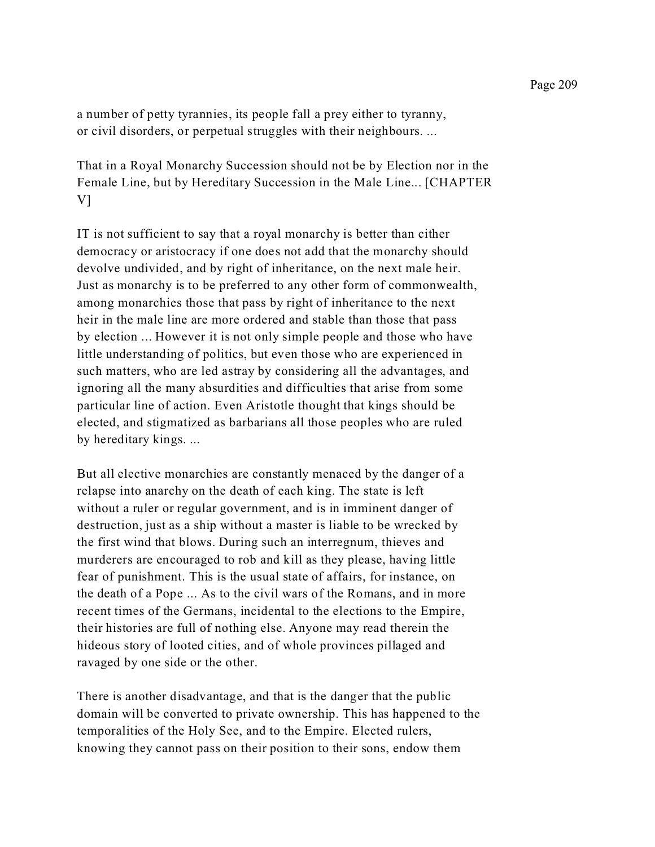a number of petty tyrannies, its people fall a prey either to tyranny, or civil disorders, or perpetual struggles with their neighbours. ...

That in a Royal Monarchy Succession should not be by Election nor in the Female Line, but by Hereditary Succession in the Male Line... [CHAPTER V]

IT is not sufficient to say that a royal monarchy is better than cither democracy or aristocracy if one does not add that the monarchy should devolve undivided, and by right of inheritance, on the next male heir. Just as monarchy is to be preferred to any other form of commonwealth, among monarchies those that pass by right of inheritance to the next heir in the male line are more ordered and stable than those that pass by election ... However it is not only simple people and those who have little understanding of politics, but even those who are experienced in such matters, who are led astray by considering all the advantages, and ignoring all the many absurdities and difficulties that arise from some particular line of action. Even Aristotle thought that kings should be elected, and stigmatized as barbarians all those peoples who are ruled by hereditary kings. ...

But all elective monarchies are constantly menaced by the danger of a relapse into anarchy on the death of each king. The state is left without a ruler or regular government, and is in imminent danger of destruction, just as a ship without a master is liable to be wrecked by the first wind that blows. During such an interregnum, thieves and murderers are encouraged to rob and kill as they please, having little fear of punishment. This is the usual state of affairs, for instance, on the death of a Pope ... As to the civil wars of the Romans, and in more recent times of the Germans, incidental to the elections to the Empire, their histories are full of nothing else. Anyone may read therein the hideous story of looted cities, and of whole provinces pillaged and ravaged by one side or the other.

There is another disadvantage, and that is the danger that the public domain will be converted to private ownership. This has happened to the temporalities of the Holy See, and to the Empire. Elected rulers, knowing they cannot pass on their position to their sons, endow them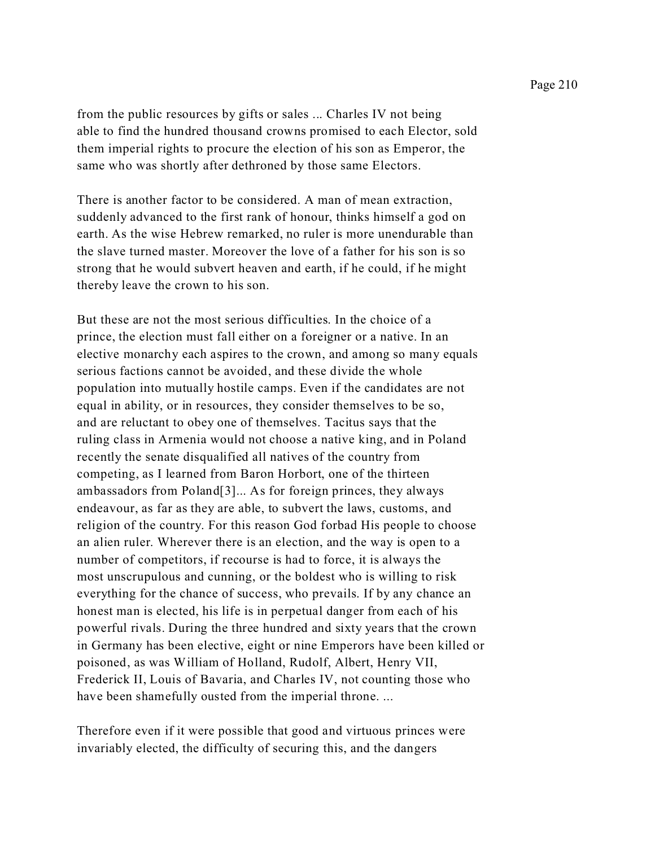from the public resources by gifts or sales ... Charles IV not being able to find the hundred thousand crowns promised to each Elector, sold them imperial rights to procure the election of his son as Emperor, the same who was shortly after dethroned by those same Electors.

There is another factor to be considered. A man of mean extraction, suddenly advanced to the first rank of honour, thinks himself a god on earth. As the wise Hebrew remarked, no ruler is more unendurable than the slave turned master. Moreover the love of a father for his son is so strong that he would subvert heaven and earth, if he could, if he might thereby leave the crown to his son.

But these are not the most serious difficulties. In the choice of a prince, the election must fall either on a foreigner or a native. In an elective monarchy each aspires to the crown, and among so many equals serious factions cannot be avoided, and these divide the whole population into mutually hostile camps. Even if the candidates are not equal in ability, or in resources, they consider themselves to be so, and are reluctant to obey one of themselves. Tacitus says that the ruling class in Armenia would not choose a native king, and in Poland recently the senate disqualified all natives of the country from competing, as I learned from Baron Horbort, one of the thirteen ambassadors from Poland[3]... As for foreign princes, they always endeavour, as far as they are able, to subvert the laws, customs, and religion of the country. For this reason God forbad His people to choose an alien ruler. Wherever there is an election, and the way is open to a number of competitors, if recourse is had to force, it is always the most unscrupulous and cunning, or the boldest who is willing to risk everything for the chance of success, who prevails. If by any chance an honest man is elected, his life is in perpetual danger from each of his powerful rivals. During the three hundred and sixty years that the crown in Germany has been elective, eight or nine Emperors have been killed or poisoned, as was William of Holland, Rudolf, Albert, Henry VII, Frederick II, Louis of Bavaria, and Charles IV, not counting those who have been shamefully ousted from the imperial throne....

Therefore even if it were possible that good and virtuous princes were invariably elected, the difficulty of securing this, and the dangers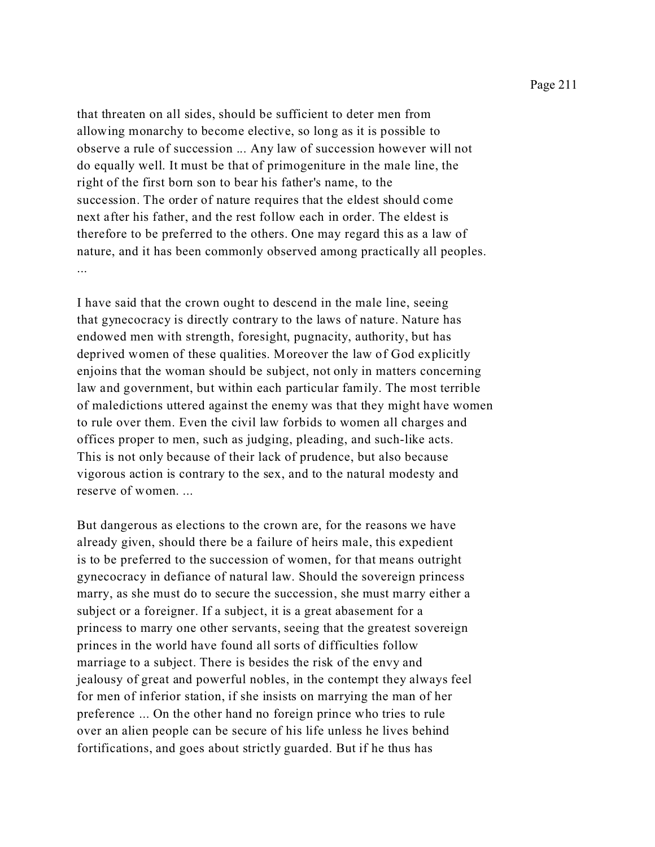that threaten on all sides, should be sufficient to deter men from allowing monarchy to become elective, so long as it is possible to observe a rule of succession ... Any law of succession however will not do equally well. It must be that of primogeniture in the male line, the right of the first born son to bear his father's name, to the succession. The order of nature requires that the eldest should come next after his father, and the rest follow each in order. The eldest is therefore to be preferred to the others. One may regard this as a law of nature, and it has been commonly observed among practically all peoples. ...

I have said that the crown ought to descend in the male line, seeing that gynecocracy is directly contrary to the laws of nature. Nature has endowed men with strength, foresight, pugnacity, authority, but has deprived women of these qualities. Moreover the law of God explicitly enjoins that the woman should be subject, not only in matters concerning law and government, but within each particular family. The most terrible of maledictions uttered against the enemy was that they might have women to rule over them. Even the civil law forbids to women all charges and offices proper to men, such as judging, pleading, and such-like acts. This is not only because of their lack of prudence, but also because vigorous action is contrary to the sex, and to the natural modesty and reserve of women.

But dangerous as elections to the crown are, for the reasons we have already given, should there be a failure of heirs male, this expedient is to be preferred to the succession of women, for that means outright gynecocracy in defiance of natural law. Should the sovereign princess marry, as she must do to secure the succession, she must marry either a subject or a foreigner. If a subject, it is a great abasement for a princess to marry one other servants, seeing that the greatest sovereign princes in the world have found all sorts of difficulties follow marriage to a subject. There is besides the risk of the envy and jealousy of great and powerful nobles, in the contempt they always feel for men of inferior station, if she insists on marrying the man of her preference ... On the other hand no foreign prince who tries to rule over an alien people can be secure of his life unless he lives behind fortifications, and goes about strictly guarded. But if he thus has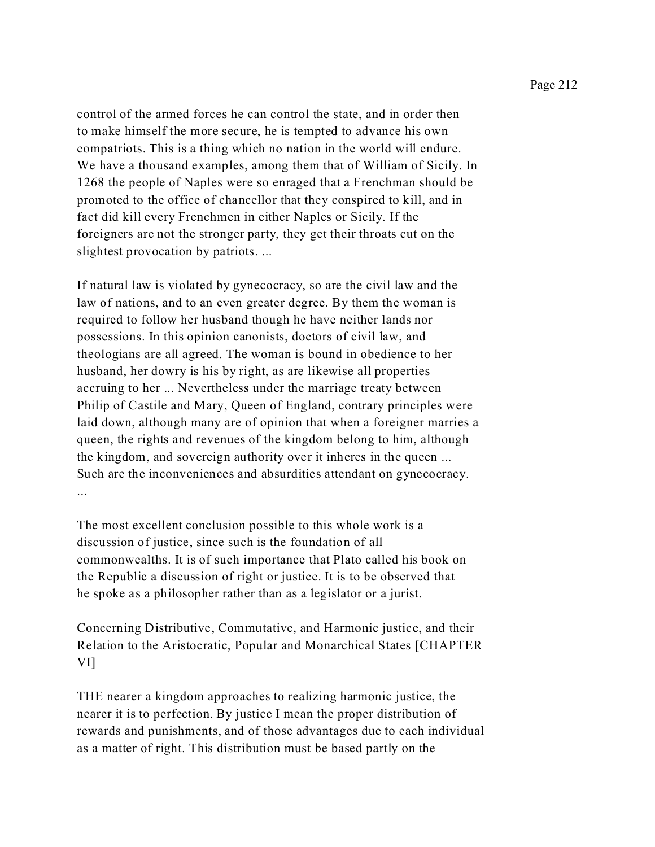control of the armed forces he can control the state, and in order then to make himself the more secure, he is tempted to advance his own compatriots. This is a thing which no nation in the world will endure. We have a thousand examples, among them that of William of Sicily. In 1268 the people of Naples were so enraged that a Frenchman should be promoted to the office of chancellor that they conspired to kill, and in fact did kill every Frenchmen in either Naples or Sicily. If the foreigners are not the stronger party, they get their throats cut on the slightest provocation by patriots. ...

If natural law is violated by gynecocracy, so are the civil law and the law of nations, and to an even greater degree. By them the woman is required to follow her husband though he have neither lands nor possessions. In this opinion canonists, doctors of civil law, and theologians are all agreed. The woman is bound in obedience to her husband, her dowry is his by right, as are likewise all properties accruing to her ... Nevertheless under the marriage treaty between Philip of Castile and Mary, Queen of England, contrary principles were laid down, although many are of opinion that when a foreigner marries a queen, the rights and revenues of the kingdom belong to him, although the kingdom, and sovereign authority over it inheres in the queen ... Such are the inconveniences and absurdities attendant on gynecocracy. ...

The most excellent conclusion possible to this whole work is a discussion of justice, since such is the foundation of all commonwealths. It is of such importance that Plato called his book on the Republic a discussion of right or justice. It is to be observed that he spoke as a philosopher rather than as a legislator or a jurist.

Concerning Distributive, Commutative, and Harmonic justice, and their Relation to the Aristocratic, Popular and Monarchical States [CHAPTER VI]

THE nearer a kingdom approaches to realizing harmonic justice, the nearer it is to perfection. By justice I mean the proper distribution of rewards and punishments, and of those advantages due to each individual as a matter of right. This distribution must be based partly on the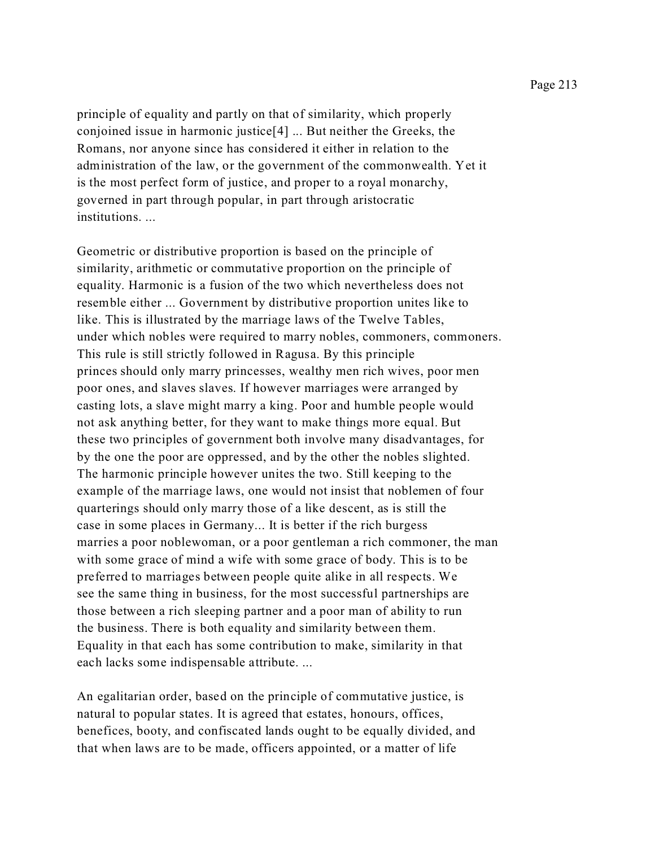Page 213

principle of equality and partly on that of similarity, which properly conjoined issue in harmonic justice[4] ... But neither the Greeks, the Romans, nor anyone since has considered it either in relation to the administration of the law, or the government of the commonwealth. Yet it is the most perfect form of justice, and proper to a royal monarchy, governed in part through popular, in part through aristocratic institutions. ...

Geometric or distributive proportion is based on the principle of similarity, arithmetic or commutative proportion on the principle of equality. Harmonic is a fusion of the two which nevertheless does not resemble either ... Government by distributive proportion unites like to like. This is illustrated by the marriage laws of the Twelve Tables, under which nobles were required to marry nobles, commoners, commoners. This rule is still strictly followed in Ragusa. By this principle princes should only marry princesses, wealthy men rich wives, poor men poor ones, and slaves slaves. If however marriages were arranged by casting lots, a slave might marry a king. Poor and humble people would not ask anything better, for they want to make things more equal. But these two principles of government both involve many disadvantages, for by the one the poor are oppressed, and by the other the nobles slighted. The harmonic principle however unites the two. Still keeping to the example of the marriage laws, one would not insist that noblemen of four quarterings should only marry those of a like descent, as is still the case in some places in Germany... It is better if the rich burgess marries a poor noblewoman, or a poor gentleman a rich commoner, the man with some grace of mind a wife with some grace of body. This is to be preferred to marriages between people quite alike in all respects. We see the same thing in business, for the most successful partnerships are those between a rich sleeping partner and a poor man of ability to run the business. There is both equality and similarity between them. Equality in that each has some contribution to make, similarity in that each lacks some indispensable attribute. ...

An egalitarian order, based on the principle of commutative justice, is natural to popular states. It is agreed that estates, honours, offices, benefices, booty, and confiscated lands ought to be equally divided, and that when laws are to be made, officers appointed, or a matter of life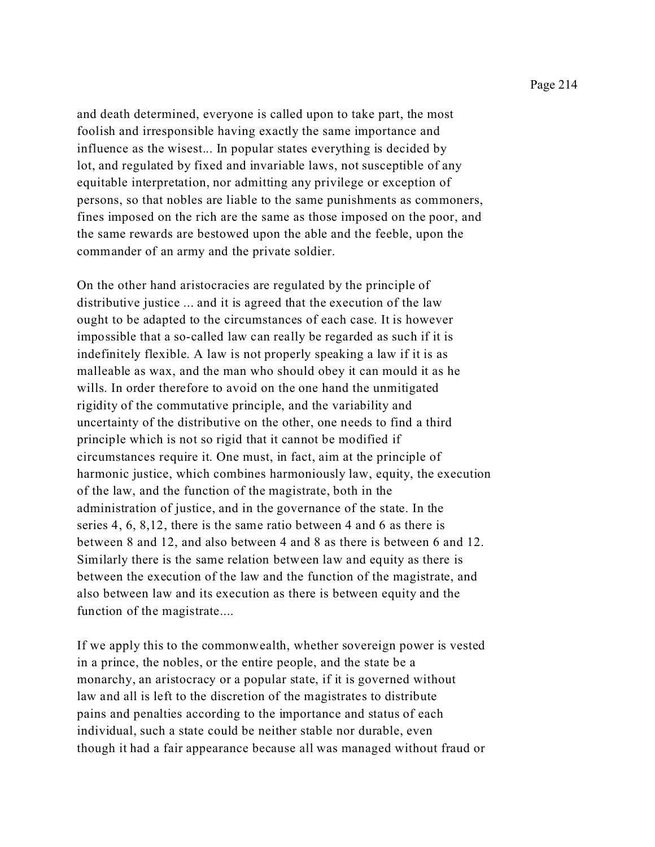and death determined, everyone is called upon to take part, the most foolish and irresponsible having exactly the same importance and influence as the wisest... In popular states everything is decided by lot, and regulated by fixed and invariable laws, not susceptible of any equitable interpretation, nor admitting any privilege or exception of persons, so that nobles are liable to the same punishments as commoners, fines imposed on the rich are the same as those imposed on the poor, and the same rewards are bestowed upon the able and the feeble, upon the commander of an army and the private soldier.

On the other hand aristocracies are regulated by the principle of distributive justice ... and it is agreed that the execution of the law ought to be adapted to the circumstances of each case. It is however impossible that a so-called law can really be regarded as such if it is indefinitely flexible. A law is not properly speaking a law if it is as malleable as wax, and the man who should obey it can mould it as he wills. In order therefore to avoid on the one hand the unmitigated rigidity of the commutative principle, and the variability and uncertainty of the distributive on the other, one needs to find a third principle which is not so rigid that it cannot be modified if circumstances require it. One must, in fact, aim at the principle of harmonic justice, which combines harmoniously law, equity, the execution of the law, and the function of the magistrate, both in the administration of justice, and in the governance of the state. In the series 4, 6, 8,12, there is the same ratio between 4 and 6 as there is between 8 and 12, and also between 4 and 8 as there is between 6 and 12. Similarly there is the same relation between law and equity as there is between the execution of the law and the function of the magistrate, and also between law and its execution as there is between equity and the function of the magistrate....

If we apply this to the commonwealth, whether sovereign power is vested in a prince, the nobles, or the entire people, and the state be a monarchy, an aristocracy or a popular state, if it is governed without law and all is left to the discretion of the magistrates to distribute pains and penalties according to the importance and status of each individual, such a state could be neither stable nor durable, even though it had a fair appearance because all was managed without fraud or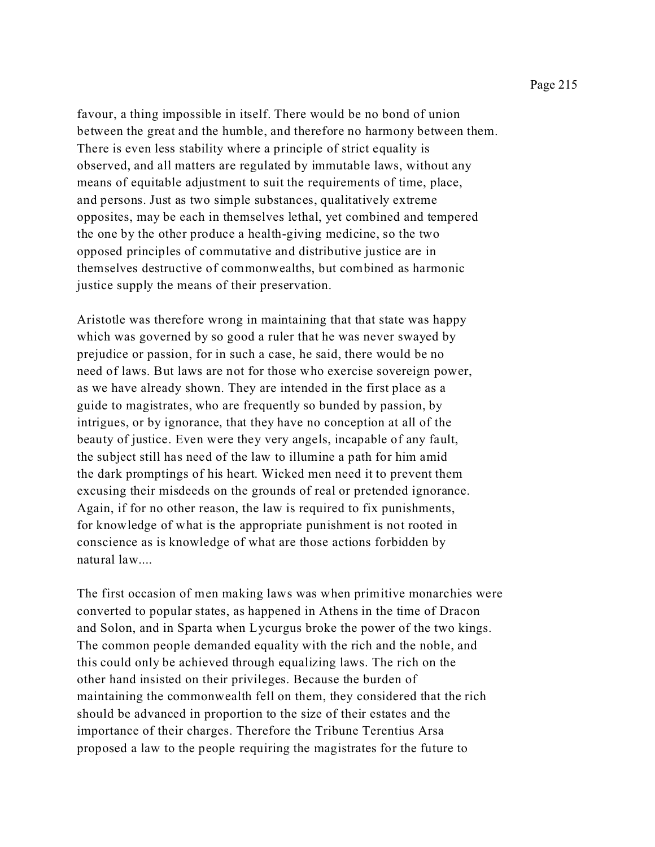favour, a thing impossible in itself. There would be no bond of union between the great and the humble, and therefore no harmony between them. There is even less stability where a principle of strict equality is observed, and all matters are regulated by immutable laws, without any means of equitable adjustment to suit the requirements of time, place, and persons. Just as two simple substances, qualitatively extreme opposites, may be each in themselves lethal, yet combined and tempered the one by the other produce a health-giving medicine, so the two opposed principles of commutative and distributive justice are in themselves destructive of commonwealths, but combined as harmonic justice supply the means of their preservation.

Aristotle was therefore wrong in maintaining that that state was happy which was governed by so good a ruler that he was never swayed by prejudice or passion, for in such a case, he said, there would be no need of laws. But laws are not for those who exercise sovereign power, as we have already shown. They are intended in the first place as a guide to magistrates, who are frequently so bunded by passion, by intrigues, or by ignorance, that they have no conception at all of the beauty of justice. Even were they very angels, incapable of any fault, the subject still has need of the law to illumine a path for him amid the dark promptings of his heart. Wicked men need it to prevent them excusing their misdeeds on the grounds of real or pretended ignorance. Again, if for no other reason, the law is required to fix punishments, for knowledge of what is the appropriate punishment is not rooted in conscience as is knowledge of what are those actions forbidden by natural law....

The first occasion of men making laws was when primitive monarchies were converted to popular states, as happened in Athens in the time of Dracon and Solon, and in Sparta when Lycurgus broke the power of the two kings. The common people demanded equality with the rich and the noble, and this could only be achieved through equalizing laws. The rich on the other hand insisted on their privileges. Because the burden of maintaining the commonwealth fell on them, they considered that the rich should be advanced in proportion to the size of their estates and the importance of their charges. Therefore the Tribune Terentius Arsa proposed a law to the people requiring the magistrates for the future to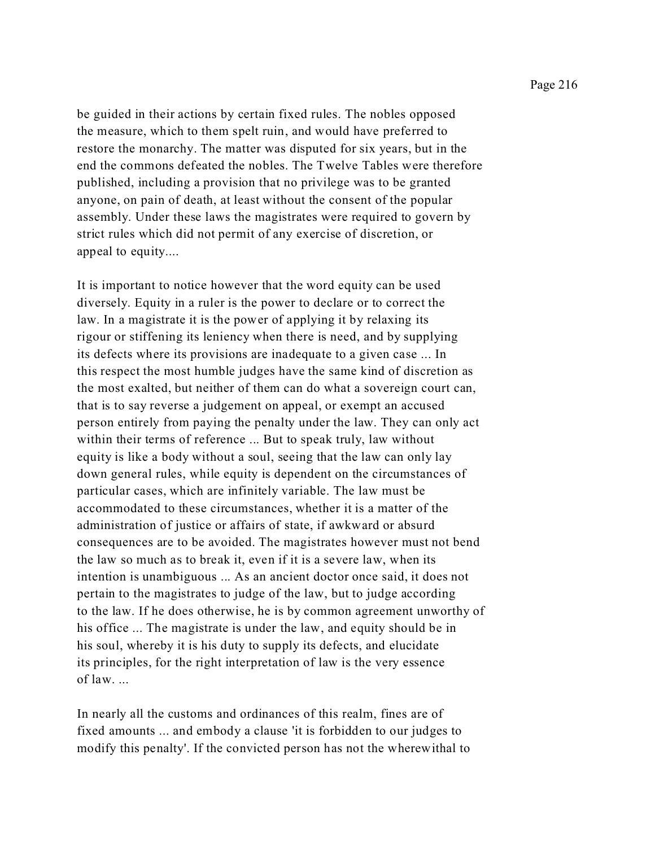be guided in their actions by certain fixed rules. The nobles opposed the measure, which to them spelt ruin, and would have preferred to restore the monarchy. The matter was disputed for six years, but in the end the commons defeated the nobles. The Twelve Tables were therefore published, including a provision that no privilege was to be granted anyone, on pain of death, at least without the consent of the popular assembly. Under these laws the magistrates were required to govern by strict rules which did not permit of any exercise of discretion, or appeal to equity....

It is important to notice however that the word equity can be used diversely. Equity in a ruler is the power to declare or to correct the law. In a magistrate it is the power of applying it by relaxing its rigour or stiffening its leniency when there is need, and by supplying its defects where its provisions are inadequate to a given case ... In this respect the most humble judges have the same kind of discretion as the most exalted, but neither of them can do what a sovereign court can, that is to say reverse a judgement on appeal, or exempt an accused person entirely from paying the penalty under the law. They can only act within their terms of reference ... But to speak truly, law without equity is like a body without a soul, seeing that the law can only lay down general rules, while equity is dependent on the circumstances of particular cases, which are infinitely variable. The law must be accommodated to these circumstances, whether it is a matter of the administration of justice or affairs of state, if awkward or absurd consequences are to be avoided. The magistrates however must not bend the law so much as to break it, even if it is a severe law, when its intention is unambiguous ... As an ancient doctor once said, it does not pertain to the magistrates to judge of the law, but to judge according to the law. If he does otherwise, he is by common agreement unworthy of his office ... The magistrate is under the law, and equity should be in his soul, whereby it is his duty to supply its defects, and elucidate its principles, for the right interpretation of law is the very essence of law.  $\ldots$ 

In nearly all the customs and ordinances of this realm, fines are of fixed amounts ... and embody a clause 'it is forbidden to our judges to modify this penalty'. If the convicted person has not the wherewithal to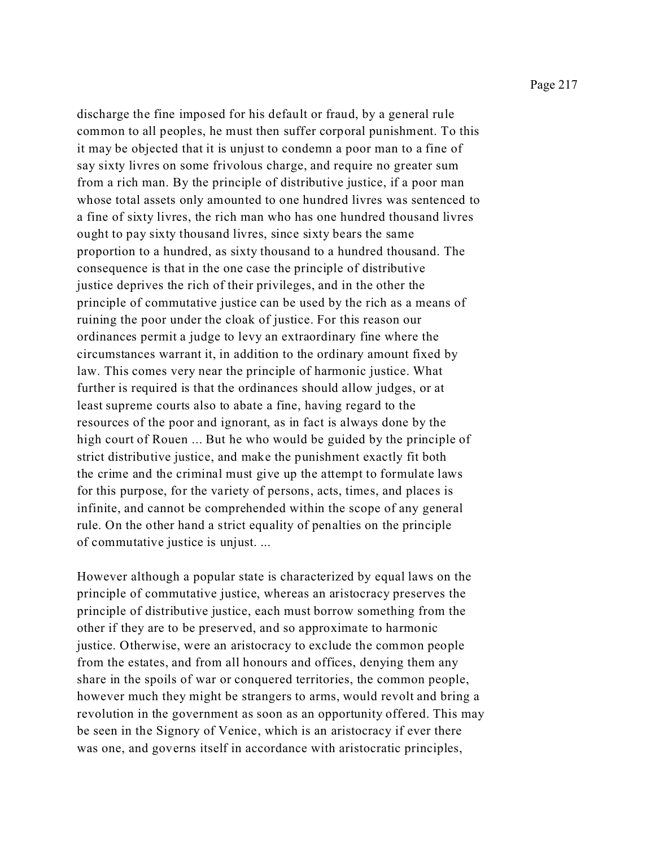Page 217

discharge the fine imposed for his default or fraud, by a general rule common to all peoples, he must then suffer corporal punishment. To this it may be objected that it is unjust to condemn a poor man to a fine of say sixty livres on some frivolous charge, and require no greater sum from a rich man. By the principle of distributive justice, if a poor man whose total assets only amounted to one hundred livres was sentenced to a fine of sixty livres, the rich man who has one hundred thousand livres ought to pay sixty thousand livres, since sixty bears the same proportion to a hundred, as sixty thousand to a hundred thousand. The consequence is that in the one case the principle of distributive justice deprives the rich of their privileges, and in the other the principle of commutative justice can be used by the rich as a means of ruining the poor under the cloak of justice. For this reason our ordinances permit a judge to levy an extraordinary fine where the circumstances warrant it, in addition to the ordinary amount fixed by law. This comes very near the principle of harmonic justice. What further is required is that the ordinances should allow judges, or at least supreme courts also to abate a fine, having regard to the resources of the poor and ignorant, as in fact is always done by the high court of Rouen ... But he who would be guided by the principle of strict distributive justice, and make the punishment exactly fit both the crime and the criminal must give up the attempt to formulate laws for this purpose, for the variety of persons, acts, times, and places is infinite, and cannot be comprehended within the scope of any general rule. On the other hand a strict equality of penalties on the principle of commutative justice is unjust. ...

However although a popular state is characterized by equal laws on the principle of commutative justice, whereas an aristocracy preserves the principle of distributive justice, each must borrow something from the other if they are to be preserved, and so approximate to harmonic justice. Otherwise, were an aristocracy to exclude the common people from the estates, and from all honours and offices, denying them any share in the spoils of war or conquered territories, the common people, however much they might be strangers to arms, would revolt and bring a revolution in the government as soon as an opportunity offered. This may be seen in the Signory of Venice, which is an aristocracy if ever there was one, and governs itself in accordance with aristocratic principles,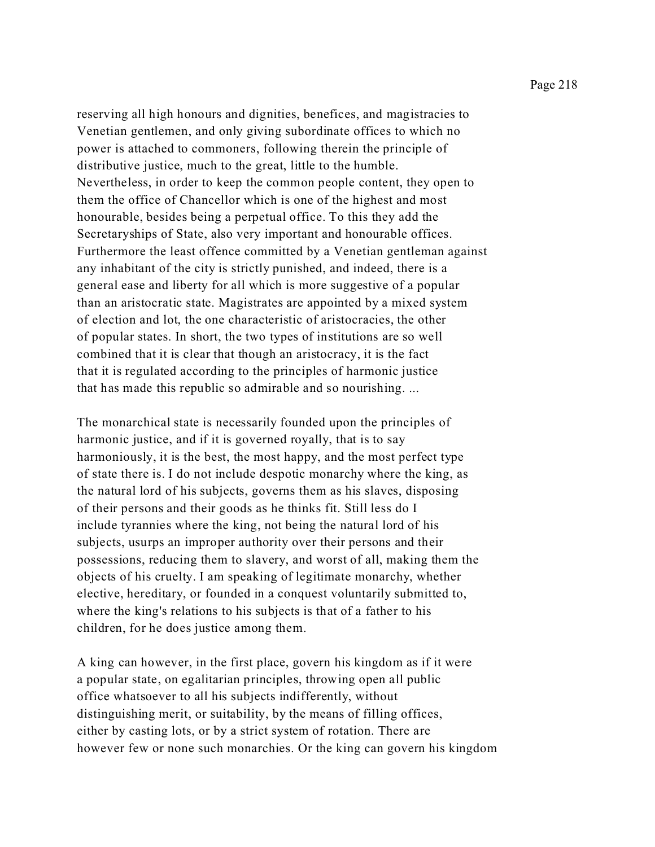Page 218

reserving all high honours and dignities, benefices, and magistracies to Venetian gentlemen, and only giving subordinate offices to which no power is attached to commoners, following therein the principle of distributive justice, much to the great, little to the humble. Nevertheless, in order to keep the common people content, they open to them the office of Chancellor which is one of the highest and most honourable, besides being a perpetual office. To this they add the Secretaryships of State, also very important and honourable offices. Furthermore the least offence committed by a Venetian gentleman against any inhabitant of the city is strictly punished, and indeed, there is a general ease and liberty for all which is more suggestive of a popular than an aristocratic state. Magistrates are appointed by a mixed system of election and lot, the one characteristic of aristocracies, the other of popular states. In short, the two types of institutions are so well combined that it is clear that though an aristocracy, it is the fact that it is regulated according to the principles of harmonic justice that has made this republic so admirable and so nourishing. ...

The monarchical state is necessarily founded upon the principles of harmonic justice, and if it is governed royally, that is to say harmoniously, it is the best, the most happy, and the most perfect type of state there is. I do not include despotic monarchy where the king, as the natural lord of his subjects, governs them as his slaves, disposing of their persons and their goods as he thinks fit. Still less do I include tyrannies where the king, not being the natural lord of his subjects, usurps an improper authority over their persons and their possessions, reducing them to slavery, and worst of all, making them the objects of his cruelty. I am speaking of legitimate monarchy, whether elective, hereditary, or founded in a conquest voluntarily submitted to, where the king's relations to his subjects is that of a father to his children, for he does justice among them.

A king can however, in the first place, govern his kingdom as if it were a popular state, on egalitarian principles, throwing open all public office whatsoever to all his subjects indifferently, without distinguishing merit, or suitability, by the means of filling offices, either by casting lots, or by a strict system of rotation. There are however few or none such monarchies. Or the king can govern his kingdom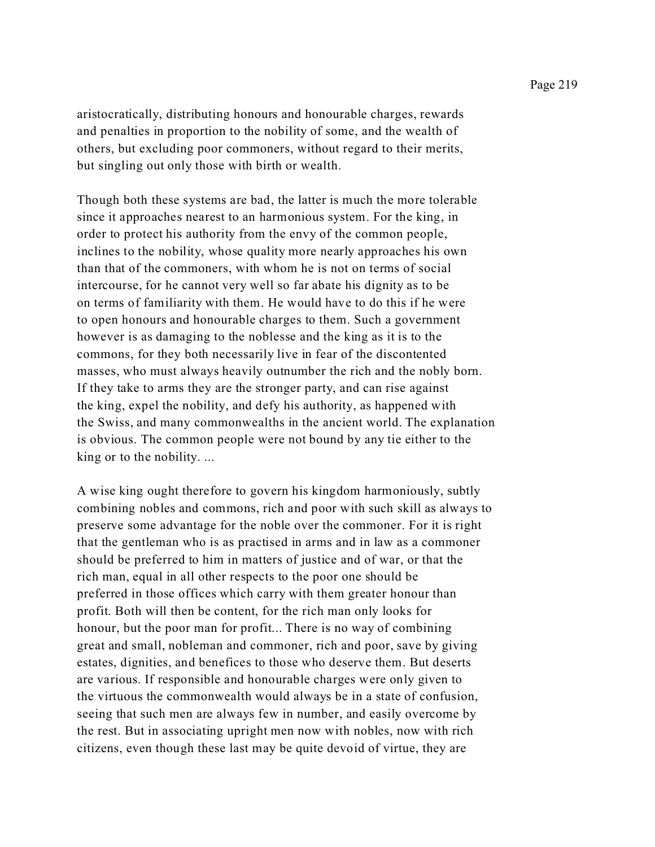aristocratically, distributing honours and honourable charges, rewards and penalties in proportion to the nobility of some, and the wealth of others, but excluding poor commoners, without regard to their merits, but singling out only those with birth or wealth.

Though both these systems are bad, the latter is much the more tolerable since it approaches nearest to an harmonious system. For the king, in order to protect his authority from the envy of the common people, inclines to the nobility, whose quality more nearly approaches his own than that of the commoners, with whom he is not on terms of social intercourse, for he cannot very well so far abate his dignity as to be on terms of familiarity with them. He would have to do this if he were to open honours and honourable charges to them. Such a government however is as damaging to the noblesse and the king as it is to the commons, for they both necessarily live in fear of the discontented masses, who must always heavily outnumber the rich and the nobly born. If they take to arms they are the stronger party, and can rise against the king, expel the nobility, and defy his authority, as happened with the Swiss, and many commonwealths in the ancient world. The explanation is obvious. The common people were not bound by any tie either to the king or to the nobility. ...

A wise king ought therefore to govern his kingdom harmoniously, subtly combining nobles and commons, rich and poor with such skill as always to preserve some advantage for the noble over the commoner. For it is right that the gentleman who is as practised in arms and in law as a commoner should be preferred to him in matters of justice and of war, or that the rich man, equal in all other respects to the poor one should be preferred in those offices which carry with them greater honour than profit. Both will then be content, for the rich man only looks for honour, but the poor man for profit... There is no way of combining great and small, nobleman and commoner, rich and poor, save by giving estates, dignities, and benefices to those who deserve them. But deserts are various. If responsible and honourable charges were only given to the virtuous the commonwealth would always be in a state of confusion, seeing that such men are always few in number, and easily overcome by the rest. But in associating upright men now with nobles, now with rich citizens, even though these last may be quite devoid of virtue, they are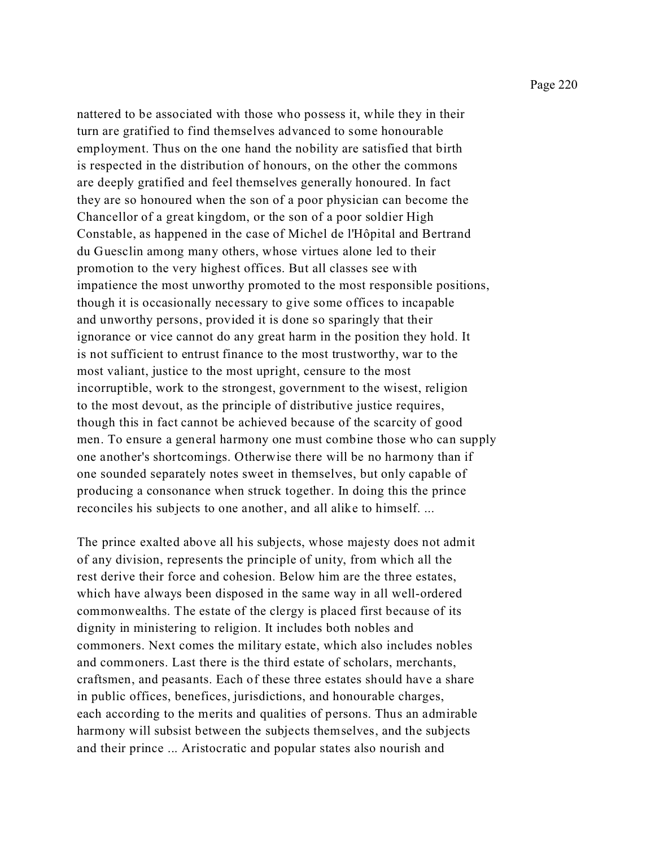nattered to be associated with those who possess it, while they in their turn are gratified to find themselves advanced to some honourable employment. Thus on the one hand the nobility are satisfied that birth is respected in the distribution of honours, on the other the commons are deeply gratified and feel themselves generally honoured. In fact they are so honoured when the son of a poor physician can become the Chancellor of a great kingdom, or the son of a poor soldier High Constable, as happened in the case of Michel de l'Hôpital and Bertrand du Guesclin among many others, whose virtues alone led to their promotion to the very highest offices. But all classes see with impatience the most unworthy promoted to the most responsible positions, though it is occasionally necessary to give some offices to incapable and unworthy persons, provided it is done so sparingly that their ignorance or vice cannot do any great harm in the position they hold. It is not sufficient to entrust finance to the most trustworthy, war to the most valiant, justice to the most upright, censure to the most incorruptible, work to the strongest, government to the wisest, religion to the most devout, as the principle of distributive justice requires, though this in fact cannot be achieved because of the scarcity of good men. To ensure a general harmony one must combine those who can supply one another's shortcomings. Otherwise there will be no harmony than if one sounded separately notes sweet in themselves, but only capable of producing a consonance when struck together. In doing this the prince reconciles his subjects to one another, and all alike to himself. ...

The prince exalted above all his subjects, whose majesty does not admit of any division, represents the principle of unity, from which all the rest derive their force and cohesion. Below him are the three estates, which have always been disposed in the same way in all well-ordered commonwealths. The estate of the clergy is placed first because of its dignity in ministering to religion. It includes both nobles and commoners. Next comes the military estate, which also includes nobles and commoners. Last there is the third estate of scholars, merchants, craftsmen, and peasants. Each of these three estates should have a share in public offices, benefices, jurisdictions, and honourable charges, each according to the merits and qualities of persons. Thus an admirable harmony will subsist between the subjects themselves, and the subjects and their prince ... Aristocratic and popular states also nourish and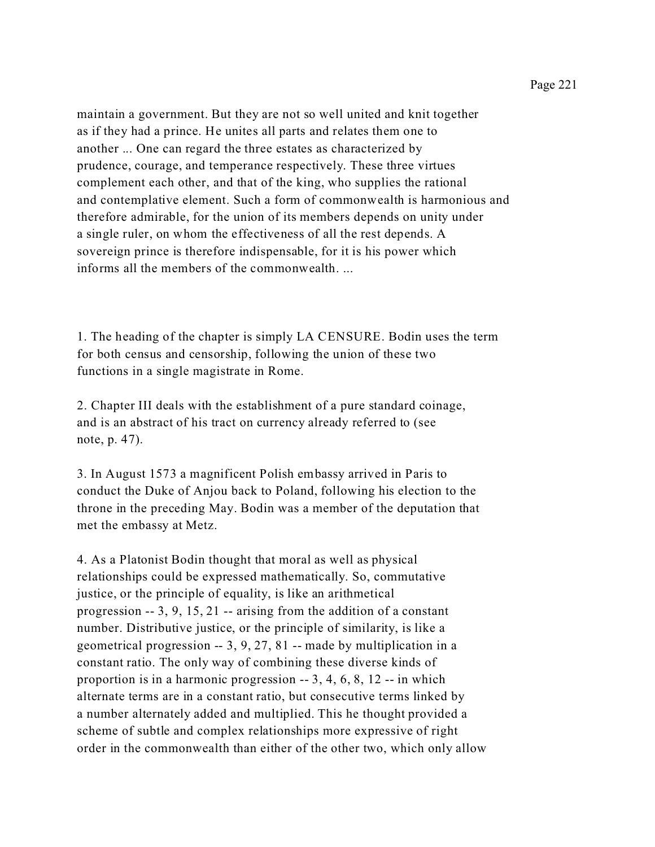maintain a government. But they are not so well united and knit together as if they had a prince. He unites all parts and relates them one to another ... One can regard the three estates as characterized by prudence, courage, and temperance respectively. These three virtues complement each other, and that of the king, who supplies the rational and contemplative element. Such a form of commonwealth is harmonious and therefore admirable, for the union of its members depends on unity under a single ruler, on whom the effectiveness of all the rest depends. A sovereign prince is therefore indispensable, for it is his power which informs all the members of the commonwealth. ...

1. The heading of the chapter is simply LA CENSURE. Bodin uses the term for both census and censorship, following the union of these two functions in a single magistrate in Rome.

2. Chapter III deals with the establishment of a pure standard coinage, and is an abstract of his tract on currency already referred to (see note, p. 47).

3. In August 1573 a magnificent Polish embassy arrived in Paris to conduct the Duke of Anjou back to Poland, following his election to the throne in the preceding May. Bodin was a member of the deputation that met the embassy at Metz.

4. As a Platonist Bodin thought that moral as well as physical relationships could be expressed mathematically. So, commutative justice, or the principle of equality, is like an arithmetical progression -- 3, 9, 15, 21 -- arising from the addition of a constant number. Distributive justice, or the principle of similarity, is like a geometrical progression -- 3, 9, 27, 81 -- made by multiplication in a constant ratio. The only way of combining these diverse kinds of proportion is in a harmonic progression -- 3, 4, 6, 8, 12 -- in which alternate terms are in a constant ratio, but consecutive terms linked by a number alternately added and multiplied. This he thought provided a scheme of subtle and complex relationships more expressive of right order in the commonwealth than either of the other two, which only allow